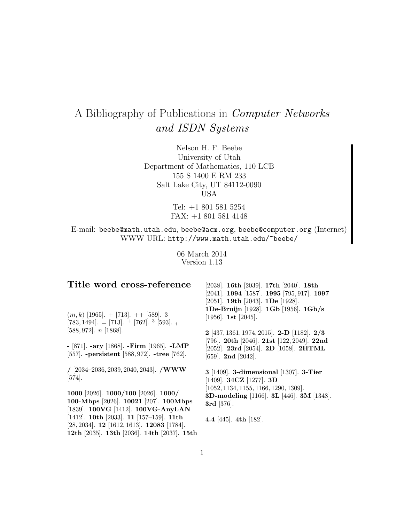# A Bibliography of Publications in Computer Networks and ISDN Systems

Nelson H. F. Beebe University of Utah Department of Mathematics, 110 LCB 155 S 1400 E RM 233 Salt Lake City, UT 84112-0090 USA

> Tel: +1 801 581 5254 FAX: +1 801 581 4148

E-mail: beebe@math.utah.edu, beebe@acm.org, beebe@computer.org (Internet) WWW URL: http://www.math.utah.edu/~beebe/

> 06 March 2014 Version 1.13

# **Title word cross-reference**

 $(m, k)$  [1965]. + [713]. + + [589]. 3  $[783, 1494]$ . =  $[713]$ . +  $[762]$ . <sup>3</sup>  $[593]$ . i [588, 972]. n [1868].

**-** [871]. **-ary** [1868]. **-Firm** [1965]. **-LMP** [557]. **-persistent** [588, 972]. **-tree** [762].

**/** [2034–2036, 2039, 2040, 2043]. **/WWW** [574].

**1000** [2026]. **1000/100** [2026]. **1000/ 100-Mbps** [2026]. **10021** [207]. **100Mbps** [1839]. **100VG** [1412]. **100VG-AnyLAN** [1412]. **10th** [2033]. **11** [157–159]. **11th** [28, 2034]. **12** [1612, 1613]. **12083** [1784]. **12th** [2035]. **13th** [2036]. **14th** [2037]. **15th**

[2038]. **16th** [2039]. **17th** [2040]. **18th** [2041]. **1994** [1587]. **1995** [795, 917]. **1997** [2051]. **19th** [2043]. **1De** [1928]. **1De-Bruijn** [1928]. **1Gb** [1956]. **1Gb/s** [1956]. **1st** [2045].

**2** [437, 1361, 1974, 2015]. **2-D** [1182]. **2/3** [796]. **20th** [2046]. **21st** [122, 2049]. **22nd** [2052]. **23rd** [2054]. **2D** [1058]. **2HTML** [659]. **2nd** [2042].

**3** [1409]. **3-dimensional** [1307]. **3-Tier** [1409]. **34CZ** [1277]. **3D** [1052, 1134, 1155, 1166, 1290, 1309]. **3D-modeling** [1166]. **3L** [446]. **3M** [1348]. **3rd** [376].

**4.4** [445]. **4th** [182].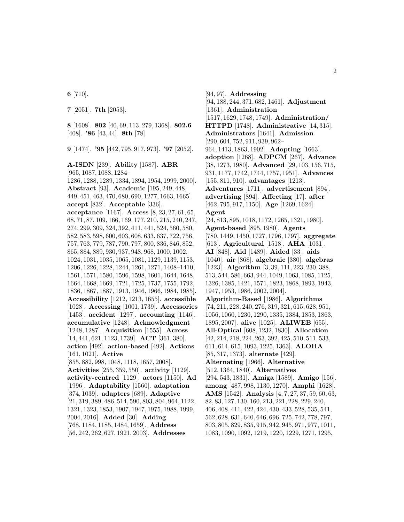**6** [710].

**7** [2051]. **7th** [2053].

**8** [1608]. **802** [40, 69, 113, 279, 1368]. **802.6** [408]. **'86** [43, 44]. **8th** [78].

**9** [1474]. **'95** [442, 795, 917, 973]. **'97** [2052].

**A-ISDN** [239]. **Ability** [1587]. **ABR** [965, 1087, 1088, 1284– 1286, 1288, 1289, 1334, 1894, 1954, 1999, 2000]. **Abstract** [93]. **Academic** [195, 249, 448, 449, 451, 463, 470, 680, 690, 1277, 1663, 1665]. **accept** [832]. **Acceptable** [336]. **acceptance** [1167]. **Access** [8, 23, 27, 61, 65, 68, 71, 87, 109, 166, 169, 177, 210, 215, 240, 247, 274, 299, 309, 324, 392, 411, 441, 524, 560, 580, 582, 583, 598, 600, 603, 608, 633, 637, 722, 756, 757, 763, 779, 787, 790, 797, 800, 836, 846, 852, 865, 884, 889, 930, 937, 948, 968, 1000, 1002, 1024, 1031, 1035, 1065, 1081, 1129, 1139, 1153, 1206, 1226, 1228, 1244, 1261, 1271, 1408–1410, 1561, 1571, 1580, 1596, 1598, 1601, 1644, 1648, 1664, 1668, 1669, 1721, 1725, 1737, 1755, 1792, 1836, 1867, 1887, 1913, 1946, 1966, 1984, 1985]. **Accessibility** [1212, 1213, 1655]. **accessible** [1028]. **Accessing** [1001, 1739]. **Accessories** [1453]. **accident** [1297]. **accounting** [1146]. **accumulative** [1248]. **Acknowledgment** [1248, 1287]. **Acquisition** [1555]. **Across** [14, 441, 621, 1123, 1739]. **ACT** [361, 380]. **action** [492]. **action-based** [492]. **Actions** [161, 1021]. **Active** [855, 882, 998, 1048, 1118, 1657, 2008]. **Activities** [255, 359, 550]. **activity** [1129]. **activity-centred** [1129]. **actors** [1150]. **Ad** [1996]. **Adaptability** [1560]. **adaptation** [374, 1039]. **adapters** [689]. **Adaptive** [21, 319, 389, 486, 514, 590, 803, 804, 964, 1122, 1321, 1323, 1853, 1907, 1947, 1975, 1988, 1999, 2004, 2016]. **Added** [30]. **Adding** [768, 1184, 1185, 1484, 1659]. **Address** [56, 242, 262, 627, 1921, 2003]. **Addresses**

[94, 97]. **Addressing** [94, 188, 244, 371, 682, 1461]. **Adjustment** [1361]. **Administration** [1517, 1629, 1748, 1749]. **Administration/ HTTPD** [1748]. **Administrative** [14, 315]. **Administrators** [1641]. **Admission** [290, 604, 752, 911, 939, 962– 964, 1413, 1863, 1902]. **Adopting** [1663]. **adoption** [1268]. **ADPCM** [267]. **Advance** [38, 1273, 1980]. **Advanced** [29, 103, 156, 715, 931, 1177, 1742, 1744, 1757, 1951]. **Advances** [155, 811, 910]. **advantages** [1213]. **Adventures** [1711]. **advertisement** [894]. **advertising** [894]. **Affecting** [17]. **after** [462, 795, 917, 1150]. **Age** [1269, 1624]. **Agent** [24, 813, 895, 1018, 1172, 1265, 1321, 1980]. **Agent-based** [895, 1980]. **Agents** [780, 1449, 1450, 1727, 1796, 1797]. **aggregate** [613]. **Agricultural** [1518]. **AHA** [1031]. **AI** [848]. **Aid** [1489]. **Aided** [33]. **aids** [1040]. **air** [868]. **algebraic** [380]. **algebras** [1223]. **Algorithm** [3, 39, 111, 223, 230, 388, 513, 544, 586, 663, 944, 1049, 1063, 1085, 1125, 1326, 1385, 1421, 1571, 1823, 1868, 1893, 1943, 1947, 1953, 1986, 2002, 2004]. **Algorithm-Based** [1986]. **Algorithms** [74, 211, 228, 240, 276, 319, 321, 615, 628, 951, 1056, 1060, 1230, 1290, 1335, 1384, 1853, 1863, 1895, 2007]. **alive** [1025]. **ALIWEB** [655]. **All-Optical** [608, 1232, 1830]. **Allocation** [42, 214, 218, 224, 263, 392, 425, 510, 511, 533, 611, 614, 615, 1093, 1225, 1363]. **ALOHA** [85, 317, 1373]. **alternate** [429]. **Alternating** [1966]. **Alternative** [512, 1364, 1840]. **Alternatives** [294, 543, 1831]. **Amiga** [1589]. **Amigo** [156]. **among** [487, 998, 1130, 1270]. **Amphi** [1628]. **AMS** [1542]. **Analysis** [4, 7, 27, 37, 59, 60, 63, 82, 83, 127, 130, 160, 213, 221, 228, 229, 240, 406, 408, 411, 422, 424, 430, 433, 528, 535, 541, 562, 628, 631, 640, 646, 696, 725, 742, 778, 797, 803, 805, 829, 835, 915, 942, 945, 971, 977, 1011, 1083, 1090, 1092, 1219, 1220, 1229, 1271, 1295,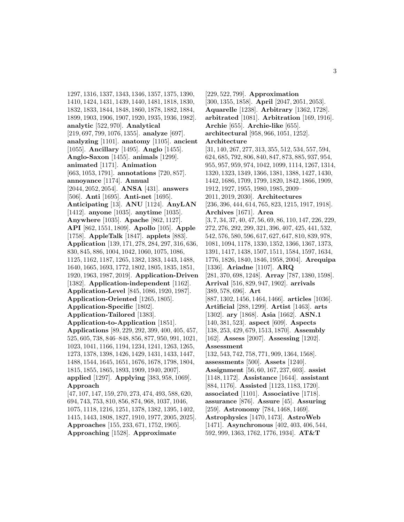1297, 1316, 1337, 1343, 1346, 1357, 1375, 1390, 1410, 1424, 1431, 1439, 1440, 1481, 1818, 1830, 1832, 1833, 1844, 1848, 1860, 1878, 1882, 1884, 1899, 1903, 1906, 1907, 1920, 1935, 1936, 1982]. **analytic** [522, 970]. **Analytical** [219, 697, 799, 1076, 1355]. **analyze** [697]. **analyzing** [1101]. **anatomy** [1105]. **ancient** [1055]. **Ancillary** [1495]. **Anglo** [1455]. **Anglo-Saxon** [1455]. **animals** [1299]. **animated** [1171]. **Animation** [663, 1053, 1791]. **annotations** [720, 857]. **annoyance** [1174]. **Annual** [2044, 2052, 2054]. **ANSA** [431]. **answers** [506]. **Anti** [1695]. **Anti-net** [1695]. **Anticipating** [13]. **ANU** [1124]. **AnyLAN** [1412]. **anyone** [1035]. **anytime** [1035]. **Anywhere** [1035]. **Apache** [862, 1127]. **API** [862, 1551, 1809]. **Apollo** [105]. **Apple** [1758]. **AppleTalk** [1847]. **applets** [883]. **Application** [139, 171, 278, 284, 297, 316, 636, 830, 845, 886, 1004, 1042, 1060, 1075, 1086, 1125, 1162, 1187, 1265, 1382, 1383, 1443, 1488, 1640, 1665, 1693, 1772, 1802, 1805, 1835, 1851, 1920, 1963, 1987, 2019]. **Application-Driven** [1382]. **Application-independent** [1162]. **Application-Level** [845, 1086, 1920, 1987]. **Application-Oriented** [1265, 1805]. **Application-Specific** [1802]. **Application-Tailored** [1383]. **Application-to-Application** [1851]. **Applications** [89, 229, 292, 399, 400, 405, 457, 525, 605, 738, 846–848, 856, 877, 950, 991, 1021, 1023, 1041, 1166, 1194, 1234, 1241, 1263, 1265, 1273, 1378, 1398, 1426, 1429, 1431, 1433, 1447, 1488, 1544, 1645, 1651, 1676, 1678, 1798, 1804, 1815, 1855, 1865, 1893, 1909, 1940, 2007]. **applied** [1297]. **Applying** [383, 958, 1069]. **Approach** [47, 107, 147, 159, 270, 273, 474, 493, 588, 620, 694, 743, 753, 810, 856, 874, 968, 1037, 1046, 1075, 1118, 1216, 1251, 1378, 1382, 1395, 1402, 1415, 1443, 1808, 1827, 1910, 1977, 2005, 2025]. **Approaches** [155, 233, 671, 1752, 1905].

**Approaching** [1528]. **Approximate**

[229, 522, 799]. **Approximation** [300, 1355, 1858]. **April** [2047, 2051, 2053]. **Aquarelle** [1238]. **Arbitrary** [1362, 1728]. **arbitrated** [1081]. **Arbitration** [169, 1916]. **Archie** [655]. **Archie-like** [655]. **architectural** [958, 966, 1051, 1252]. **Architecture** [31, 140, 267, 277, 313, 355, 512, 534, 557, 594, 624, 685, 792, 806, 840, 847, 873, 885, 937, 954, 955, 957, 959, 974, 1042, 1099, 1114, 1267, 1314, 1320, 1323, 1349, 1366, 1381, 1388, 1427, 1430, 1442, 1686, 1709, 1799, 1820, 1842, 1866, 1909, 1912, 1927, 1955, 1980, 1985, 2009– 2011, 2019, 2030]. **Architectures** [236, 396, 444, 614, 765, 823, 1215, 1917, 1918]. **Archives** [1671]. **Area** [3, 7, 34, 37, 40, 47, 56, 69, 86, 110, 147, 226, 229, 272, 276, 292, 299, 321, 396, 407, 425, 441, 532, 542, 576, 580, 596, 617, 627, 647, 810, 839, 978, 1081, 1094, 1178, 1330, 1352, 1366, 1367, 1373, 1391, 1417, 1438, 1507, 1511, 1584, 1597, 1634, 1776, 1826, 1840, 1846, 1958, 2004]. **Arequipa** [1336]. **Ariadne** [1107]. **ARQ** [281, 370, 698, 1248]. **Array** [787, 1380, 1598]. **Arrival** [516, 829, 947, 1902]. **arrivals** [389, 578, 696]. **Art** [887, 1302, 1456, 1464, 1466]. **articles** [1036]. **Artificial** [288, 1299]. **Artist** [1463]. **arts** [1302]. **ary** [1868]. **Asia** [1662]. **ASN.1** [140, 381, 523]. **aspect** [609]. **Aspects** [138, 253, 429, 679, 1513, 1870]. **Assembly** [162]. **Assess** [2007]. **Assessing** [1202]. **Assessment** [132, 543, 742, 758, 771, 909, 1364, 1568]. **assessments** [500]. **Assets** [1240]. **Assignment** [56, 60, 167, 237, 603]. **assist** [1148, 1172]. **Assistance** [1644]. **assistant** [884, 1176]. **Assisted** [1123, 1183, 1720]. **associated** [1101]. **Associative** [1718]. **assurance** [876]. **Assure** [45]. **Assuring** [259]. **Astronomy** [784, 1468, 1469]. **Astrophysics** [1470, 1473]. **AstroWeb** [1471]. **Asynchronous** [402, 403, 406, 544, 592, 999, 1363, 1762, 1776, 1934]. **AT&T**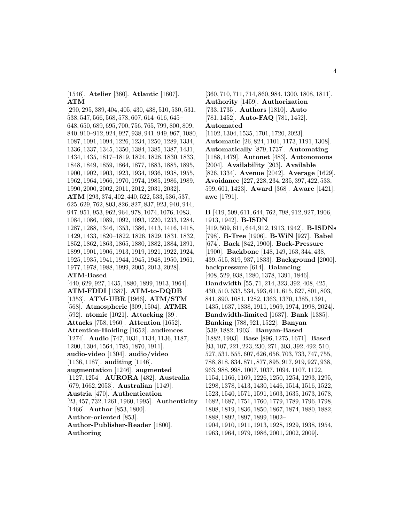[1546]. **Atelier** [360]. **Atlantic** [1607]. **ATM**

[290, 295, 389, 404, 405, 430, 438, 510, 530, 531, 538, 547, 566, 568, 578, 607, 614–616, 645– 648, 650, 689, 695, 700, 756, 765, 799, 800, 809, 840, 910–912, 924, 927, 938, 941, 949, 967, 1080, 1087, 1091, 1094, 1226, 1234, 1250, 1289, 1334, 1336, 1337, 1345, 1350, 1384, 1385, 1387, 1431, 1434, 1435, 1817–1819, 1824, 1828, 1830, 1833, 1848, 1849, 1859, 1864, 1877, 1883, 1885, 1895, 1900, 1902, 1903, 1923, 1934, 1936, 1938, 1955, 1962, 1964, 1966, 1970, 1974, 1985, 1986, 1989, 1990, 2000, 2002, 2011, 2012, 2031, 2032]. **ATM** [293, 374, 402, 440, 522, 533, 536, 537, 625, 629, 762, 803, 826, 827, 837, 923, 940, 944, 947, 951, 953, 962, 964, 978, 1074, 1076, 1083, 1084, 1086, 1089, 1092, 1093, 1220, 1233, 1284, 1287, 1288, 1346, 1353, 1386, 1413, 1416, 1418, 1429, 1433, 1820–1822, 1826, 1829, 1831, 1832, 1852, 1862, 1863, 1865, 1880, 1882, 1884, 1891, 1899, 1901, 1906, 1913, 1919, 1921, 1922, 1924, 1925, 1935, 1941, 1944, 1945, 1948, 1950, 1961, 1977, 1978, 1988, 1999, 2005, 2013, 2028]. **ATM-Based** [440, 629, 927, 1435, 1880, 1899, 1913, 1964]. **ATM-FDDI** [1387]. **ATM-to-DQDB** [1353]. **ATM-UBR** [1966]. **ATM/STM** [568]. **Atmospheric** [309, 1504]. **ATMR** [592]. **atomic** [1021]. **Attacking** [39]. **Attacks** [758, 1960]. **Attention** [1652]. **Attention-Holding** [1652]. **audiences** [1274]. **Audio** [747, 1031, 1134, 1136, 1187, 1200, 1304, 1564, 1785, 1870, 1911]. **audio-video** [1304]. **audio/video** [1136, 1187]. **auditing** [1146]. **augmentation** [1246]. **augmented** [1127, 1254]. **AURORA** [482]. **Australia** [679, 1662, 2053]. **Australian** [1149]. **Austria** [470]. **Authentication** [23, 457, 732, 1261, 1960, 1995]. **Authenticity** [1466]. **Author** [853, 1800]. **Author-oriented** [853]. **Author-Publisher-Reader** [1800].

**Authoring**

[360, 710, 711, 714, 860, 984, 1300, 1808, 1811]. **Authority** [1459]. **Authorization** [733, 1735]. **Authors** [1810]. **Auto** [781, 1452]. **Auto-FAQ** [781, 1452]. **Automated** [1102, 1304, 1535, 1701, 1720, 2023]. **Automatic** [26, 824, 1101, 1173, 1191, 1308]. **Automatically** [879, 1737]. **Automating** [1188, 1479]. **Autonet** [483]. **Autonomous**

[2004]. **Availability** [203]. **Available** [826, 1334]. **Avenue** [2042]. **Average** [1629]. **Avoidance** [227, 228, 234, 235, 397, 422, 533, 599, 601, 1423]. **Award** [368]. **Aware** [1421]. **awe** [1791].

**B** [419, 509, 611, 644, 762, 798, 912, 927, 1906, 1913, 1942]. **B-ISDN** [419, 509, 611, 644, 912, 1913, 1942]. **B-ISDNs** [798]. **B-Tree** [1906]. **B-WiN** [927]. **Babel** [674]. **Back** [842, 1900]. **Back-Pressure** [1900]. **Backbone** [148, 149, 163, 344, 438, 439, 515, 819, 937, 1833]. **Background** [2000]. **backpressure** [614]. **Balancing** [408, 529, 938, 1280, 1378, 1391, 1846]. **Bandwidth** [55, 71, 214, 323, 392, 408, 425, 430, 510, 533, 534, 593, 611, 615, 627, 801, 803, 841, 890, 1081, 1282, 1363, 1370, 1385, 1391, 1435, 1637, 1838, 1911, 1969, 1974, 1998, 2024]. **Bandwidth-limited** [1637]. **Bank** [1385]. **Banking** [788, 921, 1522]. **Banyan** [539, 1882, 1903]. **Banyan-Based** [1882, 1903]. **Base** [896, 1275, 1671]. **Based** [93, 107, 221, 223, 230, 271, 303, 392, 492, 510, 527, 531, 555, 607, 626, 656, 703, 733, 747, 755, 788, 818, 834, 871, 877, 895, 917, 919, 927, 938, 963, 988, 998, 1007, 1037, 1094, 1107, 1122, 1154, 1166, 1169, 1226, 1250, 1254, 1293, 1295, 1298, 1378, 1413, 1430, 1446, 1514, 1516, 1522, 1523, 1540, 1571, 1591, 1603, 1635, 1673, 1678, 1682, 1687, 1751, 1760, 1779, 1789, 1796, 1798, 1808, 1819, 1836, 1850, 1867, 1874, 1880, 1882, 1888, 1892, 1897, 1899, 1902– 1904, 1910, 1911, 1913, 1928, 1929, 1938, 1954, 1963, 1964, 1979, 1986, 2001, 2002, 2009].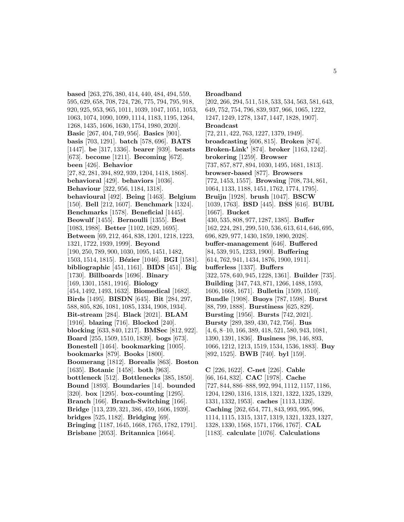**based** [263, 276, 380, 414, 440, 484, 494, 559, 595, 629, 658, 708, 724, 726, 775, 794, 795, 918, 920, 925, 953, 965, 1011, 1039, 1047, 1051, 1053, 1063, 1074, 1090, 1099, 1114, 1183, 1195, 1264, 1268, 1435, 1606, 1630, 1754, 1980, 2020]. **Basic** [267, 404, 749, 956]. **Basics** [901]. **basis** [703, 1291]. **batch** [578, 696]. **BATS** [1447]. **be** [317, 1336]. **bearer** [939]. **beasts** [673]. **become** [1211]. **Becoming** [672]. **been** [426]. **Behavior** [27, 82, 281, 394, 892, 939, 1204, 1418, 1868]. **behavioral** [429]. **behaviors** [1036]. **Behaviour** [322, 956, 1184, 1318]. **behavioural** [492]. **Being** [1463]. **Belgium** [150]. **Bell** [212, 1607]. **Benchmark** [1324]. **Benchmarks** [1578]. **Beneficial** [1445]. **Beowulf** [1455]. **Bernoulli** [1355]. **Best** [1083, 1988]. **Better** [1102, 1629, 1695]. **Between** [69, 212, 464, 838, 1201, 1218, 1223, 1321, 1722, 1939, 1999]. **Beyond** [190, 250, 789, 900, 1030, 1095, 1451, 1482, 1503, 1514, 1815]. **B´ezier** [1046]. **BGI** [1581]. **bibliographic** [451, 1161]. **BIDS** [451]. **Big** [1730]. **Billboards** [1696]. **Binary** [169, 1301, 1581, 1916]. **Biology** [454, 1492, 1493, 1632]. **Biomedical** [1682]. **Birds** [1495]. **BISDN** [645]. **Bit** [284, 297, 588, 805, 826, 1081, 1085, 1334, 1908, 1934]. **Bit-stream** [284]. **Black** [2021]. **BLAM** [1916]. **blazing** [716]. **Blocked** [240]. **blocking** [633, 840, 1217]. **BMSec** [812, 922]. **Board** [255, 1509, 1510, 1839]. **bogs** [673]. **Bonestell** [1464]. **bookmarking** [1005]. **bookmarks** [879]. **Books** [1800]. **Boomerang** [1812]. **Borealis** [863]. **Boston** [1635]. **Botanic** [1458]. **both** [963]. **bottleneck** [512]. **Bottlenecks** [385, 1850]. **Bound** [1893]. **Boundaries** [14]. **bounded** [320]. **box** [1295]. **box-counting** [1295]. **Branch** [166]. **Branch-Switching** [166]. **Bridge** [113, 239, 321, 386, 459, 1606, 1939].

# **bridges** [525, 1182]. **Bridging** [69].

**Bringing** [1187, 1645, 1668, 1765, 1782, 1791]. **Brisbane** [2053]. **Britannica** [1664].

#### **Broadband**

[202, 266, 294, 511, 518, 533, 534, 563, 581, 643, 649, 752, 754, 796, 839, 937, 966, 1065, 1222, 1247, 1249, 1278, 1347, 1447, 1828, 1907]. **Broadcast** [72, 211, 422, 763, 1227, 1379, 1949]. **broadcasting** [606, 815]. **Broken** [874]. **Broken-Link'** [874]. **broker** [1163, 1242]. **brokering** [1259]. **Browser** [737, 857, 877, 894, 1030, 1495, 1681, 1813]. **browser-based** [877]. **Browsers** [772, 1453, 1557]. **Browsing** [708, 734, 861, 1064, 1133, 1188, 1451, 1762, 1774, 1795]. **Bruijn** [1928]. **brush** [1047]. **BSCW** [1039, 1763]. **BSD** [445]. **BSS** [616]. **BUBL** [1667]. **Bucket** [430, 535, 808, 977, 1287, 1385]. **Buffer** [162, 224, 281, 299, 510, 536, 613, 614, 646, 695, 696, 829, 977, 1430, 1859, 1890, 2028]. **buffer-management** [646]. **Buffered** [84, 539, 915, 1233, 1900]. **Buffering** [614, 762, 941, 1434, 1876, 1900, 1911]. **bufferless** [1337]. **Buffers** [322, 578, 640, 945, 1228, 1361]. **Builder** [735]. **Building** [347, 743, 871, 1266, 1488, 1593, 1606, 1668, 1671]. **Bulletin** [1509, 1510]. **Bundle** [1908]. **Buoys** [787, 1598]. **Burst** [88, 799, 1888]. **Burstiness** [625, 829]. **Bursting** [1956]. **Bursts** [742, 2021]. **Bursty** [289, 389, 430, 742, 756]. **Bus** [4, 6, 8–10, 166, 389, 418, 521, 580, 943, 1081, 1390, 1391, 1836]. **Business** [98, 146, 893, 1066, 1212, 1213, 1519, 1534, 1536, 1883]. **Buy** [892, 1525]. **BWB** [740]. **byl** [159].

**C** [226, 1622]. **C-net** [226]. **Cable** [66, 164, 832]. **CAC** [1978]. **Cache** [727, 844, 886–888, 992, 994, 1112, 1157, 1186, 1204, 1280, 1316, 1318, 1321, 1322, 1325, 1329, 1331, 1332, 1953]. **caches** [1113, 1326]. **Caching** [262, 654, 771, 843, 993, 995, 996, 1114, 1115, 1315, 1317, 1319, 1321, 1323, 1327, 1328, 1330, 1568, 1571, 1766, 1767]. **CAL** [1183]. **calculate** [1076]. **Calculations**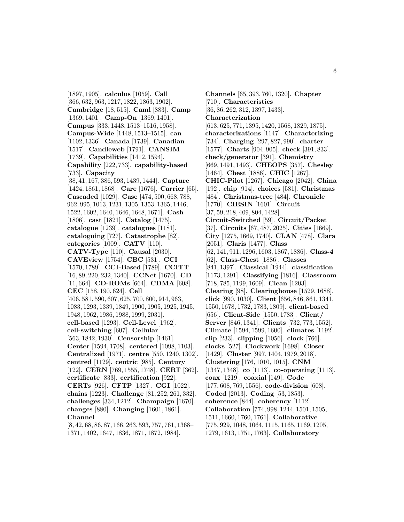[1897, 1905]. **calculus** [1059]. **Call** [366, 632, 963, 1217, 1822, 1863, 1902]. **Cambridge** [18, 515]. **Caml** [883]. **Camp** [1369, 1401]. **Camp-On** [1369, 1401]. **Campus** [333, 1448, 1513–1516, 1958]. **Campus-Wide** [1448, 1513–1515]. **can** [1102, 1336]. **Canada** [1739]. **Canadian** [1517]. **Candleweb** [1791]. **CANSIM** [1739]. **Capabilities** [1412, 1594]. **Capability** [222, 733]. **capability-based** [733]. **Capacity** [38, 41, 167, 386, 593, 1439, 1444]. **Capture** [1424, 1861, 1868]. **Care** [1676]. **Carrier** [65]. **Cascaded** [1029]. **Case** [474, 500, 668, 788, 962, 995, 1013, 1231, 1305, 1353, 1365, 1446, 1522, 1602, 1640, 1646, 1648, 1671]. **Cash** [1806]. **cast** [1821]. **Catalog** [1475]. **catalogue** [1239]. **catalogues** [1181]. **cataloguing** [727]. **Catastrophe** [82]. **categories** [1009]. **CATV** [110]. **CATV-Type** [110]. **Causal** [2030]. **CAVEview** [1754]. **CBC** [531]. **CCI** [1570, 1789]. **CCI-Based** [1789]. **CCITT** [16, 89, 220, 232, 1340]. **CCNet** [1670]. **CD** [11, 664]. **CD-ROMs** [664]. **CDMA** [608]. **CEC** [158, 190, 624]. **Cell** [406, 581, 590, 607, 625, 700, 800, 914, 963, 1083, 1293, 1339, 1849, 1900, 1905, 1925, 1945, 1948, 1962, 1986, 1988, 1999, 2031]. **cell-based** [1293]. **Cell-Level** [1962]. **cell-switching** [607]. **Cellular** [563, 1842, 1930]. **Censorship** [1461]. **Center** [1594, 1708]. **centered** [1098, 1103]. **Centralized** [1971]. **centre** [550, 1240, 1302]. **centred** [1129]. **centric** [985]. **Century** [122]. **CERN** [769, 1555, 1748]. **CERT** [362]. **certificate** [833]. **certification** [922]. **CERTs** [926]. **CFTP** [1327]. **CGI** [1022]. **chains** [1223]. **Challenge** [81, 252, 261, 332]. **challenges** [334, 1212]. **Champaign** [1670]. **changes** [880]. **Changing** [1601, 1861]. **Channel** [8, 42, 68, 86, 87, 166, 263, 593, 757, 761, 1368–

1371, 1402, 1647, 1836, 1871, 1872, 1984].

**Channels** [65, 393, 760, 1320]. **Chapter** [710]. **Characteristics** [36, 86, 262, 312, 1397, 1433]. **Characterization** [613, 625, 771, 1395, 1420, 1568, 1829, 1875]. **characterizations** [1147]. **Characterizing** [734]. **Charging** [297, 827, 990]. **charter** [1577]. **Charts** [904, 905]. **check** [391, 833]. **check/generator** [391]. **Chemistry** [669, 1491, 1493]. **CHEOPS** [357]. **Chesley** [1464]. **Chest** [1886]. **CHIC** [1267]. **CHIC-Pilot** [1267]. **Chicago** [2042]. **China** [192]. **chip** [914]. **choices** [581]. **Christmas** [484]. **Christmas-tree** [484]. **Chronicle** [1770]. **CIESIN** [1601]. **Circuit** [37, 59, 218, 409, 804, 1428]. **Circuit-Switched** [59]. **Circuit/Packet** [37]. **Circuits** [67, 487, 2025]. **Cities** [1669]. **City** [1275, 1669, 1740]. **CLAN** [478]. **Clara** [2051]. **Claris** [1477]. **Class** [62, 141, 911, 1296, 1603, 1867, 1886]. **Class-4** [62]. **Class-Chest** [1886]. **Classes** [841, 1397]. **Classical** [1944]. **classification** [1173, 1291]. **Classifying** [1816]. **Classroom** [718, 785, 1199, 1609]. **Clean** [1203]. **Clearing** [98]. **Clearinghouse** [1529, 1688]. **click** [990, 1030]. **Client** [656, 846, 861, 1341, 1550, 1678, 1732, 1783, 1809]. **client-based** [656]. **Client-Side** [1550, 1783]. **Client/ Server** [846, 1341]. **Clients** [732, 773, 1552]. **Climate** [1594, 1599, 1600]. **climates** [1192]. **clip** [233]. **clipping** [1056]. **clock** [766]. **clocks** [527]. **Clockwork** [1698]. **Closer** [1429]. **Cluster** [997, 1404, 1979, 2018]. **Clustering** [176, 1010, 1015]. **CNM** [1347, 1348]. **co** [1113]. **co-operating** [1113]. **coax** [1219]. **coaxial** [149]. **Code** [177, 608, 769, 1556]. **code-division** [608]. **Coded** [2013]. **Coding** [53, 1853]. **coherence** [844]. **coherency** [1112]. **Collaboration** [774, 998, 1244, 1501, 1505, 1511, 1660, 1760, 1761]. **Collaborative** [775, 929, 1048, 1064, 1115, 1165, 1169, 1205, 1279, 1613, 1751, 1763]. **Collaboratory**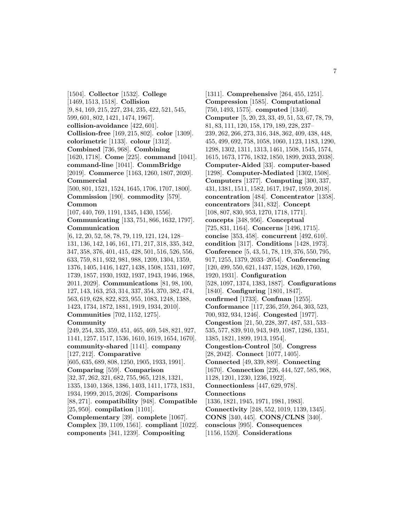[1504]. **Collector** [1532]. **College** [1469, 1513, 1518]. **Collision** [9, 84, 169, 215, 227, 234, 235, 422, 521, 545, 599, 601, 802, 1421, 1474, 1967]. **collision-avoidance** [422, 601]. **Collision-free** [169, 215, 802]. **color** [1309]. **colorimetric** [1133]. **colour** [1312]. **Combined** [736, 968]. **Combining** [1620, 1718]. **Come** [225]. **command** [1041]. **command-line** [1041]. **CommBridge** [2019]. **Commerce** [1163, 1260, 1807, 2020]. **Commercial**

[500, 801, 1521, 1524, 1645, 1706, 1707, 1800]. **Commission** [190]. **commodity** [579]. **Common**

[107, 440, 769, 1191, 1345, 1430, 1556]. **Communicating** [133, 751, 866, 1632, 1797]. **Communication**

[6, 12, 20, 52, 58, 78, 79, 119, 121, 124, 128– 131, 136, 142, 146, 161, 171, 217, 318, 335, 342, 347, 358, 376, 401, 415, 428, 501, 516, 526, 556, 633, 759, 811, 932, 981, 988, 1209, 1304, 1359, 1376, 1405, 1416, 1427, 1438, 1508, 1531, 1697, 1739, 1857, 1930, 1932, 1937, 1943, 1946, 1968, 2011, 2029]. **Communications** [81, 98, 100, 127, 143, 163, 253, 314, 337, 354, 370, 382, 474, 563, 619, 628, 822, 823, 955, 1083, 1248, 1388, 1423, 1734, 1872, 1881, 1919, 1934, 2010]. **Communities** [702, 1152, 1275].

#### **Community**

[249, 254, 335, 359, 451, 465, 469, 548, 821, 927, 1141, 1257, 1517, 1536, 1610, 1619, 1654, 1670]. **community-shared** [1141]. **company** [127, 212]. **Comparative** [605, 635, 689, 808, 1250, 1905, 1933, 1991]. **Comparing** [559]. **Comparison** [32, 37, 262, 321, 682, 755, 965, 1218, 1321, 1335, 1340, 1368, 1386, 1403, 1411, 1773, 1831, 1934, 1999, 2015, 2026]. **Comparisons** [88, 271]. **compatibility** [948]. **Compatible** [25, 950]. **compilation** [1101]. **Complementary** [39]. **complete** [1067]. **Complex** [39, 1109, 1561]. **compliant** [1022].

**components** [341, 1239]. **Compositing**

[1311]. **Comprehensive** [264, 455, 1251]. **Compression** [1585]. **Computational** [750, 1493, 1575]. **computed** [1340]. **Computer** [5, 20, 23, 33, 49, 51, 53, 67, 78, 79, 81, 83, 111, 120, 158, 179, 189, 228, 237– 239, 262, 266, 273, 316, 348, 362, 409, 438, 448, 455, 499, 692, 758, 1058, 1060, 1123, 1183, 1290, 1298, 1302, 1311, 1313, 1461, 1508, 1545, 1574, 1615, 1673, 1776, 1832, 1850, 1899, 2033, 2038]. **Computer-Aided** [33]. **computer-based** [1298]. **Computer-Mediated** [1302, 1508]. **Computers** [1377]. **Computing** [300, 337, 431, 1381, 1511, 1582, 1617, 1947, 1959, 2018]. **concentration** [484]. **Concentrator** [1358]. **concentrators** [341, 832]. **Concept** [108, 807, 830, 953, 1270, 1718, 1771]. **concepts** [348, 956]. **Conceptual** [725, 831, 1164]. **Concerns** [1496, 1715]. **concise** [353, 458]. **concurrent** [492, 610]. **condition** [317]. **Conditions** [1428, 1973]. **Conference** [5, 43, 51, 78, 119, 376, 550, 795, 917, 1255, 1379, 2033–2054]. **Conferencing** [120, 499, 550, 621, 1437, 1528, 1620, 1760, 1920, 1931]. **Configuration** [528, 1097, 1374, 1383, 1887]. **Configurations** [1840]. **Configuring** [1801, 1847]. **confirmed** [1733]. **Confman** [1255]. **Conformance** [117, 236, 259, 264, 303, 523, 700, 932, 934, 1246]. **Congested** [1977]. **Congestion** [21, 50, 228, 397, 487, 531, 533– 535, 577, 839, 910, 943, 949, 1087, 1286, 1351, 1385, 1821, 1899, 1913, 1954]. **Congestion-Control** [50]. **Congress** [28, 2042]. **Connect** [1077, 1405]. **Connected** [49, 339, 889]. **Connecting** [1670]. **Connection** [226, 444, 527, 585, 968, 1128, 1201, 1230, 1236, 1922]. **Connectionless** [447, 629, 978]. **Connections** [1336, 1821, 1945, 1971, 1981, 1983]. **Connectivity** [248, 552, 1019, 1139, 1345]. **CONS** [340, 445]. **CONS/CLNS** [340]. **conscious** [995]. **Consequences** [1156, 1520]. **Considerations**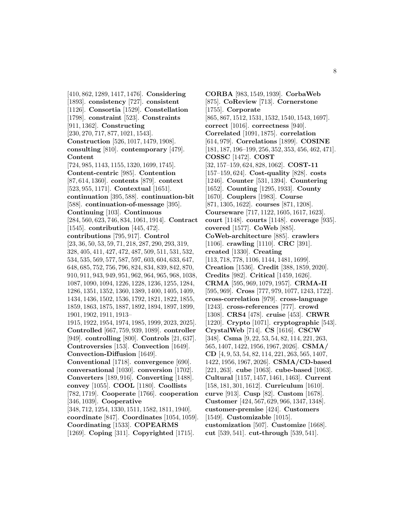[410, 862, 1289, 1417, 1476]. **Considering** [1893]. **consistency** [727]. **consistent** [1126]. **Consortia** [1529]. **Constellation** [1798]. **constraint** [523]. **Constraints** [911, 1362]. **Constructing** [230, 270, 717, 877, 1021, 1543]. **Construction** [526, 1017, 1479, 1908]. **consulting** [810]. **contemporary** [479]. **Content** [724, 985, 1143, 1155, 1320, 1699, 1745]. **Content-centric** [985]. **Contention** [87, 614, 1360]. **contents** [879]. **context** [523, 955, 1171]. **Contextual** [1651]. **continuation** [395, 588]. **continuation-bit** [588]. **continuation-of-message** [395]. **Continuing** [103]. **Continuous** [284, 560, 623, 746, 834, 1061, 1914]. **Contract** [1545]. **contribution** [445, 472]. **contributions** [795, 917]. **Control** [23, 36, 50, 53, 59, 71, 218, 287, 290, 293, 319, 328, 405, 411, 427, 472, 487, 509, 511, 531, 532, 534, 535, 569, 577, 587, 597, 603, 604, 633, 647, 648, 685, 752, 756, 796, 824, 834, 839, 842, 870, 910, 911, 943, 949, 951, 962, 964, 965, 968, 1038, 1087, 1090, 1094, 1226, 1228, 1236, 1255, 1284, 1286, 1351, 1352, 1360, 1389, 1400, 1405, 1409, 1434, 1436, 1502, 1536, 1792, 1821, 1822, 1855, 1859, 1863, 1875, 1887, 1892, 1894, 1897, 1899, 1901, 1902, 1911, 1913– 1915, 1922, 1954, 1974, 1985, 1999, 2023, 2025]. **Controlled** [667, 759, 939, 1089]. **controller** [949]. **controlling** [800]. **Controls** [21, 637]. **Controversies** [153]. **Convection** [1649]. **Convection-Diffusion** [1649]. **Conventional** [1718]. **convergence** [690]. **conversational** [1030]. **conversion** [1702]. **Converters** [189, 916]. **Converting** [1488]. **convey** [1055]. **COOL** [1180]. **Coollists** [782, 1719]. **Cooperate** [1766]. **cooperation** [346, 1039]. **Cooperative** [348, 712, 1254, 1330, 1511, 1582, 1811, 1940]. **coordinate** [847]. **Coordinates** [1054, 1059]. **Coordinating** [1533]. **COPEARMS** [1269]. **Coping** [311]. **Copyrighted** [1715].

**CORBA** [983, 1549, 1939]. **CorbaWeb** [875]. **CoReview** [713]. **Cornerstone** [1755]. **Corporate** [865, 867, 1512, 1531, 1532, 1540, 1543, 1697]. **correct** [1016]. **correctness** [940]. **Correlated** [1091, 1875]. **correlation** [614, 979]. **Correlations** [1899]. **COSINE** [181, 187, 196–199, 256, 352, 353, 456, 462, 471]. **COSSC** [1472]. **COST** [32, 157–159, 624, 828, 1062]. **COST-11** [157–159, 624]. **Cost-quality** [828]. **costs** [1246]. **Counter** [531, 1394]. **Countering** [1652]. **Counting** [1295, 1933]. **County** [1670]. **Couplers** [1983]. **Course** [871, 1305, 1622]. **courses** [871, 1208]. **Courseware** [717, 1122, 1605, 1617, 1623]. **court** [1148]. **courts** [1148]. **coverage** [935]. **covered** [1577]. **CoWeb** [885]. **CoWeb-architecture** [885]. **crawlers** [1106]. **crawling** [1110]. **CRC** [391]. **created** [1330]. **Creating** [113, 718, 778, 1106, 1144, 1481, 1699]. **Creation** [1536]. **Credit** [388, 1859, 2020]. **Credits** [982]. **Critical** [1459, 1626]. **CRMA** [595, 969, 1079, 1957]. **CRMA-II** [595, 969]. **Cross** [777, 979, 1077, 1243, 1722]. **cross-correlation** [979]. **cross-language** [1243]. **cross-references** [777]. **crowd** [1308]. **CRS4** [478]. **cruise** [453]. **CRWR** [1220]. **Crypto** [1071]. **cryptographic** [543]. **CrystalWeb** [714]. **CS** [1616]. **CSCW** [348]. **Csma** [9, 22, 53, 54, 82, 114, 221, 263, 565, 1407, 1422, 1956, 1967, 2026]. **CSMA/ CD** [4, 9, 53, 54, 82, 114, 221, 263, 565, 1407, 1422, 1956, 1967, 2026]. **CSMA/CD-based** [221, 263]. **cube** [1063]. **cube-based** [1063]. **Cultural** [1157, 1457, 1461, 1463]. **Current** [158, 181, 301, 1612]. **Curriculum** [1610]. **curve** [913]. **Cusp** [82]. **Custom** [1678]. **Customer** [424, 567, 629, 966, 1347, 1348]. **customer-premise** [424]. **Customers** [1549]. **Customizable** [1015]. **customization** [507]. **Customize** [1668]. **cut** [539, 541]. **cut-through** [539, 541].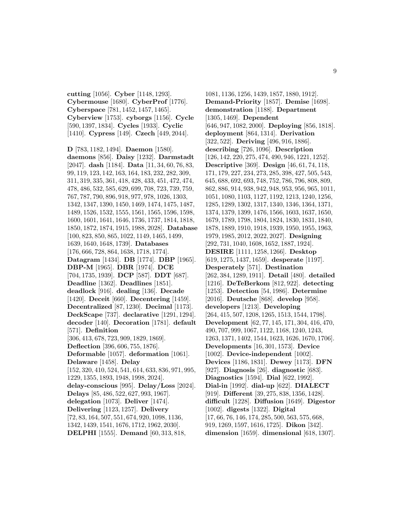**cutting** [1056]. **Cyber** [1148, 1293]. **Cybermouse** [1680]. **CyberProf** [1776]. **Cyberspace** [781, 1452, 1457, 1465]. **Cyberview** [1753]. **cyborgs** [1156]. **Cycle** [590, 1397, 1834]. **Cycles** [1933]. **Cyclic** [1410]. **Cypress** [149]. **Czech** [449, 2044].

**D** [783, 1182, 1494]. **Daemon** [1580]. **daemons** [856]. **Daisy** [1232]. **Darmstadt** [2047]. **dash** [1184]. **Data** [11, 34, 60, 76, 83, 99, 119, 123, 142, 163, 164, 183, 232, 282, 309, 311, 319, 335, 361, 418, 428, 433, 451, 472, 474, 478, 486, 532, 585, 629, 699, 708, 723, 739, 759, 767, 787, 790, 896, 918, 977, 978, 1026, 1303, 1342, 1347, 1390, 1450, 1469, 1474, 1475, 1487, 1489, 1526, 1532, 1555, 1561, 1565, 1596, 1598, 1600, 1601, 1641, 1646, 1736, 1737, 1814, 1818, 1850, 1872, 1874, 1915, 1988, 2028]. **Database** [100, 823, 850, 865, 1022, 1149, 1465, 1499, 1639, 1640, 1648, 1739]. **Databases** [176, 666, 728, 864, 1638, 1718, 1774]. **Datagram** [1434]. **DB** [1774]. **DBP** [1965]. **DBP-M** [1965]. **DBR** [1974]. **DCE** [704, 1735, 1939]. **DCP** [587]. **DDT** [687]. **Deadline** [1362]. **Deadlines** [1851]. **deadlock** [916]. **dealing** [136]. **Decade** [1420]. **Deceit** [660]. **Decentering** [1459]. **Decentralized** [87, 1230]. **Decimal** [1173]. **DeckScape** [737]. **declarative** [1291, 1294]. **decoder** [140]. **Decoration** [1781]. **default** [571]. **Definition** [306, 413, 678, 723, 909, 1829, 1869]. **Deflection** [396, 606, 755, 1876]. **Deformable** [1057]. **deformation** [1061]. **Delaware** [1458]. **Delay** [152, 320, 410, 524, 541, 614, 633, 836, 971, 995, 1229, 1355, 1893, 1948, 1998, 2024]. **delay-conscious** [995]. **Delay/Loss** [2024]. **Delays** [85, 486, 522, 627, 993, 1967]. **delegation** [1073]. **Deliver** [1474]. **Delivering** [1123, 1257]. **Delivery** [72, 83, 164, 507, 551, 674, 920, 1098, 1136, 1342, 1439, 1541, 1676, 1712, 1962, 2030]. **DELPHI** [1555]. **Demand** [60, 313, 818,

1081, 1136, 1256, 1439, 1857, 1880, 1912]. **Demand-Priority** [1857]. **Demise** [1698]. **demonstration** [1188]. **Department** [1305, 1469]. **Dependent** [646, 947, 1082, 2000]. **Deploying** [856, 1818]. **deployment** [864, 1314]. **Derivation** [322, 522]. **Deriving** [496, 916, 1886]. **describing** [726, 1096]. **Description** [126, 142, 220, 275, 474, 490, 946, 1221, 1252]. **Descriptive** [369]. **Design** [46, 61, 74, 118, 171, 179, 227, 234, 273, 285, 398, 427, 505, 543, 645, 688, 692, 693, 748, 752, 786, 796, 808, 809, 862, 886, 914, 938, 942, 948, 953, 956, 965, 1011, 1051, 1080, 1103, 1127, 1192, 1213, 1240, 1256, 1285, 1289, 1302, 1317, 1340, 1346, 1364, 1371, 1374, 1379, 1399, 1476, 1566, 1603, 1637, 1650, 1679, 1789, 1798, 1804, 1824, 1830, 1831, 1840, 1878, 1889, 1910, 1918, 1939, 1950, 1955, 1963, 1979, 1985, 2012, 2022, 2027]. **Designing** [292, 731, 1040, 1608, 1652, 1887, 1924]. **DESIRE** [1111, 1258, 1266]. **Desktop** [619, 1275, 1437, 1659]. **desperate** [1197]. **Desperately** [571]. **Destination** [262, 384, 1289, 1911]. **Detail** [480]. **detailed** [1216]. **DeTeBerkom** [812, 922]. **detecting** [1253]. **Detection** [54, 1986]. **Determine** [2016]. **Deutsche** [868]. **develop** [958]. **developers** [1213]. **Developing** [264, 415, 507, 1208, 1265, 1513, 1544, 1798]. **Development** [62, 77, 145, 171, 304, 416, 470, 490, 707, 999, 1067, 1122, 1168, 1240, 1243, 1263, 1371, 1402, 1544, 1623, 1626, 1670, 1706]. **Developments** [16, 301, 1573]. **Device** [1002]. **Device-independent** [1002]. **Devices** [1186, 1831]. **Dewey** [1173]. **DFN** [927]. **Diagnosis** [26]. **diagnostic** [683]. **Diagnostics** [1594]. **Dial** [622, 1992]. **Dial-in** [1992]. **dial-up** [622]. **DIALECT** [919]. **Different** [39, 275, 838, 1356, 1428]. **difficult** [1228]. **Diffusion** [1649]. **Digestor** [1002]. **digests** [1322]. **Digital** [17, 66, 76, 146, 174, 285, 500, 563, 575, 668, 919, 1269, 1597, 1616, 1725]. **Dikon** [342]. **dimension** [1659]. **dimensional** [618, 1307].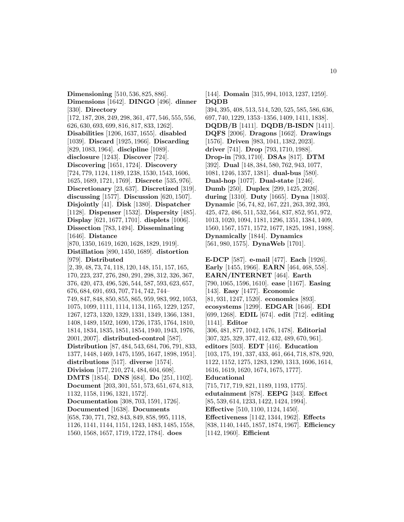**Dimensioning** [510, 536, 825, 886]. **Dimensions** [1642]. **DINGO** [496]. **dinner** [330]. **Directory** [172, 187, 208, 249, 298, 361, 477, 546, 555, 556, 626, 630, 693, 699, 816, 817, 833, 1262]. **Disabilities** [1206, 1637, 1655]. **disabled** [1039]. **Discard** [1925, 1966]. **Discarding** [829, 1083, 1964]. **discipline** [1089]. **disclosure** [1243]. **Discover** [724]. **Discovering** [1651, 1724]. **Discovery** [724, 779, 1124, 1189, 1238, 1530, 1543, 1606, 1625, 1689, 1721, 1769]. **Discrete** [535, 976]. **Discretionary** [23, 637]. **Discretized** [319]. **discussing** [1577]. **Discussion** [620, 1507]. **Disjointly** [41]. **Disk** [1380]. **Dispatcher** [1128]. **Dispenser** [1532]. **Dispersity** [485]. **Display** [621, 1677, 1701]. **displets** [1006]. **Dissection** [783, 1494]. **Disseminating** [1646]. **Distance** [870, 1350, 1619, 1620, 1628, 1829, 1919]. **Distillation** [890, 1450, 1689]. **distortion** [979]. **Distributed** [2, 39, 48, 73, 74, 118, 120, 148, 151, 157, 165, 170, 223, 237, 276, 280, 291, 298, 312, 326, 367, 376, 420, 473, 496, 526, 544, 587, 593, 623, 657, 676, 684, 691, 693, 707, 714, 742, 744– 749, 847, 848, 850, 855, 865, 959, 983, 992, 1053, 1075, 1099, 1111, 1114, 1134, 1165, 1229, 1257, 1267, 1273, 1320, 1329, 1331, 1349, 1366, 1381, 1408, 1489, 1502, 1690, 1726, 1735, 1764, 1810, 1814, 1834, 1835, 1851, 1854, 1940, 1943, 1976, 2001, 2007]. **distributed-control** [587]. **Distribution** [87, 484, 543, 684, 706, 791, 833, 1377, 1448, 1469, 1475, 1595, 1647, 1898, 1951]. **distributions** [517]. **diverse** [1574]. **Division** [177, 210, 274, 484, 604, 608]. **DMTS** [1854]. **DNS** [684]. **Do** [251, 1102]. **Document** [203, 301, 551, 573, 651, 674, 813, 1132, 1158, 1196, 1321, 1572]. **Documentation** [308, 703, 1591, 1726]. **Documented** [1638]. **Documents** [658, 730, 771, 782, 843, 849, 858, 995, 1118, 1126, 1141, 1144, 1151, 1243, 1483, 1485, 1558, 1560, 1568, 1657, 1719, 1722, 1784]. **does**

[144]. **Domain** [315, 994, 1013, 1237, 1259]. **DQDB**

[394, 395, 408, 513, 514, 520, 525, 585, 586, 636, 697, 740, 1229, 1353–1356, 1409, 1411, 1838]. **DQDB/B** [1411]. **DQDB/B-ISDN** [1411]. **DQFS** [2006]. **Dragons** [1662]. **Drawings** [1576]. **Driven** [983, 1041, 1382, 2023]. **driver** [741]. **Drop** [793, 1710, 1988]. **Drop-in** [793, 1710]. **DSAs** [817]. **DTM** [392]. **Dual** [148, 384, 580, 762, 943, 1077, 1081, 1246, 1357, 1381]. **dual-bus** [580]. **Dual-hop** [1077]. **Dual-state** [1246]. **Dumb** [250]. **Duplex** [299, 1425, 2026]. **during** [1310]. **Duty** [1665]. **Dyna** [1803]. **Dynamic** [56, 74, 82, 167, 221, 263, 392, 393, 425, 472, 486, 511, 532, 564, 837, 852, 951, 972, 1013, 1020, 1094, 1181, 1296, 1351, 1384, 1409, 1560, 1567, 1571, 1572, 1677, 1825, 1981, 1988]. **Dynamically** [1844]. **Dynamics** [561, 980, 1575]. **DynaWeb** [1701].

**E-DCP** [587]. **e-mail** [477]. **Each** [1926]. **Early** [1455, 1966]. **EARN** [464, 468, 558]. **EARN/INTERNET** [464]. **Earth** [790, 1065, 1596, 1610]. **ease** [1167]. **Easing** [143]. **Easy** [1477]. **Economic** [81, 931, 1247, 1520]. **economics** [893]. **ecosystems** [1299]. **EDGAR** [1646]. **EDI** [699, 1268]. **EDIL** [674]. **edit** [712]. **editing** [1141]. **Editor** [306, 481, 877, 1042, 1476, 1478]. **Editorial** [307, 325, 329, 377, 412, 432, 489, 670, 961]. **editors** [503]. **EDT** [416]. **Education** [103, 175, 191, 337, 433, 461, 664, 718, 878, 920, 1122, 1152, 1275, 1283, 1290, 1313, 1606, 1614, 1616, 1619, 1620, 1674, 1675, 1777]. **Educational** [715, 717, 719, 821, 1189, 1193, 1775]. **edutainment** [878]. **EEPG** [343]. **Effect** [85, 539, 614, 1233, 1422, 1424, 1994].

**Effective** [510, 1100, 1124, 1450]. **Effectiveness** [1142, 1344, 1962]. **Effects** [838, 1140, 1445, 1857, 1874, 1967]. **Efficiency** [1142, 1960]. **Efficient**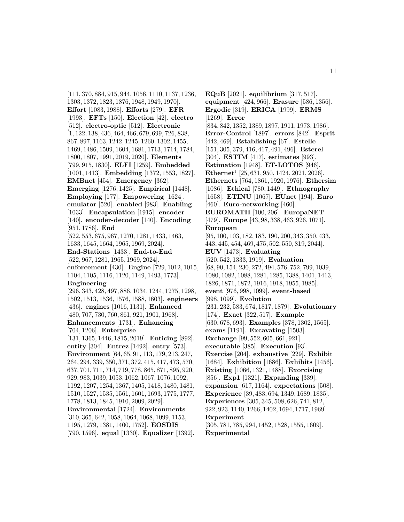[111, 370, 884, 915, 944, 1056, 1110, 1137, 1236, 1303, 1372, 1823, 1876, 1948, 1949, 1970]. **Effort** [1083, 1988]. **Efforts** [279]. **EFR** [1993]. **EFTs** [150]. **Election** [42]. **electro** [512]. **electro-optic** [512]. **Electronic** [1, 122, 138, 436, 464, 466, 679, 699, 726, 838, 867, 897, 1163, 1242, 1245, 1260, 1302, 1455, 1469, 1486, 1509, 1604, 1681, 1713, 1714, 1784, 1800, 1807, 1991, 2019, 2020]. **Elements** [799, 915, 1830]. **ELFI** [1259]. **Embedded** [1001, 1413]. **Embedding** [1372, 1553, 1827]. **EMBnet** [454]. **Emergency** [362]. **Emerging** [1276, 1425]. **Empirical** [1448]. **Employing** [177]. **Empowering** [1624]. **emulator** [520]. **enabled** [983]. **Enabling** [1033]. **Encapsulation** [1915]. **encoder** [140]. **encoder-decoder** [140]. **Encoding** [951, 1786]. **End** [522, 553, 675, 967, 1270, 1281, 1433, 1463, 1633, 1645, 1664, 1965, 1969, 2024]. **End-Stations** [1433]. **End-to-End** [522, 967, 1281, 1965, 1969, 2024]. **enforcement** [430]. **Engine** [729, 1012, 1015, 1104, 1105, 1116, 1120, 1149, 1493, 1773]. **Engineering** [296, 343, 428, 497, 886, 1034, 1244, 1275, 1298, 1502, 1513, 1536, 1576, 1588, 1603]. **engineers** [436]. **engines** [1016, 1131]. **Enhanced** [480, 707, 730, 760, 861, 921, 1901, 1968]. **Enhancements** [1731]. **Enhancing** [704, 1206]. **Enterprise** [131, 1365, 1446, 1815, 2019]. **Enticing** [892]. **entity** [304]. **Entrez** [1492]. **entry** [573]. **Environment** [64, 65, 91, 113, 179, 213, 247, 264, 294, 339, 350, 371, 372, 415, 417, 473, 570, 637, 701, 711, 714, 719, 778, 865, 871, 895, 920, 929, 983, 1039, 1053, 1062, 1067, 1076, 1092, 1192, 1207, 1254, 1367, 1405, 1418, 1480, 1481, 1510, 1527, 1535, 1561, 1601, 1693, 1775, 1777, 1778, 1813, 1845, 1910, 2009, 2029].

**Environmental** [1724]. **Environments** [310, 365, 642, 1058, 1064, 1068, 1099, 1153, 1195, 1279, 1381, 1400, 1752]. **EOSDIS** [790, 1596]. **equal** [1330]. **Equalizer** [1392].

**EQuB** [2021]. **equilibrium** [317, 517]. **equipment** [424, 966]. **Erasure** [586, 1356]. **Ergodic** [319]. **ERICA** [1999]. **ERMS** [1269]. **Error** [834, 842, 1352, 1389, 1897, 1911, 1973, 1986]. **Error-Control** [1897]. **errors** [842]. **Esprit** [442, 469]. **Establishing** [67]. **Estelle** [151, 305, 379, 416, 417, 491, 496]. **Esterel** [304]. **ESTIM** [417]. **estimates** [993]. **Estimation** [1948]. **ET-LOTOS** [946]. **Ethernet'** [25, 631, 950, 1424, 2021, 2026]. **Ethernets** [764, 1861, 1920, 1976]. **Ethersim** [1086]. **Ethical** [780, 1449]. **Ethnography** [1658]. **ETINU** [1067]. **EUnet** [194]. **Euro** [460]. **Euro-networking** [460]. **EUROMATH** [100, 206]. **EuropaNET** [479]. **Europe** [43, 98, 338, 463, 926, 1071]. **European** [95, 100, 103, 182, 183, 190, 200, 343, 350, 433, 443, 445, 454, 469, 475, 502, 550, 819, 2044]. **EUV** [1473]. **Evaluating** [520, 542, 1333, 1919]. **Evaluation** [68, 90, 154, 230, 272, 494, 576, 752, 799, 1039, 1080, 1082, 1088, 1281, 1285, 1388, 1401, 1413, 1826, 1871, 1872, 1916, 1918, 1955, 1985]. **event** [976, 998, 1099]. **event-based** [998, 1099]. **Evolution** [231, 232, 583, 674, 1817, 1879]. **Evolutionary** [174]. **Exact** [322, 517]. **Example** [630, 678, 693]. **Examples** [378, 1302, 1565]. **exams** [1191]. **Excavating** [1503]. **Exchange** [99, 552, 605, 661, 921]. **executable** [385]. **Execution** [93]. **Exercise** [204]. **exhaustive** [229]. **Exhibit** [1684]. **Exhibition** [1686]. **Exhibits** [1456]. **Existing** [1066, 1321, 1488]. **Exorcising** [856]. **Exp1** [1321]. **Expanding** [339]. **expansion** [617, 1164]. **expectations** [508]. **Experience** [39, 483, 694, 1349, 1689, 1835]. **Experiences** [305, 345, 508, 626, 741, 812, 922, 923, 1140, 1266, 1402, 1694, 1717, 1969]. **Experiment** [305, 781, 785, 994, 1452, 1528, 1555, 1609]. **Experimental**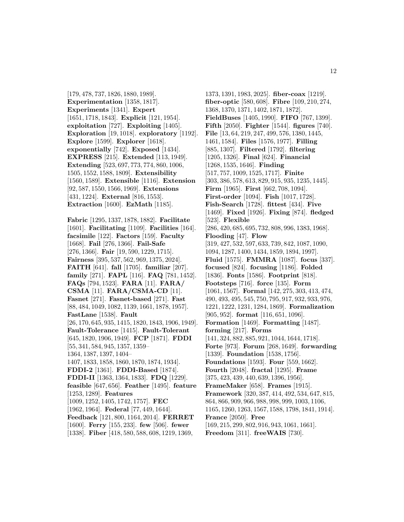[179, 478, 737, 1826, 1880, 1989]. **Experimentation** [1358, 1817]. **Experiments** [1341]. **Expert** [1651, 1718, 1843]. **Explicit** [121, 1954]. **exploitation** [727]. **Exploiting** [1405]. **Exploration** [19, 1018]. **exploratory** [1192]. **Explore** [1599]. **Explorer** [1618]. **exponentially** [742]. **Exposed** [1434]. **EXPRESS** [215]. **Extended** [113, 1949]. **Extending** [523, 697, 773, 774, 860, 1006, 1505, 1552, 1588, 1809]. **Extensibility** [1560, 1589]. **Extensible** [1116]. **Extension** [92, 587, 1550, 1566, 1969]. **Extensions** [431, 1224]. **External** [816, 1553]. **Extraction** [1600]. **EzMath** [1185].

**Fabric** [1295, 1337, 1878, 1882]. **Facilitate** [1601]. **Facilitating** [1109]. **Facilities** [164]. **facsimile** [122]. **Factors** [159]. **Faculty** [1668]. **Fail** [276, 1366]. **Fail-Safe** [276, 1366]. **Fair** [19, 590, 1229, 1715]. **Fairness** [395, 537, 562, 969, 1375, 2024]. **FAITH** [641]. **fall** [1705]. **familiar** [207]. **family** [271]. **FAPL** [116]. **FAQ** [781, 1452]. **FAQs** [794, 1523]. **FARA** [11]. **FARA/ CSMA** [11]. **FARA/CSMA-CD** [11]. **Fasnet** [271]. **Fasnet-based** [271]. **Fast** [88, 484, 1049, 1082, 1139, 1661, 1878, 1957]. **FastLane** [1538]. **Fault** [26, 170, 645, 935, 1415, 1820, 1843, 1906, 1949]. **Fault-Tolerance** [1415]. **Fault-Tolerant** [645, 1820, 1906, 1949]. **FCP** [1871]. **FDDI** [55, 341, 584, 945, 1357, 1359– 1364, 1387, 1397, 1404– 1407, 1833, 1858, 1860, 1870, 1874, 1934]. **FDDI-2** [1361]. **FDDI-Based** [1874]. **FDDI-II** [1363, 1364, 1833]. **FDQ** [1229]. **feasible** [647, 656]. **Feather** [1495]. **feature** [1253, 1289]. **Features** [1009, 1252, 1405, 1742, 1757]. **FEC** [1962, 1964]. **Federal** [77, 449, 1644]. **Feedback** [121, 800, 1164, 2014]. **FERRET** [1600]. **Ferry** [155, 233]. **few** [506]. **fewer** [1338]. **Fiber** [418, 580, 588, 608, 1219, 1369,

1373, 1391, 1983, 2025]. **fiber-coax** [1219]. **fiber-optic** [580, 608]. **Fibre** [109, 210, 274, 1368, 1370, 1371, 1402, 1871, 1872]. **FieldBuses** [1405, 1990]. **FIFO** [767, 1399]. **Fifth** [2050]. **Fighter** [1544]. **figures** [740]. **File** [13, 64, 219, 247, 499, 576, 1380, 1445, 1461, 1584]. **Files** [1576, 1977]. **Filling** [885, 1307]. **Filtered** [1792]. **filtering** [1205, 1326]. **Final** [624]. **Financial** [1268, 1535, 1646]. **Finding** [517, 757, 1009, 1525, 1717]. **Finite** [303, 386, 578, 613, 829, 915, 935, 1235, 1445]. **Firm** [1965]. **First** [662, 708, 1094]. **First-order** [1094]. **Fish** [1017, 1728]. **Fish-Search** [1728]. **fittest** [434]. **Five** [1469]. **Fixed** [1926]. **Fixing** [874]. **fledged** [523]. **Flexible** [286, 420, 685, 695, 732, 808, 996, 1383, 1968]. **Flooding** [47]. **Flow** [319, 427, 532, 597, 633, 739, 842, 1087, 1090, 1094, 1287, 1400, 1434, 1859, 1894, 1997]. **Fluid** [1575]. **FMMRA** [1087]. **focus** [337]. **focused** [824]. **focusing** [1186]. **Folded** [1836]. **Fonts** [1586]. **Footprint** [818]. **Footsteps** [716]. **force** [135]. **Form** [1061, 1567]. **Formal** [142, 275, 303, 413, 474, 490, 493, 495, 545, 750, 795, 917, 932, 933, 976, 1221, 1222, 1231, 1284, 1869]. **Formalization** [905, 952]. **format** [116, 651, 1096]. **Formation** [1469]. **Formatting** [1487]. **forming** [217]. **Forms** [141, 324, 882, 885, 921, 1044, 1644, 1718]. **Forte** [973]. **Forum** [268, 1649]. **forwarding** [1339]. **Foundation** [1538, 1756]. **Foundations** [1593]. **Four** [559, 1662]. **Fourth** [2048]. **fractal** [1295]. **Frame** [375, 423, 439, 440, 639, 1396, 1956]. **FrameMaker** [658]. **Frames** [1915]. **Framework** [320, 387, 414, 492, 534, 647, 815, 864, 866, 909, 966, 988, 998, 999, 1003, 1106, 1165, 1260, 1263, 1567, 1588, 1798, 1841, 1914]. **France** [2050]. **Free** [169, 215, 299, 802, 916, 943, 1061, 1661]. **Freedom** [311]. **freeWAIS** [730].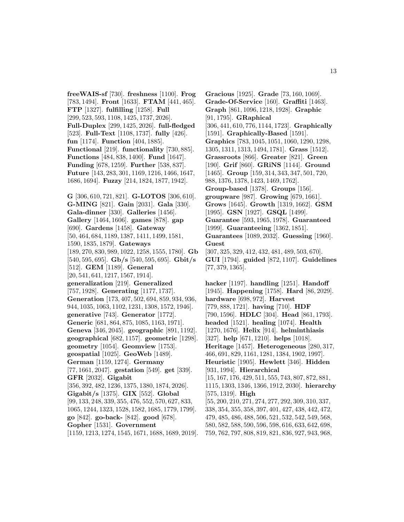**freeWAIS-sf** [730]. **freshness** [1100]. **Frog** [783, 1494]. **Front** [1633]. **FTAM** [441, 465]. **FTP** [1327]. **fulfilling** [1258]. **Full** [299, 523, 593, 1108, 1425, 1737, 2026]. **Full-Duplex** [299, 1425, 2026]. **full-fledged** [523]. **Full-Text** [1108, 1737]. **fully** [426]. **fun** [1174]. **Function** [404, 1885]. **Functional** [219]. **functionality** [730, 885]. **Functions** [484, 838, 1400]. **Fund** [1647]. **Funding** [678, 1259]. **Further** [538, 837]. **Future** [143, 283, 301, 1169, 1216, 1466, 1647, 1686, 1694]. **Fuzzy** [214, 1824, 1877, 1942].

**G** [306, 610, 721, 821]. **G-LOTOS** [306, 610]. **G-MING** [821]. **Gain** [2031]. **Gala** [330]. **Gala-dinner** [330]. **Galleries** [1456]. **Gallery** [1464, 1606]. **games** [878]. **gap** [690]. **Gardens** [1458]. **Gateway** [50, 464, 684, 1189, 1387, 1411, 1499, 1581, 1590, 1835, 1879]. **Gateways** [189, 270, 830, 989, 1022, 1258, 1555, 1780]. **Gb** [540, 595, 695]. **Gb/s** [540, 595, 695]. **Gbit/s** [512]. **GEM** [1189]. **General** [20, 541, 641, 1217, 1567, 1914]. **generalization** [219]. **Generalized** [757, 1928]. **Generating** [1177, 1737]. **Generation** [173, 407, 502, 694, 859, 934, 936, 944, 1035, 1063, 1102, 1231, 1308, 1572, 1946]. **generative** [743]. **Generator** [1772]. **Generic** [681, 864, 875, 1085, 1163, 1971]. **Geneva** [346, 2045]. **geographic** [891, 1192]. **geographical** [682, 1157]. **geometric** [1298]. **geometry** [1054]. **Geomview** [1753]. **geospatial** [1025]. **GeoWeb** [1489]. **German** [1159, 1274]. **Germany** [77, 1661, 2047]. **gestation** [549]. **get** [339]. **GFR** [2032]. **Gigabit** [356, 392, 482, 1236, 1375, 1380, 1874, 2026]. **Gigabit/s** [1375]. **GIX** [552]. **Global** [99, 133, 248, 339, 355, 476, 552, 570, 627, 833, 1065, 1244, 1323, 1528, 1582, 1685, 1779, 1799]. **go** [842]. **go-back-** [842]. **good** [678]. **Gopher** [1531]. **Government** [1159, 1213, 1274, 1545, 1671, 1688, 1689, 2019].

**Gracious** [1925]. **Grade** [73, 160, 1069]. **Grade-Of-Service** [160]. **Graffiti** [1463]. **Graph** [861, 1096, 1218, 1928]. **Graphic** [91, 1795]. **GRaphical** [306, 441, 610, 776, 1144, 1723]. **Graphically** [1591]. **Graphically-Based** [1591]. **Graphics** [783, 1045, 1051, 1060, 1290, 1298, 1305, 1311, 1313, 1494, 1781]. **Grass** [1512]. **Grassroots** [866]. **Greater** [821]. **Green** [190]. **Grif** [860]. **GRiNS** [1144]. **Ground** [1465]. **Group** [159, 314, 343, 347, 501, 720, 988, 1376, 1378, 1423, 1469, 1762]. **Group-based** [1378]. **Groups** [156]. **groupware** [987]. **Growing** [679, 1661]. **Grows** [1645]. **Growth** [1319, 1662]. **GSM** [1995]. **GSN** [1927]. **GSQL** [1499]. **Guarantee** [593, 1965, 1978]. **Guaranteed** [1999]. **Guaranteeing** [1362, 1851]. **Guarantees** [1089, 2032]. **Guessing** [1960]. **Guest** [307, 325, 329, 412, 432, 481, 489, 503, 670]. **GUI** [1794]. **guided** [872, 1107]. **Guidelines** [77, 379, 1365].

**hacker** [1197]. **handling** [1251]. **Handoff** [1945]. **Happening** [1758]. **Hard** [86, 2029]. **hardware** [698, 972]. **Harvest** [779, 888, 1721]. **having** [710]. **HDF** [790, 1596]. **HDLC** [304]. **Head** [861, 1793]. **headed** [1521]. **healing** [1074]. **Health** [1270, 1676]. **Helix** [914]. **helminthiasis** [327]. **help** [671, 1210]. **helps** [1018]. **Heritage** [1457]. **Heterogeneous** [280, 317, 466, 691, 829, 1161, 1281, 1384, 1902, 1997]. **Heuristic** [1905]. **Hewlett** [346]. **Hidden** [931, 1994]. **Hierarchical** [15, 167, 176, 429, 511, 555, 743, 807, 872, 881, 1115, 1303, 1346, 1366, 1912, 2030]. **hierarchy** [575, 1319]. **High** [55, 200, 210, 271, 274, 277, 292, 309, 310, 337, 338, 354, 355, 358, 397, 401, 427, 438, 442, 472, 479, 485, 486, 488, 506, 521, 532, 542, 549, 568, 580, 582, 588, 590, 596, 598, 616, 633, 642, 698, 759, 762, 797, 808, 819, 821, 836, 927, 943, 968,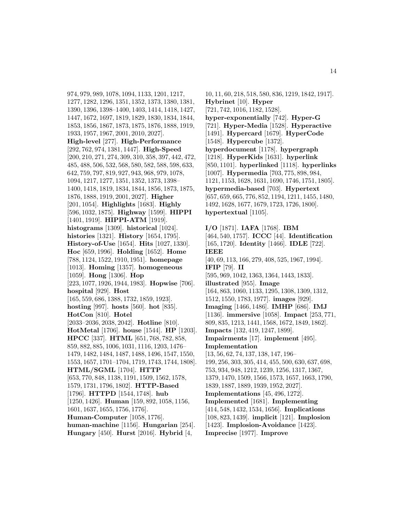974, 979, 989, 1078, 1094, 1133, 1201, 1217, 1277, 1282, 1296, 1351, 1352, 1373, 1380, 1381, 1390, 1396, 1398–1400, 1403, 1414, 1418, 1427, 1447, 1672, 1697, 1819, 1829, 1830, 1834, 1844, 1853, 1856, 1867, 1873, 1875, 1876, 1888, 1919, 1933, 1957, 1967, 2001, 2010, 2027]. **High-level** [277]. **High-Performance** [292, 762, 974, 1381, 1447]. **High-Speed** [200, 210, 271, 274, 309, 310, 358, 397, 442, 472, 485, 488, 506, 532, 568, 580, 582, 588, 598, 633, 642, 759, 797, 819, 927, 943, 968, 979, 1078, 1094, 1217, 1277, 1351, 1352, 1373, 1398– 1400, 1418, 1819, 1834, 1844, 1856, 1873, 1875, 1876, 1888, 1919, 2001, 2027]. **Higher** [201, 1054]. **Highlights** [1683]. **Highly** [596, 1032, 1875]. **Highway** [1599]. **HIPPI** [1401, 1919]. **HIPPI-ATM** [1919]. **histograms** [1309]. **historical** [1024]. **histories** [1321]. **History** [1654, 1795]. **History-of-Use** [1654]. **Hits** [1027, 1330]. **Hoc** [659, 1996]. **Holding** [1652]. **Home** [788, 1124, 1522, 1910, 1951]. **homepage** [1013]. **Homing** [1357]. **homogeneous** [1059]. **Hong** [1306]. **Hop** [223, 1077, 1926, 1944, 1983]. **Hopwise** [706]. **hospital** [929]. **Host** [165, 559, 686, 1388, 1732, 1859, 1923]. **hosting** [997]. **hosts** [560]. **hot** [835]. **HotCon** [810]. **Hotel** [2033–2036, 2038, 2042]. **Hotline** [810]. **HotMetal** [1706]. **house** [1544]. **HP** [1203]. **HPCC** [337]. **HTML** [651, 768, 782, 858, 859, 882, 885, 1006, 1031, 1116, 1203, 1476– 1479, 1482, 1484, 1487, 1488, 1496, 1547, 1550, 1553, 1657, 1701–1704, 1719, 1743, 1744, 1808]. **HTML/SGML** [1704]. **HTTP** [653, 770, 848, 1138, 1191, 1509, 1562, 1578, 1579, 1731, 1796, 1802]. **HTTP-Based** [1796]. **HTTPD** [1544, 1748]. **hub** [1250, 1426]. **Human** [159, 892, 1058, 1156, 1601, 1637, 1655, 1756, 1776]. **Human-Computer** [1058, 1776]. **human-machine** [1156]. **Hungarian** [254]. **Hungary** [450]. **Hurst** [2016]. **Hybrid** [4,

10, 11, 60, 218, 518, 580, 836, 1219, 1842, 1917]. **Hybrinet** [10]. **Hyper** [721, 742, 1016, 1182, 1528]. **hyper-exponentially** [742]. **Hyper-G** [721]. **Hyper-Media** [1528]. **Hyperactive** [1491]. **Hypercard** [1679]. **HyperCode** [1548]. **Hypercube** [1372]. **hyperdocument** [1178]. **hypergraph** [1218]. **HyperKids** [1631]. **hyperlink** [850, 1101]. **hyperlinked** [1118]. **hyperlinks** [1007]. **Hypermedia** [703, 775, 898, 984, 1121, 1153, 1628, 1631, 1690, 1746, 1751, 1805]. **hypermedia-based** [703]. **Hypertext** [657, 659, 665, 776, 852, 1194, 1211, 1455, 1480, 1492, 1628, 1677, 1679, 1723, 1726, 1800]. **hypertextual** [1105].

**I/O** [1871]. **IAFA** [1768]. **IBM** [464, 540, 1757]. **ICCC** [44]. **Identification** [165, 1720]. **Identity** [1466]. **IDLE** [722]. **IEEE** [40, 69, 113, 166, 279, 408, 525, 1967, 1994]. **IFIP** [79]. **II** [595, 969, 1042, 1363, 1364, 1443, 1833]. **illustrated** [955]. **Image** [164, 863, 1060, 1133, 1295, 1308, 1309, 1312, 1512, 1550, 1783, 1977]. **images** [929]. **Imaging** [1466, 1486]. **IMHP** [686]. **IMJ** [1136]. **immersive** [1058]. **Impact** [253, 771, 809, 835, 1213, 1441, 1568, 1672, 1849, 1862]. **Impacts** [132, 419, 1247, 1899]. **Impairments** [17]. **implement** [495]. **Implementation** [13, 56, 62, 74, 137, 138, 147, 196– 199, 256, 303, 305, 414, 455, 500, 630, 637, 698, 753, 934, 948, 1212, 1239, 1256, 1317, 1367, 1379, 1470, 1509, 1566, 1573, 1657, 1663, 1790, 1839, 1887, 1889, 1939, 1952, 2027]. **Implementations** [45, 496, 1272]. **Implemented** [1681]. **Implementing** [414, 548, 1432, 1534, 1656]. **Implications** [108, 823, 1439]. **implicit** [121]. **Implosion** [1423]. **Implosion-Avoidance** [1423]. **Imprecise** [1977]. **Improve**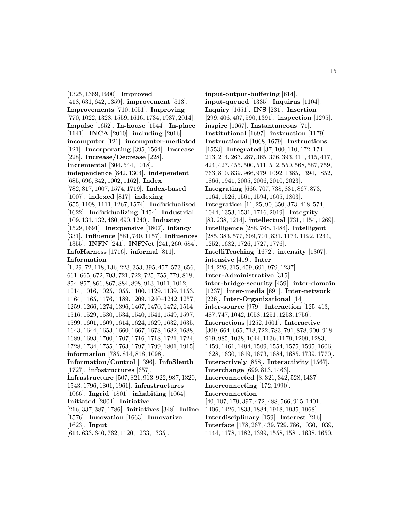[1325, 1369, 1900]. **Improved** [418, 631, 642, 1359]. **improvement** [513]. **Improvements** [710, 1651]. **Improving** [770, 1022, 1328, 1559, 1616, 1734, 1937, 2014]. **Impulse** [1652]. **In-house** [1544]. **In-place** [1141]. **INCA** [2010]. **including** [2016]. **incomputer** [121]. **incomputer-mediated** [121]. **Incorporating** [395, 1564]. **Increase** [228]. **Increase/Decrease** [228]. **Incremental** [304, 544, 1018]. **independence** [842, 1304]. **independent** [685, 696, 842, 1002, 1162]. **Index** [782, 817, 1007, 1574, 1719]. **Index-based** [1007]. **indexed** [817]. **indexing** [655, 1108, 1111, 1267, 1574]. **Individualised** [1622]. **Individualizing** [1454]. **Industrial** [109, 131, 132, 460, 690, 1240]. **Industry** [1529, 1691]. **Inexpensive** [1807]. **infancy** [331]. **Influence** [581, 740, 1157]. **Influences** [1355]. **INFN** [241]. **INFNet** [241, 260, 684]. **InfoHarness** [1716]. **informal** [811]. **Information** [1, 29, 72, 118, 136, 223, 353, 395, 457, 573, 656, 661, 665, 672, 703, 721, 722, 725, 755, 779, 818, 854, 857, 866, 867, 884, 898, 913, 1011, 1012, 1014, 1016, 1025, 1055, 1100, 1129, 1139, 1153, 1164, 1165, 1176, 1189, 1209, 1240–1242, 1257, 1259, 1266, 1274, 1396, 1467, 1470, 1472, 1514– 1516, 1529, 1530, 1534, 1540, 1541, 1549, 1597, 1599, 1601, 1609, 1614, 1624, 1629, 1632, 1635, 1643, 1644, 1653, 1660, 1667, 1678, 1682, 1688, 1689, 1693, 1700, 1707, 1716, 1718, 1721, 1724, 1728, 1734, 1755, 1763, 1797, 1799, 1801, 1915]. **information** [785, 814, 818, 1098]. **Information/Control** [1396]. **InfoSleuth** [1727]. **infostructures** [657]. **Infrastructure** [507, 821, 913, 922, 987, 1320, 1543, 1796, 1801, 1961]. **infrastructures** [1066]. **Ingrid** [1801]. **inhabiting** [1064]. **Initiated** [2004]. **Initiative** [216, 337, 387, 1786]. **initiatives** [348]. **Inline** [1576]. **Innovation** [1663]. **Innovative** [1623]. **Input** [614, 633, 640, 762, 1120, 1233, 1335].

**input-output-buffering** [614]. **input-queued** [1335]. **Inquirus** [1104]. **Inquiry** [1651]. **INS** [231]. **Insertion** [299, 406, 407, 590, 1391]. **inspection** [1295]. **inspire** [1067]. **Instantaneous** [71]. **Institutional** [1697]. **instruction** [1179]. **Instructional** [1068, 1679]. **Instructions** [1553]. **Integrated** [37, 100, 110, 172, 174, 213, 214, 263, 287, 365, 376, 393, 411, 415, 417, 424, 427, 455, 500, 511, 512, 550, 568, 587, 759, 763, 810, 839, 966, 979, 1092, 1385, 1394, 1852, 1866, 1941, 2005, 2006, 2010, 2023]. **Integrating** [666, 707, 738, 831, 867, 873, 1164, 1526, 1561, 1594, 1605, 1803]. **Integration** [11, 25, 90, 350, 373, 418, 574, 1044, 1353, 1531, 1716, 2019]. **Integrity** [83, 238, 1214]. **intellectual** [731, 1154, 1269]. **Intelligence** [288, 768, 1484]. **Intelligent** [285, 383, 577, 609, 701, 831, 1174, 1192, 1244, 1252, 1682, 1726, 1727, 1776]. **IntelliTeaching** [1672]. **intensity** [1307]. **intensive** [419]. **Inter** [14, 226, 315, 459, 691, 979, 1237]. **Inter-Administrative** [315]. **inter-bridge-security** [459]. **inter-domain** [1237]. **inter-media** [691]. **Inter-network** [226]. **Inter-Organizational** [14]. **inter-source** [979]. **Interaction** [125, 413, 487, 747, 1042, 1058, 1251, 1253, 1756]. **Interactions** [1252, 1601]. **Interactive** [309, 664, 665, 718, 722, 783, 791, 878, 900, 918, 919, 985, 1038, 1044, 1136, 1179, 1209, 1283, 1459, 1461, 1494, 1509, 1554, 1575, 1595, 1606, 1628, 1630, 1649, 1673, 1684, 1685, 1739, 1770]. **Interactively** [858]. **Interactivity** [1567]. **Interchange** [699, 813, 1463]. **Interconnected** [3, 321, 342, 528, 1437]. **Interconnecting** [172, 1990]. **Interconnection** [40, 107, 179, 397, 472, 488, 566, 915, 1401, 1406, 1426, 1833, 1884, 1918, 1935, 1968]. **Interdisciplinary** [159]. **Interest** [216]. **Interface** [178, 267, 439, 729, 786, 1030, 1039,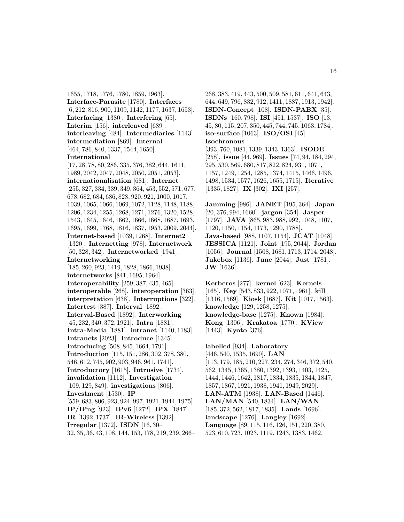1655, 1718, 1776, 1780, 1859, 1963]. **Interface-Parasite** [1780]. **Interfaces** [6, 212, 816, 900, 1109, 1142, 1177, 1637, 1653]. **Interfacing** [1380]. **Interfering** [65]. **Interim** [156]. **interleaved** [689]. **interleaving** [484]. **Intermediaries** [1143]. **intermediation** [869]. **Internal** [464, 786, 840, 1337, 1544, 1650]. **International** [17, 28, 78, 80, 286, 335, 376, 382, 644, 1611, 1989, 2042, 2047, 2048, 2050, 2051, 2053]. **internationalisation** [681]. **Internet** [255, 327, 334, 339, 349, 364, 453, 552, 571, 677, 678, 682, 684, 686, 828, 920, 921, 1000, 1017, 1039, 1065, 1066, 1069, 1072, 1128, 1148, 1188, 1206, 1234, 1255, 1268, 1271, 1276, 1320, 1528, 1543, 1645, 1646, 1662, 1666, 1668, 1687, 1693, 1695, 1699, 1768, 1816, 1837, 1953, 2009, 2044]. **Internet-based** [1039, 1268]. **Internet2** [1320]. **Internetting** [978]. **Internetwork** [50, 328, 342]. **Internetworked** [1941]. **Internetworking** [185, 260, 923, 1419, 1828, 1866, 1938]. **internetworks** [841, 1695, 1964]. **Interoperability** [259, 387, 435, 465]. **interoperable** [268]. **interoperation** [363]. **interpretation** [638]. **Interruptions** [322]. **Intertest** [387]. **Interval** [1892]. **Interval-Based** [1892]. **Interworking** [45, 232, 340, 372, 1921]. **Intra** [1881]. **Intra-Media** [1881]. **intranet** [1140, 1183]. **Intranets** [2023]. **Introduce** [1345]. **Introducing** [508, 845, 1664, 1791]. **Introduction** [115, 151, 286, 302, 378, 380, 546, 612, 745, 902, 903, 946, 961, 1741]. **Introductory** [1615]. **Intrusive** [1734]. **invalidation** [1112]. **Investigation** [109, 129, 849]. **investigations** [806]. **Investment** [1530]. **IP** [559, 683, 806, 923, 924, 997, 1921, 1944, 1975]. **IP/IPng** [923]. **IPv6** [1272]. **IPX** [1847]. **IR** [1392, 1737]. **IR-Wireless** [1392]. **Irregular** [1372]. **ISDN** [16, 30–

32, 35, 36, 43, 108, 144, 153, 178, 219, 239, 266–

268, 383, 419, 443, 500, 509, 581, 611, 641, 643, 644, 649, 796, 832, 912, 1411, 1887, 1913, 1942]. **ISDN-Concept** [108]. **ISDN-PABX** [35]. **ISDNs** [160, 798]. **ISI** [451, 1537]. **ISO** [13, 45, 80, 115, 207, 350, 445, 744, 745, 1063, 1784]. **iso-surface** [1063]. **ISO/OSI** [45]. **Isochronous**

[393, 760, 1081, 1339, 1343, 1363]. **ISODE** [258]. **issue** [44, 969]. **Issues** [74, 94, 184, 294, 295, 530, 569, 680, 817, 822, 824, 931, 1071, 1157, 1249, 1254, 1285, 1374, 1415, 1466, 1496, 1498, 1534, 1577, 1626, 1655, 1715]. **Iterative** [1335, 1827]. **IX** [302]. **IXI** [257].

**Jamming** [986]. **JANET** [195, 364]. **Japan** [20, 376, 994, 1660]. **jargon** [354]. **Jasper** [1797]. **JAVA** [865, 983, 988, 992, 1048, 1107, 1120, 1150, 1154, 1173, 1290, 1788]. **Java-based** [988, 1107, 1154]. **JCAT** [1048]. **JESSICA** [1121]. **Joint** [195, 2044]. **Jordan** [1056]. **Journal** [1508, 1681, 1713, 1714, 2048]. **Jukebox** [1136]. **June** [2044]. **Just** [1781]. **JW** [1636].

**Kerberos** [277]. **kernel** [623]. **Kernels** [165]. **Key** [543, 833, 922, 1071, 1961]. **kill** [1316, 1569]. **Kiosk** [1687]. **Kit** [1017, 1563]. **knowledge** [129, 1258, 1275]. **knowledge-base** [1275]. **Known** [1984]. **Kong** [1306]. **Krakatoa** [1770]. **KView** [1443]. **Kyoto** [376].

**labelled** [934]. **Laboratory** [446, 540, 1535, 1690]. **LAN** [113, 179, 185, 210, 227, 234, 274, 346, 372, 540, 562, 1345, 1365, 1380, 1392, 1393, 1403, 1425, 1444, 1446, 1642, 1817, 1834, 1835, 1844, 1847, 1857, 1867, 1921, 1938, 1941, 1949, 2029]. **LAN-ATM** [1938]. **LAN-Based** [1446]. **LAN/MAN** [540, 1834]. **LAN/WAN** [185, 372, 562, 1817, 1835]. **Lands** [1696]. **landscape** [1276]. **Langley** [1692]. **Language** [89, 115, 116, 126, 151, 220, 380, 523, 610, 723, 1023, 1119, 1243, 1383, 1462,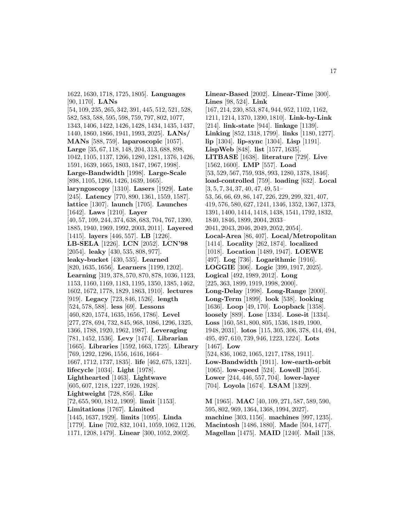1622, 1630, 1718, 1725, 1805]. **Languages** [90, 1170]. **LANs**

[54, 109, 235, 265, 342, 391, 445, 512, 521, 528, 582, 583, 588, 595, 598, 759, 797, 802, 1077, 1343, 1406, 1422, 1426, 1428, 1434, 1435, 1437, 1440, 1860, 1866, 1941, 1993, 2025]. **LANs/ MANs** [588, 759]. **laparoscopic** [1057]. **Large** [35, 67, 118, 148, 204, 313, 688, 898, 1042, 1105, 1137, 1266, 1280, 1281, 1376, 1426, 1591, 1639, 1665, 1803, 1847, 1967, 1998]. **Large-Bandwidth** [1998]. **Large-Scale** [898, 1105, 1266, 1426, 1639, 1665]. **laryngoscopy** [1310]. **Lasers** [1929]. **Late** [245]. **Latency** [770, 890, 1361, 1559, 1587]. **lattice** [1307]. **launch** [1705]. **Launches** [1642]. **Laws** [1210]. **Layer** [40, 57, 109, 244, 374, 638, 683, 704, 767, 1390, 1885, 1940, 1969, 1992, 2003, 2011]. **Layered** [1415]. **layers** [446, 557]. **LB** [1226]. **LB-SELA** [1226]. **LCN** [2052]. **LCN'98** [2054]. **leaky** [430, 535, 808, 977]. **leaky-bucket** [430, 535]. **Learned** [820, 1635, 1656]. **Learners** [1199, 1202]. **Learning** [319, 378, 570, 870, 878, 1036, 1123, 1153, 1160, 1169, 1183, 1195, 1350, 1385, 1462, 1602, 1672, 1778, 1829, 1863, 1910]. **lectures** [919]. **Legacy** [723, 846, 1526]. **length** [524, 578, 588]. **less** [69]. **Lessons** [460, 820, 1574, 1635, 1656, 1786]. **Level** [277, 278, 694, 732, 845, 968, 1086, 1296, 1325, 1366, 1788, 1920, 1962, 1987]. **Leveraging** [781, 1452, 1536]. **Levy** [1474]. **Librarian** [1665]. **Libraries** [1592, 1663, 1725]. **Library** [769, 1292, 1296, 1556, 1616, 1664– 1667, 1712, 1737, 1835]. **life** [462, 675, 1321]. **lifecycle** [1034]. **Light** [1978]. **Lighthearted** [1463]. **Lightwave** [605, 607, 1218, 1227, 1926, 1928]. **Lightweight** [728, 856]. **Like** [72, 655, 900, 1812, 1909]. **limit** [1153]. **Limitations** [1767]. **Limited** [1445, 1637, 1929]. **limits** [1095]. **Linda** [1779]. **Line** [702, 832, 1041, 1059, 1062, 1126, 1171, 1208, 1479]. **Linear** [300, 1052, 2002].

**Linear-Based** [2002]. **Linear-Time** [300]. **Lines** [98, 524]. **Link** [167, 214, 230, 853, 874, 944, 952, 1102, 1162, 1211, 1214, 1370, 1390, 1810]. **Link-by-Link** [214]. **link-state** [944]. **linkage** [1139]. **Linking** [852, 1318, 1799]. **links** [1180, 1277]. **lip** [1304]. **lip-sync** [1304]. **Lisp** [1191]. **LispWeb** [848]. **list** [1577, 1635]. **LITBASE** [1638]. **literature** [729]. **Live** [1562, 1600]. **LMP** [557]. **Load** [53, 529, 567, 759, 938, 993, 1280, 1378, 1846]. **load-controlled** [759]. **loading** [632]. **Local** [3, 5, 7, 34, 37, 40, 47, 49, 51– 53, 56, 66, 69, 86, 147, 226, 229, 299, 321, 407, 419, 576, 580, 627, 1241, 1346, 1352, 1367, 1373, 1391, 1400, 1414, 1418, 1438, 1541, 1792, 1832, 1840, 1846, 1899, 2004, 2033– 2041, 2043, 2046, 2049, 2052, 2054]. **Local-Area** [86, 407]. **Local/Metropolitan** [1414]. **Locality** [262, 1874]. **localized** [1018]. **Location** [1489, 1947]. **LOEWE** [497]. **Log** [736]. **Logarithmic** [1916]. **LOGGIE** [306]. **Logic** [399, 1917, 2025]. **Logical** [492, 1989, 2012]. **Long** [225, 363, 1899, 1919, 1998, 2000]. **Long-Delay** [1998]. **Long-Range** [2000]. **Long-Term** [1899]. **look** [538]. **looking** [1636]. **Loop** [49, 170]. **Loopback** [1358]. **loosely** [889]. **Lose** [1334]. **Lose-it** [1334]. **Loss** [160, 581, 800, 805, 1536, 1849, 1900, 1948, 2031]. **lotos** [115, 305, 306, 378, 414, 494, 495, 497, 610, 739, 946, 1223, 1224]. **Lots** [1467]. **Low** [524, 836, 1062, 1065, 1217, 1788, 1911]. **Low-Bandwidth** [1911]. **low-earth-orbit** [1065]. **low-speed** [524]. **Lowell** [2054]. **Lower** [244, 446, 557, 704]. **lower-layer** [704]. **Loyola** [1674]. **LSAM** [1329].

**M** [1965]. **MAC** [40, 109, 271, 587, 589, 590, 595, 802, 969, 1364, 1368, 1994, 2027]. **machine** [303, 1156]. **machines** [997, 1235]. **Macintosh** [1486, 1880]. **Made** [504, 1477]. **Magellan** [1475]. **MAID** [1240]. **Mail** [138,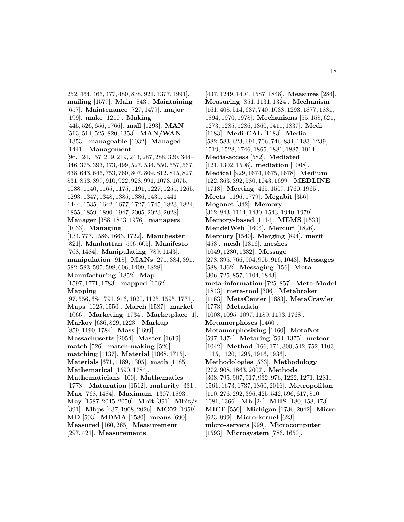252, 464, 466, 477, 480, 838, 921, 1377, 1991]. **mailing** [1577]. **Main** [843]. **Maintaining** [657]. **Maintenance** [727, 1479]. **major** [199]. **make** [1210]. **Making** [445, 526, 656, 1766]. **mall** [1293]. **MAN** [513, 514, 525, 820, 1353]. **MAN/WAN** [1353]. **manageable** [1032]. **Managed** [1441]. **Management** [96, 124, 157, 209, 219, 243, 287, 288, 320, 344– 346, 375, 393, 473, 499, 527, 534, 550, 557, 567, 638, 643, 646, 753, 760, 807, 809, 812, 815, 827, 831, 853, 897, 910, 922, 928, 991, 1073, 1075, 1088, 1140, 1165, 1175, 1191, 1227, 1255, 1265, 1293, 1347, 1348, 1385, 1386, 1435, 1441– 1444, 1535, 1642, 1677, 1727, 1745, 1823, 1824, 1855, 1859, 1890, 1947, 2005, 2023, 2028]. **Manager** [388, 1843, 1976]. **managers** [1033]. **Managing** [134, 777, 1586, 1663, 1722]. **Manchester** [821]. **Manhattan** [596, 605]. **Manifesto** [768, 1484]. **Manipulating** [789, 1143]. **manipulation** [918]. **MANs** [271, 384, 391, 582, 583, 595, 598, 606, 1409, 1828]. **Manufacturing** [1852]. **Map** [1597, 1771, 1783]. **mapped** [1062]. **Mapping** [97, 556, 684, 791, 916, 1020, 1125, 1595, 1771]. **Maps** [1025, 1550]. **March** [1587]. **market** [1066]. **Marketing** [1734]. **Marketplace** [1]. **Markov** [636, 829, 1223]. **Markup** [859, 1190, 1784]. **Mass** [1699]. **Massachusetts** [2054]. **Master** [1619]. **match** [526]. **match-making** [526]. **matching** [1137]. **Material** [1068, 1715]. **Materials** [671, 1189, 1305]. **math** [1185]. **Mathematical** [1590, 1784]. **Mathematicians** [100]. **Mathematics** [1778]. **Maturation** [1512]. **maturity** [331]. **Max** [768, 1484]. **Maximum** [1307, 1893]. **May** [1587, 2045, 2050]. **Mbit** [391]. **Mbit/s** [391]. **Mbps** [437, 1908, 2026]. **MC02** [1959]. **MD** [593]. **MDMA** [1580]. **means** [690]. **Measured** [160, 265]. **Measurement**

[437, 1249, 1404, 1587, 1848]. **Measures** [284]. **Measuring** [851, 1131, 1324]. **Mechanism** [161, 408, 514, 637, 740, 1038, 1293, 1877, 1881, 1894, 1970, 1978]. **Mechanisms** [55, 158, 621, 1273, 1285, 1286, 1360, 1411, 1837]. **Medi** [1183]. **Medi-CAL** [1183]. **Media** [582, 583, 623, 691, 706, 746, 834, 1183, 1239, 1519, 1528, 1746, 1865, 1881, 1887, 1914]. **Media-access** [582]. **Mediated** [121, 1302, 1508]. **mediation** [1008]. **Medical** [929, 1674, 1675, 1678]. **Medium** [122, 363, 392, 580, 1043, 1699]. **MEDLINE** [1718]. **Meeting** [465, 1507, 1760, 1965]. **Meets** [1196, 1779]. **Megabit** [356]. **Meganet** [342]. **Memory** [312, 843, 1114, 1430, 1543, 1940, 1979]. **Memory-based** [1114]. **MEMS** [1533]. **MendelWeb** [1604]. **Mercuri** [1826]. **Mercury** [1540]. **Merging** [894]. **merit** [453]. **mesh** [1316]. **meshes** [1049, 1280, 1332]. **Message** [278, 395, 766, 904, 905, 916, 1043]. **Messages** [588, 1362]. **Messaging** [156]. **Meta** [306, 725, 857, 1104, 1843]. **meta-information** [725, 857]. **Meta-Model** [1843]. **meta-tool** [306]. **Metabroker** [1163]. **MetaCenter** [1683]. **MetaCrawler** [1773]. **Metadata** [1008, 1095–1097, 1189, 1193, 1768]. **Metamorphoses** [1460]. **Metamorphosizing** [1460]. **MetaNet** [597, 1374]. **Metaring** [594, 1375]. **meteor** [1042]. **Method** [166, 171, 300, 542, 752, 1103, 1115, 1120, 1295, 1916, 1936]. **Methodologies** [533]. **Methodology** [272, 908, 1863, 2007]. **Methods** [303, 795, 907, 917, 932, 976, 1222, 1271, 1281, 1561, 1673, 1737, 1860, 2016]. **Metropolitan** [110, 276, 292, 396, 425, 542, 596, 617, 810, 1081, 1366]. **Mh** [24]. **MHS** [180, 458, 473]. **MICE** [550]. **Michigan** [1736, 2042]. **Micro** [623, 999]. **Micro-kernel** [623]. **micro-servers** [999]. **Microcomputer**

[297, 421]. **Measurements**

[1593]. **Microsystem** [786, 1650].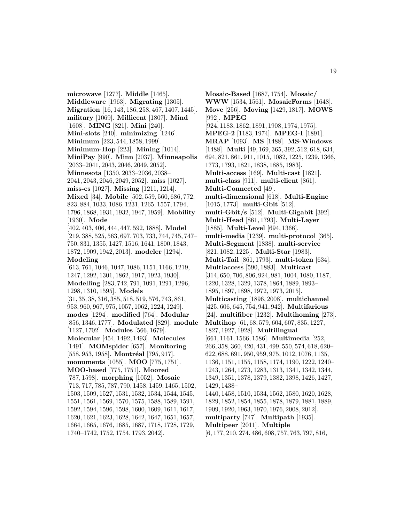**microwave** [1277]. **Middle** [1465]. **Middleware** [1963]. **Migrating** [1305]. **Migration** [16, 143, 186, 258, 467, 1407, 1445]. **military** [1069]. **Millicent** [1807]. **Mind** [1608]. **MING** [821]. **Mini** [240]. **Mini-slots** [240]. **minimizing** [1246]. **Minimum** [223, 544, 1858, 1999]. **Minimum-Hop** [223]. **Mining** [1014]. **MiniPay** [990]. **Minn** [2037]. **Minneapolis** [2033–2041, 2043, 2046, 2049, 2052]. **Minnesota** [1350, 2033–2036, 2038– 2041, 2043, 2046, 2049, 2052]. **miss** [1027]. **miss-es** [1027]. **Missing** [1211, 1214]. **Mixed** [34]. **Mobile** [502, 559, 560, 686, 772, 823, 884, 1033, 1086, 1231, 1265, 1557, 1794, 1796, 1868, 1931, 1932, 1947, 1959]. **Mobility** [1930]. **Mode** [402, 403, 406, 444, 447, 592, 1888]. **Model** [219, 388, 525, 563, 697, 703, 733, 744, 745, 747– 750, 831, 1355, 1427, 1516, 1641, 1800, 1843, 1872, 1909, 1942, 2013]. **modeler** [1294]. **Modeling** [613, 761, 1046, 1047, 1086, 1151, 1166, 1219, 1247, 1292, 1301, 1862, 1917, 1923, 1930]. **Modelling** [283, 742, 791, 1091, 1291, 1296, 1298, 1310, 1595]. **Models** [31, 35, 38, 316, 385, 518, 519, 576, 743, 861, 953, 960, 967, 975, 1057, 1062, 1224, 1249]. **modes** [1294]. **modified** [764]. **Modular** [856, 1346, 1777]. **Modulated** [829]. **module** [1127, 1702]. **Modules** [566, 1679]. **Molecular** [454, 1492, 1493]. **Molecules** [1491]. **MOMspider** [657]. **Monitoring** [558, 953, 1958]. **Montréal** [795, 917]. **monuments** [1055]. **MOO** [775, 1751]. **MOO-based** [775, 1751]. **Moored** [787, 1598]. **morphing** [1052]. **Mosaic** [713, 717, 785, 787, 790, 1458, 1459, 1465, 1502, 1503, 1509, 1527, 1531, 1532, 1534, 1544, 1545, 1551, 1561, 1569, 1570, 1575, 1588, 1589, 1591, 1592, 1594, 1596, 1598, 1600, 1609, 1611, 1617, 1620, 1621, 1623, 1628, 1642, 1647, 1651, 1657, 1664, 1665, 1676, 1685, 1687, 1718, 1728, 1729, 1740–1742, 1752, 1754, 1793, 2042].

**Mosaic-Based** [1687, 1754]. **Mosaic/ WWW** [1534, 1561]. **MosaicForms** [1648]. **Move** [256]. **Moving** [1429, 1817]. **MOWS** [992]. **MPEG** [924, 1183, 1862, 1891, 1908, 1974, 1975]. **MPEG-2** [1183, 1974]. **MPEG-I** [1891]. **MRAP** [1093]. **MS** [1488]. **MS-Windows** [1488]. **Multi** [49, 169, 365, 392, 512, 618, 634, 694, 821, 861, 911, 1015, 1082, 1225, 1239, 1366, 1773, 1793, 1821, 1838, 1885, 1983]. **Multi-access** [169]. **Multi-cast** [1821]. **multi-class** [911]. **multi-client** [861]. **Multi-Connected** [49]. **multi-dimensional** [618]. **Multi-Engine** [1015, 1773]. **multi-Gbit** [512]. **multi-Gbit/s** [512]. **Multi-Gigabit** [392]. **Multi-Head** [861, 1793]. **Multi-Layer** [1885]. **Multi-Level** [694, 1366]. **multi-media** [1239]. **multi-protocol** [365]. **Multi-Segment** [1838]. **multi-service** [821, 1082, 1225]. **Multi-Star** [1983]. **Multi-Tail** [861, 1793]. **multi-token** [634]. **Multiaccess** [590, 1883]. **Multicast** [314, 650, 706, 806, 924, 981, 1004, 1080, 1187, 1220, 1328, 1329, 1378, 1864, 1889, 1893– 1895, 1897, 1898, 1972, 1973, 2015]. **Multicasting** [1896, 2008]. **multichannel** [425, 606, 645, 754, 941, 942]. **Multifarious** [24]. **multifiber** [1232]. **Multihoming** [273]. **Multihop** [61, 68, 579, 604, 607, 835, 1227, 1827, 1927, 1928]. **Multilingual** [661, 1161, 1566, 1586]. **Multimedia** [252, 266, 358, 360, 420, 431, 499, 550, 574, 618, 620– 622, 688, 691, 950, 959, 975, 1012, 1076, 1135, 1136, 1151, 1155, 1158, 1174, 1190, 1222, 1240– 1243, 1264, 1273, 1283, 1313, 1341, 1342, 1344, 1349, 1351, 1378, 1379, 1382, 1398, 1426, 1427, 1429, 1438– 1440, 1458, 1510, 1534, 1562, 1580, 1620, 1628, 1829, 1852, 1854, 1855, 1878, 1879, 1881, 1889, 1909, 1920, 1963, 1970, 1976, 2008, 2012]. **multiparty** [747]. **Multipath** [1935]. **Multipeer** [2011]. **Multiple** [6, 177, 210, 274, 486, 608, 757, 763, 797, 816,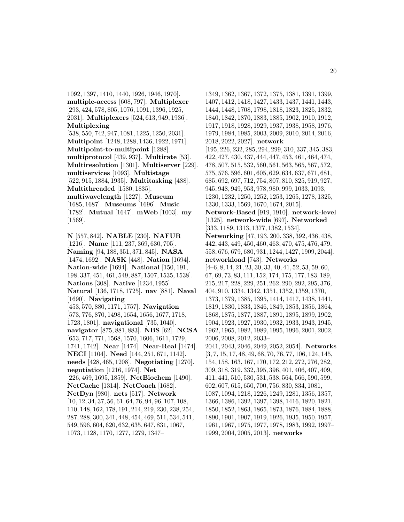1092, 1397, 1410, 1440, 1926, 1946, 1970]. **multiple-access** [608, 797]. **Multiplexer** [293, 424, 578, 805, 1076, 1091, 1396, 1925, 2031]. **Multiplexers** [524, 613, 949, 1936]. **Multiplexing** [538, 550, 742, 947, 1081, 1225, 1250, 2031]. **Multipoint** [1248, 1288, 1436, 1922, 1971]. **Multipoint-to-multipoint** [1288]. **multiprotocol** [439, 937]. **Multirate** [53]. **Multiresolution** [1301]. **Multiserver** [229]. **multiservices** [1093]. **Multistage** [522, 915, 1884, 1935]. **Multitasking** [488]. **Multithreaded** [1580, 1835]. **multiwavelength** [1227]. **Museum** [1685, 1687]. **Museums** [1696]. **Music** [1782]. **Mutual** [1647]. **mWeb** [1003]. **my** [1569].

**N** [557, 842]. **NABLE** [230]. **NAFUR** [1216]. **Name** [111, 237, 369, 630, 705]. **Naming** [94, 188, 351, 371, 845]. **NASA** [1474, 1692]. **NASK** [448]. **Nation** [1694]. **Nation-wide** [1694]. **National** [150, 191, 198, 337, 451, 461, 549, 887, 1507, 1535, 1538]. **Nations** [308]. **Native** [1234, 1955]. **Natural** [136, 1718, 1725]. **nav** [881]. **Naval** [1690]. **Navigating** [453, 570, 880, 1171, 1757]. **Navigation** [573, 776, 870, 1498, 1654, 1656, 1677, 1718, 1723, 1801]. **navigational** [735, 1040]. **navigator** [875, 881, 883]. **NBS** [62]. **NCSA** [653, 717, 771, 1568, 1570, 1606, 1611, 1729, 1741, 1742]. **Near** [1474]. **Near-Real** [1474]. **NECI** [1104]. **Need** [144, 251, 671, 1142]. **needs** [428, 465, 1208]. **Negotiating** [1270]. **negotiation** [1216, 1974]. **Net** [226, 469, 1695, 1859]. **NetBiochem** [1490]. **NetCache** [1314]. **NetCoach** [1682]. **NetDyn** [980]. **nets** [517]. **Network** [10, 12, 34, 37, 56, 61, 64, 76, 94, 96, 107, 108, 110, 148, 162, 178, 191, 214, 219, 230, 238, 254, 287, 288, 300, 341, 448, 454, 469, 511, 534, 541, 549, 596, 604, 620, 632, 635, 647, 831, 1067, 1073, 1128, 1170, 1277, 1279, 1347–

1349, 1362, 1367, 1372, 1375, 1381, 1391, 1399, 1407, 1412, 1418, 1427, 1433, 1437, 1441, 1443, 1444, 1448, 1708, 1798, 1818, 1823, 1825, 1832, 1840, 1842, 1870, 1883, 1885, 1902, 1910, 1912, 1917, 1918, 1928, 1929, 1937, 1938, 1958, 1976, 1979, 1984, 1985, 2003, 2009, 2010, 2014, 2016, 2018, 2022, 2027]. **network** [195, 226, 232, 285, 294, 299, 310, 337, 345, 383, 422, 427, 430, 437, 444, 447, 453, 461, 464, 474, 478, 507, 515, 532, 560, 561, 563, 565, 567, 572, 575, 576, 596, 601, 605, 629, 634, 637, 671, 681, 685, 692, 697, 712, 754, 807, 810, 825, 919, 927, 945, 948, 949, 953, 978, 980, 999, 1033, 1093, 1230, 1232, 1250, 1252, 1253, 1265, 1278, 1325, 1330, 1333, 1569, 1670, 1674, 2015]. **Network-Based** [919, 1910]. **network-level** [1325]. **network-wide** [697]. **Networked** [333, 1189, 1313, 1377, 1382, 1534]. **Networking** [47, 193, 200, 338, 392, 436, 438, 442, 443, 449, 450, 460, 463, 470, 475, 476, 479, 558, 676, 679, 680, 931, 1244, 1427, 1909, 2044]. **networkload** [743]. **Networks**  $[4–6, 8, 14, 21, 23, 30, 33, 40, 41, 52, 53, 59, 60,$ 67, 69, 73, 83, 111, 152, 174, 175, 177, 183, 189, 215, 217, 228, 229, 251, 262, 290, 292, 295, 376, 404, 910, 1334, 1342, 1351, 1352, 1359, 1370, 1373, 1379, 1385, 1395, 1414, 1417, 1438, 1441, 1819, 1830, 1833, 1846, 1849, 1853, 1856, 1864, 1868, 1875, 1877, 1887, 1891, 1895, 1899, 1902, 1904, 1923, 1927, 1930, 1932, 1933, 1943, 1945, 1962, 1965, 1982, 1989, 1995, 1996, 2001, 2002, 2006, 2008, 2012, 2033– 2041, 2043, 2046, 2049, 2052, 2054]. **Networks** [3, 7, 15, 17, 48, 49, 68, 70, 76, 77, 106, 124, 145, 154, 158, 163, 167, 170, 172, 212, 272, 276, 282, 309, 318, 319, 332, 395, 396, 401, 406, 407, 409, 411, 441, 510, 530, 531, 538, 564, 566, 590, 599, 602, 607, 615, 650, 700, 756, 830, 834, 1081, 1087, 1094, 1218, 1226, 1249, 1281, 1356, 1357, 1366, 1386, 1392, 1397, 1398, 1416, 1820, 1821, 1850, 1852, 1863, 1865, 1873, 1876, 1884, 1888, 1890, 1901, 1907, 1919, 1926, 1935, 1950, 1957, 1961, 1967, 1975, 1977, 1978, 1983, 1992, 1997– 1999, 2004, 2005, 2013]. **networks**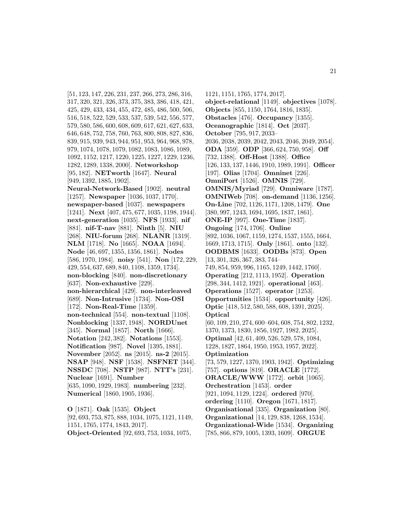[51, 123, 147, 226, 231, 237, 266, 273, 286, 316, 317, 320, 321, 326, 373, 375, 383, 386, 418, 421, 425, 429, 433, 434, 455, 472, 485, 486, 500, 506, 516, 518, 522, 529, 533, 537, 539, 542, 556, 577, 579, 580, 586, 600, 608, 609, 617, 621, 627, 633, 646, 648, 752, 758, 760, 763, 800, 808, 827, 836, 839, 915, 939, 943, 944, 951, 953, 964, 968, 978, 979, 1074, 1078, 1079, 1082, 1083, 1086, 1089, 1092, 1152, 1217, 1220, 1225, 1227, 1229, 1236, 1282, 1289, 1338, 2000]. **Networkshop** [95, 182]. **NETworth** [1647]. **Neural** [949, 1392, 1885, 1902].

**Neural-Network-Based** [1902]. **neutral** [1257]. **Newspaper** [1036, 1037, 1770]. **newspaper-based** [1037]. **newspapers** [1241]. **Next** [407, 475, 677, 1035, 1198, 1944]. **next-generation** [1035]. **NFS** [1933]. **nif** [881]. **nif-T-nav** [881]. **Ninth** [5]. **NIU** [268]. **NIU-forum** [268]. **NLANR** [1319]. **NLM** [1718]. **No** [1665]. **NOAA** [1694]. **Node** [46, 697, 1355, 1356, 1861]. **Nodes** [586, 1970, 1984]. **noisy** [541]. **Non** [172, 229, 429, 554, 637, 689, 840, 1108, 1359, 1734]. **non-blocking** [840]. **non-discretionary** [637]. **Non-exhaustive** [229]. **non-hierarchical** [429]. **non-interleaved** [689]. **Non-Intrusive** [1734]. **Non-OSI** [172]. **Non-Real-Time** [1359]. **non-technical** [554]. **non-textual** [1108]. **Nonblocking** [1337, 1948]. **NORDUnet** [345]. **Normal** [1857]. **North** [1666]. **Notation** [242, 382]. **Notations** [1553]. **Notification** [987]. **Novel** [1395, 1881]. **November** [2052]. **ns** [2015]. **ns-2** [2015]. **NSAP** [948]. **NSF** [1538]. **NSFNET** [344]. **NSSDC** [708]. **NSTP** [987]. **NTT's** [231]. **Nuclear** [1691]. **Number** [635, 1090, 1929, 1983]. **numbering** [232]. **Numerical** [1860, 1905, 1936].

**O** [1871]. **Oak** [1535]. **Object** [92, 693, 753, 875, 888, 1034, 1075, 1121, 1149, 1151, 1765, 1774, 1843, 2017].

**Object-Oriented** [92, 693, 753, 1034, 1075,

1121, 1151, 1765, 1774, 2017]. **object-relational** [1149]. **objectives** [1078]. **Objects** [855, 1150, 1764, 1816, 1835]. **Obstacles** [476]. **Occupancy** [1355]. **Oceanographic** [1814]. **Oct** [2037]. **October** [795, 917, 2033– 2036, 2038, 2039, 2042, 2043, 2046, 2049, 2054]. **ODA** [359]. **ODP** [366, 624, 750, 958]. **Off** [732, 1388]. **Off-Host** [1388]. **Office** [126, 133, 137, 1446, 1910, 1989, 1991]. **Officer** [197]. **Olias** [1704]. **Omninet** [226]. **OmniPort** [1526]. **OMNIS** [729]. **OMNIS/Myriad** [729]. **Omniware** [1787]. **OMNIWeb** [708]. **on-demand** [1136, 1256]. **On-Line** [702, 1126, 1171, 1208, 1479]. **One** [380, 997, 1243, 1694, 1695, 1837, 1861]. **ONE-IP** [997]. **One-Time** [1837]. **Ongoing** [174, 1706]. **Online** [892, 1036, 1067, 1159, 1274, 1537, 1555, 1664, 1669, 1713, 1715]. **Only** [1861]. **onto** [132]. **OODBMS** [1633]. **OODBs** [873]. **Open** [13, 301, 326, 367, 383, 744– 749, 854, 959, 996, 1165, 1249, 1442, 1760]. **Operating** [212, 1113, 1952]. **Operation** [298, 344, 1412, 1921]. **operational** [463]. **Operations** [1527]. **operator** [1253]. **Opportunities** [1534]. **opportunity** [426]. **Optic** [418, 512, 580, 588, 608, 1391, 2025]. **Optical** [60, 109, 210, 274, 600–604, 608, 754, 802, 1232, 1370, 1373, 1830, 1856, 1927, 1982, 2025]. **Optimal** [42, 61, 409, 526, 529, 578, 1084, 1228, 1827, 1864, 1950, 1953, 1957, 2022]. **Optimization** [73, 579, 1227, 1370, 1903, 1942]. **Optimizing** [757]. **options** [819]. **ORACLE** [1772]. **ORACLE/WWW** [1772]. **orbit** [1065]. **Orchestration** [1453]. **order** [921, 1094, 1129, 1224]. **ordered** [970]. **ordering** [1110]. **Oregon** [1671, 1817]. **Organisational** [335]. **Organization** [80]. **Organizational** [14, 129, 838, 1268, 1534]. **Organizational-Wide** [1534]. **Organizing** [785, 866, 879, 1005, 1393, 1609]. **ORGUE**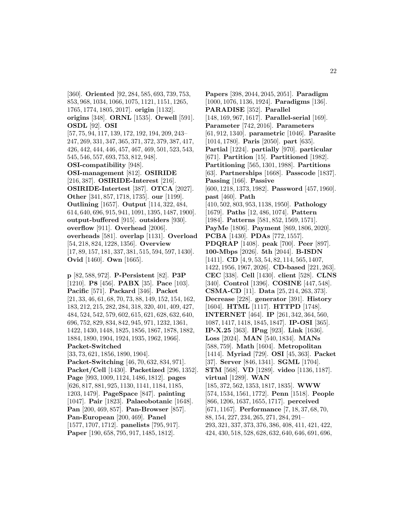[360]. **Oriented** [92, 284, 585, 693, 739, 753, 853, 968, 1034, 1066, 1075, 1121, 1151, 1265, 1765, 1774, 1805, 2017]. **origin** [1132]. **origins** [348]. **ORNL** [1535]. **Orwell** [591]. **OSDL** [92]. **OSI** [57, 75, 94, 117, 139, 172, 192, 194, 209, 243– 247, 269, 331, 347, 365, 371, 372, 379, 387, 417, 426, 442, 444, 446, 457, 467, 469, 501, 523, 543, 545, 546, 557, 693, 753, 812, 948]. **OSI-compatibility** [948]. **OSI-management** [812]. **OSIRIDE** [216, 387]. **OSIRIDE-Interest** [216]. **OSIRIDE-Intertest** [387]. **OTCA** [2027]. **Other** [341, 857, 1718, 1735]. **our** [1199]. **Outlining** [1657]. **Output** [114, 322, 484, 614, 640, 696, 915, 941, 1091, 1395, 1487, 1900]. **output-buffered** [915]. **outsiders** [930]. **overflow** [911]. **Overhead** [2006]. **overheads** [581]. **overlap** [1131]. **Overload** [54, 218, 824, 1228, 1356]. **Overview** [17, 89, 157, 181, 337, 381, 515, 594, 597, 1430]. **Ovid** [1460]. **Own** [1665].

**p** [82, 588, 972]. **P-Persistent** [82]. **P3P** [1210]. **P8** [456]. **PABX** [35]. **Pace** [103]. **Pacific** [571]. **Packard** [346]. **Packet** [21, 33, 46, 61, 68, 70, 73, 88, 149, 152, 154, 162, 183, 212, 215, 282, 284, 318, 320, 401, 409, 427, 484, 524, 542, 579, 602, 615, 621, 628, 632, 640, 696, 752, 829, 834, 842, 945, 971, 1232, 1361, 1422, 1430, 1448, 1825, 1856, 1867, 1878, 1882, 1884, 1890, 1904, 1924, 1935, 1962, 1966]. **Packet-Switched** [33, 73, 621, 1856, 1890, 1904]. **Packet-Switching** [46, 70, 632, 834, 971]. **Packet/Cell** [1430]. **Packetized** [296, 1352]. **Page** [993, 1009, 1124, 1486, 1812]. **pages** [626, 817, 881, 925, 1130, 1141, 1184, 1185, 1203, 1479]. **PageSpace** [847]. **painting** [1047]. **Pair** [1823]. **Palaeobotanic** [1648]. **Pan** [200, 469, 857]. **Pan-Browser** [857]. **Pan-European** [200, 469]. **Panel** [1577, 1707, 1712]. **panelists** [795, 917]. **Paper** [190, 658, 795, 917, 1485, 1812].

**Papers** [398, 2044, 2045, 2051]. **Paradigm** [1000, 1076, 1136, 1924]. **Paradigms** [136]. **PARADISE** [352]. **Parallel** [148, 169, 967, 1617]. **Parallel-serial** [169]. **Parameter** [742, 2016]. **Parameters** [61, 912, 1340]. **parametric** [1046]. **Parasite** [1014, 1780]. **Paris** [2050]. **part** [635]. **Partial** [1224]. **partially** [970]. **particular** [671]. **Partition** [15]. **Partitioned** [1982]. **Partitioning** [565, 1301, 1988]. **Partitions** [63]. **Partnerships** [1668]. **Passcode** [1837]. **Passing** [166]. **Passive** [600, 1218, 1373, 1982]. **Password** [457, 1960]. **past** [460]. **Path** [410, 502, 803, 953, 1138, 1950]. **Pathology** [1679]. **Paths** [12, 486, 1074]. **Pattern** [1984]. **Patterns** [581, 852, 1569, 1571]. **PayMe** [1806]. **Payment** [869, 1806, 2020]. **PCBA** [1430]. **PDAs** [772, 1557]. **PDQRAP** [1408]. **peak** [700]. **Peer** [897]. **100-Mbps** [2026]. **5th** [2044]. **B-ISDN** [1411]. **CD** [4, 9, 53, 54, 82, 114, 565, 1407, 1422, 1956, 1967, 2026]. **CD-based** [221, 263]. **CEC** [338]. **Cell** [1430]. **client** [528]. **CLNS** [340]. **Control** [1396]. **COSINE** [447, 548]. **CSMA-CD** [11]. **Data** [25, 214, 263, 373]. **Decrease** [228]. **generator** [391]. **History** [1604]. **HTML** [1117]. **HTTPD** [1748]. **INTERNET** [464]. **IP** [261, 342, 364, 560, 1087, 1417, 1418, 1845, 1847]. **IP-OSI** [365]. **IP-X.25** [363]. **IPng** [923]. **Link** [1636]. **Loss** [2024]. **MAN** [540, 1834]. **MANs** [588, 759]. **Math** [1604]. **Metropolitan** [1414]. **Myriad** [729]. **OSI** [45, 363]. **Packet** [37]. **Server** [846, 1341]. **SGML** [1704]. **STM** [568]. **VD** [1289]. **video** [1136, 1187]. **virtual** [1289]. **WAN** [185, 372, 562, 1353, 1817, 1835]. **WWW** [574, 1534, 1561, 1772]. **Penn** [1518]. **People** [866, 1206, 1637, 1655, 1717]. **perceived** [671, 1167]. **Performance** [7, 18, 37, 68, 70, 88, 154, 227, 234, 265, 271, 284, 291– 293, 321, 337, 373, 376, 386, 408, 411, 421, 422, 424, 430, 518, 528, 628, 632, 640, 646, 691, 696,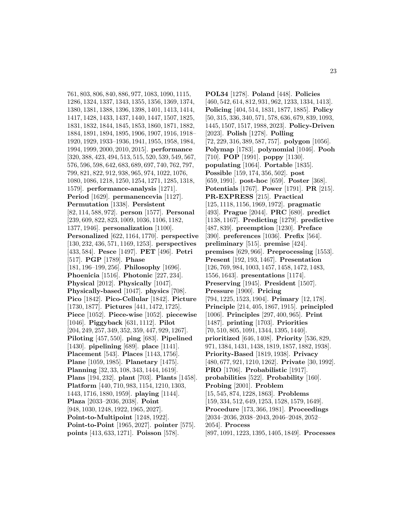761, 803, 806, 840, 886, 977, 1083, 1090, 1115, 1286, 1324, 1337, 1343, 1355, 1356, 1369, 1374, 1380, 1381, 1388, 1396, 1398, 1401, 1413, 1414, 1417, 1428, 1433, 1437, 1440, 1447, 1507, 1825, 1831, 1832, 1844, 1845, 1853, 1860, 1871, 1882, 1884, 1891, 1894, 1895, 1906, 1907, 1916, 1918– 1920, 1929, 1933–1936, 1941, 1955, 1958, 1984, 1994, 1999, 2000, 2010, 2015]. **performance** [320, 388, 423, 494, 513, 515, 520, 539, 549, 567, 576, 596, 598, 642, 683, 689, 697, 740, 762, 797, 799, 821, 822, 912, 938, 965, 974, 1022, 1076, 1080, 1086, 1218, 1250, 1254, 1271, 1285, 1318, 1579]. **performance-analysis** [1271]. **Period** [1629]. **permanencevia** [1127]. **Permutation** [1338]. **Persistent** [82, 114, 588, 972]. **person** [1577]. **Personal** [239, 609, 822, 823, 1009, 1036, 1106, 1182, 1377, 1946]. **personalization** [1100]. **Personalized** [622, 1164, 1770]. **perspective** [130, 232, 436, 571, 1169, 1253]. **perspectives** [433, 584]. **Pesce** [1497]. **PET** [496]. **Petri** [517]. **PGP** [1789]. **Phase** [181, 196–199, 256]. **Philosophy** [1696]. **Phoenicia** [1516]. **Photonic** [227, 234]. **Physical** [2012]. **Physically** [1047]. **Physically-based** [1047]. **physics** [708]. **Pico** [1842]. **Pico-Cellular** [1842]. **Picture** [1730, 1877]. **Pictures** [441, 1472, 1725]. **Piece** [1052]. **Piece-wise** [1052]. **piecewise** [1046]. **Piggyback** [631, 1112]. **Pilot** [204, 249, 257, 349, 352, 359, 447, 929, 1267]. **Piloting** [457, 550]. **ping** [683]. **Pipelined** [1430]. **pipelining** [689]. **place** [1141]. **Placement** [543]. **Places** [1143, 1756]. **Plane** [1059, 1985]. **Planetary** [1475]. **Planning** [32, 33, 108, 343, 1444, 1619]. **Plans** [194, 232]. **plant** [703]. **Plants** [1458]. **Platform** [440, 710, 983, 1154, 1210, 1303, 1443, 1716, 1880, 1959]. **playing** [1144]. **Plaza** [2033–2036, 2038]. **Point** [948, 1030, 1248, 1922, 1965, 2027]. **Point-to-Multipoint** [1248, 1922]. **Point-to-Point** [1965, 2027]. **pointer** [575]. **points** [413, 633, 1271]. **Poisson** [578].

**POL34** [1278]. **Poland** [448]. **Policies** [460, 542, 614, 812, 931, 962, 1233, 1334, 1413]. **Policing** [404, 514, 1831, 1877, 1885]. **Policy** [50, 315, 336, 340, 571, 578, 636, 679, 839, 1093, 1445, 1507, 1517, 1988, 2023]. **Policy-Driven** [2023]. **Polish** [1278]. **Polling** [72, 229, 316, 389, 587, 757]. **polygon** [1056]. **Polymap** [1783]. **polynomial** [1046]. **Pooh** [710]. **POP** [1991]. **poppy** [1130]. **populating** [1064]. **Portable** [1835]. **Possible** [159, 174, 356, 502]. **post** [659, 1991]. **post-hoc** [659]. **Poster** [368]. **Potentials** [1767]. **Power** [1791]. **PR** [215]. **PR-EXPRESS** [215]. **Practical** [125, 1118, 1156, 1969, 1972]. **pragmatic** [493]. **Prague** [2044]. **PRC** [680]. **predict** [1138, 1167]. **Predicting** [1279]. **predictive** [487, 839]. **preemption** [1230]. **Preface** [390]. **preferences** [1036]. **Prefix** [564]. **preliminary** [515]. **premise** [424]. **premises** [629, 966]. **Preprocessing** [1553]. **Present** [192, 193, 1467]. **Presentation** [126, 769, 984, 1003, 1457, 1458, 1472, 1483, 1556, 1643]. **presentations** [1174]. **Preserving** [1945]. **President** [1507]. **Pressure** [1900]. **Pricing** [794, 1225, 1523, 1904]. **Primary** [12, 178]. **Principle** [214, 405, 1867, 1915]. **principled** [1006]. **Principles** [297, 400, 965]. **Print** [1487]. **printing** [1703]. **Priorities** [70, 510, 805, 1091, 1344, 1395, 1440]. **prioritized** [646, 1408]. **Priority** [536, 829, 971, 1384, 1431, 1438, 1819, 1857, 1882, 1938]. **Priority-Based** [1819, 1938]. **Privacy** [480, 677, 921, 1210, 1262]. **Private** [30, 1992]. **PRO** [1706]. **Probabilistic** [1917]. **probabilities** [522]. **Probability** [160]. **Probing** [2001]. **Problem** [15, 545, 874, 1228, 1863]. **Problems** [159, 334, 512, 649, 1253, 1528, 1579, 1649]. **Procedure** [173, 366, 1981]. **Proceedings** [2034–2036, 2038–2043, 2046–2048, 2052– 2054]. **Process** [897, 1091, 1223, 1395, 1405, 1849]. **Processes**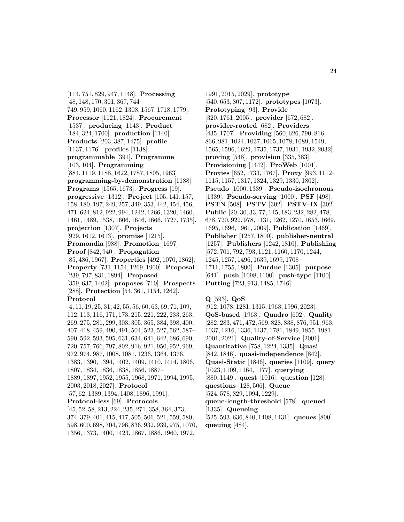[114, 751, 829, 947, 1148]. **Processing** [48, 148, 170, 301, 367, 744– 749, 959, 1060, 1162, 1308, 1567, 1718, 1779]. **Processor** [1121, 1824]. **Procurement** [1537]. **producing** [1143]. **Product** [184, 324, 1700]. **production** [1140]. **Products** [203, 387, 1475]. **profile** [1137, 1176]. **profiles** [1138]. **programmable** [391]. **Programme** [103, 104]. **Programming** [884, 1119, 1188, 1622, 1787, 1805, 1963]. **programming-by-demonstration** [1188]. **Programs** [1565, 1673]. **Progress** [19]. **progressive** [1312]. **Project** [105, 141, 157, 158, 180, 197, 249, 257, 349, 353, 442, 454, 456, 471, 624, 812, 922, 994, 1242, 1266, 1320, 1460, 1461, 1489, 1538, 1606, 1646, 1666, 1727, 1735]. **projection** [1307]. **Projects** [929, 1612, 1613]. **promise** [1215]. **Promondia** [988]. **Promotion** [1697]. **Proof** [842, 940]. **Propagation** [85, 486, 1967]. **Properties** [492, 1070, 1862]. **Property** [731, 1154, 1269, 1900]. **Proposal** [239, 797, 831, 1894]. **Proposed** [359, 637, 1402]. **proposes** [710]. **Prospects** [288]. **Protection** [54, 361, 1154, 1262]. **Protocol** [4, 11, 19, 25, 31, 42, 55, 56, 60, 63, 69, 71, 109, 112, 113, 116, 171, 173, 215, 221, 222, 233, 263, 269, 275, 281, 299, 303, 305, 365, 384, 398, 400, 407, 418, 459, 490, 491, 504, 523, 527, 562, 587– 590, 592, 593, 595, 631, 634, 641, 642, 686, 690, 720, 757, 766, 797, 802, 916, 921, 950, 952, 969, 972, 974, 987, 1008, 1081, 1236, 1364, 1376, 1383, 1390, 1394, 1402, 1409, 1410, 1414, 1806, 1807, 1834, 1836, 1838, 1856, 1887– 1889, 1897, 1952, 1955, 1968, 1971, 1994, 1995, 2003, 2018, 2027]. **Protocol** [57, 62, 1389, 1394, 1408, 1896, 1991]. **Protocol-less** [69]. **Protocols** [45, 52, 58, 213, 224, 235, 271, 358, 364, 373, 374, 379, 401, 415, 417, 505, 506, 521, 559, 580, 598, 600, 698, 704, 796, 836, 932, 939, 975, 1070, 1356, 1373, 1400, 1423, 1867, 1886, 1960, 1972,

1991, 2015, 2029]. **prototype** [540, 653, 807, 1172]. **prototypes** [1073]. **Prototyping** [93]. **Provide** [320, 1761, 2005]. **provider** [672, 682]. **provider-rooted** [682]. **Providers** [435, 1707]. **Providing** [560, 626, 790, 816, 866, 981, 1024, 1037, 1065, 1078, 1089, 1549, 1565, 1596, 1629, 1735, 1737, 1931, 1932, 2032]. **proving** [548]. **provision** [335, 383]. **Provisioning** [1442]. **ProWeb** [1001]. **Proxies** [652, 1733, 1767]. **Proxy** [993, 1112– 1115, 1157, 1317, 1324, 1329, 1330, 1802]. **Pseudo** [1000, 1339]. **Pseudo-isochronous** [1339]. **Pseudo-serving** [1000]. **PSF** [498]. **PSTN** [508]. **PSTV** [302]. **PSTV-IX** [302]. **Public** [20, 30, 33, 77, 145, 183, 232, 282, 478, 678, 720, 922, 978, 1131, 1262, 1270, 1653, 1669, 1695, 1696, 1961, 2009]. **Publication** [1469]. **Publisher** [1257, 1800]. **publisher-neutral** [1257]. **Publishers** [1242, 1810]. **Publishing** [572, 701, 792, 793, 1121, 1160, 1170, 1244, 1245, 1257, 1496, 1639, 1699, 1708– 1711, 1755, 1800]. **Purdue** [1305]. **purpose** [641]. **push** [1098, 1100]. **push-type** [1100]. **Putting** [723, 913, 1485, 1746].

#### **Q** [593]. **QoS**

[912, 1078, 1281, 1315, 1963, 1996, 2023]. **QoS-based** [1963]. **Quadro** [602]. **Quality** [282, 283, 471, 472, 569, 828, 838, 876, 951, 963, 1037, 1216, 1336, 1437, 1781, 1849, 1855, 1981, 2001, 2021]. **Quality-of-Service** [2001]. **Quantitative** [758, 1224, 1335]. **Quasi** [842, 1846]. **quasi-independence** [842]. **Quasi-Static** [1846]. **queries** [1109]. **query** [1023, 1109, 1164, 1177]. **querying** [880, 1149]. **quest** [1016]. **question** [128]. **questions** [128, 506]. **Queue** [524, 578, 829, 1094, 1229]. **queue-length-threshold** [578]. **queued** [1335]. **Queueing** [525, 593, 636, 840, 1408, 1431]. **queues** [800]. **queuing** [484].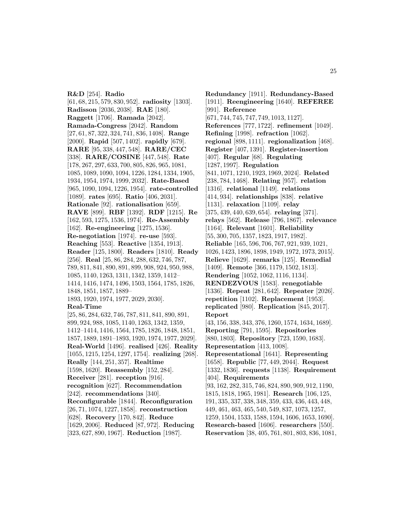**R&D** [254]. **Radio** [61, 68, 215, 579, 830, 952]. **radiosity** [1303]. **Radisson** [2036, 2038]. **RAE** [180]. **Raggett** [1706]. **Ramada** [2042]. **Ramada-Congress** [2042]. **Random** [27, 61, 87, 322, 324, 741, 836, 1408]. **Range** [2000]. **Rapid** [507, 1402]. **rapidly** [679]. **RARE** [95, 338, 447, 548]. **RARE/CEC** [338]. **RARE/COSINE** [447, 548]. **Rate** [178, 267, 297, 633, 700, 805, 826, 965, 1081, 1085, 1089, 1090, 1094, 1226, 1284, 1334, 1905, 1934, 1954, 1974, 1999, 2032]. **Rate-Based** [965, 1090, 1094, 1226, 1954]. **rate-controlled** [1089]. **rates** [695]. **Ratio** [406, 2031]. **Rationale** [92]. **rationalisation** [659]. **RAVE** [899]. **RBF** [1392]. **RDF** [1215]. **Re** [162, 593, 1275, 1536, 1974]. **Re-Assembly** [162]. **Re-engineering** [1275, 1536]. **Re-negotiation** [1974]. **re-use** [593]. **Reaching** [553]. **Reactive** [1354, 1913]. **Reader** [125, 1800]. **Readers** [1810]. **Ready** [256]. **Real** [25, 86, 284, 288, 632, 746, 787, 789, 811, 841, 890, 891, 899, 908, 924, 950, 988, 1085, 1140, 1263, 1311, 1342, 1359, 1412– 1414, 1416, 1474, 1496, 1503, 1564, 1785, 1826, 1848, 1851, 1857, 1889– 1893, 1920, 1974, 1977, 2029, 2030]. **Real-Time** [25, 86, 284, 632, 746, 787, 811, 841, 890, 891, 899, 924, 988, 1085, 1140, 1263, 1342, 1359, 1412–1414, 1416, 1564, 1785, 1826, 1848, 1851, 1857, 1889, 1891–1893, 1920, 1974, 1977, 2029].

**Real-World** [1496]. **realised** [426]. **Reality** [1055, 1215, 1254, 1297, 1754]. **realizing** [268]. **Really** [144, 251, 357]. **Realtime** [1598, 1620]. **Reassembly** [152, 284]. **Receiver** [281]. **reception** [916]. **recognition** [627]. **Recommendation** [242]. **recommendations** [340]. **Reconfigurable** [1844]. **Reconfiguration** [26, 71, 1074, 1227, 1858]. **reconstruction** [628]. **Recovery** [170, 842]. **Reduce** [1629, 2006]. **Reduced** [87, 972]. **Reducing** [323, 627, 890, 1967]. **Reduction** [1987]. **Report** [404]. **Requirements**

**Redundancy** [1911]. **Redundancy-Based** [1911]. **Reengineering** [1640]. **REFEREE** [991]. **Reference** [671, 744, 745, 747, 749, 1013, 1127]. **References** [777, 1722]. **refinement** [1049]. **Refining** [1998]. **refraction** [1062]. **regional** [898, 1111]. **regionalization** [468]. **Register** [407, 1391]. **Register-insertion** [407]. **Regular** [68]. **Regulating** [1287, 1997]. **Regulation** [841, 1071, 1210, 1923, 1969, 2024]. **Related** [238, 784, 1468]. **Relating** [957]. **relation** [1316]. **relational** [1149]. **relations** [414, 934]. **relationships** [838]. **relative** [1131]. **relaxation** [1109]. **relay** [375, 439, 440, 639, 654]. **relaying** [371]. **relays** [562]. **Release** [796, 1867]. **relevance** [1164]. **Relevant** [1601]. **Reliability** [55, 300, 705, 1357, 1823, 1917, 1982]. **Reliable** [165, 596, 706, 767, 921, 939, 1021, 1026, 1423, 1896, 1898, 1949, 1972, 1973, 2015]. **Relieve** [1629]. **remarks** [125]. **Remedial** [1409]. **Remote** [366, 1179, 1502, 1813]. **Rendering** [1052, 1062, 1116, 1134]. **RENDEZVOUS** [1583]. **renegotiable** [1336]. **Repeat** [281, 642]. **Repeater** [2026]. **repetition** [1102]. **Replacement** [1953]. **replicated** [980]. **Replication** [845, 2017]. [43, 156, 338, 343, 376, 1260, 1574, 1634, 1689]. **Reporting** [791, 1595]. **Repositories** [880, 1803]. **Repository** [723, 1590, 1683]. **Representation** [413, 1008]. **Representational** [1641]. **Representing** [1658]. **Republic** [77, 449, 2044]. **Request** [1332, 1836]. **requests** [1138]. **Requirement** [93, 162, 282, 315, 746, 824, 890, 909, 912, 1190, 1815, 1818, 1965, 1981]. **Research** [106, 125, 191, 335, 337, 338, 348, 359, 433, 436, 443, 448, 449, 461, 463, 465, 540, 549, 837, 1073, 1257, 1259, 1504, 1533, 1588, 1594, 1606, 1653, 1690]. **Research-based** [1606]. **researchers** [550].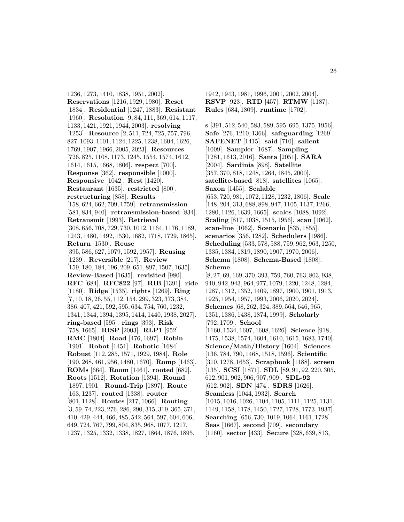1236, 1273, 1410, 1838, 1951, 2002]. **Reservations** [1216, 1929, 1980]. **Reset** [1834]. **Residential** [1247, 1883]. **Resistant** [1960]. **Resolution** [9, 84, 111, 369, 614, 1117, 1133, 1421, 1921, 1944, 2003]. **resolving** [1253]. **Resource** [2, 511, 724, 725, 757, 796, 827, 1093, 1101, 1124, 1225, 1238, 1604, 1626, 1769, 1907, 1966, 2005, 2023]. **Resources** [726, 825, 1108, 1173, 1245, 1554, 1574, 1612, 1614, 1615, 1668, 1806]. **respect** [700]. **Response** [362]. **responsible** [1000]. **Responsive** [1042]. **Rest** [1420]. **Restaurant** [1635]. **restricted** [800]. **restructuring** [858]. **Results** [158, 624, 662, 709, 1759]. **retransmission** [581, 834, 940]. **retransmission-based** [834]. **Retransmit** [1993]. **Retrieval** [308, 656, 708, 729, 730, 1012, 1164, 1176, 1189, 1243, 1480, 1492, 1530, 1682, 1718, 1729, 1865]. **Return** [1530]. **Reuse** [395, 586, 627, 1079, 1592, 1957]. **Reusing** [1239]. **Reversible** [217]. **Review** [159, 180, 184, 196, 209, 651, 897, 1507, 1635]. **Review-Based** [1635]. **revisited** [980]. **RFC** [684]. **RFC822** [97]. **RIB** [1391]. **ride** [1180]. **Ridge** [1535]. **rights** [1269]. **Ring** [7, 10, 18, 26, 55, 112, 154, 299, 323, 373, 384, 386, 407, 421, 592, 595, 634, 754, 760, 1232, 1341, 1344, 1394, 1395, 1414, 1440, 1938, 2027]. **ring-based** [595]. **rings** [393]. **Risk** [758, 1665]. **RISP** [2003]. **RLP1** [952]. **RMC** [1804]. **Road** [476, 1697]. **Robin** [1901]. **Robot** [1451]. **Robotic** [1684]. **Robust** [112, 285, 1571, 1929, 1984]. **Role** [190, 268, 461, 956, 1480, 1670]. **Romp** [1463]. **ROMs** [664]. **Room** [1461]. **rooted** [682]. **Roots** [1512]. **Rotation** [1394]. **Round** [1897, 1901]. **Round-Trip** [1897]. **Route** [163, 1237]. **routed** [1338]. **router** [801, 1128]. **Routes** [217, 1066]. **Routing** [3, 59, 74, 223, 276, 286, 290, 315, 319, 365, 371, 410, 429, 444, 466, 485, 542, 564, 597, 604, 606, 649, 724, 767, 799, 804, 835, 968, 1077, 1217, 1237, 1325, 1332, 1338, 1827, 1864, 1876, 1895,

1942, 1943, 1981, 1996, 2001, 2002, 2004]. **RSVP** [923]. **RTD** [457]. **RTMW** [1187]. **Rules** [684, 1809]. **runtime** [1702].

**s** [391, 512, 540, 583, 589, 595, 695, 1375, 1956]. **Safe** [276, 1210, 1366]. **safeguarding** [1269]. **SAFENET** [1415]. **said** [710]. **salient** [1009]. **Sampler** [1687]. **Sampling** [1281, 1613, 2016]. **Santa** [2051]. **SARA** [2004]. **Sardinia** [898]. **Satellite** [357, 370, 818, 1248, 1264, 1845, 2000]. **satellite-based** [818]. **satellites** [1065]. **Saxon** [1455]. **Scalable** [653, 720, 981, 1072, 1128, 1232, 1806]. **Scale** [148, 204, 313, 688, 898, 947, 1105, 1137, 1266, 1280, 1426, 1639, 1665]. **scales** [1088, 1092]. **Scaling** [817, 1038, 1515, 1956]. **scan** [1062]. **scan-line** [1062]. **Scenario** [835, 1855]. **scenarios** [356, 1282]. **Schedulers** [1986]. **Scheduling** [533, 578, 588, 759, 962, 963, 1250, 1335, 1384, 1819, 1890, 1907, 1970, 2006]. **Schema** [1808]. **Schema-Based** [1808]. **Scheme** [8, 27, 69, 169, 370, 393, 759, 760, 763, 803, 938, 940, 942, 943, 964, 977, 1079, 1220, 1248, 1284, 1287, 1312, 1352, 1409, 1897, 1900, 1901, 1913, 1925, 1954, 1957, 1993, 2006, 2020, 2024]. **Schemes** [68, 262, 324, 389, 564, 646, 965, 1351, 1386, 1438, 1874, 1999]. **Scholarly** [792, 1709]. **School** [1160, 1534, 1607, 1608, 1626]. **Science** [918, 1475, 1538, 1574, 1604, 1610, 1615, 1683, 1740]. **Science/Math/History** [1604]. **Sciences** [136, 784, 790, 1468, 1518, 1596]. **Scientific** [310, 1278, 1653]. **Scrapbook** [1188]. **screen** [135]. **SCSI** [1871]. **SDL** [89, 91, 92, 220, 305, 612, 901, 902, 906, 907, 909]. **SDL-92** [612, 902]. **SDN** [474]. **SDRS** [1626]. **Seamless** [1044, 1932]. **Search** [1015, 1016, 1026, 1104, 1105, 1111, 1125, 1131, 1149, 1158, 1178, 1450, 1727, 1728, 1773, 1937]. **Searching** [656, 730, 1019, 1064, 1161, 1728]. **Seas** [1667]. **second** [709]. **secondary** [1160]. **sector** [433]. **Secure** [328, 639, 813,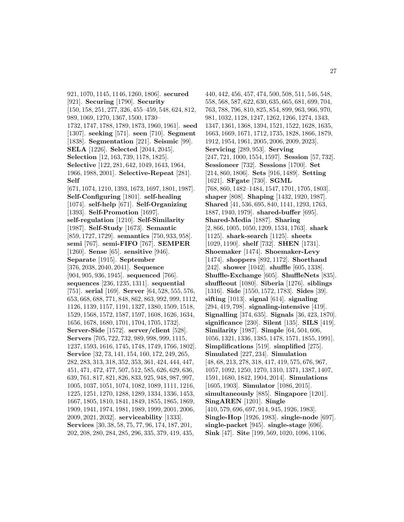921, 1070, 1145, 1146, 1260, 1806]. **secured** [921]. **Securing** [1790]. **Security** [150, 158, 251, 277, 326, 455–459, 548, 624, 812, 989, 1069, 1270, 1367, 1500, 1730– 1732, 1747, 1788, 1789, 1873, 1960, 1961]. **seed** [1307]. **seeking** [571]. **seen** [710]. **Segment** [1838]. **Segmentation** [221]. **Seismic** [99]. **SELA** [1226]. **Selected** [2044, 2045]. **Selection** [12, 163, 739, 1178, 1825]. **Selective** [122, 281, 642, 1049, 1643, 1964, 1966, 1988, 2001]. **Selective-Repeat** [281]. **Self** [671, 1074, 1210, 1393, 1673, 1697, 1801, 1987]. **Self-Configuring** [1801]. **self-healing** [1074]. **self-help** [671]. **Self-Organizing** [1393]. **Self-Promotion** [1697]. **self-regulation** [1210]. **Self-Similarity** [1987]. **Self-Study** [1673]. **Semantic** [859, 1727, 1729]. **semantics** [750, 933, 958]. **semi** [767]. **semi-FIFO** [767]. **SEMPER** [1260]. **Sense** [65]. **sensitive** [946]. **Separate** [1915]. **September** [376, 2038, 2040, 2041]. **Sequence** [904, 905, 936, 1945]. **sequenced** [766]. **sequences** [236, 1235, 1311]. **sequential** [751]. **serial** [169]. **Server** [64, 528, 555, 576, 653, 668, 688, 771, 848, 862, 863, 992, 999, 1112, 1126, 1139, 1157, 1191, 1327, 1380, 1509, 1518, 1529, 1568, 1572, 1587, 1597, 1608, 1626, 1634, 1656, 1678, 1680, 1701, 1704, 1705, 1732]. **Server-Side** [1572]. **server/client** [528]. **Servers** [705, 722, 732, 989, 998, 999, 1115, 1237, 1593, 1616, 1745, 1748, 1749, 1766, 1802]. **Service** [32, 73, 141, 154, 160, 172, 249, 265, 282, 283, 313, 318, 352, 353, 361, 424, 444, 447, 451, 471, 472, 477, 507, 512, 585, 626, 629, 636, 639, 761, 817, 821, 826, 833, 925, 948, 987, 997, 1005, 1037, 1051, 1074, 1082, 1089, 1111, 1216, 1225, 1251, 1270, 1288, 1289, 1334, 1336, 1453, 1667, 1805, 1810, 1841, 1849, 1855, 1865, 1869, 1909, 1941, 1974, 1981, 1989, 1999, 2001, 2006, 2009, 2021, 2032]. **serviceability** [1333]. **Services** [30, 38, 58, 75, 77, 96, 174, 187, 201, 202, 208, 280, 284, 285, 296, 335, 379, 419, 435,

440, 442, 456, 457, 474, 500, 508, 511, 546, 548, 558, 568, 587, 622, 630, 635, 665, 681, 699, 704, 763, 788, 796, 810, 825, 854, 899, 963, 966, 970, 981, 1032, 1128, 1247, 1262, 1266, 1274, 1343, 1347, 1361, 1368, 1394, 1521, 1522, 1628, 1635, 1663, 1669, 1671, 1712, 1735, 1828, 1866, 1879, 1912, 1954, 1961, 2005, 2006, 2009, 2023]. **Servicing** [289, 953]. **Serving** [247, 721, 1000, 1554, 1597]. **Session** [57, 732]. **Sessioneer** [732]. **Sessions** [1700]. **Set** [214, 860, 1806]. **Sets** [916, 1489]. **Setting** [1621]. **SFgate** [730]. **SGML** [768, 860, 1482–1484, 1547, 1701, 1705, 1803]. **shaper** [808]. **Shaping** [1432, 1920, 1987]. **Shared** [41, 536, 695, 840, 1141, 1293, 1763, 1887, 1940, 1979]. **shared-buffer** [695]. **Shared-Media** [1887]. **Sharing** [2, 866, 1005, 1050, 1209, 1534, 1763]. **shark** [1125]. **shark-search** [1125]. **sheets** [1029, 1190]. **shelf** [732]. **SHEN** [1731]. **Shoemaker** [1474]. **Shoemaker-Levy** [1474]. **shoppers** [892, 1172]. **Shorthand** [242]. **shower** [1042]. **shuffle** [605, 1338]. **Shuffle-Exchange** [605]. **ShuffleNets** [835]. **shuffleout** [1080]. **Siberia** [1276]. **siblings** [1316]. **Side** [1550, 1572, 1783]. **Sides** [39]. **sifting** [1013]. **signal** [614]. **signaling** [294, 419, 798]. **signaling-intensive** [419]. **Signalling** [374, 635]. **Signals** [36, 423, 1870]. **significance** [230]. **Silent** [135]. **SILS** [419]. **Similarity** [1987]. **Simple** [64, 504, 606, 1056, 1321, 1336, 1385, 1478, 1571, 1855, 1991]. **Simplifications** [519]. **simplified** [275]. **Simulated** [227, 234]. **Simulation** [48, 68, 213, 278, 318, 417, 419, 575, 676, 967, 1057, 1092, 1250, 1270, 1310, 1371, 1387, 1407, 1591, 1680, 1842, 1904, 2014]. **Simulations** [1605, 1903]. **Simulator** [1086, 2015]. **simultaneously** [885]. **Singapore** [1201]. **SingAREN** [1201]. **Single** [410, 579, 696, 697, 914, 945, 1926, 1983]. **Single-Hop** [1926, 1983]. **single-node** [697]. **single-packet** [945]. **single-stage** [696]. **Sink** [47]. **Site** [199, 569, 1020, 1096, 1106,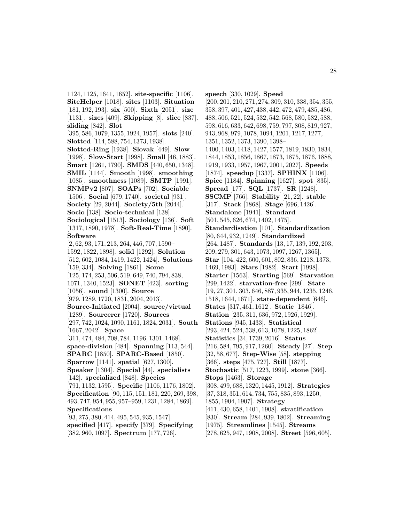1124, 1125, 1641, 1652]. **site-specific** [1106]. **SiteHelper** [1018]. **sites** [1103]. **Situation** [181, 192, 193]. **six** [500]. **Sixth** [2051]. **size** [1131]. **sizes** [409]. **Skipping** [8]. **slice** [837]. **sliding** [842]. **Slot** [395, 586, 1079, 1355, 1924, 1957]. **slots** [240]. **Slotted** [114, 588, 754, 1373, 1938]. **Slotted-Ring** [1938]. **Slovak** [449]. **Slow** [1998]. **Slow-Start** [1998]. **Small** [46, 1883]. **Smart** [1261, 1790]. **SMDS** [440, 650, 1348]. **SMIL** [1144]. **Smooth** [1998]. **smoothing** [1085]. **smoothness** [1089]. **SMTP** [1991]. **SNMPv2** [807]. **SOAPs** [702]. **Sociable** [1506]. **Social** [679, 1740]. **societal** [931]. **Society** [29, 2044]. **Society/5th** [2044]. **Socio** [138]. **Socio-technical** [138]. **Sociological** [1513]. **Sociology** [136]. **Soft** [1317, 1890, 1978]. **Soft-Real-Time** [1890]. **Software** [2, 62, 93, 171, 213, 264, 446, 707, 1590– 1592, 1822, 1898]. **solid** [1292]. **Solution** [512, 602, 1084, 1419, 1422, 1424]. **Solutions** [159, 334]. **Solving** [1861]. **Some** [125, 174, 253, 506, 519, 649, 740, 794, 838, 1071, 1340, 1523]. **SONET** [423]. **sorting** [1056]. **sound** [1300]. **Source** [979, 1289, 1720, 1831, 2004, 2013]. **Source-Initiated** [2004]. **source/virtual** [1289]. **Sourcerer** [1720]. **Sources** [297, 742, 1024, 1090, 1161, 1824, 2031]. **South** [1667, 2042]. **Space** [311, 474, 484, 708, 784, 1196, 1301, 1468]. **space-division** [484]. **Spanning** [113, 544]. **SPARC** [1850]. **SPARC-Based** [1850]. **Sparrow** [1141]. **spatial** [627, 1300]. **Speaker** [1304]. **Special** [44]. **specialists** [142]. **specialized** [848]. **Species** [791, 1132, 1595]. **Specific** [1106, 1176, 1802]. **Specification** [90, 115, 151, 181, 220, 269, 398, 493, 747, 954, 955, 957–959, 1231, 1284, 1869]. **Specifications** [93, 275, 380, 414, 495, 545, 935, 1547]. **specified** [417]. **specify** [379]. **Specifying**

[382, 960, 1097]. **Spectrum** [177, 726].

**speech** [330, 1029]. **Speed** [200, 201, 210, 271, 274, 309, 310, 338, 354, 355, 358, 397, 401, 427, 438, 442, 472, 479, 485, 486, 488, 506, 521, 524, 532, 542, 568, 580, 582, 588, 598, 616, 633, 642, 698, 759, 797, 808, 819, 927, 943, 968, 979, 1078, 1094, 1201, 1217, 1277, 1351, 1352, 1373, 1390, 1398– 1400, 1403, 1418, 1427, 1577, 1819, 1830, 1834, 1844, 1853, 1856, 1867, 1873, 1875, 1876, 1888, 1919, 1933, 1957, 1967, 2001, 2027]. **Speeds** [1874]. **speedup** [1337]. **SPHINX** [1106]. **Spice** [1184]. **Spinning** [1627]. **spot** [835]. **Spread** [177]. **SQL** [1737]. **SR** [1248]. **SSCMP** [766]. **Stability** [21, 22]. **stable** [317]. **Stack** [1868]. **Stage** [696, 1426]. **Standalone** [1941]. **Standard** [501, 545, 626, 674, 1402, 1475]. **Standardisation** [101]. **Standardization** [80, 644, 932, 1249]. **Standardized** [264, 1487]. **Standards** [13, 17, 139, 192, 203, 209, 279, 301, 643, 1073, 1097, 1267, 1365]. **Star** [104, 422, 600, 601, 802, 836, 1218, 1373, 1469, 1983]. **Stars** [1982]. **Start** [1998]. **Starter** [1563]. **Starting** [569]. **Starvation** [299, 1422]. **starvation-free** [299]. **State** [19, 27, 301, 303, 646, 887, 935, 944, 1235, 1246, 1518, 1644, 1671]. **state-dependent** [646]. **States** [317, 461, 1612]. **Static** [1846]. **Station** [235, 311, 636, 972, 1926, 1929]. **Stations** [945, 1433]. **Statistical** [293, 424, 524, 538, 613, 1078, 1225, 1862]. **Statistics** [34, 1739, 2016]. **Status** [216, 584, 795, 917, 1260]. **Steady** [27]. **Step** [32, 58, 677]. **Step-Wise** [58]. **stepping** [366]. **steps** [475, 727]. **Still** [1877]. **Stochastic** [517, 1223, 1999]. **stone** [366]. **Stops** [1463]. **Storage** [308, 499, 688, 1320, 1445, 1912]. **Strategies** [37, 318, 351, 614, 734, 755, 835, 893, 1250, 1855, 1904, 1907]. **Strategy** [411, 430, 658, 1401, 1908]. **stratification** [830]. **Stream** [284, 939, 1802]. **Streaming** [1975]. **Streamlines** [1545]. **Streams** [278, 625, 947, 1908, 2008]. **Street** [596, 605].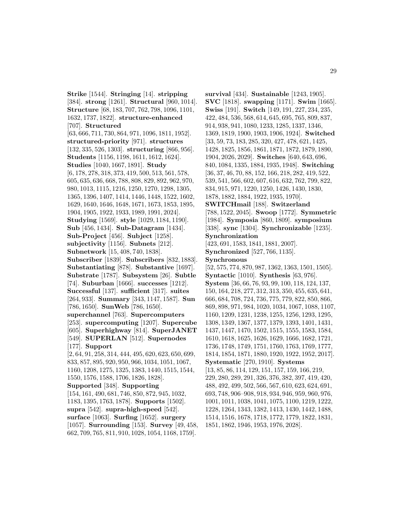**Strike** [1544]. **Stringing** [14]. **stripping** [384]. **strong** [1261]. **Structural** [960, 1014]. **Structure** [68, 183, 707, 762, 798, 1096, 1101, 1632, 1737, 1822]. **structure-enhanced** [707]. **Structured** [63, 666, 711, 730, 864, 971, 1096, 1811, 1952]. **structured-priority** [971]. **structures** [132, 335, 526, 1303]. **structuring** [866, 956]. **Students** [1156, 1198, 1611, 1612, 1624]. **Studies** [1040, 1667, 1891]. **Study** [6, 178, 278, 318, 373, 419, 500, 513, 561, 578, 605, 635, 636, 668, 788, 808, 829, 892, 962, 970, 980, 1013, 1115, 1216, 1250, 1270, 1298, 1305, 1365, 1396, 1407, 1414, 1446, 1448, 1522, 1602, 1629, 1640, 1646, 1648, 1671, 1673, 1853, 1895, 1904, 1905, 1922, 1933, 1989, 1991, 2024]. **Studying** [1569]. **style** [1029, 1184, 1190]. **Sub** [456, 1434]. **Sub-Datagram** [1434]. **Sub-Project** [456]. **Subject** [1258]. **subjectivity** [1156]. **Subnets** [212]. **Subnetwork** [15, 408, 740, 1838]. **Subscriber** [1839]. **Subscribers** [832, 1883]. **Substantiating** [878]. **Substantive** [1697]. **Substrate** [1787]. **Subsystem** [26]. **Subtle** [74]. **Suburban** [1666]. **successes** [1212]. **Successful** [137]. **sufficient** [317]. **suites** [264, 933]. **Summary** [343, 1147, 1587]. **Sun** [786, 1650]. **SunWeb** [786, 1650]. **superchannel** [763]. **Supercomputers** [253]. **supercomputing** [1207]. **Supercube** [605]. **Superhighway** [814]. **SuperJANET** [549]. **SUPERLAN** [512]. **Supernodes** [177]. **Support** [2, 64, 91, 258, 314, 444, 495, 620, 623, 650, 699, 833, 857, 895, 920, 950, 966, 1034, 1051, 1067, 1160, 1208, 1275, 1325, 1383, 1440, 1515, 1544, 1550, 1576, 1588, 1706, 1826, 1828]. **Supported** [348]. **Supporting** [154, 161, 490, 681, 746, 850, 872, 945, 1032, 1183, 1395, 1763, 1878]. **Supports** [1502]. **supra** [542]. **supra-high-speed** [542]. **surface** [1063]. **Surfing** [1652]. **surgery** [1057]. **Surrounding** [153]. **Survey** [49, 458,

662, 709, 765, 811, 910, 1028, 1054, 1168, 1759].

**survival** [434]. **Sustainable** [1243, 1905]. **SVC** [1818]. **swapping** [1171]. **Swim** [1665]. **Swiss** [191]. **Switch** [149, 191, 227, 234, 235, 422, 484, 536, 568, 614, 645, 695, 765, 809, 837, 914, 938, 941, 1080, 1233, 1285, 1337, 1346, 1369, 1819, 1900, 1903, 1906, 1924]. **Switched** [33, 59, 73, 183, 285, 320, 427, 478, 621, 1425, 1428, 1825, 1856, 1861, 1871, 1872, 1879, 1890, 1904, 2026, 2029]. **Switches** [640, 643, 696, 840, 1084, 1335, 1884, 1935, 1948]. **Switching** [36, 37, 46, 70, 88, 152, 166, 218, 282, 419, 522, 539, 541, 566, 602, 607, 616, 632, 762, 799, 822, 834, 915, 971, 1220, 1250, 1426, 1430, 1830, 1878, 1882, 1884, 1922, 1935, 1970]. **SWITCHmail** [188]. **Switzerland** [788, 1522, 2045]. **Swoop** [1772]. **Symmetric** [1984]. **Symposia** [860, 1809]. **symposium** [338]. **sync** [1304]. **Synchronizable** [1235]. **Synchronization** [423, 691, 1583, 1841, 1881, 2007]. **Synchronized** [527, 766, 1135]. **Synchronous** [52, 575, 774, 870, 987, 1362, 1363, 1501, 1505]. **Syntactic** [1010]. **Synthesis** [63, 976]. **System** [36, 66, 76, 93, 99, 100, 118, 124, 137, 150, 164, 218, 277, 312, 313, 350, 455, 635, 641, 666, 684, 708, 724, 736, 775, 779, 822, 850, 866, 869, 898, 971, 984, 1020, 1034, 1067, 1088, 1107, 1160, 1209, 1231, 1238, 1255, 1256, 1293, 1295, 1308, 1349, 1367, 1377, 1379, 1393, 1401, 1431, 1437, 1447, 1470, 1502, 1515, 1555, 1583, 1584, 1610, 1618, 1625, 1626, 1629, 1666, 1682, 1721, 1736, 1748, 1749, 1751, 1760, 1763, 1769, 1777, 1814, 1854, 1871, 1880, 1920, 1922, 1952, 2017]. **Systematic** [270, 1910]. **Systems** [13, 85, 86, 114, 129, 151, 157, 159, 166, 219, 229, 280, 289, 291, 326, 376, 382, 397, 419, 420, 488, 492, 499, 502, 566, 567, 610, 623, 624, 691, 693, 748, 906–908, 918, 934, 946, 959, 960, 976, 1001, 1011, 1038, 1041, 1075, 1100, 1219, 1222, 1228, 1264, 1343, 1382, 1413, 1430, 1442, 1488, 1514, 1516, 1678, 1718, 1772, 1779, 1822, 1831, 1851, 1862, 1946, 1953, 1976, 2028].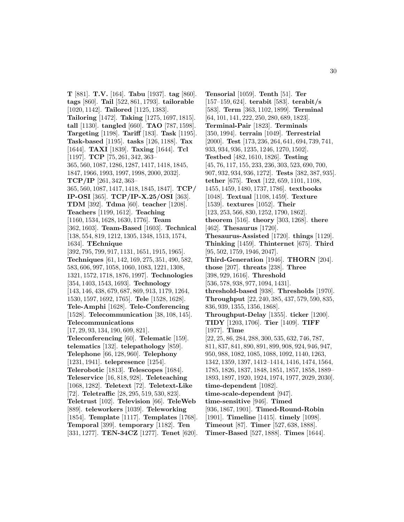**T** [881]. **T.V.** [164]. **Tabu** [1937]. **tag** [860]. **tags** [860]. **Tail** [522, 861, 1793]. **tailorable** [1020, 1142]. **Tailored** [1125, 1383]. **Tailoring** [1472]. **Taking** [1275, 1697, 1815]. **tall** [1130]. **tangled** [660]. **TAO** [787, 1598]. **Targeting** [1198]. **Tariff** [183]. **Task** [1195]. **Task-based** [1195]. **tasks** [126, 1188]. **Tax** [1644]. **TAXI** [1839]. **Taxing** [1644]. **Tcl** [1197]. **TCP** [75, 261, 342, 363– 365, 560, 1087, 1286, 1287, 1417, 1418, 1845, 1847, 1966, 1993, 1997, 1998, 2000, 2032]. **TCP/IP** [261, 342, 363– 365, 560, 1087, 1417, 1418, 1845, 1847]. **TCP/ IP-OSI** [365]. **TCP/IP-X.25/OSI** [363]. **TDM** [392]. **Tdma** [60]. **teacher** [1208]. **Teachers** [1199, 1612]. **Teaching** [1160, 1534, 1628, 1630, 1776]. **Team** [362, 1603]. **Team-Based** [1603]. **Technical** [138, 554, 819, 1212, 1305, 1348, 1513, 1574, 1634]. **TEchnique** [392, 795, 799, 917, 1131, 1651, 1915, 1965]. **Techniques** [61, 142, 169, 275, 351, 490, 582, 583, 606, 997, 1058, 1060, 1083, 1221, 1308, 1321, 1572, 1718, 1876, 1997]. **Technologies** [354, 1403, 1543, 1693]. **Technology** [143, 146, 438, 679, 687, 869, 913, 1179, 1264, 1530, 1597, 1692, 1765]. **Tele** [1528, 1628]. **Tele-Amphi** [1628]. **Tele-Conferencing** [1528]. **Telecommunication** [38, 108, 145]. **Telecommunications** [17, 29, 93, 134, 190, 609, 821]. **Teleconferencing** [60]. **Telematic** [159]. **telematics** [132]. **telepathology** [859]. **Telephone** [66, 128, 960]. **Telephony** [1231, 1941]. **telepresence** [1254]. **Telerobotic** [1813]. **Telescopes** [1684]. **Teleservice** [16, 818, 928]. **Teleteaching** [1068, 1282]. **Teletext** [72]. **Teletext-Like** [72]. **Teletraffic** [28, 295, 519, 530, 823]. **Teletrust** [102]. **Television** [66]. **TeleWeb** [889]. **teleworkers** [1039]. **Teleworking** [1854]. **Template** [1117]. **Templates** [1768]. **Temporal** [399]. **temporary** [1182]. **Ten** [331, 1277]. **TEN-34CZ** [1277]. **Tenet** [620].

**Tensorial** [1059]. **Tenth** [51]. **Ter** [157–159, 624]. **terabit** [583]. **terabit/s** [583]. **Term** [363, 1102, 1899]. **Terminal** [64, 101, 141, 222, 250, 280, 689, 1823]. **Terminal-Pair** [1823]. **Terminals** [350, 1994]. **terrain** [1049]. **Terrestrial** [2000]. **Test** [173, 236, 264, 641, 694, 739, 741, 933, 934, 936, 1235, 1246, 1270, 1502]. **Testbed** [482, 1610, 1826]. **Testing** [45, 76, 117, 155, 233, 236, 303, 523, 690, 700, 907, 932, 934, 936, 1272]. **Tests** [382, 387, 935]. **tether** [675]. **Text** [122, 659, 1101, 1108, 1455, 1459, 1480, 1737, 1786]. **textbooks** [1048]. **Textual** [1108, 1459]. **Texture** [1539]. **textures** [1052]. **Their** [123, 253, 566, 830, 1252, 1790, 1862]. **theorem** [516]. **theory** [303, 1268]. **there** [462]. **Thesaurus** [1720]. **Thesaurus-Assisted** [1720]. **things** [1129]. **Thinking** [1459]. **Thinternet** [675]. **Third** [95, 502, 1759, 1946, 2047]. **Third-Generation** [1946]. **THORN** [204]. **those** [207]. **threats** [238]. **Three** [398, 929, 1616]. **Threshold** [536, 578, 938, 977, 1094, 1431]. **threshold-based** [938]. **Thresholds** [1970]. **Throughput** [22, 240, 385, 437, 579, 590, 835, 836, 939, 1355, 1356, 1868]. **Throughput-Delay** [1355]. **ticker** [1200]. **TIDY** [1203, 1706]. **Tier** [1409]. **TIFF** [1977]. **Time** [22, 25, 86, 284, 288, 300, 535, 632, 746, 787, 811, 837, 841, 890, 891, 899, 908, 924, 946, 947, 950, 988, 1082, 1085, 1088, 1092, 1140, 1263, 1342, 1359, 1397, 1412–1414, 1416, 1474, 1564, 1785, 1826, 1837, 1848, 1851, 1857, 1858, 1889– 1893, 1897, 1920, 1924, 1974, 1977, 2029, 2030]. **time-dependent** [1082]. **time-scale-dependent** [947]. **time-sensitive** [946]. **Timed** [936, 1867, 1901]. **Timed-Round-Robin** [1901]. **Timeline** [1415]. **timely** [1098]. **Timeout** [87]. **Timer** [527, 638, 1888]. **Timer-Based** [527, 1888]. **Times** [1644].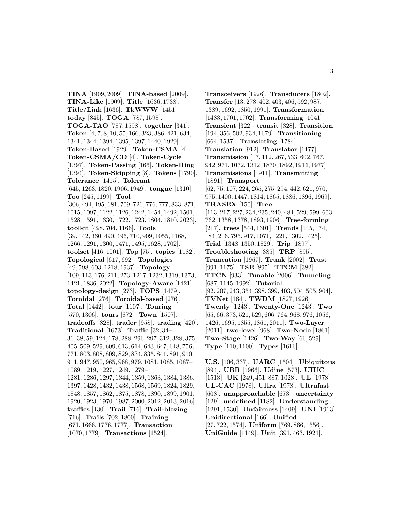**TINA** [1909, 2009]. **TINA-based** [2009]. **TINA-Like** [1909]. **Title** [1636, 1738]. **Title/Link** [1636]. **TkWWW** [1451]. **today** [845]. **TOGA** [787, 1598]. **TOGA-TAO** [787, 1598]. **together** [341]. **Token** [4, 7, 8, 10, 55, 166, 323, 386, 421, 634, 1341, 1344, 1394, 1395, 1397, 1440, 1929]. **Token-Based** [1929]. **Token-CSMA** [4]. **Token-CSMA/CD** [4]. **Token-Cycle** [1397]. **Token-Passing** [166]. **Token-Ring** [1394]. **Token-Skipping** [8]. **Tokens** [1790]. **Tolerance** [1415]. **Tolerant** [645, 1263, 1820, 1906, 1949]. **tongue** [1310]. **Too** [245, 1199]. **Tool** [306, 494, 495, 681, 709, 726, 776, 777, 833, 871, 1015, 1097, 1122, 1126, 1242, 1454, 1492, 1501, 1528, 1591, 1630, 1722, 1723, 1804, 1810, 2023]. **toolkit** [498, 704, 1166]. **Tools** [39, 142, 360, 490, 496, 710, 909, 1055, 1168, 1266, 1291, 1300, 1471, 1495, 1628, 1702]. **toolset** [416, 1001]. **Top** [75]. **topics** [1182]. **Topological** [617, 692]. **Topologies** [49, 598, 603, 1218, 1937]. **Topology** [109, 113, 176, 211, 273, 1217, 1232, 1319, 1373, 1421, 1836, 2022]. **Topology-Aware** [1421]. **topology-design** [273]. **TOPS** [1479]. **Toroidal** [276]. **Toroidal-based** [276]. **Total** [1442]. **tour** [1107]. **Touring** [570, 1306]. **tours** [872]. **Town** [1507]. **tradeoffs** [828]. **trader** [958]. **trading** [420]. **Traditional** [1673]. **Traffic** [32, 34– 36, 38, 59, 124, 178, 288, 296, 297, 312, 328, 375, 405, 509, 529, 609, 613, 614, 643, 647, 648, 756, 771, 803, 808, 809, 829, 834, 835, 841, 891, 910, 911, 947, 950, 965, 968, 979, 1081, 1085, 1087– 1089, 1219, 1227, 1249, 1279– 1281, 1286, 1297, 1344, 1359, 1363, 1384, 1386, 1397, 1428, 1432, 1438, 1568, 1569, 1824, 1829, 1848, 1857, 1862, 1875, 1878, 1890, 1899, 1901, 1920, 1923, 1970, 1987, 2000, 2012, 2013, 2016]. **traffics** [430]. **Trail** [716]. **Trail-blazing** [716]. **Trails** [702, 1800]. **Training** [671, 1666, 1776, 1777]. **Transaction** [1070, 1779]. **Transactions** [1524].

**Transceivers** [1926]. **Transducers** [1802]. **Transfer** [13, 278, 402, 403, 406, 592, 987, 1389, 1692, 1850, 1991]. **Transformation** [1483, 1701, 1702]. **Transforming** [1041]. **Transient** [322]. **transit** [328]. **Transition** [194, 356, 502, 934, 1679]. **Transitioning** [664, 1537]. **Translating** [1784]. **Translation** [912]. **Translator** [1477]. **Transmission** [17, 112, 267, 533, 602, 767, 942, 971, 1072, 1312, 1870, 1892, 1914, 1977]. **Transmissions** [1911]. **Transmitting** [1891]. **Transport** [62, 75, 107, 224, 265, 275, 294, 442, 621, 970, 975, 1400, 1447, 1814, 1865, 1886, 1896, 1969]. **TRASEX** [150]. **Tree** [113, 217, 227, 234, 235, 240, 484, 529, 599, 603, 762, 1358, 1378, 1893, 1906]. **Tree-forming** [217]. **trees** [544, 1301]. **Trends** [145, 174, 184, 216, 795, 917, 1071, 1221, 1302, 1425]. **Trial** [1348, 1350, 1829]. **Trip** [1897]. **Troubleshooting** [385]. **TRP** [895]. **Truncation** [1967]. **Trunk** [2002]. **Trust** [991, 1175]. **TSE** [895]. **TTCM** [382]. **TTCN** [933]. **Tunable** [2006]. **Tunneling** [687, 1145, 1992]. **Tutorial** [92, 207, 243, 354, 398, 399, 403, 504, 505, 904]. **TVNet** [164]. **TWDM** [1827, 1926]. **Twenty** [1243]. **Twenty-One** [1243]. **Two** [65, 66, 373, 521, 529, 606, 764, 968, 976, 1056, 1426, 1695, 1855, 1861, 2011]. **Two-Layer** [2011]. **two-level** [968]. **Two-Node** [1861]. **Two-Stage** [1426]. **Two-Way** [66, 529]. **Type** [110, 1100]. **Types** [1616].

**U.S.** [106, 337]. **UARC** [1504]. **Ubiquitous** [894]. **UBR** [1966]. **Udine** [573]. **UIUC** [1513]. **UK** [249, 451, 887, 1028]. **UL** [1978]. **UL-CAC** [1978]. **Ultra** [1978]. **Ultrafast** [608]. **unapproachable** [673]. **uncertainty** [129]. **undefined** [1182]. **Understanding** [1291, 1530]. **Unfairness** [1409]. **UNI** [1913]. **Unidirectional** [166]. **Unified** [27, 722, 1574]. **Uniform** [769, 866, 1556]. **UniGuide** [1149]. **Unit** [391, 463, 1921].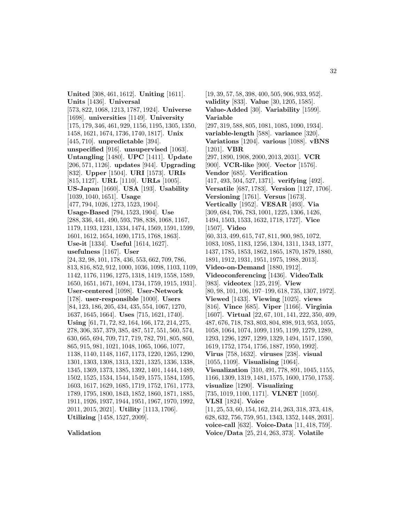**United** [308, 461, 1612]. **Uniting** [1611]. **Units** [1436]. **Universal** [573, 822, 1068, 1213, 1787, 1924]. **Universe** [1698]. **universities** [1149]. **University** [175, 179, 346, 461, 929, 1156, 1195, 1305, 1350, 1458, 1621, 1674, 1736, 1740, 1817]. **Unix** [445, 710]. **unpredictable** [394]. **unspecified** [916]. **unsupervised** [1063]. **Untangling** [1480]. **UPC** [1411]. **Update** [206, 571, 1126]. **updates** [944]. **Upgrading** [832]. **Upper** [1504]. **URI** [1573]. **URIs** [815, 1127]. **URL** [1110]. **URLs** [1005]. **US-Japan** [1660]. **USA** [193]. **Usability** [1039, 1040, 1651]. **Usage** [477, 794, 1026, 1273, 1523, 1904]. **Usage-Based** [794, 1523, 1904]. **Use** [288, 336, 441, 490, 593, 798, 838, 1068, 1167, 1179, 1193, 1231, 1334, 1474, 1569, 1591, 1599, 1601, 1612, 1654, 1690, 1715, 1768, 1863]. **Use-it** [1334]. **Useful** [1614, 1627]. **usefulness** [1167]. **User** [24, 32, 98, 101, 178, 436, 553, 662, 709, 786, 813, 816, 852, 912, 1000, 1036, 1098, 1103, 1109, 1142, 1176, 1196, 1275, 1318, 1419, 1558, 1589, 1650, 1651, 1671, 1694, 1734, 1759, 1915, 1931]. **User-centered** [1098]. **User-Network** [178]. **user-responsible** [1000]. **Users** [84, 123, 186, 205, 434, 435, 554, 1067, 1270, 1637, 1645, 1664]. **Uses** [715, 1621, 1740]. **Using** [61, 71, 72, 82, 164, 166, 172, 214, 275, 278, 306, 357, 379, 385, 487, 517, 551, 560, 574, 630, 665, 694, 709, 717, 719, 782, 791, 805, 860, 865, 915, 981, 1021, 1048, 1065, 1066, 1077, 1138, 1140, 1148, 1167, 1173, 1220, 1265, 1290, 1301, 1303, 1308, 1313, 1321, 1325, 1336, 1338, 1345, 1369, 1373, 1385, 1392, 1401, 1444, 1489, 1502, 1525, 1534, 1544, 1549, 1575, 1584, 1595, 1603, 1617, 1629, 1685, 1719, 1752, 1761, 1773, 1789, 1795, 1800, 1843, 1852, 1860, 1871, 1885, 1911, 1926, 1937, 1944, 1951, 1967, 1970, 1992, 2011, 2015, 2021]. **Utility** [1113, 1706]. **Utilizing** [1458, 1527, 2009].

# **validity** [833]. **Value** [30, 1205, 1585]. **Value-Added** [30]. **Variability** [1599]. **Variable** [297, 319, 588, 805, 1081, 1085, 1090, 1934]. **variable-length** [588]. **variance** [320]. **Variations** [1204]. **various** [1088]. **vBNS** [1201]. **VBR** [297, 1890, 1908, 2000, 2013, 2031]. **VCR** [900]. **VCR-like** [900]. **Vector** [1576]. **Vendor** [685]. **Verification** [417, 493, 504, 527, 1371]. **verifying** [492]. **Versatile** [687, 1783]. **Version** [1127, 1706]. **Versioning** [1761]. **Versus** [1673]. **Vertically** [1952]. **VESAR** [493]. **Via** [309, 684, 706, 783, 1001, 1225, 1306, 1426, 1494, 1503, 1533, 1632, 1718, 1727]. **Vice** [1507]. **Video** [60, 313, 499, 615, 747, 811, 900, 985, 1072, 1083, 1085, 1183, 1256, 1304, 1311, 1343, 1377, 1437, 1785, 1853, 1862, 1865, 1870, 1879, 1880, 1891, 1912, 1931, 1951, 1975, 1988, 2013]. **Video-on-Demand** [1880, 1912]. **Videoconferencing** [1436]. **VideoTalk** [983]. **videotex** [125, 219]. **View** [80, 98, 101, 106, 197–199, 618, 735, 1307, 1972]. **Viewed** [1433]. **Viewing** [1025]. **views** [816]. **Vince** [685]. **Viper** [1166]. **Virginia** [1607]. **Virtual** [22, 67, 101, 141, 222, 350, 409, 487, 676, 718, 783, 803, 804, 898, 913, 953, 1055, 1058, 1064, 1074, 1099, 1195, 1199, 1279, 1289, 1293, 1296, 1297, 1299, 1329, 1494, 1517, 1590, 1619, 1752, 1754, 1756, 1887, 1950, 1992]. **Virus** [758, 1632]. **viruses** [238]. **visual** [1055, 1109]. **Visualising** [1064]. **Visualization** [310, 491, 778, 891, 1045, 1155, 1166, 1309, 1319, 1481, 1575, 1600, 1750, 1753]. **visualize** [1290]. **Visualizing** [735, 1019, 1100, 1171]. **VLNET** [1050]. **VLSI** [1824]. **Voice** [11, 25, 53, 60, 154, 162, 214, 263, 318, 373, 418, 628, 632, 756, 759, 951, 1343, 1352, 1448, 2031]. **voice-call** [632]. **Voice-Data** [11, 418, 759].

**Voice/Data** [25, 214, 263, 373]. **Volatile**

[19, 39, 57, 58, 398, 400, 505, 906, 933, 952].

#### **Validation**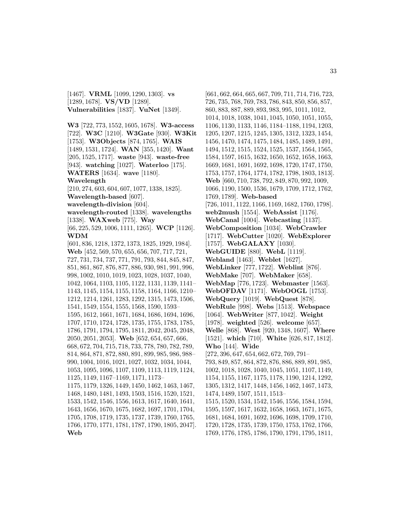[1467]. **VRML** [1099, 1290, 1303]. **vs** [1289, 1678]. **VS/VD** [1289]. **Vulnerabilities** [1837]. **VuNet** [1349].

**W3** [722, 773, 1552, 1605, 1678]. **W3-access** [722]. **W3C** [1210]. **W3Gate** [930]. **W3Kit** [1753]. **W3Objects** [874, 1765]. **WAIS** [1489, 1531, 1724]. **WAN** [355, 1420]. **Want** [205, 1525, 1717]. **waste** [943]. **waste-free** [943]. **watching** [1027]. **Waterloo** [175]. **WATERS** [1634]. **wave** [1180]. **Wavelength**

[210, 274, 603, 604, 607, 1077, 1338, 1825].

**Wavelength-based** [607].

**wavelength-division** [604].

**wavelength-routed** [1338]. **wavelengths** [1338]. **WAXweb** [775]. **Way**

[66, 225, 529, 1006, 1111, 1265]. **WCP** [1126]. **WDM**

[601, 836, 1218, 1372, 1373, 1825, 1929, 1984]. **Web** [452, 569, 570, 655, 656, 707, 717, 721, 727, 731, 734, 737, 771, 791, 793, 844, 845, 847, 851, 861, 867, 876, 877, 886, 930, 981, 991, 996, 998, 1002, 1010, 1019, 1023, 1028, 1037, 1040, 1042, 1064, 1103, 1105, 1122, 1131, 1139, 1141– 1143, 1145, 1154, 1155, 1158, 1164, 1166, 1210– 1212, 1214, 1261, 1283, 1292, 1315, 1473, 1506, 1541, 1549, 1554, 1555, 1568, 1590, 1593– 1595, 1612, 1661, 1671, 1684, 1686, 1694, 1696, 1707, 1710, 1724, 1728, 1735, 1755, 1783, 1785, 1786, 1791, 1794, 1795, 1811, 2042, 2045, 2048, 2050, 2051, 2053]. **Web** [652, 654, 657, 666, 668, 672, 704, 715, 718, 733, 778, 780, 782, 789, 814, 864, 871, 872, 880, 891, 899, 985, 986, 988– 990, 1004, 1016, 1021, 1027, 1032, 1034, 1044, 1053, 1095, 1096, 1107, 1109, 1113, 1119, 1124, 1125, 1149, 1167–1169, 1171, 1173– 1175, 1179, 1326, 1449, 1450, 1462, 1463, 1467, 1468, 1480, 1481, 1493, 1503, 1516, 1520, 1521, 1533, 1542, 1546, 1556, 1613, 1617, 1640, 1641, 1643, 1656, 1670, 1675, 1682, 1697, 1701, 1704, 1705, 1708, 1719, 1735, 1737, 1739, 1760, 1765, 1766, 1770, 1771, 1781, 1787, 1790, 1805, 2047]. **Web**

[661, 662, 664, 665, 667, 709, 711, 714, 716, 723, 726, 735, 768, 769, 783, 786, 843, 850, 856, 857, 860, 883, 887, 889, 893, 983, 995, 1011, 1012, 1014, 1018, 1038, 1041, 1045, 1050, 1051, 1055, 1106, 1130, 1133, 1146, 1184–1188, 1194, 1203, 1205, 1207, 1215, 1245, 1305, 1312, 1323, 1454, 1456, 1470, 1474, 1475, 1484, 1485, 1489, 1491, 1494, 1512, 1515, 1524, 1525, 1537, 1564, 1565, 1584, 1597, 1615, 1632, 1650, 1652, 1658, 1663, 1669, 1681, 1691, 1692, 1698, 1720, 1747, 1750, 1753, 1757, 1764, 1774, 1782, 1798, 1803, 1813]. **Web** [660, 710, 738, 792, 849, 870, 992, 1009, 1066, 1190, 1500, 1536, 1679, 1709, 1712, 1762, 1769, 1789]. **Web-based** [726, 1011, 1122, 1166, 1169, 1682, 1760, 1798]. **web2mush** [1554]. **WebAssist** [1176]. **WebCanal** [1004]. **Webcasting** [1137]. **WebComposition** [1034]. **WebCrawler** [1717]. **WebCutter** [1020]. **WebExplorer** [1757]. **WebGALAXY** [1030]. **WebGUIDE** [880]. **WebL** [1119]. **Webland** [1463]. **Weblet** [1627]. **WebLinker** [777, 1722]. **Weblint** [876]. **WebMake** [707]. **WebMaker** [658]. **WebMap** [776, 1723]. **Webmaster** [1563]. **WebOFDAV** [1171]. **WebOOGL** [1753]. **WebQuery** [1019]. **WebQuest** [878]. **WebRule** [998]. **Webs** [1513]. **Webspace** [1064]. **WebWriter** [877, 1042]. **Weight** [1978]. **weighted** [526]. **welcome** [657]. **Welle** [868]. **West** [920, 1348, 1607]. **Where** [1521]. **which** [710]. **White** [626, 817, 1812]. **Who** [144]. **Wide** [272, 396, 647, 654, 662, 672, 769, 791– 793, 849, 857, 864, 872, 876, 886, 889, 891, 985, 1002, 1018, 1028, 1040, 1045, 1051, 1107, 1149, 1154, 1155, 1167, 1175, 1178, 1190, 1214, 1292, 1305, 1312, 1417, 1448, 1456, 1462, 1467, 1473, 1474, 1489, 1507, 1511, 1513– 1515, 1520, 1534, 1542, 1546, 1556, 1584, 1594, 1595, 1597, 1617, 1632, 1658, 1663, 1671, 1675, 1681, 1684, 1691, 1692, 1696, 1698, 1709, 1710, 1720, 1728, 1735, 1739, 1750, 1753, 1762, 1766, 1769, 1776, 1785, 1786, 1790, 1791, 1795, 1811,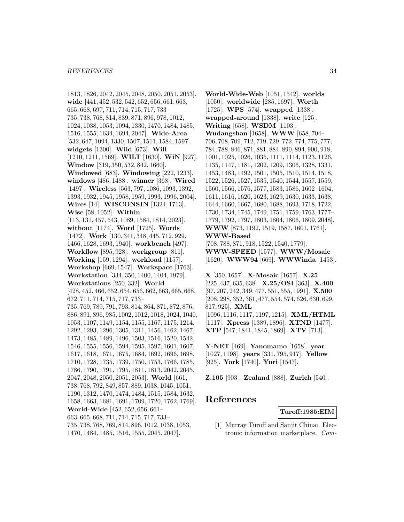1813, 1826, 2042, 2045, 2048, 2050, 2051, 2053]. **wide** [441, 452, 532, 542, 652, 656, 661, 663, 665, 668, 697, 711, 714, 715, 717, 733– 735, 738, 768, 814, 839, 871, 896, 978, 1012, 1024, 1038, 1053, 1094, 1330, 1470, 1484, 1485, 1516, 1555, 1634, 1694, 2047]. **Wide-Area** [532, 647, 1094, 1330, 1507, 1511, 1584, 1597]. **widgets** [1300]. **Wild** [673]. **Will** [1210, 1211, 1569]. **WILT** [1630]. **WiN** [927]. **Window** [319, 350, 532, 842, 1660]. **Windowed** [683]. **Windowing** [222, 1233]. **windows** [486, 1488]. **winner** [368]. **Wired** [1497]. **Wireless** [563, 797, 1086, 1093, 1392, 1393, 1932, 1945, 1958, 1959, 1993, 1996, 2004]. **Wires** [14]. **WISCONSIN** [1324, 1713]. **Wise** [58, 1052]. **Within** [113, 131, 457, 543, 1089, 1584, 1814, 2023]. **without** [1174]. **Word** [1725]. **Words** [1472]. **Work** [130, 341, 348, 445, 712, 929, 1466, 1628, 1693, 1940]. **workbench** [497]. **Workflow** [895, 928]. **workgroup** [811]. **Working** [159, 1294]. **workload** [1157]. **Workshop** [669, 1547]. **Workspace** [1763]. **Workstation** [334, 350, 1400, 1404, 1979]. **Workstations** [250, 332]. **World** [428, 452, 466, 652, 654, 656, 662, 663, 665, 668, 672, 711, 714, 715, 717, 733– 735, 769, 789, 791, 793, 814, 864, 871, 872, 876, 886, 891, 896, 985, 1002, 1012, 1018, 1024, 1040, 1053, 1107, 1149, 1154, 1155, 1167, 1175, 1214, 1292, 1293, 1296, 1305, 1311, 1456, 1462, 1467, 1473, 1485, 1489, 1496, 1503, 1516, 1520, 1542, 1546, 1555, 1556, 1594, 1595, 1597, 1601, 1607, 1617, 1618, 1671, 1675, 1684, 1692, 1696, 1698, 1710, 1728, 1735, 1739, 1750, 1753, 1766, 1785, 1786, 1790, 1791, 1795, 1811, 1813, 2042, 2045, 2047, 2048, 2050, 2051, 2053]. **World** [661, 738, 768, 792, 849, 857, 889, 1038, 1045, 1051, 1190, 1312, 1470, 1474, 1484, 1515, 1584, 1632, 1658, 1663, 1681, 1691, 1709, 1720, 1762, 1769]. **World-Wide** [452, 652, 656, 661– 663, 665, 668, 711, 714, 715, 717, 733– 735, 738, 768, 769, 814, 896, 1012, 1038, 1053, 1470, 1484, 1485, 1516, 1555, 2045, 2047].

**World-Wide-Web** [1051, 1542]. **worlds** [1050]. **worldwide** [285, 1697]. **Worth** [1725]. **WPS** [574]. **wrapped** [1338]. **wrapped-around** [1338]. **write** [125]. **Writing** [658]. **WSDM** [1103]. **Wudangshan** [1658]. **WWW** [658, 704– 706, 708, 709, 712, 719, 729, 772, 774, 775, 777, 784, 788, 846, 871, 881, 884, 890, 894, 900, 918, 1001, 1025, 1026, 1035, 1111, 1114, 1123, 1126, 1135, 1147, 1181, 1202, 1209, 1306, 1328, 1331, 1453, 1483, 1492, 1501, 1505, 1510, 1514, 1518, 1522, 1526, 1527, 1535, 1540, 1544, 1557, 1559, 1560, 1566, 1576, 1577, 1583, 1586, 1602–1604, 1611, 1616, 1620, 1623, 1629, 1630, 1633, 1638, 1644, 1660, 1667, 1680, 1688, 1693, 1718, 1722, 1730, 1734, 1745, 1749, 1751, 1759, 1763, 1777– 1779, 1792, 1797, 1803, 1804, 1806, 1809, 2048]. **WWW** [873, 1192, 1519, 1587, 1601, 1761]. **WWW-Based** [708, 788, 871, 918, 1522, 1540, 1779]. **WWW-SPEED** [1577]. **WWW/Mosaic** [1620]. **WWW94** [669]. **WWWinda** [1453].

**X** [350, 1657]. **X-Mosaic** [1657]. **X.25** [225, 437, 635, 638]. **X.25/OSI** [363]. **X.400** [97, 207, 242, 349, 477, 551, 555, 1991]. **X.500** [208, 298, 352, 361, 477, 554, 574, 626, 630, 699, 817, 925]. **XML** [1096, 1116, 1117, 1197, 1215]. **XML/HTML** [1117]. **Xpress** [1389, 1896]. **XTND** [1477]. **XTP** [547, 1841, 1845, 1869]. **XTV** [713].

**Y-NET** [469]. **Yanomamo** [1658]. **year** [1027, 1198]. **years** [331, 795, 917]. **Yellow** [925]. **York** [1740]. **Yuri** [1547].

**Z.105** [903]. **Zealand** [888]. **Zurich** [540].

# **References**

**Turoff:1985:EIM**

[1] Murray Turoff and Sanjit Chinai. Electronic information marketplace. Com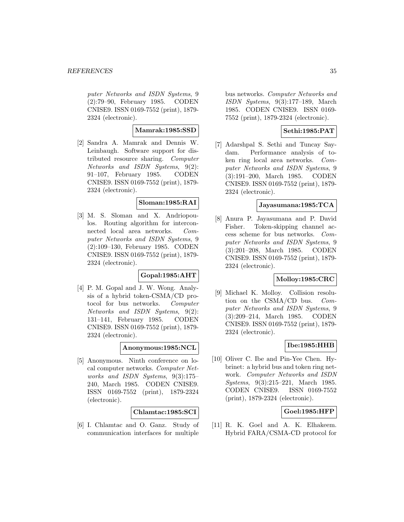puter Networks and ISDN Systems, 9 (2):79–90, February 1985. CODEN CNISE9. ISSN 0169-7552 (print), 1879- 2324 (electronic).

## **Mamrak:1985:SSD**

[2] Sandra A. Mamrak and Dennis W. Leinbaugh. Software support for distributed resource sharing. Computer Networks and ISDN Systems, 9(2): 91–107, February 1985. CODEN CNISE9. ISSN 0169-7552 (print), 1879- 2324 (electronic).

## **Sloman:1985:RAI**

[3] M. S. Sloman and X. Andriopoulos. Routing algorithm for interconnected local area networks. Computer Networks and ISDN Systems, 9 (2):109–130, February 1985. CODEN CNISE9. ISSN 0169-7552 (print), 1879- 2324 (electronic).

## **Gopal:1985:AHT**

[4] P. M. Gopal and J. W. Wong. Analysis of a hybrid token-CSMA/CD protocol for bus networks. Computer Networks and ISDN Systems, 9(2): 131–141, February 1985. CODEN CNISE9. ISSN 0169-7552 (print), 1879- 2324 (electronic).

## **Anonymous:1985:NCL**

[5] Anonymous. Ninth conference on local computer networks. Computer Networks and ISDN Systems, 9(3):175– 240, March 1985. CODEN CNISE9. ISSN 0169-7552 (print), 1879-2324 (electronic).

## **Chlamtac:1985:SCI**

[6] I. Chlamtac and O. Ganz. Study of communication interfaces for multiple

bus networks. Computer Networks and ISDN Systems, 9(3):177–189, March 1985. CODEN CNISE9. ISSN 0169- 7552 (print), 1879-2324 (electronic).

# **Sethi:1985:PAT**

[7] Adarshpal S. Sethi and Tuncay Saydam. Performance analysis of token ring local area networks. Computer Networks and ISDN Systems, 9 (3):191–200, March 1985. CODEN CNISE9. ISSN 0169-7552 (print), 1879- 2324 (electronic).

## **Jayasumana:1985:TCA**

[8] Anura P. Jayasumana and P. David Fisher. Token-skipping channel access scheme for bus networks. Computer Networks and ISDN Systems, 9 (3):201–208, March 1985. CODEN CNISE9. ISSN 0169-7552 (print), 1879- 2324 (electronic).

## **Molloy:1985:CRC**

[9] Michael K. Molloy. Collision resolution on the CSMA/CD bus. Computer Networks and ISDN Systems, 9 (3):209–214, March 1985. CODEN CNISE9. ISSN 0169-7552 (print), 1879- 2324 (electronic).

## **Ibe:1985:HHB**

[10] Oliver C. Ibe and Pin-Yee Chen. Hybrinet: a hybrid bus and token ring network. Computer Networks and ISDN Systems, 9(3):215–221, March 1985. CODEN CNISE9. ISSN 0169-7552 (print), 1879-2324 (electronic).

# **Goel:1985:HFP**

[11] R. K. Goel and A. K. Elhakeem. Hybrid FARA/CSMA-CD protocol for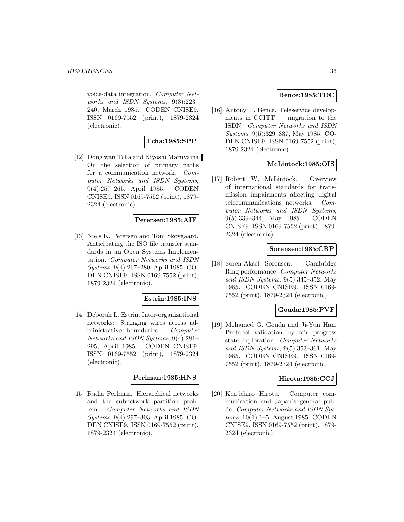voice-data integration. Computer Networks and ISDN Systems, 9(3):223– 240, March 1985. CODEN CNISE9. ISSN 0169-7552 (print), 1879-2324 (electronic).

# **Tcha:1985:SPP**

[12] Dong wan Tcha and Kiyoshi Maruyama. On the selection of primary paths for a communication network. Computer Networks and ISDN Systems, 9(4):257–265, April 1985. CODEN CNISE9. ISSN 0169-7552 (print), 1879- 2324 (electronic).

## **Petersen:1985:AIF**

[13] Niels K. Petersen and Tom Skovgaard. Anticipating the ISO file transfer standards in an Open Systems Implementation. Computer Networks and ISDN Systems, 9(4):267–280, April 1985. CO-DEN CNISE9. ISSN 0169-7552 (print), 1879-2324 (electronic).

## **Estrin:1985:INS**

[14] Deborah L. Estrin. Inter-organizational networks: Stringing wires across administrative boundaries. Computer Networks and ISDN Systems, 9(4):281– 295, April 1985. CODEN CNISE9. ISSN 0169-7552 (print), 1879-2324 (electronic).

## **Perlman:1985:HNS**

[15] Radia Perlman. Hierarchical networks and the subnetwork partition problem. Computer Networks and ISDN Systems, 9(4):297–303, April 1985. CO-DEN CNISE9. ISSN 0169-7552 (print), 1879-2324 (electronic).

## **Bence:1985:TDC**

[16] Antony T. Bence. Teleservice developments in  $\text{CCITT}$  — migration to the ISDN. Computer Networks and ISDN Systems, 9(5):329–337, May 1985. CO-DEN CNISE9. ISSN 0169-7552 (print), 1879-2324 (electronic).

## **McLintock:1985:OIS**

[17] Robert W. McLintock. Overview of international standards for transmission impairments affecting digital telecommunications networks. Computer Networks and ISDN Systems, 9(5):339–344, May 1985. CODEN CNISE9. ISSN 0169-7552 (print), 1879- 2324 (electronic).

#### **Sorensen:1985:CRP**

[18] Soren-Aksel Sorensen. Cambridge Ring performance. Computer Networks and ISDN Systems, 9(5):345–352, May 1985. CODEN CNISE9. ISSN 0169- 7552 (print), 1879-2324 (electronic).

#### **Gouda:1985:PVF**

[19] Mohamed G. Gouda and Ji-Yun Han. Protocol validation by fair progress state exploration. Computer Networks and ISDN Systems, 9(5):353–361, May 1985. CODEN CNISE9. ISSN 0169- 7552 (print), 1879-2324 (electronic).

#### **Hirota:1985:CCJ**

[20] Ken'ichiro Hirota. Computer communication and Japan's general public. Computer Networks and ISDN Systems, 10(1):1–5, August 1985. CODEN CNISE9. ISSN 0169-7552 (print), 1879- 2324 (electronic).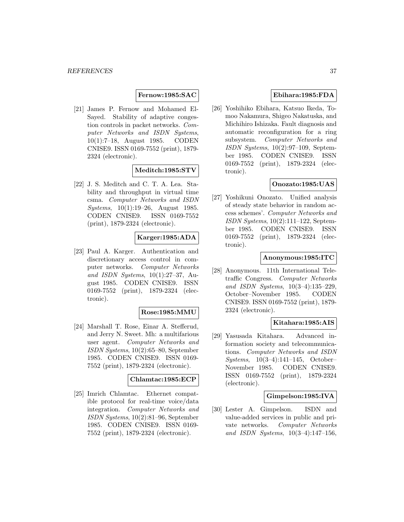### **Fernow:1985:SAC**

[21] James P. Fernow and Mohamed El-Sayed. Stability of adaptive congestion controls in packet networks. Computer Networks and ISDN Systems, 10(1):7–18, August 1985. CODEN CNISE9. ISSN 0169-7552 (print), 1879- 2324 (electronic).

## **Meditch:1985:STV**

[22] J. S. Meditch and C. T. A. Lea. Stability and throughput in virtual time csma. Computer Networks and ISDN Systems, 10(1):19–26, August 1985. CODEN CNISE9. ISSN 0169-7552 (print), 1879-2324 (electronic).

## **Karger:1985:ADA**

[23] Paul A. Karger. Authentication and discretionary access control in computer networks. Computer Networks and ISDN Systems, 10(1):27–37, August 1985. CODEN CNISE9. ISSN 0169-7552 (print), 1879-2324 (electronic).

### **Rose:1985:MMU**

[24] Marshall T. Rose, Einar A. Stefferud, and Jerry N. Sweet. Mh: a multifarious user agent. Computer Networks and ISDN Systems, 10(2):65–80, September 1985. CODEN CNISE9. ISSN 0169- 7552 (print), 1879-2324 (electronic).

#### **Chlamtac:1985:ECP**

[25] Imrich Chlamtac. Ethernet compatible protocol for real-time voice/data integration. Computer Networks and ISDN Systems, 10(2):81–96, September 1985. CODEN CNISE9. ISSN 0169- 7552 (print), 1879-2324 (electronic).

## **Ebihara:1985:FDA**

[26] Yoshihiko Ebihara, Katsuo Ikeda, Tomoo Nakamura, Shigeo Nakatuska, and Michihiro Ishizaka. Fault diagnosis and automatic reconfiguration for a ring subsystem. Computer Networks and ISDN Systems, 10(2):97–109, September 1985. CODEN CNISE9. ISSN 0169-7552 (print), 1879-2324 (electronic).

## **Onozato:1985:UAS**

[27] Yoshikuni Onozato. Unified analysis of steady state behavior in random access schemes'. Computer Networks and ISDN Systems, 10(2):111–122, September 1985. CODEN CNISE9. ISSN 0169-7552 (print), 1879-2324 (electronic).

### **Anonymous:1985:ITC**

[28] Anonymous. 11th International Teletraffic Congress. Computer Networks and ISDN Systems, 10(3–4):135–229, October–November 1985. CODEN CNISE9. ISSN 0169-7552 (print), 1879- 2324 (electronic).

### **Kitahara:1985:AIS**

[29] Yasusada Kitahara. Advanced information society and telecommunications. Computer Networks and ISDN Systems, 10(3–4):141–145, October– November 1985. CODEN CNISE9. ISSN 0169-7552 (print), 1879-2324 (electronic).

#### **Gimpelson:1985:IVA**

[30] Lester A. Gimpelson. ISDN and value-added services in public and private networks. Computer Networks and ISDN Systems, 10(3–4):147–156,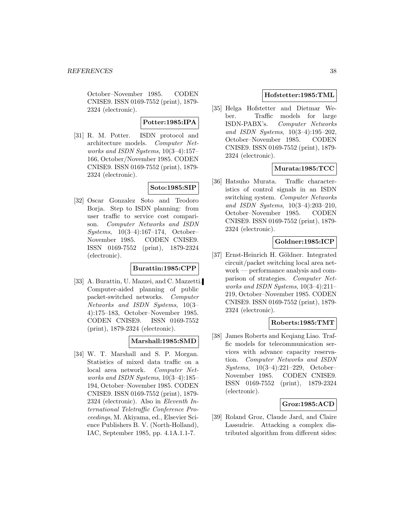October–November 1985. CODEN CNISE9. ISSN 0169-7552 (print), 1879- 2324 (electronic).

## **Potter:1985:IPA**

[31] R. M. Potter. ISDN protocol and architecture models. Computer Networks and ISDN Systems, 10(3–4):157– 166, October/November 1985. CODEN CNISE9. ISSN 0169-7552 (print), 1879- 2324 (electronic).

## **Soto:1985:SIP**

[32] Oscar Gonzalez Soto and Teodoro Borja. Step to ISDN planning: from user traffic to service cost comparison. Computer Networks and ISDN Systems, 10(3–4):167–174, October– November 1985. CODEN CNISE9. ISSN 0169-7552 (print), 1879-2324 (electronic).

### **Burattin:1985:CPP**

[33] A. Burattin, U. Mazzei, and C. Mazzetti. Computer-aided planning of public packet-switched networks. Computer Networks and ISDN Systems, 10(3– 4):175–183, October–November 1985. CODEN CNISE9. ISSN 0169-7552 (print), 1879-2324 (electronic).

# **Marshall:1985:SMD**

[34] W. T. Marshall and S. P. Morgan. Statistics of mixed data traffic on a local area network. Computer Networks and ISDN Systems, 10(3–4):185– 194, October–November 1985. CODEN CNISE9. ISSN 0169-7552 (print), 1879- 2324 (electronic). Also in Eleventh International Teletraffic Conference Proceedings, M. Akiyama, ed., Elsevier Science Publishers B. V. (North-Holland), IAC, September 1985, pp. 4.1A.1.1-7.

## **Hofstetter:1985:TML**

[35] Helga Hofstetter and Dietmar Weber. Traffic models for large ISDN-PABX's. Computer Networks and ISDN Systems, 10(3–4):195–202, October–November 1985. CODEN CNISE9. ISSN 0169-7552 (print), 1879- 2324 (electronic).

# **Murata:1985:TCC**

[36] Hatsuho Murata. Traffic characteristics of control signals in an ISDN switching system. Computer Networks and ISDN Systems, 10(3–4):203–210, October–November 1985. CODEN CNISE9. ISSN 0169-7552 (print), 1879- 2324 (electronic).

## **Goldner:1985:ICP**

[37] Ernst-Heinrich H. Göldner. Integrated circuit/packet switching local area network — performance analysis and comparison of strategies. Computer Networks and ISDN Systems, 10(3–4):211– 219, October–November 1985. CODEN CNISE9. ISSN 0169-7552 (print), 1879- 2324 (electronic).

### **Roberts:1985:TMT**

[38] James Roberts and Keqiang Liao. Traffic models for telecommunication services with advance capacity reservation. Computer Networks and ISDN Systems, 10(3–4):221–229, October– November 1985. CODEN CNISE9. ISSN 0169-7552 (print), 1879-2324 (electronic).

# **Groz:1985:ACD**

[39] Roland Groz, Claude Jard, and Claire Lassudrie. Attacking a complex distributed algorithm from different sides: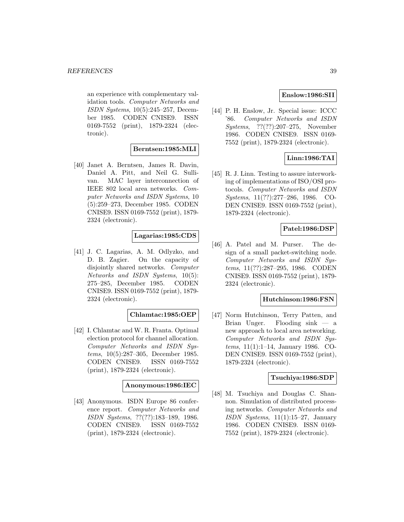an experience with complementary validation tools. Computer Networks and ISDN Systems, 10(5):245–257, December 1985. CODEN CNISE9. ISSN 0169-7552 (print), 1879-2324 (electronic).

## **Berntsen:1985:MLI**

[40] Janet A. Berntsen, James R. Davin, Daniel A. Pitt, and Neil G. Sullivan. MAC layer interconnection of IEEE 802 local area networks. Computer Networks and ISDN Systems, 10 (5):259–273, December 1985. CODEN CNISE9. ISSN 0169-7552 (print), 1879- 2324 (electronic).

## **Lagarias:1985:CDS**

[41] J. C. Lagarias, A. M. Odlyzko, and D. B. Zagier. On the capacity of disjointly shared networks. Computer Networks and ISDN Systems, 10(5): 275–285, December 1985. CODEN CNISE9. ISSN 0169-7552 (print), 1879- 2324 (electronic).

### **Chlamtac:1985:OEP**

[42] I. Chlamtac and W. R. Franta. Optimal election protocol for channel allocation. Computer Networks and ISDN Systems, 10(5):287–305, December 1985. CODEN CNISE9. ISSN 0169-7552 (print), 1879-2324 (electronic).

#### **Anonymous:1986:IEC**

[43] Anonymous. ISDN Europe 86 conference report. Computer Networks and ISDN Systems, ??(??):183–189, 1986. CODEN CNISE9. ISSN 0169-7552 (print), 1879-2324 (electronic).

### **Enslow:1986:SII**

[44] P. H. Enslow, Jr. Special issue: ICCC '86. Computer Networks and ISDN Systems, ??(??):207–275, November 1986. CODEN CNISE9. ISSN 0169- 7552 (print), 1879-2324 (electronic).

# **Linn:1986:TAI**

[45] R. J. Linn. Testing to assure interworking of implementations of ISO/OSI protocols. Computer Networks and ISDN Systems, 11(??):277–286, 1986. CO-DEN CNISE9. ISSN 0169-7552 (print), 1879-2324 (electronic).

## **Patel:1986:DSP**

[46] A. Patel and M. Purser. The design of a small packet-switching node. Computer Networks and ISDN Systems, 11(??):287–295, 1986. CODEN CNISE9. ISSN 0169-7552 (print), 1879- 2324 (electronic).

#### **Hutchinson:1986:FSN**

[47] Norm Hutchinson, Terry Patten, and Brian Unger. Flooding sink — a new approach to local area networking. Computer Networks and ISDN Systems, 11(1):1–14, January 1986. CO-DEN CNISE9. ISSN 0169-7552 (print), 1879-2324 (electronic).

### **Tsuchiya:1986:SDP**

[48] M. Tsuchiya and Douglas C. Shannon. Simulation of distributed processing networks. Computer Networks and ISDN Systems,  $11(1):15-27$ , January 1986. CODEN CNISE9. ISSN 0169- 7552 (print), 1879-2324 (electronic).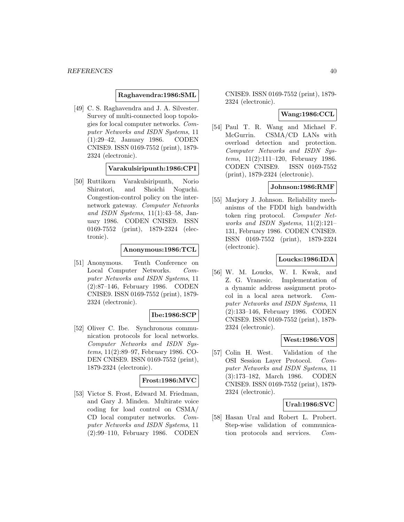#### **Raghavendra:1986:SML**

[49] C. S. Raghavendra and J. A. Silvester. Survey of multi-connected loop topologies for local computer networks. Computer Networks and ISDN Systems, 11 (1):29–42, January 1986. CODEN CNISE9. ISSN 0169-7552 (print), 1879- 2324 (electronic).

**Varakulsiripunth:1986:CPI**

[50] Ruttikorn Varakulsiripunth, Norio Shiratori, and Shoichi Noguchi. Congestion-control policy on the internetwork gateway. Computer Networks and ISDN Systems, 11(1):43–58, January 1986. CODEN CNISE9. ISSN 0169-7552 (print), 1879-2324 (electronic).

#### **Anonymous:1986:TCL**

[51] Anonymous. Tenth Conference on Local Computer Networks. Computer Networks and ISDN Systems, 11 (2):87–146, February 1986. CODEN CNISE9. ISSN 0169-7552 (print), 1879- 2324 (electronic).

# **Ibe:1986:SCP**

[52] Oliver C. Ibe. Synchronous communication protocols for local networks. Computer Networks and ISDN Systems, 11(2):89–97, February 1986. CO-DEN CNISE9. ISSN 0169-7552 (print), 1879-2324 (electronic).

### **Frost:1986:MVC**

[53] Victor S. Frost, Edward M. Friedman, and Gary J. Minden. Multirate voice coding for load control on CSMA/ CD local computer networks. Computer Networks and ISDN Systems, 11 (2):99–110, February 1986. CODEN

CNISE9. ISSN 0169-7552 (print), 1879- 2324 (electronic).

#### **Wang:1986:CCL**

[54] Paul T. R. Wang and Michael F. McGurrin. CSMA/CD LANs with overload detection and protection. Computer Networks and ISDN Systems, 11(2):111–120, February 1986. CODEN CNISE9. ISSN 0169-7552 (print), 1879-2324 (electronic).

#### **Johnson:1986:RMF**

[55] Marjory J. Johnson. Reliability mechanisms of the FDDI high bandwidth token ring protocol. Computer Networks and ISDN Systems, 11(2):121– 131, February 1986. CODEN CNISE9. ISSN 0169-7552 (print), 1879-2324 (electronic).

#### **Loucks:1986:IDA**

[56] W. M. Loucks, W. I. Kwak, and Z. G. Vranesic. Implementation of a dynamic address assignment protocol in a local area network. Computer Networks and ISDN Systems, 11 (2):133–146, February 1986. CODEN CNISE9. ISSN 0169-7552 (print), 1879- 2324 (electronic).

#### **West:1986:VOS**

[57] Colin H. West. Validation of the OSI Session Layer Protocol. Computer Networks and ISDN Systems, 11 (3):173–182, March 1986. CODEN CNISE9. ISSN 0169-7552 (print), 1879- 2324 (electronic).

### **Ural:1986:SVC**

[58] Hasan Ural and Robert L. Probert. Step-wise validation of communication protocols and services. Com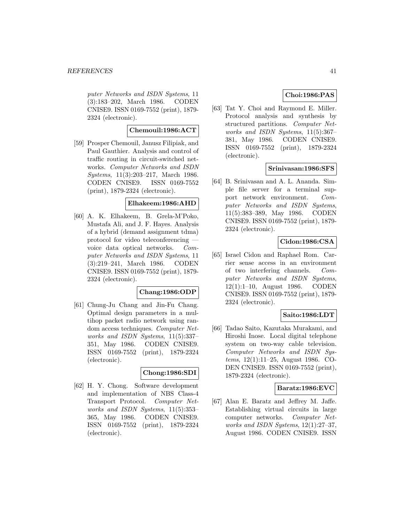puter Networks and ISDN Systems, 11 (3):183–202, March 1986. CODEN CNISE9. ISSN 0169-7552 (print), 1879- 2324 (electronic).

# **Chemouil:1986:ACT**

[59] Prosper Chemouil, Janusz Filipiak, and Paul Gauthier. Analysis and control of traffic routing in circuit-switched networks. Computer Networks and ISDN Systems, 11(3):203–217, March 1986. CODEN CNISE9. ISSN 0169-7552 (print), 1879-2324 (electronic).

### **Elhakeem:1986:AHD**

[60] A. K. Elhakeem, B. Grela-M'Poko, Mustafa Ali, and J. F. Hayes. Analysis of a hybrid (demand assignment tdma) protocol for video teleconferencing voice data optical networks. Computer Networks and ISDN Systems, 11 (3):219–241, March 1986. CODEN CNISE9. ISSN 0169-7552 (print), 1879- 2324 (electronic).

### **Chang:1986:ODP**

[61] Chung-Ju Chang and Jin-Fu Chang. Optimal design parameters in a multihop packet radio network using random access techniques. Computer Networks and ISDN Systems, 11(5):337– 351, May 1986. CODEN CNISE9. ISSN 0169-7552 (print), 1879-2324 (electronic).

### **Chong:1986:SDI**

[62] H. Y. Chong. Software development and implementation of NBS Class-4 Transport Protocol. Computer Networks and ISDN Systems, 11(5):353– 365, May 1986. CODEN CNISE9. ISSN 0169-7552 (print), 1879-2324 (electronic).

# **Choi:1986:PAS**

[63] Tat Y. Choi and Raymond E. Miller. Protocol analysis and synthesis by structured partitions. Computer Networks and ISDN Systems, 11(5):367– 381, May 1986. CODEN CNISE9. ISSN 0169-7552 (print), 1879-2324 (electronic).

### **Srinivasan:1986:SFS**

[64] B. Srinivasan and A. L. Ananda. Simple file server for a terminal support network environment. Computer Networks and ISDN Systems, 11(5):383–389, May 1986. CODEN CNISE9. ISSN 0169-7552 (print), 1879- 2324 (electronic).

# **Cidon:1986:CSA**

[65] Israel Cidon and Raphael Rom. Carrier sense access in an environment of two interfering channels. Computer Networks and ISDN Systems, 12(1):1–10, August 1986. CODEN CNISE9. ISSN 0169-7552 (print), 1879- 2324 (electronic).

# **Saito:1986:LDT**

[66] Tadao Saito, Kazutaka Murakami, and Hiroshi Inose. Local digital telephone system on two-way cable television. Computer Networks and ISDN Systems, 12(1):11–25, August 1986. CO-DEN CNISE9. ISSN 0169-7552 (print), 1879-2324 (electronic).

### **Baratz:1986:EVC**

[67] Alan E. Baratz and Jeffrey M. Jaffe. Establishing virtual circuits in large computer networks. Computer Networks and ISDN Systems, 12(1):27–37, August 1986. CODEN CNISE9. ISSN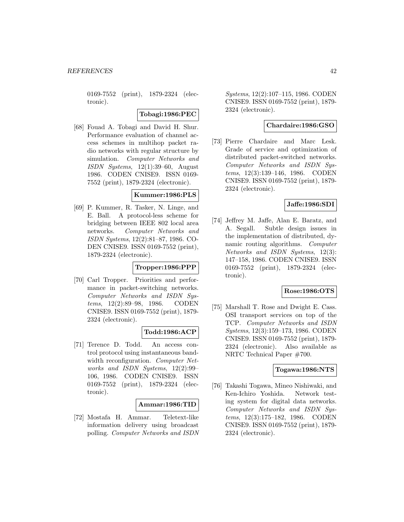0169-7552 (print), 1879-2324 (electronic).

**Tobagi:1986:PEC**

[68] Fouad A. Tobagi and David H. Shur. Performance evaluation of channel access schemes in multihop packet radio networks with regular structure by simulation. Computer Networks and ISDN Systems,  $12(1):39-60$ , August 1986. CODEN CNISE9. ISSN 0169- 7552 (print), 1879-2324 (electronic).

#### **Kummer:1986:PLS**

[69] P. Kummer, R. Tasker, N. Linge, and E. Ball. A protocol-less scheme for bridging between IEEE 802 local area networks. Computer Networks and ISDN Systems, 12(2):81–87, 1986. CO-DEN CNISE9. ISSN 0169-7552 (print), 1879-2324 (electronic).

#### **Tropper:1986:PPP**

[70] Carl Tropper. Priorities and performance in packet-switching networks. Computer Networks and ISDN Systems, 12(2):89–98, 1986. CODEN CNISE9. ISSN 0169-7552 (print), 1879- 2324 (electronic).

#### **Todd:1986:ACP**

[71] Terence D. Todd. An access control protocol using instantaneous bandwidth reconfiguration. Computer Networks and ISDN Systems, 12(2):99– 106, 1986. CODEN CNISE9. ISSN 0169-7552 (print), 1879-2324 (electronic).

### **Ammar:1986:TID**

[72] Mostafa H. Ammar. Teletext-like information delivery using broadcast polling. Computer Networks and ISDN

Systems, 12(2):107–115, 1986. CODEN CNISE9. ISSN 0169-7552 (print), 1879- 2324 (electronic).

### **Chardaire:1986:GSO**

[73] Pierre Chardaire and Marc Lesk. Grade of service and optimization of distributed packet-switched networks. Computer Networks and ISDN Systems, 12(3):139–146, 1986. CODEN CNISE9. ISSN 0169-7552 (print), 1879- 2324 (electronic).

#### **Jaffe:1986:SDI**

[74] Jeffrey M. Jaffe, Alan E. Baratz, and A. Segall. Subtle design issues in the implementation of distributed, dynamic routing algorithms. Computer Networks and ISDN Systems, 12(3): 147–158, 1986. CODEN CNISE9. ISSN 0169-7552 (print), 1879-2324 (electronic).

#### **Rose:1986:OTS**

[75] Marshall T. Rose and Dwight E. Cass. OSI transport services on top of the TCP. Computer Networks and ISDN Systems, 12(3):159–173, 1986. CODEN CNISE9. ISSN 0169-7552 (print), 1879- 2324 (electronic). Also available as NRTC Technical Paper #700.

#### **Togawa:1986:NTS**

[76] Takashi Togawa, Mineo Nishiwaki, and Ken-Ichiro Yoshida. Network testing system for digital data networks. Computer Networks and ISDN Systems, 12(3):175–182, 1986. CODEN CNISE9. ISSN 0169-7552 (print), 1879- 2324 (electronic).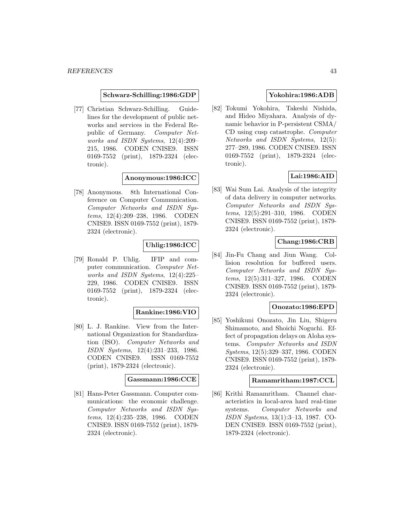#### **Schwarz-Schilling:1986:GDP**

[77] Christian Schwarz-Schilling. Guidelines for the development of public networks and services in the Federal Republic of Germany. Computer Networks and ISDN Systems, 12(4):209– 215, 1986. CODEN CNISE9. ISSN 0169-7552 (print), 1879-2324 (electronic).

#### **Anonymous:1986:ICC**

[78] Anonymous. 8th International Conference on Computer Communication. Computer Networks and ISDN Systems, 12(4):209–238, 1986. CODEN CNISE9. ISSN 0169-7552 (print), 1879- 2324 (electronic).

### **Uhlig:1986:ICC**

[79] Ronald P. Uhlig. IFIP and computer communication. Computer Networks and ISDN Systems, 12(4):225– 229, 1986. CODEN CNISE9. ISSN 0169-7552 (print), 1879-2324 (electronic).

#### **Rankine:1986:VIO**

[80] L. J. Rankine. View from the International Organization for Standardization (ISO). Computer Networks and ISDN Systems, 12(4):231–233, 1986. CODEN CNISE9. ISSN 0169-7552 (print), 1879-2324 (electronic).

#### **Gassmann:1986:CCE**

[81] Hans-Peter Gassmann. Computer communications: the economic challenge. Computer Networks and ISDN Systems, 12(4):235–238, 1986. CODEN CNISE9. ISSN 0169-7552 (print), 1879- 2324 (electronic).

#### **Yokohira:1986:ADB**

[82] Tokumi Yokohira, Takeshi Nishida, and Hideo Miyahara. Analysis of dynamic behavior in P-persistent CSMA/ CD using cusp catastrophe. Computer Networks and ISDN Systems, 12(5): 277–289, 1986. CODEN CNISE9. ISSN 0169-7552 (print), 1879-2324 (electronic).

## **Lai:1986:AID**

[83] Wai Sum Lai. Analysis of the integrity of data delivery in computer networks. Computer Networks and ISDN Systems, 12(5):291–310, 1986. CODEN CNISE9. ISSN 0169-7552 (print), 1879- 2324 (electronic).

# **Chang:1986:CRB**

[84] Jin-Fu Chang and Jiun Wang. Collision resolution for buffered users. Computer Networks and ISDN Systems, 12(5):311–327, 1986. CODEN CNISE9. ISSN 0169-7552 (print), 1879- 2324 (electronic).

#### **Onozato:1986:EPD**

[85] Yoshikuni Onozato, Jin Liu, Shigeru Shimamoto, and Shoichi Noguchi. Effect of propagation delays on Aloha systems. Computer Networks and ISDN Systems, 12(5):329–337, 1986. CODEN CNISE9. ISSN 0169-7552 (print), 1879- 2324 (electronic).

### **Ramamritham:1987:CCL**

[86] Krithi Ramamritham. Channel characteristics in local-area hard real-time systems. Computer Networks and ISDN Systems, 13(1):3–13, 1987. CO-DEN CNISE9. ISSN 0169-7552 (print), 1879-2324 (electronic).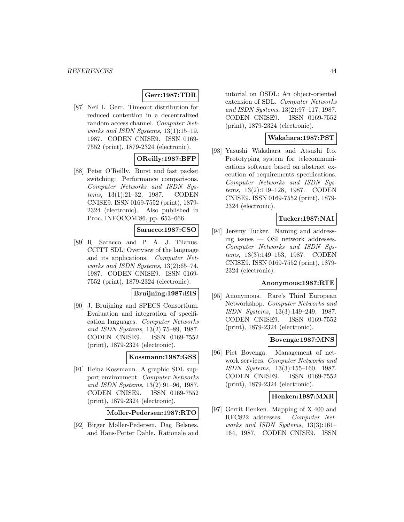### **Gerr:1987:TDR**

[87] Neil L. Gerr. Timeout distribution for reduced contention in a decentralized random access channel. Computer Networks and ISDN Systems, 13(1):15–19, 1987. CODEN CNISE9. ISSN 0169- 7552 (print), 1879-2324 (electronic).

# **OReilly:1987:BFP**

[88] Peter O'Reilly. Burst and fast packet switching: Performance comparisons. Computer Networks and ISDN Systems, 13(1):21–32, 1987. CODEN CNISE9. ISSN 0169-7552 (print), 1879- 2324 (electronic). Also published in Proc. INFOCOM'86, pp. 653–666.

### **Saracco:1987:CSO**

[89] R. Saracco and P. A. J. Tilanus. CCITT SDL: Overview of the language and its applications. Computer Networks and ISDN Systems, 13(2):65–74, 1987. CODEN CNISE9. ISSN 0169- 7552 (print), 1879-2324 (electronic).

## **Bruijning:1987:EIS**

[90] J. Bruijning and SPECS Consortium. Evaluation and integration of specification languages. Computer Networks and ISDN Systems, 13(2):75–89, 1987. CODEN CNISE9. ISSN 0169-7552 (print), 1879-2324 (electronic).

#### **Kossmann:1987:GSS**

[91] Heinz Kossmann. A graphic SDL support environment. Computer Networks and ISDN Systems, 13(2):91–96, 1987. CODEN CNISE9. ISSN 0169-7552 (print), 1879-2324 (electronic).

**Moller-Pedersen:1987:RTO**

[92] Birger Møller-Pedersen, Dag Belsnes, and Hans-Petter Dahle. Rationale and tutorial on OSDL: An object-oriented extension of SDL. Computer Networks and ISDN Systems, 13(2):97–117, 1987. CODEN CNISE9. ISSN 0169-7552 (print), 1879-2324 (electronic).

### **Wakahara:1987:PST**

[93] Yasushi Wakahara and Atsushi Ito. Prototyping system for telecommunications software based on abstract execution of requirements specifications. Computer Networks and ISDN Systems, 13(2):119–128, 1987. CODEN CNISE9. ISSN 0169-7552 (print), 1879- 2324 (electronic).

### **Tucker:1987:NAI**

[94] Jeremy Tucker. Naming and addressing issues — OSI network addresses. Computer Networks and ISDN Systems, 13(3):149–153, 1987. CODEN CNISE9. ISSN 0169-7552 (print), 1879- 2324 (electronic).

#### **Anonymous:1987:RTE**

[95] Anonymous. Rare's Third European Networkshop. Computer Networks and ISDN Systems, 13(3):149–249, 1987. CODEN CNISE9. ISSN 0169-7552 (print), 1879-2324 (electronic).

#### **Bovenga:1987:MNS**

[96] Piet Bovenga. Management of network services. Computer Networks and ISDN Systems, 13(3):155–160, 1987. CODEN CNISE9. ISSN 0169-7552 (print), 1879-2324 (electronic).

#### **Henken:1987:MXR**

[97] Gerrit Henken. Mapping of X.400 and RFC822 addresses. Computer Networks and ISDN Systems, 13(3):161– 164, 1987. CODEN CNISE9. ISSN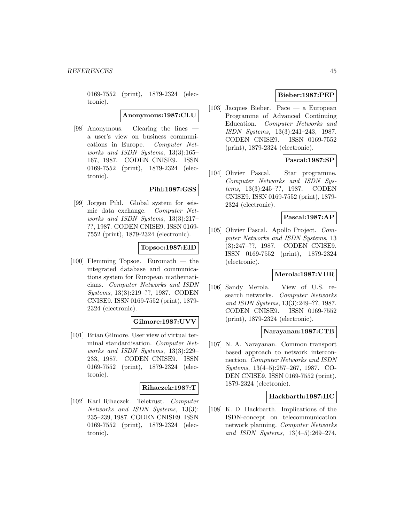0169-7552 (print), 1879-2324 (electronic).

**Anonymous:1987:CLU**

[98] Anonymous. Clearing the lines a user's view on business communications in Europe. Computer Networks and ISDN Systems, 13(3):165– 167, 1987. CODEN CNISE9. ISSN 0169-7552 (print), 1879-2324 (electronic).

# **Pihl:1987:GSS**

[99] Jorgen Pihl. Global system for seismic data exchange. Computer Networks and ISDN Systems, 13(3):217– ??, 1987. CODEN CNISE9. ISSN 0169- 7552 (print), 1879-2324 (electronic).

### **Topsoe:1987:EID**

[100] Flemming Topsoe. Euromath — the integrated database and communications system for European mathematicians. Computer Networks and ISDN Systems, 13(3):219–??, 1987. CODEN CNISE9. ISSN 0169-7552 (print), 1879- 2324 (electronic).

### **Gilmore:1987:UVV**

[101] Brian Gilmore. User view of virtual terminal standardisation. Computer Networks and ISDN Systems, 13(3):229– 233, 1987. CODEN CNISE9. ISSN 0169-7552 (print), 1879-2324 (electronic).

### **Rihaczek:1987:T**

[102] Karl Rihaczek. Teletrust. Computer Networks and ISDN Systems, 13(3): 235–239, 1987. CODEN CNISE9. ISSN 0169-7552 (print), 1879-2324 (electronic).

## **Bieber:1987:PEP**

[103] Jacques Bieber. Pace — a European Programme of Advanced Continuing Education. Computer Networks and ISDN Systems, 13(3):241–243, 1987. CODEN CNISE9. ISSN 0169-7552 (print), 1879-2324 (electronic).

## **Pascal:1987:SP**

[104] Olivier Pascal. Star programme. Computer Networks and ISDN Systems, 13(3):245–??, 1987. CODEN CNISE9. ISSN 0169-7552 (print), 1879- 2324 (electronic).

#### **Pascal:1987:AP**

[105] Olivier Pascal. Apollo Project. Computer Networks and ISDN Systems, 13 (3):247–??, 1987. CODEN CNISE9. ISSN 0169-7552 (print), 1879-2324 (electronic).

### **Merola:1987:VUR**

[106] Sandy Merola. View of U.S. research networks. Computer Networks and ISDN Systems, 13(3):249–??, 1987. CODEN CNISE9. ISSN 0169-7552 (print), 1879-2324 (electronic).

#### **Narayanan:1987:CTB**

[107] N. A. Narayanan. Common transport based approach to network interconnection. Computer Networks and ISDN Systems, 13(4–5):257–267, 1987. CO-DEN CNISE9. ISSN 0169-7552 (print), 1879-2324 (electronic).

#### **Hackbarth:1987:IIC**

[108] K. D. Hackbarth. Implications of the ISDN-concept on telecommunication network planning. Computer Networks and ISDN Systems, 13(4–5):269–274,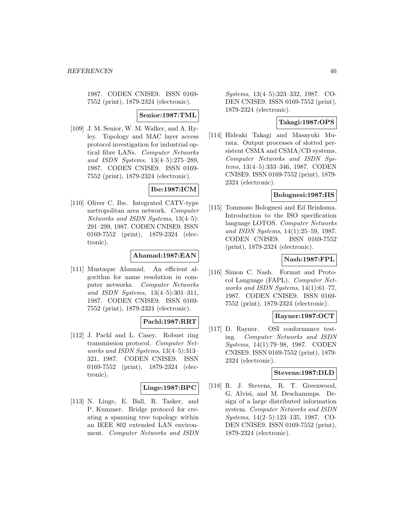1987. CODEN CNISE9. ISSN 0169- 7552 (print), 1879-2324 (electronic).

### **Senior:1987:TML**

[109] J. M. Senior, W. M. Walker, and A. Ryley. Topology and MAC layer access protocol investigation for industrial optical fibre LANs. Computer Networks and ISDN Systems, 13(4–5):275–289, 1987. CODEN CNISE9. ISSN 0169- 7552 (print), 1879-2324 (electronic).

# **Ibe:1987:ICM**

[110] Oliver C. Ibe. Integrated CATV-type metropolitan area network. Computer Networks and ISDN Systems, 13(4–5): 291–299, 1987. CODEN CNISE9. ISSN 0169-7552 (print), 1879-2324 (electronic).

## **Ahamad:1987:EAN**

[111] Mustaque Ahamad. An efficient algorithm for name resolution in computer networks. Computer Networks and ISDN Systems, 13(4–5):301–311, 1987. CODEN CNISE9. ISSN 0169- 7552 (print), 1879-2324 (electronic).

# **Pachl:1987:RRT**

[112] J. Pachl and L. Casey. Robust ring transmission protocol. Computer Networks and ISDN Systems, 13(4–5):313– 321, 1987. CODEN CNISE9. ISSN 0169-7552 (print), 1879-2324 (electronic).

# **Linge:1987:BPC**

[113] N. Linge, E. Ball, R. Tasker, and P. Kummer. Bridge protocol for creating a spanning tree topology within an IEEE 802 extended LAN environment. Computer Networks and ISDN

Systems, 13(4–5):323–332, 1987. CO-DEN CNISE9. ISSN 0169-7552 (print), 1879-2324 (electronic).

# **Takagi:1987:OPS**

[114] Hideaki Takagi and Masayuki Murata. Output processes of slotted persistent CSMA and CSMA/CD systems. Computer Networks and ISDN Systems, 13(4–5):333–346, 1987. CODEN CNISE9. ISSN 0169-7552 (print), 1879- 2324 (electronic).

### **Bolognesi:1987:IIS**

[115] Tommaso Bolognesi and Ed Brinksma. Introduction to the ISO specification language LOTOS. Computer Networks and ISDN Systems, 14(1):25–59, 1987. CODEN CNISE9. ISSN 0169-7552 (print), 1879-2324 (electronic).

# **Nash:1987:FPL**

[116] Simon C. Nash. Format and Protocol Language (FAPL). Computer Networks and ISDN Systems, 14(1):61–77, 1987. CODEN CNISE9. ISSN 0169- 7552 (print), 1879-2324 (electronic).

### **Rayner:1987:OCT**

[117] D. Rayner. OSI conformance testing. Computer Networks and ISDN Systems, 14(1):79–98, 1987. CODEN CNISE9. ISSN 0169-7552 (print), 1879- 2324 (electronic).

#### **Stevens:1987:DLD**

[118] R. J. Stevens, R. T. Greenwood, G. Alvisi, and M. Deschammps. Design of a large distributed information system. Computer Networks and ISDN Systems, 14(2–5):123–135, 1987. CO-DEN CNISE9. ISSN 0169-7552 (print), 1879-2324 (electronic).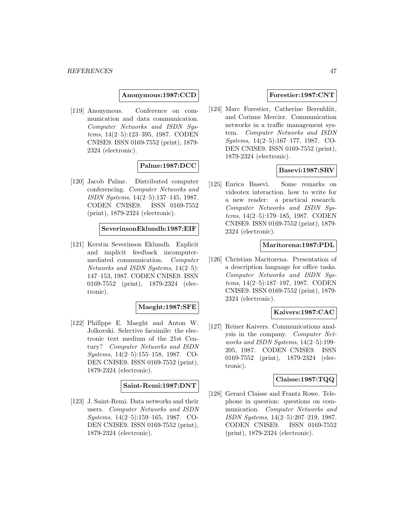**Anonymous:1987:CCD**

[119] Anonymous. Conference on communication and data communication. Computer Networks and ISDN Systems, 14(2–5):123–395, 1987. CODEN CNISE9. ISSN 0169-7552 (print), 1879- 2324 (electronic).

# **Palme:1987:DCC**

[120] Jacob Palme. Distributed computer conferencing. Computer Networks and ISDN Systems, 14(2–5):137–145, 1987. CODEN CNISE9. ISSN 0169-7552 (print), 1879-2324 (electronic).

# **SeverinsonEklundh:1987:EIF**

[121] Kerstin Severinson Eklundh. Explicit and implicit feedback incomputermediated communication. Computer Networks and ISDN Systems, 14(2–5): 147–153, 1987. CODEN CNISE9. ISSN 0169-7552 (print), 1879-2324 (electronic).

### **Maeght:1987:SFE**

[122] Phillppe E. Maeght and Anton W. Jolkovski. Selective facsimile: the electronic text medium of the 21st Century? Computer Networks and ISDN Systems, 14(2–5):155–158, 1987. CO-DEN CNISE9. ISSN 0169-7552 (print), 1879-2324 (electronic).

### **Saint-Remi:1987:DNT**

[123] J. Saint-Remi. Data networks and their users. Computer Networks and ISDN Systems, 14(2–5):159–165, 1987. CO-DEN CNISE9. ISSN 0169-7552 (print), 1879-2324 (electronic).

### **Forestier:1987:CNT**

[124] Marc Forestier, Catherine Berenbliit, and Corinne Mercier. Communication networks in a traffic management system. Computer Networks and ISDN Systems, 14(2–5):167–177, 1987. CO-DEN CNISE9. ISSN 0169-7552 (print), 1879-2324 (electronic).

### **Basevi:1987:SRV**

[125] Enrica Basevi. Some remarks on videotex interaction. how to write for a new reader: a practical research. Computer Networks and ISDN Systems, 14(2–5):179–185, 1987. CODEN CNISE9. ISSN 0169-7552 (print), 1879- 2324 (electronic).

#### **Maritorena:1987:PDL**

[126] Christian Maritorena. Presentation of a description language for office tasks. Computer Networks and ISDN Systems, 14(2–5):187–197, 1987. CODEN CNISE9. ISSN 0169-7552 (print), 1879- 2324 (electronic).

### **Kaivers:1987:CAC**

[127] Reiner Kaivers. Communications analysis in the company. Computer Networks and ISDN Systems, 14(2–5):199– 205, 1987. CODEN CNISE9. ISSN 0169-7552 (print), 1879-2324 (electronic).

## **Claisse:1987:TQQ**

[128] Gerard Claisse and Frantz Rowe. Telephone in question: questions on communication. Computer Networks and ISDN Systems, 14(2–5):207–219, 1987. CODEN CNISE9. ISSN 0169-7552 (print), 1879-2324 (electronic).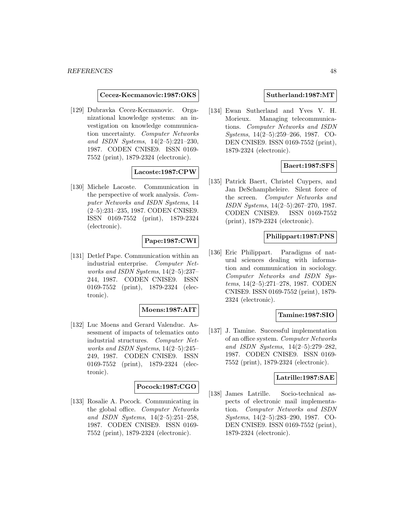#### **Cecez-Kecmanovic:1987:OKS**

[129] Dubravka Cecez-Kecmanovic. Organizational knowledge systems: an investigation on knowledge communication uncertainty. Computer Networks and ISDN Systems, 14(2–5):221–230, 1987. CODEN CNISE9. ISSN 0169- 7552 (print), 1879-2324 (electronic).

#### **Lacoste:1987:CPW**

[130] Michele Lacoste. Communication in the perspective of work analysis. Computer Networks and ISDN Systems, 14 (2–5):231–235, 1987. CODEN CNISE9. ISSN 0169-7552 (print), 1879-2324 (electronic).

## **Pape:1987:CWI**

[131] Detlef Pape. Communication within an industrial enterprise. Computer Networks and ISDN Systems, 14(2–5):237– 244, 1987. CODEN CNISE9. ISSN 0169-7552 (print), 1879-2324 (electronic).

#### **Moens:1987:AIT**

[132] Luc Moens and Gerard Valenduc. Assessment of impacts of telematics onto industrial structures. Computer Networks and ISDN Systems, 14(2–5):245– 249, 1987. CODEN CNISE9. ISSN 0169-7552 (print), 1879-2324 (electronic).

### **Pocock:1987:CGO**

[133] Rosalie A. Pocock. Communicating in the global office. Computer Networks and ISDN Systems, 14(2–5):251–258, 1987. CODEN CNISE9. ISSN 0169- 7552 (print), 1879-2324 (electronic).

#### **Sutherland:1987:MT**

[134] Ewan Sutherland and Yves V. H. Morieux. Managing telecommunications. Computer Networks and ISDN Systems, 14(2–5):259–266, 1987. CO-DEN CNISE9. ISSN 0169-7552 (print), 1879-2324 (electronic).

### **Baert:1987:SFS**

[135] Patrick Baert, Christel Cuypers, and Jan DeSchampheleire. Silent force of the screen. Computer Networks and ISDN Systems, 14(2–5):267–270, 1987. CODEN CNISE9. ISSN 0169-7552 (print), 1879-2324 (electronic).

#### **Philippart:1987:PNS**

[136] Eric Philippart. Paradigms of natural sciences dealing with information and communication in sociology. Computer Networks and ISDN Systems, 14(2–5):271–278, 1987. CODEN CNISE9. ISSN 0169-7552 (print), 1879- 2324 (electronic).

### **Tamine:1987:SIO**

[137] J. Tamine. Successful implementation of an office system. Computer Networks and ISDN Systems, 14(2–5):279–282, 1987. CODEN CNISE9. ISSN 0169- 7552 (print), 1879-2324 (electronic).

#### **Latrille:1987:SAE**

[138] James Latrille. Socio-technical aspects of electronic mail implementation. Computer Networks and ISDN Systems, 14(2–5):283–290, 1987. CO-DEN CNISE9. ISSN 0169-7552 (print), 1879-2324 (electronic).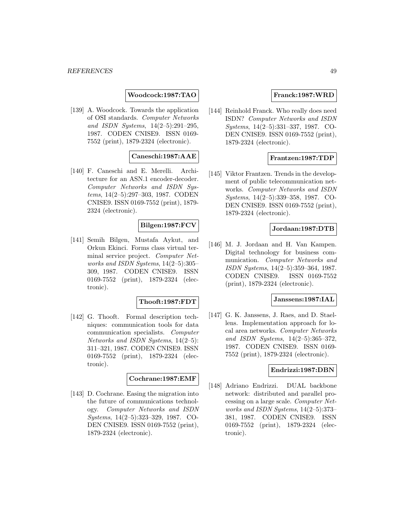**Woodcock:1987:TAO**

[139] A. Woodcock. Towards the application of OSI standards. Computer Networks and ISDN Systems, 14(2–5):291–295, 1987. CODEN CNISE9. ISSN 0169- 7552 (print), 1879-2324 (electronic).

## **Caneschi:1987:AAE**

[140] F. Caneschi and E. Merelli. Architecture for an ASN.1 encoder-decoder. Computer Networks and ISDN Systems, 14(2–5):297–303, 1987. CODEN CNISE9. ISSN 0169-7552 (print), 1879- 2324 (electronic).

# **Bilgen:1987:FCV**

[141] Semih Bilgen, Mustafa Aykut, and Orkun Ekinci. Forms class virtual terminal service project. Computer Networks and ISDN Systems, 14(2–5):305– 309, 1987. CODEN CNISE9. ISSN 0169-7552 (print), 1879-2324 (electronic).

### **Thooft:1987:FDT**

[142] G. Thooft. Formal description techniques: communication tools for data communication specialists. Computer Networks and ISDN Systems, 14(2–5): 311–321, 1987. CODEN CNISE9. ISSN 0169-7552 (print), 1879-2324 (electronic).

#### **Cochrane:1987:EMF**

[143] D. Cochrane. Easing the migration into the future of communications technology. Computer Networks and ISDN Systems, 14(2–5):323–329, 1987. CO-DEN CNISE9. ISSN 0169-7552 (print), 1879-2324 (electronic).

### **Franck:1987:WRD**

[144] Reinhold Franck. Who really does need ISDN? Computer Networks and ISDN Systems, 14(2–5):331–337, 1987. CO-DEN CNISE9. ISSN 0169-7552 (print), 1879-2324 (electronic).

#### **Frantzen:1987:TDP**

[145] Viktor Frantzen. Trends in the development of public telecommunication networks. Computer Networks and ISDN Systems, 14(2–5):339–358, 1987. CO-DEN CNISE9. ISSN 0169-7552 (print), 1879-2324 (electronic).

### **Jordaan:1987:DTB**

[146] M. J. Jordaan and H. Van Kampen. Digital technology for business communication. Computer Networks and ISDN Systems, 14(2–5):359–364, 1987. CODEN CNISE9. ISSN 0169-7552 (print), 1879-2324 (electronic).

### **Janssens:1987:IAL**

[147] G. K. Janssens, J. Raes, and D. Staellens. Implementation approach for local area networks. Computer Networks and ISDN Systems, 14(2–5):365–372, 1987. CODEN CNISE9. ISSN 0169- 7552 (print), 1879-2324 (electronic).

#### **Endrizzi:1987:DBN**

[148] Adriano Endrizzi. DUAL backbone network: distributed and parallel processing on a large scale. Computer Networks and ISDN Systems, 14(2–5):373– 381, 1987. CODEN CNISE9. ISSN 0169-7552 (print), 1879-2324 (electronic).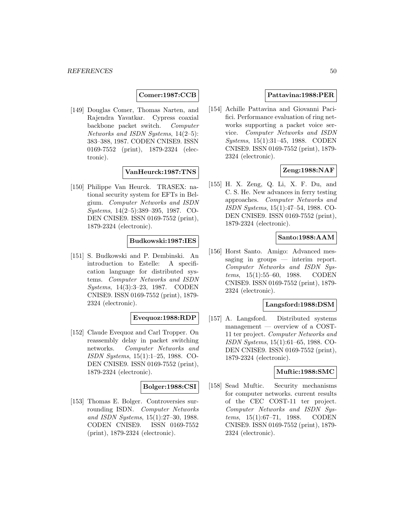## **Comer:1987:CCB**

[149] Douglas Comer, Thomas Narten, and Rajendra Yavatkar. Cypress coaxial backbone packet switch. Computer Networks and ISDN Systems, 14(2–5): 383–388, 1987. CODEN CNISE9. ISSN 0169-7552 (print), 1879-2324 (electronic).

## **VanHeurck:1987:TNS**

[150] Philippe Van Heurck. TRASEX: national security system for EFTs in Belgium. Computer Networks and ISDN Systems, 14(2–5):389–395, 1987. CO-DEN CNISE9. ISSN 0169-7552 (print), 1879-2324 (electronic).

## **Budkowski:1987:IES**

[151] S. Budkowski and P. Dembinski. An introduction to Estelle: A specification language for distributed systems. Computer Networks and ISDN Systems, 14(3):3–23, 1987. CODEN CNISE9. ISSN 0169-7552 (print), 1879- 2324 (electronic).

### **Evequoz:1988:RDP**

[152] Claude Evequoz and Carl Tropper. On reassembly delay in packet switching networks. Computer Networks and ISDN Systems, 15(1):1–25, 1988. CO-DEN CNISE9. ISSN 0169-7552 (print), 1879-2324 (electronic).

#### **Bolger:1988:CSI**

[153] Thomas E. Bolger. Controversies surrounding ISDN. Computer Networks and ISDN Systems, 15(1):27–30, 1988. CODEN CNISE9. ISSN 0169-7552 (print), 1879-2324 (electronic).

## **Pattavina:1988:PER**

[154] Achille Pattavina and Giovanni Pacifici. Performance evaluation of ring networks supporting a packet voice service. Computer Networks and ISDN Systems, 15(1):31–45, 1988. CODEN CNISE9. ISSN 0169-7552 (print), 1879- 2324 (electronic).

# **Zeng:1988:NAF**

[155] H. X. Zeng, Q. Li, X. F. Du, and C. S. He. New advances in ferry testing approaches. Computer Networks and ISDN Systems, 15(1):47–54, 1988. CO-DEN CNISE9. ISSN 0169-7552 (print), 1879-2324 (electronic).

### **Santo:1988:AAM**

[156] Horst Santo. Amigo: Advanced messaging in groups — interim report. Computer Networks and ISDN Systems, 15(1):55–60, 1988. CODEN CNISE9. ISSN 0169-7552 (print), 1879- 2324 (electronic).

### **Langsford:1988:DSM**

[157] A. Langsford. Distributed systems management — overview of a COST-11 ter project. Computer Networks and ISDN Systems, 15(1):61–65, 1988. CO-DEN CNISE9. ISSN 0169-7552 (print), 1879-2324 (electronic).

#### **Muftic:1988:SMC**

[158] Sead Muftic. Security mechanisms for computer networks. current results of the CEC COST-11 ter project. Computer Networks and ISDN Systems, 15(1):67–71, 1988. CODEN CNISE9. ISSN 0169-7552 (print), 1879- 2324 (electronic).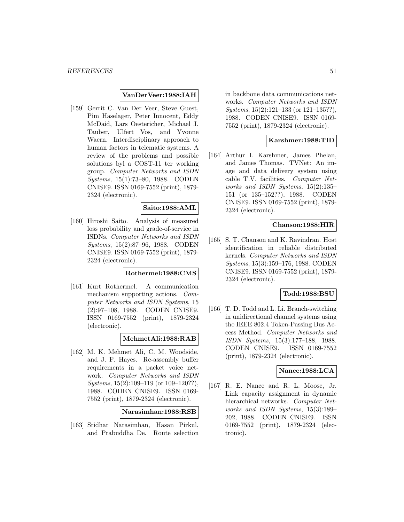### **VanDerVeer:1988:IAH**

[159] Gerrit C. Van Der Veer, Steve Guest, Pim Haselager, Peter Innocent, Eddy McDaid, Lars Oestericher, Michael J. Tauber, Ulfert Vos, and Yvonne Waern. Interdisciplinary approach to human factors in telematic systems. A review of the problems and possible solutions byl a COST-11 ter working group. Computer Networks and ISDN Systems, 15(1):73–80, 1988. CODEN CNISE9. ISSN 0169-7552 (print), 1879- 2324 (electronic).

#### **Saito:1988:AML**

[160] Hiroshi Saito. Analysis of measured loss probability and grade-of-service in ISDNs. Computer Networks and ISDN Systems, 15(2):87–96, 1988. CODEN CNISE9. ISSN 0169-7552 (print), 1879- 2324 (electronic).

### **Rothermel:1988:CMS**

[161] Kurt Rothermel. A communication mechanism supporting actions. Computer Networks and ISDN Systems, 15 (2):97–108, 1988. CODEN CNISE9. ISSN 0169-7552 (print), 1879-2324 (electronic).

**MehmetAli:1988:RAB**

[162] M. K. Mehmet Ali, C. M. Woodside, and J. F. Hayes. Re-assembly buffer requirements in a packet voice network. Computer Networks and ISDN Systems, 15(2):109-119 (or 109-120??), 1988. CODEN CNISE9. ISSN 0169- 7552 (print), 1879-2324 (electronic).

**Narasimhan:1988:RSB**

[163] Sridhar Narasimhan, Hasan Pirkul, and Prabuddha De. Route selection in backbone data communications networks. Computer Networks and ISDN Systems, 15(2):121–133 (or 121–135??), 1988. CODEN CNISE9. ISSN 0169- 7552 (print), 1879-2324 (electronic).

#### **Karshmer:1988:TID**

[164] Arthur I. Karshmer, James Phelan, and James Thomas. TVNet: An image and data delivery system using cable T.V. facilities. Computer Networks and ISDN Systems, 15(2):135– 151 (or 135–152??), 1988. CODEN CNISE9. ISSN 0169-7552 (print), 1879- 2324 (electronic).

#### **Chanson:1988:HIR**

[165] S. T. Chanson and K. Ravindran. Host identification in reliable distributed kernels. Computer Networks and ISDN Systems, 15(3):159–176, 1988. CODEN CNISE9. ISSN 0169-7552 (print), 1879- 2324 (electronic).

## **Todd:1988:BSU**

[166] T. D. Todd and L. Li. Branch-switching in unidirectional channel systems using the IEEE 802.4 Token-Passing Bus Access Method. Computer Networks and ISDN Systems, 15(3):177–188, 1988. CODEN CNISE9. ISSN 0169-7552 (print), 1879-2324 (electronic).

## **Nance:1988:LCA**

[167] R. E. Nance and R. L. Moose, Jr. Link capacity assignment in dynamic hierarchical networks. Computer Networks and ISDN Systems, 15(3):189– 202, 1988. CODEN CNISE9. ISSN 0169-7552 (print), 1879-2324 (electronic).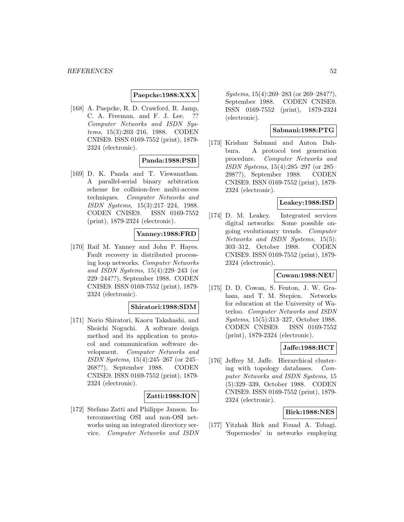### **Paepcke:1988:XXX**

[168] A. Paepcke, R. D. Crawford, R. Jamp, C. A. Freeman, and F. J. Lee. ?? Computer Networks and ISDN Systems, 15(3):203–216, 1988. CODEN CNISE9. ISSN 0169-7552 (print), 1879- 2324 (electronic).

## **Panda:1988:PSB**

[169] D. K. Panda and T. Viswanathan. A parallel-serial binary arbitration scheme for collision-free multi-access techniques. Computer Networks and ISDN Systems, 15(3):217–224, 1988. CODEN CNISE9. ISSN 0169-7552 (print), 1879-2324 (electronic).

#### **Yanney:1988:FRD**

[170] Raif M. Yanney and John P. Hayes. Fault recovery in distributed processing loop networks. Computer Networks and ISDN Systems, 15(4):229–243 (or 229–244??), September 1988. CODEN CNISE9. ISSN 0169-7552 (print), 1879- 2324 (electronic).

#### **Shiratori:1988:SDM**

[171] Norio Shiratori, Kaoru Takahashi, and Shoichi Noguchi. A software design method and its application to protocol and communication software development. Computer Networks and ISDN Systems, 15(4):245–267 (or 245– 268??), September 1988. CODEN CNISE9. ISSN 0169-7552 (print), 1879- 2324 (electronic).

### **Zatti:1988:ION**

[172] Stefano Zatti and Philippe Janson. Interconnecting OSI and non-OSI networks using an integrated directory service. Computer Networks and ISDN

Systems, 15(4):269–283 (or 269–284??), September 1988. CODEN CNISE9. ISSN 0169-7552 (print), 1879-2324 (electronic).

## **Sabnani:1988:PTG**

[173] Krishan Sabnani and Anton Dahbura. A protocol test generation procedure. Computer Networks and ISDN Systems, 15(4):285–297 (or 285– 298??), September 1988. CODEN CNISE9. ISSN 0169-7552 (print), 1879- 2324 (electronic).

# **Leakey:1988:ISD**

[174] D. M. Leakey. Integrated services digital networks: Some possible ongoing evolutionary trends. Computer Networks and ISDN Systems, 15(5): 303–312, October 1988. CODEN CNISE9. ISSN 0169-7552 (print), 1879- 2324 (electronic).

## **Cowan:1988:NEU**

[175] D. D. Cowan, S. Fenton, J. W. Graham, and T. M. Stepien. Networks for education at the University of Waterloo. Computer Networks and ISDN Systems, 15(5):313–327, October 1988. CODEN CNISE9. ISSN 0169-7552 (print), 1879-2324 (electronic).

### **Jaffe:1988:HCT**

[176] Jeffrey M. Jaffe. Hierarchical clustering with topology databases. Computer Networks and ISDN Systems, 15 (5):329–339, October 1988. CODEN CNISE9. ISSN 0169-7552 (print), 1879- 2324 (electronic).

### **Birk:1988:NES**

[177] Yitzhak Birk and Fouad A. Tobagi. 'Supernodes' in networks employing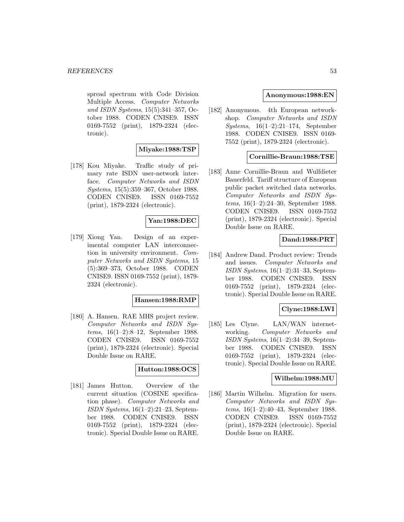spread spectrum with Code Division Multiple Access. Computer Networks and ISDN Systems, 15(5):341–357, October 1988. CODEN CNISE9. ISSN 0169-7552 (print), 1879-2324 (electronic).

## **Miyake:1988:TSP**

[178] Kou Miyake. Traffic study of primary rate ISDN user-network interface. Computer Networks and ISDN Systems, 15(5):359–367, October 1988. CODEN CNISE9. ISSN 0169-7552 (print), 1879-2324 (electronic).

## **Yan:1988:DEC**

[179] Xiong Yan. Design of an experimental computer LAN interconnection in university environment. Computer Networks and ISDN Systems, 15 (5):369–373, October 1988. CODEN CNISE9. ISSN 0169-7552 (print), 1879- 2324 (electronic).

#### **Hansen:1988:RMP**

[180] A. Hansen. RAE MHS project review. Computer Networks and ISDN Systems, 16(1–2):8–12, September 1988. CODEN CNISE9. ISSN 0169-7552 (print), 1879-2324 (electronic). Special Double Issue on RARE.

# **Hutton:1988:OCS**

[181] James Hutton. Overview of the current situation (COSINE specification phase). Computer Networks and ISDN Systems, 16(1–2):21–23, September 1988. CODEN CNISE9. ISSN 0169-7552 (print), 1879-2324 (electronic). Special Double Issue on RARE.

#### **Anonymous:1988:EN**

[182] Anonymous. 4th European networkshop. Computer Networks and ISDN Systems, 16(1–2):21–174, September 1988. CODEN CNISE9. ISSN 0169- 7552 (print), 1879-2324 (electronic).

#### **Cornillie-Braun:1988:TSE**

[183] Anne Cornillie-Braun and Wulfdieter Bauerfeld. Tariff structure of European public packet switched data networks. Computer Networks and ISDN Systems, 16(1–2):24–30, September 1988. CODEN CNISE9. ISSN 0169-7552 (print), 1879-2324 (electronic). Special Double Issue on RARE.

# **Dand:1988:PRT**

[184] Andrew Dand. Product review: Trends and issues. Computer Networks and ISDN Systems,  $16(1-2):31-33$ , September 1988. CODEN CNISE9. ISSN 0169-7552 (print), 1879-2324 (electronic). Special Double Issue on RARE.

#### **Clyne:1988:LWI**

[185] Les Clyne. LAN/WAN internetworking. Computer Networks and ISDN Systems, 16(1–2):34–39, September 1988. CODEN CNISE9. ISSN 0169-7552 (print), 1879-2324 (electronic). Special Double Issue on RARE.

#### **Wilhelm:1988:MU**

[186] Martin Wilhelm. Migration for users. Computer Networks and ISDN Systems, 16(1–2):40–43, September 1988. CODEN CNISE9. ISSN 0169-7552 (print), 1879-2324 (electronic). Special Double Issue on RARE.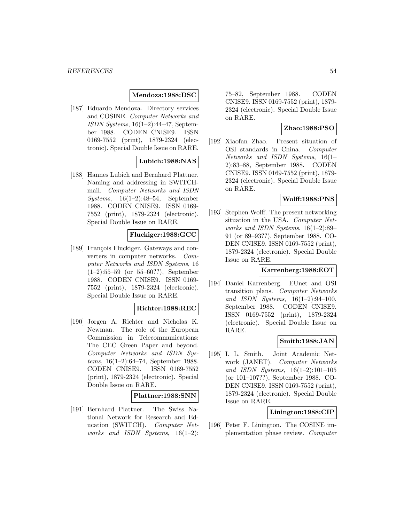#### **Mendoza:1988:DSC**

[187] Eduardo Mendoza. Directory services and COSINE. Computer Networks and ISDN Systems, 16(1–2):44–47, September 1988. CODEN CNISE9. ISSN 0169-7552 (print), 1879-2324 (electronic). Special Double Issue on RARE.

## **Lubich:1988:NAS**

[188] Hannes Lubich and Bernhard Plattner. Naming and addressing in SWITCHmail. Computer Networks and ISDN Systems, 16(1–2):48–54, September 1988. CODEN CNISE9. ISSN 0169- 7552 (print), 1879-2324 (electronic). Special Double Issue on RARE.

### **Fluckiger:1988:GCC**

[189] François Fluckiger. Gateways and converters in computer networks. Computer Networks and ISDN Systems, 16 (1–2):55–59 (or 55–60??), September 1988. CODEN CNISE9. ISSN 0169- 7552 (print), 1879-2324 (electronic). Special Double Issue on RARE.

#### **Richter:1988:REC**

[190] Jorgen A. Richter and Nicholas K. Newman. The role of the European Commission in Telecommunications: The CEC Green Paper and beyond. Computer Networks and ISDN Systems, 16(1–2):64–74, September 1988. CODEN CNISE9. ISSN 0169-7552 (print), 1879-2324 (electronic). Special Double Issue on RARE.

#### **Plattner:1988:SNN**

[191] Bernhard Plattner. The Swiss National Network for Research and Education (SWITCH). Computer Networks and ISDN Systems,  $16(1-2)$ :

75–82, September 1988. CODEN CNISE9. ISSN 0169-7552 (print), 1879- 2324 (electronic). Special Double Issue on RARE.

### **Zhao:1988:PSO**

[192] Xiaofan Zhao. Present situation of OSI standards in China. Computer Networks and ISDN Systems, 16(1– 2):83–88, September 1988. CODEN CNISE9. ISSN 0169-7552 (print), 1879- 2324 (electronic). Special Double Issue on RARE.

## **Wolff:1988:PNS**

[193] Stephen Wolff. The present networking situation in the USA. Computer Networks and ISDN Systems, 16(1–2):89– 91 (or 89–93??), September 1988. CO-DEN CNISE9. ISSN 0169-7552 (print), 1879-2324 (electronic). Special Double Issue on RARE.

#### **Karrenberg:1988:EOT**

[194] Daniel Karrenberg. EUnet and OSI transition plans. Computer Networks and ISDN Systems,  $16(1-2):94-100$ . September 1988. CODEN CNISE9. ISSN 0169-7552 (print), 1879-2324 (electronic). Special Double Issue on RARE.

### **Smith:1988:JAN**

[195] I. L. Smith. Joint Academic Network (JANET). Computer Networks and ISDN Systems, 16(1–2):101–105 (or 101–107??), September 1988. CO-DEN CNISE9. ISSN 0169-7552 (print), 1879-2324 (electronic). Special Double Issue on RARE.

#### **Linington:1988:CIP**

[196] Peter F. Linington. The COSINE implementation phase review. Computer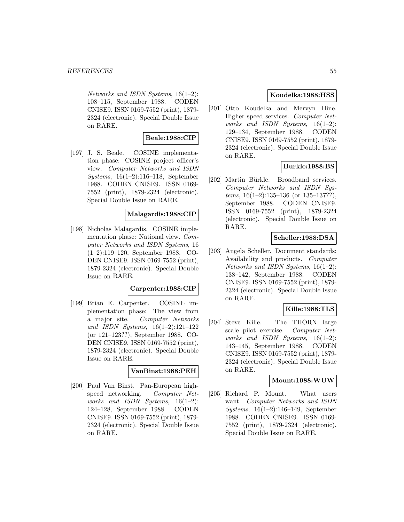Networks and ISDN Systems, 16(1–2): 108–115, September 1988. CODEN CNISE9. ISSN 0169-7552 (print), 1879- 2324 (electronic). Special Double Issue on RARE.

### **Beale:1988:CIP**

[197] J. S. Beale. COSINE implementation phase: COSINE project officer's view. Computer Networks and ISDN Systems, 16(1–2):116–118, September 1988. CODEN CNISE9. ISSN 0169- 7552 (print), 1879-2324 (electronic). Special Double Issue on RARE.

### **Malagardis:1988:CIP**

[198] Nicholas Malagardis. COSINE implementation phase: National view. Computer Networks and ISDN Systems, 16 (1–2):119–120, September 1988. CO-DEN CNISE9. ISSN 0169-7552 (print), 1879-2324 (electronic). Special Double Issue on RARE.

#### **Carpenter:1988:CIP**

[199] Brian E. Carpenter. COSINE implementation phase: The view from a major site. Computer Networks and ISDN Systems, 16(1–2):121–122 (or 121–123??), September 1988. CO-DEN CNISE9. ISSN 0169-7552 (print), 1879-2324 (electronic). Special Double Issue on RARE.

#### **VanBinst:1988:PEH**

[200] Paul Van Binst. Pan-European highspeed networking. Computer Networks and ISDN Systems,  $16(1-2)$ : 124–128, September 1988. CODEN CNISE9. ISSN 0169-7552 (print), 1879- 2324 (electronic). Special Double Issue on RARE.

### **Koudelka:1988:HSS**

[201] Otto Koudelka and Mervyn Hine. Higher speed services. Computer Networks and ISDN Systems,  $16(1-2)$ : 129–134, September 1988. CODEN CNISE9. ISSN 0169-7552 (print), 1879- 2324 (electronic). Special Double Issue on RARE.

## **Burkle:1988:BS**

[202] Martin Bürkle. Broadband services. Computer Networks and ISDN Systems,  $16(1-2):135-136$  (or  $135-137?$ ?), September 1988. CODEN CNISE9. ISSN 0169-7552 (print), 1879-2324 (electronic). Special Double Issue on RARE.

### **Scheller:1988:DSA**

[203] Angela Scheller. Document standards: Availability and products. Computer Networks and ISDN Systems, 16(1–2): 138–142, September 1988. CODEN CNISE9. ISSN 0169-7552 (print), 1879- 2324 (electronic). Special Double Issue on RARE.

### **Kille:1988:TLS**

[204] Steve Kille. The THORN large scale pilot exercise. Computer Networks and ISDN Systems,  $16(1-2)$ : 143–145, September 1988. CODEN CNISE9. ISSN 0169-7552 (print), 1879- 2324 (electronic). Special Double Issue on RARE.

### **Mount:1988:WUW**

[205] Richard P. Mount. What users want. Computer Networks and ISDN Systems, 16(1–2):146–149, September 1988. CODEN CNISE9. ISSN 0169- 7552 (print), 1879-2324 (electronic). Special Double Issue on RARE.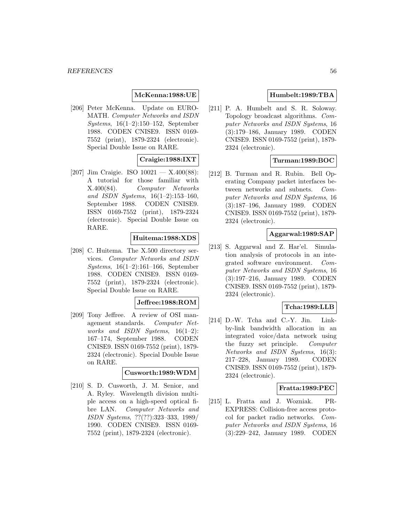### **McKenna:1988:UE**

[206] Peter McKenna. Update on EURO-MATH. Computer Networks and ISDN Systems, 16(1–2):150–152, September 1988. CODEN CNISE9. ISSN 0169- 7552 (print), 1879-2324 (electronic). Special Double Issue on RARE.

# **Craigie:1988:IXT**

[207] Jim Craigie. ISO  $10021 - X.400(88)$ : A tutorial for those familiar with X.400(84). Computer Networks and ISDN Systems, 16(1–2):153–160, September 1988. CODEN CNISE9. ISSN 0169-7552 (print), 1879-2324 (electronic). Special Double Issue on RARE.

### **Huitema:1988:XDS**

[208] C. Huitema. The X.500 directory services. Computer Networks and ISDN Systems, 16(1–2):161–166, September 1988. CODEN CNISE9. ISSN 0169- 7552 (print), 1879-2324 (electronic). Special Double Issue on RARE.

#### **Jeffree:1988:ROM**

[209] Tony Jeffree. A review of OSI management standards. Computer Networks and ISDN Systems,  $16(1-2)$ : 167–174, September 1988. CODEN CNISE9. ISSN 0169-7552 (print), 1879- 2324 (electronic). Special Double Issue on RARE.

### **Cusworth:1989:WDM**

[210] S. D. Cusworth, J. M. Senior, and A. Ryley. Wavelength division multiple access on a high-speed optical fibre LAN. Computer Networks and ISDN Systems, ??(??):323–333, 1989/ 1990. CODEN CNISE9. ISSN 0169- 7552 (print), 1879-2324 (electronic).

## **Humbelt:1989:TBA**

[211] P. A. Humbelt and S. R. Soloway. Topology broadcast algorithms. Computer Networks and ISDN Systems, 16 (3):179–186, January 1989. CODEN CNISE9. ISSN 0169-7552 (print), 1879- 2324 (electronic).

# **Turman:1989:BOC**

[212] B. Turman and R. Rubin. Bell Operating Company packet interfaces between networks and subnets. Computer Networks and ISDN Systems, 16 (3):187–196, January 1989. CODEN CNISE9. ISSN 0169-7552 (print), 1879- 2324 (electronic).

## **Aggarwal:1989:SAP**

[213] S. Aggarwal and Z. Har'el. Simulation analysis of protocols in an integrated software environment. Computer Networks and ISDN Systems, 16 (3):197–216, January 1989. CODEN CNISE9. ISSN 0169-7552 (print), 1879- 2324 (electronic).

### **Tcha:1989:LLB**

[214] D.-W. Tcha and C.-Y. Jin. Linkby-link bandwidth allocation in an integrated voice/data network using the fuzzy set principle. Computer Networks and ISDN Systems, 16(3): 217–228, January 1989. CODEN CNISE9. ISSN 0169-7552 (print), 1879- 2324 (electronic).

### **Fratta:1989:PEC**

[215] L. Fratta and J. Wozniak. PR-EXPRESS: Collision-free access protocol for packet radio networks. Computer Networks and ISDN Systems, 16 (3):229–242, January 1989. CODEN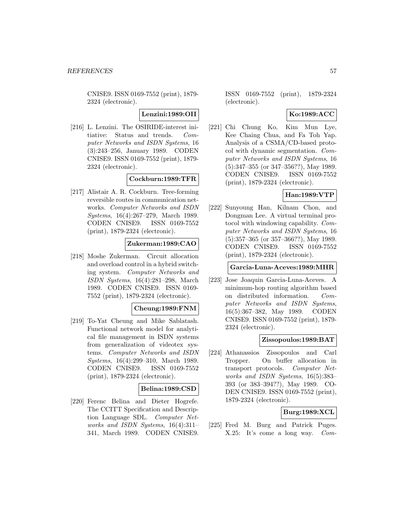CNISE9. ISSN 0169-7552 (print), 1879- 2324 (electronic).

**Lenzini:1989:OII**

[216] L. Lenzini. The OSIRIDE-interest initiative: Status and trends. Computer Networks and ISDN Systems, 16 (3):243–256, January 1989. CODEN CNISE9. ISSN 0169-7552 (print), 1879- 2324 (electronic).

### **Cockburn:1989:TFR**

[217] Alistair A. R. Cockburn. Tree-forming reversible routes in communication networks. Computer Networks and ISDN Systems, 16(4):267–279, March 1989. CODEN CNISE9. ISSN 0169-7552 (print), 1879-2324 (electronic).

### **Zukerman:1989:CAO**

[218] Moshe Zukerman. Circuit allocation and overload control in a hybrid switching system. Computer Networks and ISDN Systems, 16(4):281–298, March 1989. CODEN CNISE9. ISSN 0169- 7552 (print), 1879-2324 (electronic).

### **Cheung:1989:FNM**

[219] To-Yat Cheung and Mike Sablatash. Functional network model for analytical file management in ISDN systems from generalization of videotex systems. Computer Networks and ISDN Systems, 16(4):299–310, March 1989. CODEN CNISE9. ISSN 0169-7552 (print), 1879-2324 (electronic).

### **Belina:1989:CSD**

[220] Ferenc Belina and Dieter Hogrefe. The CCITT Specification and Description Language SDL. Computer Networks and ISDN Systems, 16(4):311– 341, March 1989. CODEN CNISE9.

ISSN 0169-7552 (print), 1879-2324 (electronic).

## **Ko:1989:ACC**

[221] Chi Chung Ko, Kim Mun Lye, Kee Chaing Chua, and Fa Toh Yap. Analysis of a CSMA/CD-based protocol with dynamic segmentation. Computer Networks and ISDN Systems, 16 (5):347–355 (or 347–356??), May 1989. CODEN CNISE9. ISSN 0169-7552 (print), 1879-2324 (electronic).

## **Han:1989:VTP**

[222] Sunyoung Han, Kilnam Chon, and Dongman Lee. A virtual terminal protocol with windowing capability. Computer Networks and ISDN Systems, 16 (5):357–365 (or 357–366??), May 1989. CODEN CNISE9. ISSN 0169-7552 (print), 1879-2324 (electronic).

#### **Garcia-Luna-Aceves:1989:MHR**

[223] Jose Joaquin Garcia-Luna-Aceves. A minimum-hop routing algorithm based on distributed information. Computer Networks and ISDN Systems, 16(5):367–382, May 1989. CODEN CNISE9. ISSN 0169-7552 (print), 1879- 2324 (electronic).

#### **Zissopoulos:1989:BAT**

[224] Athanassios Zissopoulos and Carl Tropper. On buffer allocation in transport protocols. Computer Networks and ISDN Systems, 16(5):383– 393 (or 383–394??), May 1989. CO-DEN CNISE9. ISSN 0169-7552 (print), 1879-2324 (electronic).

# **Burg:1989:XCL**

[225] Fred M. Burg and Patrick Puges. X.25: It's come a long way. Com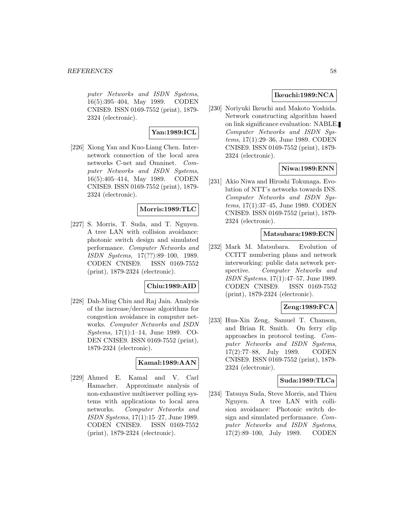puter Networks and ISDN Systems, 16(5):395–404, May 1989. CODEN CNISE9. ISSN 0169-7552 (print), 1879- 2324 (electronic).

# **Yan:1989:ICL**

[226] Xiong Yan and Kuo-Liang Chen. Internetwork connection of the local area networks C-net and Omninet. Computer Networks and ISDN Systems, 16(5):405–414, May 1989. CODEN CNISE9. ISSN 0169-7552 (print), 1879- 2324 (electronic).

## **Morris:1989:TLC**

[227] S. Morris, T. Suda, and T. Nguyen. A tree LAN with collision avoidance: photonic switch design and simulated performance. Computer Networks and ISDN Systems, 17(??):89–100, 1989. CODEN CNISE9. ISSN 0169-7552 (print), 1879-2324 (electronic).

### **Chiu:1989:AID**

[228] Dah-Ming Chiu and Raj Jain. Analysis of the increase/decrease algorithms for congestion avoidance in computer networks. Computer Networks and ISDN Systems, 17(1):1–14, June 1989. CO-DEN CNISE9. ISSN 0169-7552 (print), 1879-2324 (electronic).

# **Kamal:1989:AAN**

[229] Ahmed E. Kamal and V. Carl Hamacher. Approximate analysis of non-exhaustive multiserver polling systems with applications to local area networks. Computer Networks and ISDN Systems, 17(1):15–27, June 1989. CODEN CNISE9. ISSN 0169-7552 (print), 1879-2324 (electronic).

## **Ikeuchi:1989:NCA**

[230] Noriyuki Ikeuchi and Makoto Yoshida. Network constructing algorithm based on link significance evaluation: NABLE. Computer Networks and ISDN Systems, 17(1):29–36, June 1989. CODEN CNISE9. ISSN 0169-7552 (print), 1879- 2324 (electronic).

# **Niwa:1989:ENN**

[231] Akio Niwa and Hiroshi Tokunaga. Evolution of NTT's networks towards INS. Computer Networks and ISDN Systems, 17(1):37–45, June 1989. CODEN CNISE9. ISSN 0169-7552 (print), 1879- 2324 (electronic).

### **Matsubara:1989:ECN**

[232] Mark M. Matsubara. Evolution of CCITT numbering plans and network interworking: public data network perspective. Computer Networks and ISDN Systems, 17(1):47–57, June 1989. CODEN CNISE9. ISSN 0169-7552 (print), 1879-2324 (electronic).

### **Zeng:1989:FCA**

[233] Hua-Xin Zeng, Samuel T. Chanson, and Brian R. Smith. On ferry clip approaches in protocol testing. Computer Networks and ISDN Systems, 17(2):77–88, July 1989. CODEN CNISE9. ISSN 0169-7552 (print), 1879- 2324 (electronic).

# **Suda:1989:TLCa**

[234] Tatsuya Suda, Steve Morris, and Thieu Nguyen. A tree LAN with collision avoidance: Photonic switch design and simulated performance. Computer Networks and ISDN Systems, 17(2):89–100, July 1989. CODEN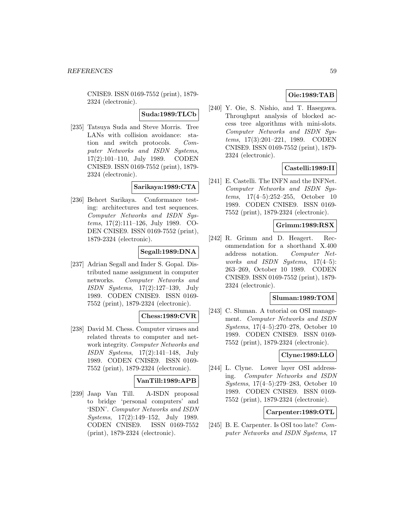CNISE9. ISSN 0169-7552 (print), 1879- 2324 (electronic).

**Suda:1989:TLCb**

[235] Tatsuya Suda and Steve Morris. Tree LANs with collision avoidance: station and switch protocols. Computer Networks and ISDN Systems, 17(2):101–110, July 1989. CODEN CNISE9. ISSN 0169-7552 (print), 1879- 2324 (electronic).

### **Sarikaya:1989:CTA**

[236] Behcet Sarikaya. Conformance testing: architectures and test sequences. Computer Networks and ISDN Systems, 17(2):111–126, July 1989. CO-DEN CNISE9. ISSN 0169-7552 (print), 1879-2324 (electronic).

### **Segall:1989:DNA**

[237] Adrian Segall and Inder S. Gopal. Distributed name assignment in computer networks. Computer Networks and ISDN Systems, 17(2):127–139, July 1989. CODEN CNISE9. ISSN 0169- 7552 (print), 1879-2324 (electronic).

### **Chess:1989:CVR**

[238] David M. Chess. Computer viruses and related threats to computer and network integrity. Computer Networks and ISDN Systems, 17(2):141–148, July 1989. CODEN CNISE9. ISSN 0169- 7552 (print), 1879-2324 (electronic).

### **VanTill:1989:APB**

[239] Jaap Van Till. A-ISDN proposal to bridge 'personal computers' and 'ISDN'. Computer Networks and ISDN Systems, 17(2):149–152, July 1989. CODEN CNISE9. ISSN 0169-7552 (print), 1879-2324 (electronic).

# **Oie:1989:TAB**

[240] Y. Oie, S. Nishio, and T. Hasegawa. Throughput analysis of blocked access tree algorithms with mini-slots. Computer Networks and ISDN Systems, 17(3):201–221, 1989. CODEN CNISE9. ISSN 0169-7552 (print), 1879- 2324 (electronic).

## **Castelli:1989:II**

[241] E. Castelli. The INFN and the INFNet. Computer Networks and ISDN Systems, 17(4–5):252–255, October 10 1989. CODEN CNISE9. ISSN 0169- 7552 (print), 1879-2324 (electronic).

## **Grimm:1989:RSX**

[242] R. Grimm and D. Heagert. Recommendation for a shorthand X.400 address notation. Computer Networks and ISDN Systems, 17(4–5): 263–269, October 10 1989. CODEN CNISE9. ISSN 0169-7552 (print), 1879- 2324 (electronic).

#### **Sluman:1989:TOM**

[243] C. Sluman. A tutorial on OSI management. Computer Networks and ISDN Systems, 17(4–5):270–278, October 10 1989. CODEN CNISE9. ISSN 0169- 7552 (print), 1879-2324 (electronic).

### **Clyne:1989:LLO**

[244] L. Clyne. Lower layer OSI addressing. Computer Networks and ISDN Systems, 17(4–5):279–283, October 10 1989. CODEN CNISE9. ISSN 0169- 7552 (print), 1879-2324 (electronic).

#### **Carpenter:1989:OTL**

[245] B. E. Carpenter. Is OSI too late? Computer Networks and ISDN Systems, 17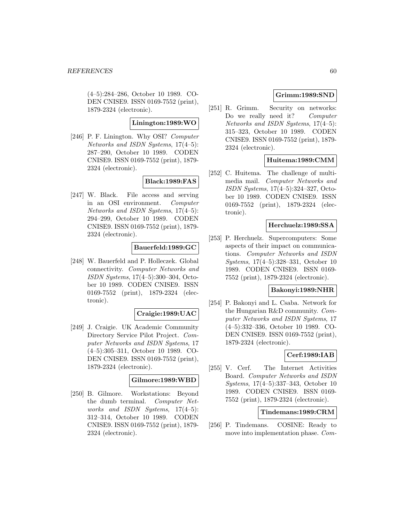(4–5):284–286, October 10 1989. CO-DEN CNISE9. ISSN 0169-7552 (print), 1879-2324 (electronic).

#### **Linington:1989:WO**

[246] P. F. Linington. Why OSI? Computer Networks and ISDN Systems, 17(4–5): 287–290, October 10 1989. CODEN CNISE9. ISSN 0169-7552 (print), 1879- 2324 (electronic).

#### **Black:1989:FAS**

[247] W. Black. File access and serving in an OSI environment. Computer Networks and ISDN Systems, 17(4–5): 294–299, October 10 1989. CODEN CNISE9. ISSN 0169-7552 (print), 1879- 2324 (electronic).

#### **Bauerfeld:1989:GC**

[248] W. Bauerfeld and P. Holleczek. Global connectivity. Computer Networks and ISDN Systems, 17(4–5):300–304, October 10 1989. CODEN CNISE9. ISSN 0169-7552 (print), 1879-2324 (electronic).

#### **Craigie:1989:UAC**

[249] J. Craigie. UK Academic Community Directory Service Pilot Project. Computer Networks and ISDN Systems, 17 (4–5):305–311, October 10 1989. CO-DEN CNISE9. ISSN 0169-7552 (print), 1879-2324 (electronic).

# **Gilmore:1989:WBD**

[250] B. Gilmore. Workstations: Beyond the dumb terminal. Computer Networks and ISDN Systems, 17(4–5): 312–314, October 10 1989. CODEN CNISE9. ISSN 0169-7552 (print), 1879- 2324 (electronic).

# **Grimm:1989:SND**

[251] R. Grimm. Security on networks: Do we really need it? Computer Networks and ISDN Systems, 17(4–5): 315–323, October 10 1989. CODEN CNISE9. ISSN 0169-7552 (print), 1879- 2324 (electronic).

# **Huitema:1989:CMM**

[252] C. Huitema. The challenge of multimedia mail. Computer Networks and ISDN Systems, 17(4–5):324–327, October 10 1989. CODEN CNISE9. ISSN 0169-7552 (print), 1879-2324 (electronic).

### **Herchuelz:1989:SSA**

[253] P. Herchuelz. Supercomputers: Some aspects of their impact on communications. Computer Networks and ISDN Systems, 17(4–5):328–331, October 10 1989. CODEN CNISE9. ISSN 0169- 7552 (print), 1879-2324 (electronic).

#### **Bakonyi:1989:NHR**

[254] P. Bakonyi and L. Csaba. Network for the Hungarian R&D community. Computer Networks and ISDN Systems, 17 (4–5):332–336, October 10 1989. CO-DEN CNISE9. ISSN 0169-7552 (print), 1879-2324 (electronic).

# **Cerf:1989:IAB**

[255] V. Cerf. The Internet Activities Board. Computer Networks and ISDN Systems, 17(4–5):337–343, October 10 1989. CODEN CNISE9. ISSN 0169- 7552 (print), 1879-2324 (electronic).

### **Tindemans:1989:CRM**

[256] P. Tindemans. COSINE: Ready to move into implementation phase. Com-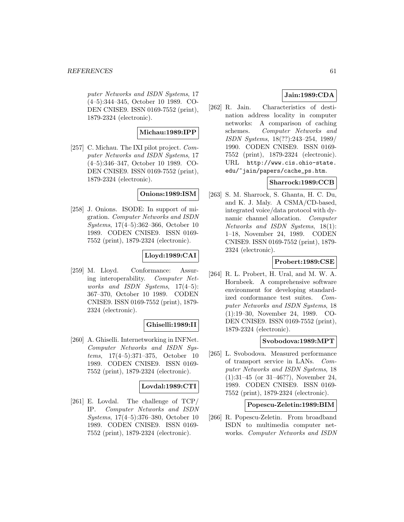puter Networks and ISDN Systems, 17 (4–5):344–345, October 10 1989. CO-DEN CNISE9. ISSN 0169-7552 (print), 1879-2324 (electronic).

# **Michau:1989:IPP**

[257] C. Michau. The IXI pilot project. Computer Networks and ISDN Systems, 17 (4–5):346–347, October 10 1989. CO-DEN CNISE9. ISSN 0169-7552 (print), 1879-2324 (electronic).

### **Onions:1989:ISM**

[258] J. Onions. ISODE: In support of migration. Computer Networks and ISDN Systems, 17(4–5):362–366, October 10 1989. CODEN CNISE9. ISSN 0169- 7552 (print), 1879-2324 (electronic).

## **Lloyd:1989:CAI**

[259] M. Lloyd. Conformance: Assuring interoperability. Computer Networks and ISDN Systems, 17(4–5): 367–370, October 10 1989. CODEN CNISE9. ISSN 0169-7552 (print), 1879- 2324 (electronic).

### **Ghiselli:1989:II**

[260] A. Ghiselli. Internetworking in INFNet. Computer Networks and ISDN Systems, 17(4–5):371–375, October 10 1989. CODEN CNISE9. ISSN 0169- 7552 (print), 1879-2324 (electronic).

### **Lovdal:1989:CTI**

[261] E. Lovdal. The challenge of TCP/ IP. Computer Networks and ISDN Systems, 17(4–5):376–380, October 10 1989. CODEN CNISE9. ISSN 0169- 7552 (print), 1879-2324 (electronic).

# **Jain:1989:CDA**

[262] R. Jain. Characteristics of destination address locality in computer networks: A comparison of caching schemes. Computer Networks and ISDN Systems, 18(??):243–254, 1989/ 1990. CODEN CNISE9. ISSN 0169- 7552 (print), 1879-2324 (electronic). URL http://www.cis.ohio-state. edu/~jain/papers/cache\_ps.htm.

## **Sharrock:1989:CCB**

[263] S. M. Sharrock, S. Ghanta, H. C. Du, and K. J. Maly. A CSMA/CD-based, integrated voice/data protocol with dynamic channel allocation. Computer Networks and ISDN Systems, 18(1): 1–18, November 24, 1989. CODEN CNISE9. ISSN 0169-7552 (print), 1879- 2324 (electronic).

# **Probert:1989:CSE**

[264] R. L. Probert, H. Ural, and M. W. A. Hornbeek. A comprehensive software environment for developing standardized conformance test suites. Computer Networks and ISDN Systems, 18 (1):19–30, November 24, 1989. CO-DEN CNISE9. ISSN 0169-7552 (print), 1879-2324 (electronic).

### **Svobodova:1989:MPT**

[265] L. Svobodova. Measured performance of transport service in LANs. Computer Networks and ISDN Systems, 18 (1):31–45 (or 31–46??), November 24, 1989. CODEN CNISE9. ISSN 0169- 7552 (print), 1879-2324 (electronic).

### **Popescu-Zeletin:1989:BIM**

[266] R. Popescu-Zeletin. From broadband ISDN to multimedia computer networks. Computer Networks and ISDN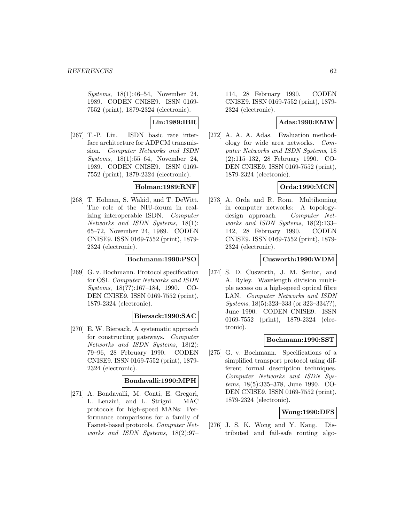Systems, 18(1):46–54, November 24, 1989. CODEN CNISE9. ISSN 0169- 7552 (print), 1879-2324 (electronic).

**Lin:1989:IBR**

[267] T.-P. Lin. ISDN basic rate interface architecture for ADPCM transmission. Computer Networks and ISDN Systems, 18(1):55–64, November 24, 1989. CODEN CNISE9. ISSN 0169- 7552 (print), 1879-2324 (electronic).

## **Holman:1989:RNF**

[268] T. Holman, S. Wakid, and T. DeWitt. The role of the NIU-forum in realizing interoperable ISDN. Computer Networks and ISDN Systems, 18(1): 65–72, November 24, 1989. CODEN CNISE9. ISSN 0169-7552 (print), 1879- 2324 (electronic).

## **Bochmann:1990:PSO**

[269] G. v. Bochmann. Protocol specification for OSI. Computer Networks and ISDN Systems, 18(??):167–184, 1990. CO-DEN CNISE9. ISSN 0169-7552 (print), 1879-2324 (electronic).

### **Biersack:1990:SAC**

[270] E. W. Biersack. A systematic approach for constructing gateways. Computer Networks and ISDN Systems, 18(2): 79–96, 28 February 1990. CODEN CNISE9. ISSN 0169-7552 (print), 1879- 2324 (electronic).

### **Bondavalli:1990:MPH**

[271] A. Bondavalli, M. Conti, E. Gregori, L. Lenzini, and L. Strigni. MAC protocols for high-speed MANs: Performance comparisons for a family of Fasnet-based protocols. Computer Networks and ISDN Systems, 18(2):97–

114, 28 February 1990. CODEN CNISE9. ISSN 0169-7552 (print), 1879- 2324 (electronic).

# **Adas:1990:EMW**

[272] A. A. A. Adas. Evaluation methodology for wide area networks. Computer Networks and ISDN Systems, 18 (2):115–132, 28 February 1990. CO-DEN CNISE9. ISSN 0169-7552 (print), 1879-2324 (electronic).

# **Orda:1990:MCN**

[273] A. Orda and R. Rom. Multihoming in computer networks: A topologydesign approach. Computer Networks and ISDN Systems, 18(2):133– 142, 28 February 1990. CODEN CNISE9. ISSN 0169-7552 (print), 1879- 2324 (electronic).

## **Cusworth:1990:WDM**

[274] S. D. Cusworth, J. M. Senior, and A. Ryley. Wavelength division multiple access on a high-speed optical fibre LAN. Computer Networks and ISDN Systems, 18(5):323–333 (or 323–334??), June 1990. CODEN CNISE9. ISSN 0169-7552 (print), 1879-2324 (electronic).

### **Bochmann:1990:SST**

[275] G. v. Bochmann. Specifications of a simplified transport protocol using different formal description techniques. Computer Networks and ISDN Systems, 18(5):335–378, June 1990. CO-DEN CNISE9. ISSN 0169-7552 (print), 1879-2324 (electronic).

# **Wong:1990:DFS**

[276] J. S. K. Wong and Y. Kang. Distributed and fail-safe routing algo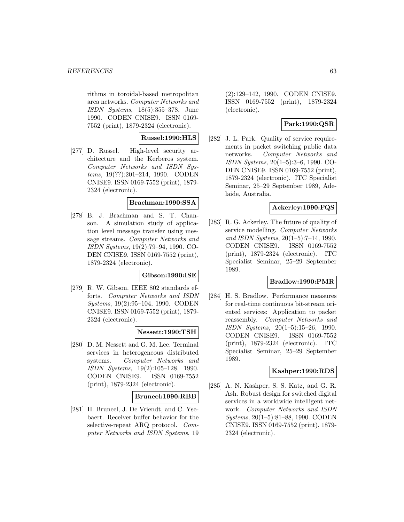rithms in toroidal-based metropolitan area networks. Computer Networks and ISDN Systems, 18(5):355–378, June 1990. CODEN CNISE9. ISSN 0169- 7552 (print), 1879-2324 (electronic).

# **Russel:1990:HLS**

[277] D. Russel. High-level security architecture and the Kerberos system. Computer Networks and ISDN Systems, 19(??):201–214, 1990. CODEN CNISE9. ISSN 0169-7552 (print), 1879- 2324 (electronic).

### **Brachman:1990:SSA**

[278] B. J. Brachman and S. T. Chanson. A simulation study of application level message transfer using message streams. Computer Networks and ISDN Systems, 19(2):79–94, 1990. CO-DEN CNISE9. ISSN 0169-7552 (print), 1879-2324 (electronic).

### **Gibson:1990:ISE**

[279] R. W. Gibson. IEEE 802 standards efforts. Computer Networks and ISDN Systems, 19(2):95–104, 1990. CODEN CNISE9. ISSN 0169-7552 (print), 1879- 2324 (electronic).

### **Nessett:1990:TSH**

[280] D. M. Nessett and G. M. Lee. Terminal services in heterogeneous distributed systems. Computer Networks and ISDN Systems, 19(2):105–128, 1990. CODEN CNISE9. ISSN 0169-7552 (print), 1879-2324 (electronic).

### **Bruneel:1990:RBB**

[281] H. Bruneel, J. De Vriendt, and C. Ysebaert. Receiver buffer behavior for the selective-repeat ARQ protocol. Computer Networks and ISDN Systems, 19

(2):129–142, 1990. CODEN CNISE9. ISSN 0169-7552 (print), 1879-2324 (electronic).

# **Park:1990:QSR**

[282] J. L. Park. Quality of service requirements in packet switching public data networks. Computer Networks and ISDN Systems, 20(1–5):3–6, 1990. CO-DEN CNISE9. ISSN 0169-7552 (print), 1879-2324 (electronic). ITC Specialist Seminar, 25–29 September 1989, Adelaide, Australia.

## **Ackerley:1990:FQS**

[283] R. G. Ackerley. The future of quality of service modelling. Computer Networks and ISDN Systems, 20(1–5):7–14, 1990. CODEN CNISE9. ISSN 0169-7552 (print), 1879-2324 (electronic). ITC Specialist Seminar, 25–29 September 1989.

### **Bradlow:1990:PMR**

[284] H. S. Bradlow. Performance measures for real-time continuous bit-stream oriented services: Application to packet reassembly. Computer Networks and ISDN Systems, 20(1–5):15–26, 1990. CODEN CNISE9. ISSN 0169-7552 (print), 1879-2324 (electronic). ITC Specialist Seminar, 25–29 September 1989.

### **Kashper:1990:RDS**

[285] A. N. Kashper, S. S. Katz, and G. R. Ash. Robust design for switched digital services in a worldwide intelligent network. Computer Networks and ISDN Systems, 20(1–5):81–88, 1990. CODEN CNISE9. ISSN 0169-7552 (print), 1879- 2324 (electronic).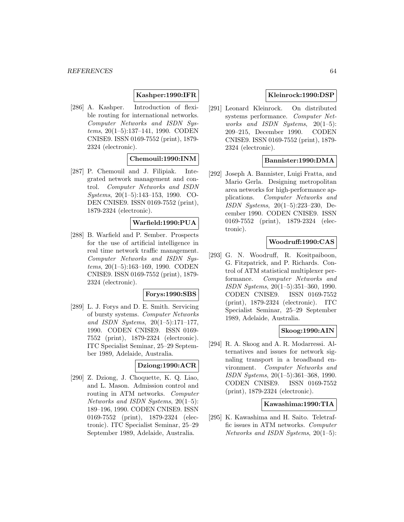## **Kashper:1990:IFR**

[286] A. Kashper. Introduction of flexible routing for international networks. Computer Networks and ISDN Systems, 20(1–5):137–141, 1990. CODEN CNISE9. ISSN 0169-7552 (print), 1879- 2324 (electronic).

## **Chemouil:1990:INM**

[287] P. Chemouil and J. Filipiak. Integrated network management and control. Computer Networks and ISDN Systems, 20(1–5):143–153, 1990. CO-DEN CNISE9. ISSN 0169-7552 (print), 1879-2324 (electronic).

### **Warfield:1990:PUA**

[288] B. Warfield and P. Sember. Prospects for the use of artificial intelligence in real time network traffic management. Computer Networks and ISDN Systems, 20(1–5):163–169, 1990. CODEN CNISE9. ISSN 0169-7552 (print), 1879- 2324 (electronic).

## **Forys:1990:SBS**

[289] L. J. Forys and D. E. Smith. Servicing of bursty systems. Computer Networks and ISDN Systems, 20(1–5):171–177, 1990. CODEN CNISE9. ISSN 0169- 7552 (print), 1879-2324 (electronic). ITC Specialist Seminar, 25–29 September 1989, Adelaide, Australia.

# **Dziong:1990:ACR**

[290] Z. Dziong, J. Choquette, K. Q. Liao, and L. Mason. Admission control and routing in ATM networks. Computer Networks and ISDN Systems, 20(1–5): 189–196, 1990. CODEN CNISE9. ISSN 0169-7552 (print), 1879-2324 (electronic). ITC Specialist Seminar, 25–29 September 1989, Adelaide, Australia.

## **Kleinrock:1990:DSP**

[291] Leonard Kleinrock. On distributed systems performance. Computer Networks and ISDN Systems, 20(1–5): 209–215, December 1990. CODEN CNISE9. ISSN 0169-7552 (print), 1879- 2324 (electronic).

### **Bannister:1990:DMA**

[292] Joseph A. Bannister, Luigi Fratta, and Mario Gerla. Designing metropolitan area networks for high-performance applications. Computer Networks and ISDN Systems, 20(1–5):223–230, December 1990. CODEN CNISE9. ISSN 0169-7552 (print), 1879-2324 (electronic).

### **Woodruff:1990:CAS**

[293] G. N. Woodruff, R. Kositpaiboon, G. Fitzpatrick, and P. Richards. Control of ATM statistical multiplexer performance. Computer Networks and ISDN Systems, 20(1–5):351–360, 1990. CODEN CNISE9. ISSN 0169-7552 (print), 1879-2324 (electronic). ITC Specialist Seminar, 25–29 September 1989, Adelaide, Australia.

### **Skoog:1990:AIN**

[294] R. A. Skoog and A. R. Modarressi. Alternatives and issues for network signaling transport in a broadband environment. Computer Networks and ISDN Systems, 20(1–5):361–368, 1990. CODEN CNISE9. ISSN 0169-7552 (print), 1879-2324 (electronic).

### **Kawashima:1990:TIA**

[295] K. Kawashima and H. Saito. Teletraffic issues in ATM networks. Computer Networks and ISDN Systems, 20(1–5):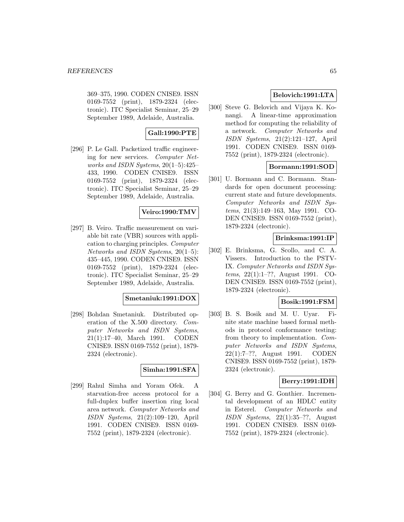369–375, 1990. CODEN CNISE9. ISSN 0169-7552 (print), 1879-2324 (electronic). ITC Specialist Seminar, 25–29 September 1989, Adelaide, Australia.

# **Gall:1990:PTE**

[296] P. Le Gall. Packetized traffic engineering for new services. Computer Networks and ISDN Systems, 20(1–5):425– 433, 1990. CODEN CNISE9. ISSN 0169-7552 (print), 1879-2324 (electronic). ITC Specialist Seminar, 25–29 September 1989, Adelaide, Australia.

## **Veiro:1990:TMV**

[297] B. Veiro. Traffic measurement on variable bit rate (VBR) sources with application to charging principles. Computer Networks and ISDN Systems, 20(1–5): 435–445, 1990. CODEN CNISE9. ISSN 0169-7552 (print), 1879-2324 (electronic). ITC Specialist Seminar, 25–29 September 1989, Adelaide, Australia.

### **Smetaniuk:1991:DOX**

[298] Bohdan Smetaniuk. Distributed operation of the X.500 directory. Computer Networks and ISDN Systems, 21(1):17–40, March 1991. CODEN CNISE9. ISSN 0169-7552 (print), 1879- 2324 (electronic).

### **Simha:1991:SFA**

[299] Rahul Simha and Yoram Ofek. A starvation-free access protocol for a full-duplex buffer insertion ring local area network. Computer Networks and ISDN Systems, 21(2):109–120, April 1991. CODEN CNISE9. ISSN 0169- 7552 (print), 1879-2324 (electronic).

## **Belovich:1991:LTA**

[300] Steve G. Belovich and Vijaya K. Konangi. A linear-time approximation method for computing the reliability of a network. Computer Networks and ISDN Systems, 21(2):121–127, April 1991. CODEN CNISE9. ISSN 0169- 7552 (print), 1879-2324 (electronic).

### **Bormann:1991:SOD**

[301] U. Bormann and C. Bormann. Standards for open document processing: current state and future developments. Computer Networks and ISDN Systems, 21(3):149–163, May 1991. CO-DEN CNISE9. ISSN 0169-7552 (print), 1879-2324 (electronic).

## **Brinksma:1991:IP**

[302] E. Brinksma, G. Scollo, and C. A. Vissers. Introduction to the PSTV-IX. Computer Networks and ISDN Systems, 22(1):1–??, August 1991. CO-DEN CNISE9. ISSN 0169-7552 (print), 1879-2324 (electronic).

### **Bosik:1991:FSM**

[303] B. S. Bosik and M. U. Uyar. Finite state machine based formal methods in protocol conformance testing: from theory to implementation. Computer Networks and ISDN Systems, 22(1):7–??, August 1991. CODEN CNISE9. ISSN 0169-7552 (print), 1879- 2324 (electronic).

### **Berry:1991:IDH**

[304] G. Berry and G. Gonthier. Incremental development of an HDLC entity in Esterel. Computer Networks and ISDN Systems, 22(1):35–??, August 1991. CODEN CNISE9. ISSN 0169- 7552 (print), 1879-2324 (electronic).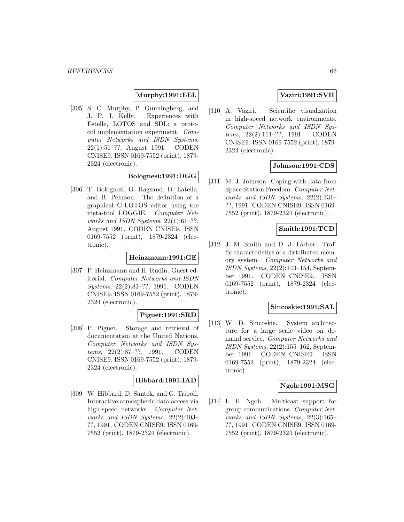#### **Murphy:1991:EEL**

[305] S. C. Murphy, P. Gunningberg, and J. P. J. Kelly. Experiences with Estelle, LOTOS and SDL: a protocol implementation experiment. Computer Networks and ISDN Systems, 22(1):51–??, August 1991. CODEN CNISE9. ISSN 0169-7552 (print), 1879- 2324 (electronic).

## **Bolognesi:1991:DGG**

[306] T. Bolognesi, O. Hagsand, D. Latella, and B. Pehrson. The definition of a graphical G-LOTOS editor using the meta-tool LOGGIE. Computer Networks and ISDN Systems, 22(1):61–??, August 1991. CODEN CNISE9. ISSN 0169-7552 (print), 1879-2324 (electronic).

## **Heinzmann:1991:GE**

[307] P. Heinzmann and H. Rudin. Guest editorial. Computer Networks and ISDN Systems, 22(2):83–??, 1991. CODEN CNISE9. ISSN 0169-7552 (print), 1879- 2324 (electronic).

## **Piguet:1991:SRD**

[308] P. Piguet. Storage and retrieval of documentation at the United Nations. Computer Networks and ISDN Systems, 22(2):87–??, 1991. CODEN CNISE9. ISSN 0169-7552 (print), 1879- 2324 (electronic).

# **Hibbard:1991:IAD**

[309] W. Hibbard, D. Santek, and G. Tripoli. Interactive atmospheric data access via high-speed networks. Computer Networks and ISDN Systems, 22(2):103– ??, 1991. CODEN CNISE9. ISSN 0169- 7552 (print), 1879-2324 (electronic).

### **Vaziri:1991:SVH**

[310] A. Vaziri. Scientific visualization in high-speed network environments. Computer Networks and ISDN Systems, 22(2):111–??, 1991. CODEN CNISE9. ISSN 0169-7552 (print), 1879- 2324 (electronic).

### **Johnson:1991:CDS**

[311] M. J. Johnson. Coping with data from Space Station Freedom. Computer Networks and ISDN Systems, 22(2):131– ??, 1991. CODEN CNISE9. ISSN 0169- 7552 (print), 1879-2324 (electronic).

### **Smith:1991:TCD**

[312] J. M. Smith and D. J. Farber. Traffic characteristics of a distributed memory system. Computer Networks and ISDN Systems, 22(2):143–154, September 1991. CODEN CNISE9. ISSN 0169-7552 (print), 1879-2324 (electronic).

#### **Sincoskie:1991:SAL**

[313] W. D. Sincoskie. System architecture for a large scale video on demand service. Computer Networks and ISDN Systems, 22(2):155–162, September 1991. CODEN CNISE9. ISSN 0169-7552 (print), 1879-2324 (electronic).

#### **Ngoh:1991:MSG**

[314] L. H. Ngoh. Multicast support for group communications. Computer Networks and ISDN Systems, 22(3):165– ??, 1991. CODEN CNISE9. ISSN 0169- 7552 (print), 1879-2324 (electronic).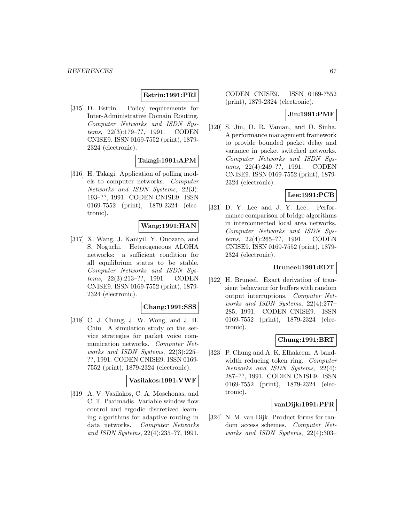### **Estrin:1991:PRI**

[315] D. Estrin. Policy requirements for Inter-Administrative Domain Routing. Computer Networks and ISDN Systems, 22(3):179–??, 1991. CODEN CNISE9. ISSN 0169-7552 (print), 1879- 2324 (electronic).

### **Takagi:1991:APM**

[316] H. Takagi. Application of polling models to computer networks. Computer Networks and ISDN Systems, 22(3): 193–??, 1991. CODEN CNISE9. ISSN 0169-7552 (print), 1879-2324 (electronic).

### **Wang:1991:HAN**

[317] X. Wang, J. Kaniyil, Y. Onozato, and S. Noguchi. Heterogeneous ALOHA networks: a sufficient condition for all equilibrium states to be stable. Computer Networks and ISDN Systems, 22(3):213–??, 1991. CODEN CNISE9. ISSN 0169-7552 (print), 1879- 2324 (electronic).

#### **Chang:1991:SSS**

[318] C. J. Chang, J. W. Wong, and J. H. Chiu. A simulation study on the service strategies for packet voice communication networks. Computer Networks and ISDN Systems, 22(3):225– ??, 1991. CODEN CNISE9. ISSN 0169- 7552 (print), 1879-2324 (electronic).

### **Vasilakos:1991:VWF**

[319] A. V. Vasilakos, C. A. Moschonas, and C. T. Paximadis. Variable window flow control and ergodic discretized learning algorithms for adaptive routing in data networks. Computer Networks and ISDN Systems, 22(4):235–??, 1991.

CODEN CNISE9. ISSN 0169-7552 (print), 1879-2324 (electronic).

#### **Jin:1991:PMF**

[320] S. Jin, D. R. Vaman, and D. Sinha. A performance management framework to provide bounded packet delay and variance in packet switched networks. Computer Networks and ISDN Systems, 22(4):249–??, 1991. CODEN CNISE9. ISSN 0169-7552 (print), 1879- 2324 (electronic).

## **Lee:1991:PCB**

[321] D. Y. Lee and J. Y. Lee. Performance comparison of bridge algorithms in interconnected local area networks. Computer Networks and ISDN Systems, 22(4):265–??, 1991. CODEN CNISE9. ISSN 0169-7552 (print), 1879- 2324 (electronic).

### **Bruneel:1991:EDT**

[322] H. Bruneel. Exact derivation of transient behaviour for buffers with random output interruptions. Computer Networks and ISDN Systems, 22(4):277– 285, 1991. CODEN CNISE9. ISSN 0169-7552 (print), 1879-2324 (electronic).

#### **Chung:1991:BRT**

[323] P. Chung and A. K. Elhakeem. A bandwidth reducing token ring. *Computer* Networks and ISDN Systems, 22(4): 287–??, 1991. CODEN CNISE9. ISSN 0169-7552 (print), 1879-2324 (electronic).

#### **vanDijk:1991:PFR**

[324] N. M. van Dijk. Product forms for random access schemes. Computer Networks and ISDN Systems, 22(4):303–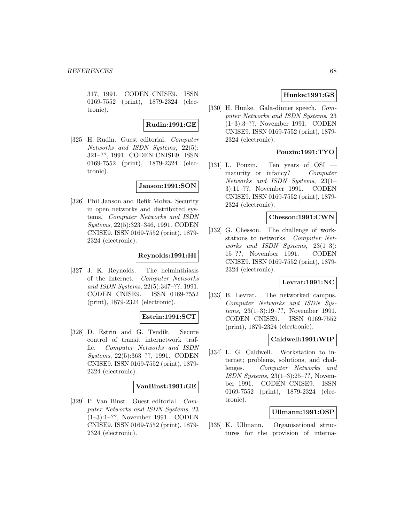317, 1991. CODEN CNISE9. ISSN 0169-7552 (print), 1879-2324 (electronic).

**Rudin:1991:GE**

[325] H. Rudin. Guest editorial. Computer Networks and ISDN Systems, 22(5): 321–??, 1991. CODEN CNISE9. ISSN 0169-7552 (print), 1879-2324 (electronic).

**Janson:1991:SON**

[326] Phil Janson and Refik Molva. Security in open networks and distributed systems. Computer Networks and ISDN Systems, 22(5):323–346, 1991. CODEN CNISE9. ISSN 0169-7552 (print), 1879- 2324 (electronic).

# **Reynolds:1991:HI**

[327] J. K. Reynolds. The helminthiasis of the Internet. Computer Networks and ISDN Systems, 22(5):347–??, 1991. CODEN CNISE9. ISSN 0169-7552 (print), 1879-2324 (electronic).

### **Estrin:1991:SCT**

[328] D. Estrin and G. Tsudik. Secure control of transit internetwork traffic. Computer Networks and ISDN Systems, 22(5):363–??, 1991. CODEN CNISE9. ISSN 0169-7552 (print), 1879- 2324 (electronic).

### **VanBinst:1991:GE**

[329] P. Van Binst. Guest editorial. Computer Networks and ISDN Systems, 23 (1–3):1–??, November 1991. CODEN CNISE9. ISSN 0169-7552 (print), 1879- 2324 (electronic).

## **Hunke:1991:GS**

[330] H. Hunke. Gala-dinner speech. Computer Networks and ISDN Systems, 23 (1–3):3–??, November 1991. CODEN CNISE9. ISSN 0169-7552 (print), 1879- 2324 (electronic).

# **Pouzin:1991:TYO**

[331] L. Pouzin. Ten years of OSI maturity or infancy? Computer Networks and ISDN Systems, 23(1– 3):11–??, November 1991. CODEN CNISE9. ISSN 0169-7552 (print), 1879- 2324 (electronic).

## **Chesson:1991:CWN**

[332] G. Chesson. The challenge of workstations to networks. Computer Networks and ISDN Systems, 23(1–3): 15–??, November 1991. CODEN CNISE9. ISSN 0169-7552 (print), 1879- 2324 (electronic).

## **Levrat:1991:NC**

[333] B. Levrat. The networked campus. Computer Networks and ISDN Systems, 23(1–3):19–??, November 1991. CODEN CNISE9. ISSN 0169-7552 (print), 1879-2324 (electronic).

### **Caldwell:1991:WIP**

[334] L. G. Caldwell. Workstation to internet; problems, solutions, and challenges. Computer Networks and ISDN Systems, 23(1–3):25–??, November 1991. CODEN CNISE9. ISSN 0169-7552 (print), 1879-2324 (electronic).

### **Ullmann:1991:OSP**

[335] K. Ullmann. Organisational structures for the provision of interna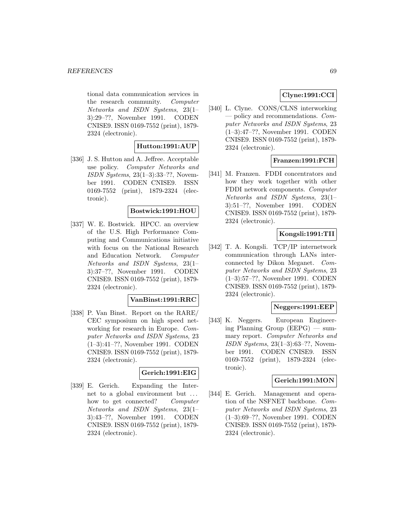tional data communication services in the research community. Computer Networks and ISDN Systems, 23(1– 3):29–??, November 1991. CODEN CNISE9. ISSN 0169-7552 (print), 1879- 2324 (electronic).

### **Hutton:1991:AUP**

[336] J. S. Hutton and A. Jeffree. Acceptable use policy. Computer Networks and ISDN Systems, 23(1–3):33–??, November 1991. CODEN CNISE9. ISSN 0169-7552 (print), 1879-2324 (electronic).

#### **Bostwick:1991:HOU**

[337] W. E. Bostwick. HPCC. an overview of the U.S. High Performance Computing and Communications initiative with focus on the National Research and Education Network. Computer Networks and ISDN Systems, 23(1– 3):37–??, November 1991. CODEN CNISE9. ISSN 0169-7552 (print), 1879- 2324 (electronic).

### **VanBinst:1991:RRC**

[338] P. Van Binst. Report on the RARE/ CEC symposium on high speed networking for research in Europe. Computer Networks and ISDN Systems, 23 (1–3):41–??, November 1991. CODEN CNISE9. ISSN 0169-7552 (print), 1879- 2324 (electronic).

#### **Gerich:1991:EIG**

[339] E. Gerich. Expanding the Internet to a global environment but ... how to get connected? Computer Networks and ISDN Systems, 23(1– 3):43–??, November 1991. CODEN CNISE9. ISSN 0169-7552 (print), 1879- 2324 (electronic).

# **Clyne:1991:CCI**

[340] L. Clyne. CONS/CLNS interworking — policy and recommendations. Computer Networks and ISDN Systems, 23 (1–3):47–??, November 1991. CODEN CNISE9. ISSN 0169-7552 (print), 1879- 2324 (electronic).

# **Franzen:1991:FCH**

[341] M. Franzen. FDDI concentrators and how they work together with other FDDI network components. Computer Networks and ISDN Systems, 23(1– 3):51–??, November 1991. CODEN CNISE9. ISSN 0169-7552 (print), 1879- 2324 (electronic).

## **Kongsli:1991:TII**

[342] T. A. Kongsli. TCP/IP internetwork communication through LANs interconnected by Dikon Meganet. Computer Networks and ISDN Systems, 23 (1–3):57–??, November 1991. CODEN CNISE9. ISSN 0169-7552 (print), 1879- 2324 (electronic).

### **Neggers:1991:EEP**

[343] K. Neggers. European Engineering Planning Group (EEPG) — summary report. Computer Networks and ISDN Systems, 23(1–3):63–??, November 1991. CODEN CNISE9. ISSN 0169-7552 (print), 1879-2324 (electronic).

### **Gerich:1991:MON**

[344] E. Gerich. Management and operation of the NSFNET backbone. Computer Networks and ISDN Systems, 23 (1–3):69–??, November 1991. CODEN CNISE9. ISSN 0169-7552 (print), 1879- 2324 (electronic).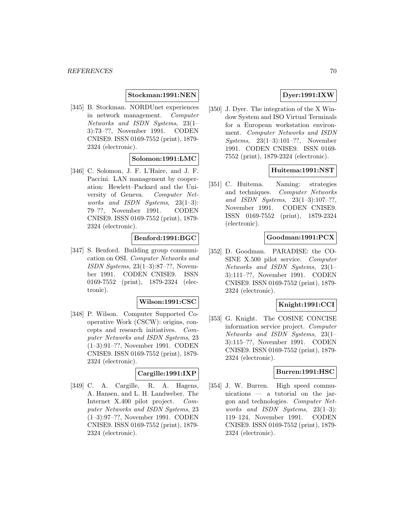### **Stockman:1991:NEN**

[345] B. Stockman. NORDUnet experiences in network management. Computer Networks and ISDN Systems, 23(1– 3):73–??, November 1991. CODEN CNISE9. ISSN 0169-7552 (print), 1879- 2324 (electronic).

### **Solomon:1991:LMC**

[346] C. Solomon, J. F. L'Haire, and J. F. Paccini. LAN management by cooperation: Hewlett–Packard and the University of Geneva. Computer Networks and ISDN Systems, 23(1–3): 79–??, November 1991. CODEN CNISE9. ISSN 0169-7552 (print), 1879- 2324 (electronic).

# **Benford:1991:BGC**

[347] S. Benford. Building group communication on OSI. Computer Networks and ISDN Systems, 23(1–3):87–??, November 1991. CODEN CNISE9. ISSN 0169-7552 (print), 1879-2324 (electronic).

### **Wilson:1991:CSC**

[348] P. Wilson. Computer Supported Cooperative Work (CSCW): origins, concepts and research initiatives. Computer Networks and ISDN Systems, 23 (1–3):91–??, November 1991. CODEN CNISE9. ISSN 0169-7552 (print), 1879- 2324 (electronic).

#### **Cargille:1991:IXP**

[349] C. A. Cargille, R. A. Hagens, A. Hansen, and L. H. Landweber. The Internet X.400 pilot project. Computer Networks and ISDN Systems, 23 (1–3):97–??, November 1991. CODEN CNISE9. ISSN 0169-7552 (print), 1879- 2324 (electronic).

## **Dyer:1991:IXW**

[350] J. Dyer. The integration of the X Window System and ISO Virtual Terminals for a European workstation environment. Computer Networks and ISDN Systems, 23(1–3):101–??, November 1991. CODEN CNISE9. ISSN 0169- 7552 (print), 1879-2324 (electronic).

#### **Huitema:1991:NST**

[351] C. Huitema. Naming: strategies and techniques. Computer Networks and ISDN Systems, 23(1–3):107–??, November 1991. CODEN CNISE9. ISSN 0169-7552 (print), 1879-2324 (electronic).

#### **Goodman:1991:PCX**

[352] D. Goodman. PARADISE: the CO-SINE X.500 pilot service. Computer Networks and ISDN Systems, 23(1– 3):111–??, November 1991. CODEN CNISE9. ISSN 0169-7552 (print), 1879- 2324 (electronic).

#### **Knight:1991:CCI**

[353] G. Knight. The COSINE CONCISE information service project. Computer Networks and ISDN Systems, 23(1– 3):115–??, November 1991. CODEN CNISE9. ISSN 0169-7552 (print), 1879- 2324 (electronic).

#### **Burren:1991:HSC**

[354] J. W. Burren. High speed communications — a tutorial on the jargon and technologies. Computer Networks and ISDN Systems, 23(1–3): 119–124, November 1991. CODEN CNISE9. ISSN 0169-7552 (print), 1879- 2324 (electronic).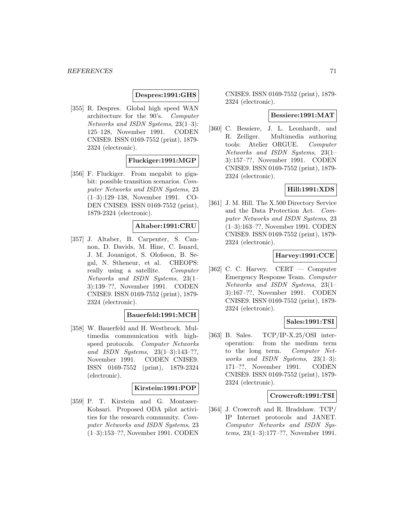#### **Despres:1991:GHS**

[355] R. Despres. Global high speed WAN architecture for the 90's. Computer Networks and ISDN Systems, 23(1–3): 125–128, November 1991. CODEN CNISE9. ISSN 0169-7552 (print), 1879- 2324 (electronic).

#### **Fluckiger:1991:MGP**

[356] F. Fluckiger. From megabit to gigabit: possible transition scenarios. Computer Networks and ISDN Systems, 23 (1–3):129–138, November 1991. CO-DEN CNISE9. ISSN 0169-7552 (print), 1879-2324 (electronic).

#### **Altaber:1991:CRU**

[357] J. Altaber, B. Carpenter, S. Cannon, D. Davids, M. Hine, C. Isnard, J. M. Jouanigot, S. Olofsson, B. Segal, N. Stheneur, et al. CHEOPS: really using a satellite. Computer Networks and ISDN Systems, 23(1– 3):139–??, November 1991. CODEN CNISE9. ISSN 0169-7552 (print), 1879- 2324 (electronic).

## **Bauerfeld:1991:MCH**

[358] W. Bauerfeld and H. Westbrock. Multimedia communication with highspeed protocols. Computer Networks and ISDN Systems, 23(1–3):143–??, November 1991. CODEN CNISE9. ISSN 0169-7552 (print), 1879-2324 (electronic).

### **Kirstein:1991:POP**

[359] P. T. Kirstein and G. Montaser-Kohsari. Proposed ODA pilot activities for the research community. Computer Networks and ISDN Systems, 23 (1–3):153–??, November 1991. CODEN

CNISE9. ISSN 0169-7552 (print), 1879- 2324 (electronic).

#### **Bessiere:1991:MAT**

[360] C. Bessiere, J. L. Leonhardt, and R. Zeiliger. Multimedia authoring tools: Atelier ORGUE. Computer Networks and ISDN Systems, 23(1– 3):157–??, November 1991. CODEN CNISE9. ISSN 0169-7552 (print), 1879- 2324 (electronic).

### **Hill:1991:XDS**

[361] J. M. Hill. The X.500 Directory Service and the Data Protection Act. Computer Networks and ISDN Systems, 23 (1–3):163–??, November 1991. CODEN CNISE9. ISSN 0169-7552 (print), 1879- 2324 (electronic).

### **Harvey:1991:CCE**

[362] C. C. Harvey. CERT — Computer Emergency Response Team. Computer Networks and ISDN Systems, 23(1– 3):167–??, November 1991. CODEN CNISE9. ISSN 0169-7552 (print), 1879- 2324 (electronic).

#### **Sales:1991:TSI**

[363] B. Sales. TCP/IP-X.25/OSI interoperation: from the medium term to the long term. Computer Networks and ISDN Systems, 23(1–3): 171–??, November 1991. CODEN CNISE9. ISSN 0169-7552 (print), 1879- 2324 (electronic).

#### **Crowcroft:1991:TSI**

[364] J. Crowcroft and R. Bradshaw. TCP/ IP Internet protocols and JANET. Computer Networks and ISDN Systems, 23(1–3):177–??, November 1991.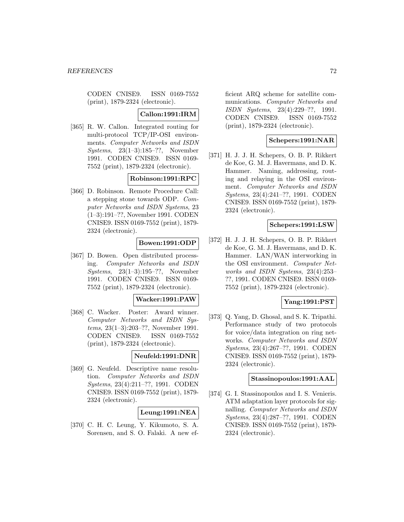CODEN CNISE9. ISSN 0169-7552 (print), 1879-2324 (electronic).

### **Callon:1991:IRM**

[365] R. W. Callon. Integrated routing for multi-protocol TCP/IP-OSI environments. Computer Networks and ISDN Systems, 23(1–3):185–??, November 1991. CODEN CNISE9. ISSN 0169- 7552 (print), 1879-2324 (electronic).

### **Robinson:1991:RPC**

[366] D. Robinson. Remote Procedure Call: a stepping stone towards ODP. Computer Networks and ISDN Systems, 23 (1–3):191–??, November 1991. CODEN CNISE9. ISSN 0169-7552 (print), 1879- 2324 (electronic).

# **Bowen:1991:ODP**

[367] D. Bowen. Open distributed processing. Computer Networks and ISDN Systems, 23(1–3):195–??, November 1991. CODEN CNISE9. ISSN 0169- 7552 (print), 1879-2324 (electronic).

#### **Wacker:1991:PAW**

[368] C. Wacker. Poster: Award winner. Computer Networks and ISDN Systems, 23(1–3):203–??, November 1991. CODEN CNISE9. ISSN 0169-7552 (print), 1879-2324 (electronic).

### **Neufeld:1991:DNR**

[369] G. Neufeld. Descriptive name resolution. Computer Networks and ISDN Systems, 23(4):211–??, 1991. CODEN CNISE9. ISSN 0169-7552 (print), 1879- 2324 (electronic).

### **Leung:1991:NEA**

[370] C. H. C. Leung, Y. Kikumoto, S. A. Sorensen, and S. O. Falaki. A new efficient ARQ scheme for satellite communications. Computer Networks and ISDN Systems, 23(4):229–??, 1991. CODEN CNISE9. ISSN 0169-7552 (print), 1879-2324 (electronic).

## **Schepers:1991:NAR**

[371] H. J. J. H. Schepers, O. B. P. Rikkert de Koe, G. M. J. Havermans, and D. K. Hammer. Naming, addressing, routing and relaying in the OSI environment. Computer Networks and ISDN Systems, 23(4):241–??, 1991. CODEN CNISE9. ISSN 0169-7552 (print), 1879- 2324 (electronic).

### **Schepers:1991:LSW**

[372] H. J. J. H. Schepers, O. B. P. Rikkert de Koe, G. M. J. Havermans, and D. K. Hammer. LAN/WAN interworking in the OSI environment. Computer Networks and ISDN Systems, 23(4):253– ??, 1991. CODEN CNISE9. ISSN 0169- 7552 (print), 1879-2324 (electronic).

## **Yang:1991:PST**

[373] Q. Yang, D. Ghosal, and S. K. Tripathi. Performance study of two protocols for voice/data integration on ring networks. Computer Networks and ISDN Systems, 23(4):267–??, 1991. CODEN CNISE9. ISSN 0169-7552 (print), 1879- 2324 (electronic).

#### **Stassinopoulos:1991:AAL**

[374] G. I. Stassinopoulos and I. S. Venieris. ATM adaptation layer protocols for signalling. Computer Networks and ISDN Systems, 23(4):287–??, 1991. CODEN CNISE9. ISSN 0169-7552 (print), 1879- 2324 (electronic).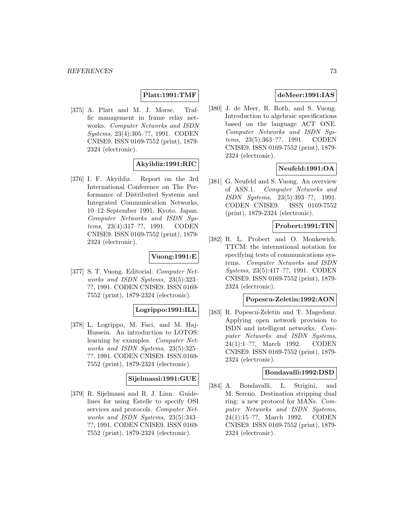# **Platt:1991:TMF**

[375] A. Platt and M. J. Morse. Traffic management in frame relay networks. Computer Networks and ISDN Systems, 23(4):305–??, 1991. CODEN CNISE9. ISSN 0169-7552 (print), 1879- 2324 (electronic).

# **Akyildiz:1991:RIC**

[376] I. F. Akyildiz. Report on the 3rd International Conference on The Performance of Distributed Systems and Integrated Communication Networks, 10–12 September 1991, Kyoto, Japan. Computer Networks and ISDN Systems, 23(4):317–??, 1991. CODEN CNISE9. ISSN 0169-7552 (print), 1879- 2324 (electronic).

# **Vuong:1991:E**

[377] S. T. Vuong. Editorial. Computer Networks and ISDN Systems, 23(5):323– ??, 1991. CODEN CNISE9. ISSN 0169- 7552 (print), 1879-2324 (electronic).

# **Logrippo:1991:ILL**

[378] L. Logrippo, M. Faci, and M. Haj-Hussein. An introduction to LOTOS: learning by examples. Computer Networks and ISDN Systems, 23(5):325– ??, 1991. CODEN CNISE9. ISSN 0169- 7552 (print), 1879-2324 (electronic).

#### **Sijelmassi:1991:GUE**

[379] R. Sijelmassi and R. J. Linn. Guidelines for using Estelle to specify OSI services and protocols. Computer Networks and ISDN Systems, 23(5):343– ??, 1991. CODEN CNISE9. ISSN 0169- 7552 (print), 1879-2324 (electronic).

# **deMeer:1991:IAS**

[380] J. de Meer, R. Roth, and S. Vuong. Introduction to algebraic specifications based on the language ACT ONE. Computer Networks and ISDN Systems, 23(5):363–??, 1991. CODEN CNISE9. ISSN 0169-7552 (print), 1879- 2324 (electronic).

# **Neufeld:1991:OA**

[381] G. Neufeld and S. Vuong. An overview of ASN.1. Computer Networks and ISDN Systems, 23(5):393–??, 1991. CODEN CNISE9. ISSN 0169-7552 (print), 1879-2324 (electronic).

### **Probert:1991:TIN**

[382] R. L. Probert and O. Monkewich. TTCM: the international notation for specifying tests of communications systems. Computer Networks and ISDN Systems, 23(5):417–??, 1991. CODEN CNISE9. ISSN 0169-7552 (print), 1879- 2324 (electronic).

### **Popescu-Zeletin:1992:AON**

[383] R. Popescu-Zeletin and T. Magedanz. Applying open network provision to ISDN and intelligent networks. Computer Networks and ISDN Systems, 24(1):1–??, March 1992. CODEN CNISE9. ISSN 0169-7552 (print), 1879- 2324 (electronic).

### **Bondavalli:1992:DSD**

[384] A. Bondavalli, L. Strigini, and M. Sereno. Destination stripping dual ring: a new protocol for MANs. Computer Networks and ISDN Systems, 24(1):15–??, March 1992. CODEN CNISE9. ISSN 0169-7552 (print), 1879- 2324 (electronic).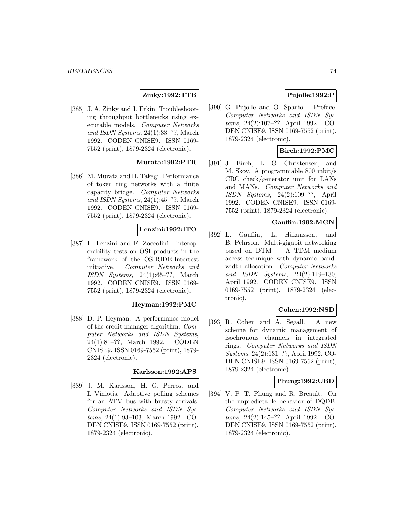# **Zinky:1992:TTB**

[385] J. A. Zinky and J. Etkin. Troubleshooting throughput bottlenecks using executable models. Computer Networks and ISDN Systems, 24(1):33–??, March 1992. CODEN CNISE9. ISSN 0169- 7552 (print), 1879-2324 (electronic).

# **Murata:1992:PTR**

[386] M. Murata and H. Takagi. Performance of token ring networks with a finite capacity bridge. Computer Networks and ISDN Systems, 24(1):45–??, March 1992. CODEN CNISE9. ISSN 0169- 7552 (print), 1879-2324 (electronic).

# **Lenzini:1992:ITO**

[387] L. Lenzini and F. Zoccolini. Interoperability tests on OSI products in the framework of the OSIRIDE-Intertest initiative. Computer Networks and ISDN Systems, 24(1):65–??, March 1992. CODEN CNISE9. ISSN 0169- 7552 (print), 1879-2324 (electronic).

#### **Heyman:1992:PMC**

[388] D. P. Heyman. A performance model of the credit manager algorithm. Computer Networks and ISDN Systems, 24(1):81–??, March 1992. CODEN CNISE9. ISSN 0169-7552 (print), 1879- 2324 (electronic).

#### **Karlsson:1992:APS**

[389] J. M. Karlsson, H. G. Perros, and I. Viniotis. Adaptive polling schemes for an ATM bus with bursty arrivals. Computer Networks and ISDN Systems, 24(1):93–103, March 1992. CO-DEN CNISE9. ISSN 0169-7552 (print), 1879-2324 (electronic).

# **Pujolle:1992:P**

[390] G. Pujolle and O. Spaniol. Preface. Computer Networks and ISDN Systems, 24(2):107–??, April 1992. CO-DEN CNISE9. ISSN 0169-7552 (print), 1879-2324 (electronic).

### **Birch:1992:PMC**

[391] J. Birch, L. G. Christensen, and M. Skov. A programmable 800 mbit/s CRC check/generator unit for LANs and MANs. Computer Networks and ISDN Systems, 24(2):109–??, April 1992. CODEN CNISE9. ISSN 0169- 7552 (print), 1879-2324 (electronic).

### **Gauffin:1992:MGN**

[392] L. Gauffin, L. Håkansson, and B. Pehrson. Multi-gigabit networking based on DTM — A TDM medium access technique with dynamic bandwidth allocation. Computer Networks and ISDN Systems, 24(2):119–130, April 1992. CODEN CNISE9. ISSN 0169-7552 (print), 1879-2324 (electronic).

#### **Cohen:1992:NSD**

[393] R. Cohen and A. Segall. A new scheme for dynamic management of isochronous channels in integrated rings. Computer Networks and ISDN Systems, 24(2):131–??, April 1992. CO-DEN CNISE9. ISSN 0169-7552 (print), 1879-2324 (electronic).

### **Phung:1992:UBD**

[394] V. P. T. Phung and R. Breault. On the unpredictable behavior of DQDB. Computer Networks and ISDN Systems, 24(2):145–??, April 1992. CO-DEN CNISE9. ISSN 0169-7552 (print), 1879-2324 (electronic).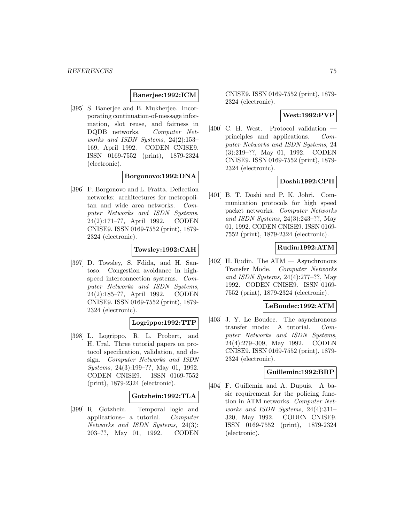### **Banerjee:1992:ICM**

[395] S. Banerjee and B. Mukherjee. Incorporating continuation-of-message information, slot reuse, and fairness in DQDB networks. Computer Networks and ISDN Systems, 24(2):153– 169, April 1992. CODEN CNISE9. ISSN 0169-7552 (print), 1879-2324 (electronic).

# **Borgonovo:1992:DNA**

[396] F. Borgonovo and L. Fratta. Deflection networks: architectures for metropolitan and wide area networks. Computer Networks and ISDN Systems, 24(2):171–??, April 1992. CODEN CNISE9. ISSN 0169-7552 (print), 1879- 2324 (electronic).

# **Towsley:1992:CAH**

[397] D. Towsley, S. Fdida, and H. Santoso. Congestion avoidance in highspeed interconnection systems. Computer Networks and ISDN Systems, 24(2):185–??, April 1992. CODEN CNISE9. ISSN 0169-7552 (print), 1879- 2324 (electronic).

# **Logrippo:1992:TTP**

[398] L. Logrippo, R. L. Probert, and H. Ural. Three tutorial papers on protocol specification, validation, and design. Computer Networks and ISDN Systems, 24(3):199–??, May 01, 1992. CODEN CNISE9. ISSN 0169-7552 (print), 1879-2324 (electronic).

# **Gotzhein:1992:TLA**

[399] R. Gotzhein. Temporal logic and applications– a tutorial. Computer Networks and ISDN Systems, 24(3): 203–??, May 01, 1992. CODEN

CNISE9. ISSN 0169-7552 (print), 1879- 2324 (electronic).

## **West:1992:PVP**

[400] C. H. West. Protocol validation principles and applications. Computer Networks and ISDN Systems, 24 (3):219–??, May 01, 1992. CODEN CNISE9. ISSN 0169-7552 (print), 1879- 2324 (electronic).

# **Doshi:1992:CPH**

[401] B. T. Doshi and P. K. Johri. Communication protocols for high speed packet networks. Computer Networks and ISDN Systems, 24(3):243–??, May 01, 1992. CODEN CNISE9. ISSN 0169- 7552 (print), 1879-2324 (electronic).

# **Rudin:1992:ATM**

[402] H. Rudin. The ATM — Asynchronous Transfer Mode. Computer Networks and ISDN Systems, 24(4):277–??, May 1992. CODEN CNISE9. ISSN 0169- 7552 (print), 1879-2324 (electronic).

#### **LeBoudec:1992:ATM**

[403] J. Y. Le Boudec. The asynchronous transfer mode: A tutorial. Computer Networks and ISDN Systems, 24(4):279–309, May 1992. CODEN CNISE9. ISSN 0169-7552 (print), 1879- 2324 (electronic).

#### **Guillemin:1992:BRP**

[404] F. Guillemin and A. Dupuis. A basic requirement for the policing function in ATM networks. Computer Networks and ISDN Systems, 24(4):311– 320, May 1992. CODEN CNISE9. ISSN 0169-7552 (print), 1879-2324 (electronic).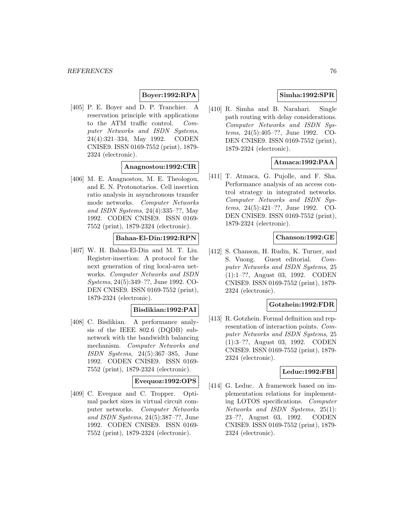# **Boyer:1992:RPA**

[405] P. E. Boyer and D. P. Tranchier. A reservation principle with applications to the ATM traffic control. Computer Networks and ISDN Systems, 24(4):321–334, May 1992. CODEN CNISE9. ISSN 0169-7552 (print), 1879- 2324 (electronic).

# **Anagnostou:1992:CIR**

[406] M. E. Anagnostou, M. E. Theologou, and E. N. Protonotarios. Cell insertion ratio analysis in asynchronous transfer mode networks. Computer Networks and ISDN Systems, 24(4):335–??, May 1992. CODEN CNISE9. ISSN 0169- 7552 (print), 1879-2324 (electronic).

# **Bahaa-El-Din:1992:RPN**

[407] W. H. Bahaa-El-Din and M. T. Liu. Register-insertion: A protocol for the next generation of ring local-area networks. Computer Networks and ISDN Systems, 24(5):349–??, June 1992. CO-DEN CNISE9. ISSN 0169-7552 (print), 1879-2324 (electronic).

### **Bisdikian:1992:PAI**

[408] C. Bisdikian. A performance analysis of the IEEE 802.6 (DQDB) subnetwork with the bandwidth balancing mechanism. Computer Networks and ISDN Systems, 24(5):367–385, June 1992. CODEN CNISE9. ISSN 0169- 7552 (print), 1879-2324 (electronic).

# **Evequoz:1992:OPS**

[409] C. Evequoz and C. Tropper. Optimal packet sizes in virtual circuit computer networks. Computer Networks and ISDN Systems, 24(5):387–??, June 1992. CODEN CNISE9. ISSN 0169- 7552 (print), 1879-2324 (electronic).

# **Simha:1992:SPR**

[410] R. Simha and B. Narahari. Single path routing with delay considerations. Computer Networks and ISDN Systems, 24(5):405–??, June 1992. CO-DEN CNISE9. ISSN 0169-7552 (print), 1879-2324 (electronic).

# **Atmaca:1992:PAA**

[411] T. Atmaca, G. Pujolle, and F. Sha. Performance analysis of an access control strategy in integrated networks. Computer Networks and ISDN Systems, 24(5):421–??, June 1992. CO-DEN CNISE9. ISSN 0169-7552 (print), 1879-2324 (electronic).

# **Chanson:1992:GE**

[412] S. Chanson, H. Rudin, K. Turner, and S. Vuong. Guest editorial. Computer Networks and ISDN Systems, 25 (1):1–??, August 03, 1992. CODEN CNISE9. ISSN 0169-7552 (print), 1879- 2324 (electronic).

## **Gotzhein:1992:FDR**

[413] R. Gotzhein. Formal definition and representation of interaction points. Computer Networks and ISDN Systems, 25 (1):3–??, August 03, 1992. CODEN CNISE9. ISSN 0169-7552 (print), 1879- 2324 (electronic).

# **Leduc:1992:FBI**

[414] G. Leduc. A framework based on implementation relations for implementing LOTOS specifications. Computer Networks and ISDN Systems, 25(1): 23–??, August 03, 1992. CODEN CNISE9. ISSN 0169-7552 (print), 1879- 2324 (electronic).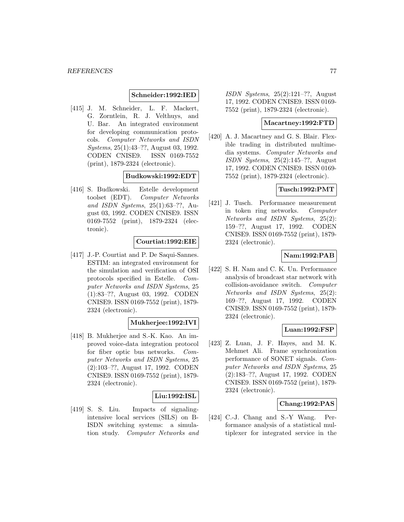### **Schneider:1992:IED**

[415] J. M. Schneider, L. F. Mackert, G. Zorntlein, R. J. Velthuys, and U. Bar. An integrated environment for developing communication protocols. Computer Networks and ISDN Systems, 25(1):43–??, August 03, 1992. CODEN CNISE9. ISSN 0169-7552 (print), 1879-2324 (electronic).

### **Budkowski:1992:EDT**

[416] S. Budkowski. Estelle development toolset (EDT). Computer Networks and ISDN Systems, 25(1):63–??, August 03, 1992. CODEN CNISE9. ISSN 0169-7552 (print), 1879-2324 (electronic).

# **Courtiat:1992:EIE**

[417] J.-P. Courtiat and P. De Saqui-Sannes. ESTIM: an integrated environment for the simulation and verification of OSI protocols specified in Estelle. Computer Networks and ISDN Systems, 25 (1):83–??, August 03, 1992. CODEN CNISE9. ISSN 0169-7552 (print), 1879- 2324 (electronic).

# **Mukherjee:1992:IVI**

[418] B. Mukherjee and S.-K. Kao. An improved voice-data integration protocol for fiber optic bus networks. Computer Networks and ISDN Systems, 25 (2):103–??, August 17, 1992. CODEN CNISE9. ISSN 0169-7552 (print), 1879- 2324 (electronic).

#### **Liu:1992:ISL**

[419] S. S. Liu. Impacts of signalingintensive local services (SILS) on B-ISDN switching systems: a simulation study. Computer Networks and

ISDN Systems, 25(2):121–??, August 17, 1992. CODEN CNISE9. ISSN 0169- 7552 (print), 1879-2324 (electronic).

### **Macartney:1992:FTD**

[420] A. J. Macartney and G. S. Blair. Flexible trading in distributed multimedia systems. Computer Networks and ISDN Systems,  $25(2):145-??$ , August 17, 1992. CODEN CNISE9. ISSN 0169- 7552 (print), 1879-2324 (electronic).

### **Tusch:1992:PMT**

[421] J. Tusch. Performance measurement in token ring networks. Computer Networks and ISDN Systems, 25(2): 159–??, August 17, 1992. CODEN CNISE9. ISSN 0169-7552 (print), 1879- 2324 (electronic).

### **Nam:1992:PAB**

[422] S. H. Nam and C. K. Un. Performance analysis of broadcast star network with collision-avoidance switch. Computer Networks and ISDN Systems, 25(2): 169–??, August 17, 1992. CODEN CNISE9. ISSN 0169-7552 (print), 1879- 2324 (electronic).

# **Luan:1992:FSP**

[423] Z. Luan, J. F. Hayes, and M. K. Mehmet Ali. Frame synchronization performance of SONET signals. Computer Networks and ISDN Systems, 25 (2):183–??, August 17, 1992. CODEN CNISE9. ISSN 0169-7552 (print), 1879- 2324 (electronic).

### **Chang:1992:PAS**

[424] C.-J. Chang and S.-Y Wang. Performance analysis of a statistical multiplexer for integrated service in the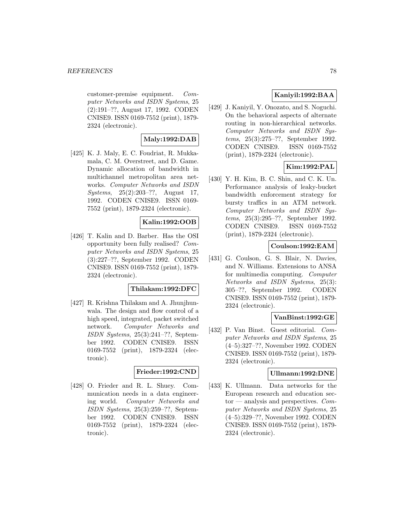#### **REFERENCES** 78

customer-premise equipment. Computer Networks and ISDN Systems, 25 (2):191–??, August 17, 1992. CODEN CNISE9. ISSN 0169-7552 (print), 1879- 2324 (electronic).

# **Maly:1992:DAB**

[425] K. J. Maly, E. C. Foudriat, R. Mukkamala, C. M. Overstreet, and D. Game. Dynamic allocation of bandwidth in multichannel metropolitan area networks. Computer Networks and ISDN Systems, 25(2):203–??, August 17, 1992. CODEN CNISE9. ISSN 0169- 7552 (print), 1879-2324 (electronic).

# **Kalin:1992:OOB**

[426] T. Kalin and D. Barber. Has the OSI opportunity been fully realised? Computer Networks and ISDN Systems, 25 (3):227–??, September 1992. CODEN CNISE9. ISSN 0169-7552 (print), 1879- 2324 (electronic).

# **Thilakam:1992:DFC**

[427] R. Krishna Thilakam and A. Jhunjhunwala. The design and flow control of a high speed, integrated, packet switched network. Computer Networks and ISDN Systems, 25(3):241–??, September 1992. CODEN CNISE9. ISSN 0169-7552 (print), 1879-2324 (electronic).

#### **Frieder:1992:CND**

[428] O. Frieder and R. L. Shuey. Communication needs in a data engineering world. Computer Networks and ISDN Systems, 25(3):259–??, September 1992. CODEN CNISE9. ISSN 0169-7552 (print), 1879-2324 (electronic).

# **Kaniyil:1992:BAA**

[429] J. Kaniyil, Y. Onozato, and S. Noguchi. On the behavioral aspects of alternate routing in non-hierarchical networks. Computer Networks and ISDN Systems, 25(3):275–??, September 1992. CODEN CNISE9. ISSN 0169-7552 (print), 1879-2324 (electronic).

# **Kim:1992:PAL**

[430] Y. H. Kim, B. C. Shin, and C. K. Un. Performance analysis of leaky-bucket bandwidth enforcement strategy for bursty traffics in an ATM network. Computer Networks and ISDN Systems, 25(3):295–??, September 1992. CODEN CNISE9. ISSN 0169-7552 (print), 1879-2324 (electronic).

### **Coulson:1992:EAM**

[431] G. Coulson, G. S. Blair, N. Davies, and N. Williams. Extensions to ANSA for multimedia computing. Computer Networks and ISDN Systems, 25(3): 305–??, September 1992. CODEN CNISE9. ISSN 0169-7552 (print), 1879- 2324 (electronic).

# **VanBinst:1992:GE**

[432] P. Van Binst. Guest editorial. Computer Networks and ISDN Systems, 25 (4–5):327–??, November 1992. CODEN CNISE9. ISSN 0169-7552 (print), 1879- 2324 (electronic).

### **Ullmann:1992:DNE**

[433] K. Ullmann. Data networks for the European research and education sector — analysis and perspectives.  $Com$ puter Networks and ISDN Systems, 25 (4–5):329–??, November 1992. CODEN CNISE9. ISSN 0169-7552 (print), 1879- 2324 (electronic).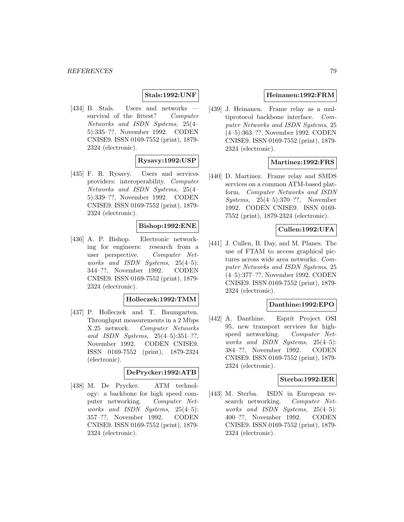### **Stals:1992:UNF**

[434] B. Stals. Users and networks survival of the fittest? Computer Networks and ISDN Systems, 25(4– 5):335–??, November 1992. CODEN CNISE9. ISSN 0169-7552 (print), 1879- 2324 (electronic).

# **Rysavy:1992:USP**

[435] F. R. Rysavy. Users and services providers: interoperability. Computer Networks and ISDN Systems, 25(4– 5):339–??, November 1992. CODEN CNISE9. ISSN 0169-7552 (print), 1879- 2324 (electronic).

# **Bishop:1992:ENE**

[436] A. P. Bishop. Electronic networking for engineers: research from a user perspective. Computer Networks and ISDN Systems, 25(4–5): 344–??, November 1992. CODEN CNISE9. ISSN 0169-7552 (print), 1879- 2324 (electronic).

### **Holleczek:1992:TMM**

[437] P. Holleczek and T. Baumgarten. Throughput measurements in a 2 Mbps X.25 network. Computer Networks and ISDN Systems, 25(4–5):351–??, November 1992. CODEN CNISE9. ISSN 0169-7552 (print), 1879-2324 (electronic).

### **DePrycker:1992:ATB**

[438] M. De Prycker. ATM technology: a backbone for high speed computer networking. Computer Networks and ISDN Systems, 25(4–5): 357–??, November 1992. CODEN CNISE9. ISSN 0169-7552 (print), 1879- 2324 (electronic).

# **Heinanen:1992:FRM**

[439] J. Heinanen. Frame relay as a multiprotocol backbone interface. Computer Networks and ISDN Systems, 25 (4–5):363–??, November 1992. CODEN CNISE9. ISSN 0169-7552 (print), 1879- 2324 (electronic).

# **Martinez:1992:FRS**

[440] D. Martinez. Frame relay and SMDS services on a common ATM-based platform. Computer Networks and ISDN Systems, 25(4–5):370–??, November 1992. CODEN CNISE9. ISSN 0169- 7552 (print), 1879-2324 (electronic).

# **Cullen:1992:UFA**

[441] J. Cullen, B. Day, and M. Planes. The use of FTAM to access graphical pictures across wide area networks. Computer Networks and ISDN Systems, 25 (4–5):377–??, November 1992. CODEN CNISE9. ISSN 0169-7552 (print), 1879- 2324 (electronic).

## **Danthine:1992:EPO**

[442] A. Danthine. Esprit Project OSI 95. new transport services for highspeed networking. Computer Networks and ISDN Systems, 25(4–5): 384–??, November 1992. CODEN CNISE9. ISSN 0169-7552 (print), 1879- 2324 (electronic).

### **Sterba:1992:IER**

[443] M. Sterba. ISDN in European research networking. Computer Networks and ISDN Systems, 25(4–5): 400–??, November 1992. CODEN CNISE9. ISSN 0169-7552 (print), 1879- 2324 (electronic).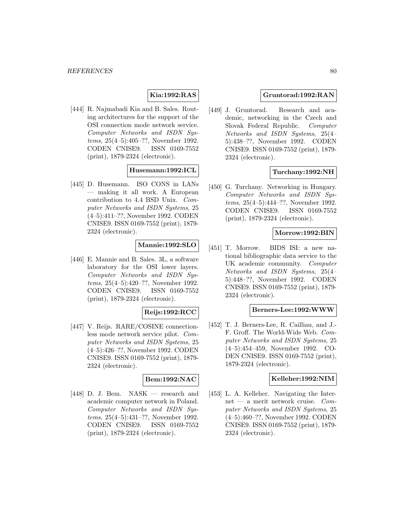# **Kia:1992:RAS**

[444] R. Najmabadi Kia and B. Sales. Routing architectures for the support of the OSI connection mode network service. Computer Networks and ISDN Systems, 25(4–5):405–??, November 1992. CODEN CNISE9. ISSN 0169-7552 (print), 1879-2324 (electronic).

# **Husemann:1992:ICL**

[445] D. Husemann. ISO CONS in LANs — making it all work. A European contribution to 4.4 BSD Unix. Computer Networks and ISDN Systems, 25 (4–5):411–??, November 1992. CODEN CNISE9. ISSN 0169-7552 (print), 1879- 2324 (electronic).

# **Mannie:1992:SLO**

[446] E. Mannie and B. Sales. 3L, a software laboratory for the OSI lower layers. Computer Networks and ISDN Systems, 25(4–5):420–??, November 1992. CODEN CNISE9. ISSN 0169-7552 (print), 1879-2324 (electronic).

# **Reijs:1992:RCC**

[447] V. Reijs. RARE/COSINE connectionless mode network service pilot. Computer Networks and ISDN Systems, 25 (4–5):426–??, November 1992. CODEN CNISE9. ISSN 0169-7552 (print), 1879- 2324 (electronic).

# **Bem:1992:NAC**

[448] D. J. Bem. NASK — research and academic computer network in Poland. Computer Networks and ISDN Systems, 25(4–5):431–??, November 1992. CODEN CNISE9. ISSN 0169-7552 (print), 1879-2324 (electronic).

# **Gruntorad:1992:RAN**

[449] J. Gruntorad. Research and academic, networking in the Czech and Slovak Federal Republic. Computer Networks and ISDN Systems, 25(4– 5):438–??, November 1992. CODEN CNISE9. ISSN 0169-7552 (print), 1879- 2324 (electronic).

# **Turchany:1992:NH**

[450] G. Turchany. Networking in Hungary. Computer Networks and ISDN Systems, 25(4–5):444–??, November 1992. CODEN CNISE9. ISSN 0169-7552 (print), 1879-2324 (electronic).

### **Morrow:1992:BIN**

[451] T. Morrow. BIDS ISI: a new national bibliographic data service to the UK academic community. Computer Networks and ISDN Systems, 25(4– 5):448–??, November 1992. CODEN CNISE9. ISSN 0169-7552 (print), 1879- 2324 (electronic).

#### **Berners-Lee:1992:WWW**

[452] T. J. Berners-Lee, R. Cailliau, and J.- F. Groff. The World-Wide Web. Computer Networks and ISDN Systems, 25 (4–5):454–459, November 1992. CO-DEN CNISE9. ISSN 0169-7552 (print), 1879-2324 (electronic).

#### **Kelleher:1992:NIM**

[453] L. A. Kelleher. Navigating the Internet — a merit network cruise.  $Com$ puter Networks and ISDN Systems, 25 (4–5):460–??, November 1992. CODEN CNISE9. ISSN 0169-7552 (print), 1879- 2324 (electronic).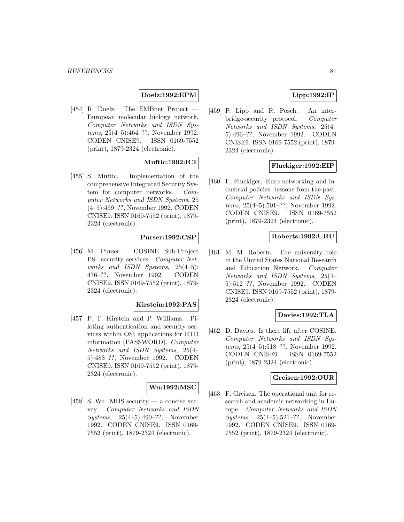# **Doelz:1992:EPM**

[454] R. Doelz. The EMBnet Project European molecular biology network. Computer Networks and ISDN Systems, 25(4–5):464–??, November 1992. CODEN CNISE9. ISSN 0169-7552 (print), 1879-2324 (electronic).

# **Muftic:1992:ICI**

[455] S. Muftic. Implementation of the comprehensive Integrated Security System for computer networks. Computer Networks and ISDN Systems, 25 (4–5):469–??, November 1992. CODEN CNISE9. ISSN 0169-7552 (print), 1879- 2324 (electronic).

# **Purser:1992:CSP**

[456] M. Purser. COSINE Sub-Project P8: security services. Computer Networks and ISDN Systems, 25(4–5): 476–??, November 1992. CODEN CNISE9. ISSN 0169-7552 (print), 1879- 2324 (electronic).

### **Kirstein:1992:PAS**

[457] P. T. Kirstein and P. Williams. Piloting authentication and security services within OSI applications for RTD information (PASSWORD). Computer Networks and ISDN Systems, 25(4– 5):483–??, November 1992. CODEN CNISE9. ISSN 0169-7552 (print), 1879- 2324 (electronic).

# **Wu:1992:MSC**

[458] S. Wu. MHS security — a concise survey. Computer Networks and ISDN Systems, 25(4–5):490–??, November 1992. CODEN CNISE9. ISSN 0169- 7552 (print), 1879-2324 (electronic).

# **Lipp:1992:IP**

[459] P. Lipp and R. Posch. An interbridge-security protocol. Computer Networks and ISDN Systems, 25(4– 5):496–??, November 1992. CODEN CNISE9. ISSN 0169-7552 (print), 1879- 2324 (electronic).

# **Fluckiger:1992:EIP**

[460] F. Fluckiger. Euro-networking and industrial policies: lessons from the past. Computer Networks and ISDN Systems, 25(4–5):501–??, November 1992. CODEN CNISE9. ISSN 0169-7552 (print), 1879-2324 (electronic).

### **Roberts:1992:URU**

[461] M. M. Roberts. The university role in the United States National Research and Education Network. Computer Networks and ISDN Systems, 25(4– 5):512–??, November 1992. CODEN CNISE9. ISSN 0169-7552 (print), 1879- 2324 (electronic).

# **Davies:1992:TLA**

[462] D. Davies. Is there life after COSINE. Computer Networks and ISDN Systems, 25(4–5):518–??, November 1992. CODEN CNISE9. ISSN 0169-7552 (print), 1879-2324 (electronic).

#### **Greisen:1992:OUR**

[463] F. Greisen. The operational unit for research and academic networking in Europe. Computer Networks and ISDN Systems, 25(4–5):521–??, November 1992. CODEN CNISE9. ISSN 0169- 7552 (print), 1879-2324 (electronic).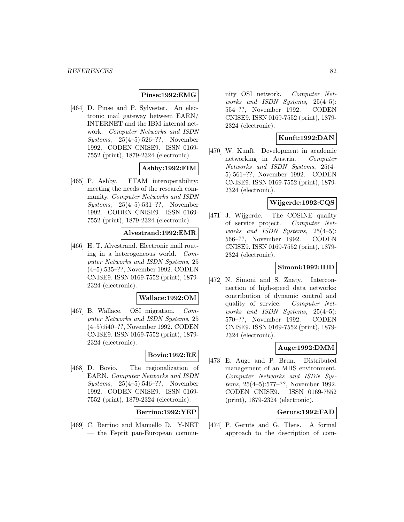# **Pinse:1992:EMG**

[464] D. Pinse and P. Sylvester. An electronic mail gateway between EARN/ INTERNET and the IBM internal network. Computer Networks and ISDN Systems, 25(4–5):526–??, November 1992. CODEN CNISE9. ISSN 0169- 7552 (print), 1879-2324 (electronic).

# **Ashby:1992:FIM**

[465] P. Ashby. FTAM interoperability: meeting the needs of the research community. Computer Networks and ISDN Systems, 25(4–5):531–??, November 1992. CODEN CNISE9. ISSN 0169- 7552 (print), 1879-2324 (electronic).

### **Alvestrand:1992:EMR**

[466] H. T. Alvestrand. Electronic mail routing in a heterogeneous world. Computer Networks and ISDN Systems, 25 (4–5):535–??, November 1992. CODEN CNISE9. ISSN 0169-7552 (print), 1879- 2324 (electronic).

### **Wallace:1992:OM**

[467] B. Wallace. OSI migration. Computer Networks and ISDN Systems, 25 (4–5):540–??, November 1992. CODEN CNISE9. ISSN 0169-7552 (print), 1879- 2324 (electronic).

# **Bovio:1992:RE**

[468] D. Bovio. The regionalization of EARN. Computer Networks and ISDN Systems, 25(4–5):546–??, November 1992. CODEN CNISE9. ISSN 0169- 7552 (print), 1879-2324 (electronic).

# **Berrino:1992:YEP**

[469] C. Berrino and Manuello D. Y-NET — the Esprit pan-European community OSI network. Computer Networks and ISDN Systems, 25(4–5): 554–??, November 1992. CODEN CNISE9. ISSN 0169-7552 (print), 1879- 2324 (electronic).

# **Kunft:1992:DAN**

[470] W. Kunft. Development in academic networking in Austria. Computer Networks and ISDN Systems, 25(4– 5):561–??, November 1992. CODEN CNISE9. ISSN 0169-7552 (print), 1879- 2324 (electronic).

## **Wijgerde:1992:CQS**

[471] J. Wijgerde. The COSINE quality of service project. Computer Networks and ISDN Systems, 25(4–5): 566–??, November 1992. CODEN CNISE9. ISSN 0169-7552 (print), 1879- 2324 (electronic).

# **Simoni:1992:IHD**

[472] N. Simoni and S. Znaty. Interconnection of high-speed data networks: contribution of dynamic control and quality of service. Computer Networks and ISDN Systems, 25(4–5): 570–??, November 1992. CODEN CNISE9. ISSN 0169-7552 (print), 1879- 2324 (electronic).

# **Auge:1992:DMM**

[473] E. Auge and P. Brun. Distributed management of an MHS environment. Computer Networks and ISDN Systems, 25(4–5):577–??, November 1992. CODEN CNISE9. ISSN 0169-7552 (print), 1879-2324 (electronic).

# **Geruts:1992:FAD**

[474] P. Geruts and G. Theis. A formal approach to the description of com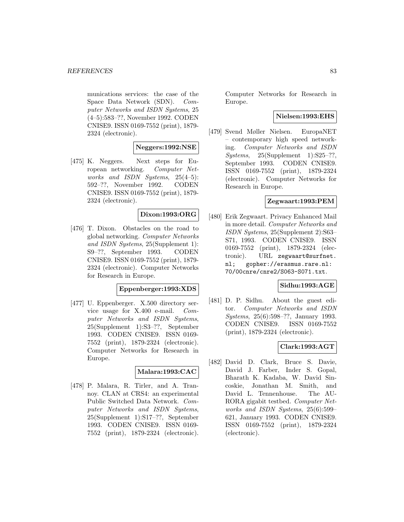munications services: the case of the Space Data Network (SDN). Computer Networks and ISDN Systems, 25 (4–5):583–??, November 1992. CODEN CNISE9. ISSN 0169-7552 (print), 1879- 2324 (electronic).

# **Neggers:1992:NSE**

[475] K. Neggers. Next steps for European networking. Computer Networks and ISDN Systems, 25(4–5): 592–??, November 1992. CODEN CNISE9. ISSN 0169-7552 (print), 1879- 2324 (electronic).

# **Dixon:1993:ORG**

[476] T. Dixon. Obstacles on the road to global networking. Computer Networks and ISDN Systems, 25(Supplement 1): S9–??, September 1993. CODEN CNISE9. ISSN 0169-7552 (print), 1879- 2324 (electronic). Computer Networks for Research in Europe.

#### **Eppenberger:1993:XDS**

[477] U. Eppenberger. X.500 directory service usage for X.400 e-mail. Computer Networks and ISDN Systems, 25(Supplement 1):S3–??, September 1993. CODEN CNISE9. ISSN 0169- 7552 (print), 1879-2324 (electronic). Computer Networks for Research in Europe.

# **Malara:1993:CAC**

[478] P. Malara, R. Tirler, and A. Trannoy. CLAN at CRS4: an experimental Public Switched Data Network. Computer Networks and ISDN Systems, 25(Supplement 1):S17–??, September 1993. CODEN CNISE9. ISSN 0169- 7552 (print), 1879-2324 (electronic).

Computer Networks for Research in Europe.

# **Nielsen:1993:EHS**

[479] Svend Møller Nielsen. EuropaNET – contemporary high speed networking. Computer Networks and ISDN  $Systems, 25(Supplement 1):S25-??,$ September 1993. CODEN CNISE9. ISSN 0169-7552 (print), 1879-2324 (electronic). Computer Networks for Research in Europe.

# **Zegwaart:1993:PEM**

[480] Erik Zegwaart. Privacy Enhanced Mail in more detail. Computer Networks and ISDN Systems, 25(Supplement 2):S63– S71, 1993. CODEN CNISE9. ISSN 0169-7552 (print), 1879-2324 (electronic). URL zegwaart@surfnet. nl; gopher://erasmus.rare.nl: 70/00cnre/cnre2/S063-S071.txt.

### **Sidhu:1993:AGE**

[481] D. P. Sidhu. About the guest editor. Computer Networks and ISDN Systems, 25(6):598–??, January 1993. CODEN CNISE9. ISSN 0169-7552 (print), 1879-2324 (electronic).

# **Clark:1993:AGT**

[482] David D. Clark, Bruce S. Davie, David J. Farber, Inder S. Gopal, Bharath K. Kadaba, W. David Sincoskie, Jonathan M. Smith, and David L. Tennenhouse. The AU-RORA gigabit testbed. Computer Networks and ISDN Systems, 25(6):599– 621, January 1993. CODEN CNISE9. ISSN 0169-7552 (print), 1879-2324 (electronic).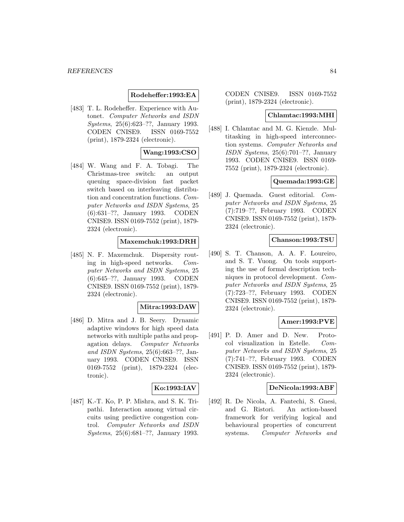# **Rodeheffer:1993:EA**

[483] T. L. Rodeheffer. Experience with Autonet. Computer Networks and ISDN Systems, 25(6):623–??, January 1993. CODEN CNISE9. ISSN 0169-7552 (print), 1879-2324 (electronic).

# **Wang:1993:CSO**

[484] W. Wang and F. A. Tobagi. The Christmas-tree switch: an output queuing space-division fast packet switch based on interleaving distribution and concentration functions. Computer Networks and ISDN Systems, 25 (6):631–??, January 1993. CODEN CNISE9. ISSN 0169-7552 (print), 1879- 2324 (electronic).

# **Maxemchuk:1993:DRH**

[485] N. F. Maxemchuk. Dispersity routing in high-speed networks. Computer Networks and ISDN Systems, 25 (6):645–??, January 1993. CODEN CNISE9. ISSN 0169-7552 (print), 1879- 2324 (electronic).

### **Mitra:1993:DAW**

[486] D. Mitra and J. B. Seery. Dynamic adaptive windows for high speed data networks with multiple paths and propagation delays. Computer Networks and ISDN Systems, 25(6):663–??, January 1993. CODEN CNISE9. ISSN 0169-7552 (print), 1879-2324 (electronic).

# **Ko:1993:IAV**

[487] K.-T. Ko, P. P. Mishra, and S. K. Tripathi. Interaction among virtual circuits using predictive congestion control. Computer Networks and ISDN Systems, 25(6):681–??, January 1993.

CODEN CNISE9. ISSN 0169-7552 (print), 1879-2324 (electronic).

### **Chlamtac:1993:MHI**

[488] I. Chlamtac and M. G. Kienzle. Multitasking in high-speed interconnection systems. Computer Networks and ISDN Systems, 25(6):701–??, January 1993. CODEN CNISE9. ISSN 0169- 7552 (print), 1879-2324 (electronic).

# **Quemada:1993:GE**

[489] J. Quemada. Guest editorial. Computer Networks and ISDN Systems, 25 (7):719–??, February 1993. CODEN CNISE9. ISSN 0169-7552 (print), 1879- 2324 (electronic).

# **Chanson:1993:TSU**

[490] S. T. Chanson, A. A. F. Loureiro, and S. T. Vuong. On tools supporting the use of formal description techniques in protocol development. Computer Networks and ISDN Systems, 25 (7):723–??, February 1993. CODEN CNISE9. ISSN 0169-7552 (print), 1879- 2324 (electronic).

# **Amer:1993:PVE**

[491] P. D. Amer and D. New. Protocol visualization in Estelle. Computer Networks and ISDN Systems, 25 (7):741–??, February 1993. CODEN CNISE9. ISSN 0169-7552 (print), 1879- 2324 (electronic).

### **DeNicola:1993:ABF**

[492] R. De Nicola, A. Fantechi, S. Gnesi, and G. Ristori. An action-based framework for verifying logical and behavioural properties of concurrent systems. Computer Networks and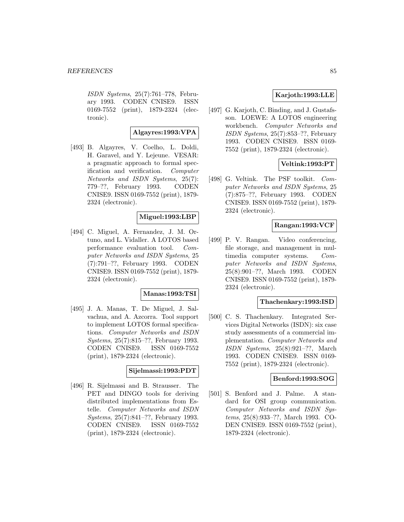ISDN Systems, 25(7):761–778, February 1993. CODEN CNISE9. ISSN 0169-7552 (print), 1879-2324 (electronic).

# **Algayres:1993:VPA**

[493] B. Algayres, V. Coelho, L. Doldi, H. Garavel, and Y. Lejeune. VESAR: a pragmatic approach to formal specification and verification. Computer Networks and ISDN Systems, 25(7): 779–??, February 1993. CODEN CNISE9. ISSN 0169-7552 (print), 1879- 2324 (electronic).

# **Miguel:1993:LBP**

[494] C. Miguel, A. Fernandez, J. M. Ortuno, and L. Vidaller. A LOTOS based performance evaluation tool. Computer Networks and ISDN Systems, 25 (7):791–??, February 1993. CODEN CNISE9. ISSN 0169-7552 (print), 1879- 2324 (electronic).

# **Manas:1993:TSI**

[495] J. A. Manas, T. De Miguel, J. Salvachua, and A. Azcorra. Tool support to implement LOTOS formal specifications. Computer Networks and ISDN Systems, 25(7):815–??, February 1993. CODEN CNISE9. ISSN 0169-7552 (print), 1879-2324 (electronic).

### **Sijelmassi:1993:PDT**

[496] R. Sijelmassi and B. Strausser. The PET and DINGO tools for deriving distributed implementations from Estelle. Computer Networks and ISDN Systems, 25(7):841–??, February 1993. CODEN CNISE9. ISSN 0169-7552 (print), 1879-2324 (electronic).

# **Karjoth:1993:LLE**

[497] G. Karjoth, C. Binding, and J. Gustafsson. LOEWE: A LOTOS engineering workbench. Computer Networks and ISDN Systems, 25(7):853–??, February 1993. CODEN CNISE9. ISSN 0169- 7552 (print), 1879-2324 (electronic).

# **Veltink:1993:PT**

[498] G. Veltink. The PSF toolkit. Computer Networks and ISDN Systems, 25 (7):875–??, February 1993. CODEN CNISE9. ISSN 0169-7552 (print), 1879- 2324 (electronic).

# **Rangan:1993:VCF**

[499] P. V. Rangan. Video conferencing, file storage, and management in multimedia computer systems. Computer Networks and ISDN Systems, 25(8):901–??, March 1993. CODEN CNISE9. ISSN 0169-7552 (print), 1879- 2324 (electronic).

### **Thachenkary:1993:ISD**

[500] C. S. Thachenkary. Integrated Services Digital Networks (ISDN): six case study assessments of a commercial implementation. Computer Networks and ISDN Systems, 25(8):921–??, March 1993. CODEN CNISE9. ISSN 0169- 7552 (print), 1879-2324 (electronic).

# **Benford:1993:SOG**

[501] S. Benford and J. Palme. A standard for OSI group communication. Computer Networks and ISDN Systems, 25(8):933–??, March 1993. CO-DEN CNISE9. ISSN 0169-7552 (print), 1879-2324 (electronic).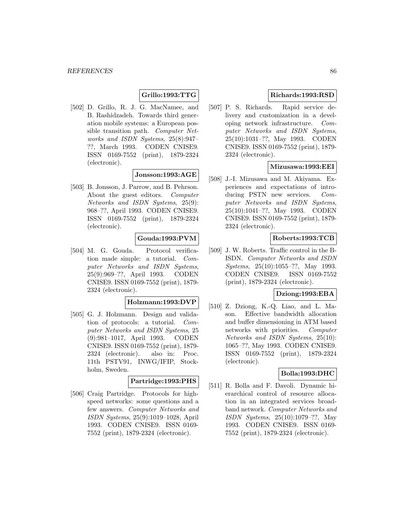# **Grillo:1993:TTG**

[502] D. Grillo, R. J. G. MacNamee, and B. Rashidzadeh. Towards third generation mobile systems: a European possible transition path. Computer Networks and ISDN Systems, 25(8):947– ??, March 1993. CODEN CNISE9. ISSN 0169-7552 (print), 1879-2324 (electronic).

# **Jonsson:1993:AGE**

[503] B. Jonsson, J. Parrow, and B. Pehrson. About the guest editors. Computer Networks and ISDN Systems, 25(9): 968–??, April 1993. CODEN CNISE9. ISSN 0169-7552 (print), 1879-2324 (electronic).

# **Gouda:1993:PVM**

[504] M. G. Gouda. Protocol verification made simple: a tutorial. Computer Networks and ISDN Systems, 25(9):969–??, April 1993. CODEN CNISE9. ISSN 0169-7552 (print), 1879- 2324 (electronic).

# **Holzmann:1993:DVP**

[505] G. J. Holzmann. Design and validation of protocols: a tutorial. Computer Networks and ISDN Systems, 25 (9):981–1017, April 1993. CODEN CNISE9. ISSN 0169-7552 (print), 1879- 2324 (electronic). also in: Proc. 11th PSTV91, INWG/IFIP, Stockholm, Sweden.

# **Partridge:1993:PHS**

[506] Craig Partridge. Protocols for highspeed networks: some questions and a few answers. Computer Networks and ISDN Systems, 25(9):1019–1028, April 1993. CODEN CNISE9. ISSN 0169- 7552 (print), 1879-2324 (electronic).

# **Richards:1993:RSD**

[507] P. S. Richards. Rapid service delivery and customization in a developing network infrastructure. Computer Networks and ISDN Systems, 25(10):1031–??, May 1993. CODEN CNISE9. ISSN 0169-7552 (print), 1879- 2324 (electronic).

# **Mizusawa:1993:EEI**

[508] J.-I. Mizusawa and M. Akiyama. Experiences and expectations of introducing PSTN new services. Computer Networks and ISDN Systems, 25(10):1041–??, May 1993. CODEN CNISE9. ISSN 0169-7552 (print), 1879- 2324 (electronic).

# **Roberts:1993:TCB**

[509] J. W. Roberts. Traffic control in the B-ISDN. Computer Networks and ISDN Systems, 25(10):1055–??, May 1993. CODEN CNISE9. ISSN 0169-7552 (print), 1879-2324 (electronic).

# **Dziong:1993:EBA**

[510] Z. Dziong, K.-Q. Liao, and L. Mason. Effective bandwidth allocation and buffer dimensioning in ATM based networks with priorities. Computer Networks and ISDN Systems, 25(10): 1065–??, May 1993. CODEN CNISE9. ISSN 0169-7552 (print), 1879-2324 (electronic).

# **Bolla:1993:DHC**

[511] R. Bolla and F. Davoli. Dynamic hierarchical control of resource allocation in an integrated services broadband network. Computer Networks and ISDN Systems, 25(10):1079–??, May 1993. CODEN CNISE9. ISSN 0169- 7552 (print), 1879-2324 (electronic).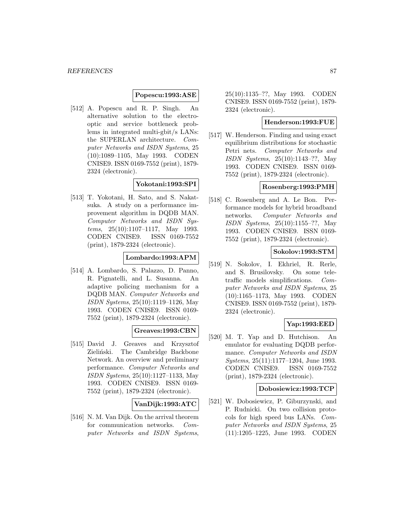### **Popescu:1993:ASE**

[512] A. Popescu and R. P. Singh. An alternative solution to the electrooptic and service bottleneck problems in integrated multi-gbit/s LANs: the SUPERLAN architecture. Computer Networks and ISDN Systems, 25 (10):1089–1105, May 1993. CODEN CNISE9. ISSN 0169-7552 (print), 1879- 2324 (electronic).

# **Yokotani:1993:SPI**

[513] T. Yokotani, H. Sato, and S. Nakatsuka. A study on a performance improvement algorithm in DQDB MAN. Computer Networks and ISDN Systems, 25(10):1107–1117, May 1993. CODEN CNISE9. ISSN 0169-7552 (print), 1879-2324 (electronic).

# **Lombardo:1993:APM**

[514] A. Lombardo, S. Palazzo, D. Panno, R. Pignatelli, and L. Susanna. An adaptive policing mechanism for a DQDB MAN. Computer Networks and ISDN Systems, 25(10):1119–1126, May 1993. CODEN CNISE9. ISSN 0169- 7552 (print), 1879-2324 (electronic).

# **Greaves:1993:CBN**

[515] David J. Greaves and Krzysztof Zieliński. The Cambridge Backbone Network. An overview and preliminary performance. Computer Networks and ISDN Systems, 25(10):1127–1133, May 1993. CODEN CNISE9. ISSN 0169- 7552 (print), 1879-2324 (electronic).

# **VanDijk:1993:ATC**

[516] N. M. Van Dijk. On the arrival theorem for communication networks. Computer Networks and ISDN Systems, 25(10):1135–??, May 1993. CODEN CNISE9. ISSN 0169-7552 (print), 1879- 2324 (electronic).

# **Henderson:1993:FUE**

[517] W. Henderson. Finding and using exact equilibrium distributions for stochastic Petri nets. Computer Networks and ISDN Systems, 25(10):1143–??, May 1993. CODEN CNISE9. ISSN 0169- 7552 (print), 1879-2324 (electronic).

### **Rosenberg:1993:PMH**

[518] C. Rosenberg and A. Le Bon. Performance models for hybrid broadband networks. Computer Networks and ISDN Systems, 25(10):1155–??, May 1993. CODEN CNISE9. ISSN 0169- 7552 (print), 1879-2324 (electronic).

# **Sokolov:1993:STM**

[519] N. Sokolov, I. Ekhriel, R. Rerle, and S. Brusilovsky. On some teletraffic models simplifications. Computer Networks and ISDN Systems, 25 (10):1165–1173, May 1993. CODEN CNISE9. ISSN 0169-7552 (print), 1879- 2324 (electronic).

# **Yap:1993:EED**

[520] M. T. Yap and D. Hutchison. An emulator for evaluating DQDB performance. Computer Networks and ISDN Systems, 25(11):1177–1204, June 1993. CODEN CNISE9. ISSN 0169-7552 (print), 1879-2324 (electronic).

#### **Dobosiewicz:1993:TCP**

[521] W. Dobosiewicz, P. Giburzynski, and P. Rudnicki. On two collision protocols for high speed bus LANs. Computer Networks and ISDN Systems, 25 (11):1205–1225, June 1993. CODEN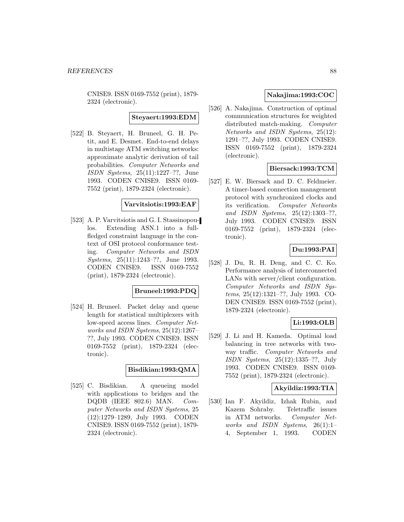CNISE9. ISSN 0169-7552 (print), 1879- 2324 (electronic).

**Steyaert:1993:EDM**

[522] B. Steyaert, H. Bruneel, G. H. Petit, and E. Desmet. End-to-end delays in multistage ATM switching networks: approximate analytic derivation of tail probabilities. Computer Networks and ISDN Systems, 25(11):1227–??, June 1993. CODEN CNISE9. ISSN 0169- 7552 (print), 1879-2324 (electronic).

# **Varvitsiotis:1993:EAF**

[523] A. P. Varvitsiotis and G. I. Stassinopoulos. Extending ASN.1 into a fullfledged constraint language in the context of OSI protocol conformance testing. Computer Networks and ISDN Systems, 25(11):1243–??, June 1993. CODEN CNISE9. ISSN 0169-7552 (print), 1879-2324 (electronic).

# **Bruneel:1993:PDQ**

[524] H. Bruneel. Packet delay and queue length for statistical multiplexers with low-speed access lines. Computer Networks and ISDN Systems, 25(12):1267– ??, July 1993. CODEN CNISE9. ISSN 0169-7552 (print), 1879-2324 (electronic).

# **Bisdikian:1993:QMA**

[525] C. Bisdikian. A queueing model with applications to bridges and the DQDB (IEEE 802.6) MAN. Computer Networks and ISDN Systems, 25 (12):1279–1289, July 1993. CODEN CNISE9. ISSN 0169-7552 (print), 1879- 2324 (electronic).

# **Nakajima:1993:COC**

[526] A. Nakajima. Construction of optimal communication structures for weighted distributed match-making. Computer Networks and ISDN Systems, 25(12): 1291–??, July 1993. CODEN CNISE9. ISSN 0169-7552 (print), 1879-2324 (electronic).

# **Biersack:1993:TCM**

[527] E. W. Biersack and D. C. Feldmeier. A timer-based connection management protocol with synchronized clocks and its verification. Computer Networks and ISDN Systems, 25(12):1303–??, July 1993. CODEN CNISE9. ISSN 0169-7552 (print), 1879-2324 (electronic).

# **Du:1993:PAI**

[528] J. Du, R. H. Deng, and C. C. Ko. Performance analysis of interconnected LANs with server/client configuration. Computer Networks and ISDN Systems, 25(12):1321–??, July 1993. CO-DEN CNISE9. ISSN 0169-7552 (print), 1879-2324 (electronic).

# **Li:1993:OLB**

[529] J. Li and H. Kameda. Optimal load balancing in tree networks with twoway traffic. Computer Networks and ISDN Systems, 25(12):1335–??, July 1993. CODEN CNISE9. ISSN 0169- 7552 (print), 1879-2324 (electronic).

# **Akyildiz:1993:TIA**

[530] Ian F. Akyildiz, Izhak Rubin, and Kazem Sohraby. Teletraffic issues in ATM networks. Computer Networks and ISDN Systems,  $26(1):1$ 4, September 1, 1993. CODEN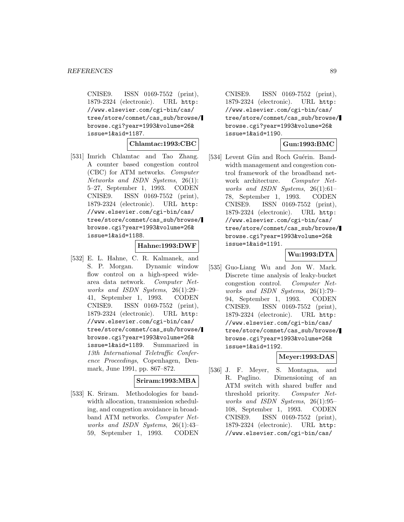CNISE9. ISSN 0169-7552 (print), 1879-2324 (electronic). URL http: //www.elsevier.com/cgi-bin/cas/ tree/store/comnet/cas\_sub/browse/ browse.cgi?year=1993&volume=26& issue=1&aid=1187.

**Chlamtac:1993:CBC**

[531] Imrich Chlamtac and Tao Zhang. A counter based congestion control (CBC) for ATM networks. Computer Networks and ISDN Systems, 26(1): 5–27, September 1, 1993. CODEN CNISE9. ISSN 0169-7552 (print), 1879-2324 (electronic). URL http: //www.elsevier.com/cgi-bin/cas/ tree/store/comnet/cas\_sub/browse/ browse.cgi?year=1993&volume=26& issue=1&aid=1188.

### **Hahne:1993:DWF**

[532] E. L. Hahne, C. R. Kalmanek, and S. P. Morgan. Dynamic window flow control on a high-speed widearea data network. Computer Networks and ISDN Systems, 26(1):29– 41, September 1, 1993. CODEN CNISE9. ISSN 0169-7552 (print), 1879-2324 (electronic). URL http: //www.elsevier.com/cgi-bin/cas/ tree/store/comnet/cas\_sub/browse/ browse.cgi?year=1993&volume=26& issue=1&aid=1189. Summarized in 13th International Teletraffic Conference Proceedings, Copenhagen, Denmark, June 1991, pp. 867–872.

### **Sriram:1993:MBA**

[533] K. Sriram. Methodologies for bandwidth allocation, transmission scheduling, and congestion avoidance in broadband ATM networks. Computer Networks and ISDN Systems, 26(1):43– 59, September 1, 1993. CODEN

CNISE9. ISSN 0169-7552 (print), 1879-2324 (electronic). URL http: //www.elsevier.com/cgi-bin/cas/ tree/store/comnet/cas\_sub/browse/ browse.cgi?year=1993&volume=26& issue=1&aid=1190.

# **Gun:1993:BMC**

[534] Levent Gün and Roch Guérin. Bandwidth management and congestion control framework of the broadband network architecture. Computer Networks and ISDN Systems, 26(1):61– 78, September 1, 1993. CODEN CNISE9. ISSN 0169-7552 (print), 1879-2324 (electronic). URL http: //www.elsevier.com/cgi-bin/cas/ tree/store/comnet/cas\_sub/browse/ browse.cgi?year=1993&volume=26& issue=1&aid=1191.

# **Wu:1993:DTA**

[535] Guo-Liang Wu and Jon W. Mark. Discrete time analysis of leaky-bucket congestion control. Computer Networks and ISDN Systems, 26(1):79– 94, September 1, 1993. CODEN CNISE9. ISSN 0169-7552 (print), 1879-2324 (electronic). URL http: //www.elsevier.com/cgi-bin/cas/ tree/store/comnet/cas\_sub/browse/ browse.cgi?year=1993&volume=26& issue=1&aid=1192.

# **Meyer:1993:DAS**

[536] J. F. Meyer, S. Montagna, and R. Paglino. Dimensioning of an ATM switch with shared buffer and threshold priority. Computer Networks and ISDN Systems, 26(1):95– 108, September 1, 1993. CODEN CNISE9. ISSN 0169-7552 (print), 1879-2324 (electronic). URL http: //www.elsevier.com/cgi-bin/cas/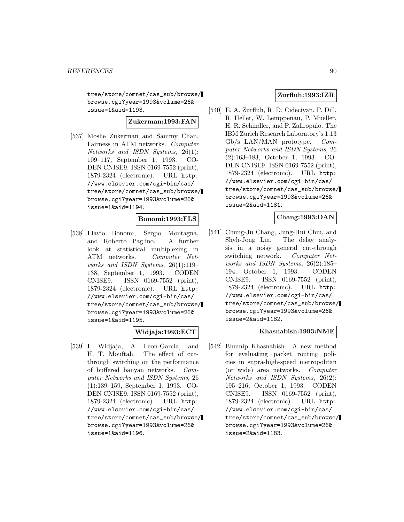tree/store/comnet/cas\_sub/browse/ browse.cgi?year=1993&volume=26& issue=1&aid=1193.

**Zukerman:1993:FAN**

[537] Moshe Zukerman and Sammy Chan. Fairness in ATM networks. Computer Networks and ISDN Systems, 26(1): 109–117, September 1, 1993. CO-DEN CNISE9. ISSN 0169-7552 (print), 1879-2324 (electronic). URL http: //www.elsevier.com/cgi-bin/cas/ tree/store/comnet/cas\_sub/browse/ browse.cgi?year=1993&volume=26& issue=1&aid=1194.

### **Bonomi:1993:FLS**

[538] Flavio Bonomi, Sergio Montagna, and Roberto Paglino. A further look at statistical multiplexing in ATM networks. Computer Networks and ISDN Systems, 26(1):119– 138, September 1, 1993. CODEN CNISE9. ISSN 0169-7552 (print), 1879-2324 (electronic). URL http: //www.elsevier.com/cgi-bin/cas/ tree/store/comnet/cas\_sub/browse/ browse.cgi?year=1993&volume=26& issue=1&aid=1195.

# **Widjaja:1993:ECT**

[539] I. Widjaja, A. Leon-Garcia, and H. T. Mouftah. The effect of cutthrough switching on the performance of buffered banyan networks. Computer Networks and ISDN Systems, 26 (1):139–159, September 1, 1993. CO-DEN CNISE9. ISSN 0169-7552 (print), 1879-2324 (electronic). URL http: //www.elsevier.com/cgi-bin/cas/ tree/store/comnet/cas\_sub/browse/ browse.cgi?year=1993&volume=26& issue=1&aid=1196.

# **Zurfluh:1993:IZR**

[540] E. A. Zurfluh, R. D. Cideciyan, P. Dill, R. Heller, W. Lemppenau, P. Mueller, H. R. Schindler, and P. Zafiropulo. The IBM Zurich Research Laboratory's 1.13 Gb/s LAN/MAN prototype. Computer Networks and ISDN Systems, 26 (2):163–183, October 1, 1993. CO-DEN CNISE9. ISSN 0169-7552 (print), 1879-2324 (electronic). URL http: //www.elsevier.com/cgi-bin/cas/ tree/store/comnet/cas\_sub/browse/ browse.cgi?year=1993&volume=26& issue=2&aid=1181.

# **Chang:1993:DAN**

[541] Chung-Ju Chang, Jung-Hui Chiu, and Shyh-Jong Lin. The delay analysis in a noisy general cut-through switching network. Computer Networks and ISDN Systems, 26(2):185– 194, October 1, 1993. CODEN CNISE9. ISSN 0169-7552 (print), 1879-2324 (electronic). URL http: //www.elsevier.com/cgi-bin/cas/ tree/store/comnet/cas\_sub/browse/ browse.cgi?year=1993&volume=26& issue=2&aid=1182.

# **Khasnabish:1993:NME**

[542] Bhumip Khasnabish. A new method for evaluating packet routing policies in supra-high-speed metropolitan (or wide) area networks. Computer Networks and ISDN Systems, 26(2): 195–216, October 1, 1993. CODEN CNISE9. ISSN 0169-7552 (print), 1879-2324 (electronic). URL http: //www.elsevier.com/cgi-bin/cas/ tree/store/comnet/cas\_sub/browse/ browse.cgi?year=1993&volume=26& issue=2&aid=1183.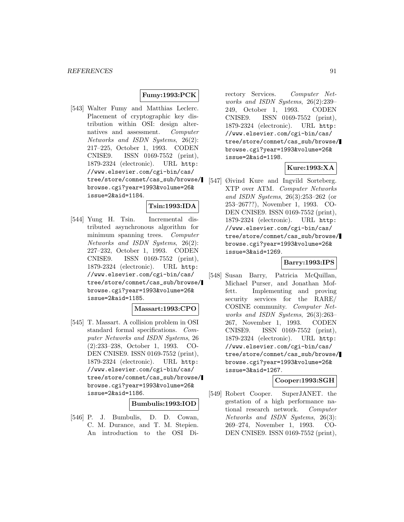# **Fumy:1993:PCK**

[543] Walter Fumy and Matthias Leclerc. Placement of cryptographic key distribution within OSI: design alternatives and assessment. Computer Networks and ISDN Systems, 26(2): 217–225, October 1, 1993. CODEN CNISE9. ISSN 0169-7552 (print), 1879-2324 (electronic). URL http: //www.elsevier.com/cgi-bin/cas/ tree/store/comnet/cas\_sub/browse/ browse.cgi?year=1993&volume=26& issue=2&aid=1184.

# **Tsin:1993:IDA**

[544] Yung H. Tsin. Incremental distributed asynchronous algorithm for minimum spanning trees. Computer Networks and ISDN Systems, 26(2): 227–232, October 1, 1993. CODEN CNISE9. ISSN 0169-7552 (print), 1879-2324 (electronic). URL http: //www.elsevier.com/cgi-bin/cas/ tree/store/comnet/cas\_sub/browse/ browse.cgi?year=1993&volume=26& issue=2&aid=1185.

### **Massart:1993:CPO**

[545] T. Massart. A collision problem in OSI standard formal specifications. Computer Networks and ISDN Systems, 26 (2):233–238, October 1, 1993. CO-DEN CNISE9. ISSN 0169-7552 (print), 1879-2324 (electronic). URL http: //www.elsevier.com/cgi-bin/cas/ tree/store/comnet/cas\_sub/browse/ browse.cgi?year=1993&volume=26& issue=2&aid=1186.

#### **Bumbulis:1993:IOD**

[546] P. J. Bumbulis, D. D. Cowan, C. M. Durance, and T. M. Stepien. An introduction to the OSI Di-

rectory Services. Computer Networks and ISDN Systems, 26(2):239– 249, October 1, 1993. CODEN CNISE9. ISSN 0169-7552 (print), 1879-2324 (electronic). URL http: //www.elsevier.com/cgi-bin/cas/ tree/store/comnet/cas\_sub/browse/ browse.cgi?year=1993&volume=26& issue=2&aid=1198.

# **Kure:1993:XA**

[547] Øivind Kure and Ingvild Sorteberg. XTP over ATM. Computer Networks and ISDN Systems, 26(3):253–262 (or 253–267??), November 1, 1993. CO-DEN CNISE9. ISSN 0169-7552 (print), 1879-2324 (electronic). URL http: //www.elsevier.com/cgi-bin/cas/ tree/store/comnet/cas\_sub/browse/ browse.cgi?year=1993&volume=26& issue=3&aid=1269.

# **Barry:1993:IPS**

[548] Susan Barry, Patricia McQuillan, Michael Purser, and Jonathan Moffett. Implementing and proving security services for the RARE/ COSINE community. Computer Networks and ISDN Systems, 26(3):263– 267, November 1, 1993. CODEN CNISE9. ISSN 0169-7552 (print), 1879-2324 (electronic). URL http: //www.elsevier.com/cgi-bin/cas/ tree/store/comnet/cas\_sub/browse/ browse.cgi?year=1993&volume=26& issue=3&aid=1267.

### **Cooper:1993:SGH**

[549] Robert Cooper. SuperJANET. the gestation of a high performance national research network. Computer Networks and ISDN Systems, 26(3): 269–274, November 1, 1993. CO-DEN CNISE9. ISSN 0169-7552 (print),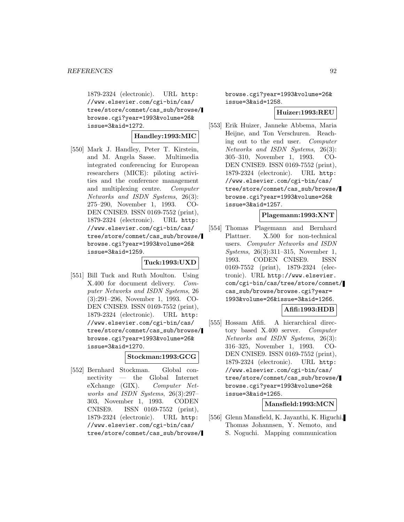1879-2324 (electronic). URL http: //www.elsevier.com/cgi-bin/cas/ tree/store/comnet/cas\_sub/browse/ browse.cgi?year=1993&volume=26& issue=3&aid=1272.

# **Handley:1993:MIC**

[550] Mark J. Handley, Peter T. Kirstein, and M. Angela Sasse. Multimedia integrated conferencing for European researchers (MICE): piloting activities and the conference management and multiplexing centre. Computer Networks and ISDN Systems, 26(3): 275–290, November 1, 1993. CO-DEN CNISE9. ISSN 0169-7552 (print), 1879-2324 (electronic). URL http: //www.elsevier.com/cgi-bin/cas/ tree/store/comnet/cas\_sub/browse/ browse.cgi?year=1993&volume=26& issue=3&aid=1259.

#### **Tuck:1993:UXD**

[551] Bill Tuck and Ruth Moulton. Using X.400 for document delivery. Computer Networks and ISDN Systems, 26 (3):291–296, November 1, 1993. CO-DEN CNISE9. ISSN 0169-7552 (print), 1879-2324 (electronic). URL http: //www.elsevier.com/cgi-bin/cas/ tree/store/comnet/cas\_sub/browse/ browse.cgi?year=1993&volume=26& issue=3&aid=1270.

### **Stockman:1993:GCG**

[552] Bernhard Stockman. Global connectivity — the Global Internet eXchange (GIX). Computer Networks and ISDN Systems, 26(3):297– 303, November 1, 1993. CODEN CNISE9. ISSN 0169-7552 (print), 1879-2324 (electronic). URL http: //www.elsevier.com/cgi-bin/cas/ tree/store/comnet/cas\_sub/browse/ browse.cgi?year=1993&volume=26& issue=3&aid=1258.

### **Huizer:1993:REU**

[553] Erik Huizer, Janneke Abbema, Maria Heijne, and Ton Verschuren. Reaching out to the end user. Computer Networks and ISDN Systems, 26(3): 305–310, November 1, 1993. CO-DEN CNISE9. ISSN 0169-7552 (print), 1879-2324 (electronic). URL http: //www.elsevier.com/cgi-bin/cas/ tree/store/comnet/cas\_sub/browse/ browse.cgi?year=1993&volume=26& issue=3&aid=1257.

#### **Plagemann:1993:XNT**

[554] Thomas Plagemann and Bernhard Plattner. X.500 for non-technical users. Computer Networks and ISDN Systems, 26(3):311–315, November 1, 1993. CODEN CNISE9. ISSN 0169-7552 (print), 1879-2324 (electronic). URL http://www.elsevier. com/cgi-bin/cas/tree/store/comnet/ cas\_sub/browse/browse.cgi?year= 1993&volume=26&issue=3&aid=1266.

# **Afifi:1993:HDB**

[555] Hossam Afifi. A hierarchical directory based X.400 server. Computer Networks and ISDN Systems, 26(3): 316–325, November 1, 1993. CO-DEN CNISE9. ISSN 0169-7552 (print), 1879-2324 (electronic). URL http: //www.elsevier.com/cgi-bin/cas/ tree/store/comnet/cas\_sub/browse/ browse.cgi?year=1993&volume=26& issue=3&aid=1265.

# **Mansfield:1993:MCN**

[556] Glenn Mansfield, K. Jayanthi, K. Higuchi, Thomas Johannsen, Y. Nemoto, and S. Noguchi. Mapping communication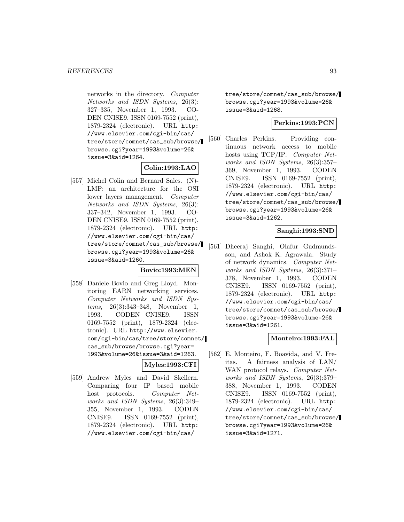networks in the directory. Computer Networks and ISDN Systems, 26(3): 327–335, November 1, 1993. CO-DEN CNISE9. ISSN 0169-7552 (print), 1879-2324 (electronic). URL http: //www.elsevier.com/cgi-bin/cas/ tree/store/comnet/cas\_sub/browse/ browse.cgi?year=1993&volume=26& issue=3&aid=1264.

# **Colin:1993:LAO**

[557] Michel Colin and Bernard Sales. (N)- LMP: an architecture for the OSI lower layers management. Computer Networks and ISDN Systems, 26(3): 337–342, November 1, 1993. CO-DEN CNISE9. ISSN 0169-7552 (print), 1879-2324 (electronic). URL http: //www.elsevier.com/cgi-bin/cas/ tree/store/comnet/cas\_sub/browse/ browse.cgi?year=1993&volume=26& issue=3&aid=1260.

# **Bovio:1993:MEN**

[558] Daniele Bovio and Greg Lloyd. Monitoring EARN networking services. Computer Networks and ISDN Systems, 26(3):343–348, November 1, 1993. CODEN CNISE9. ISSN 0169-7552 (print), 1879-2324 (electronic). URL http://www.elsevier. com/cgi-bin/cas/tree/store/comnet/ cas\_sub/browse/browse.cgi?year= 1993&volume=26&issue=3&aid=1263.

**Myles:1993:CFI**

[559] Andrew Myles and David Skellern. Comparing four IP based mobile host protocols. Computer Networks and ISDN Systems, 26(3):349– 355, November 1, 1993. CODEN CNISE9. ISSN 0169-7552 (print), 1879-2324 (electronic). URL http: //www.elsevier.com/cgi-bin/cas/

tree/store/comnet/cas\_sub/browse/ browse.cgi?year=1993&volume=26& issue=3&aid=1268.

# **Perkins:1993:PCN**

[560] Charles Perkins. Providing continuous network access to mobile hosts using TCP/IP. Computer Networks and ISDN Systems, 26(3):357– 369, November 1, 1993. CODEN CNISE9. ISSN 0169-7552 (print), 1879-2324 (electronic). URL http: //www.elsevier.com/cgi-bin/cas/ tree/store/comnet/cas\_sub/browse/ browse.cgi?year=1993&volume=26& issue=3&aid=1262.

# **Sanghi:1993:SND**

[561] Dheeraj Sanghi, Olafur Gudmundsson, and Ashok K. Agrawala. Study of network dynamics. Computer Networks and ISDN Systems, 26(3):371– 378, November 1, 1993. CODEN CNISE9. ISSN 0169-7552 (print), 1879-2324 (electronic). URL http: //www.elsevier.com/cgi-bin/cas/ tree/store/comnet/cas\_sub/browse/ browse.cgi?year=1993&volume=26& issue=3&aid=1261.

# **Monteiro:1993:FAL**

[562] E. Monteiro, F. Boavida, and V. Freitas. A fairness analysis of LAN/ WAN protocol relays. Computer Networks and ISDN Systems, 26(3):379– 388, November 1, 1993. CODEN CNISE9. ISSN 0169-7552 (print), 1879-2324 (electronic). URL http: //www.elsevier.com/cgi-bin/cas/ tree/store/comnet/cas\_sub/browse/ browse.cgi?year=1993&volume=26& issue=3&aid=1271.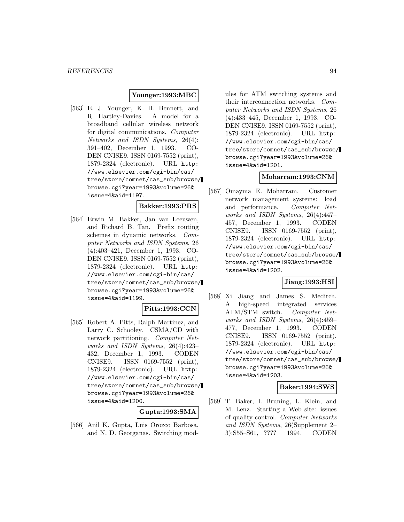### **Younger:1993:MBC**

[563] E. J. Younger, K. H. Bennett, and R. Hartley-Davies. A model for a broadband cellular wireless network for digital communications. Computer Networks and ISDN Systems, 26(4): 391–402, December 1, 1993. CO-DEN CNISE9. ISSN 0169-7552 (print), 1879-2324 (electronic). URL http: //www.elsevier.com/cgi-bin/cas/ tree/store/comnet/cas\_sub/browse/ browse.cgi?year=1993&volume=26& issue=4&aid=1197.

# **Bakker:1993:PRS**

[564] Erwin M. Bakker, Jan van Leeuwen, and Richard B. Tan. Prefix routing schemes in dynamic networks. Computer Networks and ISDN Systems, 26 (4):403–421, December 1, 1993. CO-DEN CNISE9. ISSN 0169-7552 (print), 1879-2324 (electronic). URL http: //www.elsevier.com/cgi-bin/cas/ tree/store/comnet/cas\_sub/browse/ browse.cgi?year=1993&volume=26& issue=4&aid=1199.

# **Pitts:1993:CCN**

[565] Robert A. Pitts, Ralph Martinez, and Larry C. Schooley. CSMA/CD with network partitioning. Computer Networks and ISDN Systems, 26(4):423– 432, December 1, 1993. CODEN CNISE9. ISSN 0169-7552 (print), 1879-2324 (electronic). URL http: //www.elsevier.com/cgi-bin/cas/ tree/store/comnet/cas\_sub/browse/ browse.cgi?year=1993&volume=26& issue=4&aid=1200.

**Gupta:1993:SMA**

[566] Anil K. Gupta, Luis Orozco Barbosa, and N. D. Georganas. Switching mod-

ules for ATM switching systems and their interconnection networks. Computer Networks and ISDN Systems, 26 (4):433–445, December 1, 1993. CO-DEN CNISE9. ISSN 0169-7552 (print), 1879-2324 (electronic). URL http: //www.elsevier.com/cgi-bin/cas/ tree/store/comnet/cas\_sub/browse/ browse.cgi?year=1993&volume=26& issue=4&aid=1201.

### **Moharram:1993:CNM**

[567] Omayma E. Moharram. Customer network management systems: load and performance. Computer Networks and ISDN Systems, 26(4):447– 457, December 1, 1993. CODEN CNISE9. ISSN 0169-7552 (print), 1879-2324 (electronic). URL http: //www.elsevier.com/cgi-bin/cas/ tree/store/comnet/cas\_sub/browse/ browse.cgi?year=1993&volume=26& issue=4&aid=1202.

# **Jiang:1993:HSI**

[568] Xi Jiang and James S. Meditch. A high-speed integrated services ATM/STM switch. Computer Networks and ISDN Systems, 26(4):459– 477, December 1, 1993. CODEN CNISE9. ISSN 0169-7552 (print), 1879-2324 (electronic). URL http: //www.elsevier.com/cgi-bin/cas/ tree/store/comnet/cas\_sub/browse/ browse.cgi?year=1993&volume=26& issue=4&aid=1203.

### **Baker:1994:SWS**

[569] T. Baker, I. Bruning, L. Klein, and M. Lenz. Starting a Web site: issues of quality control. Computer Networks and ISDN Systems, 26(Supplement 2– 3):S55–S61, ???? 1994. CODEN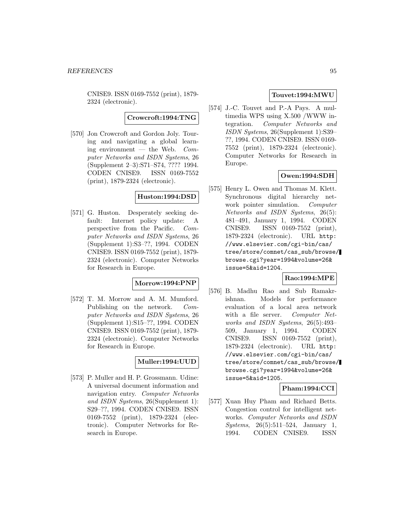CNISE9. ISSN 0169-7552 (print), 1879- 2324 (electronic).

**Crowcroft:1994:TNG**

[570] Jon Crowcroft and Gordon Joly. Touring and navigating a global learning environment — the Web.  $Com$ puter Networks and ISDN Systems, 26 (Supplement 2–3):S71–S74, ???? 1994. CODEN CNISE9. ISSN 0169-7552 (print), 1879-2324 (electronic).

# **Huston:1994:DSD**

[571] G. Huston. Desperately seeking default: Internet policy update: A perspective from the Pacific. Computer Networks and ISDN Systems, 26 (Supplement 1):S3–??, 1994. CODEN CNISE9. ISSN 0169-7552 (print), 1879- 2324 (electronic). Computer Networks for Research in Europe.

# **Morrow:1994:PNP**

[572] T. M. Morrow and A. M. Mumford. Publishing on the network. Computer Networks and ISDN Systems, 26 (Supplement 1):S15–??, 1994. CODEN CNISE9. ISSN 0169-7552 (print), 1879- 2324 (electronic). Computer Networks for Research in Europe.

# **Muller:1994:UUD**

[573] P. Muller and H. P. Grossmann. Udine: A universal document information and navigation entry. Computer Networks and ISDN Systems, 26(Supplement 1): S29–??, 1994. CODEN CNISE9. ISSN 0169-7552 (print), 1879-2324 (electronic). Computer Networks for Research in Europe.

# **Touvet:1994:MWU**

[574] J.-C. Touvet and P.-A Pays. A multimedia WPS using X.500 /WWW integration. Computer Networks and ISDN Systems, 26(Supplement 1):S39– ??, 1994. CODEN CNISE9. ISSN 0169- 7552 (print), 1879-2324 (electronic). Computer Networks for Research in Europe.

# **Owen:1994:SDH**

[575] Henry L. Owen and Thomas M. Klett. Synchronous digital hierarchy network pointer simulation. Computer Networks and ISDN Systems, 26(5): 481–491, January 1, 1994. CODEN CNISE9. ISSN 0169-7552 (print), 1879-2324 (electronic). URL http: //www.elsevier.com/cgi-bin/cas/ tree/store/comnet/cas\_sub/browse/ browse.cgi?year=1994&volume=26& issue=5&aid=1204.

### **Rao:1994:MPE**

[576] B. Madhu Rao and Sub Ramakrishnan. Models for performance evaluation of a local area network with a file server. Computer Networks and ISDN Systems, 26(5):493– 509, January 1, 1994. CODEN CNISE9. ISSN 0169-7552 (print), 1879-2324 (electronic). URL http: //www.elsevier.com/cgi-bin/cas/ tree/store/comnet/cas\_sub/browse/ browse.cgi?year=1994&volume=26& issue=5&aid=1205.

# **Pham:1994:CCI**

[577] Xuan Huy Pham and Richard Betts. Congestion control for intelligent networks. Computer Networks and ISDN Systems, 26(5):511–524, January 1, 1994. CODEN CNISE9. ISSN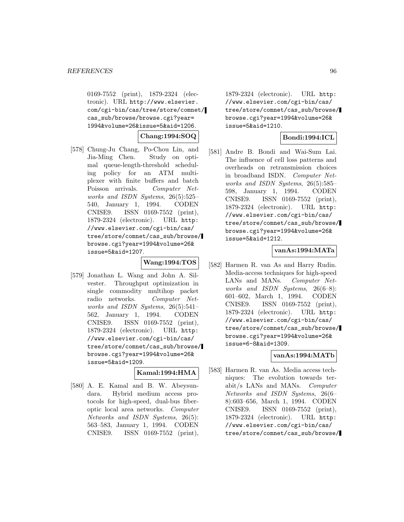0169-7552 (print), 1879-2324 (electronic). URL http://www.elsevier. com/cgi-bin/cas/tree/store/comnet/ cas\_sub/browse/browse.cgi?year= 1994&volume=26&issue=5&aid=1206.

**Chang:1994:SOQ**

[578] Chung-Ju Chang, Po-Chou Lin, and Jia-Ming Chen. Study on optimal queue-length-threshold scheduling policy for an ATM multiplexer with finite buffers and batch Poisson arrivals. Computer Networks and ISDN Systems, 26(5):525– 540, January 1, 1994. CODEN CNISE9. ISSN 0169-7552 (print), 1879-2324 (electronic). URL http: //www.elsevier.com/cgi-bin/cas/ tree/store/comnet/cas\_sub/browse/ browse.cgi?year=1994&volume=26& issue=5&aid=1207.

# **Wang:1994:TOS**

[579] Jonathan L. Wang and John A. Silvester. Throughput optimization in single commodity multihop packet radio networks. Computer Networks and ISDN Systems, 26(5):541– 562, January 1, 1994. CODEN CNISE9. ISSN 0169-7552 (print), 1879-2324 (electronic). URL http: //www.elsevier.com/cgi-bin/cas/ tree/store/comnet/cas\_sub/browse/ browse.cgi?year=1994&volume=26& issue=5&aid=1209.

#### **Kamal:1994:HMA**

[580] A. E. Kamal and B. W. Abeysundara. Hybrid medium access protocols for high-speed, dual-bus fiberoptic local area networks. Computer Networks and ISDN Systems, 26(5): 563–583, January 1, 1994. CODEN CNISE9. ISSN 0169-7552 (print),

1879-2324 (electronic). URL http: //www.elsevier.com/cgi-bin/cas/ tree/store/comnet/cas\_sub/browse/ browse.cgi?year=1994&volume=26& issue=5&aid=1210.

# **Bondi:1994:ICL**

[581] Andre B. Bondi and Wai-Sum Lai. The influence of cell loss patterns and overheads on retransmission choices in broadband ISDN. Computer Networks and ISDN Systems, 26(5):585– 598, January 1, 1994. CODEN CNISE9. ISSN 0169-7552 (print), 1879-2324 (electronic). URL http: //www.elsevier.com/cgi-bin/cas/ tree/store/comnet/cas\_sub/browse/ browse.cgi?year=1994&volume=26& issue=5&aid=1212.

# **vanAs:1994:MATa**

[582] Harmen R. van As and Harry Rudin. Media-access techniques for high-speed LANs and MANs. Computer Networks and ISDN Systems, 26(6–8): 601–602, March 1, 1994. CODEN CNISE9. ISSN 0169-7552 (print), 1879-2324 (electronic). URL http: //www.elsevier.com/cgi-bin/cas/ tree/store/comnet/cas\_sub/browse/ browse.cgi?year=1994&volume=26& issue=6-8&aid=1309.

### **vanAs:1994:MATb**

[583] Harmen R. van As. Media access techniques: The evolution towards terabit/s LANs and MANs. Computer Networks and ISDN Systems, 26(6– 8):603–656, March 1, 1994. CODEN CNISE9. ISSN 0169-7552 (print), 1879-2324 (electronic). URL http: //www.elsevier.com/cgi-bin/cas/ tree/store/comnet/cas\_sub/browse/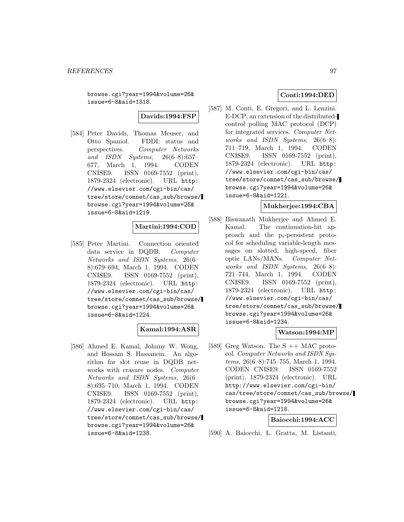browse.cgi?year=1994&volume=26& issue=6-8&aid=1318.

**Davids:1994:FSP**

[584] Peter Davids, Thomas Meuser, and Otto Spaniol. FDDI: status and perspectives. Computer Networks and ISDN Systems, 26(6–8):657– 677, March 1, 1994. CODEN CNISE9. ISSN 0169-7552 (print), 1879-2324 (electronic). URL http: //www.elsevier.com/cgi-bin/cas/ tree/store/comnet/cas\_sub/browse/ browse.cgi?year=1994&volume=26& issue=6-8&aid=1219.

# **Martini:1994:COD**

[585] Peter Martini. Connection oriented data service in DQDB. Computer Networks and ISDN Systems, 26(6– 8):679–694, March 1, 1994. CODEN CNISE9. ISSN 0169-7552 (print), 1879-2324 (electronic). URL http: //www.elsevier.com/cgi-bin/cas/ tree/store/comnet/cas\_sub/browse/ browse.cgi?year=1994&volume=26& issue=6-8&aid=1224.

# **Kamal:1994:ASR**

[586] Ahmed E. Kamal, Johnny W. Wong, and Hossam S. Hassanein. An algorithm for slot reuse in DQDB networks with erasure nodes. Computer Networks and ISDN Systems, 26(6– 8):695–710, March 1, 1994. CODEN CNISE9. ISSN 0169-7552 (print), 1879-2324 (electronic). URL http: //www.elsevier.com/cgi-bin/cas/ tree/store/comnet/cas\_sub/browse/ browse.cgi?year=1994&volume=26& issue=6-8&aid=1238.

# **Conti:1994:DED**

[587] M. Conti, E. Gregori, and L. Lenzini. E-DCP, an extension of the distributedcontrol polling MAC protocol (DCP) for integrated services. Computer Networks and ISDN Systems, 26(6–8): 711–719, March 1, 1994. CODEN CNISE9. ISSN 0169-7552 (print), 1879-2324 (electronic). URL http: //www.elsevier.com/cgi-bin/cas/ tree/store/comnet/cas\_sub/browse/ browse.cgi?year=1994&volume=26& issue=6-8&aid=1221.

## **Mukherjee:1994:CBA**

[588] Biswanath Mukherjee and Ahmed E. Kamal. The continuation-bit approach and the  $p_i$ -persistent protocol for scheduling variable-length messages on slotted, high-speed, fiber optic LANs/MANs. Computer Networks and ISDN Systems, 26(6–8): 721–744, March 1, 1994. CODEN CNISE9. ISSN 0169-7552 (print), 1879-2324 (electronic). URL http: //www.elsevier.com/cgi-bin/cas/ tree/store/comnet/cas\_sub/browse/ browse.cgi?year=1994&volume=26& issue=6-8&aid=1234.

# **Watson:1994:MP**

[589] Greg Watson. The  $S +$  MAC protocol. Computer Networks and ISDN Systems, 26(6–8):745–755, March 1, 1994. CODEN CNISE9. ISSN 0169-7552 (print), 1879-2324 (electronic). URL http://www.elsevier.com/cgi-bin/ cas/tree/store/comnet/cas\_sub/browse/ browse.cgi?year=1994&volume=26& issue=6-8&aid=1218.

#### **Baiocchi:1994:ACC**

[590] A. Baiocchi, L. Gratta, M. Listanti,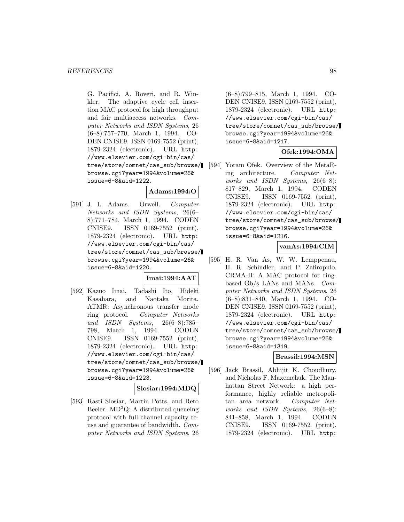G. Pacifici, A. Roveri, and R. Winkler. The adaptive cycle cell insertion MAC protocol for high throughput and fair multiaccess networks. Computer Networks and ISDN Systems, 26 (6–8):757–770, March 1, 1994. CO-DEN CNISE9. ISSN 0169-7552 (print), 1879-2324 (electronic). URL http: //www.elsevier.com/cgi-bin/cas/ tree/store/comnet/cas\_sub/browse/ browse.cgi?year=1994&volume=26& issue=6-8&aid=1222.

# **Adams:1994:O**

[591] J. L. Adams. Orwell. Computer Networks and ISDN Systems, 26(6– 8):771–784, March 1, 1994. CODEN CNISE9. ISSN 0169-7552 (print), 1879-2324 (electronic). URL http: //www.elsevier.com/cgi-bin/cas/ tree/store/comnet/cas\_sub/browse/ browse.cgi?year=1994&volume=26& issue=6-8&aid=1220.

# **Imai:1994:AAT**

[592] Kazuo Imai, Tadashi Ito, Hideki Kasahara, and Naotaka Morita. ATMR: Asynchronous transfer mode ring protocol. Computer Networks and ISDN Systems, 26(6–8):785– 798, March 1, 1994. CODEN CNISE9. ISSN 0169-7552 (print), 1879-2324 (electronic). URL http: //www.elsevier.com/cgi-bin/cas/ tree/store/comnet/cas\_sub/browse/ browse.cgi?year=1994&volume=26& issue=6-8&aid=1223.

### **Slosiar:1994:MDQ**

[593] Rasti Slosiar, Martin Potts, and Reto Beeler.  $MD^3Q$ : A distributed queueing protocol with full channel capacity reuse and guarantee of bandwidth. Computer Networks and ISDN Systems, 26

(6–8):799–815, March 1, 1994. CO-DEN CNISE9. ISSN 0169-7552 (print), 1879-2324 (electronic). URL http: //www.elsevier.com/cgi-bin/cas/ tree/store/comnet/cas\_sub/browse/ browse.cgi?year=1994&volume=26& issue=6-8&aid=1217.

# **Ofek:1994:OMA**

[594] Yoram Ofek. Overview of the MetaRing architecture. Computer Networks and ISDN Systems, 26(6–8): 817–829, March 1, 1994. CODEN CNISE9. ISSN 0169-7552 (print), 1879-2324 (electronic). URL http: //www.elsevier.com/cgi-bin/cas/ tree/store/comnet/cas\_sub/browse/ browse.cgi?year=1994&volume=26& issue=6-8&aid=1216.

# **vanAs:1994:CIM**

[595] H. R. Van As, W. W. Lemppenau, H. R. Schindler, and P. Zafiropulo. CRMA-II: A MAC protocol for ringbased Gb/s LANs and MANs. Computer Networks and ISDN Systems, 26 (6–8):831–840, March 1, 1994. CO-DEN CNISE9. ISSN 0169-7552 (print), 1879-2324 (electronic). URL http: //www.elsevier.com/cgi-bin/cas/ tree/store/comnet/cas\_sub/browse/ browse.cgi?year=1994&volume=26& issue=6-8&aid=1319.

# **Brassil:1994:MSN**

[596] Jack Brassil, Abhijit K. Choudhury, and Nicholas F. Maxemchuk. The Manhattan Street Network: a high performance, highly reliable metropolitan area network. Computer Networks and ISDN Systems, 26(6–8): 841–858, March 1, 1994. CODEN CNISE9. ISSN 0169-7552 (print), 1879-2324 (electronic). URL http: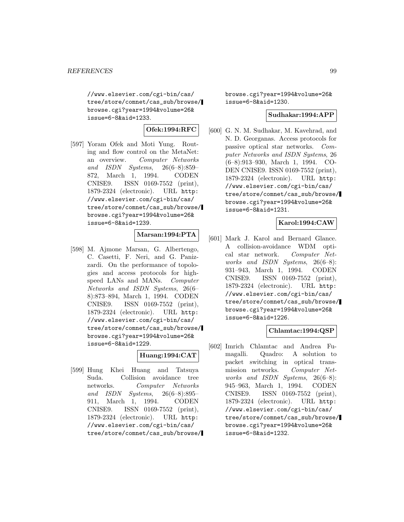//www.elsevier.com/cgi-bin/cas/ tree/store/comnet/cas\_sub/browse/ browse.cgi?year=1994&volume=26& issue=6-8&aid=1233.

# **Ofek:1994:RFC**

[597] Yoram Ofek and Moti Yung. Routing and flow control on the MetaNet: an overview. Computer Networks and ISDN Systems, 26(6–8):859– 872, March 1, 1994. CODEN CNISE9. ISSN 0169-7552 (print), 1879-2324 (electronic). URL http: //www.elsevier.com/cgi-bin/cas/ tree/store/comnet/cas\_sub/browse/ browse.cgi?year=1994&volume=26& issue=6-8&aid=1239.

# **Marsan:1994:PTA**

[598] M. Ajmone Marsan, G. Albertengo, C. Casetti, F. Neri, and G. Panizzardi. On the performance of topologies and access protocols for highspeed LANs and MANs. Computer Networks and ISDN Systems, 26(6– 8):873–894, March 1, 1994. CODEN CNISE9. ISSN 0169-7552 (print), 1879-2324 (electronic). URL http: //www.elsevier.com/cgi-bin/cas/ tree/store/comnet/cas\_sub/browse/ browse.cgi?year=1994&volume=26& issue=6-8&aid=1229.

# **Huang:1994:CAT**

[599] Hung Khei Huang and Tatsuya Suda. Collision avoidance tree networks. Computer Networks and ISDN Systems, 26(6–8):895– 911, March 1, 1994. CODEN CNISE9. ISSN 0169-7552 (print), 1879-2324 (electronic). URL http: //www.elsevier.com/cgi-bin/cas/ tree/store/comnet/cas\_sub/browse/ browse.cgi?year=1994&volume=26& issue=6-8&aid=1230.

### **Sudhakar:1994:APP**

[600] G. N. M. Sudhakar, M. Kavehrad, and N. D. Georganas. Access protocols for passive optical star networks. Computer Networks and ISDN Systems, 26 (6–8):913–930, March 1, 1994. CO-DEN CNISE9. ISSN 0169-7552 (print), 1879-2324 (electronic). URL http: //www.elsevier.com/cgi-bin/cas/ tree/store/comnet/cas\_sub/browse/ browse.cgi?year=1994&volume=26& issue=6-8&aid=1231.

# **Karol:1994:CAW**

[601] Mark J. Karol and Bernard Glance. A collision-avoidance WDM optical star network. Computer Networks and ISDN Systems, 26(6–8): 931–943, March 1, 1994. CODEN CNISE9. ISSN 0169-7552 (print), 1879-2324 (electronic). URL http: //www.elsevier.com/cgi-bin/cas/ tree/store/comnet/cas\_sub/browse/ browse.cgi?year=1994&volume=26& issue=6-8&aid=1226.

# **Chlamtac:1994:QSP**

[602] Imrich Chlamtac and Andrea Fumagalli. Quadro: A solution to packet switching in optical transmission networks. Computer Networks and ISDN Systems, 26(6–8): 945–963, March 1, 1994. CODEN CNISE9. ISSN 0169-7552 (print), 1879-2324 (electronic). URL http: //www.elsevier.com/cgi-bin/cas/ tree/store/comnet/cas\_sub/browse/ browse.cgi?year=1994&volume=26& issue=6-8&aid=1232.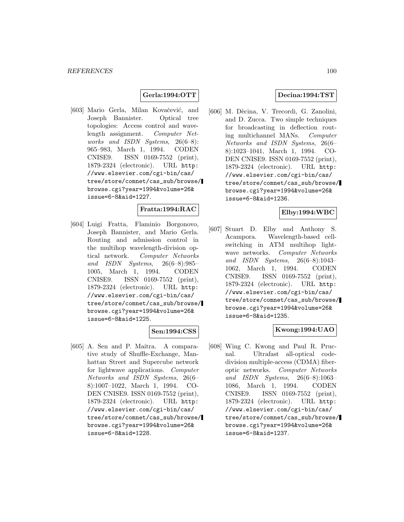# **Gerla:1994:OTT**

[603] Mario Gerla, Milan Kovačević, and Joseph Bannister. Optical tree topologies: Access control and wavelength assignment. Computer Networks and ISDN Systems, 26(6–8): 965–983, March 1, 1994. CODEN CNISE9. ISSN 0169-7552 (print), 1879-2324 (electronic). URL http: //www.elsevier.com/cgi-bin/cas/ tree/store/comnet/cas\_sub/browse/ browse.cgi?year=1994&volume=26& issue=6-8&aid=1227.

### **Fratta:1994:RAC**

[604] Luigi Fratta, Flaminio Borgonovo, Joseph Bannister, and Mario Gerla. Routing and admission control in the multihop wavelength-division optical network. Computer Networks and ISDN Systems, 26(6–8):985– 1005, March 1, 1994. CODEN CNISE9. ISSN 0169-7552 (print), 1879-2324 (electronic). URL http: //www.elsevier.com/cgi-bin/cas/ tree/store/comnet/cas\_sub/browse/ browse.cgi?year=1994&volume=26& issue=6-8&aid=1225.

#### **Sen:1994:CSS**

[605] A. Sen and P. Maitra. A comparative study of Shuffle-Exchange, Manhattan Street and Supercube network for lightwave applications. Computer Networks and ISDN Systems, 26(6– 8):1007–1022, March 1, 1994. CO-DEN CNISE9. ISSN 0169-7552 (print), 1879-2324 (electronic). URL http: //www.elsevier.com/cgi-bin/cas/ tree/store/comnet/cas\_sub/browse/ browse.cgi?year=1994&volume=26& issue=6-8&aid=1228.

# **Decina:1994:TST**

[606] M. Dècina, V. Trecordi, G. Zanolini, and D. Zucca. Two simple techniques for broadcasting in deflection routing multichannel MANs. Computer Networks and ISDN Systems, 26(6– 8):1023–1041, March 1, 1994. CO-DEN CNISE9. ISSN 0169-7552 (print), 1879-2324 (electronic). URL http: //www.elsevier.com/cgi-bin/cas/ tree/store/comnet/cas\_sub/browse/ browse.cgi?year=1994&volume=26& issue=6-8&aid=1236.

### **Elby:1994:WBC**

[607] Stuart D. Elby and Anthony S. Acampora. Wavelength-based cellswitching in ATM multihop lightwave networks. Computer Networks and ISDN Systems, 26(6–8):1043– 1062, March 1, 1994. CODEN CNISE9. ISSN 0169-7552 (print), 1879-2324 (electronic). URL http: //www.elsevier.com/cgi-bin/cas/ tree/store/comnet/cas\_sub/browse/ browse.cgi?year=1994&volume=26& issue=6-8&aid=1235.

# **Kwong:1994:UAO**

[608] Wing C. Kwong and Paul R. Prucnal. Ultrafast all-optical codedivision multiple-access (CDMA) fiberoptic networks. Computer Networks and ISDN Systems, 26(6–8):1063– 1086, March 1, 1994. CODEN CNISE9. ISSN 0169-7552 (print), 1879-2324 (electronic). URL http: //www.elsevier.com/cgi-bin/cas/ tree/store/comnet/cas\_sub/browse/ browse.cgi?year=1994&volume=26& issue=6-8&aid=1237.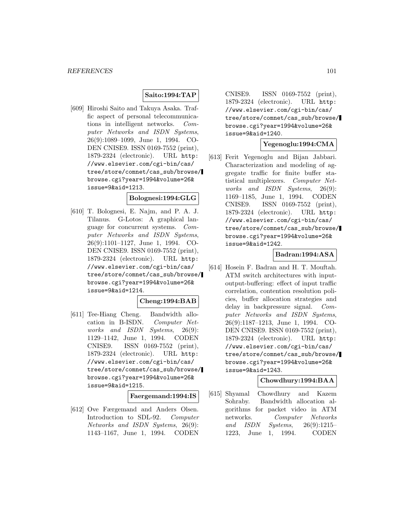### **Saito:1994:TAP**

[609] Hiroshi Saito and Takuya Asaka. Traffic aspect of personal telecommunications in intelligent networks. Computer Networks and ISDN Systems, 26(9):1089–1099, June 1, 1994. CO-DEN CNISE9. ISSN 0169-7552 (print), 1879-2324 (electronic). URL http: //www.elsevier.com/cgi-bin/cas/ tree/store/comnet/cas\_sub/browse/ browse.cgi?year=1994&volume=26& issue=9&aid=1213.

#### **Bolognesi:1994:GLG**

[610] T. Bolognesi, E. Najm, and P. A. J. Tilanus. G-Lotos: A graphical language for concurrent systems. Computer Networks and ISDN Systems, 26(9):1101–1127, June 1, 1994. CO-DEN CNISE9. ISSN 0169-7552 (print), 1879-2324 (electronic). URL http: //www.elsevier.com/cgi-bin/cas/ tree/store/comnet/cas\_sub/browse/ browse.cgi?year=1994&volume=26& issue=9&aid=1214.

# **Cheng:1994:BAB**

[611] Tee-Hiang Cheng. Bandwidth allocation in B-ISDN. Computer Networks and ISDN Systems, 26(9): 1129–1142, June 1, 1994. CODEN CNISE9. ISSN 0169-7552 (print), 1879-2324 (electronic). URL http: //www.elsevier.com/cgi-bin/cas/ tree/store/comnet/cas\_sub/browse/ browse.cgi?year=1994&volume=26& issue=9&aid=1215.

#### **Faergemand:1994:IS**

[612] Ove Færgemand and Anders Olsen. Introduction to SDL-92. Computer Networks and ISDN Systems, 26(9): 1143–1167, June 1, 1994. CODEN

CNISE9. ISSN 0169-7552 (print), 1879-2324 (electronic). URL http: //www.elsevier.com/cgi-bin/cas/ tree/store/comnet/cas\_sub/browse/ browse.cgi?year=1994&volume=26& issue=9&aid=1240.

# **Yegenoglu:1994:CMA**

[613] Ferit Yegenoglu and Bijan Jabbari. Characterization and modeling of aggregate traffic for finite buffer statistical multiplexers. Computer Networks and ISDN Systems, 26(9): 1169–1185, June 1, 1994. CODEN CNISE9. ISSN 0169-7552 (print), 1879-2324 (electronic). URL http: //www.elsevier.com/cgi-bin/cas/ tree/store/comnet/cas\_sub/browse/ browse.cgi?year=1994&volume=26& issue=9&aid=1242.

# **Badran:1994:ASA**

[614] Hosein F. Badran and H. T. Mouftah. ATM switch architectures with inputoutput-buffering: effect of input traffic correlation, contention resolution policies, buffer allocation strategies and delay in backpressure signal. Computer Networks and ISDN Systems, 26(9):1187–1213, June 1, 1994. CO-DEN CNISE9. ISSN 0169-7552 (print), 1879-2324 (electronic). URL http: //www.elsevier.com/cgi-bin/cas/ tree/store/comnet/cas\_sub/browse/ browse.cgi?year=1994&volume=26& issue=9&aid=1243.

### **Chowdhury:1994:BAA**

[615] Shyamal Chowdhury and Kazem Sohraby. Bandwidth allocation algorithms for packet video in ATM networks. Computer Networks and ISDN Systems, 26(9):1215– 1223, June 1, 1994. CODEN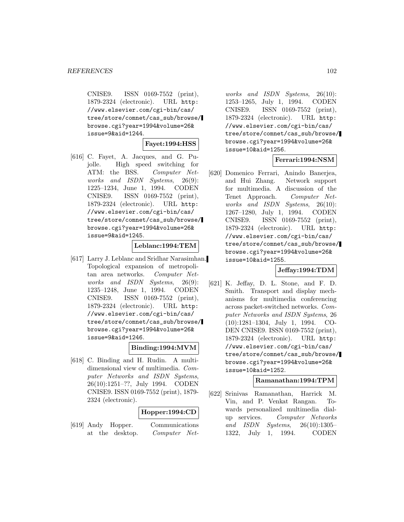CNISE9. ISSN 0169-7552 (print), 1879-2324 (electronic). URL http: //www.elsevier.com/cgi-bin/cas/ tree/store/comnet/cas\_sub/browse/ browse.cgi?year=1994&volume=26& issue=9&aid=1244.

### **Fayet:1994:HSS**

[616] C. Fayet, A. Jacques, and G. Pujolle. High speed switching for ATM: the BSS. Computer Networks and ISDN Systems, 26(9): 1225–1234, June 1, 1994. CODEN CNISE9. ISSN 0169-7552 (print), 1879-2324 (electronic). URL http: //www.elsevier.com/cgi-bin/cas/ tree/store/comnet/cas\_sub/browse/ browse.cgi?year=1994&volume=26& issue=9&aid=1245.

#### **Leblanc:1994:TEM**

[617] Larry J. Leblanc and Sridhar Narasimhan. Topological expansion of metropolitan area networks. Computer Networks and ISDN Systems, 26(9): 1235–1248, June 1, 1994. CODEN CNISE9. ISSN 0169-7552 (print), 1879-2324 (electronic). URL http: //www.elsevier.com/cgi-bin/cas/ tree/store/comnet/cas\_sub/browse/ browse.cgi?year=1994&volume=26& issue=9&aid=1246.

# **Binding:1994:MVM**

[618] C. Binding and H. Rudin. A multidimensional view of multimedia. Computer Networks and ISDN Systems, 26(10):1251–??, July 1994. CODEN CNISE9. ISSN 0169-7552 (print), 1879- 2324 (electronic).

# **Hopper:1994:CD**

[619] Andy Hopper. Communications at the desktop. Computer Net-

works and ISDN Systems, 26(10): 1253–1265, July 1, 1994. CODEN CNISE9. ISSN 0169-7552 (print), 1879-2324 (electronic). URL http: //www.elsevier.com/cgi-bin/cas/ tree/store/comnet/cas\_sub/browse/ browse.cgi?year=1994&volume=26& issue=10&aid=1256.

# **Ferrari:1994:NSM**

[620] Domenico Ferrari, Anindo Banerjea, and Hui Zhang. Network support for multimedia. A discussion of the Tenet Approach. Computer Networks and ISDN Systems, 26(10): 1267–1280, July 1, 1994. CODEN CNISE9. ISSN 0169-7552 (print), 1879-2324 (electronic). URL http: //www.elsevier.com/cgi-bin/cas/ tree/store/comnet/cas\_sub/browse/ browse.cgi?year=1994&volume=26& issue=10&aid=1255.

# **Jeffay:1994:TDM**

[621] K. Jeffay, D. L. Stone, and F. D. Smith. Transport and display mechanisms for multimedia conferencing across packet-switched networks. Computer Networks and ISDN Systems, 26 (10):1281–1304, July 1, 1994. CO-DEN CNISE9. ISSN 0169-7552 (print), 1879-2324 (electronic). URL http: //www.elsevier.com/cgi-bin/cas/ tree/store/comnet/cas\_sub/browse/ browse.cgi?year=1994&volume=26& issue=10&aid=1252.

# **Ramanathan:1994:TPM**

[622] Srinivas Ramanathan, Harrick M. Vin, and P. Venkat Rangan. Towards personalized multimedia dialup services. Computer Networks and ISDN Systems, 26(10):1305– 1322, July 1, 1994. CODEN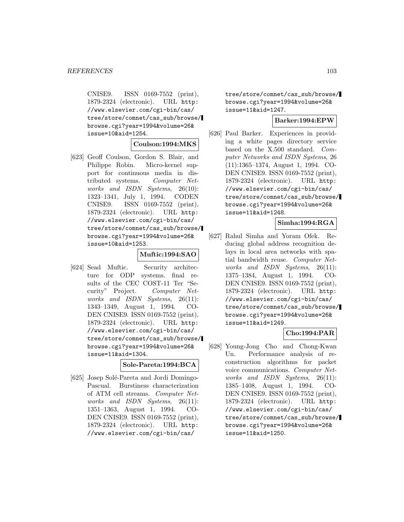CNISE9. ISSN 0169-7552 (print), 1879-2324 (electronic). URL http: //www.elsevier.com/cgi-bin/cas/ tree/store/comnet/cas\_sub/browse/ browse.cgi?year=1994&volume=26& issue=10&aid=1254.

#### **Coulson:1994:MKS**

[623] Geoff Coulson, Gordon S. Blair, and Philippe Robin. Micro-kernel support for continuous media in distributed systems. Computer Networks and ISDN Systems, 26(10): 1323–1341, July 1, 1994. CODEN CNISE9. ISSN 0169-7552 (print), 1879-2324 (electronic). URL http: //www.elsevier.com/cgi-bin/cas/ tree/store/comnet/cas\_sub/browse/ browse.cgi?year=1994&volume=26& issue=10&aid=1253.

### **Muftic:1994:SAO**

[624] Sead Muftic. Security architecture for ODP systems. final results of the CEC COST-11 Ter "Security" Project. Computer Networks and ISDN Systems, 26(11): 1343–1349, August 1, 1994. CO-DEN CNISE9. ISSN 0169-7552 (print), 1879-2324 (electronic). URL http: //www.elsevier.com/cgi-bin/cas/ tree/store/comnet/cas\_sub/browse/ browse.cgi?year=1994&volume=26& issue=11&aid=1304.

#### **Sole-Pareta:1994:BCA**

[625] Josep Solé-Pareta and Jordi Domingo-Pascual. Burstiness characterization of ATM cell streams. Computer Networks and ISDN Systems, 26(11): 1351–1363, August 1, 1994. CO-DEN CNISE9. ISSN 0169-7552 (print), 1879-2324 (electronic). URL http: //www.elsevier.com/cgi-bin/cas/

tree/store/comnet/cas\_sub/browse/ browse.cgi?year=1994&volume=26& issue=11&aid=1247.

# **Barker:1994:EPW**

[626] Paul Barker. Experiences in providing a white pages directory service based on the X.500 standard. Computer Networks and ISDN Systems, 26 (11):1365–1374, August 1, 1994. CO-DEN CNISE9. ISSN 0169-7552 (print), 1879-2324 (electronic). URL http: //www.elsevier.com/cgi-bin/cas/ tree/store/comnet/cas\_sub/browse/ browse.cgi?year=1994&volume=26& issue=11&aid=1248.

### **Simha:1994:RGA**

[627] Rahul Simha and Yoram Ofek. Reducing global address recognition delays in local area networks with spatial bandwidth reuse. Computer Networks and ISDN Systems, 26(11): 1375–1384, August 1, 1994. CO-DEN CNISE9. ISSN 0169-7552 (print), 1879-2324 (electronic). URL http: //www.elsevier.com/cgi-bin/cas/ tree/store/comnet/cas\_sub/browse/ browse.cgi?year=1994&volume=26& issue=11&aid=1249.

# **Cho:1994:PAR**

[628] Young-Jong Cho and Chong-Kwan Un. Performance analysis of reconstruction algorithms for packet voice communications. Computer Networks and ISDN Systems, 26(11): 1385–1408, August 1, 1994. CO-DEN CNISE9. ISSN 0169-7552 (print), 1879-2324 (electronic). URL http: //www.elsevier.com/cgi-bin/cas/ tree/store/comnet/cas\_sub/browse/ browse.cgi?year=1994&volume=26& issue=11&aid=1250.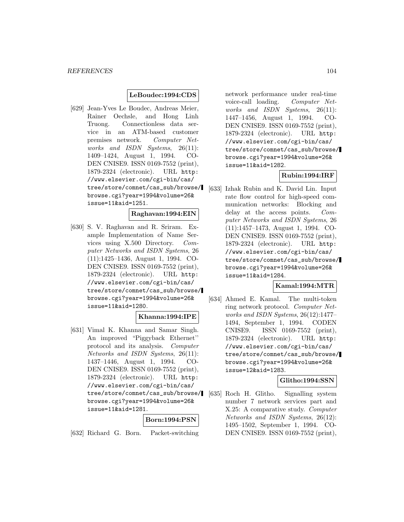# **LeBoudec:1994:CDS**

[629] Jean-Yves Le Boudec, Andreas Meier, Rainer Oechsle, and Hong Linh Truong. Connectionless data service in an ATM-based customer premises network. Computer Networks and ISDN Systems, 26(11): 1409–1424, August 1, 1994. CO-DEN CNISE9. ISSN 0169-7552 (print), 1879-2324 (electronic). URL http: //www.elsevier.com/cgi-bin/cas/ tree/store/comnet/cas\_sub/browse/ browse.cgi?year=1994&volume=26& issue=11&aid=1251.

# **Raghavan:1994:EIN**

[630] S. V. Raghavan and R. Sriram. Example Implementation of Name Services using X.500 Directory. Computer Networks and ISDN Systems, 26 (11):1425–1436, August 1, 1994. CO-DEN CNISE9. ISSN 0169-7552 (print), 1879-2324 (electronic). URL http: //www.elsevier.com/cgi-bin/cas/ tree/store/comnet/cas\_sub/browse/ browse.cgi?year=1994&volume=26& issue=11&aid=1280.

### **Khanna:1994:IPE**

[631] Vimal K. Khanna and Samar Singh. An improved "Piggyback Ethernet'' protocol and its analysis. Computer Networks and ISDN Systems, 26(11): 1437–1446, August 1, 1994. CO-DEN CNISE9. ISSN 0169-7552 (print), 1879-2324 (electronic). URL http: //www.elsevier.com/cgi-bin/cas/ tree/store/comnet/cas\_sub/browse/ browse.cgi?year=1994&volume=26& issue=11&aid=1281.

### **Born:1994:PSN**

[632] Richard G. Born. Packet-switching

network performance under real-time voice-call loading. Computer Networks and ISDN Systems, 26(11): 1447–1456, August 1, 1994. CO-DEN CNISE9. ISSN 0169-7552 (print), 1879-2324 (electronic). URL http: //www.elsevier.com/cgi-bin/cas/ tree/store/comnet/cas\_sub/browse/ browse.cgi?year=1994&volume=26& issue=11&aid=1282.

# **Rubin:1994:IRF**

[633] Izhak Rubin and K. David Lin. Input rate flow control for high-speed communication networks: Blocking and delay at the access points. Computer Networks and ISDN Systems, 26 (11):1457–1473, August 1, 1994. CO-DEN CNISE9. ISSN 0169-7552 (print), 1879-2324 (electronic). URL http: //www.elsevier.com/cgi-bin/cas/ tree/store/comnet/cas\_sub/browse/ browse.cgi?year=1994&volume=26& issue=11&aid=1284.

### **Kamal:1994:MTR**

[634] Ahmed E. Kamal. The multi-token ring network protocol. Computer Networks and ISDN Systems, 26(12):1477– 1494, September 1, 1994. CODEN CNISE9. ISSN 0169-7552 (print), 1879-2324 (electronic). URL http: //www.elsevier.com/cgi-bin/cas/ tree/store/comnet/cas\_sub/browse/ browse.cgi?year=1994&volume=26& issue=12&aid=1283.

### **Glitho:1994:SSN**

[635] Roch H. Glitho. Signalling system number 7 network services part and X.25: A comparative study. Computer Networks and ISDN Systems, 26(12): 1495–1502, September 1, 1994. CO-DEN CNISE9. ISSN 0169-7552 (print),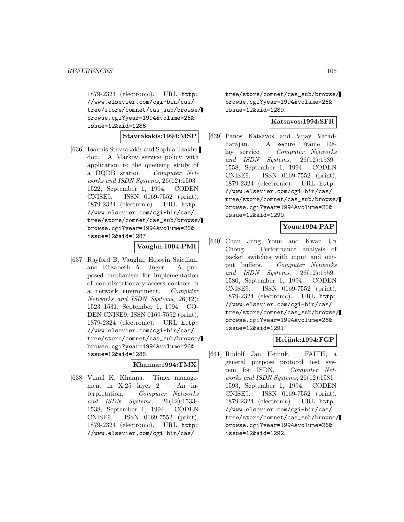1879-2324 (electronic). URL http: //www.elsevier.com/cgi-bin/cas/ tree/store/comnet/cas\_sub/browse/ browse.cgi?year=1994&volume=26& issue=12&aid=1286.

### **Stavrakakis:1994:MSP**

[636] Ioannis Stavrakakis and Sophia Tsakiridou. A Markov service policy with application to the queueing study of a DQDB station. Computer Networks and ISDN Systems, 26(12):1503– 1522, September 1, 1994. CODEN CNISE9. ISSN 0169-7552 (print), 1879-2324 (electronic). URL http: //www.elsevier.com/cgi-bin/cas/ tree/store/comnet/cas\_sub/browse/ browse.cgi?year=1994&volume=26& issue=12&aid=1287.

# **Vaughn:1994:PMI**

[637] Rayford B. Vaughn, Hossein Saiedian, and Elizabeth A. Unger. A proposed mechanism for implementation of non-discretionary access controls in a network environment. Computer Networks and ISDN Systems, 26(12): 1523–1531, September 1, 1994. CO-DEN CNISE9. ISSN 0169-7552 (print), 1879-2324 (electronic). URL http: //www.elsevier.com/cgi-bin/cas/ tree/store/comnet/cas\_sub/browse/ browse.cgi?year=1994&volume=26& issue=12&aid=1288.

# **Khanna:1994:TMX**

[638] Vimal K. Khanna. Timer management in  $X.25$  layer  $2 - An$  interpretation. Computer Networks and ISDN Systems, 26(12):1533– 1538, September 1, 1994. CODEN CNISE9. ISSN 0169-7552 (print), 1879-2324 (electronic). URL http: //www.elsevier.com/cgi-bin/cas/

tree/store/comnet/cas\_sub/browse/ browse.cgi?year=1994&volume=26& issue=12&aid=1289.

# **Katsavos:1994:SFR**

[639] Panos Katsavos and Vijay Varadharajan. A secure Frame Relay service. Computer Networks and ISDN Systems, 26(12):1539– 1558, September 1, 1994. CODEN CNISE9. ISSN 0169-7552 (print), 1879-2324 (electronic). URL http: //www.elsevier.com/cgi-bin/cas/ tree/store/comnet/cas\_sub/browse/ browse.cgi?year=1994&volume=26& issue=12&aid=1290.

# **Youn:1994:PAP**

[640] Chan Jung Youn and Kwan Un Chong. Performance analysis of packet switches with input and output buffers. Computer Networks and ISDN Systems, 26(12):1559– 1580, September 1, 1994. CODEN CNISE9. ISSN 0169-7552 (print), 1879-2324 (electronic). URL http: //www.elsevier.com/cgi-bin/cas/ tree/store/comnet/cas\_sub/browse/ browse.cgi?year=1994&volume=26& issue=12&aid=1291.

# **Heijink:1994:FGP**

[641] Rudolf Jan Heijink. FAITH, a general purpose protocol test system for ISDN. Computer Networks and ISDN Systems, 26(12):1581– 1593, September 1, 1994. CODEN CNISE9. ISSN 0169-7552 (print), 1879-2324 (electronic). URL http: //www.elsevier.com/cgi-bin/cas/ tree/store/comnet/cas\_sub/browse/ browse.cgi?year=1994&volume=26& issue=12&aid=1292.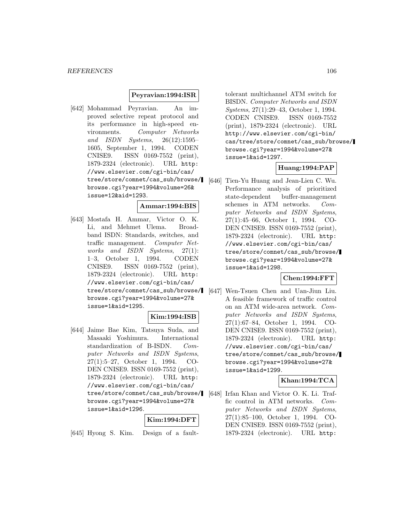# **Peyravian:1994:ISR**

[642] Mohammad Peyravian. An improved selective repeat protocol and its performance in high-speed environments. Computer Networks and ISDN Systems, 26(12):1595– 1605, September 1, 1994. CODEN CNISE9. ISSN 0169-7552 (print), 1879-2324 (electronic). URL http: //www.elsevier.com/cgi-bin/cas/ tree/store/comnet/cas\_sub/browse/ browse.cgi?year=1994&volume=26& issue=12&aid=1293.

### **Ammar:1994:BIS**

[643] Mostafa H. Ammar, Victor O. K. Li, and Mehmet Ulema. Broadband ISDN: Standards, switches, and traffic management. Computer Networks and ISDN Systems, 27(1): 1–3, October 1, 1994. CODEN CNISE9. ISSN 0169-7552 (print), 1879-2324 (electronic). URL http: //www.elsevier.com/cgi-bin/cas/ tree/store/comnet/cas\_sub/browse/ browse.cgi?year=1994&volume=27& issue=1&aid=1295.

# **Kim:1994:ISB**

[644] Jaime Bae Kim, Tatsuya Suda, and Masaaki Yoshimura. International standardization of B-ISDN. Computer Networks and ISDN Systems, 27(1):5–27, October 1, 1994. CO-DEN CNISE9. ISSN 0169-7552 (print), 1879-2324 (electronic). URL http: //www.elsevier.com/cgi-bin/cas/ browse.cgi?year=1994&volume=27& issue=1&aid=1296.

# **Kim:1994:DFT**

[645] Hyong S. Kim. Design of a fault-

tolerant multichannel ATM switch for BISDN. Computer Networks and ISDN Systems, 27(1):29–43, October 1, 1994. CODEN CNISE9. ISSN 0169-7552 (print), 1879-2324 (electronic). URL http://www.elsevier.com/cgi-bin/ cas/tree/store/comnet/cas\_sub/browse/ browse.cgi?year=1994&volume=27& issue=1&aid=1297.

### **Huang:1994:PAP**

[646] Tien-Yu Huang and Jean-Lien C. Wu. Performance analysis of prioritized state-dependent buffer-management schemes in ATM networks. Computer Networks and ISDN Systems, 27(1):45–66, October 1, 1994. CO-DEN CNISE9. ISSN 0169-7552 (print), 1879-2324 (electronic). URL http: //www.elsevier.com/cgi-bin/cas/ tree/store/comnet/cas\_sub/browse/ browse.cgi?year=1994&volume=27& issue=1&aid=1298.

### **Chen:1994:FFT**

[647] Wen-Tsuen Chen and Uan-Jiun Liu. A feasible framework of traffic control on an ATM wide-area network. Computer Networks and ISDN Systems, 27(1):67–84, October 1, 1994. CO-DEN CNISE9. ISSN 0169-7552 (print), 1879-2324 (electronic). URL http: //www.elsevier.com/cgi-bin/cas/ tree/store/comnet/cas\_sub/browse/ browse.cgi?year=1994&volume=27& issue=1&aid=1299.

# **Khan:1994:TCA**

tree/store/comnet/cas\_sub/browse/ [648] Irfan Khan and Victor O. K. Li. Traffic control in ATM networks. Computer Networks and ISDN Systems, 27(1):85–100, October 1, 1994. CO-DEN CNISE9. ISSN 0169-7552 (print), 1879-2324 (electronic). URL http: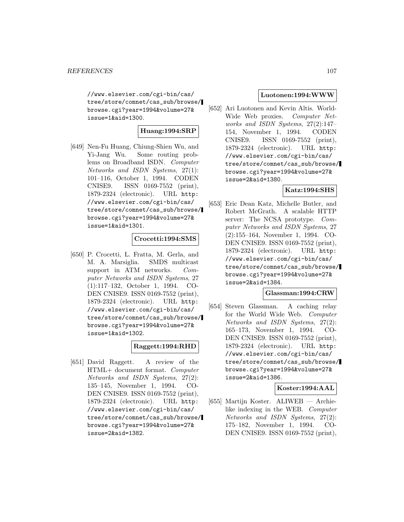//www.elsevier.com/cgi-bin/cas/ tree/store/comnet/cas\_sub/browse/ browse.cgi?year=1994&volume=27& issue=1&aid=1300.

# **Huang:1994:SRP**

[649] Nen-Fu Huang, Chiung-Shien Wu, and Yi-Jang Wu. Some routing problems on Broadband ISDN. Computer Networks and ISDN Systems, 27(1): 101–116, October 1, 1994. CODEN CNISE9. ISSN 0169-7552 (print), 1879-2324 (electronic). URL http: //www.elsevier.com/cgi-bin/cas/ tree/store/comnet/cas\_sub/browse/ browse.cgi?year=1994&volume=27& issue=1&aid=1301.

# **Crocetti:1994:SMS**

[650] P. Crocetti, L. Fratta, M. Gerla, and M. A. Marsiglia. SMDS multicast support in ATM networks. Computer Networks and ISDN Systems, 27 (1):117–132, October 1, 1994. CO-DEN CNISE9. ISSN 0169-7552 (print), 1879-2324 (electronic). URL http: //www.elsevier.com/cgi-bin/cas/ tree/store/comnet/cas\_sub/browse/ browse.cgi?year=1994&volume=27& issue=1&aid=1302.

# **Raggett:1994:RHD**

[651] David Raggett. A review of the HTML+ document format. Computer Networks and ISDN Systems, 27(2): 135–145, November 1, 1994. CO-DEN CNISE9. ISSN 0169-7552 (print), 1879-2324 (electronic). URL http: //www.elsevier.com/cgi-bin/cas/ tree/store/comnet/cas\_sub/browse/ browse.cgi?year=1994&volume=27& issue=2&aid=1382.

# **Luotonen:1994:WWW**

[652] Ari Luotonen and Kevin Altis. World-Wide Web proxies. Computer Networks and ISDN Systems, 27(2):147– 154, November 1, 1994. CODEN CNISE9. ISSN 0169-7552 (print), 1879-2324 (electronic). URL http: //www.elsevier.com/cgi-bin/cas/ tree/store/comnet/cas\_sub/browse/ browse.cgi?year=1994&volume=27& issue=2&aid=1380.

# **Katz:1994:SHS**

[653] Eric Dean Katz, Michelle Butler, and Robert McGrath. A scalable HTTP server: The NCSA prototype. Computer Networks and ISDN Systems, 27 (2):155–164, November 1, 1994. CO-DEN CNISE9. ISSN 0169-7552 (print), 1879-2324 (electronic). URL http: //www.elsevier.com/cgi-bin/cas/ tree/store/comnet/cas\_sub/browse/ browse.cgi?year=1994&volume=27& issue=2&aid=1384.

# **Glassman:1994:CRW**

[654] Steven Glassman. A caching relay for the World Wide Web. Computer Networks and ISDN Systems, 27(2): 165–173, November 1, 1994. CO-DEN CNISE9. ISSN 0169-7552 (print), 1879-2324 (electronic). URL http: //www.elsevier.com/cgi-bin/cas/ tree/store/comnet/cas\_sub/browse/ browse.cgi?year=1994&volume=27& issue=2&aid=1386.

# **Koster:1994:AAL**

[655] Martijn Koster. ALIWEB — Archielike indexing in the WEB. Computer Networks and ISDN Systems, 27(2): 175–182, November 1, 1994. CO-DEN CNISE9. ISSN 0169-7552 (print),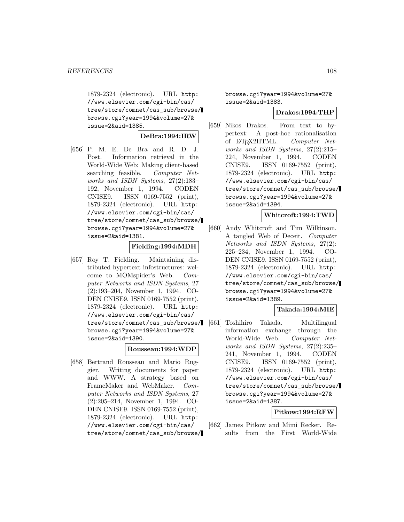1879-2324 (electronic). URL http: //www.elsevier.com/cgi-bin/cas/ tree/store/comnet/cas\_sub/browse/ browse.cgi?year=1994&volume=27& issue=2&aid=1385.

**DeBra:1994:IRW**

[656] P. M. E. De Bra and R. D. J. Post. Information retrieval in the World-Wide Web: Making client-based searching feasible. Computer Networks and ISDN Systems, 27(2):183– 192, November 1, 1994. CODEN CNISE9. ISSN 0169-7552 (print), 1879-2324 (electronic). URL http: //www.elsevier.com/cgi-bin/cas/ tree/store/comnet/cas\_sub/browse/ browse.cgi?year=1994&volume=27& issue=2&aid=1381.

# **Fielding:1994:MDH**

[657] Roy T. Fielding. Maintaining distributed hypertext infostructures: welcome to MOMspider's Web. Computer Networks and ISDN Systems, 27 (2):193–204, November 1, 1994. CO-DEN CNISE9. ISSN 0169-7552 (print), 1879-2324 (electronic). URL http: //www.elsevier.com/cgi-bin/cas/ tree/store/comnet/cas\_sub/browse/ browse.cgi?year=1994&volume=27& issue=2&aid=1390.

### **Rousseau:1994:WDP**

[658] Bertrand Rousseau and Mario Ruggier. Writing documents for paper and WWW. A strategy based on FrameMaker and WebMaker. Computer Networks and ISDN Systems, 27 (2):205–214, November 1, 1994. CO-DEN CNISE9. ISSN 0169-7552 (print), 1879-2324 (electronic). URL http: //www.elsevier.com/cgi-bin/cas/ tree/store/comnet/cas\_sub/browse/ browse.cgi?year=1994&volume=27& issue=2&aid=1383.

### **Drakos:1994:THP**

[659] Nikos Drakos. From text to hypertext: A post-hoc rationalisation of  $\text{LAT}_F X 2\text{HTML}$ . *Computer Net*works and ISDN Systems, 27(2):215– 224, November 1, 1994. CODEN CNISE9. ISSN 0169-7552 (print), 1879-2324 (electronic). URL http: //www.elsevier.com/cgi-bin/cas/ tree/store/comnet/cas\_sub/browse/ browse.cgi?year=1994&volume=27& issue=2&aid=1394.

### **Whitcroft:1994:TWD**

[660] Andy Whitcroft and Tim Wilkinson. A tangled Web of Deceit. Computer Networks and ISDN Systems, 27(2): 225–234, November 1, 1994. CO-DEN CNISE9. ISSN 0169-7552 (print), 1879-2324 (electronic). URL http: //www.elsevier.com/cgi-bin/cas/ tree/store/comnet/cas\_sub/browse/ browse.cgi?year=1994&volume=27& issue=2&aid=1389.

# **Takada:1994:MIE**

[661] Toshihiro Takada. Multilingual information exchange through the World-Wide Web. Computer Networks and ISDN Systems, 27(2):235– 241, November 1, 1994. CODEN CNISE9. ISSN 0169-7552 (print), 1879-2324 (electronic). URL http: //www.elsevier.com/cgi-bin/cas/ tree/store/comnet/cas\_sub/browse/ browse.cgi?year=1994&volume=27& issue=2&aid=1387.

### **Pitkow:1994:RFW**

[662] James Pitkow and Mimi Recker. Results from the First World-Wide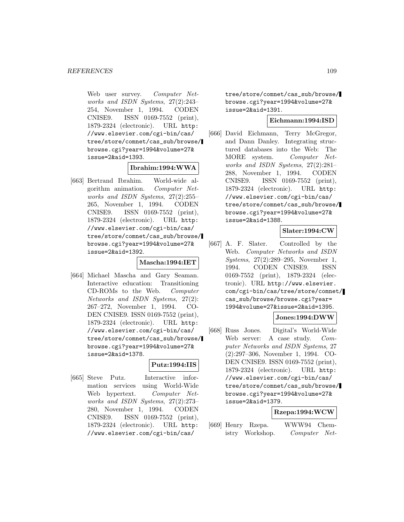Web user survey. Computer Networks and ISDN Systems, 27(2):243– 254, November 1, 1994. CODEN CNISE9. ISSN 0169-7552 (print), 1879-2324 (electronic). URL http: //www.elsevier.com/cgi-bin/cas/ tree/store/comnet/cas\_sub/browse/ browse.cgi?year=1994&volume=27& issue=2&aid=1393.

#### **Ibrahim:1994:WWA**

[663] Bertrand Ibrahim. World-wide algorithm animation. Computer Networks and ISDN Systems, 27(2):255– 265, November 1, 1994. CODEN CNISE9. ISSN 0169-7552 (print), 1879-2324 (electronic). URL http: //www.elsevier.com/cgi-bin/cas/ tree/store/comnet/cas\_sub/browse/ browse.cgi?year=1994&volume=27& issue=2&aid=1392.

#### **Mascha:1994:IET**

[664] Michael Mascha and Gary Seaman. Interactive education: Transitioning CD-ROMs to the Web. Computer Networks and ISDN Systems, 27(2): 267–272, November 1, 1994. CO-DEN CNISE9. ISSN 0169-7552 (print), 1879-2324 (electronic). URL http: //www.elsevier.com/cgi-bin/cas/ tree/store/comnet/cas\_sub/browse/ browse.cgi?year=1994&volume=27& issue=2&aid=1378.

## **Putz:1994:IIS**

[665] Steve Putz. Interactive information services using World-Wide Web hypertext. Computer Networks and ISDN Systems, 27(2):273– 280, November 1, 1994. CODEN CNISE9. ISSN 0169-7552 (print), 1879-2324 (electronic). URL http: //www.elsevier.com/cgi-bin/cas/

tree/store/comnet/cas\_sub/browse/ browse.cgi?year=1994&volume=27& issue=2&aid=1391.

## **Eichmann:1994:ISD**

[666] David Eichmann, Terry McGregor, and Dann Danley. Integrating structured databases into the Web: The MORE system. Computer Networks and ISDN Systems, 27(2):281– 288, November 1, 1994. CODEN CNISE9. ISSN 0169-7552 (print), 1879-2324 (electronic). URL http: //www.elsevier.com/cgi-bin/cas/ tree/store/comnet/cas\_sub/browse/ browse.cgi?year=1994&volume=27& issue=2&aid=1388.

## **Slater:1994:CW**

[667] A. F. Slater. Controlled by the Web. Computer Networks and ISDN Systems, 27(2):289–295, November 1, 1994. CODEN CNISE9. ISSN 0169-7552 (print), 1879-2324 (electronic). URL http://www.elsevier. com/cgi-bin/cas/tree/store/comnet/ cas\_sub/browse/browse.cgi?year= 1994&volume=27&issue=2&aid=1395.

### **Jones:1994:DWW**

[668] Russ Jones. Digital's World-Wide Web server: A case study. Computer Networks and ISDN Systems, 27 (2):297–306, November 1, 1994. CO-DEN CNISE9. ISSN 0169-7552 (print), 1879-2324 (electronic). URL http: //www.elsevier.com/cgi-bin/cas/ tree/store/comnet/cas\_sub/browse/ browse.cgi?year=1994&volume=27& issue=2&aid=1379.

#### **Rzepa:1994:WCW**

[669] Henry Rzepa. WWW94 Chemistry Workshop. Computer Net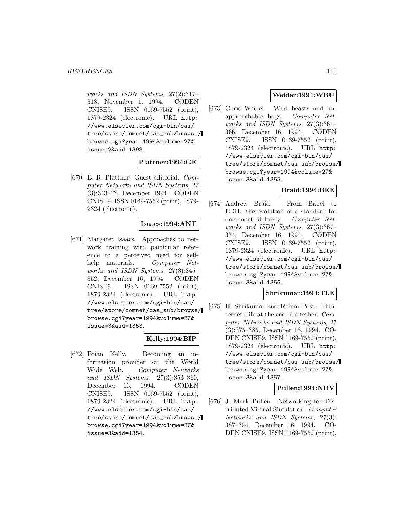works and ISDN Systems, 27(2):317– 318, November 1, 1994. CODEN CNISE9. ISSN 0169-7552 (print), 1879-2324 (electronic). URL http: //www.elsevier.com/cgi-bin/cas/ tree/store/comnet/cas\_sub/browse/ browse.cgi?year=1994&volume=27& issue=2&aid=1398.

## **Plattner:1994:GE**

[670] B. R. Plattner. Guest editorial. Computer Networks and ISDN Systems, 27 (3):343–??, December 1994. CODEN CNISE9. ISSN 0169-7552 (print), 1879- 2324 (electronic).

## **Isaacs:1994:ANT**

[671] Margaret Isaacs. Approaches to network training with particular reference to a perceived need for selfhelp materials. Computer Networks and ISDN Systems, 27(3):345– 352, December 16, 1994. CODEN CNISE9. ISSN 0169-7552 (print), 1879-2324 (electronic). URL http: //www.elsevier.com/cgi-bin/cas/ tree/store/comnet/cas\_sub/browse/ browse.cgi?year=1994&volume=27& issue=3&aid=1353.

### **Kelly:1994:BIP**

[672] Brian Kelly. Becoming an information provider on the World Wide Web. Computer Networks and ISDN Systems, 27(3):353–360, December 16, 1994. CODEN CNISE9. ISSN 0169-7552 (print), 1879-2324 (electronic). URL http: //www.elsevier.com/cgi-bin/cas/ tree/store/comnet/cas\_sub/browse/ browse.cgi?year=1994&volume=27& issue=3&aid=1354.

## **Weider:1994:WBU**

[673] Chris Weider. Wild beasts and unapproachable bogs. Computer Networks and ISDN Systems, 27(3):361– 366, December 16, 1994. CODEN CNISE9. ISSN 0169-7552 (print), 1879-2324 (electronic). URL http: //www.elsevier.com/cgi-bin/cas/ tree/store/comnet/cas\_sub/browse/ browse.cgi?year=1994&volume=27& issue=3&aid=1355.

### **Braid:1994:BEE**

[674] Andrew Braid. From Babel to EDIL: the evolution of a standard for document delivery. Computer Networks and ISDN Systems, 27(3):367– 374, December 16, 1994. CODEN CNISE9. ISSN 0169-7552 (print), 1879-2324 (electronic). URL http: //www.elsevier.com/cgi-bin/cas/ tree/store/comnet/cas\_sub/browse/ browse.cgi?year=1994&volume=27& issue=3&aid=1356.

## **Shrikumar:1994:TLE**

[675] H. Shrikumar and Rehmi Post. Thinternet: life at the end of a tether. Computer Networks and ISDN Systems, 27 (3):375–385, December 16, 1994. CO-DEN CNISE9. ISSN 0169-7552 (print), 1879-2324 (electronic). URL http: //www.elsevier.com/cgi-bin/cas/ tree/store/comnet/cas\_sub/browse/ browse.cgi?year=1994&volume=27& issue=3&aid=1357.

### **Pullen:1994:NDV**

[676] J. Mark Pullen. Networking for Distributed Virtual Simulation. Computer Networks and ISDN Systems, 27(3): 387–394, December 16, 1994. CO-DEN CNISE9. ISSN 0169-7552 (print),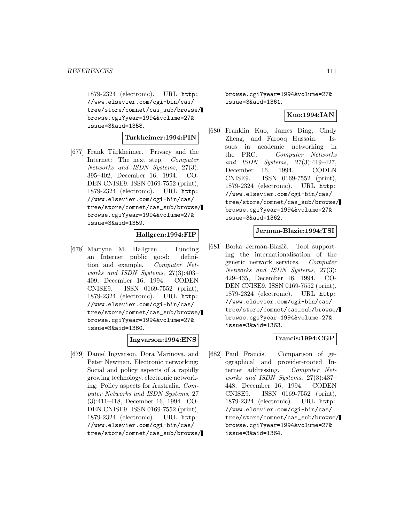1879-2324 (electronic). URL http: //www.elsevier.com/cgi-bin/cas/ tree/store/comnet/cas\_sub/browse/ browse.cgi?year=1994&volume=27& issue=3&aid=1358.

### **Turkheimer:1994:PIN**

[677] Frank Türkheimer. Privacy and the Internet: The next step. Computer Networks and ISDN Systems, 27(3): 395–402, December 16, 1994. CO-DEN CNISE9. ISSN 0169-7552 (print), 1879-2324 (electronic). URL http: //www.elsevier.com/cgi-bin/cas/ tree/store/comnet/cas\_sub/browse/ browse.cgi?year=1994&volume=27& issue=3&aid=1359.

#### **Hallgren:1994:FIP**

[678] Martyne M. Hallgren. Funding an Internet public good: definition and example. Computer Networks and ISDN Systems, 27(3):403– 409, December 16, 1994. CODEN CNISE9. ISSN 0169-7552 (print), 1879-2324 (electronic). URL http: //www.elsevier.com/cgi-bin/cas/ tree/store/comnet/cas\_sub/browse/ browse.cgi?year=1994&volume=27& issue=3&aid=1360.

## **Ingvarson:1994:ENS**

[679] Daniel Ingvarson, Dora Marinova, and Peter Newman. Electronic networking: Social and policy aspects of a rapidly growing technology. electronic networking: Policy aspects for Australia. Computer Networks and ISDN Systems, 27 (3):411–418, December 16, 1994. CO-DEN CNISE9. ISSN 0169-7552 (print), 1879-2324 (electronic). URL http: //www.elsevier.com/cgi-bin/cas/ tree/store/comnet/cas\_sub/browse/ browse.cgi?year=1994&volume=27& issue=3&aid=1361.

#### **Kuo:1994:IAN**

[680] Franklin Kuo, James Ding, Cindy Zheng, and Farooq Hussain. Issues in academic networking in the PRC. Computer Networks and ISDN Systems, 27(3):419–427, December 16, 1994. CODEN CNISE9. ISSN 0169-7552 (print), 1879-2324 (electronic). URL http: //www.elsevier.com/cgi-bin/cas/ tree/store/comnet/cas\_sub/browse/ browse.cgi?year=1994&volume=27& issue=3&aid=1362.

### **Jerman-Blazic:1994:TSI**

[681] Borka Jerman-Blažič. Tool supporting the internationalisation of the generic network services. Computer Networks and ISDN Systems, 27(3): 429–435, December 16, 1994. CO-DEN CNISE9. ISSN 0169-7552 (print), 1879-2324 (electronic). URL http: //www.elsevier.com/cgi-bin/cas/ tree/store/comnet/cas\_sub/browse/ browse.cgi?year=1994&volume=27& issue=3&aid=1363.

### **Francis:1994:CGP**

[682] Paul Francis. Comparison of geographical and provider-rooted Internet addressing. Computer Networks and ISDN Systems, 27(3):437– 448, December 16, 1994. CODEN CNISE9. ISSN 0169-7552 (print), 1879-2324 (electronic). URL http: //www.elsevier.com/cgi-bin/cas/ tree/store/comnet/cas\_sub/browse/ browse.cgi?year=1994&volume=27& issue=3&aid=1364.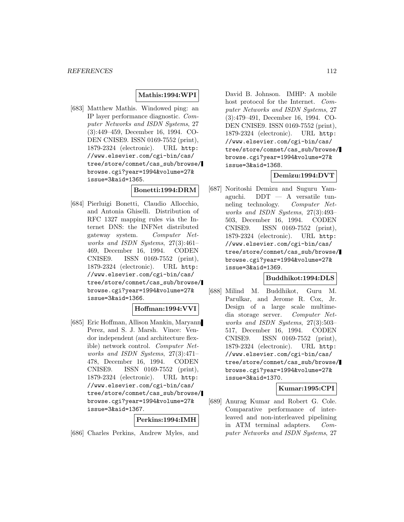### **Mathis:1994:WPI**

[683] Matthew Mathis. Windowed ping: an IP layer performance diagnostic. Computer Networks and ISDN Systems, 27 (3):449–459, December 16, 1994. CO-DEN CNISE9. ISSN 0169-7552 (print), 1879-2324 (electronic). URL http: //www.elsevier.com/cgi-bin/cas/ tree/store/comnet/cas\_sub/browse/ browse.cgi?year=1994&volume=27& issue=3&aid=1365.

## **Bonetti:1994:DRM**

[684] Pierluigi Bonetti, Claudio Allocchio, and Antonia Ghiselli. Distribution of RFC 1327 mapping rules via the Internet DNS: the INFNet distributed gateway system. Computer Networks and ISDN Systems, 27(3):461– 469, December 16, 1994. CODEN CNISE9. ISSN 0169-7552 (print), 1879-2324 (electronic). URL http: //www.elsevier.com/cgi-bin/cas/ tree/store/comnet/cas\_sub/browse/ browse.cgi?year=1994&volume=27& issue=3&aid=1366.

#### **Hoffman:1994:VVI**

[685] Eric Hoffman, Allison Mankin, Maryann Perez, and S. J. Marsh. Vince: Vendor independent (and architecture flexible) network control. Computer Networks and ISDN Systems, 27(3):471– 478, December 16, 1994. CODEN CNISE9. ISSN 0169-7552 (print), 1879-2324 (electronic). URL http: //www.elsevier.com/cgi-bin/cas/ tree/store/comnet/cas\_sub/browse/ browse.cgi?year=1994&volume=27& issue=3&aid=1367.

#### **Perkins:1994:IMH**

[686] Charles Perkins, Andrew Myles, and

David B. Johnson. IMHP: A mobile host protocol for the Internet. Computer Networks and ISDN Systems, 27 (3):479–491, December 16, 1994. CO-DEN CNISE9. ISSN 0169-7552 (print), 1879-2324 (electronic). URL http: //www.elsevier.com/cgi-bin/cas/ tree/store/comnet/cas\_sub/browse/ browse.cgi?year=1994&volume=27& issue=3&aid=1368.

## **Demizu:1994:DVT**

[687] Noritoshi Demizu and Suguru Yamaguchi.  $DDT - A$  versatile tunneling technology. Computer Networks and ISDN Systems, 27(3):493– 503, December 16, 1994. CODEN CNISE9. ISSN 0169-7552 (print), 1879-2324 (electronic). URL http: //www.elsevier.com/cgi-bin/cas/ tree/store/comnet/cas\_sub/browse/ browse.cgi?year=1994&volume=27& issue=3&aid=1369.

#### **Buddhikot:1994:DLS**

[688] Milind M. Buddhikot, Guru M. Parulkar, and Jerome R. Cox, Jr. Design of a large scale multimedia storage server. Computer Networks and ISDN Systems, 27(3):503– 517, December 16, 1994. CODEN CNISE9. ISSN 0169-7552 (print), 1879-2324 (electronic). URL http: //www.elsevier.com/cgi-bin/cas/ tree/store/comnet/cas\_sub/browse/ browse.cgi?year=1994&volume=27& issue=3&aid=1370.

#### **Kumar:1995:CPI**

[689] Anurag Kumar and Robert G. Cole. Comparative performance of interleaved and non-interleaved pipelining in ATM terminal adapters. Computer Networks and ISDN Systems, 27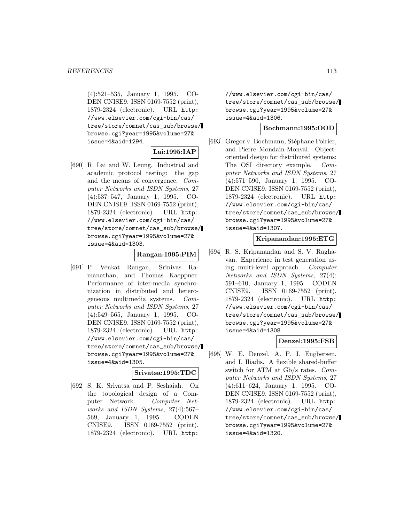(4):521–535, January 1, 1995. CO-DEN CNISE9. ISSN 0169-7552 (print), 1879-2324 (electronic). URL http: //www.elsevier.com/cgi-bin/cas/ tree/store/comnet/cas\_sub/browse/ browse.cgi?year=1995&volume=27& issue=4&aid=1294.

## **Lai:1995:IAP**

[690] R. Lai and W. Leung. Industrial and academic protocol testing: the gap and the means of convergence. Computer Networks and ISDN Systems, 27 (4):537–547, January 1, 1995. CO-DEN CNISE9. ISSN 0169-7552 (print), 1879-2324 (electronic). URL http: //www.elsevier.com/cgi-bin/cas/ tree/store/comnet/cas\_sub/browse/ browse.cgi?year=1995&volume=27& issue=4&aid=1303.

#### **Rangan:1995:PIM**

[691] P. Venkat Rangan, Srinivas Ramanathan, and Thomas Kaeppner. Performance of inter-media synchronization in distributed and heterogeneous multimedia systems. Computer Networks and ISDN Systems, 27 (4):549–565, January 1, 1995. CO-DEN CNISE9. ISSN 0169-7552 (print), 1879-2324 (electronic). URL http: //www.elsevier.com/cgi-bin/cas/ tree/store/comnet/cas\_sub/browse/ browse.cgi?year=1995&volume=27& issue=4&aid=1305.

#### **Srivatsa:1995:TDC**

[692] S. K. Srivatsa and P. Seshaiah. On the topological design of a Computer Network. Computer Networks and ISDN Systems, 27(4):567– 569, January 1, 1995. CODEN CNISE9. ISSN 0169-7552 (print), 1879-2324 (electronic). URL http:

//www.elsevier.com/cgi-bin/cas/ tree/store/comnet/cas\_sub/browse/ browse.cgi?year=1995&volume=27& issue=4&aid=1306.

#### **Bochmann:1995:OOD**

[693] Gregor v. Bochmann, Stéphane Poirier, and Pierre Mondain-Monval. Objectoriented design for distributed systems: The OSI directory example. Computer Networks and ISDN Systems, 27 (4):571–590, January 1, 1995. CO-DEN CNISE9. ISSN 0169-7552 (print), 1879-2324 (electronic). URL http: //www.elsevier.com/cgi-bin/cas/ tree/store/comnet/cas\_sub/browse/ browse.cgi?year=1995&volume=27& issue=4&aid=1307.

## **Kripanandan:1995:ETG**

[694] R. S. Kripanandan and S. V. Raghavan. Experience in test generation using multi-level approach. Computer Networks and ISDN Systems, 27(4): 591–610, January 1, 1995. CODEN CNISE9. ISSN 0169-7552 (print), 1879-2324 (electronic). URL http: //www.elsevier.com/cgi-bin/cas/ tree/store/comnet/cas\_sub/browse/ browse.cgi?year=1995&volume=27& issue=4&aid=1308.

#### **Denzel:1995:FSB**

[695] W. E. Denzel, A. P. J. Engbersen, and I. Iliadis. A flexible shared-buffer switch for ATM at Gb/s rates. Computer Networks and ISDN Systems, 27 (4):611–624, January 1, 1995. CO-DEN CNISE9. ISSN 0169-7552 (print), 1879-2324 (electronic). URL http: //www.elsevier.com/cgi-bin/cas/ tree/store/comnet/cas\_sub/browse/ browse.cgi?year=1995&volume=27& issue=4&aid=1320.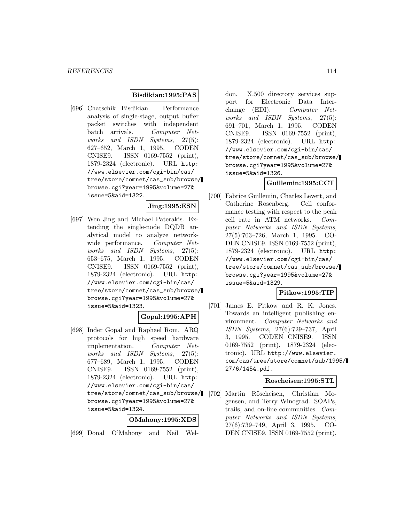#### **Bisdikian:1995:PAS**

[696] Chatschik Bisdikian. Performance analysis of single-stage, output buffer packet switches with independent batch arrivals. Computer Networks and ISDN Systems, 27(5): 627–652, March 1, 1995. CODEN CNISE9. ISSN 0169-7552 (print), 1879-2324 (electronic). URL http: //www.elsevier.com/cgi-bin/cas/ tree/store/comnet/cas\_sub/browse/ browse.cgi?year=1995&volume=27& issue=5&aid=1322.

# **Jing:1995:ESN**

[697] Wen Jing and Michael Paterakis. Extending the single-node DQDB analytical model to analyze networkwide performance. Computer Networks and ISDN Systems, 27(5): 653–675, March 1, 1995. CODEN CNISE9. ISSN 0169-7552 (print), 1879-2324 (electronic). URL http: //www.elsevier.com/cgi-bin/cas/ tree/store/comnet/cas\_sub/browse/ browse.cgi?year=1995&volume=27& issue=5&aid=1323.

### **Gopal:1995:APH**

[698] Inder Gopal and Raphael Rom. ARQ protocols for high speed hardware implementation. Computer Networks and ISDN Systems, 27(5): 677–689, March 1, 1995. CODEN CNISE9. ISSN 0169-7552 (print), 1879-2324 (electronic). URL http: //www.elsevier.com/cgi-bin/cas/ tree/store/comnet/cas\_sub/browse/ browse.cgi?year=1995&volume=27& issue=5&aid=1324.

#### **OMahony:1995:XDS**

[699] Donal O'Mahony and Neil Wel-

don. X.500 directory services support for Electronic Data Interchange (EDI). Computer Networks and ISDN Systems, 27(5): 691–701, March 1, 1995. CODEN CNISE9. ISSN 0169-7552 (print), 1879-2324 (electronic). URL http: //www.elsevier.com/cgi-bin/cas/ tree/store/comnet/cas\_sub/browse/ browse.cgi?year=1995&volume=27& issue=5&aid=1326.

## **Guillemin:1995:CCT**

[700] Fabrice Guillemin, Charles Levert, and Catherine Rosenberg. Cell conformance testing with respect to the peak cell rate in ATM networks. Computer Networks and ISDN Systems, 27(5):703–726, March 1, 1995. CO-DEN CNISE9. ISSN 0169-7552 (print), 1879-2324 (electronic). URL http: //www.elsevier.com/cgi-bin/cas/ tree/store/comnet/cas\_sub/browse/ browse.cgi?year=1995&volume=27& issue=5&aid=1329.

## **Pitkow:1995:TIP**

[701] James E. Pitkow and R. K. Jones. Towards an intelligent publishing environment. Computer Networks and ISDN Systems, 27(6):729–737, April 3, 1995. CODEN CNISE9. ISSN 0169-7552 (print), 1879-2324 (electronic). URL http://www.elsevier. com/cas/tree/store/comnet/sub/1995/ 27/6/1454.pdf.

## **Roscheisen:1995:STL**

[702] Martin Röscheisen, Christian Mogensen, and Terry Winograd. SOAPs, trails, and on-line communities. Computer Networks and ISDN Systems, 27(6):739–749, April 3, 1995. CO-DEN CNISE9. ISSN 0169-7552 (print),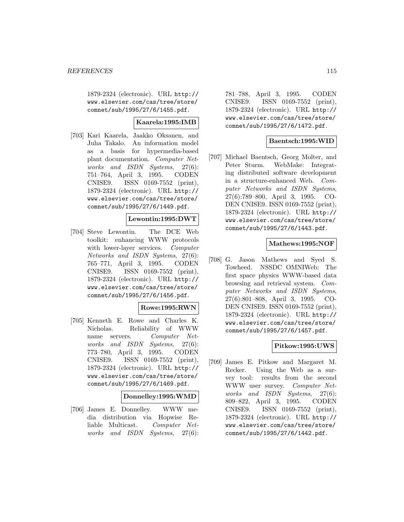1879-2324 (electronic). URL http:// www.elsevier.com/cas/tree/store/ comnet/sub/1995/27/6/1455.pdf.

### **Kaarela:1995:IMB**

[703] Kari Kaarela, Jaakko Oksanen, and Juha Takalo. An information model as a basis for hypermedia-based plant documentation. Computer Networks and ISDN Systems, 27(6): 751–764, April 3, 1995. CODEN CNISE9. ISSN 0169-7552 (print), 1879-2324 (electronic). URL http:// www.elsevier.com/cas/tree/store/ comnet/sub/1995/27/6/1449.pdf.

### **Lewontin:1995:DWT**

[704] Steve Lewontin. The DCE Web toolkit: enhancing WWW protocols with lower-layer services. Computer Networks and ISDN Systems, 27(6): 765–771, April 3, 1995. CODEN CNISE9. ISSN 0169-7552 (print), 1879-2324 (electronic). URL http:// www.elsevier.com/cas/tree/store/ comnet/sub/1995/27/6/1456.pdf.

#### **Rowe:1995:RWN**

[705] Kenneth E. Rowe and Charles K. Nicholas. Reliability of WWW name servers. Computer Networks and ISDN Systems, 27(6): 773–780, April 3, 1995. CODEN CNISE9. ISSN 0169-7552 (print), 1879-2324 (electronic). URL http:// www.elsevier.com/cas/tree/store/ comnet/sub/1995/27/6/1469.pdf.

**Donnelley:1995:WMD**

[706] James E. Donnelley. WWW media distribution via Hopwise Reliable Multicast. Computer Networks and ISDN Systems, 27(6):

781–788, April 3, 1995. CODEN CNISE9. ISSN 0169-7552 (print), 1879-2324 (electronic). URL http:// www.elsevier.com/cas/tree/store/ comnet/sub/1995/27/6/1472.pdf.

## **Baentsch:1995:WID**

[707] Michael Baentsch, Georg Molter, and Peter Sturm. WebMake: Integrating distributed software development in a structure-enhanced Web. Computer Networks and ISDN Systems, 27(6):789–800, April 3, 1995. CO-DEN CNISE9. ISSN 0169-7552 (print), 1879-2324 (electronic). URL http:// www.elsevier.com/cas/tree/store/ comnet/sub/1995/27/6/1443.pdf.

#### **Mathews:1995:NOF**

[708] G. Jason Mathews and Syed S. Towheed. NSSDC OMNIWeb: The first space physics WWW-based data browsing and retrieval system. Computer Networks and ISDN Systems, 27(6):801–808, April 3, 1995. CO-DEN CNISE9. ISSN 0169-7552 (print), 1879-2324 (electronic). URL http:// www.elsevier.com/cas/tree/store/ comnet/sub/1995/27/6/1457.pdf.

### **Pitkow:1995:UWS**

[709] James E. Pitkow and Margaret M. Recker. Using the Web as a survey tool: results from the second WWW user survey. Computer Networks and ISDN Systems, 27(6): 809–822, April 3, 1995. CODEN CNISE9. ISSN 0169-7552 (print), 1879-2324 (electronic). URL http:// www.elsevier.com/cas/tree/store/ comnet/sub/1995/27/6/1442.pdf.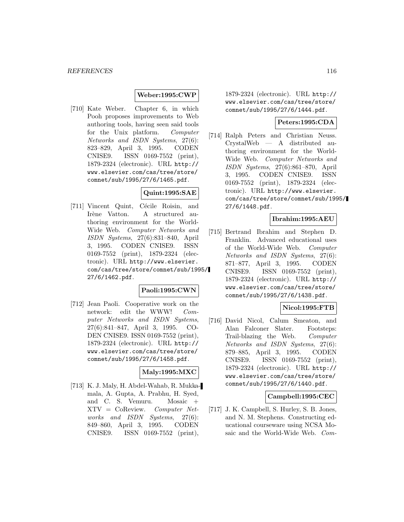#### **Weber:1995:CWP**

[710] Kate Weber. Chapter 6, in which Pooh proposes improvements to Web authoring tools, having seen said tools for the Unix platform. Computer Networks and ISDN Systems, 27(6): 823–829, April 3, 1995. CODEN CNISE9. ISSN 0169-7552 (print), 1879-2324 (electronic). URL http:// www.elsevier.com/cas/tree/store/ comnet/sub/1995/27/6/1465.pdf.

## **Quint:1995:SAE**

[711] Vincent Quint, Cécile Roisin, and Irène Vatton. A structured authoring environment for the World-Wide Web. Computer Networks and ISDN Systems, 27(6):831–840, April 3, 1995. CODEN CNISE9. ISSN 0169-7552 (print), 1879-2324 (electronic). URL http://www.elsevier. com/cas/tree/store/comnet/sub/1995/ 27/6/1462.pdf.

### **Paoli:1995:CWN**

[712] Jean Paoli. Cooperative work on the network: edit the WWW! Computer Networks and ISDN Systems, 27(6):841–847, April 3, 1995. CO-DEN CNISE9. ISSN 0169-7552 (print), 1879-2324 (electronic). URL http:// www.elsevier.com/cas/tree/store/ comnet/sub/1995/27/6/1458.pdf.

#### **Maly:1995:MXC**

[713] K. J. Maly, H. Abdel-Wahab, R. Mukkamala, A. Gupta, A. Prabhu, H. Syed, and C. S. Vemuru. Mosaic + XTV = CoReview. Computer Networks and ISDN Systems, 27(6): 849–860, April 3, 1995. CODEN CNISE9. ISSN 0169-7552 (print),

1879-2324 (electronic). URL http:// www.elsevier.com/cas/tree/store/ comnet/sub/1995/27/6/1444.pdf.

#### **Peters:1995:CDA**

[714] Ralph Peters and Christian Neuss. CrystalWeb — A distributed authoring environment for the World-Wide Web. Computer Networks and ISDN Systems, 27(6):861–870, April 3, 1995. CODEN CNISE9. ISSN 0169-7552 (print), 1879-2324 (electronic). URL http://www.elsevier. com/cas/tree/store/comnet/sub/1995/ 27/6/1448.pdf.

#### **Ibrahim:1995:AEU**

[715] Bertrand Ibrahim and Stephen D. Franklin. Advanced educational uses of the World-Wide Web. Computer Networks and ISDN Systems, 27(6): 871–877, April 3, 1995. CODEN CNISE9. ISSN 0169-7552 (print), 1879-2324 (electronic). URL http:// www.elsevier.com/cas/tree/store/ comnet/sub/1995/27/6/1438.pdf.

### **Nicol:1995:FTB**

[716] David Nicol, Calum Smeaton, and Alan Falconer Slater. Footsteps: Trail-blazing the Web. Computer Networks and ISDN Systems, 27(6): 879–885, April 3, 1995. CODEN CNISE9. ISSN 0169-7552 (print), 1879-2324 (electronic). URL http:// www.elsevier.com/cas/tree/store/ comnet/sub/1995/27/6/1440.pdf.

#### **Campbell:1995:CEC**

[717] J. K. Campbell, S. Hurley, S. B. Jones, and N. M. Stephens. Constructing educational courseware using NCSA Mosaic and the World-Wide Web. Com-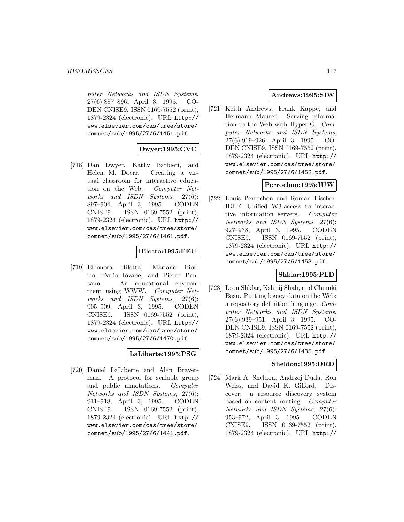puter Networks and ISDN Systems, 27(6):887–896, April 3, 1995. CO-DEN CNISE9. ISSN 0169-7552 (print), 1879-2324 (electronic). URL http:// www.elsevier.com/cas/tree/store/ comnet/sub/1995/27/6/1451.pdf.

# **Dwyer:1995:CVC**

[718] Dan Dwyer, Kathy Barbieri, and Helen M. Doerr. Creating a virtual classroom for interactive education on the Web. Computer Networks and ISDN Systems, 27(6): 897–904, April 3, 1995. CODEN CNISE9. ISSN 0169-7552 (print), 1879-2324 (electronic). URL http:// www.elsevier.com/cas/tree/store/ comnet/sub/1995/27/6/1461.pdf.

## **Bilotta:1995:EEU**

[719] Eleonora Bilotta, Mariano Fiorito, Dario Iovane, and Pietro Pantano. An educational environment using WWW. Computer Networks and ISDN Systems, 27(6): 905–909, April 3, 1995. CODEN CNISE9. ISSN 0169-7552 (print), 1879-2324 (electronic). URL http:// www.elsevier.com/cas/tree/store/ comnet/sub/1995/27/6/1470.pdf.

## **LaLiberte:1995:PSG**

[720] Daniel LaLiberte and Alan Braverman. A protocol for scalable group and public annotations. Computer Networks and ISDN Systems, 27(6): 911–918, April 3, 1995. CODEN CNISE9. ISSN 0169-7552 (print), 1879-2324 (electronic). URL http:// www.elsevier.com/cas/tree/store/ comnet/sub/1995/27/6/1441.pdf.

#### **Andrews:1995:SIW**

[721] Keith Andrews, Frank Kappe, and Hermann Maurer. Serving information to the Web with Hyper-G. Computer Networks and ISDN Systems, 27(6):919–926, April 3, 1995. CO-DEN CNISE9. ISSN 0169-7552 (print), 1879-2324 (electronic). URL http:// www.elsevier.com/cas/tree/store/ comnet/sub/1995/27/6/1452.pdf.

## **Perrochon:1995:IUW**

[722] Louis Perrochon and Roman Fischer. IDLE: Unified W3-access to interactive information servers. Computer Networks and ISDN Systems, 27(6): 927–938, April 3, 1995. CODEN CNISE9. ISSN 0169-7552 (print), 1879-2324 (electronic). URL http:// www.elsevier.com/cas/tree/store/ comnet/sub/1995/27/6/1453.pdf.

### **Shklar:1995:PLD**

[723] Leon Shklar, Kshitij Shah, and Chumki Basu. Putting legacy data on the Web: a repository definition language. Computer Networks and ISDN Systems, 27(6):939–951, April 3, 1995. CO-DEN CNISE9. ISSN 0169-7552 (print), 1879-2324 (electronic). URL http:// www.elsevier.com/cas/tree/store/ comnet/sub/1995/27/6/1435.pdf.

### **Sheldon:1995:DRD**

[724] Mark A. Sheldon, Andrzej Duda, Ron Weiss, and David K. Gifford. Discover: a resource discovery system based on content routing. Computer Networks and ISDN Systems, 27(6): 953–972, April 3, 1995. CODEN CNISE9. ISSN 0169-7552 (print), 1879-2324 (electronic). URL http://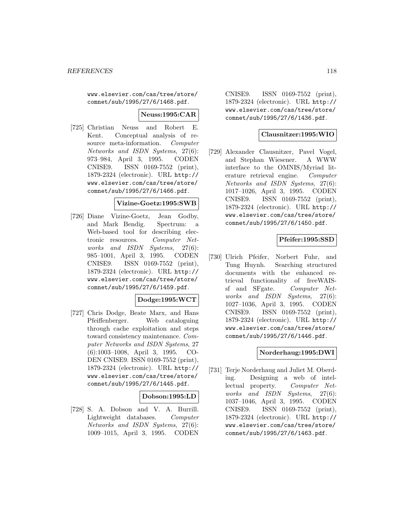www.elsevier.com/cas/tree/store/ comnet/sub/1995/27/6/1468.pdf.

**Neuss:1995:CAR**

[725] Christian Neuss and Robert E. Kent. Conceptual analysis of resource meta-information. Computer Networks and ISDN Systems, 27(6): 973–984, April 3, 1995. CODEN CNISE9. ISSN 0169-7552 (print), 1879-2324 (electronic). URL http:// www.elsevier.com/cas/tree/store/ comnet/sub/1995/27/6/1466.pdf.

### **Vizine-Goetz:1995:SWB**

[726] Diane Vizine-Goetz, Jean Godby, and Mark Bendig. Spectrum: a Web-based tool for describing electronic resources. Computer Networks and ISDN Systems, 27(6): 985–1001, April 3, 1995. CODEN CNISE9. ISSN 0169-7552 (print), 1879-2324 (electronic). URL http:// www.elsevier.com/cas/tree/store/ comnet/sub/1995/27/6/1459.pdf.

### **Dodge:1995:WCT**

[727] Chris Dodge, Beate Marx, and Hans Pfeiffenberger. Web cataloguing through cache exploitation and steps toward consistency maintenance. Computer Networks and ISDN Systems, 27 (6):1003–1008, April 3, 1995. CO-DEN CNISE9. ISSN 0169-7552 (print), 1879-2324 (electronic). URL http:// www.elsevier.com/cas/tree/store/ comnet/sub/1995/27/6/1445.pdf.

### **Dobson:1995:LD**

[728] S. A. Dobson and V. A. Burrill. Lightweight databases. Computer Networks and ISDN Systems, 27(6): 1009–1015, April 3, 1995. CODEN

CNISE9. ISSN 0169-7552 (print), 1879-2324 (electronic). URL http:// www.elsevier.com/cas/tree/store/ comnet/sub/1995/27/6/1436.pdf.

### **Clausnitzer:1995:WIO**

[729] Alexander Clausnitzer, Pavel Vogel, and Stephan Wiesener. A WWW interface to the OMNIS/Myriad literature retrieval engine. Computer Networks and ISDN Systems, 27(6): 1017–1026, April 3, 1995. CODEN CNISE9. ISSN 0169-7552 (print), 1879-2324 (electronic). URL http:// www.elsevier.com/cas/tree/store/ comnet/sub/1995/27/6/1450.pdf.

### **Pfeifer:1995:SSD**

[730] Ulrich Pfeifer, Norbert Fuhr, and Tung Huynh. Searching structured documents with the enhanced retrieval functionality of freeWAISsf and SFgate. Computer Networks and ISDN Systems, 27(6): 1027–1036, April 3, 1995. CODEN CNISE9. ISSN 0169-7552 (print), 1879-2324 (electronic). URL http:// www.elsevier.com/cas/tree/store/ comnet/sub/1995/27/6/1446.pdf.

### **Norderhaug:1995:DWI**

[731] Terje Norderhaug and Juliet M. Oberding. Designing a web of intellectual property. Computer Networks and ISDN Systems, 27(6): 1037–1046, April 3, 1995. CODEN CNISE9. ISSN 0169-7552 (print), 1879-2324 (electronic). URL http:// www.elsevier.com/cas/tree/store/ comnet/sub/1995/27/6/1463.pdf.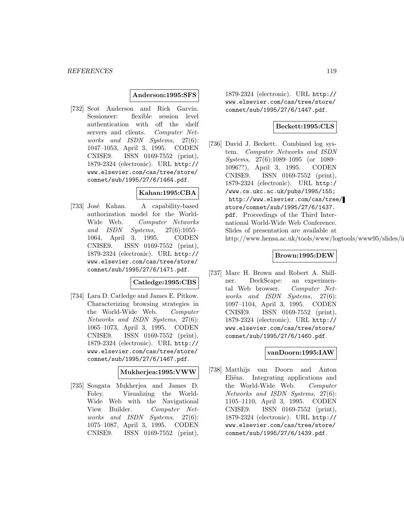#### **Anderson:1995:SFS**

[732] Scot Anderson and Rick Garvin. Sessioneer: flexible session level authentication with off the shelf servers and clients. Computer Networks and ISDN Systems, 27(6): 1047–1053, April 3, 1995. CODEN CNISE9. ISSN 0169-7552 (print), 1879-2324 (electronic). URL http:// www.elsevier.com/cas/tree/store/ comnet/sub/1995/27/6/1464.pdf.

## **Kahan:1995:CBA**

[733] José Kahan. A capability-based authorization model for the World-Wide Web. Computer Networks and ISDN Systems, 27(6):1055– 1064, April 3, 1995. CODEN CNISE9. ISSN 0169-7552 (print), 1879-2324 (electronic). URL http:// www.elsevier.com/cas/tree/store/ comnet/sub/1995/27/6/1471.pdf.

## **Catledge:1995:CBS**

[734] Lara D. Catledge and James E. Pitkow. Characterizing browsing strategies in the World-Wide Web. Computer Networks and ISDN Systems, 27(6): 1065–1073, April 3, 1995. CODEN CNISE9. ISSN 0169-7552 (print), 1879-2324 (electronic). URL http:// www.elsevier.com/cas/tree/store/ comnet/sub/1995/27/6/1467.pdf.

#### **Mukherjea:1995:VWW**

[735] Sougata Mukherjea and James D. Foley. Visualizing the World-Wide Web with the Navigational View Builder. Computer Networks and ISDN Systems, 27(6): 1075–1087, April 3, 1995. CODEN CNISE9. ISSN 0169-7552 (print),

1879-2324 (electronic). URL http:// www.elsevier.com/cas/tree/store/ comnet/sub/1995/27/6/1447.pdf.

## **Beckett:1995:CLS**

[736] David J. Beckett. Combined log system. Computer Networks and ISDN Systems, 27(6):1089–1095 (or 1089– 1096??), April 3, 1995. CODEN CNISE9. ISSN 0169-7552 (print), 1879-2324 (electronic). URL http:/ /www.cs.ukc.ac.uk/pubs/1995/155; http://www.elsevier.com/cas/tree/ store/comnet/sub/1995/27/6/1437. pdf. Proceedings of the Third International World-Wide Web Conference. Slides of presentation are available at http://www.hensa.ac.uk/tools/www/logtools/www95/slides/in

## **Brown:1995:DEW**

[737] Marc H. Brown and Robert A. Shillner. DeckScape: an experimental Web browser. Computer Networks and ISDN Systems, 27(6): 1097–1104, April 3, 1995. CODEN CNISE9. ISSN 0169-7552 (print), 1879-2324 (electronic). URL http:// www.elsevier.com/cas/tree/store/ comnet/sub/1995/27/6/1460.pdf.

#### **vanDoorn:1995:IAW**

[738] Matthijs van Doorn and Anton Eliëns. Integrating applications and the World-Wide Web. Computer Networks and ISDN Systems, 27(6): 1105–1110, April 3, 1995. CODEN CNISE9. ISSN 0169-7552 (print), 1879-2324 (electronic). URL http:// www.elsevier.com/cas/tree/store/ comnet/sub/1995/27/6/1439.pdf.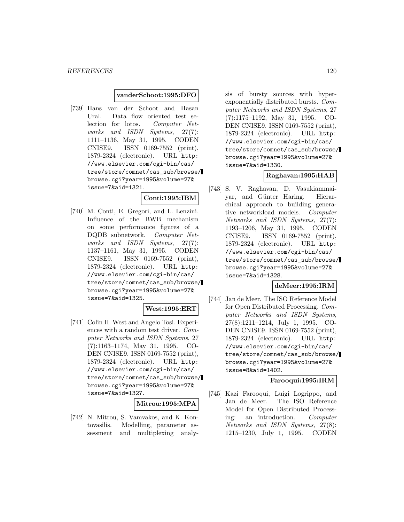#### **vanderSchoot:1995:DFO**

[739] Hans van der Schoot and Hasan Ural. Data flow oriented test selection for lotos. Computer Networks and ISDN Systems, 27(7): 1111–1136, May 31, 1995. CODEN CNISE9. ISSN 0169-7552 (print), 1879-2324 (electronic). URL http: //www.elsevier.com/cgi-bin/cas/ tree/store/comnet/cas\_sub/browse/ browse.cgi?year=1995&volume=27& issue=7&aid=1321.

#### **Conti:1995:IBM**

[740] M. Conti, E. Gregori, and L. Lenzini. Influence of the BWB mechanism on some performance figures of a DQDB subnetwork. Computer Networks and ISDN Systems, 27(7): 1137–1161, May 31, 1995. CODEN CNISE9. ISSN 0169-7552 (print), 1879-2324 (electronic). URL http: //www.elsevier.com/cgi-bin/cas/ tree/store/comnet/cas\_sub/browse/ browse.cgi?year=1995&volume=27& issue=7&aid=1325.

### **West:1995:ERT**

[741] Colin H. West and Angelo Tosi. Experiences with a random test driver. Computer Networks and ISDN Systems, 27 (7):1163–1174, May 31, 1995. CO-DEN CNISE9. ISSN 0169-7552 (print), 1879-2324 (electronic). URL http: //www.elsevier.com/cgi-bin/cas/ tree/store/comnet/cas\_sub/browse/ browse.cgi?year=1995&volume=27& issue=7&aid=1327.

#### **Mitrou:1995:MPA**

[742] N. Mitrou, S. Vamvakos, and K. Kontovasilis. Modelling, parameter assessment and multiplexing analy-

sis of bursty sources with hyperexponentially distributed bursts. Computer Networks and ISDN Systems, 27 (7):1175–1192, May 31, 1995. CO-DEN CNISE9. ISSN 0169-7552 (print), 1879-2324 (electronic). URL http: //www.elsevier.com/cgi-bin/cas/ tree/store/comnet/cas\_sub/browse/ browse.cgi?year=1995&volume=27& issue=7&aid=1330.

## **Raghavan:1995:HAB**

[743] S. V. Raghavan, D. Vasukiammaiyar, and Günter Haring. Hierarchical approach to building generative networkload models. Computer Networks and ISDN Systems, 27(7): 1193–1206, May 31, 1995. CODEN CNISE9. ISSN 0169-7552 (print), 1879-2324 (electronic). URL http: //www.elsevier.com/cgi-bin/cas/ tree/store/comnet/cas\_sub/browse/ browse.cgi?year=1995&volume=27& issue=7&aid=1328.

## **deMeer:1995:IRM**

[744] Jan de Meer. The ISO Reference Model for Open Distributed Processing. Computer Networks and ISDN Systems, 27(8):1211–1214, July 1, 1995. CO-DEN CNISE9. ISSN 0169-7552 (print), 1879-2324 (electronic). URL http: //www.elsevier.com/cgi-bin/cas/ tree/store/comnet/cas\_sub/browse/ browse.cgi?year=1995&volume=27& issue=8&aid=1402.

### **Farooqui:1995:IRM**

[745] Kazi Farooqui, Luigi Logrippo, and Jan de Meer. The ISO Reference Model for Open Distributed Processing: an introduction. Computer Networks and ISDN Systems, 27(8): 1215–1230, July 1, 1995. CODEN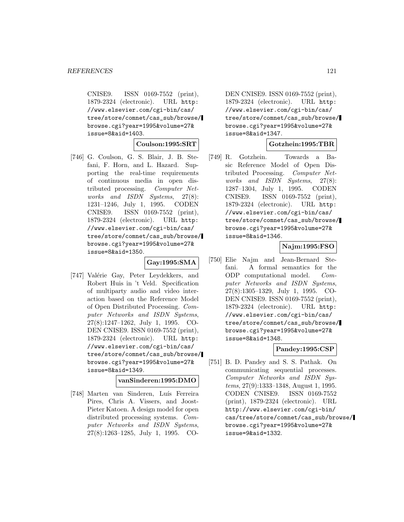CNISE9. ISSN 0169-7552 (print), 1879-2324 (electronic). URL http: //www.elsevier.com/cgi-bin/cas/ tree/store/comnet/cas\_sub/browse/ browse.cgi?year=1995&volume=27& issue=8&aid=1403.

#### **Coulson:1995:SRT**

[746] G. Coulson, G. S. Blair, J. B. Stefani, F. Horn, and L. Hazard. Supporting the real-time requirements of continuous media in open distributed processing. Computer Networks and ISDN Systems, 27(8): 1231–1246, July 1, 1995. CODEN CNISE9. ISSN 0169-7552 (print), 1879-2324 (electronic). URL http: //www.elsevier.com/cgi-bin/cas/ tree/store/comnet/cas\_sub/browse/ browse.cgi?year=1995&volume=27& issue=8&aid=1350.

#### **Gay:1995:SMA**

[747] Valérie Gay, Peter Leydekkers, and Robert Huis in 't Veld. Specification of multiparty audio and video interaction based on the Reference Model of Open Distributed Processing. Computer Networks and ISDN Systems, 27(8):1247–1262, July 1, 1995. CO-DEN CNISE9. ISSN 0169-7552 (print), 1879-2324 (electronic). URL http: //www.elsevier.com/cgi-bin/cas/ tree/store/comnet/cas\_sub/browse/ browse.cgi?year=1995&volume=27& issue=8&aid=1349.

## **vanSinderen:1995:DMO**

[748] Marten van Sinderen, Luís Ferreira Pires, Chris A. Vissers, and Joost-Pieter Katoen. A design model for open distributed processing systems. Computer Networks and ISDN Systems, 27(8):1263–1285, July 1, 1995. CO-

DEN CNISE9. ISSN 0169-7552 (print), 1879-2324 (electronic). URL http: //www.elsevier.com/cgi-bin/cas/ tree/store/comnet/cas\_sub/browse/ browse.cgi?year=1995&volume=27& issue=8&aid=1347.

#### **Gotzhein:1995:TBR**

[749] R. Gotzhein. Towards a Basic Reference Model of Open Distributed Processing. Computer Networks and ISDN Systems, 27(8): 1287–1304, July 1, 1995. CODEN CNISE9. ISSN 0169-7552 (print), 1879-2324 (electronic). URL http: //www.elsevier.com/cgi-bin/cas/ tree/store/comnet/cas\_sub/browse/ browse.cgi?year=1995&volume=27& issue=8&aid=1346.

## **Najm:1995:FSO**

[750] Elie Najm and Jean-Bernard Stefani. A formal semantics for the ODP computational model. Computer Networks and ISDN Systems, 27(8):1305–1329, July 1, 1995. CO-DEN CNISE9. ISSN 0169-7552 (print), 1879-2324 (electronic). URL http: //www.elsevier.com/cgi-bin/cas/ tree/store/comnet/cas\_sub/browse/ browse.cgi?year=1995&volume=27& issue=8&aid=1348.

## **Pandey:1995:CSP**

[751] B. D. Pandey and S. S. Pathak. On communicating sequential processes. Computer Networks and ISDN Systems, 27(9):1333–1348, August 1, 1995. CODEN CNISE9. ISSN 0169-7552 (print), 1879-2324 (electronic). URL http://www.elsevier.com/cgi-bin/ cas/tree/store/comnet/cas\_sub/browse/ browse.cgi?year=1995&volume=27& issue=9&aid=1332.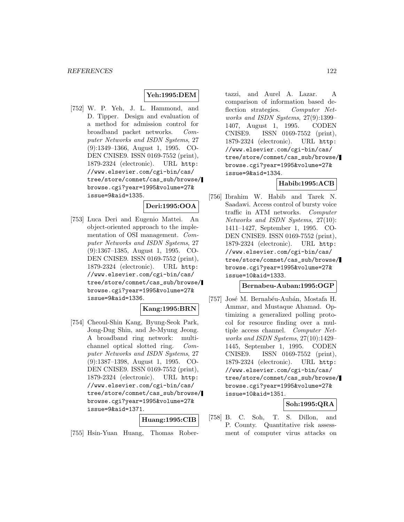## **Yeh:1995:DEM**

[752] W. P. Yeh, J. L. Hammond, and D. Tipper. Design and evaluation of a method for admission control for broadband packet networks. Computer Networks and ISDN Systems, 27 (9):1349–1366, August 1, 1995. CO-DEN CNISE9. ISSN 0169-7552 (print), 1879-2324 (electronic). URL http: //www.elsevier.com/cgi-bin/cas/ tree/store/comnet/cas\_sub/browse/ browse.cgi?year=1995&volume=27& issue=9&aid=1335.

# **Deri:1995:OOA**

[753] Luca Deri and Eugenio Mattei. An object-oriented approach to the implementation of OSI management. Computer Networks and ISDN Systems, 27 (9):1367–1385, August 1, 1995. CO-DEN CNISE9. ISSN 0169-7552 (print), 1879-2324 (electronic). URL http: //www.elsevier.com/cgi-bin/cas/ tree/store/comnet/cas\_sub/browse/ browse.cgi?year=1995&volume=27& issue=9&aid=1336.

### **Kang:1995:BRN**

[754] Cheoul-Shin Kang, Byung-Seok Park, Jong-Dug Shin, and Je-Myung Jeong. A broadband ring network: multichannel optical slotted ring. Computer Networks and ISDN Systems, 27 (9):1387–1398, August 1, 1995. CO-DEN CNISE9. ISSN 0169-7552 (print), 1879-2324 (electronic). URL http: //www.elsevier.com/cgi-bin/cas/ tree/store/comnet/cas\_sub/browse/ browse.cgi?year=1995&volume=27& issue=9&aid=1371.

#### **Huang:1995:CIB**

[755] Hsin-Yuan Huang, Thomas Rober-

tazzi, and Aurel A. Lazar. A comparison of information based deflection strategies. Computer Networks and ISDN Systems, 27(9):1399– 1407, August 1, 1995. CODEN CNISE9. ISSN 0169-7552 (print), 1879-2324 (electronic). URL http: //www.elsevier.com/cgi-bin/cas/ tree/store/comnet/cas\_sub/browse/ browse.cgi?year=1995&volume=27& issue=9&aid=1334.

## **Habib:1995:ACB**

[756] Ibrahim W. Habib and Tarek N. Saadawi. Access control of bursty voice traffic in ATM networks. Computer Networks and ISDN Systems, 27(10): 1411–1427, September 1, 1995. CO-DEN CNISE9. ISSN 0169-7552 (print), 1879-2324 (electronic). URL http: //www.elsevier.com/cgi-bin/cas/ tree/store/comnet/cas\_sub/browse/ browse.cgi?year=1995&volume=27& issue=10&aid=1333.

#### **Bernabeu-Auban:1995:OGP**

[757] José M. Bernabéu-Aubán, Mostafa H. Ammar, and Mustaque Ahamad. Optimizing a generalized polling protocol for resource finding over a multiple access channel. Computer Networks and ISDN Systems, 27(10):1429– 1445, September 1, 1995. CODEN CNISE9. ISSN 0169-7552 (print), 1879-2324 (electronic). URL http: //www.elsevier.com/cgi-bin/cas/ tree/store/comnet/cas\_sub/browse/ browse.cgi?year=1995&volume=27& issue=10&aid=1351.

## **Soh:1995:QRA**

[758] B. C. Soh, T. S. Dillon, and P. County. Quantitative risk assessment of computer virus attacks on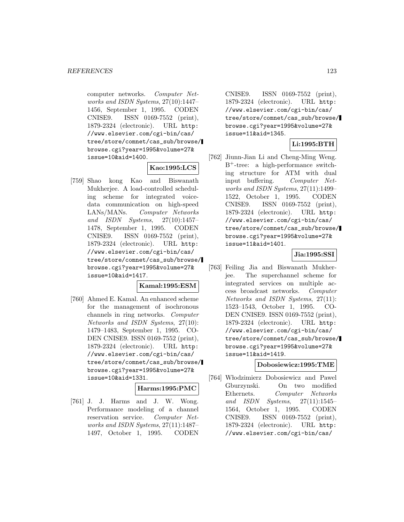computer networks. Computer Networks and ISDN Systems, 27(10):1447– 1456, September 1, 1995. CODEN CNISE9. ISSN 0169-7552 (print), 1879-2324 (electronic). URL http: //www.elsevier.com/cgi-bin/cas/ tree/store/comnet/cas\_sub/browse/ browse.cgi?year=1995&volume=27& issue=10&aid=1400.

## **Kao:1995:LCS**

[759] Shao kong Kao and Biswanath Mukherjee. A load-controlled scheduling scheme for integrated voicedata communication on high-speed LANs/MANs. Computer Networks and ISDN Systems, 27(10):1457– 1478, September 1, 1995. CODEN CNISE9. ISSN 0169-7552 (print), 1879-2324 (electronic). URL http: //www.elsevier.com/cgi-bin/cas/ tree/store/comnet/cas\_sub/browse/ browse.cgi?year=1995&volume=27& issue=10&aid=1417.

### **Kamal:1995:ESM**

[760] Ahmed E. Kamal. An enhanced scheme for the management of isochronous channels in ring networks. Computer Networks and ISDN Systems, 27(10): 1479–1483, September 1, 1995. CO-DEN CNISE9. ISSN 0169-7552 (print), 1879-2324 (electronic). URL http: //www.elsevier.com/cgi-bin/cas/ tree/store/comnet/cas\_sub/browse/ browse.cgi?year=1995&volume=27& issue=10&aid=1331.

#### **Harms:1995:PMC**

[761] J. J. Harms and J. W. Wong. Performance modeling of a channel reservation service. Computer Networks and ISDN Systems, 27(11):1487– 1497, October 1, 1995. CODEN

CNISE9. ISSN 0169-7552 (print), 1879-2324 (electronic). URL http: //www.elsevier.com/cgi-bin/cas/ tree/store/comnet/cas\_sub/browse/ browse.cgi?year=1995&volume=27& issue=11&aid=1345.

## **Li:1995:BTH**

[762] Jiunn-Jian Li and Cheng-Ming Weng. B<sup>+</sup>-tree: a high-performance switching structure for ATM with dual input buffering. Computer Networks and ISDN Systems, 27(11):1499– 1522, October 1, 1995. CODEN CNISE9. ISSN 0169-7552 (print), 1879-2324 (electronic). URL http: //www.elsevier.com/cgi-bin/cas/ tree/store/comnet/cas\_sub/browse/ browse.cgi?year=1995&volume=27& issue=11&aid=1401.

## **Jia:1995:SSI**

[763] Feiling Jia and Biswanath Mukherjee. The superchannel scheme for integrated services on multiple access broadcast networks. Computer Networks and ISDN Systems, 27(11): 1523–1543, October 1, 1995. CO-DEN CNISE9. ISSN 0169-7552 (print), 1879-2324 (electronic). URL http: //www.elsevier.com/cgi-bin/cas/ tree/store/comnet/cas\_sub/browse/ browse.cgi?year=1995&volume=27& issue=11&aid=1419.

#### **Dobosiewicz:1995:TME**

[764] Włodzimierz Dobosiewicz and Pawel Gburzynski. On two modified Ethernets. Computer Networks and ISDN Systems, 27(11):1545– 1564, October 1, 1995. CODEN CNISE9. ISSN 0169-7552 (print), 1879-2324 (electronic). URL http: //www.elsevier.com/cgi-bin/cas/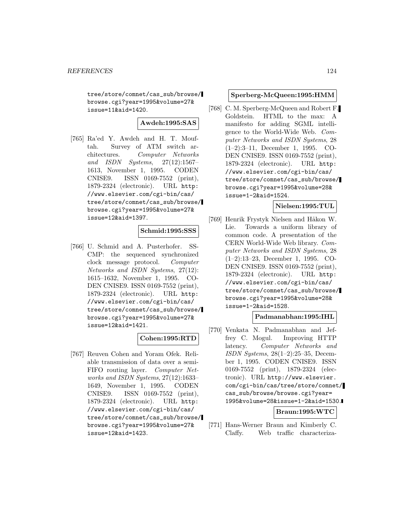tree/store/comnet/cas\_sub/browse/ browse.cgi?year=1995&volume=27& issue=11&aid=1420.

**Awdeh:1995:SAS**

[765] Ra'ed Y. Awdeh and H. T. Mouftah. Survey of ATM switch architectures. Computer Networks and ISDN Systems, 27(12):1567– 1613, November 1, 1995. CODEN CNISE9. ISSN 0169-7552 (print), 1879-2324 (electronic). URL http: //www.elsevier.com/cgi-bin/cas/ tree/store/comnet/cas\_sub/browse/ browse.cgi?year=1995&volume=27& issue=12&aid=1397.

### **Schmid:1995:SSS**

[766] U. Schmid and A. Pusterhofer. SS-CMP: the sequenced synchronized clock message protocol. Computer Networks and ISDN Systems, 27(12): 1615–1632, November 1, 1995. CO-DEN CNISE9. ISSN 0169-7552 (print), 1879-2324 (electronic). URL http: //www.elsevier.com/cgi-bin/cas/ tree/store/comnet/cas\_sub/browse/ browse.cgi?year=1995&volume=27& issue=12&aid=1421.

### **Cohen:1995:RTD**

[767] Reuven Cohen and Yoram Ofek. Reliable transmission of data over a semi-FIFO routing layer. Computer Networks and ISDN Systems, 27(12):1633– 1649, November 1, 1995. CODEN CNISE9. ISSN 0169-7552 (print), 1879-2324 (electronic). URL http: //www.elsevier.com/cgi-bin/cas/ tree/store/comnet/cas\_sub/browse/ browse.cgi?year=1995&volume=27& issue=12&aid=1423.

#### **Sperberg-McQueen:1995:HMM**

[768] C. M. Sperberg-McQueen and Robert F. Goldstein. HTML to the max: A manifesto for adding SGML intelligence to the World-Wide Web. Computer Networks and ISDN Systems, 28 (1–2):3–11, December 1, 1995. CO-DEN CNISE9. ISSN 0169-7552 (print), 1879-2324 (electronic). URL http: //www.elsevier.com/cgi-bin/cas/ tree/store/comnet/cas\_sub/browse/ browse.cgi?year=1995&volume=28& issue=1-2&aid=1524.

### **Nielsen:1995:TUL**

[769] Henrik Frystyk Nielsen and Håkon W. Lie. Towards a uniform library of common code. A presentation of the CERN World-Wide Web library. Computer Networks and ISDN Systems, 28 (1–2):13–23, December 1, 1995. CO-DEN CNISE9. ISSN 0169-7552 (print), 1879-2324 (electronic). URL http: //www.elsevier.com/cgi-bin/cas/ tree/store/comnet/cas\_sub/browse/ browse.cgi?year=1995&volume=28& issue=1-2&aid=1528.

#### **Padmanabhan:1995:IHL**

[770] Venkata N. Padmanabhan and Jeffrey C. Mogul. Improving HTTP latency. Computer Networks and ISDN Systems, 28(1–2):25–35, December 1, 1995. CODEN CNISE9. ISSN 0169-7552 (print), 1879-2324 (electronic). URL http://www.elsevier. com/cgi-bin/cas/tree/store/comnet/ cas\_sub/browse/browse.cgi?year= 1995&volume=28&issue=1-2&aid=1530.

**Braun:1995:WTC**

[771] Hans-Werner Braun and Kimberly C. Claffy. Web traffic characteriza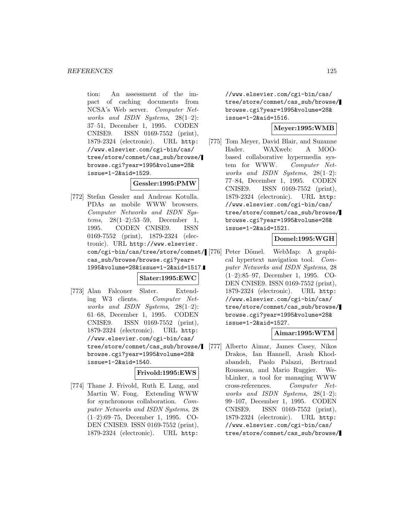tion: An assessment of the impact of caching documents from NCSA's Web server. Computer Networks and ISDN Systems, 28(1–2): 37–51, December 1, 1995. CODEN CNISE9. ISSN 0169-7552 (print), 1879-2324 (electronic). URL http: //www.elsevier.com/cgi-bin/cas/ tree/store/comnet/cas\_sub/browse/ browse.cgi?year=1995&volume=28& issue=1-2&aid=1529.

## **Gessler:1995:PMW**

[772] Stefan Gessler and Andreas Kotulla. PDAs as mobile WWW browsers. Computer Networks and ISDN Systems, 28(1–2):53–59, December 1, 1995. CODEN CNISE9. ISSN 0169-7552 (print), 1879-2324 (electronic). URL http://www.elsevier. com/cgi-bin/cas/tree/store/comnet/ cas\_sub/browse/browse.cgi?year= 1995&volume=28&issue=1-2&aid=1517.

### **Slater:1995:EWC**

[773] Alan Falconer Slater. Extending W3 clients. Computer Networks and ISDN Systems,  $28(1-2)$ : 61–68, December 1, 1995. CODEN CNISE9. ISSN 0169-7552 (print), 1879-2324 (electronic). URL http: //www.elsevier.com/cgi-bin/cas/ tree/store/comnet/cas\_sub/browse/ browse.cgi?year=1995&volume=28& issue=1-2&aid=1540.

### **Frivold:1995:EWS**

[774] Thane J. Frivold, Ruth E. Lang, and Martin W. Fong. Extending WWW for synchronous collaboration. Computer Networks and ISDN Systems, 28 (1–2):69–75, December 1, 1995. CO-DEN CNISE9. ISSN 0169-7552 (print), 1879-2324 (electronic). URL http:

//www.elsevier.com/cgi-bin/cas/ tree/store/comnet/cas\_sub/browse/ browse.cgi?year=1995&volume=28& issue=1-2&aid=1516.

#### **Meyer:1995:WMB**

[775] Tom Meyer, David Blair, and Suzanne Hader. WAXweb: A MOObased collaborative hypermedia system for WWW. Computer Networks and ISDN Systems,  $28(1-2)$ : 77–84, December 1, 1995. CODEN CNISE9. ISSN 0169-7552 (print), 1879-2324 (electronic). URL http: //www.elsevier.com/cgi-bin/cas/ tree/store/comnet/cas\_sub/browse/ browse.cgi?year=1995&volume=28& issue=1-2&aid=1521.

## **Domel:1995:WGH**

Peter Dömel. WebMap: A graphical hypertext navigation tool. Computer Networks and ISDN Systems, 28 (1–2):85–97, December 1, 1995. CO-DEN CNISE9. ISSN 0169-7552 (print), 1879-2324 (electronic). URL http: //www.elsevier.com/cgi-bin/cas/ tree/store/comnet/cas\_sub/browse/ browse.cgi?year=1995&volume=28& issue=1-2&aid=1527.

### **Aimar:1995:WTM**

[777] Alberto Aimar, James Casey, Nikos Drakos, Ian Hannell, Arash Khodabandeh, Paolo Palazzi, Bertrand Rousseau, and Mario Ruggier. WebLinker, a tool for managing WWW cross-references. Computer Networks and ISDN Systems,  $28(1-2)$ : 99–107, December 1, 1995. CODEN CNISE9. ISSN 0169-7552 (print), 1879-2324 (electronic). URL http: //www.elsevier.com/cgi-bin/cas/ tree/store/comnet/cas\_sub/browse/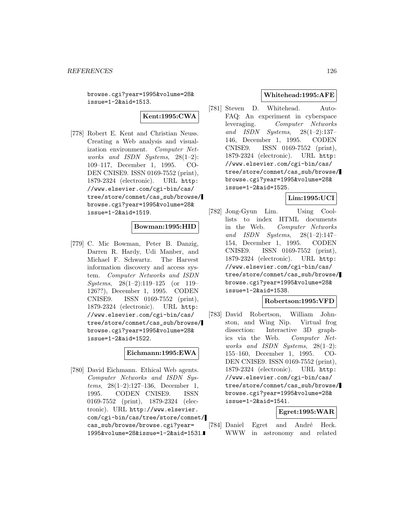browse.cgi?year=1995&volume=28& issue=1-2&aid=1513.

**Kent:1995:CWA**

[778] Robert E. Kent and Christian Neuss. Creating a Web analysis and visualization environment. Computer Networks and ISDN Systems,  $28(1-2)$ : 109–117, December 1, 1995. CO-DEN CNISE9. ISSN 0169-7552 (print), 1879-2324 (electronic). URL http: //www.elsevier.com/cgi-bin/cas/ tree/store/comnet/cas\_sub/browse/ browse.cgi?year=1995&volume=28& issue=1-2&aid=1519.

### **Bowman:1995:HID**

[779] C. Mic Bowman, Peter B. Danzig, Darren R. Hardy, Udi Manber, and Michael F. Schwartz. The Harvest information discovery and access system. Computer Networks and ISDN Systems, 28(1–2):119–125 (or 119– 126??), December 1, 1995. CODEN CNISE9. ISSN 0169-7552 (print), 1879-2324 (electronic). URL http: //www.elsevier.com/cgi-bin/cas/ tree/store/comnet/cas\_sub/browse/ browse.cgi?year=1995&volume=28& issue=1-2&aid=1522.

#### **Eichmann:1995:EWA**

[780] David Eichmann. Ethical Web agents. Computer Networks and ISDN Systems, 28(1–2):127–136, December 1, 1995. CODEN CNISE9. ISSN 0169-7552 (print), 1879-2324 (electronic). URL http://www.elsevier. com/cgi-bin/cas/tree/store/comnet/ cas\_sub/browse/browse.cgi?year= 1995&volume=28&issue=1-2&aid=1531.

#### **Whitehead:1995:AFE**

[781] Steven D. Whitehead. Auto-FAQ: An experiment in cyberspace leveraging. Computer Networks and ISDN Systems, 28(1–2):137– 146, December 1, 1995. CODEN CNISE9. ISSN 0169-7552 (print), 1879-2324 (electronic). URL http: //www.elsevier.com/cgi-bin/cas/ tree/store/comnet/cas\_sub/browse/ browse.cgi?year=1995&volume=28& issue=1-2&aid=1525.

### **Lim:1995:UCI**

[782] Jong-Gyun Lim. Using Coollists to index HTML documents in the Web. Computer Networks and ISDN Systems, 28(1–2):147– 154, December 1, 1995. CODEN CNISE9. ISSN 0169-7552 (print), 1879-2324 (electronic). URL http: //www.elsevier.com/cgi-bin/cas/ tree/store/comnet/cas\_sub/browse/ browse.cgi?year=1995&volume=28& issue=1-2&aid=1538.

#### **Robertson:1995:VFD**

[783] David Robertson, William Johnston, and Wing Nip. Virtual frog dissection: Interactive 3D graphics via the Web. Computer Networks and ISDN Systems, 28(1–2): 155–160, December 1, 1995. CO-DEN CNISE9. ISSN 0169-7552 (print), 1879-2324 (electronic). URL http: //www.elsevier.com/cgi-bin/cas/ tree/store/comnet/cas\_sub/browse/ browse.cgi?year=1995&volume=28& issue=1-2&aid=1541.

### **Egret:1995:WAR**

[784] Daniel Egret and André Heck. WWW in astronomy and related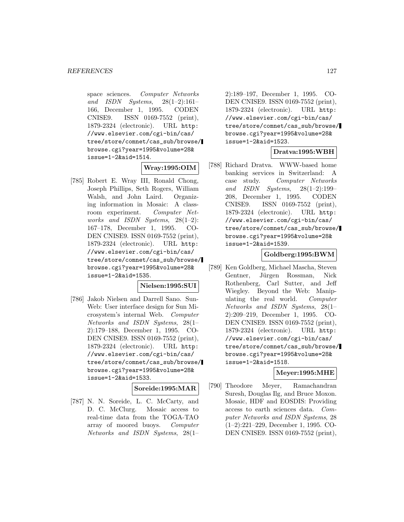space sciences. Computer Networks and ISDN Systems, 28(1–2):161– 166, December 1, 1995. CODEN CNISE9. ISSN 0169-7552 (print), 1879-2324 (electronic). URL http: //www.elsevier.com/cgi-bin/cas/ tree/store/comnet/cas\_sub/browse/ browse.cgi?year=1995&volume=28& issue=1-2&aid=1514.

### **Wray:1995:OIM**

[785] Robert E. Wray III, Ronald Chong, Joseph Phillips, Seth Rogers, William Walsh, and John Laird. Organizing information in Mosaic: A classroom experiment. Computer Networks and ISDN Systems, 28(1–2): 167–178, December 1, 1995. CO-DEN CNISE9. ISSN 0169-7552 (print), 1879-2324 (electronic). URL http: //www.elsevier.com/cgi-bin/cas/ tree/store/comnet/cas\_sub/browse/ browse.cgi?year=1995&volume=28& issue=1-2&aid=1535.

### **Nielsen:1995:SUI**

[786] Jakob Nielsen and Darrell Sano. Sun-Web: User interface design for Sun Microsystem's internal Web. Computer Networks and ISDN Systems, 28(1– 2):179–188, December 1, 1995. CO-DEN CNISE9. ISSN 0169-7552 (print), 1879-2324 (electronic). URL http: //www.elsevier.com/cgi-bin/cas/ tree/store/comnet/cas\_sub/browse/ browse.cgi?year=1995&volume=28& issue=1-2&aid=1533.

#### **Soreide:1995:MAR**

[787] N. N. Soreide, L. C. McCarty, and D. C. McClurg. Mosaic access to real-time data from the TOGA-TAO array of moored buoys. Computer Networks and ISDN Systems, 28(1–

2):189–197, December 1, 1995. CO-DEN CNISE9. ISSN 0169-7552 (print), 1879-2324 (electronic). URL http: //www.elsevier.com/cgi-bin/cas/ tree/store/comnet/cas\_sub/browse/ browse.cgi?year=1995&volume=28& issue=1-2&aid=1523.

## **Dratva:1995:WBH**

[788] Richard Dratva. WWW-based home banking services in Switzerland: A case study. Computer Networks and ISDN Systems, 28(1–2):199– 208, December 1, 1995. CODEN CNISE9. ISSN 0169-7552 (print), 1879-2324 (electronic). URL http: //www.elsevier.com/cgi-bin/cas/ tree/store/comnet/cas\_sub/browse/ browse.cgi?year=1995&volume=28& issue=1-2&aid=1539.

### **Goldberg:1995:BWM**

[789] Ken Goldberg, Michael Mascha, Steven Gentner, Jürgen Rossman, Nick Rothenberg, Carl Sutter, and Jeff Wiegley. Beyond the Web: Manipulating the real world. Computer Networks and ISDN Systems, 28(1– 2):209–219, December 1, 1995. CO-DEN CNISE9. ISSN 0169-7552 (print), 1879-2324 (electronic). URL http: //www.elsevier.com/cgi-bin/cas/ tree/store/comnet/cas\_sub/browse/ browse.cgi?year=1995&volume=28& issue=1-2&aid=1518.

### **Meyer:1995:MHE**

[790] Theodore Meyer, Ramachandran Suresh, Douglas Ilg, and Bruce Moxon. Mosaic, HDF and EOSDIS: Providing access to earth sciences data. Computer Networks and ISDN Systems, 28 (1–2):221–229, December 1, 1995. CO-DEN CNISE9. ISSN 0169-7552 (print),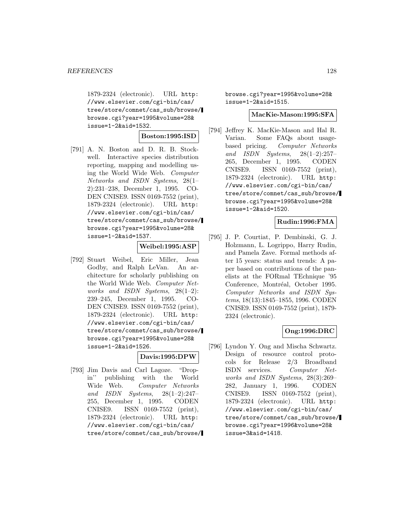1879-2324 (electronic). URL http: //www.elsevier.com/cgi-bin/cas/ tree/store/comnet/cas\_sub/browse/ browse.cgi?year=1995&volume=28& issue=1-2&aid=1532.

**Boston:1995:ISD**

[791] A. N. Boston and D. R. B. Stockwell. Interactive species distribution reporting, mapping and modelling using the World Wide Web. Computer Networks and ISDN Systems, 28(1– 2):231–238, December 1, 1995. CO-DEN CNISE9. ISSN 0169-7552 (print), 1879-2324 (electronic). URL http: //www.elsevier.com/cgi-bin/cas/ tree/store/comnet/cas\_sub/browse/ browse.cgi?year=1995&volume=28& issue=1-2&aid=1537.

### **Weibel:1995:ASP**

[792] Stuart Weibel, Eric Miller, Jean Godby, and Ralph LeVan. An architecture for scholarly publishing on the World Wide Web. Computer Networks and ISDN Systems, 28(1–2): 239–245, December 1, 1995. CO-DEN CNISE9. ISSN 0169-7552 (print), 1879-2324 (electronic). URL http: //www.elsevier.com/cgi-bin/cas/ tree/store/comnet/cas\_sub/browse/ browse.cgi?year=1995&volume=28& issue=1-2&aid=1526.

| Davis:1995:DPW |
|----------------|
|----------------|

[793] Jim Davis and Carl Lagoze. "Dropin'' publishing with the World Wide Web. Computer Networks and ISDN Systems, 28(1–2):247– 255, December 1, 1995. CODEN CNISE9. ISSN 0169-7552 (print), 1879-2324 (electronic). URL http: //www.elsevier.com/cgi-bin/cas/ tree/store/comnet/cas\_sub/browse/ browse.cgi?year=1995&volume=28& issue=1-2&aid=1515.

#### **MacKie-Mason:1995:SFA**

[794] Jeffrey K. MacKie-Mason and Hal R. Varian. Some FAQs about usagebased pricing. Computer Networks and ISDN Systems, 28(1–2):257– 265, December 1, 1995. CODEN CNISE9. ISSN 0169-7552 (print), 1879-2324 (electronic). URL http: //www.elsevier.com/cgi-bin/cas/ tree/store/comnet/cas\_sub/browse/ browse.cgi?year=1995&volume=28& issue=1-2&aid=1520.

### **Rudin:1996:FMA**

[795] J. P. Courtiat, P. Dembinski, G. J. Holzmann, L. Logrippo, Harry Rudin, and Pamela Zave. Formal methods after 15 years: status and trends: A paper based on contributions of the panelists at the FORmal TEchnique '95 Conference, Montréal, October 1995. Computer Networks and ISDN Systems, 18(13):1845–1855, 1996. CODEN CNISE9. ISSN 0169-7552 (print), 1879- 2324 (electronic).

## **Ong:1996:DRC**

[796] Lyndon Y. Ong and Mischa Schwartz. Design of resource control protocols for Release 2/3 Broadband ISDN services. Computer Networks and ISDN Systems, 28(3):269– 282, January 1, 1996. CODEN CNISE9. ISSN 0169-7552 (print), 1879-2324 (electronic). URL http: //www.elsevier.com/cgi-bin/cas/ tree/store/comnet/cas\_sub/browse/ browse.cgi?year=1996&volume=28& issue=3&aid=1418.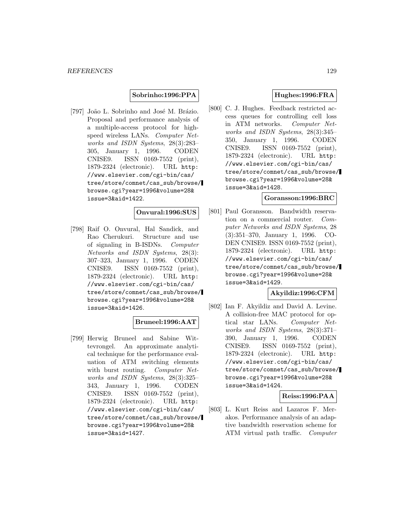**Sobrinho:1996:PPA**

[797] João L. Sobrinho and José M. Brázio. Proposal and performance analysis of a multiple-access protocol for highspeed wireless LANs. Computer Networks and ISDN Systems, 28(3):283– 305, January 1, 1996. CODEN CNISE9. ISSN 0169-7552 (print), 1879-2324 (electronic). URL http: //www.elsevier.com/cgi-bin/cas/ tree/store/comnet/cas\_sub/browse/ browse.cgi?year=1996&volume=28& issue=3&aid=1422.

### **Onvural:1996:SUS**

[798] Raif O. Onvural, Hal Sandick, and Rao Cherukuri. Structure and use of signaling in B-ISDNs. Computer Networks and ISDN Systems, 28(3): 307–323, January 1, 1996. CODEN CNISE9. ISSN 0169-7552 (print), 1879-2324 (electronic). URL http: //www.elsevier.com/cgi-bin/cas/ tree/store/comnet/cas\_sub/browse/ browse.cgi?year=1996&volume=28& issue=3&aid=1426.

### **Bruneel:1996:AAT**

[799] Herwig Bruneel and Sabine Wittevrongel. An approximate analytical technique for the performance evaluation of ATM switching elements with burst routing. *Computer Net*works and ISDN Systems, 28(3):325– 343, January 1, 1996. CODEN CNISE9. ISSN 0169-7552 (print), 1879-2324 (electronic). URL http: //www.elsevier.com/cgi-bin/cas/ tree/store/comnet/cas\_sub/browse/ browse.cgi?year=1996&volume=28& issue=3&aid=1427.

### **Hughes:1996:FRA**

[800] C. J. Hughes. Feedback restricted access queues for controlling cell loss in ATM networks. Computer Networks and ISDN Systems, 28(3):345– 350, January 1, 1996. CODEN CNISE9. ISSN 0169-7552 (print), 1879-2324 (electronic). URL http: //www.elsevier.com/cgi-bin/cas/ tree/store/comnet/cas\_sub/browse/ browse.cgi?year=1996&volume=28& issue=3&aid=1428.

#### **Goransson:1996:BRC**

[801] Paul Goransson. Bandwidth reservation on a commercial router. Computer Networks and ISDN Systems, 28 (3):351–370, January 1, 1996. CO-DEN CNISE9. ISSN 0169-7552 (print), 1879-2324 (electronic). URL http: //www.elsevier.com/cgi-bin/cas/ tree/store/comnet/cas\_sub/browse/ browse.cgi?year=1996&volume=28& issue=3&aid=1429.

## **Akyildiz:1996:CFM**

[802] Ian F. Akyildiz and David A. Levine. A collision-free MAC protocol for optical star LANs. Computer Networks and ISDN Systems, 28(3):371– 390, January 1, 1996. CODEN CNISE9. ISSN 0169-7552 (print), 1879-2324 (electronic). URL http: //www.elsevier.com/cgi-bin/cas/ tree/store/comnet/cas\_sub/browse/ browse.cgi?year=1996&volume=28& issue=3&aid=1424.

#### **Reiss:1996:PAA**

[803] L. Kurt Reiss and Lazaros F. Merakos. Performance analysis of an adaptive bandwidth reservation scheme for ATM virtual path traffic. Computer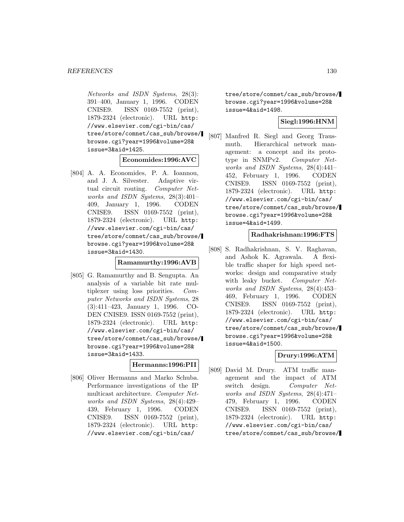Networks and ISDN Systems, 28(3): 391–400, January 1, 1996. CODEN CNISE9. ISSN 0169-7552 (print), 1879-2324 (electronic). URL http: //www.elsevier.com/cgi-bin/cas/ tree/store/comnet/cas\_sub/browse/ browse.cgi?year=1996&volume=28& issue=3&aid=1425.

#### **Economides:1996:AVC**

[804] A. A. Economides, P. A. Ioannou, and J. A. Silvester. Adaptive virtual circuit routing. Computer Networks and ISDN Systems, 28(3):401– 409, January 1, 1996. CODEN CNISE9. ISSN 0169-7552 (print), 1879-2324 (electronic). URL http: //www.elsevier.com/cgi-bin/cas/ tree/store/comnet/cas\_sub/browse/ browse.cgi?year=1996&volume=28& issue=3&aid=1430.

#### **Ramamurthy:1996:AVB**

[805] G. Ramamurthy and B. Sengupta. An analysis of a variable bit rate multiplexer using loss priorities. Computer Networks and ISDN Systems, 28 (3):411–423, January 1, 1996. CO-DEN CNISE9. ISSN 0169-7552 (print), 1879-2324 (electronic). URL http: //www.elsevier.com/cgi-bin/cas/ tree/store/comnet/cas\_sub/browse/ browse.cgi?year=1996&volume=28& issue=3&aid=1433.

### **Hermanns:1996:PII**

[806] Oliver Hermanns and Marko Schuba. Performance investigations of the IP multicast architecture. Computer Networks and ISDN Systems, 28(4):429– 439, February 1, 1996. CODEN CNISE9. ISSN 0169-7552 (print), 1879-2324 (electronic). URL http: //www.elsevier.com/cgi-bin/cas/

tree/store/comnet/cas\_sub/browse/ browse.cgi?year=1996&volume=28& issue=4&aid=1498.

## **Siegl:1996:HNM**

[807] Manfred R. Siegl and Georg Trausmuth. Hierarchical network management: a concept and its prototype in SNMPv2. Computer Networks and ISDN Systems, 28(4):441– 452, February 1, 1996. CODEN CNISE9. ISSN 0169-7552 (print), 1879-2324 (electronic). URL http: //www.elsevier.com/cgi-bin/cas/ tree/store/comnet/cas\_sub/browse/ browse.cgi?year=1996&volume=28& issue=4&aid=1499.

#### **Radhakrishnan:1996:FTS**

[808] S. Radhakrishnan, S. V. Raghavan, and Ashok K. Agrawala. A flexible traffic shaper for high speed networks: design and comparative study with leaky bucket. Computer Networks and ISDN Systems, 28(4):453– 469, February 1, 1996. CODEN CNISE9. ISSN 0169-7552 (print), 1879-2324 (electronic). URL http: //www.elsevier.com/cgi-bin/cas/ tree/store/comnet/cas\_sub/browse/ browse.cgi?year=1996&volume=28& issue=4&aid=1500.

### **Drury:1996:ATM**

[809] David M. Drury. ATM traffic management and the impact of ATM switch design. Computer Networks and ISDN Systems, 28(4):471– 479, February 1, 1996. CODEN CNISE9. ISSN 0169-7552 (print), 1879-2324 (electronic). URL http: //www.elsevier.com/cgi-bin/cas/ tree/store/comnet/cas\_sub/browse/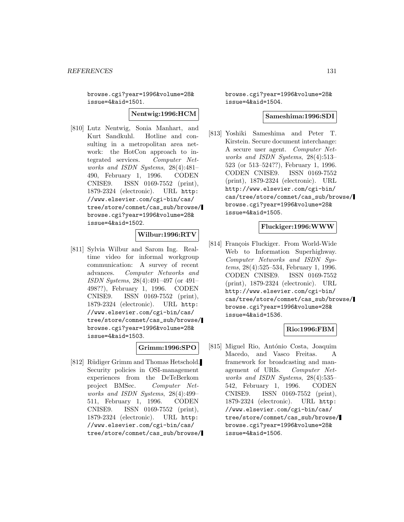browse.cgi?year=1996&volume=28& issue=4&aid=1501.

#### **Nentwig:1996:HCM**

[810] Lutz Nentwig, Sonia Manhart, and Kurt Sandkuhl. Hotline and consulting in a metropolitan area network: the HotCon approach to integrated services. Computer Networks and ISDN Systems, 28(4):481– 490, February 1, 1996. CODEN CNISE9. ISSN 0169-7552 (print), 1879-2324 (electronic). URL http: //www.elsevier.com/cgi-bin/cas/ tree/store/comnet/cas\_sub/browse/ browse.cgi?year=1996&volume=28& issue=4&aid=1502.

#### **Wilbur:1996:RTV**

[811] Sylvia Wilbur and Sarom Ing. Realtime video for informal workgroup communication: A survey of recent advances. Computer Networks and ISDN Systems, 28(4):491–497 (or 491– 498??), February 1, 1996. CODEN CNISE9. ISSN 0169-7552 (print), 1879-2324 (electronic). URL http: //www.elsevier.com/cgi-bin/cas/ tree/store/comnet/cas\_sub/browse/ browse.cgi?year=1996&volume=28& issue=4&aid=1503.

### **Grimm:1996:SPO**

[812] Rüdiger Grimm and Thomas Hetschold. Security policies in OSI-management experiences from the DeTeBerkom project BMSec. Computer Networks and ISDN Systems, 28(4):499– 511, February 1, 1996. CODEN CNISE9. ISSN 0169-7552 (print), 1879-2324 (electronic). URL http: //www.elsevier.com/cgi-bin/cas/ tree/store/comnet/cas\_sub/browse/ browse.cgi?year=1996&volume=28& issue=4&aid=1504.

#### **Sameshima:1996:SDI**

[813] Yoshiki Sameshima and Peter T. Kirstein. Secure document interchange: A secure user agent. Computer Networks and ISDN Systems, 28(4):513– 523 (or 513–524??), February 1, 1996. CODEN CNISE9. ISSN 0169-7552 (print), 1879-2324 (electronic). URL http://www.elsevier.com/cgi-bin/ cas/tree/store/comnet/cas\_sub/browse/ browse.cgi?year=1996&volume=28& issue=4&aid=1505.

#### **Fluckiger:1996:WWW**

[814] François Fluckiger. From World-Wide Web to Information Superhighway. Computer Networks and ISDN Systems, 28(4):525–534, February 1, 1996. CODEN CNISE9. ISSN 0169-7552 (print), 1879-2324 (electronic). URL http://www.elsevier.com/cgi-bin/ cas/tree/store/comnet/cas\_sub/browse/ browse.cgi?year=1996&volume=28& issue=4&aid=1536.

## **Rio:1996:FBM**

[815] Miguel Rio, António Costa, Joaquim Macedo, and Vasco Freitas. A framework for broadcasting and management of URIs. Computer Networks and ISDN Systems, 28(4):535– 542, February 1, 1996. CODEN CNISE9. ISSN 0169-7552 (print), 1879-2324 (electronic). URL http: //www.elsevier.com/cgi-bin/cas/ tree/store/comnet/cas\_sub/browse/ browse.cgi?year=1996&volume=28& issue=4&aid=1506.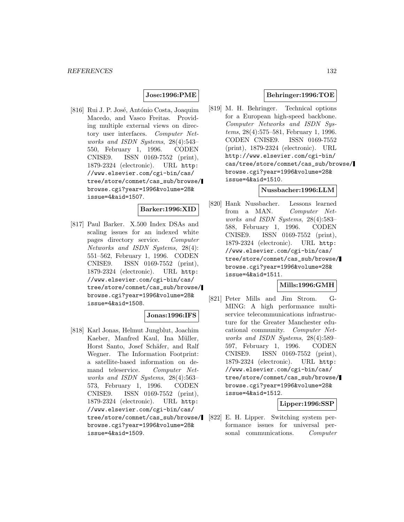### **Jose:1996:PME**

[816] Rui J. P. José, António Costa, Joaquim Macedo, and Vasco Freitas. Providing multiple external views on directory user interfaces. Computer Networks and ISDN Systems, 28(4):543– 550, February 1, 1996. CODEN CNISE9. ISSN 0169-7552 (print), 1879-2324 (electronic). URL http: //www.elsevier.com/cgi-bin/cas/ tree/store/comnet/cas\_sub/browse/ browse.cgi?year=1996&volume=28& issue=4&aid=1507.

#### **Barker:1996:XID**

[817] Paul Barker. X.500 Index DSAs and scaling issues for an indexed white pages directory service. Computer Networks and ISDN Systems, 28(4): 551–562, February 1, 1996. CODEN CNISE9. ISSN 0169-7552 (print), 1879-2324 (electronic). URL http: //www.elsevier.com/cgi-bin/cas/ tree/store/comnet/cas\_sub/browse/ browse.cgi?year=1996&volume=28& issue=4&aid=1508.

# **Jonas:1996:IFS**

[818] Karl Jonas, Helmut Jungblut, Joachim Kaeber, Manfred Kaul, Ina Müller, Horst Santo, Josef Schäfer, and Ralf Wegner. The Information Footprint: a satellite-based information on demand teleservice. Computer Networks and ISDN Systems, 28(4):563– 573, February 1, 1996. CODEN CNISE9. ISSN 0169-7552 (print), 1879-2324 (electronic). URL http: //www.elsevier.com/cgi-bin/cas/ tree/store/comnet/cas\_sub/browse/ browse.cgi?year=1996&volume=28& issue=4&aid=1509.

### **Behringer:1996:TOE**

[819] M. H. Behringer. Technical options for a European high-speed backbone. Computer Networks and ISDN Systems, 28(4):575–581, February 1, 1996. CODEN CNISE9. ISSN 0169-7552 (print), 1879-2324 (electronic). URL http://www.elsevier.com/cgi-bin/ cas/tree/store/comnet/cas\_sub/browse/ browse.cgi?year=1996&volume=28& issue=4&aid=1510.

#### **Nussbacher:1996:LLM**

[820] Hank Nussbacher. Lessons learned from a MAN. Computer Networks and ISDN Systems, 28(4):583– 588, February 1, 1996. CODEN CNISE9. ISSN 0169-7552 (print), 1879-2324 (electronic). URL http: //www.elsevier.com/cgi-bin/cas/ tree/store/comnet/cas\_sub/browse/ browse.cgi?year=1996&volume=28& issue=4&aid=1511.

### **Mills:1996:GMH**

[821] Peter Mills and Jim Strom. G-MING: A high performance multiservice telecommunications infrastructure for the Greater Manchester educational community. Computer Networks and ISDN Systems, 28(4):589– 597, February 1, 1996. CODEN CNISE9. ISSN 0169-7552 (print), 1879-2324 (electronic). URL http: //www.elsevier.com/cgi-bin/cas/ tree/store/comnet/cas\_sub/browse/ browse.cgi?year=1996&volume=28& issue=4&aid=1512.

### **Lipper:1996:SSP**

[822] E. H. Lipper. Switching system performance issues for universal personal communications. Computer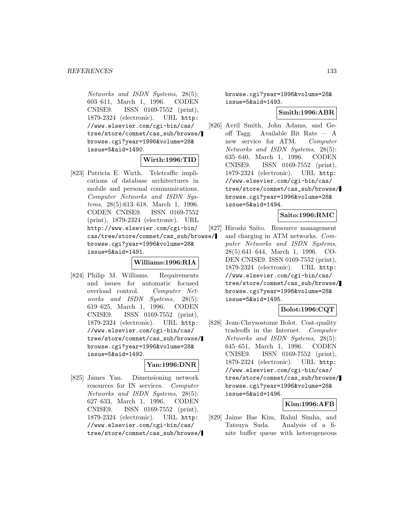Networks and ISDN Systems, 28(5): 603–611, March 1, 1996. CODEN CNISE9. ISSN 0169-7552 (print), 1879-2324 (electronic). URL http: //www.elsevier.com/cgi-bin/cas/ tree/store/comnet/cas\_sub/browse/ browse.cgi?year=1996&volume=28& issue=5&aid=1490.

## **Wirth:1996:TID**

[823] Patricia E. Wirth. Teletraffic implications of database architectures in mobile and personal communications. Computer Networks and ISDN Systems, 28(5):613–618, March 1, 1996. CODEN CNISE9. ISSN 0169-7552 (print), 1879-2324 (electronic). URL http://www.elsevier.com/cgi-bin/ cas/tree/store/comnet/cas\_sub/browse/ browse.cgi?year=1996&volume=28& issue=5&aid=1491.

#### **Williams:1996:RIA**

[824] Philip M. Williams. Requirements and issues for automatic focused overload control. Computer Networks and ISDN Systems, 28(5): 619–625, March 1, 1996. CODEN CNISE9. ISSN 0169-7552 (print), 1879-2324 (electronic). URL http: //www.elsevier.com/cgi-bin/cas/ tree/store/comnet/cas\_sub/browse/ browse.cgi?year=1996&volume=28& issue=5&aid=1492.

### **Yan:1996:DNR**

[825] James Yan. Dimensioning network resources for IN services. Computer Networks and ISDN Systems, 28(5): 627–633, March 1, 1996. CODEN CNISE9. ISSN 0169-7552 (print), 1879-2324 (electronic). URL http: //www.elsevier.com/cgi-bin/cas/ tree/store/comnet/cas\_sub/browse/ browse.cgi?year=1996&volume=28& issue=5&aid=1493.

### **Smith:1996:ABR**

[826] Avril Smith, John Adams, and Geoff Tagg. Available Bit Rate — A new service for ATM. Computer Networks and ISDN Systems, 28(5): 635–640, March 1, 1996. CODEN CNISE9. ISSN 0169-7552 (print), 1879-2324 (electronic). URL http: //www.elsevier.com/cgi-bin/cas/ tree/store/comnet/cas\_sub/browse/ browse.cgi?year=1996&volume=28& issue=5&aid=1494.

### **Saito:1996:RMC**

[827] Hiroshi Saito. Resource management and charging in ATM networks. Computer Networks and ISDN Systems, 28(5):641–644, March 1, 1996. CO-DEN CNISE9. ISSN 0169-7552 (print), 1879-2324 (electronic). URL http: //www.elsevier.com/cgi-bin/cas/ tree/store/comnet/cas\_sub/browse/ browse.cgi?year=1996&volume=28& issue=5&aid=1495.

### **Bolot:1996:CQT**

[828] Jean-Chrysostome Bolot. Cost-quality tradeoffs in the Internet. Computer Networks and ISDN Systems, 28(5): 645–651, March 1, 1996. CODEN CNISE9. ISSN 0169-7552 (print), 1879-2324 (electronic). URL http: //www.elsevier.com/cgi-bin/cas/ tree/store/comnet/cas\_sub/browse/ browse.cgi?year=1996&volume=28& issue=5&aid=1496.

## **Kim:1996:AFB**

[829] Jaime Bae Kim, Rahul Simha, and Tatsuya Suda. Analysis of a finite buffer queue with heterogeneous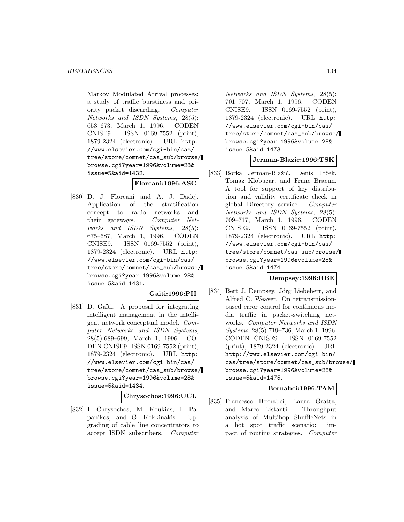Markov Modulated Arrival processes: a study of traffic burstiness and priority packet discarding. Computer Networks and ISDN Systems, 28(5): 653–673, March 1, 1996. CODEN CNISE9. ISSN 0169-7552 (print), 1879-2324 (electronic). URL http: //www.elsevier.com/cgi-bin/cas/ tree/store/comnet/cas\_sub/browse/ browse.cgi?year=1996&volume=28& issue=5&aid=1432.

### **Floreani:1996:ASC**

[830] D. J. Floreani and A. J. Dadej. Application of the stratification concept to radio networks and their gateways. Computer Networks and ISDN Systems, 28(5): 675–687, March 1, 1996. CODEN CNISE9. ISSN 0169-7552 (print), 1879-2324 (electronic). URL http: //www.elsevier.com/cgi-bin/cas/ tree/store/comnet/cas\_sub/browse/ browse.cgi?year=1996&volume=28& issue=5&aid=1431.

### **Gaiti:1996:PII**

[831] D. Gaïti. A proposal for integrating intelligent management in the intelligent network conceptual model. Computer Networks and ISDN Systems, 28(5):689–699, March 1, 1996. CO-DEN CNISE9. ISSN 0169-7552 (print), 1879-2324 (electronic). URL http: //www.elsevier.com/cgi-bin/cas/ tree/store/comnet/cas\_sub/browse/ browse.cgi?year=1996&volume=28& issue=5&aid=1434.

**Chrysochos:1996:UCL**

[832] I. Chrysochos, M. Koukias, I. Papanikos, and G. Kokkinakis. Upgrading of cable line concentrators to accept ISDN subscribers. Computer

Networks and ISDN Systems, 28(5): 701–707, March 1, 1996. CODEN CNISE9. ISSN 0169-7552 (print), 1879-2324 (electronic). URL http: //www.elsevier.com/cgi-bin/cas/ tree/store/comnet/cas\_sub/browse/ browse.cgi?year=1996&volume=28& issue=5&aid=1473.

### **Jerman-Blazic:1996:TSK**

[833] Borka Jerman-Blažič, Denis Trček, Tomaž Klobučar, and Franc Bračun. A tool for support of key distribution and validity certificate check in global Directory service. Computer Networks and ISDN Systems, 28(5): 709–717, March 1, 1996. CODEN CNISE9. ISSN 0169-7552 (print), 1879-2324 (electronic). URL http: //www.elsevier.com/cgi-bin/cas/ tree/store/comnet/cas\_sub/browse/ browse.cgi?year=1996&volume=28& issue=5&aid=1474.

#### **Dempsey:1996:RBE**

[834] Bert J. Dempsey, Jörg Liebeherr, and Alfred C. Weaver. On retransmissionbased error control for continuous media traffic in packet-switching networks. Computer Networks and ISDN Systems, 28(5):719–736, March 1, 1996. CODEN CNISE9. ISSN 0169-7552 (print), 1879-2324 (electronic). URL http://www.elsevier.com/cgi-bin/ cas/tree/store/comnet/cas\_sub/browse/ browse.cgi?year=1996&volume=28& issue=5&aid=1475.

### **Bernabei:1996:TAM**

[835] Francesco Bernabei, Laura Gratta, and Marco Listanti. Throughput analysis of Multihop ShuffleNets in a hot spot traffic scenario: impact of routing strategies. Computer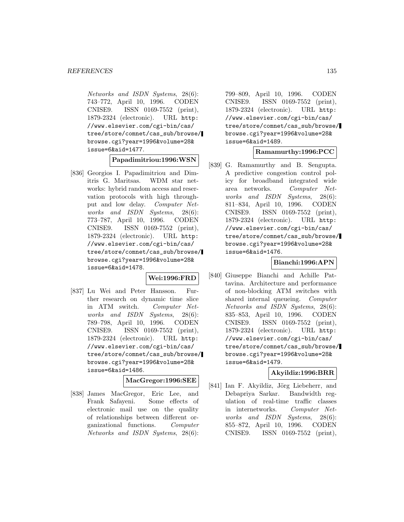Networks and ISDN Systems, 28(6): 743–772, April 10, 1996. CODEN CNISE9. ISSN 0169-7552 (print), 1879-2324 (electronic). URL http: //www.elsevier.com/cgi-bin/cas/ tree/store/comnet/cas\_sub/browse/ browse.cgi?year=1996&volume=28& issue=6&aid=1477.

**Papadimitriou:1996:WSN**

[836] Georgios I. Papadimitriou and Dimitris G. Maritsas. WDM star networks: hybrid random access and reservation protocols with high throughput and low delay. Computer Networks and ISDN Systems, 28(6): 773–787, April 10, 1996. CODEN CNISE9. ISSN 0169-7552 (print), 1879-2324 (electronic). URL http: //www.elsevier.com/cgi-bin/cas/ tree/store/comnet/cas\_sub/browse/ browse.cgi?year=1996&volume=28& issue=6&aid=1478.

### **Wei:1996:FRD**

[837] Lu Wei and Peter Hansson. Further research on dynamic time slice in ATM switch. Computer Networks and ISDN Systems, 28(6): 789–798, April 10, 1996. CODEN CNISE9. ISSN 0169-7552 (print), 1879-2324 (electronic). URL http: //www.elsevier.com/cgi-bin/cas/ tree/store/comnet/cas\_sub/browse/ browse.cgi?year=1996&volume=28& issue=6&aid=1486.

**MacGregor:1996:SEE**

[838] James MacGregor, Eric Lee, and Frank Safayeni. Some effects of electronic mail use on the quality of relationships between different organizational functions. Computer Networks and ISDN Systems, 28(6):

799–809, April 10, 1996. CODEN CNISE9. ISSN 0169-7552 (print), 1879-2324 (electronic). URL http: //www.elsevier.com/cgi-bin/cas/ tree/store/comnet/cas\_sub/browse/ browse.cgi?year=1996&volume=28& issue=6&aid=1489.

## **Ramamurthy:1996:PCC**

[839] G. Ramamurthy and B. Sengupta. A predictive congestion control policy for broadband integrated wide area networks. Computer Networks and ISDN Systems, 28(6): 811–834, April 10, 1996. CODEN CNISE9. ISSN 0169-7552 (print), 1879-2324 (electronic). URL http: //www.elsevier.com/cgi-bin/cas/ tree/store/comnet/cas\_sub/browse/ browse.cgi?year=1996&volume=28& issue=6&aid=1476.

### **Bianchi:1996:APN**

[840] Giuseppe Bianchi and Achille Pattavina. Architecture and performance of non-blocking ATM switches with shared internal queueing. Computer Networks and ISDN Systems, 28(6): 835–853, April 10, 1996. CODEN CNISE9. ISSN 0169-7552 (print), 1879-2324 (electronic). URL http: //www.elsevier.com/cgi-bin/cas/ tree/store/comnet/cas\_sub/browse/ browse.cgi?year=1996&volume=28& issue=6&aid=1479.

### **Akyildiz:1996:BRR**

[841] Ian F. Akyildiz, Jörg Liebeherr, and Debapriya Sarkar. Bandwidth regulation of real-time traffic classes in internetworks. Computer Networks and ISDN Systems, 28(6): 855–872, April 10, 1996. CODEN CNISE9. ISSN 0169-7552 (print),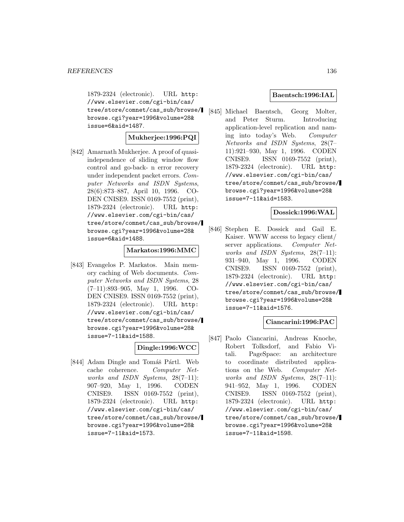1879-2324 (electronic). URL http: //www.elsevier.com/cgi-bin/cas/ tree/store/comnet/cas\_sub/browse/ browse.cgi?year=1996&volume=28& issue=6&aid=1487.

### **Mukherjee:1996:PQI**

[842] Amarnath Mukherjee. A proof of quasiindependence of sliding window flow control and go-back- n error recovery under independent packet errors. Computer Networks and ISDN Systems, 28(6):873–887, April 10, 1996. CO-DEN CNISE9. ISSN 0169-7552 (print), 1879-2324 (electronic). URL http: //www.elsevier.com/cgi-bin/cas/ tree/store/comnet/cas\_sub/browse/ browse.cgi?year=1996&volume=28& issue=6&aid=1488.

### **Markatos:1996:MMC**

[843] Evangelos P. Markatos. Main memory caching of Web documents. Computer Networks and ISDN Systems, 28 (7–11):893–905, May 1, 1996. CO-DEN CNISE9. ISSN 0169-7552 (print), 1879-2324 (electronic). URL http: //www.elsevier.com/cgi-bin/cas/ tree/store/comnet/cas\_sub/browse/ browse.cgi?year=1996&volume=28& issue=7-11&aid=1588.

## **Dingle:1996:WCC**

[844] Adam Dingle and Tomáš Pártl. Web cache coherence. Computer Networks and ISDN Systems,  $28(7-11)$ : 907–920, May 1, 1996. CODEN CNISE9. ISSN 0169-7552 (print), 1879-2324 (electronic). URL http: //www.elsevier.com/cgi-bin/cas/ tree/store/comnet/cas\_sub/browse/ browse.cgi?year=1996&volume=28& issue=7-11&aid=1573.

### **Baentsch:1996:IAL**

[845] Michael Baentsch, Georg Molter, and Peter Sturm. Introducing application-level replication and naming into today's Web. Computer Networks and ISDN Systems, 28(7– 11):921–930, May 1, 1996. CODEN CNISE9. ISSN 0169-7552 (print), 1879-2324 (electronic). URL http: //www.elsevier.com/cgi-bin/cas/ tree/store/comnet/cas\_sub/browse/ browse.cgi?year=1996&volume=28& issue=7-11&aid=1583.

#### **Dossick:1996:WAL**

[846] Stephen E. Dossick and Gail E. Kaiser. WWW access to legacy client/ server applications. Computer Networks and ISDN Systems, 28(7–11): 931–940, May 1, 1996. CODEN CNISE9. ISSN 0169-7552 (print), 1879-2324 (electronic). URL http: //www.elsevier.com/cgi-bin/cas/ tree/store/comnet/cas\_sub/browse/ browse.cgi?year=1996&volume=28& issue=7-11&aid=1576.

### **Ciancarini:1996:PAC**

[847] Paolo Ciancarini, Andreas Knoche, Robert Tolksdorf, and Fabio Vitali. PageSpace: an architecture to coordinate distributed applications on the Web. Computer Networks and ISDN Systems, 28(7–11): 941–952, May 1, 1996. CODEN CNISE9. ISSN 0169-7552 (print), 1879-2324 (electronic). URL http: //www.elsevier.com/cgi-bin/cas/ tree/store/comnet/cas\_sub/browse/ browse.cgi?year=1996&volume=28& issue=7-11&aid=1598.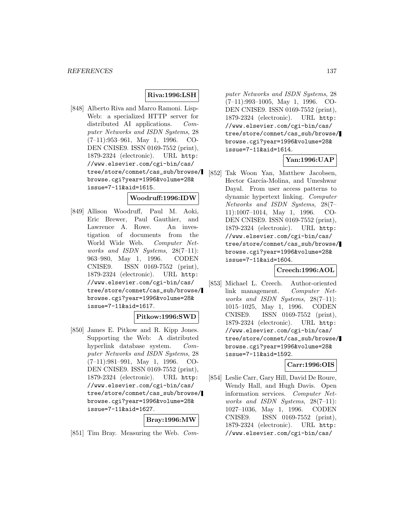## **Riva:1996:LSH**

[848] Alberto Riva and Marco Ramoni. Lisp-Web: a specialized HTTP server for distributed AI applications. Computer Networks and ISDN Systems, 28 (7–11):953–961, May 1, 1996. CO-DEN CNISE9. ISSN 0169-7552 (print), 1879-2324 (electronic). URL http: //www.elsevier.com/cgi-bin/cas/ tree/store/comnet/cas\_sub/browse/ browse.cgi?year=1996&volume=28& issue=7-11&aid=1615.

#### **Woodruff:1996:IDW**

[849] Allison Woodruff, Paul M. Aoki, Eric Brewer, Paul Gauthier, and Lawrence A. Rowe. An investigation of documents from the World Wide Web. Computer Networks and ISDN Systems, 28(7-11): 963–980, May 1, 1996. CODEN CNISE9. ISSN 0169-7552 (print), 1879-2324 (electronic). URL http: //www.elsevier.com/cgi-bin/cas/ tree/store/comnet/cas\_sub/browse/ browse.cgi?year=1996&volume=28& issue=7-11&aid=1617.

#### **Pitkow:1996:SWD**

[850] James E. Pitkow and R. Kipp Jones. Supporting the Web: A distributed hyperlink database system. Computer Networks and ISDN Systems, 28 (7–11):981–991, May 1, 1996. CO-DEN CNISE9. ISSN 0169-7552 (print), 1879-2324 (electronic). URL http: //www.elsevier.com/cgi-bin/cas/ tree/store/comnet/cas\_sub/browse/ browse.cgi?year=1996&volume=28& issue=7-11&aid=1627.

#### **Bray:1996:MW**

[851] Tim Bray. Measuring the Web. Com-

puter Networks and ISDN Systems, 28 (7–11):993–1005, May 1, 1996. CO-DEN CNISE9. ISSN 0169-7552 (print), 1879-2324 (electronic). URL http: //www.elsevier.com/cgi-bin/cas/ tree/store/comnet/cas\_sub/browse/ browse.cgi?year=1996&volume=28& issue=7-11&aid=1614.

### **Yan:1996:UAP**

[852] Tak Woon Yan, Matthew Jacobsen, Hector García-Molina, and Umeshwar Dayal. From user access patterns to dynamic hypertext linking. Computer Networks and ISDN Systems, 28(7– 11):1007–1014, May 1, 1996. CO-DEN CNISE9. ISSN 0169-7552 (print), 1879-2324 (electronic). URL http: //www.elsevier.com/cgi-bin/cas/ tree/store/comnet/cas\_sub/browse/ browse.cgi?year=1996&volume=28& issue=7-11&aid=1604.

### **Creech:1996:AOL**

[853] Michael L. Creech. Author-oriented link management. Computer Networks and ISDN Systems, 28(7–11): 1015–1025, May 1, 1996. CODEN CNISE9. ISSN 0169-7552 (print), 1879-2324 (electronic). URL http: //www.elsevier.com/cgi-bin/cas/ tree/store/comnet/cas\_sub/browse/ browse.cgi?year=1996&volume=28& issue=7-11&aid=1592.

#### **Carr:1996:OIS**

[854] Leslie Carr, Gary Hill, David De Roure, Wendy Hall, and Hugh Davis. Open information services. Computer Networks and ISDN Systems, 28(7–11): 1027–1036, May 1, 1996. CODEN CNISE9. ISSN 0169-7552 (print), 1879-2324 (electronic). URL http: //www.elsevier.com/cgi-bin/cas/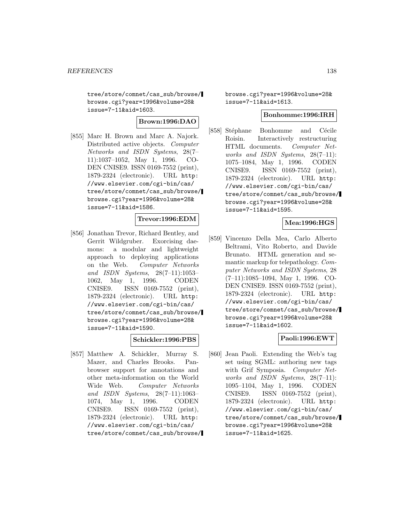tree/store/comnet/cas\_sub/browse/ browse.cgi?year=1996&volume=28& issue=7-11&aid=1603.

**Brown:1996:DAO**

[855] Marc H. Brown and Marc A. Najork. Distributed active objects. Computer Networks and ISDN Systems, 28(7– 11):1037–1052, May 1, 1996. CO-DEN CNISE9. ISSN 0169-7552 (print), 1879-2324 (electronic). URL http: //www.elsevier.com/cgi-bin/cas/ tree/store/comnet/cas\_sub/browse/ browse.cgi?year=1996&volume=28& issue=7-11&aid=1586.

### **Trevor:1996:EDM**

[856] Jonathan Trevor, Richard Bentley, and Gerrit Wildgruber. Exorcising daemons: a modular and lightweight approach to deploying applications on the Web. Computer Networks and ISDN Systems, 28(7–11):1053– 1062, May 1, 1996. CODEN CNISE9. ISSN 0169-7552 (print), 1879-2324 (electronic). URL http: //www.elsevier.com/cgi-bin/cas/ tree/store/comnet/cas\_sub/browse/ browse.cgi?year=1996&volume=28& issue=7-11&aid=1590.

### **Schickler:1996:PBS**

[857] Matthew A. Schickler, Murray S. Mazer, and Charles Brooks. Panbrowser support for annotations and other meta-information on the World Wide Web. Computer Networks and ISDN Systems, 28(7–11):1063– 1074, May 1, 1996. CODEN CNISE9. ISSN 0169-7552 (print), 1879-2324 (electronic). URL http: //www.elsevier.com/cgi-bin/cas/ tree/store/comnet/cas\_sub/browse/ browse.cgi?year=1996&volume=28& issue=7-11&aid=1613.

#### **Bonhomme:1996:IRH**

[858] Stéphane Bonhomme and Cécile Roisin. Interactively restructuring HTML documents. Computer Networks and ISDN Systems, 28(7–11): 1075–1084, May 1, 1996. CODEN CNISE9. ISSN 0169-7552 (print), 1879-2324 (electronic). URL http: //www.elsevier.com/cgi-bin/cas/ tree/store/comnet/cas\_sub/browse/ browse.cgi?year=1996&volume=28& issue=7-11&aid=1595.

### **Mea:1996:HGS**

[859] Vincenzo Della Mea, Carlo Alberto Beltrami, Vito Roberto, and Davide Brunato. HTML generation and semantic markup for telepathology. Computer Networks and ISDN Systems, 28 (7–11):1085–1094, May 1, 1996. CO-DEN CNISE9. ISSN 0169-7552 (print), 1879-2324 (electronic). URL http: //www.elsevier.com/cgi-bin/cas/ tree/store/comnet/cas\_sub/browse/ browse.cgi?year=1996&volume=28& issue=7-11&aid=1602.

### **Paoli:1996:EWT**

[860] Jean Paoli. Extending the Web's tag set using SGML: authoring new tags with Grif Symposia. Computer Networks and ISDN Systems, 28(7–11): 1095–1104, May 1, 1996. CODEN CNISE9. ISSN 0169-7552 (print), 1879-2324 (electronic). URL http: //www.elsevier.com/cgi-bin/cas/ tree/store/comnet/cas\_sub/browse/ browse.cgi?year=1996&volume=28& issue=7-11&aid=1625.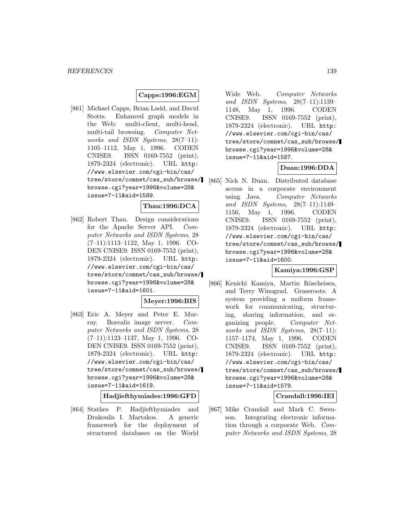## **Capps:1996:EGM**

[861] Michael Capps, Brian Ladd, and David Stotts. Enhanced graph models in the Web: multi-client, multi-head, multi-tail browsing. Computer Networks and ISDN Systems, 28(7-11): 1105–1112, May 1, 1996. CODEN CNISE9. ISSN 0169-7552 (print), 1879-2324 (electronic). URL http: //www.elsevier.com/cgi-bin/cas/ tree/store/comnet/cas\_sub/browse/ browse.cgi?year=1996&volume=28& issue=7-11&aid=1589.

## **Thau:1996:DCA**

[862] Robert Thau. Design considerations for the Apache Server API. Computer Networks and ISDN Systems, 28 (7–11):1113–1122, May 1, 1996. CO-DEN CNISE9. ISSN 0169-7552 (print), 1879-2324 (electronic). URL http: //www.elsevier.com/cgi-bin/cas/ tree/store/comnet/cas\_sub/browse/ browse.cgi?year=1996&volume=28& issue=7-11&aid=1601.

### **Meyer:1996:BIS**

[863] Eric A. Meyer and Peter E. Murray. Borealis image server. Computer Networks and ISDN Systems, 28 (7–11):1123–1137, May 1, 1996. CO-DEN CNISE9. ISSN 0169-7552 (print), 1879-2324 (electronic). URL http: //www.elsevier.com/cgi-bin/cas/ tree/store/comnet/cas\_sub/browse/ browse.cgi?year=1996&volume=28& issue=7-11&aid=1619.

**Hadjiefthymiades:1996:GFD**

[864] Stathes P. Hadjiefthymiades and Drakoulis I. Martakos. A generic framework for the deployment of structured databases on the World

Wide Web. Computer Networks and ISDN Systems, 28(7–11):1139– 1148, May 1, 1996. CODEN CNISE9. ISSN 0169-7552 (print), 1879-2324 (electronic). URL http: //www.elsevier.com/cgi-bin/cas/ tree/store/comnet/cas\_sub/browse/ browse.cgi?year=1996&volume=28& issue=7-11&aid=1587.

### **Duan:1996:DDA**

[865] Nick N. Duan. Distributed database access in a corporate environment using Java. Computer Networks and ISDN Systems, 28(7–11):1149– 1156, May 1, 1996. CODEN CNISE9. ISSN 0169-7552 (print), 1879-2324 (electronic). URL http: //www.elsevier.com/cgi-bin/cas/ tree/store/comnet/cas\_sub/browse/ browse.cgi?year=1996&volume=28& issue=7-11&aid=1600.

### **Kamiya:1996:GSP**

[866] Kenichi Kamiya, Martin Röscheisen, and Terry Winograd. Grassroots: A system providing a uniform framework for communicating, structuring, sharing information, and organizing people. Computer Networks and ISDN Systems, 28(7–11): 1157–1174, May 1, 1996. CODEN CNISE9. ISSN 0169-7552 (print), 1879-2324 (electronic). URL http: //www.elsevier.com/cgi-bin/cas/ tree/store/comnet/cas\_sub/browse/ browse.cgi?year=1996&volume=28& issue=7-11&aid=1579.

#### **Crandall:1996:IEI**

[867] Mike Crandall and Mark C. Swenson. Integrating electronic information through a corporate Web. Computer Networks and ISDN Systems, 28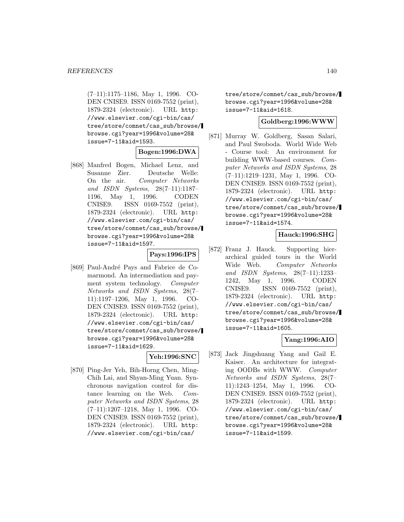(7–11):1175–1186, May 1, 1996. CO-DEN CNISE9. ISSN 0169-7552 (print), 1879-2324 (electronic). URL http: //www.elsevier.com/cgi-bin/cas/ tree/store/comnet/cas\_sub/browse/ browse.cgi?year=1996&volume=28& issue=7-11&aid=1593.

## **Bogen:1996:DWA**

[868] Manfred Bogen, Michael Lenz, and Susanne Zier. Deutsche Welle: On the air. Computer Networks and ISDN Systems, 28(7–11):1187– 1196, May 1, 1996. CODEN CNISE9. ISSN 0169-7552 (print), 1879-2324 (electronic). URL http: //www.elsevier.com/cgi-bin/cas/ tree/store/comnet/cas\_sub/browse/ browse.cgi?year=1996&volume=28& issue=7-11&aid=1597.

### **Pays:1996:IPS**

[869] Paul-André Pays and Fabrice de Comarmond. An intermediation and payment system technology. Computer Networks and ISDN Systems, 28(7– 11):1197–1206, May 1, 1996. CO-DEN CNISE9. ISSN 0169-7552 (print), 1879-2324 (electronic). URL http: //www.elsevier.com/cgi-bin/cas/ tree/store/comnet/cas\_sub/browse/ browse.cgi?year=1996&volume=28& issue=7-11&aid=1629.

## **Yeh:1996:SNC**

[870] Ping-Jer Yeh, Bih-Horng Chen, Ming-Chih Lai, and Shyan-Ming Yuan. Synchronous navigation control for distance learning on the Web. Computer Networks and ISDN Systems, 28 (7–11):1207–1218, May 1, 1996. CO-DEN CNISE9. ISSN 0169-7552 (print), 1879-2324 (electronic). URL http: //www.elsevier.com/cgi-bin/cas/

tree/store/comnet/cas\_sub/browse/ browse.cgi?year=1996&volume=28& issue=7-11&aid=1618.

## **Goldberg:1996:WWW**

[871] Murray W. Goldberg, Sasan Salari, and Paul Swoboda. World Wide Web - Course tool: An environment for building WWW-based courses. Computer Networks and ISDN Systems, 28 (7–11):1219–1231, May 1, 1996. CO-DEN CNISE9. ISSN 0169-7552 (print), 1879-2324 (electronic). URL http: //www.elsevier.com/cgi-bin/cas/ tree/store/comnet/cas\_sub/browse/ browse.cgi?year=1996&volume=28& issue=7-11&aid=1574.

### **Hauck:1996:SHG**

[872] Franz J. Hauck. Supporting hierarchical guided tours in the World Wide Web. Computer Networks and ISDN Systems, 28(7–11):1233– 1242, May 1, 1996. CODEN CNISE9. ISSN 0169-7552 (print), 1879-2324 (electronic). URL http: //www.elsevier.com/cgi-bin/cas/ tree/store/comnet/cas\_sub/browse/ browse.cgi?year=1996&volume=28& issue=7-11&aid=1605.

### **Yang:1996:AIO**

[873] Jack Jingshuang Yang and Gail E. Kaiser. An architecture for integrating OODBs with WWW. Computer Networks and ISDN Systems, 28(7– 11):1243–1254, May 1, 1996. CO-DEN CNISE9. ISSN 0169-7552 (print), 1879-2324 (electronic). URL http: //www.elsevier.com/cgi-bin/cas/ tree/store/comnet/cas\_sub/browse/ browse.cgi?year=1996&volume=28& issue=7-11&aid=1599.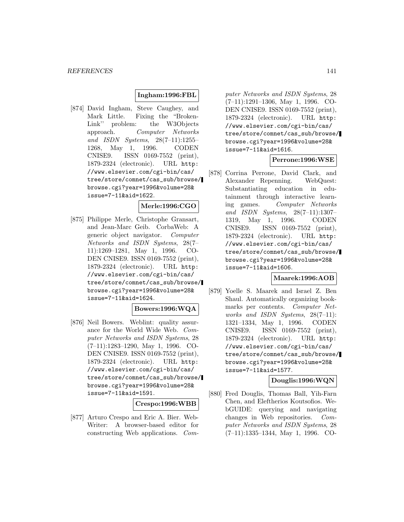### **Ingham:1996:FBL**

[874] David Ingham, Steve Caughey, and Mark Little. Fixing the "Broken-Link'' problem: the W3Objects approach. Computer Networks and ISDN Systems, 28(7–11):1255– 1268, May 1, 1996. CODEN CNISE9. ISSN 0169-7552 (print), 1879-2324 (electronic). URL http: //www.elsevier.com/cgi-bin/cas/ tree/store/comnet/cas\_sub/browse/ browse.cgi?year=1996&volume=28& issue=7-11&aid=1622.

## **Merle:1996:CGO**

[875] Philippe Merle, Christophe Gransart, and Jean-Marc Geib. CorbaWeb: A generic object navigator. Computer Networks and ISDN Systems, 28(7– 11):1269–1281, May 1, 1996. CO-DEN CNISE9. ISSN 0169-7552 (print), 1879-2324 (electronic). URL http: //www.elsevier.com/cgi-bin/cas/ tree/store/comnet/cas\_sub/browse/ browse.cgi?year=1996&volume=28& issue=7-11&aid=1624.

### **Bowers:1996:WQA**

[876] Neil Bowers. Weblint: quality assurance for the World Wide Web. Computer Networks and ISDN Systems, 28 (7–11):1283–1290, May 1, 1996. CO-DEN CNISE9. ISSN 0169-7552 (print), 1879-2324 (electronic). URL http: //www.elsevier.com/cgi-bin/cas/ tree/store/comnet/cas\_sub/browse/ browse.cgi?year=1996&volume=28& issue=7-11&aid=1591.

#### **Crespo:1996:WBB**

[877] Arturo Crespo and Eric A. Bier. Web-Writer: A browser-based editor for constructing Web applications. Com-

puter Networks and ISDN Systems, 28 (7–11):1291–1306, May 1, 1996. CO-DEN CNISE9. ISSN 0169-7552 (print), 1879-2324 (electronic). URL http: //www.elsevier.com/cgi-bin/cas/ tree/store/comnet/cas\_sub/browse/ browse.cgi?year=1996&volume=28& issue=7-11&aid=1616.

### **Perrone:1996:WSE**

[878] Corrina Perrone, David Clark, and Alexander Repenning. WebQuest: Substantiating education in edutainment through interactive learning games. Computer Networks and ISDN Systems, 28(7–11):1307– 1319, May 1, 1996. CODEN CNISE9. ISSN 0169-7552 (print), 1879-2324 (electronic). URL http: //www.elsevier.com/cgi-bin/cas/ tree/store/comnet/cas\_sub/browse/ browse.cgi?year=1996&volume=28& issue=7-11&aid=1606.

#### **Maarek:1996:AOB**

[879] Yoelle S. Maarek and Israel Z. Ben Shaul. Automatically organizing bookmarks per contents. Computer Networks and ISDN Systems, 28(7-11): 1321–1334, May 1, 1996. CODEN CNISE9. ISSN 0169-7552 (print), 1879-2324 (electronic). URL http: //www.elsevier.com/cgi-bin/cas/ tree/store/comnet/cas\_sub/browse/ browse.cgi?year=1996&volume=28& issue=7-11&aid=1577.

## **Douglis:1996:WQN**

[880] Fred Douglis, Thomas Ball, Yih-Farn Chen, and Eleftherios Koutsofios. WebGUIDE: querying and navigating changes in Web repositories. Computer Networks and ISDN Systems, 28 (7–11):1335–1344, May 1, 1996. CO-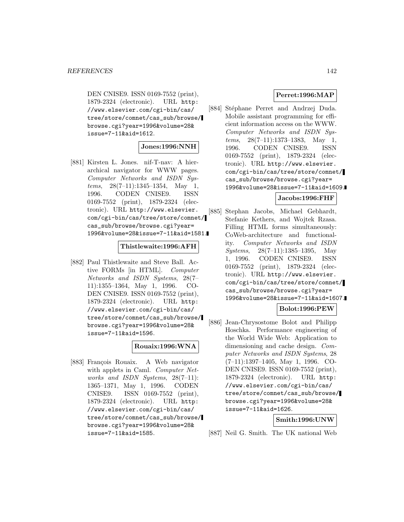DEN CNISE9. ISSN 0169-7552 (print), 1879-2324 (electronic). URL http: //www.elsevier.com/cgi-bin/cas/ tree/store/comnet/cas\_sub/browse/ browse.cgi?year=1996&volume=28& issue=7-11&aid=1612.

### **Jones:1996:NNH**

[881] Kirsten L. Jones. nif-T-nav: A hierarchical navigator for WWW pages. Computer Networks and ISDN Systems,  $28(7-11):1345-1354$ , May 1, 1996. CODEN CNISE9. ISSN 0169-7552 (print), 1879-2324 (electronic). URL http://www.elsevier. com/cgi-bin/cas/tree/store/comnet/ cas\_sub/browse/browse.cgi?year= 1996&volume=28&issue=7-11&aid=1581.

#### **Thistlewaite:1996:AFH**

[882] Paul Thistlewaite and Steve Ball. Active FORMs [in HTML]. Computer Networks and ISDN Systems, 28(7– 11):1355–1364, May 1, 1996. CO-DEN CNISE9. ISSN 0169-7552 (print), 1879-2324 (electronic). URL http: //www.elsevier.com/cgi-bin/cas/ tree/store/comnet/cas\_sub/browse/ browse.cgi?year=1996&volume=28& issue=7-11&aid=1596.

### **Rouaix:1996:WNA**

[883] François Rouaix. A Web navigator with applets in Caml. *Computer Net*works and ISDN Systems, 28(7-11): 1365–1371, May 1, 1996. CODEN CNISE9. ISSN 0169-7552 (print), 1879-2324 (electronic). URL http: //www.elsevier.com/cgi-bin/cas/ tree/store/comnet/cas\_sub/browse/ browse.cgi?year=1996&volume=28& issue=7-11&aid=1585.

## **Perret:1996:MAP**

[884] Stéphane Perret and Andrzej Duda. Mobile assistant programming for efficient information access on the WWW. Computer Networks and ISDN Systems, 28(7–11):1373–1383, May 1, 1996. CODEN CNISE9. ISSN 0169-7552 (print), 1879-2324 (electronic). URL http://www.elsevier. com/cgi-bin/cas/tree/store/comnet/ cas\_sub/browse/browse.cgi?year= 1996&volume=28&issue=7-11&aid=1609.

### **Jacobs:1996:FHF**

[885] Stephan Jacobs, Michael Gebhardt, Stefanie Kethers, and Wojtek Rzasa. Filling HTML forms simultaneously: CoWeb-architecture and functionality. Computer Networks and ISDN Systems, 28(7–11):1385–1395, May 1, 1996. CODEN CNISE9. ISSN 0169-7552 (print), 1879-2324 (electronic). URL http://www.elsevier. com/cgi-bin/cas/tree/store/comnet/ cas\_sub/browse/browse.cgi?year= 1996&volume=28&issue=7-11&aid=1607.

#### **Bolot:1996:PEW**

[886] Jean-Chrysostome Bolot and Philipp Hoschka. Performance engineering of the World Wide Web: Application to dimensioning and cache design. Computer Networks and ISDN Systems, 28 (7–11):1397–1405, May 1, 1996. CO-DEN CNISE9. ISSN 0169-7552 (print), 1879-2324 (electronic). URL http: //www.elsevier.com/cgi-bin/cas/ tree/store/comnet/cas\_sub/browse/ browse.cgi?year=1996&volume=28& issue=7-11&aid=1626.

#### **Smith:1996:UNW**

[887] Neil G. Smith. The UK national Web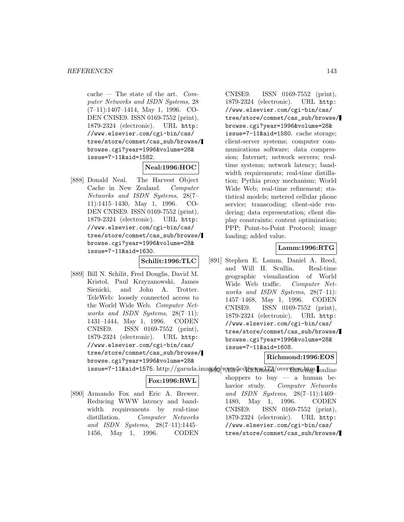cache — The state of the art.  $Com$ puter Networks and ISDN Systems, 28 (7–11):1407–1414, May 1, 1996. CO-DEN CNISE9. ISSN 0169-7552 (print), 1879-2324 (electronic). URL http: //www.elsevier.com/cgi-bin/cas/ tree/store/comnet/cas\_sub/browse/ browse.cgi?year=1996&volume=28& issue=7-11&aid=1582.

### **Neal:1996:HOC**

[888] Donald Neal. The Harvest Object Cache in New Zealand. Computer Networks and ISDN Systems, 28(7– 11):1415–1430, May 1, 1996. CO-DEN CNISE9. ISSN 0169-7552 (print), 1879-2324 (electronic). URL http: //www.elsevier.com/cgi-bin/cas/ tree/store/comnet/cas\_sub/browse/ browse.cgi?year=1996&volume=28& issue=7-11&aid=1630.

#### **Schilit:1996:TLC**

[889] Bill N. Schilit, Fred Douglis, David M. Kristol, Paul Krzyzanowski, James Sienicki, and John A. Trotter. TeleWeb: loosely connected access to the World Wide Web. Computer Networks and ISDN Systems, 28(7-11): 1431–1444, May 1, 1996. CODEN CNISE9. ISSN 0169-7552 (print), 1879-2324 (electronic). URL http: //www.elsevier.com/cgi-bin/cas/ tree/store/comnet/cas\_sub/browse/ browse.cgi?year=1996&volume=28&

CNISE9. ISSN 0169-7552 (print), 1879-2324 (electronic). URL http: //www.elsevier.com/cgi-bin/cas/ tree/store/comnet/cas\_sub/browse/ browse.cgi?year=1996&volume=28& issue=7-11&aid=1580. cache storage; client-server systems; computer communications software; data compression; Internet; network servers; realtime systems; network latency; bandwidth requirements; real-time distillation; Pythia proxy mechanism; World Wide Web; real-time refinement; statistical models; metered cellular phone service; transcoding; client-side rendering; data representation; client display constraints; content optimization; PPP; Point-to-Point Protocol; image loading; added value.

### **Lamm:1996:RTG**

[891] Stephen E. Lamm, Daniel A. Reed, and Will H. Scullin. Real-time geographic visualization of World Wide Web traffic. Computer Networks and ISDN Systems, 28(7–11): 1457–1468, May 1, 1996. CODEN CNISE9. ISSN 0169-7552 (print), 1879-2324 (electronic). URL http: //www.elsevier.com/cgi-bin/cas/ tree/store/comnet/cas\_sub/browse/ browse.cgi?year=1996&volume=28& issue=7-11&aid=1608.

## **Richmond:1996:EOS**

issue=7-11&aid=1575. http://garuda.imag.org/w/ww5cd7kYr/wM372/overT9aWdApp. online

#### **Fox:1996:RWL**

[890] Armando Fox and Eric A. Brewer. Reducing WWW latency and bandwidth requirements by real-time distillation. Computer Networks and ISDN Systems, 28(7–11):1445– 1456, May 1, 1996. CODEN

shoppers to buy — a human behavior study. Computer Networks and ISDN Systems, 28(7–11):1469– 1480, May 1, 1996. CODEN CNISE9. ISSN 0169-7552 (print), 1879-2324 (electronic). URL http: //www.elsevier.com/cgi-bin/cas/ tree/store/comnet/cas\_sub/browse/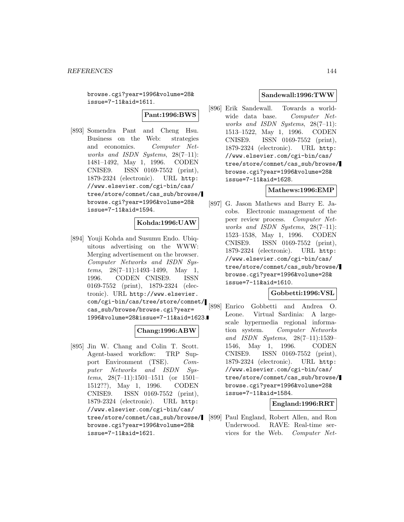browse.cgi?year=1996&volume=28& issue=7-11&aid=1611.

**Pant:1996:BWS**

[893] Somendra Pant and Cheng Hsu. Business on the Web: strategies and economics. Computer Networks and ISDN Systems, 28(7–11): 1481–1492, May 1, 1996. CODEN CNISE9. ISSN 0169-7552 (print), 1879-2324 (electronic). URL http: //www.elsevier.com/cgi-bin/cas/ tree/store/comnet/cas\_sub/browse/ browse.cgi?year=1996&volume=28& issue=7-11&aid=1594.

### **Kohda:1996:UAW**

[894] Youji Kohda and Susumu Endo. Ubiquitous advertising on the WWW: Merging advertisement on the browser. Computer Networks and ISDN Systems,  $28(7-11):1493-1499$ , May 1, 1996. CODEN CNISE9. ISSN 0169-7552 (print), 1879-2324 (electronic). URL http://www.elsevier. com/cgi-bin/cas/tree/store/comnet/ cas\_sub/browse/browse.cgi?year= 1996&volume=28&issue=7-11&aid=1623.

### **Chang:1996:ABW**

[895] Jin W. Chang and Colin T. Scott. Agent-based workflow: TRP Support Environment (TSE). Computer Networks and ISDN Systems, 28(7–11):1501–1511 (or 1501– 1512??), May 1, 1996. CODEN CNISE9. ISSN 0169-7552 (print), 1879-2324 (electronic). URL http: //www.elsevier.com/cgi-bin/cas/ tree/store/comnet/cas\_sub/browse/ browse.cgi?year=1996&volume=28& issue=7-11&aid=1621.

#### **Sandewall:1996:TWW**

[896] Erik Sandewall. Towards a worldwide data base. Computer Networks and ISDN Systems, 28(7-11): 1513–1522, May 1, 1996. CODEN CNISE9. ISSN 0169-7552 (print), 1879-2324 (electronic). URL http: //www.elsevier.com/cgi-bin/cas/ tree/store/comnet/cas\_sub/browse/ browse.cgi?year=1996&volume=28& issue=7-11&aid=1628.

### **Mathews:1996:EMP**

[897] G. Jason Mathews and Barry E. Jacobs. Electronic management of the peer review process. Computer Networks and ISDN Systems, 28(7-11): 1523–1538, May 1, 1996. CODEN CNISE9. ISSN 0169-7552 (print), 1879-2324 (electronic). URL http: //www.elsevier.com/cgi-bin/cas/ tree/store/comnet/cas\_sub/browse/ browse.cgi?year=1996&volume=28& issue=7-11&aid=1610.

## **Gobbetti:1996:VSL**

[898] Enrico Gobbetti and Andrea O. Leone. Virtual Sardinia: A largescale hypermedia regional information system. Computer Networks and ISDN Systems, 28(7–11):1539– 1546, May 1, 1996. CODEN CNISE9. ISSN 0169-7552 (print), 1879-2324 (electronic). URL http: //www.elsevier.com/cgi-bin/cas/ tree/store/comnet/cas\_sub/browse/ browse.cgi?year=1996&volume=28& issue=7-11&aid=1584.

## **England:1996:RRT**

[899] Paul England, Robert Allen, and Ron Underwood. RAVE: Real-time services for the Web. Computer Net-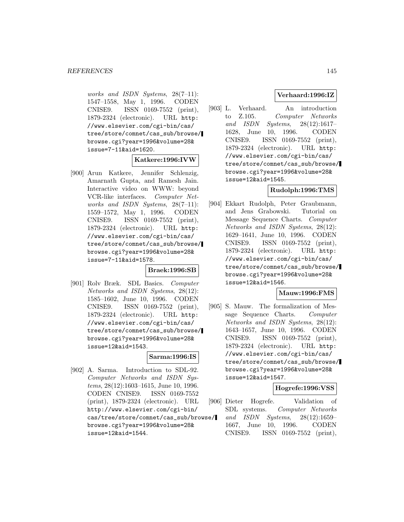works and ISDN Systems, 28(7-11): 1547–1558, May 1, 1996. CODEN CNISE9. ISSN 0169-7552 (print), 1879-2324 (electronic). URL http: //www.elsevier.com/cgi-bin/cas/ tree/store/comnet/cas\_sub/browse/ browse.cgi?year=1996&volume=28& issue=7-11&aid=1620.

## **Katkere:1996:IVW**

[900] Arun Katkere, Jennifer Schlenzig, Amarnath Gupta, and Ramesh Jain. Interactive video on WWW: beyond VCR-like interfaces. Computer Networks and ISDN Systems, 28(7-11): 1559–1572, May 1, 1996. CODEN CNISE9. ISSN 0169-7552 (print), 1879-2324 (electronic). URL http: //www.elsevier.com/cgi-bin/cas/ tree/store/comnet/cas\_sub/browse/ browse.cgi?year=1996&volume=28& issue=7-11&aid=1578.

#### **Braek:1996:SB**

[901] Rolv Bræk. SDL Basics. Computer Networks and ISDN Systems, 28(12): 1585–1602, June 10, 1996. CODEN CNISE9. ISSN 0169-7552 (print), 1879-2324 (electronic). URL http: //www.elsevier.com/cgi-bin/cas/ tree/store/comnet/cas\_sub/browse/ browse.cgi?year=1996&volume=28& issue=12&aid=1543.

### **Sarma:1996:IS**

[902] A. Sarma. Introduction to SDL-92. Computer Networks and ISDN Systems, 28(12):1603–1615, June 10, 1996. CODEN CNISE9. ISSN 0169-7552 (print), 1879-2324 (electronic). URL http://www.elsevier.com/cgi-bin/ cas/tree/store/comnet/cas\_sub/browse/ browse.cgi?year=1996&volume=28& issue=12&aid=1544.

### **Verhaard:1996:IZ**

[903] L. Verhaard. An introduction to Z.105. Computer Networks and ISDN Systems, 28(12):1617– 1628, June 10, 1996. CODEN CNISE9. ISSN 0169-7552 (print), 1879-2324 (electronic). URL http: //www.elsevier.com/cgi-bin/cas/ tree/store/comnet/cas\_sub/browse/ browse.cgi?year=1996&volume=28& issue=12&aid=1545.

#### **Rudolph:1996:TMS**

[904] Ekkart Rudolph, Peter Graubmann, and Jens Grabowski. Tutorial on Message Sequence Charts. Computer Networks and ISDN Systems, 28(12): 1629–1641, June 10, 1996. CODEN CNISE9. ISSN 0169-7552 (print), 1879-2324 (electronic). URL http: //www.elsevier.com/cgi-bin/cas/ tree/store/comnet/cas\_sub/browse/ browse.cgi?year=1996&volume=28& issue=12&aid=1546.

### **Mauw:1996:FMS**

[905] S. Mauw. The formalization of Message Sequence Charts. Computer Networks and ISDN Systems, 28(12): 1643–1657, June 10, 1996. CODEN CNISE9. ISSN 0169-7552 (print), 1879-2324 (electronic). URL http: //www.elsevier.com/cgi-bin/cas/ tree/store/comnet/cas\_sub/browse/ browse.cgi?year=1996&volume=28& issue=12&aid=1547.

#### **Hogrefe:1996:VSS**

[906] Dieter Hogrefe. Validation of SDL systems. Computer Networks and ISDN Systems, 28(12):1659– 1667, June 10, 1996. CODEN CNISE9. ISSN 0169-7552 (print),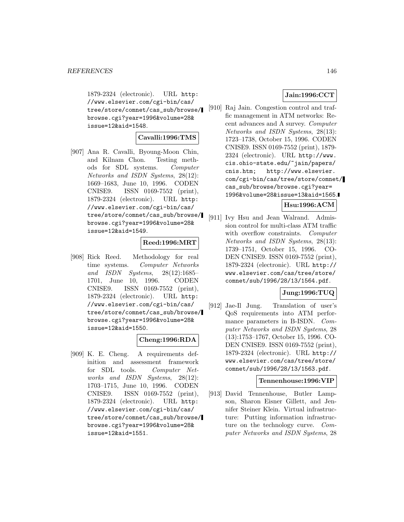1879-2324 (electronic). URL http: //www.elsevier.com/cgi-bin/cas/ tree/store/comnet/cas\_sub/browse/ browse.cgi?year=1996&volume=28& issue=12&aid=1548.

### **Cavalli:1996:TMS**

[907] Ana R. Cavalli, Byoung-Moon Chin, and Kilnam Chon. Testing methods for SDL systems. Computer Networks and ISDN Systems, 28(12): 1669–1683, June 10, 1996. CODEN CNISE9. ISSN 0169-7552 (print), 1879-2324 (electronic). URL http: //www.elsevier.com/cgi-bin/cas/ tree/store/comnet/cas\_sub/browse/ browse.cgi?year=1996&volume=28& issue=12&aid=1549.

#### **Reed:1996:MRT**

[908] Rick Reed. Methodology for real time systems. Computer Networks and ISDN Systems, 28(12):1685– 1701, June 10, 1996. CODEN CNISE9. ISSN 0169-7552 (print), 1879-2324 (electronic). URL http: //www.elsevier.com/cgi-bin/cas/ tree/store/comnet/cas\_sub/browse/ browse.cgi?year=1996&volume=28& issue=12&aid=1550.

#### **Cheng:1996:RDA**

[909] K. E. Cheng. A requirements definition and assessment framework for SDL tools. Computer Networks and ISDN Systems, 28(12): 1703–1715, June 10, 1996. CODEN CNISE9. ISSN 0169-7552 (print), 1879-2324 (electronic). URL http: //www.elsevier.com/cgi-bin/cas/ tree/store/comnet/cas\_sub/browse/ browse.cgi?year=1996&volume=28& issue=12&aid=1551.

# **Jain:1996:CCT**

[910] Raj Jain. Congestion control and traffic management in ATM networks: Recent advances and A survey. Computer Networks and ISDN Systems, 28(13): 1723–1738, October 15, 1996. CODEN CNISE9. ISSN 0169-7552 (print), 1879- 2324 (electronic). URL http://www. cis.ohio-state.edu/~jain/papers/ cnis.htm; http://www.elsevier. com/cgi-bin/cas/tree/store/comnet/ cas\_sub/browse/browse.cgi?year= 1996&volume=28&issue=13&aid=1565.

# **Hsu:1996:ACM**

[911] Ivy Hsu and Jean Walrand. Admission control for multi-class ATM traffic with overflow constraints. Computer Networks and ISDN Systems, 28(13): 1739–1751, October 15, 1996. CO-DEN CNISE9. ISSN 0169-7552 (print), 1879-2324 (electronic). URL http:// www.elsevier.com/cas/tree/store/ comnet/sub/1996/28/13/1564.pdf.

# **Jung:1996:TUQ**

[912] Jae-Il Jung. Translation of user's QoS requirements into ATM performance parameters in B-ISDN. Computer Networks and ISDN Systems, 28 (13):1753–1767, October 15, 1996. CO-DEN CNISE9. ISSN 0169-7552 (print), 1879-2324 (electronic). URL http:// www.elsevier.com/cas/tree/store/ comnet/sub/1996/28/13/1563.pdf.

### **Tennenhouse:1996:VIP**

[913] David Tennenhouse, Butler Lampson, Sharon Eisner Gillett, and Jennifer Steiner Klein. Virtual infrastructure: Putting information infrastructure on the technology curve. Computer Networks and ISDN Systems, 28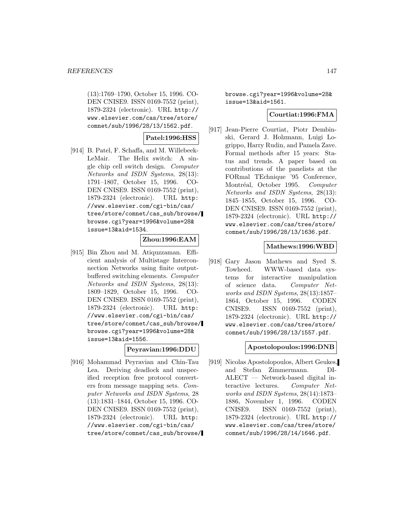(13):1769–1790, October 15, 1996. CO-DEN CNISE9. ISSN 0169-7552 (print), 1879-2324 (electronic). URL http:// www.elsevier.com/cas/tree/store/ comnet/sub/1996/28/13/1562.pdf.

# **Patel:1996:HSS**

[914] B. Patel, F. Schaffa, and M. Willebeek-LeMair. The Helix switch: A single chip cell switch design. Computer Networks and ISDN Systems, 28(13): 1791–1807, October 15, 1996. CO-DEN CNISE9. ISSN 0169-7552 (print), 1879-2324 (electronic). URL http: //www.elsevier.com/cgi-bin/cas/ tree/store/comnet/cas\_sub/browse/ browse.cgi?year=1996&volume=28& issue=13&aid=1534.

# **Zhou:1996:EAM**

[915] Bin Zhou and M. Atiquzzaman. Efficient analysis of Multistage Interconnection Networks using finite outputbuffered switching elements. Computer Networks and ISDN Systems, 28(13): 1809–1829, October 15, 1996. CO-DEN CNISE9. ISSN 0169-7552 (print), 1879-2324 (electronic). URL http: //www.elsevier.com/cgi-bin/cas/ tree/store/comnet/cas\_sub/browse/ browse.cgi?year=1996&volume=28& issue=13&aid=1556.

#### **Peyravian:1996:DDU**

[916] Mohammad Peyravian and Chin-Tau Lea. Deriving deadlock and unspecified reception free protocol converters from message mapping sets. Computer Networks and ISDN Systems, 28 (13):1831–1844, October 15, 1996. CO-DEN CNISE9. ISSN 0169-7552 (print), 1879-2324 (electronic). URL http: //www.elsevier.com/cgi-bin/cas/ tree/store/comnet/cas\_sub/browse/ browse.cgi?year=1996&volume=28& issue=13&aid=1561.

### **Courtiat:1996:FMA**

[917] Jean-Pierre Courtiat, Piotr Dembinski, Gerard J. Holzmann, Luigi Logrippo, Harry Rudin, and Pamela Zave. Formal methods after 15 years: Status and trends. A paper based on contributions of the panelists at the FORmal TEchnique '95 Conference, Montréal, October 1995. Computer Networks and ISDN Systems, 28(13): 1845–1855, October 15, 1996. CO-DEN CNISE9. ISSN 0169-7552 (print), 1879-2324 (electronic). URL http:// www.elsevier.com/cas/tree/store/ comnet/sub/1996/28/13/1636.pdf.

### **Mathews:1996:WBD**

[918] Gary Jason Mathews and Syed S. Towheed. WWW-based data systems for interactive manipulation of science data. Computer Networks and ISDN Systems, 28(13):1857– 1864, October 15, 1996. CODEN CNISE9. ISSN 0169-7552 (print), 1879-2324 (electronic). URL http:// www.elsevier.com/cas/tree/store/ comnet/sub/1996/28/13/1557.pdf.

### **Apostolopoulos:1996:DNB**

[919] Nicolas Apostolopoulos, Albert Geukes, and Stefan Zimmermann. DI-ALECT — Network-based digital interactive lectures. Computer Networks and ISDN Systems, 28(14):1873– 1886, November 1, 1996. CODEN CNISE9. ISSN 0169-7552 (print), 1879-2324 (electronic). URL http:// www.elsevier.com/cas/tree/store/ comnet/sub/1996/28/14/1646.pdf.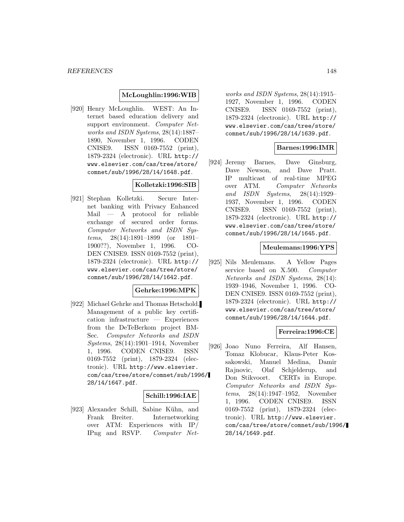### **McLoughlin:1996:WIB**

[920] Henry McLoughlin. WEST: An Internet based education delivery and support environment. Computer Networks and ISDN Systems, 28(14):1887– 1890, November 1, 1996. CODEN CNISE9. ISSN 0169-7552 (print), 1879-2324 (electronic). URL http:// www.elsevier.com/cas/tree/store/ comnet/sub/1996/28/14/1648.pdf.

## **Kolletzki:1996:SIB**

[921] Stephan Kolletzki. Secure Internet banking with Privacy Enhanced Mail — A protocol for reliable exchange of secured order forms. Computer Networks and ISDN Systems, 28(14):1891–1899 (or 1891– 1900??), November 1, 1996. CO-DEN CNISE9. ISSN 0169-7552 (print), 1879-2324 (electronic). URL http:// www.elsevier.com/cas/tree/store/ comnet/sub/1996/28/14/1642.pdf.

### **Gehrke:1996:MPK**

[922] Michael Gehrke and Thomas Hetschold. Management of a public key certification infrastructure — Experiences from the DeTeBerkom project BM-Sec. Computer Networks and ISDN Systems, 28(14):1901–1914, November 1, 1996. CODEN CNISE9. ISSN 0169-7552 (print), 1879-2324 (electronic). URL http://www.elsevier. com/cas/tree/store/comnet/sub/1996/ 28/14/1647.pdf.

### **Schill:1996:IAE**

[923] Alexander Schill, Sabine Kühn, and Frank Breiter. Internetworking over ATM: Experiences with IP/ IPng and RSVP. Computer Net-

works and ISDN Systems, 28(14):1915– 1927, November 1, 1996. CODEN CNISE9. ISSN 0169-7552 (print), 1879-2324 (electronic). URL http:// www.elsevier.com/cas/tree/store/ comnet/sub/1996/28/14/1639.pdf.

### **Barnes:1996:IMR**

[924] Jeremy Barnes, Dave Ginsburg, Dave Newson, and Dave Pratt. IP multicast of real-time MPEG over ATM. Computer Networks and ISDN Systems, 28(14):1929– 1937, November 1, 1996. CODEN CNISE9. ISSN 0169-7552 (print), 1879-2324 (electronic). URL http:// www.elsevier.com/cas/tree/store/ comnet/sub/1996/28/14/1645.pdf.

#### **Meulemans:1996:YPS**

[925] Nils Meulemans. A Yellow Pages service based on X.500. Computer Networks and ISDN Systems, 28(14): 1939–1946, November 1, 1996. CO-DEN CNISE9. ISSN 0169-7552 (print), 1879-2324 (electronic). URL http:// www.elsevier.com/cas/tree/store/ comnet/sub/1996/28/14/1644.pdf.

#### **Ferreira:1996:CE**

[926] Joao Nuno Ferreira, Alf Hansen, Tomaz Klobucar, Klaus-Peter Kossakowski, Manuel Medina, Damir Rajnovic, Olaf Schjelderup, and Don Stikvoort. CERTs in Europe. Computer Networks and ISDN Systems, 28(14):1947–1952, November 1, 1996. CODEN CNISE9. ISSN 0169-7552 (print), 1879-2324 (electronic). URL http://www.elsevier. com/cas/tree/store/comnet/sub/1996/ 28/14/1649.pdf.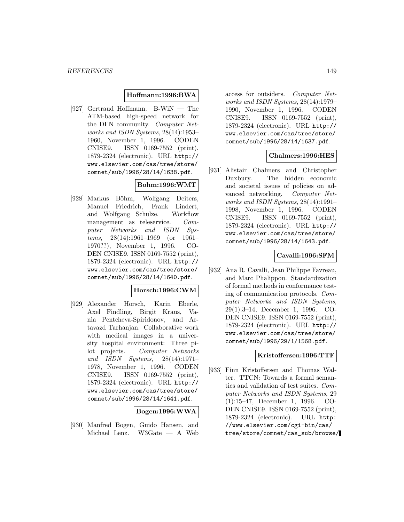#### **Hoffmann:1996:BWA**

[927] Gertraud Hoffmann. B-WiN — The ATM-based high-speed network for the DFN community. Computer Networks and ISDN Systems, 28(14):1953– 1960, November 1, 1996. CODEN CNISE9. ISSN 0169-7552 (print), 1879-2324 (electronic). URL http:// www.elsevier.com/cas/tree/store/ comnet/sub/1996/28/14/1638.pdf.

# **Bohm:1996:WMT**

[928] Markus Böhm, Wolfgang Deiters, Manuel Friedrich, Frank Lindert, and Wolfgang Schulze. Workflow management as teleservice. Computer Networks and ISDN Systems, 28(14):1961–1969 (or 1961– 1970??), November 1, 1996. CO-DEN CNISE9. ISSN 0169-7552 (print), 1879-2324 (electronic). URL http:// www.elsevier.com/cas/tree/store/ comnet/sub/1996/28/14/1640.pdf.

### **Horsch:1996:CWM**

[929] Alexander Horsch, Karin Eberle, Axel Findling, Birgit Kraus, Vania Pentcheva-Spiridonov, and Artavazd Tarhanjan. Collaborative work with medical images in a university hospital environment: Three pilot projects. Computer Networks and ISDN Systems, 28(14):1971– 1978, November 1, 1996. CODEN CNISE9. ISSN 0169-7552 (print), 1879-2324 (electronic). URL http:// www.elsevier.com/cas/tree/store/ comnet/sub/1996/28/14/1641.pdf.

#### **Bogen:1996:WWA**

[930] Manfred Bogen, Guido Hansen, and Michael Lenz. W3Gate — A Web

access for outsiders. Computer Networks and ISDN Systems, 28(14):1979– 1990, November 1, 1996. CODEN CNISE9. ISSN 0169-7552 (print), 1879-2324 (electronic). URL http:// www.elsevier.com/cas/tree/store/ comnet/sub/1996/28/14/1637.pdf.

#### **Chalmers:1996:HES**

[931] Alistair Chalmers and Christopher Duxbury. The hidden economic and societal issues of policies on advanced networking. Computer Networks and ISDN Systems, 28(14):1991– 1998, November 1, 1996. CODEN CNISE9. ISSN 0169-7552 (print), 1879-2324 (electronic). URL http:// www.elsevier.com/cas/tree/store/ comnet/sub/1996/28/14/1643.pdf.

### **Cavalli:1996:SFM**

[932] Ana R. Cavalli, Jean Philippe Favreau, and Marc Phalippou. Standardization of formal methods in conformance testing of communication protocols. Computer Networks and ISDN Systems, 29(1):3–14, December 1, 1996. CO-DEN CNISE9. ISSN 0169-7552 (print), 1879-2324 (electronic). URL http:// www.elsevier.com/cas/tree/store/ comnet/sub/1996/29/1/1568.pdf.

### **Kristoffersen:1996:TTF**

[933] Finn Kristoffersen and Thomas Walter. TTCN: Towards a formal semantics and validation of test suites. Computer Networks and ISDN Systems, 29 (1):15–47, December 1, 1996. CO-DEN CNISE9. ISSN 0169-7552 (print), 1879-2324 (electronic). URL http: //www.elsevier.com/cgi-bin/cas/ tree/store/comnet/cas\_sub/browse/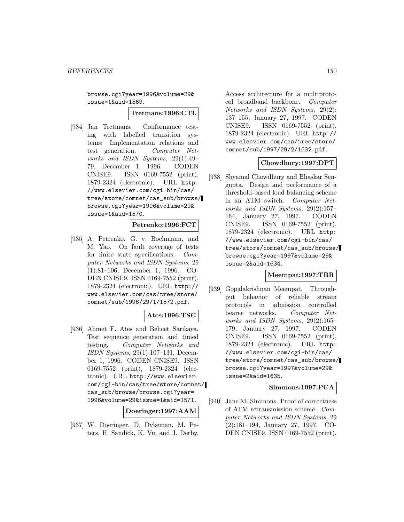browse.cgi?year=1996&volume=29& issue=1&aid=1569.

**Tretmans:1996:CTL**

[934] Jan Tretmans. Conformance testing with labelled transition systems: Implementation relations and test generation. Computer Networks and ISDN Systems, 29(1):49– 79, December 1, 1996. CODEN CNISE9. ISSN 0169-7552 (print), 1879-2324 (electronic). URL http: //www.elsevier.com/cgi-bin/cas/ tree/store/comnet/cas\_sub/browse/ browse.cgi?year=1996&volume=29& issue=1&aid=1570.

### **Petrenko:1996:FCT**

[935] A. Petrenko, G. v. Bochmann, and M. Yao. On fault coverage of tests for finite state specifications. Computer Networks and ISDN Systems, 29 (1):81–106, December 1, 1996. CO-DEN CNISE9. ISSN 0169-7552 (print), 1879-2324 (electronic). URL http:// www.elsevier.com/cas/tree/store/ comnet/sub/1996/29/1/1572.pdf.

# **Ates:1996:TSG**

[936] Ahmet F. Ates and Behcet Sarikaya. Test sequence generation and timed testing. Computer Networks and ISDN Systems, 29(1):107–131, December 1, 1996. CODEN CNISE9. ISSN 0169-7552 (print), 1879-2324 (electronic). URL http://www.elsevier. com/cgi-bin/cas/tree/store/comnet/ cas\_sub/browse/browse.cgi?year= 1996&volume=29&issue=1&aid=1571.

**Doeringer:1997:AAM**

[937] W. Doeringer, D. Dykeman, M. Peters, H. Sandick, K. Vu, and J. Derby.

Access architecture for a multiprotocol broadband backbone. Computer Networks and ISDN Systems, 29(2): 137–155, January 27, 1997. CODEN CNISE9. ISSN 0169-7552 (print), 1879-2324 (electronic). URL http:// www.elsevier.com/cas/tree/store/ comnet/sub/1997/29/2/1632.pdf.

### **Chowdhury:1997:DPT**

[938] Shyamal Chowdhury and Bhaskar Sengupta. Design and performance of a threshold-based load balancing scheme in an ATM switch. Computer Networks and ISDN Systems, 29(2):157– 164, January 27, 1997. CODEN CNISE9. ISSN 0169-7552 (print), 1879-2324 (electronic). URL http: //www.elsevier.com/cgi-bin/cas/ tree/store/comnet/cas\_sub/browse/ browse.cgi?year=1997&volume=29& issue=2&aid=1634.

#### **Meempat:1997:TBR**

[939] Gopalakrishnan Meempat. Throughput behavior of reliable stream protocols in admission controlled bearer networks. Computer Networks and ISDN Systems, 29(2):165– 179, January 27, 1997. CODEN CNISE9. ISSN 0169-7552 (print), 1879-2324 (electronic). URL http: //www.elsevier.com/cgi-bin/cas/ tree/store/comnet/cas\_sub/browse/ browse.cgi?year=1997&volume=29& issue=2&aid=1635.

#### **Simmons:1997:PCA**

[940] Jane M. Simmons. Proof of correctness of ATM retransmission scheme. Computer Networks and ISDN Systems, 29 (2):181–194, January 27, 1997. CO-DEN CNISE9. ISSN 0169-7552 (print),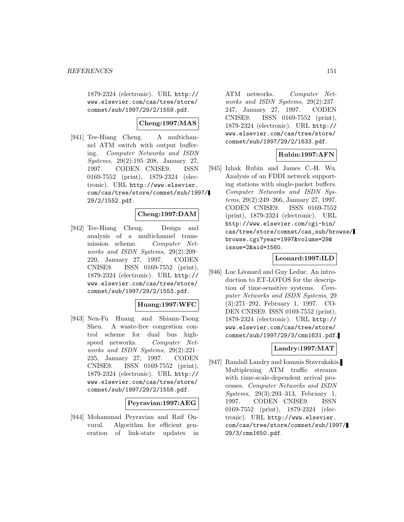1879-2324 (electronic). URL http:// www.elsevier.com/cas/tree/store/ comnet/sub/1997/29/2/1559.pdf.

# **Cheng:1997:MAS**

[941] Tee-Hiang Cheng. A multichannel ATM switch with output buffering. Computer Networks and ISDN Systems, 29(2):195–208, January 27, 1997. CODEN CNISE9. ISSN 0169-7552 (print), 1879-2324 (electronic). URL http://www.elsevier. com/cas/tree/store/comnet/sub/1997/ 29/2/1552.pdf.

## **Cheng:1997:DAM**

[942] Tee-Hiang Cheng. Design and analysis of a multichannel transmission scheme. Computer Networks and ISDN Systems, 29(2):209– 220, January 27, 1997. CODEN CNISE9. ISSN 0169-7552 (print), 1879-2324 (electronic). URL http:// www.elsevier.com/cas/tree/store/ comnet/sub/1997/29/2/1553.pdf.

### **Huang:1997:WFC**

[943] Nen-Fu Huang and Shiann-Tsong Sheu. A waste-free congestion control scheme for dual bus highspeed networks. Computer Networks and ISDN Systems, 29(2):221– 235, January 27, 1997. CODEN CNISE9. ISSN 0169-7552 (print), 1879-2324 (electronic). URL http:// www.elsevier.com/cas/tree/store/ comnet/sub/1997/29/2/1558.pdf.

### **Peyravian:1997:AEG**

[944] Mohammad Peyravian and Raif Onvural. Algorithm for efficient generation of link-state updates in

ATM networks. Computer Networks and ISDN Systems, 29(2):237– 247, January 27, 1997. CODEN CNISE9. ISSN 0169-7552 (print), 1879-2324 (electronic). URL http:// www.elsevier.com/cas/tree/store/ comnet/sub/1997/29/2/1633.pdf.

## **Rubin:1997:AFN**

[945] Izhak Rubin and James C.-H. Wu. Analysis of an FDDI network supporting stations with single-packet buffers. Computer Networks and ISDN Systems, 29(2):249–266, January 27, 1997. CODEN CNISE9. ISSN 0169-7552 (print), 1879-2324 (electronic). URL http://www.elsevier.com/cgi-bin/ cas/tree/store/comnet/cas\_sub/browse/ browse.cgi?year=1997&volume=29& issue=2&aid=1560.

#### **Leonard:1997:ILD**

[946] Luc Léonard and Guy Leduc. An introduction to ET-LOTOS for the description of time-sensitive systems. Computer Networks and ISDN Systems, 29 (3):271–292, February 1, 1997. CO-DEN CNISE9. ISSN 0169-7552 (print), 1879-2324 (electronic). URL http:// www.elsevier.com/cas/tree/store/ comnet/sub/1997/29/3/cmn1631.pdf.

# **Landry:1997:MAT**

[947] Randall Landry and Ioannis Stavrakakis. Multiplexing ATM traffic streams with time-scale-dependent arrival processes. Computer Networks and ISDN Systems, 29(3):293–313, February 1, 1997. CODEN CNISE9. ISSN 0169-7552 (print), 1879-2324 (electronic). URL http://www.elsevier. com/cas/tree/store/comnet/sub/1997/ 29/3/cmn1650.pdf.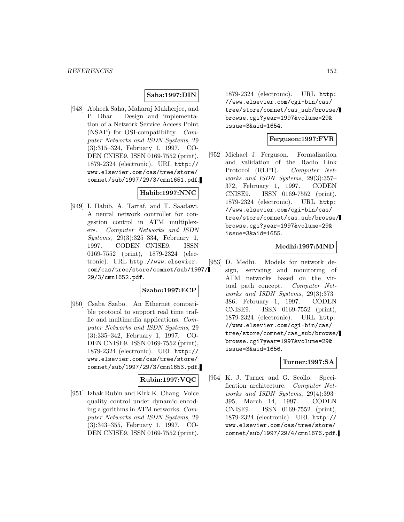### **Saha:1997:DIN**

[948] Abheek Saha, Maharaj Mukherjee, and P. Dhar. Design and implementation of a Network Service Access Point (NSAP) for OSI-compatibility. Computer Networks and ISDN Systems, 29 (3):315–324, February 1, 1997. CO-DEN CNISE9. ISSN 0169-7552 (print), 1879-2324 (electronic). URL http:// www.elsevier.com/cas/tree/store/ comnet/sub/1997/29/3/cmn1651.pdf.

## **Habib:1997:NNC**

[949] I. Habib, A. Tarraf, and T. Saadawi. A neural network controller for congestion control in ATM multiplexers. Computer Networks and ISDN Systems, 29(3):325–334, February 1, 1997. CODEN CNISE9. ISSN 0169-7552 (print), 1879-2324 (electronic). URL http://www.elsevier. com/cas/tree/store/comnet/sub/1997/ 29/3/cmn1652.pdf.

# **Szabo:1997:ECP**

[950] Csaba Szabo. An Ethernet compatible protocol to support real time traffic and multimedia applications. Computer Networks and ISDN Systems, 29 (3):335–342, February 1, 1997. CO-DEN CNISE9. ISSN 0169-7552 (print), 1879-2324 (electronic). URL http:// www.elsevier.com/cas/tree/store/ comnet/sub/1997/29/3/cmn1653.pdf.

# **Rubin:1997:VQC**

[951] Izhak Rubin and Kirk K. Chang. Voice quality control under dynamic encoding algorithms in ATM networks. Computer Networks and ISDN Systems, 29 (3):343–355, February 1, 1997. CO-DEN CNISE9. ISSN 0169-7552 (print),

1879-2324 (electronic). URL http: //www.elsevier.com/cgi-bin/cas/ tree/store/comnet/cas\_sub/browse/ browse.cgi?year=1997&volume=29& issue=3&aid=1654.

### **Ferguson:1997:FVR**

[952] Michael J. Ferguson. Formalization and validation of the Radio Link Protocol (RLP1). Computer Networks and ISDN Systems, 29(3):357– 372, February 1, 1997. CODEN CNISE9. ISSN 0169-7552 (print), 1879-2324 (electronic). URL http: //www.elsevier.com/cgi-bin/cas/ tree/store/comnet/cas\_sub/browse/ browse.cgi?year=1997&volume=29& issue=3&aid=1655.

### **Medhi:1997:MND**

[953] D. Medhi. Models for network design, servicing and monitoring of ATM networks based on the virtual path concept. Computer Networks and ISDN Systems, 29(3):373– 386, February 1, 1997. CODEN CNISE9. ISSN 0169-7552 (print), 1879-2324 (electronic). URL http: //www.elsevier.com/cgi-bin/cas/ tree/store/comnet/cas\_sub/browse/ browse.cgi?year=1997&volume=29& issue=3&aid=1656.

# **Turner:1997:SA**

[954] K. J. Turner and G. Scollo. Specification architecture. Computer Networks and ISDN Systems, 29(4):393– 395, March 14, 1997. CODEN CNISE9. ISSN 0169-7552 (print), 1879-2324 (electronic). URL http:// www.elsevier.com/cas/tree/store/ comnet/sub/1997/29/4/cmn1676.pdf.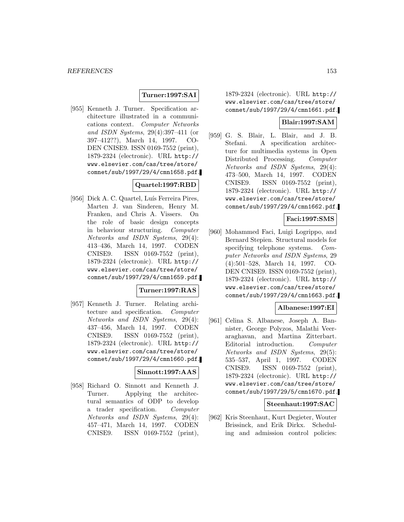## **Turner:1997:SAI**

[955] Kenneth J. Turner. Specification architecture illustrated in a communications context. Computer Networks and ISDN Systems, 29(4):397–411 (or 397–412??), March 14, 1997. CO-DEN CNISE9. ISSN 0169-7552 (print), 1879-2324 (electronic). URL http:// www.elsevier.com/cas/tree/store/ comnet/sub/1997/29/4/cmn1658.pdf.

# **Quartel:1997:RBD**

[956] Dick A. C. Quartel, Luís Ferreira Pires, Marten J. van Sinderen, Henry M. Franken, and Chris A. Vissers. On the role of basic design concepts in behaviour structuring. Computer Networks and ISDN Systems, 29(4): 413–436, March 14, 1997. CODEN CNISE9. ISSN 0169-7552 (print), 1879-2324 (electronic). URL http:// www.elsevier.com/cas/tree/store/ comnet/sub/1997/29/4/cmn1659.pdf.

### **Turner:1997:RAS**

[957] Kenneth J. Turner. Relating architecture and specification. Computer Networks and ISDN Systems, 29(4): 437–456, March 14, 1997. CODEN CNISE9. ISSN 0169-7552 (print), 1879-2324 (electronic). URL http:// www.elsevier.com/cas/tree/store/ comnet/sub/1997/29/4/cmn1660.pdf.

### **Sinnott:1997:AAS**

[958] Richard O. Sinnott and Kenneth J. Turner. Applying the architectural semantics of ODP to develop a trader specification. Computer Networks and ISDN Systems, 29(4): 457–471, March 14, 1997. CODEN CNISE9. ISSN 0169-7552 (print),

1879-2324 (electronic). URL http:// www.elsevier.com/cas/tree/store/ comnet/sub/1997/29/4/cmn1661.pdf.

### **Blair:1997:SAM**

[959] G. S. Blair, L. Blair, and J. B. Stefani. A specification architecture for multimedia systems in Open Distributed Processing. Computer Networks and ISDN Systems, 29(4): 473–500, March 14, 1997. CODEN CNISE9. ISSN 0169-7552 (print), 1879-2324 (electronic). URL http:// www.elsevier.com/cas/tree/store/ comnet/sub/1997/29/4/cmn1662.pdf.

## **Faci:1997:SMS**

[960] Mohammed Faci, Luigi Logrippo, and Bernard Stepien. Structural models for specifying telephone systems. Computer Networks and ISDN Systems, 29 (4):501–528, March 14, 1997. CO-DEN CNISE9. ISSN 0169-7552 (print), 1879-2324 (electronic). URL http:// www.elsevier.com/cas/tree/store/ comnet/sub/1997/29/4/cmn1663.pdf.

### **Albanese:1997:EI**

[961] Celina S. Albanese, Joseph A. Bannister, George Polyzos, Malathi Veeraraghavan, and Martina Zitterbart. Editorial introduction. Computer Networks and ISDN Systems, 29(5): 535–537, April 1, 1997. CODEN CNISE9. ISSN 0169-7552 (print), 1879-2324 (electronic). URL http:// www.elsevier.com/cas/tree/store/ comnet/sub/1997/29/5/cmn1670.pdf.

### **Steenhaut:1997:SAC**

[962] Kris Steenhaut, Kurt Degieter, Wouter Brissinck, and Erik Dirkx. Scheduling and admission control policies: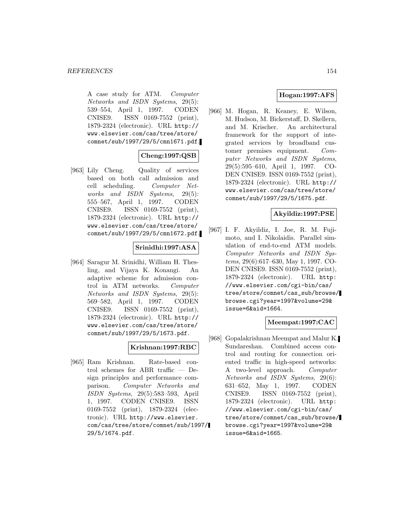A case study for ATM. Computer Networks and ISDN Systems, 29(5): 539–554, April 1, 1997. CODEN CNISE9. ISSN 0169-7552 (print), 1879-2324 (electronic). URL http:// www.elsevier.com/cas/tree/store/ comnet/sub/1997/29/5/cmn1671.pdf.

# **Cheng:1997:QSB**

[963] Lily Cheng. Quality of services based on both call admission and cell scheduling. Computer Networks and ISDN Systems, 29(5): 555–567, April 1, 1997. CODEN CNISE9. ISSN 0169-7552 (print), 1879-2324 (electronic). URL http:// www.elsevier.com/cas/tree/store/ comnet/sub/1997/29/5/cmn1672.pdf.

### **Srinidhi:1997:ASA**

[964] Saragur M. Srinidhi, William H. Thesling, and Vijaya K. Konangi. An adaptive scheme for admission control in ATM networks. Computer Networks and ISDN Systems, 29(5): 569–582, April 1, 1997. CODEN CNISE9. ISSN 0169-7552 (print), 1879-2324 (electronic). URL http:// www.elsevier.com/cas/tree/store/ comnet/sub/1997/29/5/1673.pdf.

# **Krishnan:1997:RBC**

[965] Ram Krishnan. Rate-based control schemes for ABR traffic — Design principles and performance comparison. Computer Networks and ISDN Systems, 29(5):583–593, April 1, 1997. CODEN CNISE9. ISSN 0169-7552 (print), 1879-2324 (electronic). URL http://www.elsevier. com/cas/tree/store/comnet/sub/1997/ 29/5/1674.pdf.

# **Hogan:1997:AFS**

[966] M. Hogan, R. Keaney, E. Wilson, M. Hudson, M. Bickerstaff, D. Skellern, and M. Krischer. An architectural framework for the support of integrated services by broadband customer premises equipment. Computer Networks and ISDN Systems, 29(5):595–610, April 1, 1997. CO-DEN CNISE9. ISSN 0169-7552 (print), 1879-2324 (electronic). URL http:// www.elsevier.com/cas/tree/store/ comnet/sub/1997/29/5/1675.pdf.

# **Akyildiz:1997:PSE**

[967] I. F. Akyildiz, I. Joe, R. M. Fujimoto, and I. Nikolaidis. Parallel simulation of end-to-end ATM models. Computer Networks and ISDN Systems, 29(6):617–630, May 1, 1997. CO-DEN CNISE9. ISSN 0169-7552 (print), 1879-2324 (electronic). URL http: //www.elsevier.com/cgi-bin/cas/ tree/store/comnet/cas\_sub/browse/ browse.cgi?year=1997&volume=29& issue=6&aid=1664.

## **Meempat:1997:CAC**

[968] Gopalakrishnan Meempat and Malur K. Sundareshan. Combined access control and routing for connection oriented traffic in high-speed networks: A two-level approach. Computer Networks and ISDN Systems, 29(6): 631–652, May 1, 1997. CODEN CNISE9. ISSN 0169-7552 (print), 1879-2324 (electronic). URL http: //www.elsevier.com/cgi-bin/cas/ tree/store/comnet/cas\_sub/browse/ browse.cgi?year=1997&volume=29& issue=6&aid=1665.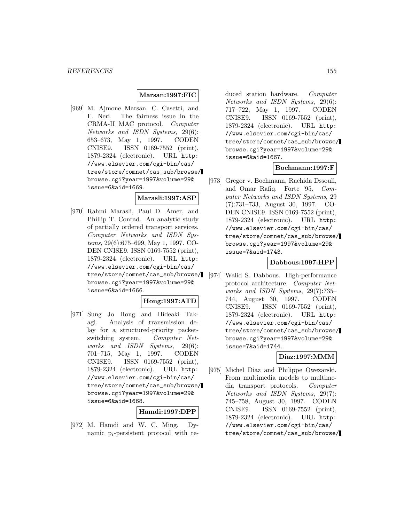### **Marsan:1997:FIC**

[969] M. Ajmone Marsan, C. Casetti, and F. Neri. The fairness issue in the CRMA-II MAC protocol. Computer Networks and ISDN Systems, 29(6): 653–673, May 1, 1997. CODEN CNISE9. ISSN 0169-7552 (print), 1879-2324 (electronic). URL http: //www.elsevier.com/cgi-bin/cas/ tree/store/comnet/cas\_sub/browse/ browse.cgi?year=1997&volume=29& issue=6&aid=1669.

#### **Marasli:1997:ASP**

[970] Rahmi Marasli, Paul D. Amer, and Phillip T. Conrad. An analytic study of partially ordered transport services. Computer Networks and ISDN Systems, 29(6):675–699, May 1, 1997. CO-DEN CNISE9. ISSN 0169-7552 (print), 1879-2324 (electronic). URL http: //www.elsevier.com/cgi-bin/cas/ tree/store/comnet/cas\_sub/browse/ browse.cgi?year=1997&volume=29& issue=6&aid=1666.

### **Hong:1997:ATD**

[971] Sung Jo Hong and Hideaki Takagi. Analysis of transmission delay for a structured-priority packetswitching system. Computer Networks and ISDN Systems, 29(6): 701–715, May 1, 1997. CODEN CNISE9. ISSN 0169-7552 (print), 1879-2324 (electronic). URL http: //www.elsevier.com/cgi-bin/cas/ tree/store/comnet/cas\_sub/browse/ browse.cgi?year=1997&volume=29& issue=6&aid=1668.

### **Hamdi:1997:DPP**

[972] M. Hamdi and W. C. Ming. Dynamic  $p_i$ -persistent protocol with re-

duced station hardware. Computer Networks and ISDN Systems, 29(6): 717–722, May 1, 1997. CODEN CNISE9. ISSN 0169-7552 (print), 1879-2324 (electronic). URL http: //www.elsevier.com/cgi-bin/cas/ tree/store/comnet/cas\_sub/browse/ browse.cgi?year=1997&volume=29& issue=6&aid=1667.

#### **Bochmann:1997:F**

[973] Gregor v. Bochmann, Rachida Dssouli, and Omar Rafiq. Forte '95. Computer Networks and ISDN Systems, 29 (7):731–733, August 30, 1997. CO-DEN CNISE9. ISSN 0169-7552 (print), 1879-2324 (electronic). URL http: //www.elsevier.com/cgi-bin/cas/ tree/store/comnet/cas\_sub/browse/ browse.cgi?year=1997&volume=29& issue=7&aid=1743.

#### **Dabbous:1997:HPP**

[974] Walid S. Dabbous. High-performance protocol architecture. Computer Networks and ISDN Systems, 29(7):735– 744, August 30, 1997. CODEN CNISE9. ISSN 0169-7552 (print), 1879-2324 (electronic). URL http: //www.elsevier.com/cgi-bin/cas/ tree/store/comnet/cas\_sub/browse/ browse.cgi?year=1997&volume=29& issue=7&aid=1744.

#### **Diaz:1997:MMM**

[975] Michel Diaz and Philippe Owezarski. From multimedia models to multimedia transport protocols. Computer Networks and ISDN Systems, 29(7): 745–758, August 30, 1997. CODEN CNISE9. ISSN 0169-7552 (print), 1879-2324 (electronic). URL http: //www.elsevier.com/cgi-bin/cas/ tree/store/comnet/cas\_sub/browse/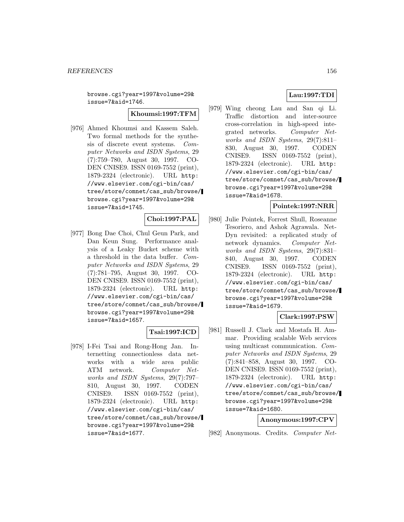browse.cgi?year=1997&volume=29& issue=7&aid=1746.

**Khoumsi:1997:TFM**

[976] Ahmed Khoumsi and Kassem Saleh. Two formal methods for the synthesis of discrete event systems. Computer Networks and ISDN Systems, 29 (7):759–780, August 30, 1997. CO-DEN CNISE9. ISSN 0169-7552 (print), 1879-2324 (electronic). URL http: //www.elsevier.com/cgi-bin/cas/ tree/store/comnet/cas\_sub/browse/ browse.cgi?year=1997&volume=29& issue=7&aid=1745.

#### **Choi:1997:PAL**

[977] Bong Dae Choi, Chul Geun Park, and Dan Keun Sung. Performance analysis of a Leaky Bucket scheme with a threshold in the data buffer. Computer Networks and ISDN Systems, 29 (7):781–795, August 30, 1997. CO-DEN CNISE9. ISSN 0169-7552 (print), 1879-2324 (electronic). URL http: //www.elsevier.com/cgi-bin/cas/ tree/store/comnet/cas\_sub/browse/ browse.cgi?year=1997&volume=29& issue=7&aid=1657.

### **Tsai:1997:ICD**

[978] I-Fei Tsai and Rong-Hong Jan. Internetting connectionless data networks with a wide area public ATM network. Computer Networks and ISDN Systems, 29(7):797– 810, August 30, 1997. CODEN CNISE9. ISSN 0169-7552 (print), 1879-2324 (electronic). URL http: //www.elsevier.com/cgi-bin/cas/ tree/store/comnet/cas\_sub/browse/ browse.cgi?year=1997&volume=29& issue=7&aid=1677.

# **Lau:1997:TDI**

[979] Wing cheong Lau and San qi Li. Traffic distortion and inter-source cross-correlation in high-speed integrated networks. Computer Networks and ISDN Systems, 29(7):811– 830, August 30, 1997. CODEN CNISE9. ISSN 0169-7552 (print), 1879-2324 (electronic). URL http: //www.elsevier.com/cgi-bin/cas/ tree/store/comnet/cas\_sub/browse/ browse.cgi?year=1997&volume=29& issue=7&aid=1678.

### **Pointek:1997:NRR**

[980] Julie Pointek, Forrest Shull, Roseanne Tesoriero, and Ashok Agrawala. Net-Dyn revisited: a replicated study of network dynamics. Computer Networks and ISDN Systems, 29(7):831– 840, August 30, 1997. CODEN CNISE9. ISSN 0169-7552 (print), 1879-2324 (electronic). URL http: //www.elsevier.com/cgi-bin/cas/ tree/store/comnet/cas\_sub/browse/ browse.cgi?year=1997&volume=29& issue=7&aid=1679.

### **Clark:1997:PSW**

[981] Russell J. Clark and Mostafa H. Ammar. Providing scalable Web services using multicast communication. Computer Networks and ISDN Systems, 29 (7):841–858, August 30, 1997. CO-DEN CNISE9. ISSN 0169-7552 (print), 1879-2324 (electronic). URL http: //www.elsevier.com/cgi-bin/cas/ tree/store/comnet/cas\_sub/browse/ browse.cgi?year=1997&volume=29& issue=7&aid=1680.

#### **Anonymous:1997:CPV**

[982] Anonymous. Credits. Computer Net-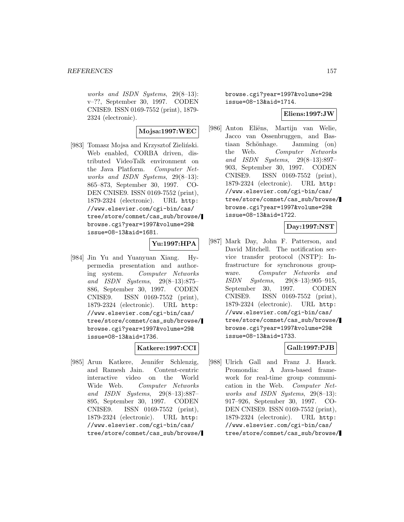works and ISDN Systems, 29(8–13): v–??, September 30, 1997. CODEN CNISE9. ISSN 0169-7552 (print), 1879- 2324 (electronic).

**Mojsa:1997:WEC**

[983] Tomasz Mojsa and Krzysztof Zieliński. Web enabled, CORBA driven, distributed VideoTalk environment on the Java Platform. Computer Networks and ISDN Systems, 29(8–13): 865–873, September 30, 1997. CO-DEN CNISE9. ISSN 0169-7552 (print), 1879-2324 (electronic). URL http: //www.elsevier.com/cgi-bin/cas/ tree/store/comnet/cas\_sub/browse/ browse.cgi?year=1997&volume=29& issue=08-13&aid=1681.

### **Yu:1997:HPA**

[984] Jin Yu and Yuanyuan Xiang. Hypermedia presentation and authoring system. Computer Networks and ISDN Systems, 29(8–13):875– 886, September 30, 1997. CODEN CNISE9. ISSN 0169-7552 (print), 1879-2324 (electronic). URL http: //www.elsevier.com/cgi-bin/cas/ tree/store/comnet/cas\_sub/browse/ browse.cgi?year=1997&volume=29& issue=08-13&aid=1736.

### **Katkere:1997:CCI**

[985] Arun Katkere, Jennifer Schlenzig, and Ramesh Jain. Content-centric interactive video on the World Wide Web. Computer Networks and ISDN Systems, 29(8–13):887– 895, September 30, 1997. CODEN CNISE9. ISSN 0169-7552 (print), 1879-2324 (electronic). URL http: //www.elsevier.com/cgi-bin/cas/ tree/store/comnet/cas\_sub/browse/ browse.cgi?year=1997&volume=29& issue=08-13&aid=1714.

#### **Eliens:1997:JW**

[986] Anton Eliëns, Martijn van Welie, Jacco van Ossenbruggen, and Bastiaan Schönhage. Jamming (on) the Web. Computer Networks and ISDN Systems, 29(8–13):897– 903, September 30, 1997. CODEN CNISE9. ISSN 0169-7552 (print), 1879-2324 (electronic). URL http: //www.elsevier.com/cgi-bin/cas/ tree/store/comnet/cas\_sub/browse/ browse.cgi?year=1997&volume=29& issue=08-13&aid=1722.

## **Day:1997:NST**

[987] Mark Day, John F. Patterson, and David Mitchell. The notification service transfer protocol (NSTP): Infrastructure for synchronous groupware. Computer Networks and ISDN Systems, 29(8–13):905–915, September 30, 1997. CODEN CNISE9. ISSN 0169-7552 (print), 1879-2324 (electronic). URL http: //www.elsevier.com/cgi-bin/cas/ tree/store/comnet/cas\_sub/browse/ browse.cgi?year=1997&volume=29& issue=08-13&aid=1733.

### **Gall:1997:PJB**

[988] Ulrich Gall and Franz J. Hauck. Promondia: A Java-based framework for real-time group communication in the Web. Computer Networks and ISDN Systems, 29(8–13): 917–926, September 30, 1997. CO-DEN CNISE9. ISSN 0169-7552 (print), 1879-2324 (electronic). URL http: //www.elsevier.com/cgi-bin/cas/ tree/store/comnet/cas\_sub/browse/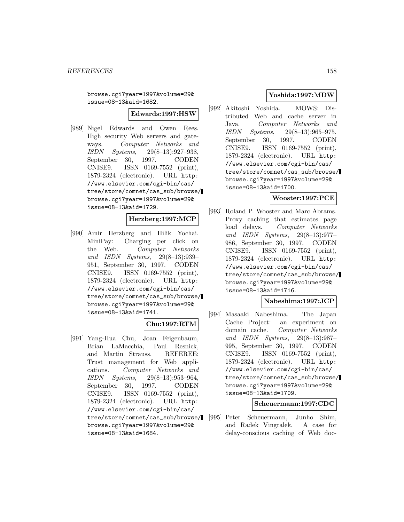browse.cgi?year=1997&volume=29& issue=08-13&aid=1682.

**Edwards:1997:HSW**

[989] Nigel Edwards and Owen Rees. High security Web servers and gateways. Computer Networks and ISDN Systems, 29(8–13):927–938, September 30, 1997. CODEN CNISE9. ISSN 0169-7552 (print), 1879-2324 (electronic). URL http: //www.elsevier.com/cgi-bin/cas/ tree/store/comnet/cas\_sub/browse/ browse.cgi?year=1997&volume=29& issue=08-13&aid=1729.

#### **Herzberg:1997:MCP**

[990] Amir Herzberg and Hilik Yochai. MiniPay: Charging per click on the Web. Computer Networks and ISDN Systems, 29(8–13):939– 951, September 30, 1997. CODEN CNISE9. ISSN 0169-7552 (print), 1879-2324 (electronic). URL http: //www.elsevier.com/cgi-bin/cas/ tree/store/comnet/cas\_sub/browse/ browse.cgi?year=1997&volume=29& issue=08-13&aid=1741.

### **Chu:1997:RTM**

[991] Yang-Hua Chu, Joan Feigenbaum, Brian LaMacchia, Paul Resnick, and Martin Strauss. REFEREE: Trust management for Web applications. Computer Networks and ISDN Systems, 29(8–13):953–964, September 30, 1997. CODEN CNISE9. ISSN 0169-7552 (print), 1879-2324 (electronic). URL http: //www.elsevier.com/cgi-bin/cas/ tree/store/comnet/cas\_sub/browse/ browse.cgi?year=1997&volume=29& issue=08-13&aid=1684.

### **Yoshida:1997:MDW**

[992] Akitoshi Yoshida. MOWS: Distributed Web and cache server in Java. Computer Networks and ISDN Systems, 29(8–13):965–975, September 30, 1997. CODEN CNISE9. ISSN 0169-7552 (print), 1879-2324 (electronic). URL http: //www.elsevier.com/cgi-bin/cas/ tree/store/comnet/cas\_sub/browse/ browse.cgi?year=1997&volume=29& issue=08-13&aid=1700.

#### **Wooster:1997:PCE**

[993] Roland P. Wooster and Marc Abrams. Proxy caching that estimates page load delays. Computer Networks and ISDN Systems, 29(8–13):977– 986, September 30, 1997. CODEN CNISE9. ISSN 0169-7552 (print), 1879-2324 (electronic). URL http: //www.elsevier.com/cgi-bin/cas/ tree/store/comnet/cas\_sub/browse/ browse.cgi?year=1997&volume=29& issue=08-13&aid=1716.

#### **Nabeshima:1997:JCP**

[994] Masaaki Nabeshima. The Japan Cache Project: an experiment on domain cache. Computer Networks and ISDN Systems, 29(8–13):987– 995, September 30, 1997. CODEN CNISE9. ISSN 0169-7552 (print), 1879-2324 (electronic). URL http: //www.elsevier.com/cgi-bin/cas/ tree/store/comnet/cas\_sub/browse/ browse.cgi?year=1997&volume=29& issue=08-13&aid=1709.

### **Scheuermann:1997:CDC**

[995] Peter Scheuermann, Junho Shim, and Radek Vingralek. A case for delay-conscious caching of Web doc-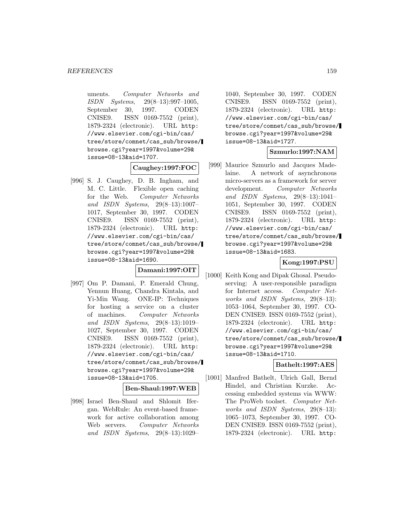uments. Computer Networks and ISDN Systems, 29(8–13):997–1005, September 30, 1997. CODEN CNISE9. ISSN 0169-7552 (print), 1879-2324 (electronic). URL http: //www.elsevier.com/cgi-bin/cas/ tree/store/comnet/cas\_sub/browse/ browse.cgi?year=1997&volume=29& issue=08-13&aid=1707.

### **Caughey:1997:FOC**

[996] S. J. Caughey, D. B. Ingham, and M. C. Little. Flexible open caching for the Web. Computer Networks and ISDN Systems, 29(8–13):1007– 1017, September 30, 1997. CODEN CNISE9. ISSN 0169-7552 (print), 1879-2324 (electronic). URL http: //www.elsevier.com/cgi-bin/cas/ tree/store/comnet/cas\_sub/browse/ browse.cgi?year=1997&volume=29& issue=08-13&aid=1690.

**Damani:1997:OIT**

[997] Om P. Damani, P. Emerald Chung, Yennun Huang, Chandra Kintala, and Yi-Min Wang. ONE-IP: Techniques for hosting a service on a cluster of machines. Computer Networks and ISDN Systems, 29(8–13):1019– 1027, September 30, 1997. CODEN CNISE9. ISSN 0169-7552 (print), 1879-2324 (electronic). URL http: //www.elsevier.com/cgi-bin/cas/ tree/store/comnet/cas\_sub/browse/ browse.cgi?year=1997&volume=29& issue=08-13&aid=1705.

# **Ben-Shaul:1997:WEB**

[998] Israel Ben-Shaul and Shlomit Ifergan. WebRule: An event-based framework for active collaboration among Web servers. Computer Networks and ISDN Systems, 29(8–13):1029–

1040, September 30, 1997. CODEN CNISE9. ISSN 0169-7552 (print), 1879-2324 (electronic). URL http: //www.elsevier.com/cgi-bin/cas/ tree/store/comnet/cas\_sub/browse/ browse.cgi?year=1997&volume=29& issue=08-13&aid=1727.

## **Szmurlo:1997:NAM**

[999] Maurice Szmurlo and Jacques Madelaine. A network of asynchronous micro-servers as a framework for server development. Computer Networks and ISDN Systems, 29(8–13):1041– 1051, September 30, 1997. CODEN CNISE9. ISSN 0169-7552 (print), 1879-2324 (electronic). URL http: //www.elsevier.com/cgi-bin/cas/ tree/store/comnet/cas\_sub/browse/ browse.cgi?year=1997&volume=29& issue=08-13&aid=1683.

### **Kong:1997:PSU**

[1000] Keith Kong and Dipak Ghosal. Pseudoserving: A user-responsible paradigm for Internet access. Computer Networks and ISDN Systems, 29(8–13): 1053–1064, September 30, 1997. CO-DEN CNISE9. ISSN 0169-7552 (print), 1879-2324 (electronic). URL http: //www.elsevier.com/cgi-bin/cas/ tree/store/comnet/cas\_sub/browse/ browse.cgi?year=1997&volume=29& issue=08-13&aid=1710.

#### **Bathelt:1997:AES**

[1001] Manfred Bathelt, Ulrich Gall, Bernd Hindel, and Christian Kurzke. Accessing embedded systems via WWW: The ProWeb toolset. Computer Networks and ISDN Systems, 29(8–13): 1065–1073, September 30, 1997. CO-DEN CNISE9. ISSN 0169-7552 (print), 1879-2324 (electronic). URL http: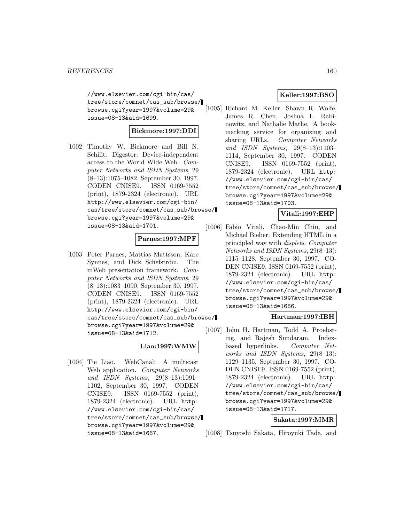//www.elsevier.com/cgi-bin/cas/ tree/store/comnet/cas\_sub/browse/ browse.cgi?year=1997&volume=29& issue=08-13&aid=1699.

# **Bickmore:1997:DDI**

[1002] Timothy W. Bickmore and Bill N. Schilit. Digestor: Device-independent access to the World Wide Web. Computer Networks and ISDN Systems, 29 (8–13):1075–1082, September 30, 1997. CODEN CNISE9. ISSN 0169-7552 (print), 1879-2324 (electronic). URL http://www.elsevier.com/cgi-bin/ cas/tree/store/comnet/cas\_sub/browse/ browse.cgi?year=1997&volume=29& issue=08-13&aid=1701.

# **Parnes:1997:MPF**

[1003] Peter Parnes, Mattias Mattsson, Kåre Synnes, and Dick Schefström. The mWeb presentation framework. Computer Networks and ISDN Systems, 29 (8–13):1083–1090, September 30, 1997. CODEN CNISE9. ISSN 0169-7552 (print), 1879-2324 (electronic). URL http://www.elsevier.com/cgi-bin/ cas/tree/store/comnet/cas\_sub/browse/ browse.cgi?year=1997&volume=29& issue=08-13&aid=1712.

### **Liao:1997:WMW**

[1004] Tie Liao. WebCanal: A multicast Web application. *Computer Networks* and ISDN Systems, 29(8–13):1091– 1102, September 30, 1997. CODEN CNISE9. ISSN 0169-7552 (print), 1879-2324 (electronic). URL http: //www.elsevier.com/cgi-bin/cas/ tree/store/comnet/cas\_sub/browse/ browse.cgi?year=1997&volume=29& issue=08-13&aid=1687.

# **Keller:1997:BSO**

[1005] Richard M. Keller, Shawn R. Wolfe, James R. Chen, Joshua L. Rabinowitz, and Nathalie Mathe. A bookmarking service for organizing and sharing URLs. Computer Networks and ISDN Systems, 29(8–13):1103– 1114, September 30, 1997. CODEN CNISE9. ISSN 0169-7552 (print), 1879-2324 (electronic). URL http: //www.elsevier.com/cgi-bin/cas/ tree/store/comnet/cas\_sub/browse/ browse.cgi?year=1997&volume=29& issue=08-13&aid=1703.

### **Vitali:1997:EHP**

[1006] Fabio Vitali, Chao-Min Chiu, and Michael Bieber. Extending HTML in a principled way with displets. Computer Networks and ISDN Systems, 29(8–13): 1115–1128, September 30, 1997. CO-DEN CNISE9. ISSN 0169-7552 (print), 1879-2324 (electronic). URL http: //www.elsevier.com/cgi-bin/cas/ tree/store/comnet/cas\_sub/browse/ browse.cgi?year=1997&volume=29& issue=08-13&aid=1686.

### **Hartman:1997:IBH**

[1007] John H. Hartman, Todd A. Proebsting, and Rajesh Sundaram. Indexbased hyperlinks. Computer Networks and ISDN Systems, 29(8–13): 1129–1135, September 30, 1997. CO-DEN CNISE9. ISSN 0169-7552 (print), 1879-2324 (electronic). URL http: //www.elsevier.com/cgi-bin/cas/ tree/store/comnet/cas\_sub/browse/ browse.cgi?year=1997&volume=29& issue=08-13&aid=1717.

### **Sakata:1997:MMR**

[1008] Tsuyoshi Sakata, Hiroyuki Tada, and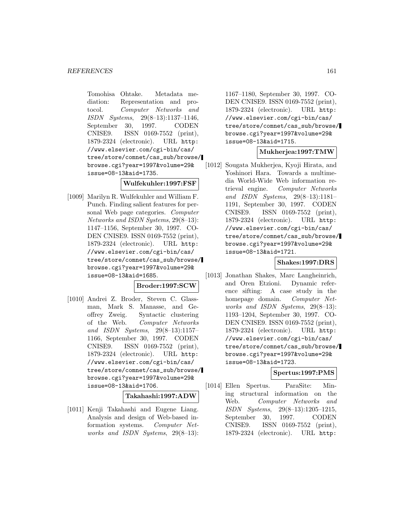Tomohisa Ohtake. Metadata mediation: Representation and protocol. Computer Networks and ISDN Systems, 29(8–13):1137–1146, September 30, 1997. CODEN CNISE9. ISSN 0169-7552 (print), 1879-2324 (electronic). URL http: //www.elsevier.com/cgi-bin/cas/ tree/store/comnet/cas\_sub/browse/ browse.cgi?year=1997&volume=29& issue=08-13&aid=1735.

**Wulfekuhler:1997:FSF**

[1009] Marilyn R. Wulfekuhler and William F. Punch. Finding salient features for personal Web page categories. Computer Networks and ISDN Systems, 29(8–13): 1147–1156, September 30, 1997. CO-DEN CNISE9. ISSN 0169-7552 (print), 1879-2324 (electronic). URL http: //www.elsevier.com/cgi-bin/cas/ tree/store/comnet/cas\_sub/browse/ browse.cgi?year=1997&volume=29& issue=08-13&aid=1685.

#### **Broder:1997:SCW**

[1010] Andrei Z. Broder, Steven C. Glassman, Mark S. Manasse, and Geoffrey Zweig. Syntactic clustering of the Web. Computer Networks and ISDN Systems, 29(8–13):1157– 1166, September 30, 1997. CODEN CNISE9. ISSN 0169-7552 (print), 1879-2324 (electronic). URL http: //www.elsevier.com/cgi-bin/cas/ tree/store/comnet/cas\_sub/browse/ browse.cgi?year=1997&volume=29& issue=08-13&aid=1706.

**Takahashi:1997:ADW**

[1011] Kenji Takahashi and Eugene Liang. Analysis and design of Web-based information systems. Computer Networks and ISDN Systems, 29(8–13):

1167–1180, September 30, 1997. CO-DEN CNISE9. ISSN 0169-7552 (print), 1879-2324 (electronic). URL http: //www.elsevier.com/cgi-bin/cas/ tree/store/comnet/cas\_sub/browse/ browse.cgi?year=1997&volume=29& issue=08-13&aid=1715.

# **Mukherjea:1997:TMW**

[1012] Sougata Mukherjea, Kyoji Hirata, and Yoshinori Hara. Towards a multimedia World-Wide Web information retrieval engine. Computer Networks and ISDN Systems, 29(8–13):1181– 1191, September 30, 1997. CODEN CNISE9. ISSN 0169-7552 (print), 1879-2324 (electronic). URL http: //www.elsevier.com/cgi-bin/cas/ tree/store/comnet/cas\_sub/browse/ browse.cgi?year=1997&volume=29& issue=08-13&aid=1721.

### **Shakes:1997:DRS**

[1013] Jonathan Shakes, Marc Langheinrich, and Oren Etzioni. Dynamic reference sifting: A case study in the homepage domain. Computer Networks and ISDN Systems, 29(8–13): 1193–1204, September 30, 1997. CO-DEN CNISE9. ISSN 0169-7552 (print), 1879-2324 (electronic). URL http: //www.elsevier.com/cgi-bin/cas/ tree/store/comnet/cas\_sub/browse/ browse.cgi?year=1997&volume=29& issue=08-13&aid=1723.

#### **Spertus:1997:PMS**

[1014] Ellen Spertus. ParaSite: Mining structural information on the Web. Computer Networks and ISDN Systems, 29(8–13):1205–1215, September 30, 1997. CODEN CNISE9. ISSN 0169-7552 (print), 1879-2324 (electronic). URL http: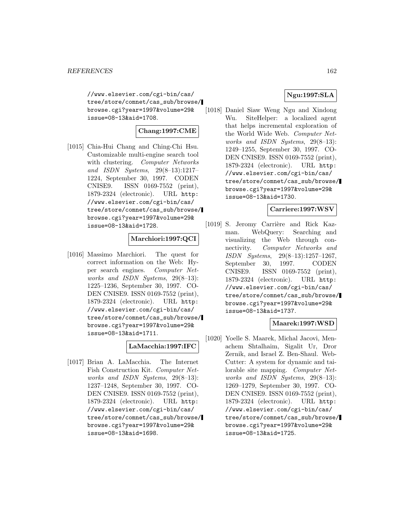//www.elsevier.com/cgi-bin/cas/ tree/store/comnet/cas\_sub/browse/ browse.cgi?year=1997&volume=29& issue=08-13&aid=1708.

# **Chang:1997:CME**

[1015] Chia-Hui Chang and Ching-Chi Hsu. Customizable multi-engine search tool with clustering. Computer Networks and ISDN Systems, 29(8–13):1217– 1224, September 30, 1997. CODEN CNISE9. ISSN 0169-7552 (print), 1879-2324 (electronic). URL http: //www.elsevier.com/cgi-bin/cas/ tree/store/comnet/cas\_sub/browse/ browse.cgi?year=1997&volume=29& issue=08-13&aid=1728.

# **Marchiori:1997:QCI**

[1016] Massimo Marchiori. The quest for correct information on the Web: Hyper search engines. Computer Networks and ISDN Systems, 29(8–13): 1225–1236, September 30, 1997. CO-DEN CNISE9. ISSN 0169-7552 (print), 1879-2324 (electronic). URL http: //www.elsevier.com/cgi-bin/cas/ tree/store/comnet/cas\_sub/browse/ browse.cgi?year=1997&volume=29& issue=08-13&aid=1711.

### **LaMacchia:1997:IFC**

[1017] Brian A. LaMacchia. The Internet Fish Construction Kit. Computer Networks and ISDN Systems, 29(8–13): 1237–1248, September 30, 1997. CO-DEN CNISE9. ISSN 0169-7552 (print), 1879-2324 (electronic). URL http: //www.elsevier.com/cgi-bin/cas/ tree/store/comnet/cas\_sub/browse/ browse.cgi?year=1997&volume=29& issue=08-13&aid=1698.

# **Ngu:1997:SLA**

[1018] Daniel Siaw Weng Ngu and Xindong Wu. SiteHelper: a localized agent that helps incremental exploration of the World Wide Web. Computer Networks and ISDN Systems, 29(8–13): 1249–1255, September 30, 1997. CO-DEN CNISE9. ISSN 0169-7552 (print), 1879-2324 (electronic). URL http: //www.elsevier.com/cgi-bin/cas/ tree/store/comnet/cas\_sub/browse/ browse.cgi?year=1997&volume=29& issue=08-13&aid=1730.

#### **Carriere:1997:WSV**

[1019] S. Jeromy Carrière and Rick Kazman. WebQuery: Searching and visualizing the Web through connectivity. Computer Networks and ISDN Systems, 29(8–13):1257–1267, September 30, 1997. CODEN CNISE9. ISSN 0169-7552 (print), 1879-2324 (electronic). URL http: //www.elsevier.com/cgi-bin/cas/ tree/store/comnet/cas\_sub/browse/ browse.cgi?year=1997&volume=29& issue=08-13&aid=1737.

### **Maarek:1997:WSD**

[1020] Yoelle S. Maarek, Michal Jacovi, Menachem Shtalhaim, Sigalit Ur, Dror Zernik, and Israel Z. Ben-Shaul. Web-Cutter: A system for dynamic and tailorable site mapping. Computer Networks and ISDN Systems, 29(8–13): 1269–1279, September 30, 1997. CO-DEN CNISE9. ISSN 0169-7552 (print), 1879-2324 (electronic). URL http: //www.elsevier.com/cgi-bin/cas/ tree/store/comnet/cas\_sub/browse/ browse.cgi?year=1997&volume=29& issue=08-13&aid=1725.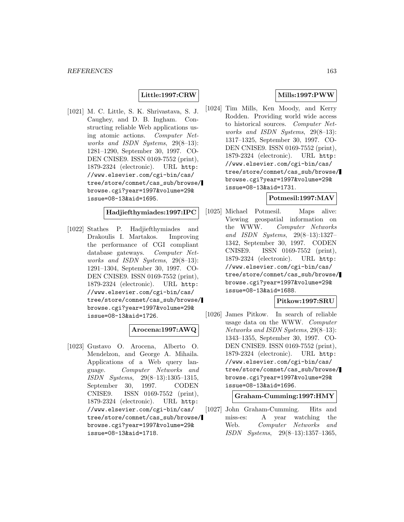### **Little:1997:CRW**

[1021] M. C. Little, S. K. Shrivastava, S. J. Caughey, and D. B. Ingham. Constructing reliable Web applications using atomic actions. Computer Networks and ISDN Systems, 29(8–13): 1281–1290, September 30, 1997. CO-DEN CNISE9. ISSN 0169-7552 (print), 1879-2324 (electronic). URL http: //www.elsevier.com/cgi-bin/cas/ tree/store/comnet/cas\_sub/browse/ browse.cgi?year=1997&volume=29& issue=08-13&aid=1695.

### **Hadjiefthymiades:1997:IPC**

[1022] Stathes P. Hadjiefthymiades and Drakoulis I. Martakos. Improving the performance of CGI compliant database gateways. Computer Networks and ISDN Systems, 29(8–13): 1291–1304, September 30, 1997. CO-DEN CNISE9. ISSN 0169-7552 (print), 1879-2324 (electronic). URL http: //www.elsevier.com/cgi-bin/cas/ tree/store/comnet/cas\_sub/browse/ browse.cgi?year=1997&volume=29& issue=08-13&aid=1726.

### **Arocena:1997:AWQ**

[1023] Gustavo O. Arocena, Alberto O. Mendelzon, and George A. Mihaila. Applications of a Web query language. Computer Networks and ISDN Systems, 29(8–13):1305–1315, September 30, 1997. CODEN CNISE9. ISSN 0169-7552 (print), 1879-2324 (electronic). URL http: //www.elsevier.com/cgi-bin/cas/ tree/store/comnet/cas\_sub/browse/ browse.cgi?year=1997&volume=29& issue=08-13&aid=1718.

### **Mills:1997:PWW**

[1024] Tim Mills, Ken Moody, and Kerry Rodden. Providing world wide access to historical sources. Computer Networks and ISDN Systems, 29(8–13): 1317–1325, September 30, 1997. CO-DEN CNISE9. ISSN 0169-7552 (print), 1879-2324 (electronic). URL http: //www.elsevier.com/cgi-bin/cas/ tree/store/comnet/cas\_sub/browse/ browse.cgi?year=1997&volume=29& issue=08-13&aid=1731.

### **Potmesil:1997:MAV**

[1025] Michael Potmesil. Maps alive: Viewing geospatial information on the WWW. Computer Networks and ISDN Systems, 29(8–13):1327– 1342, September 30, 1997. CODEN CNISE9. ISSN 0169-7552 (print), 1879-2324 (electronic). URL http: //www.elsevier.com/cgi-bin/cas/ tree/store/comnet/cas\_sub/browse/ browse.cgi?year=1997&volume=29& issue=08-13&aid=1688.

### **Pitkow:1997:SRU**

[1026] James Pitkow. In search of reliable usage data on the WWW. Computer Networks and ISDN Systems, 29(8–13): 1343–1355, September 30, 1997. CO-DEN CNISE9. ISSN 0169-7552 (print), 1879-2324 (electronic). URL http: //www.elsevier.com/cgi-bin/cas/ tree/store/comnet/cas\_sub/browse/ browse.cgi?year=1997&volume=29& issue=08-13&aid=1696.

**Graham-Cumming:1997:HMY**

[1027] John Graham-Cumming. Hits and miss-es: A year watching the Web. Computer Networks and ISDN Systems, 29(8–13):1357–1365,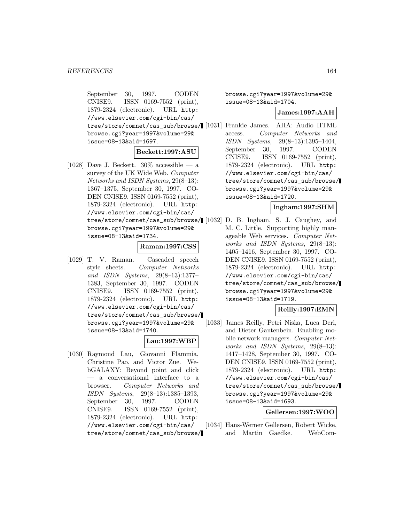September 30, 1997. CODEN CNISE9. ISSN 0169-7552 (print), 1879-2324 (electronic). URL http: //www.elsevier.com/cgi-bin/cas/ tree/store/comnet/cas\_sub/browse/ browse.cgi?year=1997&volume=29& issue=08-13&aid=1697.

### **Beckett:1997:ASU**

[1028] Dave J. Beckett.  $30\%$  accessible — a survey of the UK Wide Web. Computer Networks and ISDN Systems, 29(8–13): 1367–1375, September 30, 1997. CO-DEN CNISE9. ISSN 0169-7552 (print), 1879-2324 (electronic). URL http: //www.elsevier.com/cgi-bin/cas/ browse.cgi?year=1997&volume=29& issue=08-13&aid=1734.

### **Raman:1997:CSS**

[1029] T. V. Raman. Cascaded speech style sheets. Computer Networks and ISDN Systems, 29(8–13):1377– 1383, September 30, 1997. CODEN CNISE9. ISSN 0169-7552 (print), 1879-2324 (electronic). URL http: //www.elsevier.com/cgi-bin/cas/ tree/store/comnet/cas\_sub/browse/ browse.cgi?year=1997&volume=29& issue=08-13&aid=1740.

#### **Lau:1997:WBP**

[1030] Raymond Lau, Giovanni Flammia, Christine Pao, and Victor Zue. WebGALAXY: Beyond point and click — a conversational interface to a browser. Computer Networks and ISDN Systems, 29(8–13):1385–1393, September 30, 1997. CODEN CNISE9. ISSN 0169-7552 (print), 1879-2324 (electronic). URL http: //www.elsevier.com/cgi-bin/cas/ tree/store/comnet/cas\_sub/browse/ browse.cgi?year=1997&volume=29& issue=08-13&aid=1704.

#### **James:1997:AAH**

[1031] Frankie James. AHA: Audio HTML access. Computer Networks and ISDN Systems, 29(8–13):1395–1404, September 30, 1997. CODEN CNISE9. ISSN 0169-7552 (print), 1879-2324 (electronic). URL http: //www.elsevier.com/cgi-bin/cas/ tree/store/comnet/cas\_sub/browse/ browse.cgi?year=1997&volume=29& issue=08-13&aid=1720.

# **Ingham:1997:SHM**

tree/store/comnet/cas\_sub/browse/ [1032] D. B. Ingham, S. J. Caughey, and M. C. Little. Supporting highly manageable Web services. Computer Networks and ISDN Systems, 29(8–13): 1405–1416, September 30, 1997. CO-DEN CNISE9. ISSN 0169-7552 (print), 1879-2324 (electronic). URL http: //www.elsevier.com/cgi-bin/cas/ tree/store/comnet/cas\_sub/browse/ browse.cgi?year=1997&volume=29& issue=08-13&aid=1719.

#### **Reilly:1997:EMN**

[1033] James Reilly, Petri Niska, Luca Deri, and Dieter Gantenbein. Enabling mobile network managers. Computer Networks and ISDN Systems, 29(8–13): 1417–1428, September 30, 1997. CO-DEN CNISE9. ISSN 0169-7552 (print), 1879-2324 (electronic). URL http: //www.elsevier.com/cgi-bin/cas/ tree/store/comnet/cas\_sub/browse/ browse.cgi?year=1997&volume=29& issue=08-13&aid=1693.

#### **Gellersen:1997:WOO**

[1034] Hans-Werner Gellersen, Robert Wicke, and Martin Gaedke. WebCom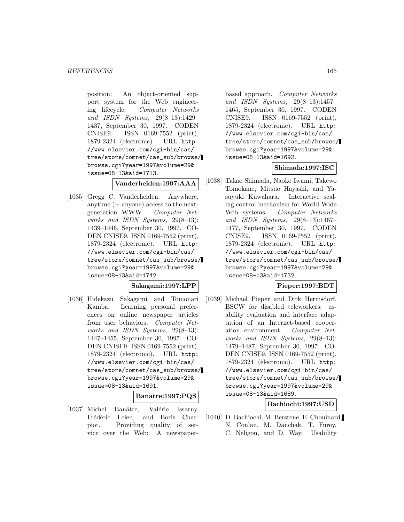position: An object-oriented support system for the Web engineering lifecycle. Computer Networks and ISDN Systems, 29(8–13):1429– 1437, September 30, 1997. CODEN CNISE9. ISSN 0169-7552 (print), 1879-2324 (electronic). URL http: //www.elsevier.com/cgi-bin/cas/ tree/store/comnet/cas\_sub/browse/ browse.cgi?year=1997&volume=29& issue=08-13&aid=1713.

# **Vanderheiden:1997:AAA**

[1035] Gregg C. Vanderheiden. Anywhere, anytime (+ anyone) access to the nextgeneration WWW. Computer Networks and ISDN Systems, 29(8–13): 1439–1446, September 30, 1997. CO-DEN CNISE9. ISSN 0169-7552 (print), 1879-2324 (electronic). URL http: //www.elsevier.com/cgi-bin/cas/ tree/store/comnet/cas\_sub/browse/ browse.cgi?year=1997&volume=29& issue=08-13&aid=1742.

### **Sakagami:1997:LPP**

[1036] Hidekazu Sakagami and Tomonari Kamba. Learning personal preferences on online newspaper articles from user behaviors. Computer Networks and ISDN Systems, 29(8–13): 1447–1455, September 30, 1997. CO-DEN CNISE9. ISSN 0169-7552 (print), 1879-2324 (electronic). URL http: //www.elsevier.com/cgi-bin/cas/ tree/store/comnet/cas\_sub/browse/ browse.cgi?year=1997&volume=29& issue=08-13&aid=1691.

#### **Banatre:1997:PQS**

[1037] Michel Banâtre, Valérie Issarny, Frédéric Leleu, and Boris Charpiot. Providing quality of service over the Web: A newspaper-

based approach. Computer Networks and ISDN Systems, 29(8–13):1457– 1465, September 30, 1997. CODEN CNISE9. ISSN 0169-7552 (print), 1879-2324 (electronic). URL http: //www.elsevier.com/cgi-bin/cas/ tree/store/comnet/cas\_sub/browse/ browse.cgi?year=1997&volume=29& issue=08-13&aid=1692.

#### **Shimada:1997:ISC**

[1038] Takao Shimada, Naoko Iwami, Takewo Tomokane, Mitsuo Hayashi, and Yasuyuki Kuwahara. Interactive scaling control mechanism for World-Wide Web systems. Computer Networks and ISDN Systems, 29(8–13):1467– 1477, September 30, 1997. CODEN CNISE9. ISSN 0169-7552 (print), 1879-2324 (electronic). URL http: //www.elsevier.com/cgi-bin/cas/ tree/store/comnet/cas\_sub/browse/ browse.cgi?year=1997&volume=29& issue=08-13&aid=1732.

# **Pieper:1997:BDT**

[1039] Michael Pieper and Dirk Hermsdorf. BSCW for disabled teleworkers: usability evaluation and interface adaptation of an Internet-based cooperation environment. Computer Networks and ISDN Systems, 29(8–13): 1479–1487, September 30, 1997. CO-DEN CNISE9. ISSN 0169-7552 (print), 1879-2324 (electronic). URL http: //www.elsevier.com/cgi-bin/cas/ tree/store/comnet/cas\_sub/browse/ browse.cgi?year=1997&volume=29& issue=08-13&aid=1689.

## **Bachiochi:1997:USD**

[1040] D. Bachiochi, M. Berstene, E. Chouinard, N. Conlan, M. Danchak, T. Furey, C. Neligon, and D. Way. Usability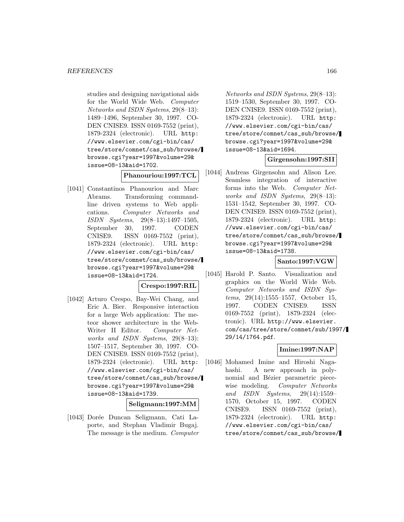studies and designing navigational aids for the World Wide Web. Computer Networks and ISDN Systems, 29(8–13): 1489–1496, September 30, 1997. CO-DEN CNISE9. ISSN 0169-7552 (print), 1879-2324 (electronic). URL http: //www.elsevier.com/cgi-bin/cas/ tree/store/comnet/cas\_sub/browse/ browse.cgi?year=1997&volume=29& issue=08-13&aid=1702.

#### **Phanouriou:1997:TCL**

[1041] Constantinos Phanouriou and Marc Abrams. Transforming commandline driven systems to Web applications. Computer Networks and ISDN Systems, 29(8–13):1497–1505, September 30, 1997. CODEN CNISE9. ISSN 0169-7552 (print), 1879-2324 (electronic). URL http: //www.elsevier.com/cgi-bin/cas/ tree/store/comnet/cas\_sub/browse/ browse.cgi?year=1997&volume=29& issue=08-13&aid=1724.

# **Crespo:1997:RIL**

[1042] Arturo Crespo, Bay-Wei Chang, and Eric A. Bier. Responsive interaction for a large Web application: The meteor shower architecture in the Web-Writer II Editor. Computer Networks and ISDN Systems, 29(8–13): 1507–1517, September 30, 1997. CO-DEN CNISE9. ISSN 0169-7552 (print), 1879-2324 (electronic). URL http: //www.elsevier.com/cgi-bin/cas/ tree/store/comnet/cas\_sub/browse/ browse.cgi?year=1997&volume=29& issue=08-13&aid=1739.

#### **Seligmann:1997:MM**

[1043] Dorée Duncan Seligmann, Cati Laporte, and Stephan Vladimir Bugaj. The message is the medium. Computer

Networks and ISDN Systems, 29(8–13): 1519–1530, September 30, 1997. CO-DEN CNISE9. ISSN 0169-7552 (print), 1879-2324 (electronic). URL http: //www.elsevier.com/cgi-bin/cas/ tree/store/comnet/cas\_sub/browse/ browse.cgi?year=1997&volume=29& issue=08-13&aid=1694.

#### **Girgensohn:1997:SII**

[1044] Andreas Girgensohn and Alison Lee. Seamless integration of interactive forms into the Web. Computer Networks and ISDN Systems, 29(8–13): 1531–1542, September 30, 1997. CO-DEN CNISE9. ISSN 0169-7552 (print), 1879-2324 (electronic). URL http: //www.elsevier.com/cgi-bin/cas/ tree/store/comnet/cas\_sub/browse/ browse.cgi?year=1997&volume=29& issue=08-13&aid=1738.

#### **Santo:1997:VGW**

[1045] Harold P. Santo. Visualization and graphics on the World Wide Web. Computer Networks and ISDN Systems, 29(14):1555–1557, October 15, 1997. CODEN CNISE9. ISSN 0169-7552 (print), 1879-2324 (electronic). URL http://www.elsevier. com/cas/tree/store/comnet/sub/1997/ 29/14/1764.pdf.

### **Imine:1997:NAP**

[1046] Mohamed Imine and Hiroshi Nagahashi. A new approach in polynomial and Bézier parametric piecewise modeling. Computer Networks and ISDN Systems, 29(14):1559– 1570, October 15, 1997. CODEN CNISE9. ISSN 0169-7552 (print), 1879-2324 (electronic). URL http: //www.elsevier.com/cgi-bin/cas/ tree/store/comnet/cas\_sub/browse/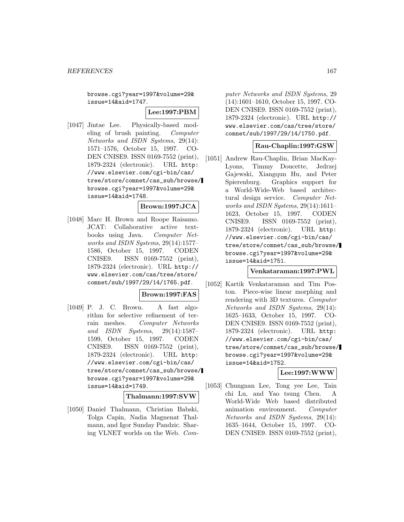browse.cgi?year=1997&volume=29& issue=14&aid=1747.

### **Lee:1997:PBM**

[1047] Jintae Lee. Physically-based modeling of brush painting. Computer Networks and ISDN Systems, 29(14): 1571–1576, October 15, 1997. CO-DEN CNISE9. ISSN 0169-7552 (print), 1879-2324 (electronic). URL http: //www.elsevier.com/cgi-bin/cas/ tree/store/comnet/cas\_sub/browse/ browse.cgi?year=1997&volume=29& issue=14&aid=1748.

### **Brown:1997:JCA**

[1048] Marc H. Brown and Roope Raisamo. JCAT: Collaborative active textbooks using Java. Computer Networks and ISDN Systems, 29(14):1577– 1586, October 15, 1997. CODEN CNISE9. ISSN 0169-7552 (print), 1879-2324 (electronic). URL http:// www.elsevier.com/cas/tree/store/ comnet/sub/1997/29/14/1765.pdf.

### **Brown:1997:FAS**

[1049] P. J. C. Brown. A fast algorithm for selective refinement of terrain meshes. Computer Networks and ISDN Systems, 29(14):1587– 1599, October 15, 1997. CODEN CNISE9. ISSN 0169-7552 (print), 1879-2324 (electronic). URL http: //www.elsevier.com/cgi-bin/cas/ tree/store/comnet/cas\_sub/browse/ browse.cgi?year=1997&volume=29& issue=14&aid=1749.

#### **Thalmann:1997:SVW**

[1050] Daniel Thalmann, Christian Babski, Tolga Capin, Nadia Magnenat Thalmann, and Igor Sunday Pandzic. Sharing VLNET worlds on the Web. Com-

puter Networks and ISDN Systems, 29 (14):1601–1610, October 15, 1997. CO-DEN CNISE9. ISSN 0169-7552 (print), 1879-2324 (electronic). URL http:// www.elsevier.com/cas/tree/store/ comnet/sub/1997/29/14/1750.pdf.

### **Rau-Chaplin:1997:GSW**

[1051] Andrew Rau-Chaplin, Brian MacKay-Lyons, Timmy Doucette, Jedrzej Gajewski, Xiangqun Hu, and Peter Spierenburg. Graphics support for a World-Wide-Web based architectural design service. Computer Networks and ISDN Systems, 29(14):1611– 1623, October 15, 1997. CODEN CNISE9. ISSN 0169-7552 (print), 1879-2324 (electronic). URL http: //www.elsevier.com/cgi-bin/cas/ tree/store/comnet/cas\_sub/browse/ browse.cgi?year=1997&volume=29& issue=14&aid=1751.

### **Venkataraman:1997:PWL**

[1052] Kartik Venkataraman and Tim Poston. Piece-wise linear morphing and rendering with 3D textures. Computer Networks and ISDN Systems, 29(14): 1625–1633, October 15, 1997. CO-DEN CNISE9. ISSN 0169-7552 (print), 1879-2324 (electronic). URL http: //www.elsevier.com/cgi-bin/cas/ tree/store/comnet/cas\_sub/browse/ browse.cgi?year=1997&volume=29& issue=14&aid=1752.

### **Lee:1997:WWW**

[1053] Chungnan Lee, Tong yee Lee, Tain chi Lu, and Yao tsung Chen. A World-Wide Web based distributed animation environment. Computer Networks and ISDN Systems, 29(14): 1635–1644, October 15, 1997. CO-DEN CNISE9. ISSN 0169-7552 (print),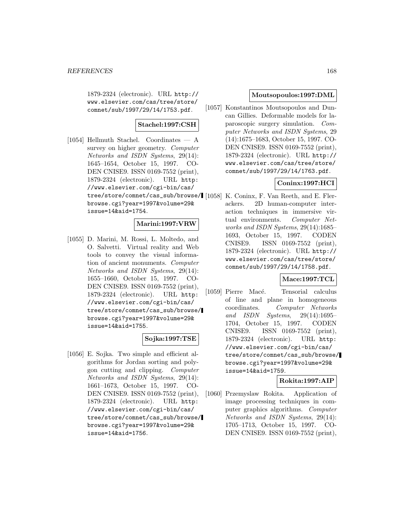1879-2324 (electronic). URL http:// www.elsevier.com/cas/tree/store/ comnet/sub/1997/29/14/1753.pdf.

# **Stachel:1997:CSH**

[1054] Hellmuth Stachel. Coordinates — A survey on higher geometry. Computer Networks and ISDN Systems, 29(14): 1645–1654, October 15, 1997. CO-DEN CNISE9. ISSN 0169-7552 (print), 1879-2324 (electronic). URL http: //www.elsevier.com/cgi-bin/cas/ tree/store/comnet/cas\_sub/browse/ [1058] K. Coninx, F. Van Reeth, and E. Flerbrowse.cgi?year=1997&volume=29& issue=14&aid=1754.

#### **Marini:1997:VRW**

[1055] D. Marini, M. Rossi, L. Moltedo, and O. Salvetti. Virtual reality and Web tools to convey the visual information of ancient monuments. Computer Networks and ISDN Systems, 29(14): 1655–1660, October 15, 1997. CO-DEN CNISE9. ISSN 0169-7552 (print), 1879-2324 (electronic). URL http: //www.elsevier.com/cgi-bin/cas/ tree/store/comnet/cas\_sub/browse/ browse.cgi?year=1997&volume=29& issue=14&aid=1755.

#### **Sojka:1997:TSE**

[1056] E. Sojka. Two simple and efficient algorithms for Jordan sorting and polygon cutting and clipping. Computer Networks and ISDN Systems, 29(14): 1661–1673, October 15, 1997. CO-DEN CNISE9. ISSN 0169-7552 (print), 1879-2324 (electronic). URL http: //www.elsevier.com/cgi-bin/cas/ tree/store/comnet/cas\_sub/browse/ browse.cgi?year=1997&volume=29& issue=14&aid=1756.

### **Moutsopoulos:1997:DML**

[1057] Konstantinos Moutsopoulos and Duncan Gillies. Deformable models for laparoscopic surgery simulation. Computer Networks and ISDN Systems, 29 (14):1675–1683, October 15, 1997. CO-DEN CNISE9. ISSN 0169-7552 (print), 1879-2324 (electronic). URL http:// www.elsevier.com/cas/tree/store/ comnet/sub/1997/29/14/1763.pdf.

# **Coninx:1997:HCI**

ackers. 2D human-computer interaction techniques in immersive virtual environments. Computer Networks and ISDN Systems, 29(14):1685– 1693, October 15, 1997. CODEN CNISE9. ISSN 0169-7552 (print), 1879-2324 (electronic). URL http:// www.elsevier.com/cas/tree/store/ comnet/sub/1997/29/14/1758.pdf.

# **Mace:1997:TCL**

[1059] Pierre Macé. Tensorial calculus of line and plane in homogeneous coordinates. Computer Networks and ISDN Systems, 29(14):1695– 1704, October 15, 1997. CODEN CNISE9. ISSN 0169-7552 (print), 1879-2324 (electronic). URL http: //www.elsevier.com/cgi-bin/cas/ tree/store/comnet/cas\_sub/browse/ browse.cgi?year=1997&volume=29& issue=14&aid=1759.

# **Rokita:1997:AIP**

[1060] Przemyslaw Rokita. Application of image processing techniques in computer graphics algorithms. Computer Networks and ISDN Systems, 29(14): 1705–1713, October 15, 1997. CO-DEN CNISE9. ISSN 0169-7552 (print),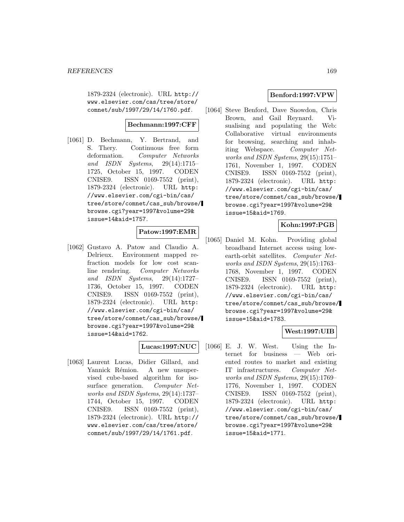1879-2324 (electronic). URL http:// www.elsevier.com/cas/tree/store/ comnet/sub/1997/29/14/1760.pdf.

## **Bechmann:1997:CFF**

[1061] D. Bechmann, Y. Bertrand, and S. Thery. Continuous free form deformation. Computer Networks and ISDN Systems, 29(14):1715– 1725, October 15, 1997. CODEN CNISE9. ISSN 0169-7552 (print), 1879-2324 (electronic). URL http: //www.elsevier.com/cgi-bin/cas/ tree/store/comnet/cas\_sub/browse/ browse.cgi?year=1997&volume=29& issue=14&aid=1757.

# **Patow:1997:EMR**

[1062] Gustavo A. Patow and Claudio A. Delrieux. Environment mapped refraction models for low cost scanline rendering. Computer Networks and ISDN Systems, 29(14):1727– 1736, October 15, 1997. CODEN CNISE9. ISSN 0169-7552 (print), 1879-2324 (electronic). URL http: //www.elsevier.com/cgi-bin/cas/ tree/store/comnet/cas\_sub/browse/ browse.cgi?year=1997&volume=29& issue=14&aid=1762.

### **Lucas:1997:NUC**

[1063] Laurent Lucas, Didier Gillard, and Yannick Rémion. A new unsupervised cube-based algorithm for isosurface generation. Computer Networks and ISDN Systems, 29(14):1737– 1744, October 15, 1997. CODEN CNISE9. ISSN 0169-7552 (print), 1879-2324 (electronic). URL http:// www.elsevier.com/cas/tree/store/ comnet/sub/1997/29/14/1761.pdf.

### **Benford:1997:VPW**

[1064] Steve Benford, Dave Snowdon, Chris Brown, and Gail Reynard. Visualising and populating the Web: Collaborative virtual environments for browsing, searching and inhabiting Webspace. Computer Networks and ISDN Systems, 29(15):1751– 1761, November 1, 1997. CODEN CNISE9. ISSN 0169-7552 (print), 1879-2324 (electronic). URL http: //www.elsevier.com/cgi-bin/cas/ tree/store/comnet/cas\_sub/browse/ browse.cgi?year=1997&volume=29& issue=15&aid=1769.

## **Kohn:1997:PGB**

[1065] Daniel M. Kohn. Providing global broadband Internet access using lowearth-orbit satellites. Computer Networks and ISDN Systems, 29(15):1763– 1768, November 1, 1997. CODEN CNISE9. ISSN 0169-7552 (print), 1879-2324 (electronic). URL http: //www.elsevier.com/cgi-bin/cas/ tree/store/comnet/cas\_sub/browse/ browse.cgi?year=1997&volume=29& issue=15&aid=1783.

### **West:1997:UIB**

[1066] E. J. W. West. Using the Internet for business — Web oriented routes to market and existing IT infrastructures. Computer Networks and ISDN Systems, 29(15):1769– 1776, November 1, 1997. CODEN CNISE9. ISSN 0169-7552 (print), 1879-2324 (electronic). URL http: //www.elsevier.com/cgi-bin/cas/ tree/store/comnet/cas\_sub/browse/ browse.cgi?year=1997&volume=29& issue=15&aid=1771.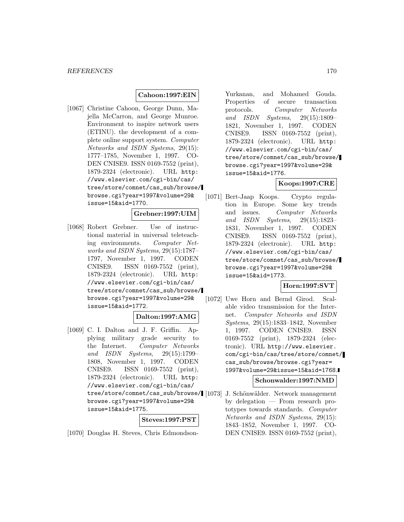## **Cahoon:1997:EIN**

[1067] Christine Cahoon, George Dunn, Majella McCarron, and George Munroe. Environment to inspire network users (ETINU). the development of a complete online support system. Computer Networks and ISDN Systems, 29(15): 1777–1785, November 1, 1997. CO-DEN CNISE9. ISSN 0169-7552 (print), 1879-2324 (electronic). URL http: //www.elsevier.com/cgi-bin/cas/ tree/store/comnet/cas\_sub/browse/ browse.cgi?year=1997&volume=29& issue=15&aid=1770.

## **Grebner:1997:UIM**

[1068] Robert Grebner. Use of instructional material in universal teleteaching environments. Computer Networks and ISDN Systems, 29(15):1787– 1797, November 1, 1997. CODEN CNISE9. ISSN 0169-7552 (print), 1879-2324 (electronic). URL http: //www.elsevier.com/cgi-bin/cas/ tree/store/comnet/cas\_sub/browse/ browse.cgi?year=1997&volume=29& issue=15&aid=1772.

#### **Dalton:1997:AMG**

[1069] C. I. Dalton and J. F. Griffin. Applying military grade security to the Internet. Computer Networks and ISDN Systems, 29(15):1799– 1808, November 1, 1997. CODEN CNISE9. ISSN 0169-7552 (print), 1879-2324 (electronic). URL http: //www.elsevier.com/cgi-bin/cas/ tree/store/comnet/cas\_sub/browse/ browse.cgi?year=1997&volume=29& issue=15&aid=1775.

**Steves:1997:PST**

[1070] Douglas H. Steves, Chris Edmondson-

Yurkanan, and Mohamed Gouda. Properties of secure transaction protocols. Computer Networks and ISDN Systems, 29(15):1809– 1821, November 1, 1997. CODEN CNISE9. ISSN 0169-7552 (print), 1879-2324 (electronic). URL http: //www.elsevier.com/cgi-bin/cas/ tree/store/comnet/cas\_sub/browse/ browse.cgi?year=1997&volume=29& issue=15&aid=1776.

# **Koops:1997:CRE**

[1071] Bert-Jaap Koops. Crypto regulation in Europe. Some key trends and issues. Computer Networks and ISDN Systems, 29(15):1823– 1831, November 1, 1997. CODEN CNISE9. ISSN 0169-7552 (print), 1879-2324 (electronic). URL http: //www.elsevier.com/cgi-bin/cas/ tree/store/comnet/cas\_sub/browse/ browse.cgi?year=1997&volume=29& issue=15&aid=1773.

### **Horn:1997:SVT**

[1072] Uwe Horn and Bernd Girod. Scalable video transmission for the Internet. Computer Networks and ISDN Systems, 29(15):1833–1842, November 1, 1997. CODEN CNISE9. ISSN 0169-7552 (print), 1879-2324 (electronic). URL http://www.elsevier. com/cgi-bin/cas/tree/store/comnet/ cas\_sub/browse/browse.cgi?year= 1997&volume=29&issue=15&aid=1768.

### **Schonwalder:1997:NMD**

J. Schönwälder. Network management by delegation — From research prototypes towards standards. Computer Networks and ISDN Systems, 29(15): 1843–1852, November 1, 1997. CO-DEN CNISE9. ISSN 0169-7552 (print),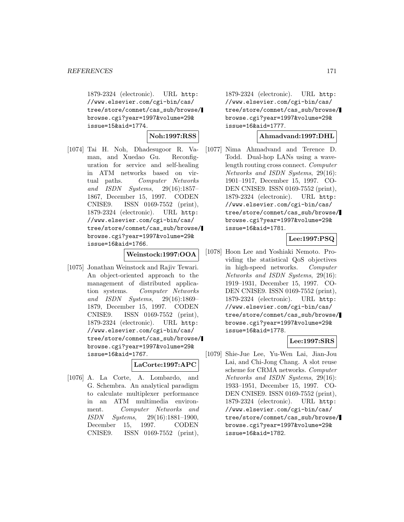1879-2324 (electronic). URL http: //www.elsevier.com/cgi-bin/cas/ tree/store/comnet/cas\_sub/browse/ browse.cgi?year=1997&volume=29& issue=15&aid=1774.

**Noh:1997:RSS**

[1074] Tai H. Noh, Dhadesugoor R. Vaman, and Xuedao Gu. Reconfiguration for service and self-healing in ATM networks based on virtual paths. Computer Networks and ISDN Systems, 29(16):1857– 1867, December 15, 1997. CODEN CNISE9. ISSN 0169-7552 (print), 1879-2324 (electronic). URL http: //www.elsevier.com/cgi-bin/cas/ tree/store/comnet/cas\_sub/browse/ browse.cgi?year=1997&volume=29& issue=16&aid=1766.

#### **Weinstock:1997:OOA**

[1075] Jonathan Weinstock and Rajiv Tewari. An object-oriented approach to the management of distributed application systems. Computer Networks and ISDN Systems, 29(16):1869– 1879, December 15, 1997. CODEN CNISE9. ISSN 0169-7552 (print), 1879-2324 (electronic). URL http: //www.elsevier.com/cgi-bin/cas/ tree/store/comnet/cas\_sub/browse/ browse.cgi?year=1997&volume=29& issue=16&aid=1767.

### **LaCorte:1997:APC**

[1076] A. La Corte, A. Lombardo, and G. Schembra. An analytical paradigm to calculate multiplexer performance in an ATM multimedia environment. Computer Networks and ISDN Systems, 29(16):1881–1900, December 15, 1997. CODEN CNISE9. ISSN 0169-7552 (print),

1879-2324 (electronic). URL http: //www.elsevier.com/cgi-bin/cas/ tree/store/comnet/cas\_sub/browse/ browse.cgi?year=1997&volume=29& issue=16&aid=1777.

#### **Ahmadvand:1997:DHL**

[1077] Nima Ahmadvand and Terence D. Todd. Dual-hop LANs using a wavelength routing cross connect. Computer Networks and ISDN Systems, 29(16): 1901–1917, December 15, 1997. CO-DEN CNISE9. ISSN 0169-7552 (print), 1879-2324 (electronic). URL http: //www.elsevier.com/cgi-bin/cas/ tree/store/comnet/cas\_sub/browse/ browse.cgi?year=1997&volume=29& issue=16&aid=1781.

# **Lee:1997:PSQ**

[1078] Hoon Lee and Yoshiaki Nemoto. Providing the statistical QoS objectives in high-speed networks. Computer Networks and ISDN Systems, 29(16): 1919–1931, December 15, 1997. CO-DEN CNISE9. ISSN 0169-7552 (print), 1879-2324 (electronic). URL http: //www.elsevier.com/cgi-bin/cas/ tree/store/comnet/cas\_sub/browse/ browse.cgi?year=1997&volume=29& issue=16&aid=1778.

### **Lee:1997:SRS**

[1079] Shie-Jue Lee, Yu-Wen Lai, Jian-Jou Lai, and Chi-Jong Chang. A slot reuse scheme for CRMA networks. Computer Networks and ISDN Systems, 29(16): 1933–1951, December 15, 1997. CO-DEN CNISE9. ISSN 0169-7552 (print), 1879-2324 (electronic). URL http: //www.elsevier.com/cgi-bin/cas/ tree/store/comnet/cas\_sub/browse/ browse.cgi?year=1997&volume=29& issue=16&aid=1782.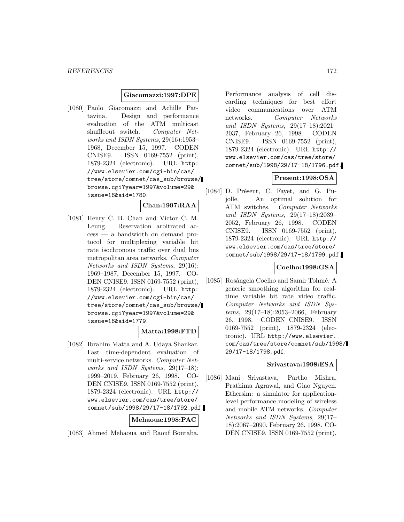#### **Giacomazzi:1997:DPE**

[1080] Paolo Giacomazzi and Achille Pattavina. Design and performance evaluation of the ATM multicast shuffleout switch. Computer Networks and ISDN Systems, 29(16):1953– 1968, December 15, 1997. CODEN CNISE9. ISSN 0169-7552 (print), 1879-2324 (electronic). URL http: //www.elsevier.com/cgi-bin/cas/ tree/store/comnet/cas\_sub/browse/ browse.cgi?year=1997&volume=29& issue=16&aid=1780.

# **Chan:1997:RAA**

[1081] Henry C. B. Chan and Victor C. M. Leung. Reservation arbitrated access — a bandwidth on demand protocol for multiplexing variable bit rate isochronous traffic over dual bus metropolitan area networks. Computer Networks and ISDN Systems, 29(16): 1969–1987, December 15, 1997. CO-DEN CNISE9. ISSN 0169-7552 (print), 1879-2324 (electronic). URL http: //www.elsevier.com/cgi-bin/cas/ tree/store/comnet/cas\_sub/browse/ browse.cgi?year=1997&volume=29& issue=16&aid=1779.

### **Matta:1998:FTD**

[1082] Ibrahim Matta and A. Udaya Shankar. Fast time-dependent evaluation of multi-service networks. Computer Networks and ISDN Systems, 29(17–18): 1999–2019, February 26, 1998. CO-DEN CNISE9. ISSN 0169-7552 (print), 1879-2324 (electronic). URL http:// www.elsevier.com/cas/tree/store/ comnet/sub/1998/29/17-18/1792.pdf.

### **Mehaoua:1998:PAC**

[1083] Ahmed Mehaoua and Raouf Boutaba.

Performance analysis of cell discarding techniques for best effort video communications over ATM networks. Computer Networks and ISDN Systems, 29(17–18):2021– 2037, February 26, 1998. CODEN CNISE9. ISSN 0169-7552 (print), 1879-2324 (electronic). URL http:// www.elsevier.com/cas/tree/store/ comnet/sub/1998/29/17-18/1796.pdf.

### **Present:1998:OSA**

[1084] D. Présent, C. Fayet, and G. Pujolle. An optimal solution for ATM switches. Computer Networks and ISDN Systems, 29(17–18):2039– 2052, February 26, 1998. CODEN CNISE9. ISSN 0169-7552 (print), 1879-2324 (electronic). URL http:// www.elsevier.com/cas/tree/store/ comnet/sub/1998/29/17-18/1799.pdf.

#### **Coelho:1998:GSA**

[1085] Rosângela Coelho and Samir Tohmé. A generic smoothing algorithm for realtime variable bit rate video traffic. Computer Networks and ISDN Systems, 29(17–18):2053–2066, February 26, 1998. CODEN CNISE9. ISSN 0169-7552 (print), 1879-2324 (electronic). URL http://www.elsevier. com/cas/tree/store/comnet/sub/1998/ 29/17-18/1798.pdf.

#### **Srivastava:1998:ESA**

[1086] Mani Srivastava, Partho Mishra, Prathima Agrawal, and Giao Nguyen. Ethersim: a simulator for applicationlevel performance modeling of wireless and mobile ATM networks. Computer Networks and ISDN Systems, 29(17– 18):2067–2090, February 26, 1998. CO-DEN CNISE9. ISSN 0169-7552 (print),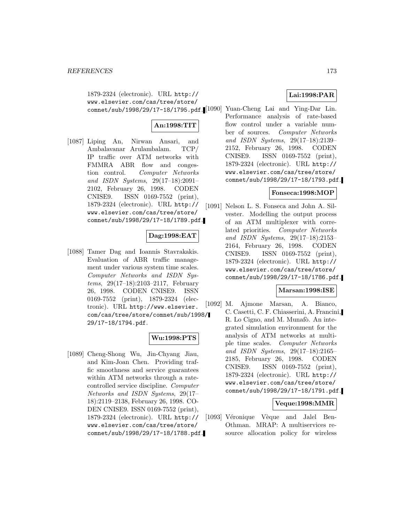1879-2324 (electronic). URL http:// www.elsevier.com/cas/tree/store/

# **An:1998:TIT**

[1087] Liping An, Nirwan Ansari, and Ambalavanar Arulambalam. TCP/ IP traffic over ATM networks with FMMRA ABR flow and congestion control. Computer Networks and ISDN Systems, 29(17–18):2091– 2102, February 26, 1998. CODEN CNISE9. ISSN 0169-7552 (print), 1879-2324 (electronic). URL http:// www.elsevier.com/cas/tree/store/ comnet/sub/1998/29/17-18/1789.pdf.

# **Dag:1998:EAT**

[1088] Tamer Dag and Ioannis Stavrakakis. Evaluation of ABR traffic management under various system time scales. Computer Networks and ISDN Systems, 29(17–18):2103–2117, February 26, 1998. CODEN CNISE9. ISSN 0169-7552 (print), 1879-2324 (electronic). URL http://www.elsevier. com/cas/tree/store/comnet/sub/1998/ 29/17-18/1794.pdf.

## **Wu:1998:PTS**

[1089] Cheng-Shong Wu, Jin-Chyang Jiau, and Kim-Joan Chen. Providing traffic smoothness and service guarantees within ATM networks through a ratecontrolled service discipline. Computer Networks and ISDN Systems, 29(17– 18):2119–2138, February 26, 1998. CO-DEN CNISE9. ISSN 0169-7552 (print), 1879-2324 (electronic). URL http:// www.elsevier.com/cas/tree/store/ comnet/sub/1998/29/17-18/1788.pdf.

# **Lai:1998:PAR**

comnet/sub/1998/29/17-18/1795.pdf. [1090] Yuan-Cheng Lai and Ying-Dar Lin. Performance analysis of rate-based flow control under a variable number of sources. Computer Networks and ISDN Systems, 29(17–18):2139– 2152, February 26, 1998. CODEN CNISE9. ISSN 0169-7552 (print), 1879-2324 (electronic). URL http:// www.elsevier.com/cas/tree/store/ comnet/sub/1998/29/17-18/1793.pdf.

### **Fonseca:1998:MOP**

[1091] Nelson L. S. Fonseca and John A. Silvester. Modelling the output process of an ATM multiplexer with correlated priorities. Computer Networks and ISDN Systems, 29(17–18):2153– 2164, February 26, 1998. CODEN CNISE9. ISSN 0169-7552 (print), 1879-2324 (electronic). URL http:// www.elsevier.com/cas/tree/store/ comnet/sub/1998/29/17-18/1786.pdf.

### **Marsan:1998:ISE**

[1092] M. Ajmone Marsan, A. Bianco, C. Casetti, C. F. Chiasserini, A. Francini, R. Lo Cigno, and M. Munafò. An integrated simulation environment for the analysis of ATM networks at multiple time scales. Computer Networks and ISDN Systems, 29(17–18):2165– 2185, February 26, 1998. CODEN CNISE9. ISSN 0169-7552 (print), 1879-2324 (electronic). URL http:// www.elsevier.com/cas/tree/store/ comnet/sub/1998/29/17-18/1791.pdf.

#### **Veque:1998:MMR**

[1093] Véronique Vèque and Jalel Ben-Othman. MRAP: A multiservices resource allocation policy for wireless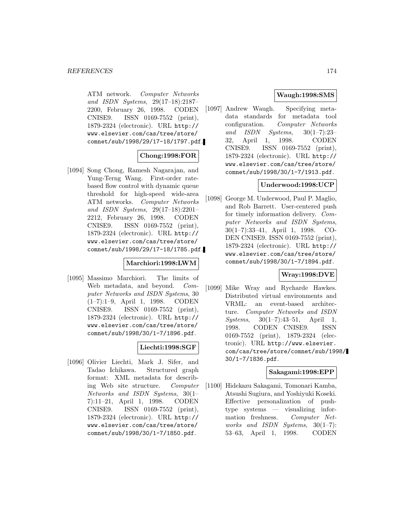ATM network. Computer Networks and ISDN Systems, 29(17–18):2187– 2200, February 26, 1998. CODEN CNISE9. ISSN 0169-7552 (print), 1879-2324 (electronic). URL http:// www.elsevier.com/cas/tree/store/ comnet/sub/1998/29/17-18/1797.pdf.

# **Chong:1998:FOR**

[1094] Song Chong, Ramesh Nagarajan, and Yung-Terng Wang. First-order ratebased flow control with dynamic queue threshold for high-speed wide-area ATM networks. Computer Networks and ISDN Systems, 29(17–18):2201– 2212, February 26, 1998. CODEN CNISE9. ISSN 0169-7552 (print), 1879-2324 (electronic). URL http:// www.elsevier.com/cas/tree/store/ comnet/sub/1998/29/17-18/1785.pdf.

# **Marchiori:1998:LWM**

[1095] Massimo Marchiori. The limits of Web metadata, and beyond. *Com*puter Networks and ISDN Systems, 30 (1–7):1–9, April 1, 1998. CODEN CNISE9. ISSN 0169-7552 (print), 1879-2324 (electronic). URL http:// www.elsevier.com/cas/tree/store/ comnet/sub/1998/30/1-7/1896.pdf.

# **Liechti:1998:SGF**

[1096] Olivier Liechti, Mark J. Sifer, and Tadao Ichikawa. Structured graph format: XML metadata for describing Web site structure. Computer Networks and ISDN Systems, 30(1– 7):11–21, April 1, 1998. CODEN CNISE9. ISSN 0169-7552 (print), 1879-2324 (electronic). URL http:// www.elsevier.com/cas/tree/store/ comnet/sub/1998/30/1-7/1850.pdf.

# **Waugh:1998:SMS**

[1097] Andrew Waugh. Specifying metadata standards for metadata tool configuration. Computer Networks and ISDN Systems, 30(1–7):23– 32, April 1, 1998. CODEN CNISE9. ISSN 0169-7552 (print), 1879-2324 (electronic). URL http:// www.elsevier.com/cas/tree/store/ comnet/sub/1998/30/1-7/1913.pdf.

## **Underwood:1998:UCP**

[1098] George M. Underwood, Paul P. Maglio, and Rob Barrett. User-centered push for timely information delivery. Computer Networks and ISDN Systems, 30(1–7):33–41, April 1, 1998. CO-DEN CNISE9. ISSN 0169-7552 (print), 1879-2324 (electronic). URL http:// www.elsevier.com/cas/tree/store/ comnet/sub/1998/30/1-7/1894.pdf.

# **Wray:1998:DVE**

[1099] Mike Wray and Rycharde Hawkes. Distributed virtual environments and VRML: an event-based architecture. Computer Networks and ISDN  $Systems, 30(1-7):43-51, April 1,$ 1998. CODEN CNISE9. ISSN 0169-7552 (print), 1879-2324 (electronic). URL http://www.elsevier. com/cas/tree/store/comnet/sub/1998/ 30/1-7/1836.pdf.

### **Sakagami:1998:EPP**

[1100] Hidekazu Sakagami, Tomonari Kamba, Atsushi Sugiura, and Yoshiyuki Koseki. Effective personalization of pushtype systems — visualizing information freshness. Computer Networks and ISDN Systems, 30(1–7): 53–63, April 1, 1998. CODEN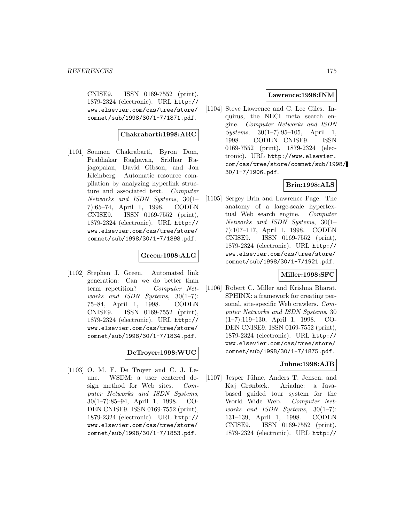CNISE9. ISSN 0169-7552 (print), 1879-2324 (electronic). URL http:// www.elsevier.com/cas/tree/store/ comnet/sub/1998/30/1-7/1871.pdf.

### **Chakrabarti:1998:ARC**

[1101] Soumen Chakrabarti, Byron Dom, Prabhakar Raghavan, Sridhar Rajagopalan, David Gibson, and Jon Kleinberg. Automatic resource compilation by analyzing hyperlink structure and associated text. Computer Networks and ISDN Systems, 30(1– 7):65–74, April 1, 1998. CODEN CNISE9. ISSN 0169-7552 (print), 1879-2324 (electronic). URL http:// www.elsevier.com/cas/tree/store/ comnet/sub/1998/30/1-7/1898.pdf.

### **Green:1998:ALG**

[1102] Stephen J. Green. Automated link generation: Can we do better than term repetition? Computer Networks and ISDN Systems,  $30(1-7)$ : 75–84, April 1, 1998. CODEN CNISE9. ISSN 0169-7552 (print), 1879-2324 (electronic). URL http:// www.elsevier.com/cas/tree/store/ comnet/sub/1998/30/1-7/1834.pdf.

### **DeTroyer:1998:WUC**

[1103] O. M. F. De Troyer and C. J. Leune. WSDM: a user centered design method for Web sites. Computer Networks and ISDN Systems, 30(1–7):85–94, April 1, 1998. CO-DEN CNISE9. ISSN 0169-7552 (print), 1879-2324 (electronic). URL http:// www.elsevier.com/cas/tree/store/ comnet/sub/1998/30/1-7/1853.pdf.

#### **Lawrence:1998:INM**

[1104] Steve Lawrence and C. Lee Giles. Inquirus, the NECI meta search engine. Computer Networks and ISDN Systems, 30(1–7):95–105, April 1, 1998. CODEN CNISE9. ISSN 0169-7552 (print), 1879-2324 (electronic). URL http://www.elsevier. com/cas/tree/store/comnet/sub/1998/ 30/1-7/1906.pdf.

# **Brin:1998:ALS**

[1105] Sergey Brin and Lawrence Page. The anatomy of a large-scale hypertextual Web search engine. Computer Networks and ISDN Systems, 30(1– 7):107–117, April 1, 1998. CODEN CNISE9. ISSN 0169-7552 (print), 1879-2324 (electronic). URL http:// www.elsevier.com/cas/tree/store/ comnet/sub/1998/30/1-7/1921.pdf.

#### **Miller:1998:SFC**

[1106] Robert C. Miller and Krishna Bharat. SPHINX: a framework for creating personal, site-specific Web crawlers. Computer Networks and ISDN Systems, 30 (1–7):119–130, April 1, 1998. CO-DEN CNISE9. ISSN 0169-7552 (print), 1879-2324 (electronic). URL http:// www.elsevier.com/cas/tree/store/ comnet/sub/1998/30/1-7/1875.pdf.

### **Juhne:1998:AJB**

[1107] Jesper Jühne, Anders T. Jensen, and Kaj Grønbæk. Ariadne: a Javabased guided tour system for the World Wide Web. Computer Networks and ISDN Systems, 30(1–7): 131–139, April 1, 1998. CODEN CNISE9. ISSN 0169-7552 (print), 1879-2324 (electronic). URL http://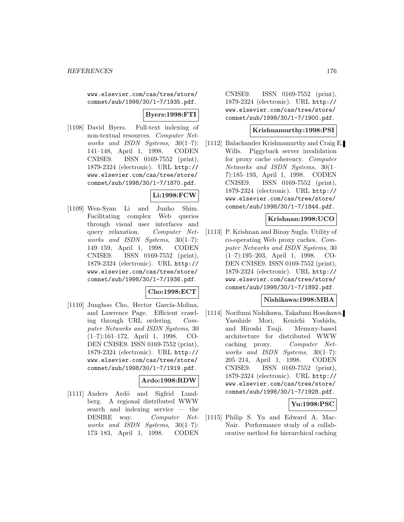www.elsevier.com/cas/tree/store/ comnet/sub/1998/30/1-7/1935.pdf.

## **Byers:1998:FTI**

[1108] David Byers. Full-text indexing of non-textual resources. Computer Networks and ISDN Systems,  $30(1-7)$ : 141–148, April 1, 1998. CODEN CNISE9. ISSN 0169-7552 (print), 1879-2324 (electronic). URL http:// www.elsevier.com/cas/tree/store/ comnet/sub/1998/30/1-7/1870.pdf.

# **Li:1998:FCW**

[1109] Wen-Syan Li and Junho Shim. Facilitating complex Web queries through visual user interfaces and query relaxation. Computer Networks and ISDN Systems,  $30(1-7)$ : 149–159, April 1, 1998. CODEN CNISE9. ISSN 0169-7552 (print), 1879-2324 (electronic). URL http:// www.elsevier.com/cas/tree/store/ comnet/sub/1998/30/1-7/1936.pdf.

### **Cho:1998:ECT**

[1110] Junghoo Cho, Hector García-Molina, and Lawrence Page. Efficient crawling through URL ordering. Computer Networks and ISDN Systems, 30 (1–7):161–172, April 1, 1998. CO-DEN CNISE9. ISSN 0169-7552 (print), 1879-2324 (electronic). URL http:// www.elsevier.com/cas/tree/store/ comnet/sub/1998/30/1-7/1919.pdf.

### **Ardo:1998:RDW**

[1111] Anders Ardö and Sigfrid Lundberg. A regional distributed WWW search and indexing service — the DESIRE way. Computer Networks and ISDN Systems, 30(1–7): 173–183, April 1, 1998. CODEN

CNISE9. ISSN 0169-7552 (print), 1879-2324 (electronic). URL http:// www.elsevier.com/cas/tree/store/ comnet/sub/1998/30/1-7/1900.pdf.

#### **Krishnamurthy:1998:PSI**

[1112] Balachander Krishnamurthy and Craig E. Wills. Piggyback server invalidation for proxy cache coherency. Computer Networks and ISDN Systems, 30(1– 7):185–193, April 1, 1998. CODEN CNISE9. ISSN 0169-7552 (print), 1879-2324 (electronic). URL http:// www.elsevier.com/cas/tree/store/ comnet/sub/1998/30/1-7/1844.pdf.

#### **Krishnan:1998:UCO**

[1113] P. Krishnan and Binay Sugla. Utility of co-operating Web proxy caches. Computer Networks and ISDN Systems, 30 (1–7):195–203, April 1, 1998. CO-DEN CNISE9. ISSN 0169-7552 (print), 1879-2324 (electronic). URL http:// www.elsevier.com/cas/tree/store/ comnet/sub/1998/30/1-7/1892.pdf.

#### **Nishikawa:1998:MBA**

[1114] Norifumi Nishikawa, Takafumi Hosokawa, Yasuhide Mori, Kenichi Yoshida, and Hiroshi Tsuji. Memory-based architecture for distributed WWW caching proxy. Computer Networks and ISDN Systems, 30(1–7): 205–214, April 1, 1998. CODEN CNISE9. ISSN 0169-7552 (print), 1879-2324 (electronic). URL http:// www.elsevier.com/cas/tree/store/ comnet/sub/1998/30/1-7/1928.pdf.

### **Yu:1998:PSC**

[1115] Philip S. Yu and Edward A. Mac-Nair. Performance study of a collaborative method for hierarchical caching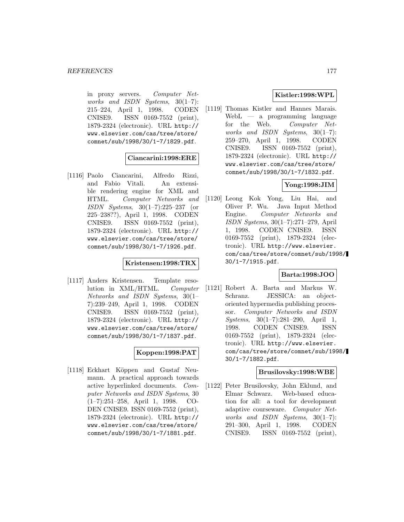in proxy servers. Computer Networks and ISDN Systems,  $30(1-7)$ : 215–224, April 1, 1998. CODEN CNISE9. ISSN 0169-7552 (print), 1879-2324 (electronic). URL http:// www.elsevier.com/cas/tree/store/ comnet/sub/1998/30/1-7/1829.pdf.

**Ciancarini:1998:ERE**

[1116] Paolo Ciancarini, Alfredo Rizzi, and Fabio Vitali. An extensible rendering engine for XML and HTML. Computer Networks and ISDN Systems, 30(1–7):225–237 (or 225–238??), April 1, 1998. CODEN CNISE9. ISSN 0169-7552 (print), 1879-2324 (electronic). URL http:// www.elsevier.com/cas/tree/store/ comnet/sub/1998/30/1-7/1926.pdf.

### **Kristensen:1998:TRX**

[1117] Anders Kristensen. Template resolution in XML/HTML. Computer Networks and ISDN Systems, 30(1– 7):239–249, April 1, 1998. CODEN CNISE9. ISSN 0169-7552 (print), 1879-2324 (electronic). URL http:// www.elsevier.com/cas/tree/store/ comnet/sub/1998/30/1-7/1837.pdf.

### **Koppen:1998:PAT**

[1118] Eckhart Köppen and Gustaf Neumann. A practical approach towards active hyperlinked documents. Computer Networks and ISDN Systems, 30 (1–7):251–258, April 1, 1998. CO-DEN CNISE9. ISSN 0169-7552 (print), 1879-2324 (electronic). URL http:// www.elsevier.com/cas/tree/store/ comnet/sub/1998/30/1-7/1881.pdf.

# **Kistler:1998:WPL**

[1119] Thomas Kistler and Hannes Marais. WebL — a programming language for the Web. Computer Networks and ISDN Systems, 30(1–7): 259–270, April 1, 1998. CODEN CNISE9. ISSN 0169-7552 (print), 1879-2324 (electronic). URL http:// www.elsevier.com/cas/tree/store/ comnet/sub/1998/30/1-7/1832.pdf.

# **Yong:1998:JIM**

[1120] Leong Kok Yong, Liu Hai, and Oliver P. Wu. Java Input Method Engine. Computer Networks and ISDN Systems, 30(1–7):271–279, April 1, 1998. CODEN CNISE9. ISSN 0169-7552 (print), 1879-2324 (electronic). URL http://www.elsevier. com/cas/tree/store/comnet/sub/1998/ 30/1-7/1915.pdf.

### **Barta:1998:JOO**

[1121] Robert A. Barta and Markus W. Schranz. JESSICA: an objectoriented hypermedia publishing processor. Computer Networks and ISDN Systems, 30(1–7):281–290, April 1, 1998. CODEN CNISE9. ISSN 0169-7552 (print), 1879-2324 (electronic). URL http://www.elsevier. com/cas/tree/store/comnet/sub/1998/ 30/1-7/1882.pdf.

### **Brusilovsky:1998:WBE**

[1122] Peter Brusilovsky, John Eklund, and Elmar Schwarz. Web-based education for all: a tool for development adaptive courseware. Computer Networks and ISDN Systems, 30(1–7): 291–300, April 1, 1998. CODEN CNISE9. ISSN 0169-7552 (print),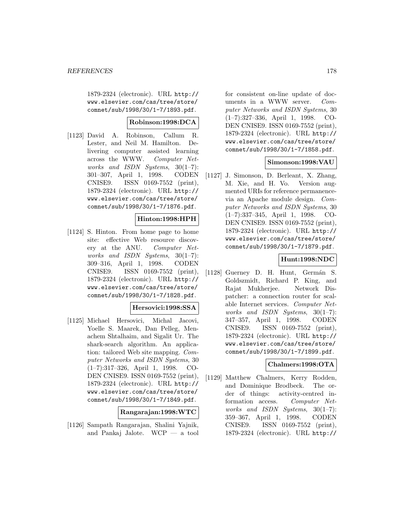1879-2324 (electronic). URL http:// www.elsevier.com/cas/tree/store/ comnet/sub/1998/30/1-7/1893.pdf.

### **Robinson:1998:DCA**

[1123] David A. Robinson, Callum R. Lester, and Neil M. Hamilton. Delivering computer assisted learning across the WWW. Computer Networks and ISDN Systems, 30(1–7): 301–307, April 1, 1998. CODEN CNISE9. ISSN 0169-7552 (print), 1879-2324 (electronic). URL http:// www.elsevier.com/cas/tree/store/ comnet/sub/1998/30/1-7/1876.pdf.

### **Hinton:1998:HPH**

[1124] S. Hinton. From home page to home site: effective Web resource discovery at the ANU. Computer Networks and ISDN Systems, 30(1–7): 309–316, April 1, 1998. CODEN CNISE9. ISSN 0169-7552 (print), 1879-2324 (electronic). URL http:// www.elsevier.com/cas/tree/store/ comnet/sub/1998/30/1-7/1828.pdf.

### **Hersovici:1998:SSA**

[1125] Michael Hersovici, Michal Jacovi, Yoelle S. Maarek, Dan Pelleg, Menachem Shtalhaim, and Sigalit Ur. The shark-search algorithm. An application: tailored Web site mapping. Computer Networks and ISDN Systems, 30 (1–7):317–326, April 1, 1998. CO-DEN CNISE9. ISSN 0169-7552 (print), 1879-2324 (electronic). URL http:// www.elsevier.com/cas/tree/store/ comnet/sub/1998/30/1-7/1849.pdf.

**Rangarajan:1998:WTC**

[1126] Sampath Rangarajan, Shalini Yajnik, and Pankaj Jalote. WCP — a tool for consistent on-line update of documents in a WWW server. Computer Networks and ISDN Systems, 30 (1–7):327–336, April 1, 1998. CO-DEN CNISE9. ISSN 0169-7552 (print), 1879-2324 (electronic). URL http:// www.elsevier.com/cas/tree/store/ comnet/sub/1998/30/1-7/1858.pdf.

### **Simonson:1998:VAU**

[1127] J. Simonson, D. Berleant, X. Zhang, M. Xie, and H. Vo. Version augmented URIs for reference permanencevia an Apache module design. Computer Networks and ISDN Systems, 30 (1–7):337–345, April 1, 1998. CO-DEN CNISE9. ISSN 0169-7552 (print), 1879-2324 (electronic). URL http:// www.elsevier.com/cas/tree/store/ comnet/sub/1998/30/1-7/1879.pdf.

### **Hunt:1998:NDC**

[1128] Guerney D. H. Hunt, Germán S. Goldszmidt, Richard P. King, and Rajat Mukherjee. Network Dispatcher: a connection router for scalable Internet services. Computer Networks and ISDN Systems, 30(1–7): 347–357, April 1, 1998. CODEN CNISE9. ISSN 0169-7552 (print), 1879-2324 (electronic). URL http:// www.elsevier.com/cas/tree/store/ comnet/sub/1998/30/1-7/1899.pdf.

### **Chalmers:1998:OTA**

[1129] Matthew Chalmers, Kerry Rodden, and Dominique Brodbeck. The order of things: activity-centred information access. Computer Networks and ISDN Systems, 30(1–7): 359–367, April 1, 1998. CODEN CNISE9. ISSN 0169-7552 (print), 1879-2324 (electronic). URL http://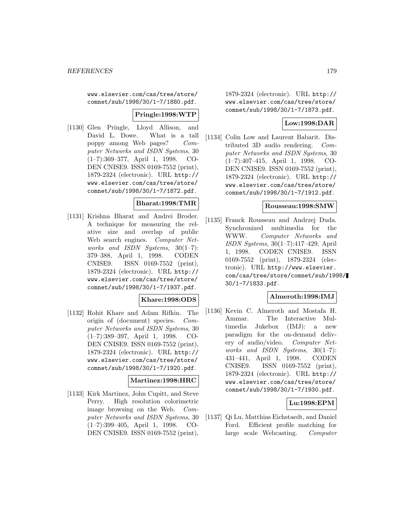www.elsevier.com/cas/tree/store/ comnet/sub/1998/30/1-7/1880.pdf.

#### **Pringle:1998:WTP**

[1130] Glen Pringle, Lloyd Allison, and David L. Dowe. What is a tall poppy among Web pages? Computer Networks and ISDN Systems, 30 (1–7):369–377, April 1, 1998. CO-DEN CNISE9. ISSN 0169-7552 (print), 1879-2324 (electronic). URL http:// www.elsevier.com/cas/tree/store/ comnet/sub/1998/30/1-7/1872.pdf.

### **Bharat:1998:TMR**

[1131] Krishna Bharat and Andrei Broder. A technique for measuring the relative size and overlap of public Web search engines. Computer Networks and ISDN Systems, 30(1–7): 379–388, April 1, 1998. CODEN CNISE9. ISSN 0169-7552 (print), 1879-2324 (electronic). URL http:// www.elsevier.com/cas/tree/store/ comnet/sub/1998/30/1-7/1937.pdf.

### **Khare:1998:ODS**

[1132] Rohit Khare and Adam Rifkin. The origin of (document) species. Computer Networks and ISDN Systems, 30 (1–7):389–397, April 1, 1998. CO-DEN CNISE9. ISSN 0169-7552 (print), 1879-2324 (electronic). URL http:// www.elsevier.com/cas/tree/store/ comnet/sub/1998/30/1-7/1920.pdf.

### **Martinez:1998:HRC**

[1133] Kirk Martinez, John Cupitt, and Steve Perry. High resolution colorimetric image browsing on the Web. Computer Networks and ISDN Systems, 30 (1–7):399–405, April 1, 1998. CO-DEN CNISE9. ISSN 0169-7552 (print),

1879-2324 (electronic). URL http:// www.elsevier.com/cas/tree/store/ comnet/sub/1998/30/1-7/1873.pdf.

## **Low:1998:DAR**

[1134] Colin Low and Laurent Babarit. Distributed 3D audio rendering. Computer Networks and ISDN Systems, 30 (1–7):407–415, April 1, 1998. CO-DEN CNISE9. ISSN 0169-7552 (print), 1879-2324 (electronic). URL http:// www.elsevier.com/cas/tree/store/ comnet/sub/1998/30/1-7/1912.pdf.

#### **Rousseau:1998:SMW**

[1135] Franck Rousseau and Andrzej Duda. Synchronized multimedia for the WWW. Computer Networks and ISDN Systems, 30(1–7):417–429, April 1, 1998. CODEN CNISE9. ISSN 0169-7552 (print), 1879-2324 (electronic). URL http://www.elsevier. com/cas/tree/store/comnet/sub/1998/ 30/1-7/1833.pdf.

#### **Almeroth:1998:IMJ**

[1136] Kevin C. Almeroth and Mostafa H. Ammar. The Interactive Multimedia Jukebox (IMJ): a new paradigm for the on-demand delivery of audio/video. Computer Networks and ISDN Systems, 30(1–7): 431–441, April 1, 1998. CODEN CNISE9. ISSN 0169-7552 (print), 1879-2324 (electronic). URL http:// www.elsevier.com/cas/tree/store/ comnet/sub/1998/30/1-7/1930.pdf.

### **Lu:1998:EPM**

[1137] Qi Lu, Matthias Eichstaedt, and Daniel Ford. Efficient profile matching for large scale Webcasting. Computer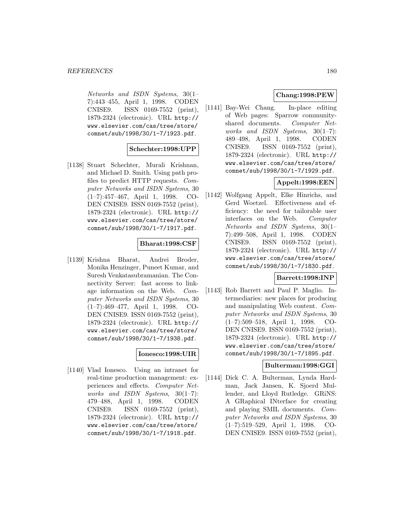Networks and ISDN Systems, 30(1– 7):443–455, April 1, 1998. CODEN CNISE9. ISSN 0169-7552 (print), 1879-2324 (electronic). URL http:// www.elsevier.com/cas/tree/store/ comnet/sub/1998/30/1-7/1923.pdf.

### **Schechter:1998:UPP**

[1138] Stuart Schechter, Murali Krishnan, and Michael D. Smith. Using path profiles to predict HTTP requests. Computer Networks and ISDN Systems, 30 (1–7):457–467, April 1, 1998. CO-DEN CNISE9. ISSN 0169-7552 (print), 1879-2324 (electronic). URL http:// www.elsevier.com/cas/tree/store/ comnet/sub/1998/30/1-7/1917.pdf.

#### **Bharat:1998:CSF**

[1139] Krishna Bharat, Andrei Broder, Monika Henzinger, Puneet Kumar, and Suresh Venkatasubramanian. The Connectivity Server: fast access to linkage information on the Web. Computer Networks and ISDN Systems, 30 (1–7):469–477, April 1, 1998. CO-DEN CNISE9. ISSN 0169-7552 (print), 1879-2324 (electronic). URL http:// www.elsevier.com/cas/tree/store/ comnet/sub/1998/30/1-7/1938.pdf.

### **Ionesco:1998:UIR**

[1140] Vlad Ionesco. Using an intranet for real-time production management: experiences and effects. Computer Networks and ISDN Systems, 30(1–7): 479–488, April 1, 1998. CODEN CNISE9. ISSN 0169-7552 (print), 1879-2324 (electronic). URL http:// www.elsevier.com/cas/tree/store/ comnet/sub/1998/30/1-7/1918.pdf.

# **Chang:1998:PEW**

[1141] Bay-Wei Chang. In-place editing of Web pages: Sparrow communityshared documents. Computer Networks and ISDN Systems,  $30(1-7)$ : 489–498, April 1, 1998. CODEN CNISE9. ISSN 0169-7552 (print), 1879-2324 (electronic). URL http:// www.elsevier.com/cas/tree/store/ comnet/sub/1998/30/1-7/1929.pdf.

# **Appelt:1998:EEN**

[1142] Wolfgang Appelt, Elke Hinrichs, and Gerd Woetzel. Effectiveness and efficiency: the need for tailorable user interfaces on the Web. Computer Networks and ISDN Systems, 30(1– 7):499–508, April 1, 1998. CODEN CNISE9. ISSN 0169-7552 (print), 1879-2324 (electronic). URL http:// www.elsevier.com/cas/tree/store/ comnet/sub/1998/30/1-7/1830.pdf.

### **Barrett:1998:INP**

[1143] Rob Barrett and Paul P. Maglio. Intermediaries: new places for producing and manipulating Web content. Computer Networks and ISDN Systems, 30 (1–7):509–518, April 1, 1998. CO-DEN CNISE9. ISSN 0169-7552 (print), 1879-2324 (electronic). URL http:// www.elsevier.com/cas/tree/store/ comnet/sub/1998/30/1-7/1895.pdf.

### **Bulterman:1998:GGI**

[1144] Dick C. A. Bulterman, Lynda Hardman, Jack Jansen, K. Sjoerd Mullender, and Lloyd Rutledge. GRiNS: A GRaphical INterface for creating and playing SMIL documents. Computer Networks and ISDN Systems, 30 (1–7):519–529, April 1, 1998. CO-DEN CNISE9. ISSN 0169-7552 (print),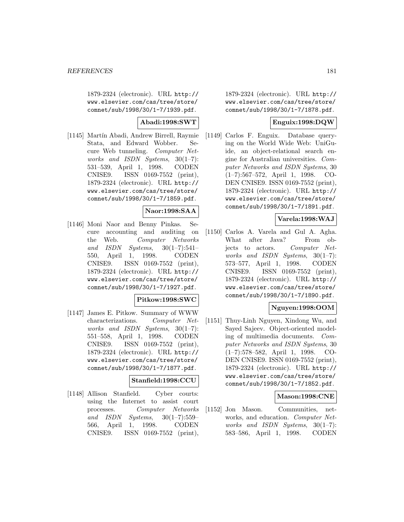1879-2324 (electronic). URL http:// www.elsevier.com/cas/tree/store/ comnet/sub/1998/30/1-7/1939.pdf.

### **Abadi:1998:SWT**

[1145] Martín Abadi, Andrew Birrell, Raymie Stata, and Edward Wobber. Secure Web tunneling. Computer Networks and ISDN Systems, 30(1–7): 531–539, April 1, 1998. CODEN CNISE9. ISSN 0169-7552 (print), 1879-2324 (electronic). URL http:// www.elsevier.com/cas/tree/store/ comnet/sub/1998/30/1-7/1859.pdf.

#### **Naor:1998:SAA**

[1146] Moni Naor and Benny Pinkas. Secure accounting and auditing on the Web. Computer Networks and ISDN Systems,  $30(1-7):541-$ 550, April 1, 1998. CODEN CNISE9. ISSN 0169-7552 (print), 1879-2324 (electronic). URL http:// www.elsevier.com/cas/tree/store/ comnet/sub/1998/30/1-7/1927.pdf.

#### **Pitkow:1998:SWC**

[1147] James E. Pitkow. Summary of WWW characterizations. Computer Networks and ISDN Systems, 30(1–7): 551–558, April 1, 1998. CODEN CNISE9. ISSN 0169-7552 (print), 1879-2324 (electronic). URL http:// www.elsevier.com/cas/tree/store/ comnet/sub/1998/30/1-7/1877.pdf.

### **Stanfield:1998:CCU**

[1148] Allison Stanfield. Cyber courts: using the Internet to assist court processes. Computer Networks and ISDN Systems, 30(1–7):559– 566, April 1, 1998. CODEN CNISE9. ISSN 0169-7552 (print),

1879-2324 (electronic). URL http:// www.elsevier.com/cas/tree/store/ comnet/sub/1998/30/1-7/1878.pdf.

### **Enguix:1998:DQW**

[1149] Carlos F. Enguix. Database querying on the World Wide Web: UniGuide, an object-relational search engine for Australian universities. Computer Networks and ISDN Systems, 30 (1–7):567–572, April 1, 1998. CO-DEN CNISE9. ISSN 0169-7552 (print), 1879-2324 (electronic). URL http:// www.elsevier.com/cas/tree/store/ comnet/sub/1998/30/1-7/1891.pdf.

### **Varela:1998:WAJ**

[1150] Carlos A. Varela and Gul A. Agha. What after Java? From objects to actors. Computer Networks and ISDN Systems,  $30(1-7)$ : 573–577, April 1, 1998. CODEN CNISE9. ISSN 0169-7552 (print), 1879-2324 (electronic). URL http:// www.elsevier.com/cas/tree/store/ comnet/sub/1998/30/1-7/1890.pdf.

#### **Nguyen:1998:OOM**

[1151] Thuy-Linh Nguyen, Xindong Wu, and Sayed Sajeev. Object-oriented modeling of multimedia documents. Computer Networks and ISDN Systems, 30 (1–7):578–582, April 1, 1998. CO-DEN CNISE9. ISSN 0169-7552 (print), 1879-2324 (electronic). URL http:// www.elsevier.com/cas/tree/store/ comnet/sub/1998/30/1-7/1852.pdf.

#### **Mason:1998:CNE**

[1152] Jon Mason. Communities, networks, and education. Computer Networks and ISDN Systems, 30(1–7): 583–586, April 1, 1998. CODEN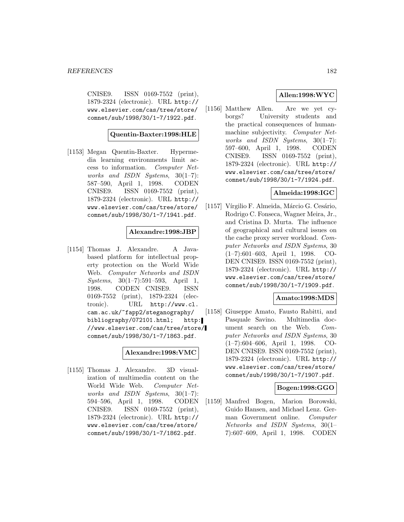CNISE9. ISSN 0169-7552 (print), 1879-2324 (electronic). URL http:// www.elsevier.com/cas/tree/store/ comnet/sub/1998/30/1-7/1922.pdf.

### **Quentin-Baxter:1998:HLE**

[1153] Megan Quentin-Baxter. Hypermedia learning environments limit access to information. Computer Networks and ISDN Systems, 30(1–7): 587–590, April 1, 1998. CODEN CNISE9. ISSN 0169-7552 (print), 1879-2324 (electronic). URL http:// www.elsevier.com/cas/tree/store/ comnet/sub/1998/30/1-7/1941.pdf.

#### **Alexandre:1998:JBP**

[1154] Thomas J. Alexandre. A Javabased platform for intellectual property protection on the World Wide Web. Computer Networks and ISDN Systems, 30(1–7):591–593, April 1, 1998. CODEN CNISE9. ISSN 0169-7552 (print), 1879-2324 (electronic). URL http://www.cl. cam.ac.uk/~fapp2/steganography/ bibliography/072101.html; http: //www.elsevier.com/cas/tree/store/ comnet/sub/1998/30/1-7/1863.pdf.

#### **Alexandre:1998:VMC**

[1155] Thomas J. Alexandre. 3D visualization of multimedia content on the World Wide Web. Computer Networks and ISDN Systems,  $30(1-7)$ : 594–596, April 1, 1998. CODEN CNISE9. ISSN 0169-7552 (print), 1879-2324 (electronic). URL http:// www.elsevier.com/cas/tree/store/ comnet/sub/1998/30/1-7/1862.pdf.

### **Allen:1998:WYC**

[1156] Matthew Allen. Are we yet cyborgs? University students and the practical consequences of humanmachine subjectivity. Computer Networks and ISDN Systems, 30(1–7): 597–600, April 1, 1998. CODEN CNISE9. ISSN 0169-7552 (print), 1879-2324 (electronic). URL http:// www.elsevier.com/cas/tree/store/ comnet/sub/1998/30/1-7/1924.pdf.

### **Almeida:1998:IGC**

[1157] Vírgilio F. Almeida, Márcio G. Cesário, Rodrigo C. Fonseca, Wagner Meira, Jr., and Cristina D. Murta. The influence of geographical and cultural issues on the cache proxy server workload. Computer Networks and ISDN Systems, 30 (1–7):601–603, April 1, 1998. CO-DEN CNISE9. ISSN 0169-7552 (print), 1879-2324 (electronic). URL http:// www.elsevier.com/cas/tree/store/ comnet/sub/1998/30/1-7/1909.pdf.

### **Amato:1998:MDS**

[1158] Giuseppe Amato, Fausto Rabitti, and Pasquale Savino. Multimedia document search on the Web. Computer Networks and ISDN Systems, 30 (1–7):604–606, April 1, 1998. CO-DEN CNISE9. ISSN 0169-7552 (print), 1879-2324 (electronic). URL http:// www.elsevier.com/cas/tree/store/ comnet/sub/1998/30/1-7/1907.pdf.

### **Bogen:1998:GGO**

[1159] Manfred Bogen, Marion Borowski, Guido Hansen, and Michael Lenz. German Government online. Computer Networks and ISDN Systems, 30(1– 7):607–609, April 1, 1998. CODEN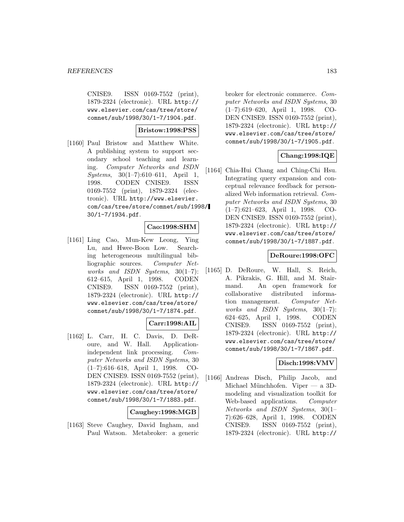CNISE9. ISSN 0169-7552 (print), 1879-2324 (electronic). URL http:// www.elsevier.com/cas/tree/store/ comnet/sub/1998/30/1-7/1904.pdf.

### **Bristow:1998:PSS**

[1160] Paul Bristow and Matthew White. A publishing system to support secondary school teaching and learning. Computer Networks and ISDN  $Systems, 30(1-7):610-611, April 1,$ 1998. CODEN CNISE9. ISSN 0169-7552 (print), 1879-2324 (electronic). URL http://www.elsevier. com/cas/tree/store/comnet/sub/1998/ 30/1-7/1934.pdf.

### **Cao:1998:SHM**

[1161] Ling Cao, Mun-Kew Leong, Ying Lu, and Hwee-Boon Low. Searching heterogeneous multilingual bibliographic sources. Computer Networks and ISDN Systems, 30(1–7): 612–615, April 1, 1998. CODEN CNISE9. ISSN 0169-7552 (print), 1879-2324 (electronic). URL http:// www.elsevier.com/cas/tree/store/ comnet/sub/1998/30/1-7/1874.pdf.

## **Carr:1998:AIL**

[1162] L. Carr, H. C. Davis, D. DeRoure, and W. Hall. Applicationindependent link processing. Computer Networks and ISDN Systems, 30 (1–7):616–618, April 1, 1998. CO-DEN CNISE9. ISSN 0169-7552 (print), 1879-2324 (electronic). URL http:// www.elsevier.com/cas/tree/store/ comnet/sub/1998/30/1-7/1883.pdf.

#### **Caughey:1998:MGB**

[1163] Steve Caughey, David Ingham, and Paul Watson. Metabroker: a generic

broker for electronic commerce. Computer Networks and ISDN Systems, 30 (1–7):619–620, April 1, 1998. CO-DEN CNISE9. ISSN 0169-7552 (print), 1879-2324 (electronic). URL http:// www.elsevier.com/cas/tree/store/ comnet/sub/1998/30/1-7/1905.pdf.

### **Chang:1998:IQE**

[1164] Chia-Hui Chang and Ching-Chi Hsu. Integrating query expansion and conceptual relevance feedback for personalized Web information retrieval. Computer Networks and ISDN Systems, 30 (1–7):621–623, April 1, 1998. CO-DEN CNISE9. ISSN 0169-7552 (print), 1879-2324 (electronic). URL http:// www.elsevier.com/cas/tree/store/ comnet/sub/1998/30/1-7/1887.pdf.

### **DeRoure:1998:OFC**

[1165] D. DeRoure, W. Hall, S. Reich, A. Pikrakis, G. Hill, and M. Stairmand. An open framework for collaborative distributed information management. Computer Networks and ISDN Systems, 30(1–7): 624–625, April 1, 1998. CODEN CNISE9. ISSN 0169-7552 (print), 1879-2324 (electronic). URL http:// www.elsevier.com/cas/tree/store/ comnet/sub/1998/30/1-7/1867.pdf.

### **Disch:1998:VMV**

[1166] Andreas Disch, Philip Jacob, and Michael Münchhofen. Viper — a 3Dmodeling and visualization toolkit for Web-based applications. Computer Networks and ISDN Systems, 30(1– 7):626–628, April 1, 1998. CODEN CNISE9. ISSN 0169-7552 (print), 1879-2324 (electronic). URL http://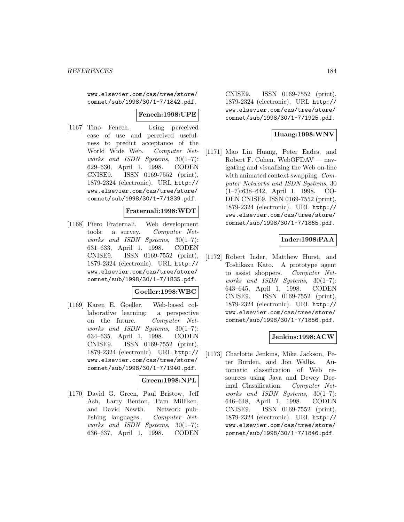www.elsevier.com/cas/tree/store/ comnet/sub/1998/30/1-7/1842.pdf.

#### **Fenech:1998:UPE**

[1167] Tino Fenech. Using perceived ease of use and perceived usefulness to predict acceptance of the World Wide Web. Computer Networks and ISDN Systems, 30(1–7): 629–630, April 1, 1998. CODEN CNISE9. ISSN 0169-7552 (print), 1879-2324 (electronic). URL http:// www.elsevier.com/cas/tree/store/ comnet/sub/1998/30/1-7/1839.pdf.

#### **Fraternali:1998:WDT**

[1168] Piero Fraternali. Web development tools: a survey. Computer Networks and ISDN Systems,  $30(1-7)$ : 631–633, April 1, 1998. CODEN CNISE9. ISSN 0169-7552 (print), 1879-2324 (electronic). URL http:// www.elsevier.com/cas/tree/store/ comnet/sub/1998/30/1-7/1835.pdf.

#### **Goeller:1998:WBC**

[1169] Karen E. Goeller. Web-based collaborative learning: a perspective on the future. Computer Networks and ISDN Systems, 30(1–7): 634–635, April 1, 1998. CODEN CNISE9. ISSN 0169-7552 (print), 1879-2324 (electronic). URL http:// www.elsevier.com/cas/tree/store/ comnet/sub/1998/30/1-7/1940.pdf.

### **Green:1998:NPL**

[1170] David G. Green, Paul Bristow, Jeff Ash, Larry Benton, Pam Milliken, and David Newth. Network publishing languages. Computer Networks and ISDN Systems, 30(1–7): 636–637, April 1, 1998. CODEN

CNISE9. ISSN 0169-7552 (print), 1879-2324 (electronic). URL http:// www.elsevier.com/cas/tree/store/ comnet/sub/1998/30/1-7/1925.pdf.

## **Huang:1998:WNV**

[1171] Mao Lin Huang, Peter Eades, and Robert F. Cohen. WebOFDAV — navigating and visualizing the Web on-line with animated context swapping. Computer Networks and ISDN Systems, 30 (1–7):638–642, April 1, 1998. CO-DEN CNISE9. ISSN 0169-7552 (print), 1879-2324 (electronic). URL http:// www.elsevier.com/cas/tree/store/ comnet/sub/1998/30/1-7/1865.pdf.

### **Inder:1998:PAA**

[1172] Robert Inder, Matthew Hurst, and Toshikazu Kato. A prototype agent to assist shoppers. Computer Networks and ISDN Systems, 30(1–7): 643–645, April 1, 1998. CODEN CNISE9. ISSN 0169-7552 (print), 1879-2324 (electronic). URL http:// www.elsevier.com/cas/tree/store/ comnet/sub/1998/30/1-7/1856.pdf.

## **Jenkins:1998:ACW**

[1173] Charlotte Jenkins, Mike Jackson, Peter Burden, and Jon Wallis. Automatic classification of Web resources using Java and Dewey Decimal Classification. Computer Networks and ISDN Systems, 30(1–7): 646–648, April 1, 1998. CODEN CNISE9. ISSN 0169-7552 (print), 1879-2324 (electronic). URL http:// www.elsevier.com/cas/tree/store/ comnet/sub/1998/30/1-7/1846.pdf.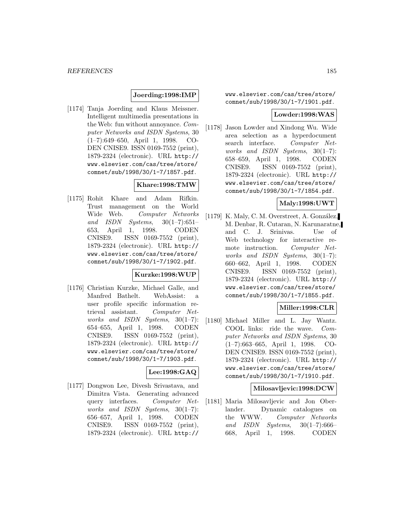### **Joerding:1998:IMP**

[1174] Tanja Joerding and Klaus Meissner. Intelligent multimedia presentations in the Web: fun without annoyance. Computer Networks and ISDN Systems, 30 (1–7):649–650, April 1, 1998. CO-DEN CNISE9. ISSN 0169-7552 (print), 1879-2324 (electronic). URL http:// www.elsevier.com/cas/tree/store/ comnet/sub/1998/30/1-7/1857.pdf.

## **Khare:1998:TMW**

[1175] Rohit Khare and Adam Rifkin. Trust management on the World Wide Web. Computer Networks and ISDN Systems,  $30(1-7):651-$ 653, April 1, 1998. CODEN CNISE9. ISSN 0169-7552 (print), 1879-2324 (electronic). URL http:// www.elsevier.com/cas/tree/store/ comnet/sub/1998/30/1-7/1902.pdf.

#### **Kurzke:1998:WUP**

[1176] Christian Kurzke, Michael Galle, and Manfred Bathelt. WebAssist: a user profile specific information retrieval assistant. Computer Networks and ISDN Systems, 30(1–7): 654–655, April 1, 1998. CODEN CNISE9. ISSN 0169-7552 (print), 1879-2324 (electronic). URL http:// www.elsevier.com/cas/tree/store/ comnet/sub/1998/30/1-7/1903.pdf.

## **Lee:1998:GAQ**

[1177] Dongwon Lee, Divesh Srivastava, and Dimitra Vista. Generating advanced query interfaces. Computer Networks and ISDN Systems, 30(1–7): 656–657, April 1, 1998. CODEN CNISE9. ISSN 0169-7552 (print), 1879-2324 (electronic). URL http://

www.elsevier.com/cas/tree/store/ comnet/sub/1998/30/1-7/1901.pdf.

#### **Lowder:1998:WAS**

[1178] Jason Lowder and Xindong Wu. Wide area selection as a hyperdocument search interface. Computer Networks and ISDN Systems,  $30(1-7)$ : 658–659, April 1, 1998. CODEN CNISE9. ISSN 0169-7552 (print), 1879-2324 (electronic). URL http:// www.elsevier.com/cas/tree/store/ comnet/sub/1998/30/1-7/1854.pdf.

### **Maly:1998:UWT**

[1179] K. Maly, C. M. Overstreet, A. González, M. Denbar, R. Cutaran, N. Karunaratne, and C. J. Srinivas. Use of Web technology for interactive remote instruction. Computer Networks and ISDN Systems,  $30(1-7)$ : 660–662, April 1, 1998. CODEN CNISE9. ISSN 0169-7552 (print), 1879-2324 (electronic). URL http:// www.elsevier.com/cas/tree/store/ comnet/sub/1998/30/1-7/1855.pdf.

#### **Miller:1998:CLR**

[1180] Michael Miller and L. Jay Wantz. COOL links: ride the wave. Computer Networks and ISDN Systems, 30 (1–7):663–665, April 1, 1998. CO-DEN CNISE9. ISSN 0169-7552 (print), 1879-2324 (electronic). URL http:// www.elsevier.com/cas/tree/store/ comnet/sub/1998/30/1-7/1910.pdf.

#### **Milosavljevic:1998:DCW**

[1181] Maria Milosavljevic and Jon Oberlander. Dynamic catalogues on the WWW. Computer Networks and ISDN Systems,  $30(1-7):666-$ 668, April 1, 1998. CODEN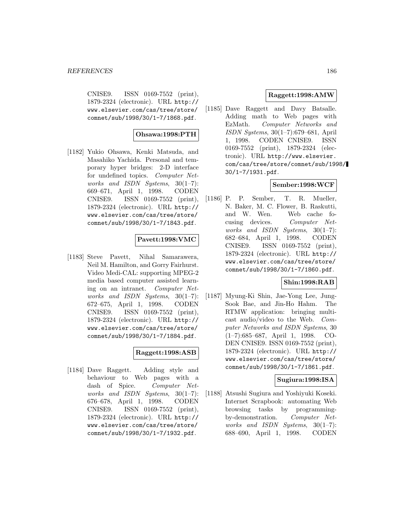CNISE9. ISSN 0169-7552 (print), 1879-2324 (electronic). URL http:// www.elsevier.com/cas/tree/store/ comnet/sub/1998/30/1-7/1868.pdf.

### **Ohsawa:1998:PTH**

[1182] Yukio Ohsawa, Kenki Matsuda, and Masahiko Yachida. Personal and temporary hyper bridges: 2-D interface for undefined topics. Computer Networks and ISDN Systems,  $30(1-7)$ : 669–671, April 1, 1998. CODEN CNISE9. ISSN 0169-7552 (print), 1879-2324 (electronic). URL http:// www.elsevier.com/cas/tree/store/ comnet/sub/1998/30/1-7/1843.pdf.

### **Pavett:1998:VMC**

[1183] Steve Pavett, Nihal Samarawera, Neil M. Hamilton, and Gorry Fairhurst. Video Medi-CAL: supporting MPEG-2 media based computer assisted learning on an intranet. Computer Networks and ISDN Systems, 30(1–7): 672–675, April 1, 1998. CODEN CNISE9. ISSN 0169-7552 (print), 1879-2324 (electronic). URL http:// www.elsevier.com/cas/tree/store/ comnet/sub/1998/30/1-7/1884.pdf.

### **Raggett:1998:ASB**

[1184] Dave Raggett. Adding style and behaviour to Web pages with a dash of Spice. Computer Networks and ISDN Systems, 30(1–7): 676–678, April 1, 1998. CODEN CNISE9. ISSN 0169-7552 (print), 1879-2324 (electronic). URL http:// www.elsevier.com/cas/tree/store/ comnet/sub/1998/30/1-7/1932.pdf.

## **Raggett:1998:AMW**

[1185] Dave Raggett and Davy Batsalle. Adding math to Web pages with EzMath. Computer Networks and ISDN Systems, 30(1–7):679–681, April 1, 1998. CODEN CNISE9. ISSN 0169-7552 (print), 1879-2324 (electronic). URL http://www.elsevier. com/cas/tree/store/comnet/sub/1998/ 30/1-7/1931.pdf.

## **Sember:1998:WCF**

[1186] P. P. Sember, T. R. Mueller, N. Baker, M. C. Flower, B. Raskutti, and W. Wen. Web cache focusing devices. Computer Networks and ISDN Systems, 30(1–7): 682–684, April 1, 1998. CODEN CNISE9. ISSN 0169-7552 (print), 1879-2324 (electronic). URL http:// www.elsevier.com/cas/tree/store/ comnet/sub/1998/30/1-7/1860.pdf.

## **Shin:1998:RAB**

[1187] Myung-Ki Shin, Jae-Yong Lee, Jung-Sook Bae, and Jin-Ho Hahm. The RTMW application: bringing multicast audio/video to the Web. Computer Networks and ISDN Systems, 30 (1–7):685–687, April 1, 1998. CO-DEN CNISE9. ISSN 0169-7552 (print), 1879-2324 (electronic). URL http:// www.elsevier.com/cas/tree/store/ comnet/sub/1998/30/1-7/1861.pdf.

## **Sugiura:1998:ISA**

[1188] Atsushi Sugiura and Yoshiyuki Koseki. Internet Scrapbook: automating Web browsing tasks by programmingby-demonstration. Computer Networks and ISDN Systems, 30(1–7): 688–690, April 1, 1998. CODEN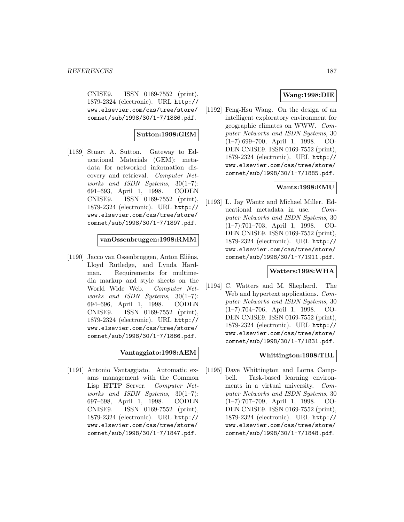CNISE9. ISSN 0169-7552 (print), 1879-2324 (electronic). URL http:// www.elsevier.com/cas/tree/store/ comnet/sub/1998/30/1-7/1886.pdf.

### **Sutton:1998:GEM**

[1189] Stuart A. Sutton. Gateway to Educational Materials (GEM): metadata for networked information discovery and retrieval. Computer Networks and ISDN Systems, 30(1–7): 691–693, April 1, 1998. CODEN CNISE9. ISSN 0169-7552 (print), 1879-2324 (electronic). URL http:// www.elsevier.com/cas/tree/store/ comnet/sub/1998/30/1-7/1897.pdf.

### **vanOssenbruggen:1998:RMM**

[1190] Jacco van Ossenbruggen, Anton Eliëns, Lloyd Rutledge, and Lynda Hardman. Requirements for multimedia markup and style sheets on the World Wide Web. Computer Networks and ISDN Systems, 30(1–7): 694–696, April 1, 1998. CODEN CNISE9. ISSN 0169-7552 (print), 1879-2324 (electronic). URL http:// www.elsevier.com/cas/tree/store/ comnet/sub/1998/30/1-7/1866.pdf.

### **Vantaggiato:1998:AEM**

[1191] Antonio Vantaggiato. Automatic exams management with the Common Lisp HTTP Server. Computer Networks and ISDN Systems, 30(1–7): 697–698, April 1, 1998. CODEN CNISE9. ISSN 0169-7552 (print), 1879-2324 (electronic). URL http:// www.elsevier.com/cas/tree/store/ comnet/sub/1998/30/1-7/1847.pdf.

### **Wang:1998:DIE**

[1192] Feng-Hsu Wang. On the design of an intelligent exploratory environment for geographic climates on WWW. Computer Networks and ISDN Systems, 30 (1–7):699–700, April 1, 1998. CO-DEN CNISE9. ISSN 0169-7552 (print), 1879-2324 (electronic). URL http:// www.elsevier.com/cas/tree/store/ comnet/sub/1998/30/1-7/1885.pdf.

### **Wantz:1998:EMU**

[1193] L. Jay Wantz and Michael Miller. Educational metadata in use. Computer Networks and ISDN Systems, 30 (1–7):701–703, April 1, 1998. CO-DEN CNISE9. ISSN 0169-7552 (print), 1879-2324 (electronic). URL http:// www.elsevier.com/cas/tree/store/ comnet/sub/1998/30/1-7/1911.pdf.

### **Watters:1998:WHA**

[1194] C. Watters and M. Shepherd. The Web and hypertext applications. Computer Networks and ISDN Systems, 30 (1–7):704–706, April 1, 1998. CO-DEN CNISE9. ISSN 0169-7552 (print), 1879-2324 (electronic). URL http:// www.elsevier.com/cas/tree/store/ comnet/sub/1998/30/1-7/1831.pdf.

### **Whittington:1998:TBL**

[1195] Dave Whittington and Lorna Campbell. Task-based learning environments in a virtual university. Computer Networks and ISDN Systems, 30 (1–7):707–709, April 1, 1998. CO-DEN CNISE9. ISSN 0169-7552 (print), 1879-2324 (electronic). URL http:// www.elsevier.com/cas/tree/store/ comnet/sub/1998/30/1-7/1848.pdf.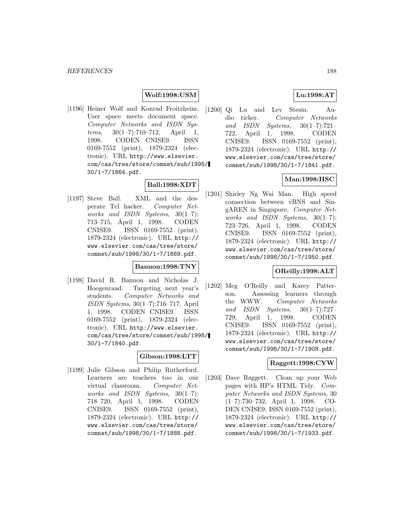### **Wolf:1998:USM**

[1196] Heiner Wolf and Konrad Froitzheim. User space meets document space. Computer Networks and ISDN Sys $tems, 30(1-7):710-712,$  April 1, 1998. CODEN CNISE9. ISSN 0169-7552 (print), 1879-2324 (electronic). URL http://www.elsevier. com/cas/tree/store/comnet/sub/1998/ 30/1-7/1864.pdf.

## **Ball:1998:XDT**

[1197] Steve Ball. XML and the desperate Tcl hacker. Computer Networks and ISDN Systems, 30(1–7): 713–715, April 1, 1998. CODEN CNISE9. ISSN 0169-7552 (print), 1879-2324 (electronic). URL http:// www.elsevier.com/cas/tree/store/ comnet/sub/1998/30/1-7/1869.pdf.

#### **Bannon:1998:TNY**

[1198] David R. Bannon and Nicholas J. Hoogenraad. Targeting next year's students. Computer Networks and ISDN Systems, 30(1–7):716–717, April 1, 1998. CODEN CNISE9. ISSN 0169-7552 (print), 1879-2324 (electronic). URL http://www.elsevier. com/cas/tree/store/comnet/sub/1998/ 30/1-7/1840.pdf.

## **Gibson:1998:LTT**

[1199] Julie Gibson and Philip Rutherford. Learners are teachers too in our virtual classroom. Computer Networks and ISDN Systems,  $30(1-7)$ : 718–720, April 1, 1998. CODEN CNISE9. ISSN 0169-7552 (print), 1879-2324 (electronic). URL http:// www.elsevier.com/cas/tree/store/ comnet/sub/1998/30/1-7/1888.pdf.

### **Lu:1998:AT**

[1200] Qi Lu and Lev Stesin. Audio ticker. Computer Networks and ISDN Systems, 30(1–7):721– 722, April 1, 1998. CODEN CNISE9. ISSN 0169-7552 (print), 1879-2324 (electronic). URL http:// www.elsevier.com/cas/tree/store/ comnet/sub/1998/30/1-7/1841.pdf.

### **Man:1998:HSC**

[1201] Shirley Ng Wai Man. High speed connection between vBNS and SingAREN in Singapore. Computer Networks and ISDN Systems, 30(1–7): 723–726, April 1, 1998. CODEN CNISE9. ISSN 0169-7552 (print), 1879-2324 (electronic). URL http:// www.elsevier.com/cas/tree/store/ comnet/sub/1998/30/1-7/1950.pdf.

### **OReilly:1998:ALT**

[1202] Meg O'Reilly and Karey Patterson. Assessing learners through the WWW. Computer Networks and ISDN Systems, 30(1–7):727– 729, April 1, 1998. CODEN CNISE9. ISSN 0169-7552 (print), 1879-2324 (electronic). URL http:// www.elsevier.com/cas/tree/store/ comnet/sub/1998/30/1-7/1908.pdf.

### **Raggett:1998:CYW**

[1203] Dave Raggett. Clean up your Web pages with HP's HTML Tidy. Computer Networks and ISDN Systems, 30 (1–7):730–732, April 1, 1998. CO-DEN CNISE9. ISSN 0169-7552 (print), 1879-2324 (electronic). URL http:// www.elsevier.com/cas/tree/store/ comnet/sub/1998/30/1-7/1933.pdf.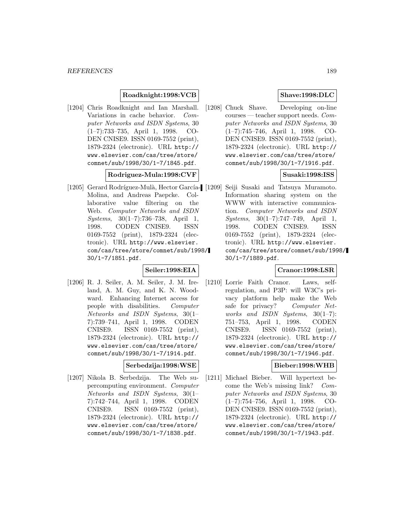### **Roadknight:1998:VCB**

[1204] Chris Roadknight and Ian Marshall. Variations in cache behavior. Computer Networks and ISDN Systems, 30 (1–7):733–735, April 1, 1998. CO-DEN CNISE9. ISSN 0169-7552 (print), 1879-2324 (electronic). URL http:// www.elsevier.com/cas/tree/store/ comnet/sub/1998/30/1-7/1845.pdf.

#### **Rodriguez-Mula:1998:CVF**

[1205] Gerard Rodríguez-Mulà, Hector García- [1209] Seiji Susaki and Tatsuya Muramoto. Molina, and Andreas Paepcke. Collaborative value filtering on the Web. Computer Networks and ISDN Systems, 30(1–7):736–738, April 1, 1998. CODEN CNISE9. ISSN 0169-7552 (print), 1879-2324 (electronic). URL http://www.elsevier. com/cas/tree/store/comnet/sub/1998/ 30/1-7/1851.pdf.

## **Seiler:1998:EIA**

[1206] R. J. Seiler, A. M. Seiler, J. M. Ireland, A. M. Guy, and K. N. Woodward. Enhancing Internet access for people with disabilities. Computer Networks and ISDN Systems, 30(1– 7):739–741, April 1, 1998. CODEN CNISE9. ISSN 0169-7552 (print), 1879-2324 (electronic). URL http:// www.elsevier.com/cas/tree/store/ comnet/sub/1998/30/1-7/1914.pdf.

### **Serbedzija:1998:WSE**

[1207] Nikola B. Serbedzija. The Web supercomputing environment. Computer Networks and ISDN Systems, 30(1– 7):742–744, April 1, 1998. CODEN CNISE9. ISSN 0169-7552 (print), 1879-2324 (electronic). URL http:// www.elsevier.com/cas/tree/store/ comnet/sub/1998/30/1-7/1838.pdf.

### **Shave:1998:DLC**

[1208] Chuck Shave. Developing on-line courses — teacher support needs. Computer Networks and ISDN Systems, 30 (1–7):745–746, April 1, 1998. CO-DEN CNISE9. ISSN 0169-7552 (print), 1879-2324 (electronic). URL http:// www.elsevier.com/cas/tree/store/ comnet/sub/1998/30/1-7/1916.pdf.

## **Susaki:1998:ISS**

Information sharing system on the WWW with interactive communication. Computer Networks and ISDN Systems, 30(1–7):747–749, April 1, 1998. CODEN CNISE9. ISSN 0169-7552 (print), 1879-2324 (electronic). URL http://www.elsevier. com/cas/tree/store/comnet/sub/1998/ 30/1-7/1889.pdf.

## **Cranor:1998:LSR**

[1210] Lorrie Faith Cranor. Laws, selfregulation, and P3P: will W3C's privacy platform help make the Web safe for privacy? Computer Networks and ISDN Systems, 30(1–7): 751–753, April 1, 1998. CODEN CNISE9. ISSN 0169-7552 (print), 1879-2324 (electronic). URL http:// www.elsevier.com/cas/tree/store/ comnet/sub/1998/30/1-7/1946.pdf.

### **Bieber:1998:WHB**

[1211] Michael Bieber. Will hypertext become the Web's missing link? Computer Networks and ISDN Systems, 30 (1–7):754–756, April 1, 1998. CO-DEN CNISE9. ISSN 0169-7552 (print), 1879-2324 (electronic). URL http:// www.elsevier.com/cas/tree/store/ comnet/sub/1998/30/1-7/1943.pdf.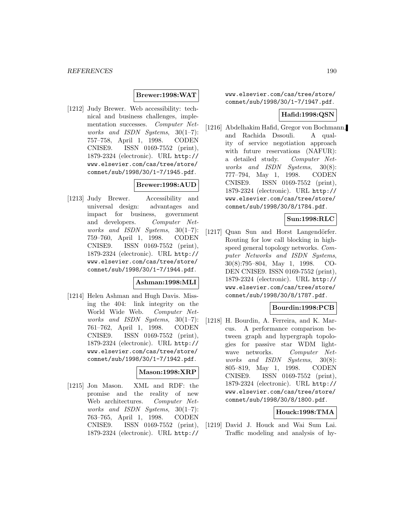#### **Brewer:1998:WAT**

[1212] Judy Brewer. Web accessibility: technical and business challenges, implementation successes. Computer Networks and ISDN Systems, 30(1–7): 757–758, April 1, 1998. CODEN CNISE9. ISSN 0169-7552 (print), 1879-2324 (electronic). URL http:// www.elsevier.com/cas/tree/store/ comnet/sub/1998/30/1-7/1945.pdf.

### **Brewer:1998:AUD**

[1213] Judy Brewer. Accessibility and universal design: advantages and impact for business, government and developers. Computer Networks and ISDN Systems,  $30(1-7)$ : 759–760, April 1, 1998. CODEN CNISE9. ISSN 0169-7552 (print), 1879-2324 (electronic). URL http:// www.elsevier.com/cas/tree/store/ comnet/sub/1998/30/1-7/1944.pdf.

#### **Ashman:1998:MLI**

[1214] Helen Ashman and Hugh Davis. Missing the 404: link integrity on the World Wide Web. Computer Networks and ISDN Systems, 30(1–7): 761–762, April 1, 1998. CODEN CNISE9. ISSN 0169-7552 (print), 1879-2324 (electronic). URL http:// www.elsevier.com/cas/tree/store/ comnet/sub/1998/30/1-7/1942.pdf.

#### **Mason:1998:XRP**

[1215] Jon Mason. XML and RDF: the promise and the reality of new Web architectures. Computer Networks and ISDN Systems, 30(1–7): 763–765, April 1, 1998. CODEN CNISE9. ISSN 0169-7552 (print), 1879-2324 (electronic). URL http://

www.elsevier.com/cas/tree/store/ comnet/sub/1998/30/1-7/1947.pdf.

#### **Hafid:1998:QSN**

[1216] Abdelhakim Hafid, Gregor von Bochmann, and Rachida Dssouli. A quality of service negotiation approach with future reservations (NAFUR): a detailed study. Computer Networks and ISDN Systems, 30(8): 777–794, May 1, 1998. CODEN CNISE9. ISSN 0169-7552 (print), 1879-2324 (electronic). URL http:// www.elsevier.com/cas/tree/store/ comnet/sub/1998/30/8/1784.pdf.

#### **Sun:1998:RLC**

[1217] Quan Sun and Horst Langendörfer. Routing for low call blocking in highspeed general topology networks. Computer Networks and ISDN Systems, 30(8):795–804, May 1, 1998. CO-DEN CNISE9. ISSN 0169-7552 (print), 1879-2324 (electronic). URL http:// www.elsevier.com/cas/tree/store/ comnet/sub/1998/30/8/1787.pdf.

### **Bourdin:1998:PCB**

[1218] H. Bourdin, A. Ferreira, and K. Marcus. A performance comparison between graph and hypergraph topologies for passive star WDM lightwave networks. Computer Networks and ISDN Systems, 30(8): 805–819, May 1, 1998. CODEN CNISE9. ISSN 0169-7552 (print), 1879-2324 (electronic). URL http:// www.elsevier.com/cas/tree/store/ comnet/sub/1998/30/8/1800.pdf.

#### **Houck:1998:TMA**

[1219] David J. Houck and Wai Sum Lai. Traffic modeling and analysis of hy-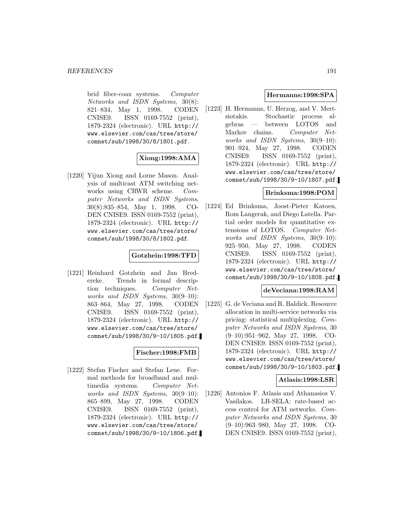brid fiber-coax systems. Computer Networks and ISDN Systems, 30(8): 821–834, May 1, 1998. CODEN CNISE9. ISSN 0169-7552 (print), 1879-2324 (electronic). URL http:// www.elsevier.com/cas/tree/store/ comnet/sub/1998/30/8/1801.pdf.

## **Xiong:1998:AMA**

[1220] Yijun Xiong and Lorne Mason. Analysis of multicast ATM switching networks using CRWR scheme. Computer Networks and ISDN Systems, 30(8):835–854, May 1, 1998. CO-DEN CNISE9. ISSN 0169-7552 (print), 1879-2324 (electronic). URL http:// www.elsevier.com/cas/tree/store/ comnet/sub/1998/30/8/1802.pdf.

### **Gotzhein:1998:TFD**

[1221] Reinhard Gotzhein and Jan Bredereke. Trends in formal description techniques. Computer Networks and ISDN Systems, 30(9–10): 863–864, May 27, 1998. CODEN CNISE9. ISSN 0169-7552 (print), 1879-2324 (electronic). URL http:// www.elsevier.com/cas/tree/store/ comnet/sub/1998/30/9-10/1805.pdf.

### **Fischer:1998:FMB**

[1222] Stefan Fischer and Stefan Leue. Formal methods for broadband and multimedia systems. Computer Networks and ISDN Systems, 30(9–10): 865–899, May 27, 1998. CODEN CNISE9. ISSN 0169-7552 (print), 1879-2324 (electronic). URL http:// www.elsevier.com/cas/tree/store/ comnet/sub/1998/30/9-10/1806.pdf.

### **Hermanns:1998:SPA**

[1223] H. Hermanns, U. Herzog, and V. Mertsiotakis. Stochastic process algebras — between LOTOS and Markov chains. Computer Networks and ISDN Systems, 30(9–10): 901–924, May 27, 1998. CODEN CNISE9. ISSN 0169-7552 (print), 1879-2324 (electronic). URL http:// www.elsevier.com/cas/tree/store/ comnet/sub/1998/30/9-10/1807.pdf.

### **Brinksma:1998:POM**

[1224] Ed Brinksma, Joost-Pieter Katoen, Rom Langerak, and Diego Latella. Partial order models for quantitative extensions of LOTOS. Computer Networks and ISDN Systems, 30(9–10): 925–950, May 27, 1998. CODEN CNISE9. ISSN 0169-7552 (print), 1879-2324 (electronic). URL http:// www.elsevier.com/cas/tree/store/ comnet/sub/1998/30/9-10/1808.pdf.

### **deVeciana:1998:RAM**

[1225] G. de Veciana and R. Baldick. Resource allocation in multi-service networks via pricing: statistical multiplexing. Computer Networks and ISDN Systems, 30 (9–10):951–962, May 27, 1998. CO-DEN CNISE9. ISSN 0169-7552 (print), 1879-2324 (electronic). URL http:// www.elsevier.com/cas/tree/store/ comnet/sub/1998/30/9-10/1803.pdf.

### **Atlasis:1998:LSR**

[1226] Antonios F. Atlasis and Athanasios V. Vasilakos. LB-SELA: rate-based access control for ATM networks. Computer Networks and ISDN Systems, 30 (9–10):963–980, May 27, 1998. CO-DEN CNISE9. ISSN 0169-7552 (print),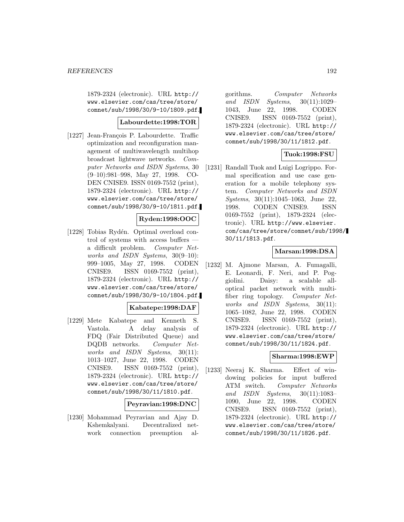1879-2324 (electronic). URL http:// www.elsevier.com/cas/tree/store/ comnet/sub/1998/30/9-10/1809.pdf.

### **Labourdette:1998:TOR**

[1227] Jean-François P. Labourdette. Traffic optimization and reconfiguration management of multiwavelength multihop broadcast lightwave networks. Computer Networks and ISDN Systems, 30 (9–10):981–998, May 27, 1998. CO-DEN CNISE9. ISSN 0169-7552 (print), 1879-2324 (electronic). URL http:// www.elsevier.com/cas/tree/store/ comnet/sub/1998/30/9-10/1811.pdf.

### **Ryden:1998:OOC**

[1228] Tobias Rydén. Optimal overload control of systems with access buffers a difficult problem. Computer Networks and ISDN Systems, 30(9–10): 999–1005, May 27, 1998. CODEN CNISE9. ISSN 0169-7552 (print), 1879-2324 (electronic). URL http:// www.elsevier.com/cas/tree/store/ comnet/sub/1998/30/9-10/1804.pdf.

#### **Kabatepe:1998:DAF**

[1229] Mete Kabatepe and Kenneth S. Vastola. A delay analysis of FDQ (Fair Distributed Queue) and DQDB networks. Computer Networks and ISDN Systems, 30(11): 1013–1027, June 22, 1998. CODEN CNISE9. ISSN 0169-7552 (print), 1879-2324 (electronic). URL http:// www.elsevier.com/cas/tree/store/ comnet/sub/1998/30/11/1810.pdf.

#### **Peyravian:1998:DNC**

[1230] Mohammad Peyravian and Ajay D. Kshemkalyani. Decentralized network connection preemption algorithms. Computer Networks and ISDN Systems, 30(11):1029– 1043, June 22, 1998. CODEN CNISE9. ISSN 0169-7552 (print), 1879-2324 (electronic). URL http:// www.elsevier.com/cas/tree/store/ comnet/sub/1998/30/11/1812.pdf.

## **Tuok:1998:FSU**

[1231] Randall Tuok and Luigi Logrippo. Formal specification and use case generation for a mobile telephony system. Computer Networks and ISDN Systems, 30(11):1045–1063, June 22, 1998. CODEN CNISE9. ISSN 0169-7552 (print), 1879-2324 (electronic). URL http://www.elsevier. com/cas/tree/store/comnet/sub/1998/ 30/11/1813.pdf.

### **Marsan:1998:DSA**

[1232] M. Ajmone Marsan, A. Fumagalli, E. Leonardi, F. Neri, and P. Poggiolini. Daisy: a scalable alloptical packet network with multifiber ring topology. Computer Networks and ISDN Systems, 30(11): 1065–1082, June 22, 1998. CODEN CNISE9. ISSN 0169-7552 (print), 1879-2324 (electronic). URL http:// www.elsevier.com/cas/tree/store/ comnet/sub/1998/30/11/1824.pdf.

### **Sharma:1998:EWP**

[1233] Neeraj K. Sharma. Effect of windowing policies for input buffered ATM switch. Computer Networks and ISDN Systems, 30(11):1083– 1090, June 22, 1998. CODEN CNISE9. ISSN 0169-7552 (print), 1879-2324 (electronic). URL http:// www.elsevier.com/cas/tree/store/ comnet/sub/1998/30/11/1826.pdf.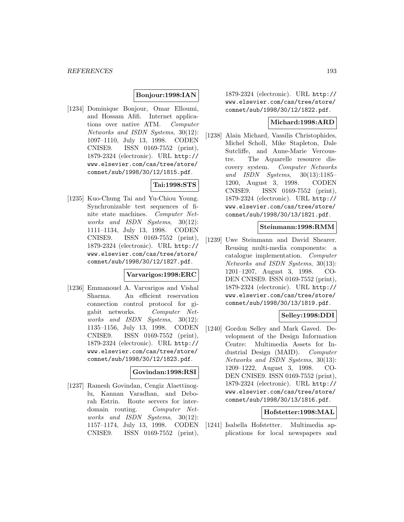#### **Bonjour:1998:IAN**

[1234] Dominique Bonjour, Omar Elloumi, and Hossam Afifi. Internet applications over native ATM. Computer Networks and ISDN Systems, 30(12): 1097–1110, July 13, 1998. CODEN CNISE9. ISSN 0169-7552 (print), 1879-2324 (electronic). URL http:// www.elsevier.com/cas/tree/store/ comnet/sub/1998/30/12/1815.pdf.

## **Tai:1998:STS**

[1235] Kuo-Chung Tai and Yu-Chiou Young. Synchronizable test sequences of finite state machines. Computer Networks and ISDN Systems, 30(12): 1111–1134, July 13, 1998. CODEN CNISE9. ISSN 0169-7552 (print), 1879-2324 (electronic). URL http:// www.elsevier.com/cas/tree/store/ comnet/sub/1998/30/12/1827.pdf.

#### **Varvarigos:1998:ERC**

[1236] Emmanouel A. Varvarigos and Vishal Sharma. An efficient reservation connection control protocol for gigabit networks. Computer Networks and ISDN Systems, 30(12): 1135–1156, July 13, 1998. CODEN CNISE9. ISSN 0169-7552 (print), 1879-2324 (electronic). URL http:// www.elsevier.com/cas/tree/store/ comnet/sub/1998/30/12/1823.pdf.

#### **Govindan:1998:RSI**

[1237] Ramesh Govindan, Cengiz Alaettinoglu, Kannan Varadhan, and Deborah Estrin. Route servers for interdomain routing. Computer Networks and ISDN Systems, 30(12): 1157–1174, July 13, 1998. CODEN CNISE9. ISSN 0169-7552 (print),

1879-2324 (electronic). URL http:// www.elsevier.com/cas/tree/store/ comnet/sub/1998/30/12/1822.pdf.

### **Michard:1998:ARD**

[1238] Alain Michard, Vassilis Christophides, Michel Scholl, Mike Stapleton, Dale Sutcliffe, and Anne-Marie Vercoustre. The Aquarelle resource discovery system. Computer Networks and ISDN Systems, 30(13):1185– 1200, August 3, 1998. CODEN CNISE9. ISSN 0169-7552 (print), 1879-2324 (electronic). URL http:// www.elsevier.com/cas/tree/store/ comnet/sub/1998/30/13/1821.pdf.

#### **Steinmann:1998:RMM**

[1239] Uwe Steinmann and David Shearer. Reusing multi-media components: a catalogue implementation. Computer Networks and ISDN Systems, 30(13): 1201–1207, August 3, 1998. CO-DEN CNISE9. ISSN 0169-7552 (print), 1879-2324 (electronic). URL http:// www.elsevier.com/cas/tree/store/ comnet/sub/1998/30/13/1819.pdf.

### **Selley:1998:DDI**

[1240] Gordon Selley and Mark Gaved. Development of the Design Information Centre: Multimedia Assets for Industrial Design (MAID). Computer Networks and ISDN Systems, 30(13): 1209–1222, August 3, 1998. CO-DEN CNISE9. ISSN 0169-7552 (print), 1879-2324 (electronic). URL http:// www.elsevier.com/cas/tree/store/ comnet/sub/1998/30/13/1816.pdf.

#### **Hofstetter:1998:MAL**

[1241] Isabella Hofstetter. Multimedia applications for local newspapers and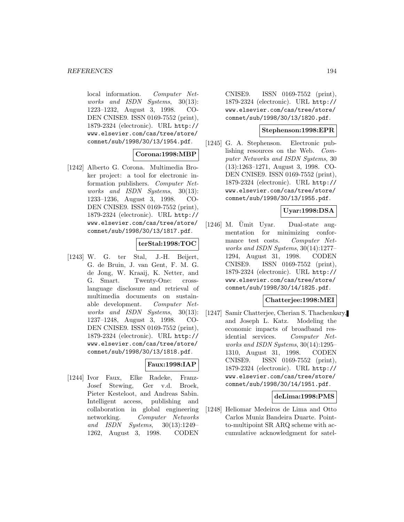local information. Computer Networks and ISDN Systems, 30(13): 1223–1232, August 3, 1998. CO-DEN CNISE9. ISSN 0169-7552 (print), 1879-2324 (electronic). URL http:// www.elsevier.com/cas/tree/store/ comnet/sub/1998/30/13/1954.pdf.

### **Corona:1998:MBP**

[1242] Alberto G. Corona. Multimedia Broker project: a tool for electronic information publishers. Computer Networks and ISDN Systems, 30(13): 1233–1236, August 3, 1998. CO-DEN CNISE9. ISSN 0169-7552 (print), 1879-2324 (electronic). URL http:// www.elsevier.com/cas/tree/store/ comnet/sub/1998/30/13/1817.pdf.

#### **terStal:1998:TOC**

[1243] W. G. ter Stal, J.-H. Beijert, G. de Bruin, J. van Gent, F. M. G. de Jong, W. Kraaij, K. Netter, and G. Smart. Twenty-One: crosslanguage disclosure and retrieval of multimedia documents on sustainable development. Computer Networks and ISDN Systems, 30(13): 1237–1248, August 3, 1998. CO-DEN CNISE9. ISSN 0169-7552 (print), 1879-2324 (electronic). URL http:// www.elsevier.com/cas/tree/store/ comnet/sub/1998/30/13/1818.pdf.

## **Faux:1998:IAP**

[1244] Ivor Faux, Elke Radeke, Franz-Josef Stewing, Ger v.d. Broek, Pieter Kesteloot, and Andreas Sabin. Intelligent access, publishing and collaboration in global engineering networking. Computer Networks and ISDN Systems, 30(13):1249– 1262, August 3, 1998. CODEN

CNISE9. ISSN 0169-7552 (print), 1879-2324 (electronic). URL http:// www.elsevier.com/cas/tree/store/ comnet/sub/1998/30/13/1820.pdf.

#### **Stephenson:1998:EPR**

[1245] G. A. Stephenson. Electronic publishing resources on the Web. Computer Networks and ISDN Systems, 30 (13):1263–1271, August 3, 1998. CO-DEN CNISE9. ISSN 0169-7552 (print), 1879-2324 (electronic). URL http:// www.elsevier.com/cas/tree/store/ comnet/sub/1998/30/13/1955.pdf.

### **Uyar:1998:DSA**

 $[1246]$  M. Umit Uyar. Dual-state augmentation for minimizing conformance test costs. Computer Networks and ISDN Systems, 30(14):1277– 1294, August 31, 1998. CODEN CNISE9. ISSN 0169-7552 (print), 1879-2324 (electronic). URL http:// www.elsevier.com/cas/tree/store/ comnet/sub/1998/30/14/1825.pdf.

### **Chatterjee:1998:MEI**

[1247] Samir Chatterjee, Cherian S. Thachenkary, and Joseph L. Katz. Modeling the economic impacts of broadband residential services. Computer Networks and ISDN Systems, 30(14):1295– 1310, August 31, 1998. CODEN CNISE9. ISSN 0169-7552 (print), 1879-2324 (electronic). URL http:// www.elsevier.com/cas/tree/store/ comnet/sub/1998/30/14/1951.pdf.

#### **deLima:1998:PMS**

[1248] Heliomar Medeiros de Lima and Otto Carlos Muniz Bandeira Duarte. Pointto-multipoint SR ARQ scheme with accumulative acknowledgment for satel-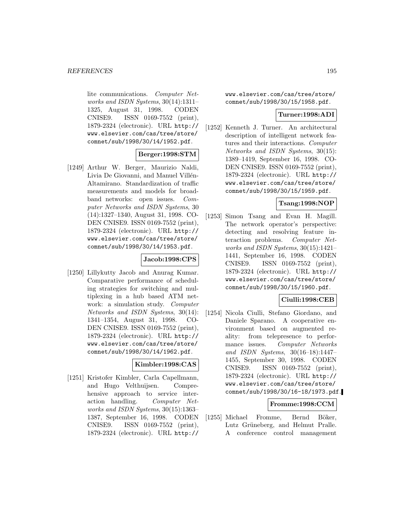lite communications. Computer Networks and ISDN Systems, 30(14):1311– 1325, August 31, 1998. CODEN CNISE9. ISSN 0169-7552 (print), 1879-2324 (electronic). URL http:// www.elsevier.com/cas/tree/store/ comnet/sub/1998/30/14/1952.pdf.

### **Berger:1998:STM**

[1249] Arthur W. Berger, Maurizio Naldi, Livia De Giovanni, and Manuel Villén-Altamirano. Standardization of traffic measurements and models for broadband networks: open issues. Computer Networks and ISDN Systems, 30 (14):1327–1340, August 31, 1998. CO-DEN CNISE9. ISSN 0169-7552 (print), 1879-2324 (electronic). URL http:// www.elsevier.com/cas/tree/store/ comnet/sub/1998/30/14/1953.pdf.

### **Jacob:1998:CPS**

[1250] Lillykutty Jacob and Anurag Kumar. Comparative performance of scheduling strategies for switching and multiplexing in a hub based ATM network: a simulation study. Computer Networks and ISDN Systems, 30(14): 1341–1354, August 31, 1998. CO-DEN CNISE9. ISSN 0169-7552 (print), 1879-2324 (electronic). URL http:// www.elsevier.com/cas/tree/store/ comnet/sub/1998/30/14/1962.pdf.

### **Kimbler:1998:CAS**

[1251] Kristofer Kimbler, Carla Capellmann, and Hugo Velthuijsen. Comprehensive approach to service interaction handling. Computer Networks and ISDN Systems, 30(15):1363– 1387, September 16, 1998. CODEN CNISE9. ISSN 0169-7552 (print), 1879-2324 (electronic). URL http://

www.elsevier.com/cas/tree/store/ comnet/sub/1998/30/15/1958.pdf.

### **Turner:1998:ADI**

[1252] Kenneth J. Turner. An architectural description of intelligent network features and their interactions. Computer Networks and ISDN Systems, 30(15): 1389–1419, September 16, 1998. CO-DEN CNISE9. ISSN 0169-7552 (print), 1879-2324 (electronic). URL http:// www.elsevier.com/cas/tree/store/ comnet/sub/1998/30/15/1959.pdf.

### **Tsang:1998:NOP**

[1253] Simon Tsang and Evan H. Magill. The network operator's perspective: detecting and resolving feature interaction problems. Computer Networks and ISDN Systems, 30(15):1421– 1441, September 16, 1998. CODEN CNISE9. ISSN 0169-7552 (print), 1879-2324 (electronic). URL http:// www.elsevier.com/cas/tree/store/ comnet/sub/1998/30/15/1960.pdf.

### **Ciulli:1998:CEB**

[1254] Nicola Ciulli, Stefano Giordano, and Daniele Sparano. A cooperative environment based on augmented reality: from telepresence to performance issues. Computer Networks and ISDN Systems, 30(16–18):1447– 1455, September 30, 1998. CODEN CNISE9. ISSN 0169-7552 (print), 1879-2324 (electronic). URL http:// www.elsevier.com/cas/tree/store/ comnet/sub/1998/30/16-18/1973.pdf.

### **Fromme:1998:CCM**

[1255] Michael Fromme, Bernd Böker, Lutz Grüneberg, and Helmut Pralle. A conference control management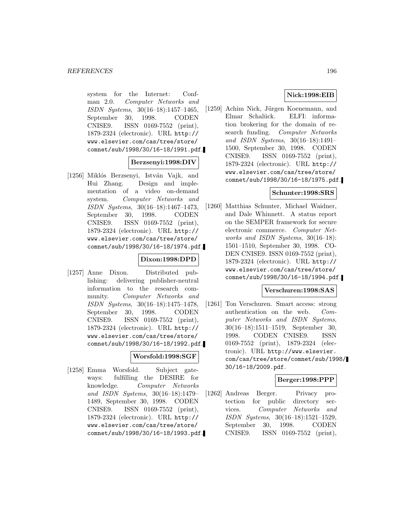system for the Internet: Confman 2.0. Computer Networks and ISDN Systems, 30(16–18):1457–1465, September 30, 1998. CODEN CNISE9. ISSN 0169-7552 (print), 1879-2324 (electronic). URL http:// www.elsevier.com/cas/tree/store/ comnet/sub/1998/30/16-18/1991.pdf.

#### **Berzsenyi:1998:DIV**

[1256] Miklós Berzsenyi, István Vajk, and Hui Zhang. Design and implementation of a video on-demand system. Computer Networks and ISDN Systems, 30(16–18):1467–1473, September 30, 1998. CODEN CNISE9. ISSN 0169-7552 (print), 1879-2324 (electronic). URL http:// www.elsevier.com/cas/tree/store/ comnet/sub/1998/30/16-18/1974.pdf.

### **Dixon:1998:DPD**

[1257] Anne Dixon. Distributed publishing: delivering publisher-neutral information to the research community. Computer Networks and ISDN Systems, 30(16–18):1475–1478, September 30, 1998. CODEN CNISE9. ISSN 0169-7552 (print), 1879-2324 (electronic). URL http:// www.elsevier.com/cas/tree/store/ comnet/sub/1998/30/16-18/1992.pdf.

### **Worsfold:1998:SGF**

[1258] Emma Worsfold. Subject gateways: fulfilling the DESIRE for knowledge. Computer Networks and ISDN Systems, 30(16–18):1479– 1489, September 30, 1998. CODEN CNISE9. ISSN 0169-7552 (print), 1879-2324 (electronic). URL http:// www.elsevier.com/cas/tree/store/ comnet/sub/1998/30/16-18/1993.pdf.

### **Nick:1998:EIB**

[1259] Achim Nick, Jürgen Koenemann, and Elmar Schalück. ELFI: information brokering for the domain of research funding. Computer Networks and ISDN Systems, 30(16–18):1491– 1500, September 30, 1998. CODEN CNISE9. ISSN 0169-7552 (print), 1879-2324 (electronic). URL http:// www.elsevier.com/cas/tree/store/ comnet/sub/1998/30/16-18/1975.pdf.

### **Schunter:1998:SRS**

[1260] Matthias Schunter, Michael Waidner, and Dale Whinnett. A status report on the SEMPER framework for secure electronic commerce. Computer Networks and ISDN Systems, 30(16–18): 1501–1510, September 30, 1998. CO-DEN CNISE9. ISSN 0169-7552 (print), 1879-2324 (electronic). URL http:// www.elsevier.com/cas/tree/store/ comnet/sub/1998/30/16-18/1994.pdf.

### **Verschuren:1998:SAS**

[1261] Ton Verschuren. Smart access: strong authentication on the web. Computer Networks and ISDN Systems, 30(16–18):1511–1519, September 30, 1998. CODEN CNISE9. ISSN 0169-7552 (print), 1879-2324 (electronic). URL http://www.elsevier. com/cas/tree/store/comnet/sub/1998/ 30/16-18/2009.pdf.

## **Berger:1998:PPP**

[1262] Andreas Berger. Privacy protection for public directory services. Computer Networks and ISDN Systems, 30(16–18):1521–1529, September 30, 1998. CODEN CNISE9. ISSN 0169-7552 (print),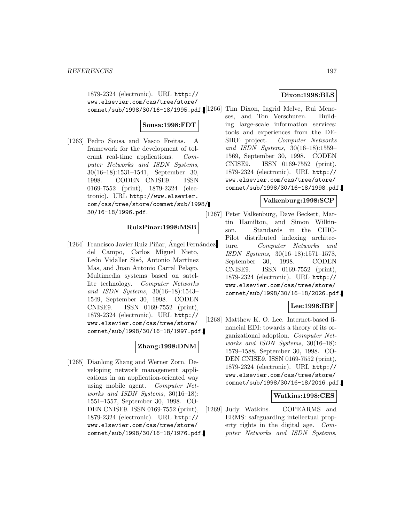1879-2324 (electronic). URL http:// www.elsevier.com/cas/tree/store/

## **Sousa:1998:FDT**

[1263] Pedro Sousa and Vasco Freitas. A framework for the development of tolerant real-time applications. Computer Networks and ISDN Systems, 30(16–18):1531–1541, September 30, 1998. CODEN CNISE9. ISSN 0169-7552 (print), 1879-2324 (electronic). URL http://www.elsevier. com/cas/tree/store/comnet/sub/1998/ 30/16-18/1996.pdf.

## **RuizPinar:1998:MSB**

[1264] Francisco Javier Ruiz Piñar, Angel Fernández del Campo, Carlos Miguel Nieto, León Vidaller Sisó, Antonio Martínez Mas, and Juan Antonio Carral Pelayo. Multimedia systems based on satellite technology. Computer Networks and ISDN Systems, 30(16–18):1543– 1549, September 30, 1998. CODEN CNISE9. ISSN 0169-7552 (print), 1879-2324 (electronic). URL http:// www.elsevier.com/cas/tree/store/ comnet/sub/1998/30/16-18/1997.pdf.

### **Zhang:1998:DNM**

[1265] Dianlong Zhang and Werner Zorn. Developing network management applications in an application-oriented way using mobile agent. Computer Networks and ISDN Systems, 30(16–18): 1551–1557, September 30, 1998. CO-DEN CNISE9. ISSN 0169-7552 (print), 1879-2324 (electronic). URL http:// www.elsevier.com/cas/tree/store/ comnet/sub/1998/30/16-18/1976.pdf.

## **Dixon:1998:BLS**

comnet/sub/1998/30/16-18/1995.pdf. [1266] Tim Dixon, Ingrid Melve, Rui Meneses, and Ton Verschuren. Building large-scale information services: tools and experiences from the DE-SIRE project. Computer Networks and ISDN Systems, 30(16–18):1559– 1569, September 30, 1998. CODEN CNISE9. ISSN 0169-7552 (print), 1879-2324 (electronic). URL http:// www.elsevier.com/cas/tree/store/ comnet/sub/1998/30/16-18/1998.pdf.

### **Valkenburg:1998:SCP**

[1267] Peter Valkenburg, Dave Beckett, Martin Hamilton, and Simon Wilkinson. Standards in the CHIC-Pilot distributed indexing architecture. Computer Networks and ISDN Systems, 30(16–18):1571–1578, September 30, 1998. CODEN CNISE9. ISSN 0169-7552 (print), 1879-2324 (electronic). URL http:// www.elsevier.com/cas/tree/store/ comnet/sub/1998/30/16-18/2026.pdf.

## **Lee:1998:IBF**

[1268] Matthew K. O. Lee. Internet-based financial EDI: towards a theory of its organizational adoption. Computer Networks and ISDN Systems, 30(16–18): 1579–1588, September 30, 1998. CO-DEN CNISE9. ISSN 0169-7552 (print), 1879-2324 (electronic). URL http:// www.elsevier.com/cas/tree/store/ comnet/sub/1998/30/16-18/2016.pdf.

### **Watkins:1998:CES**

[1269] Judy Watkins. COPEARMS and ERMS: safeguarding intellectual property rights in the digital age. Computer Networks and ISDN Systems,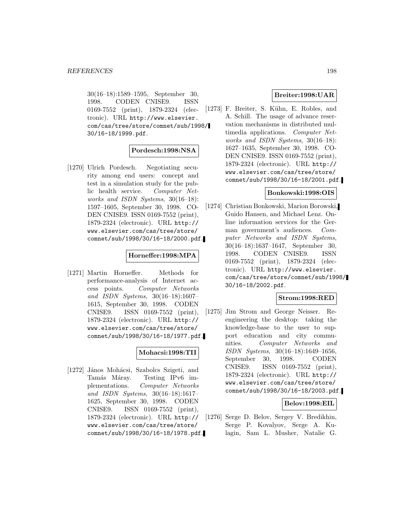30(16–18):1589–1595, September 30, 1998. CODEN CNISE9. ISSN 0169-7552 (print), 1879-2324 (electronic). URL http://www.elsevier. com/cas/tree/store/comnet/sub/1998/ 30/16-18/1999.pdf.

### **Pordesch:1998:NSA**

[1270] Ulrich Pordesch. Negotiating security among end users: concept and test in a simulation study for the public health service. Computer Networks and ISDN Systems, 30(16–18): 1597–1605, September 30, 1998. CO-DEN CNISE9. ISSN 0169-7552 (print), 1879-2324 (electronic). URL http:// www.elsevier.com/cas/tree/store/ comnet/sub/1998/30/16-18/2000.pdf.

#### **Horneffer:1998:MPA**

[1271] Martin Horneffer. Methods for performance-analysis of Internet access points. Computer Networks and ISDN Systems, 30(16–18):1607– 1615, September 30, 1998. CODEN CNISE9. ISSN 0169-7552 (print), 1879-2324 (electronic). URL http:// www.elsevier.com/cas/tree/store/ comnet/sub/1998/30/16-18/1977.pdf.

### **Mohacsi:1998:TII**

[1272] János Mohácsi, Szabolcs Szigeti, and Tamás Máray. Testing IPv6 implementations. Computer Networks and ISDN Systems, 30(16–18):1617– 1625, September 30, 1998. CODEN CNISE9. ISSN 0169-7552 (print), 1879-2324 (electronic). URL http:// www.elsevier.com/cas/tree/store/ comnet/sub/1998/30/16-18/1978.pdf.

### **Breiter:1998:UAR**

[1273] F. Breiter, S. Kühn, E. Robles, and A. Schill. The usage of advance reservation mechanisms in distributed multimedia applications. Computer Networks and ISDN Systems, 30(16–18): 1627–1635, September 30, 1998. CO-DEN CNISE9. ISSN 0169-7552 (print), 1879-2324 (electronic). URL http:// www.elsevier.com/cas/tree/store/ comnet/sub/1998/30/16-18/2001.pdf.

### **Bonkowski:1998:OIS**

[1274] Christian Bonkowski, Marion Borowski, Guido Hansen, and Michael Lenz. Online information services for the German government's audiences. Computer Networks and ISDN Systems, 30(16–18):1637–1647, September 30, 1998. CODEN CNISE9. ISSN 0169-7552 (print), 1879-2324 (electronic). URL http://www.elsevier. com/cas/tree/store/comnet/sub/1998/ 30/16-18/2002.pdf.

### **Strom:1998:RED**

[1275] Jim Strom and George Neisser. Reengineering the desktop: taking the knowledge-base to the user to support education and city communities. Computer Networks and ISDN Systems, 30(16–18):1649–1656, September 30, 1998. CODEN CNISE9. ISSN 0169-7552 (print), 1879-2324 (electronic). URL http:// www.elsevier.com/cas/tree/store/ comnet/sub/1998/30/16-18/2003.pdf.

### **Belov:1998:EIL**

[1276] Serge D. Belov, Sergey V. Bredikhin, Serge P. Kovalyov, Serge A. Kulagin, Sam L. Musher, Natalie G.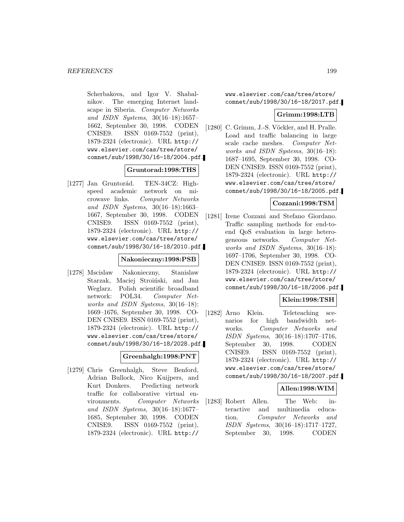Scherbakova, and Igor V. Shabalnikov. The emerging Internet landscape in Siberia. Computer Networks and ISDN Systems, 30(16–18):1657– 1662, September 30, 1998. CODEN CNISE9. ISSN 0169-7552 (print), 1879-2324 (electronic). URL http:// www.elsevier.com/cas/tree/store/ comnet/sub/1998/30/16-18/2004.pdf.

### **Gruntorad:1998:THS**

[1277] Jan Gruntorád. TEN-34CZ: Highspeed academic network on microwave links. Computer Networks and ISDN Systems, 30(16–18):1663– 1667, September 30, 1998. CODEN CNISE9. ISSN 0169-7552 (print), 1879-2324 (electronic). URL http:// www.elsevier.com/cas/tree/store/ comnet/sub/1998/30/16-18/2010.pdf.

### **Nakonieczny:1998:PSB**

[1278] Mscislaw Nakonieczny, Stanislaw Starzak, Maciej Stroiński, and Jan Weglarz. Polish scientific broadband network: POL34. Computer Networks and ISDN Systems, 30(16–18): 1669–1676, September 30, 1998. CO-DEN CNISE9. ISSN 0169-7552 (print), 1879-2324 (electronic). URL http:// www.elsevier.com/cas/tree/store/ comnet/sub/1998/30/16-18/2028.pdf.

### **Greenhalgh:1998:PNT**

[1279] Chris Greenhalgh, Steve Benford, Adrian Bullock, Nico Kuijpers, and Kurt Donkers. Predicting network traffic for collaborative virtual environments. Computer Networks and ISDN Systems, 30(16–18):1677– 1685, September 30, 1998. CODEN CNISE9. ISSN 0169-7552 (print), 1879-2324 (electronic). URL http://

www.elsevier.com/cas/tree/store/ comnet/sub/1998/30/16-18/2017.pdf.

### **Grimm:1998:LTB**

[1280] C. Grimm, J.-S. Vöckler, and H. Pralle. Load and traffic balancing in large scale cache meshes. Computer Networks and ISDN Systems, 30(16–18): 1687–1695, September 30, 1998. CO-DEN CNISE9. ISSN 0169-7552 (print), 1879-2324 (electronic). URL http:// www.elsevier.com/cas/tree/store/ comnet/sub/1998/30/16-18/2005.pdf.

### **Cozzani:1998:TSM**

[1281] Irene Cozzani and Stefano Giordano. Traffic sampling methods for end-toend QoS evaluation in large heterogeneous networks. Computer Networks and ISDN Systems, 30(16–18): 1697–1706, September 30, 1998. CO-DEN CNISE9. ISSN 0169-7552 (print), 1879-2324 (electronic). URL http:// www.elsevier.com/cas/tree/store/ comnet/sub/1998/30/16-18/2006.pdf.

### **Klein:1998:TSH**

[1282] Arno Klein. Teleteaching scenarios for high bandwidth networks. Computer Networks and ISDN Systems, 30(16–18):1707–1716, September 30, 1998. CODEN CNISE9. ISSN 0169-7552 (print), 1879-2324 (electronic). URL http:// www.elsevier.com/cas/tree/store/ comnet/sub/1998/30/16-18/2007.pdf.

### **Allen:1998:WIM**

[1283] Robert Allen. The Web: interactive and multimedia education. Computer Networks and ISDN Systems, 30(16–18):1717–1727, September 30, 1998. CODEN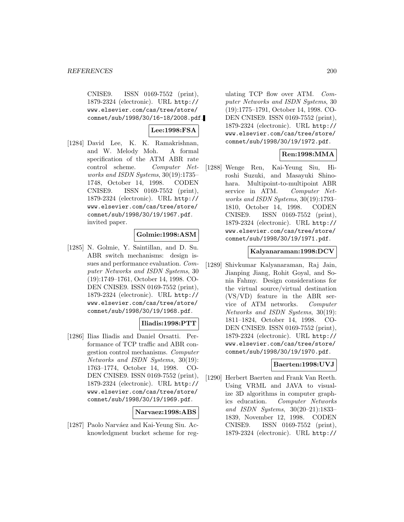CNISE9. ISSN 0169-7552 (print), 1879-2324 (electronic). URL http:// www.elsevier.com/cas/tree/store/ comnet/sub/1998/30/16-18/2008.pdf.

## **Lee:1998:FSA**

[1284] David Lee, K. K. Ramakrishnan, and W. Melody Moh. A formal specification of the ATM ABR rate control scheme. Computer Networks and ISDN Systems, 30(19):1735– 1748, October 14, 1998. CODEN CNISE9. ISSN 0169-7552 (print), 1879-2324 (electronic). URL http:// www.elsevier.com/cas/tree/store/ comnet/sub/1998/30/19/1967.pdf. invited paper.

### **Golmie:1998:ASM**

[1285] N. Golmie, Y. Saintillan, and D. Su. ABR switch mechanisms: design issues and performance evaluation. Computer Networks and ISDN Systems, 30 (19):1749–1761, October 14, 1998. CO-DEN CNISE9. ISSN 0169-7552 (print), 1879-2324 (electronic). URL http:// www.elsevier.com/cas/tree/store/ comnet/sub/1998/30/19/1968.pdf.

## **Iliadis:1998:PTT**

[1286] Ilias Iliadis and Daniel Orsatti. Performance of TCP traffic and ABR congestion control mechanisms. Computer Networks and ISDN Systems, 30(19): 1763–1774, October 14, 1998. CO-DEN CNISE9. ISSN 0169-7552 (print), 1879-2324 (electronic). URL http:// www.elsevier.com/cas/tree/store/ comnet/sub/1998/30/19/1969.pdf.

### **Narvaez:1998:ABS**

[1287] Paolo Narváez and Kai-Yeung Siu. Acknowledgment bucket scheme for reg-

ulating TCP flow over ATM. Computer Networks and ISDN Systems, 30 (19):1775–1791, October 14, 1998. CO-DEN CNISE9. ISSN 0169-7552 (print), 1879-2324 (electronic). URL http:// www.elsevier.com/cas/tree/store/ comnet/sub/1998/30/19/1972.pdf.

## **Ren:1998:MMA**

[1288] Wenge Ren, Kai-Yeung Siu, Hiroshi Suzuki, and Masayuki Shinohara. Multipoint-to-multipoint ABR service in ATM. Computer Networks and ISDN Systems, 30(19):1793– 1810, October 14, 1998. CODEN CNISE9. ISSN 0169-7552 (print), 1879-2324 (electronic). URL http:// www.elsevier.com/cas/tree/store/ comnet/sub/1998/30/19/1971.pdf.

### **Kalyanaraman:1998:DCV**

[1289] Shivkumar Kalyanaraman, Raj Jain, Jianping Jiang, Rohit Goyal, and Sonia Fahmy. Design considerations for the virtual source/virtual destination (VS/VD) feature in the ABR service of ATM networks. Computer Networks and ISDN Systems, 30(19): 1811–1824, October 14, 1998. CO-DEN CNISE9. ISSN 0169-7552 (print), 1879-2324 (electronic). URL http:// www.elsevier.com/cas/tree/store/ comnet/sub/1998/30/19/1970.pdf.

### **Baerten:1998:UVJ**

[1290] Herbert Baerten and Frank Van Reeth. Using VRML and JAVA to visualize 3D algorithms in computer graphics education. Computer Networks and ISDN Systems, 30(20–21):1833– 1839, November 12, 1998. CODEN CNISE9. ISSN 0169-7552 (print), 1879-2324 (electronic). URL http://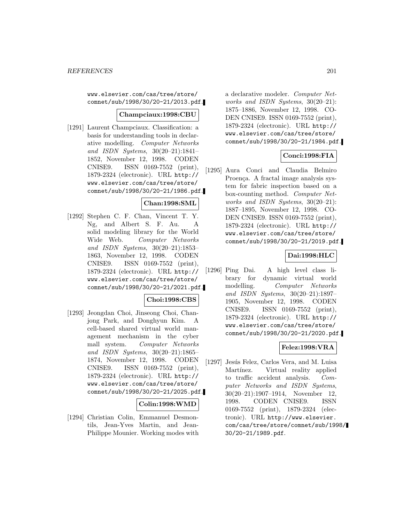www.elsevier.com/cas/tree/store/ comnet/sub/1998/30/20-21/2013.pdf.

### **Champciaux:1998:CBU**

[1291] Laurent Champciaux. Classification: a basis for understanding tools in declarative modelling. Computer Networks and ISDN Systems, 30(20–21):1841– 1852, November 12, 1998. CODEN CNISE9. ISSN 0169-7552 (print), 1879-2324 (electronic). URL http:// www.elsevier.com/cas/tree/store/ comnet/sub/1998/30/20-21/1986.pdf.

### **Chan:1998:SML**

[1292] Stephen C. F. Chan, Vincent T. Y. Ng, and Albert S. F. Au. A solid modeling library for the World Wide Web. Computer Networks and ISDN Systems, 30(20–21):1853– 1863, November 12, 1998. CODEN CNISE9. ISSN 0169-7552 (print), 1879-2324 (electronic). URL http:// www.elsevier.com/cas/tree/store/ comnet/sub/1998/30/20-21/2021.pdf.

### **Choi:1998:CBS**

[1293] Jeongdan Choi, Jinseong Choi, Chanjong Park, and Donghyun Kim. A cell-based shared virtual world management mechanism in the cyber mall system. Computer Networks and ISDN Systems, 30(20–21):1865– 1874, November 12, 1998. CODEN CNISE9. ISSN 0169-7552 (print), 1879-2324 (electronic). URL http:// www.elsevier.com/cas/tree/store/ comnet/sub/1998/30/20-21/2025.pdf.

### **Colin:1998:WMD**

[1294] Christian Colin, Emmanuel Desmontils, Jean-Yves Martin, and Jean-Philippe Mounier. Working modes with

a declarative modeler. Computer Networks and ISDN Systems, 30(20–21): 1875–1886, November 12, 1998. CO-DEN CNISE9. ISSN 0169-7552 (print), 1879-2324 (electronic). URL http:// www.elsevier.com/cas/tree/store/ comnet/sub/1998/30/20-21/1984.pdf.

### **Conci:1998:FIA**

[1295] Aura Conci and Claudia Belmiro Proença. A fractal image analysis system for fabric inspection based on a box-counting method. Computer Networks and ISDN Systems, 30(20–21): 1887–1895, November 12, 1998. CO-DEN CNISE9. ISSN 0169-7552 (print), 1879-2324 (electronic). URL http:// www.elsevier.com/cas/tree/store/ comnet/sub/1998/30/20-21/2019.pdf.

### **Dai:1998:HLC**

[1296] Ping Dai. A high level class library for dynamic virtual world modelling. Computer Networks and ISDN Systems, 30(20–21):1897– 1905, November 12, 1998. CODEN CNISE9. ISSN 0169-7552 (print), 1879-2324 (electronic). URL http:// www.elsevier.com/cas/tree/store/ comnet/sub/1998/30/20-21/2020.pdf.

### **Felez:1998:VRA**

[1297] Jesús Felez, Carlos Vera, and M. Luisa Martínez. Virtual reality applied to traffic accident analysis. Computer Networks and ISDN Systems, 30(20–21):1907–1914, November 12, 1998. CODEN CNISE9. ISSN 0169-7552 (print), 1879-2324 (electronic). URL http://www.elsevier. com/cas/tree/store/comnet/sub/1998/ 30/20-21/1989.pdf.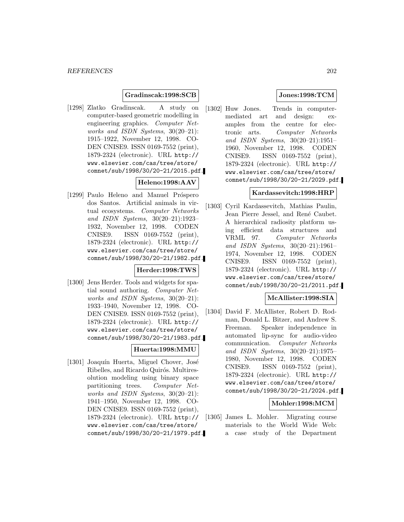### **Gradinscak:1998:SCB**

[1298] Zlatko Gradinscak. A study on computer-based geometric modelling in engineering graphics. Computer Networks and ISDN Systems, 30(20–21): 1915–1922, November 12, 1998. CO-DEN CNISE9. ISSN 0169-7552 (print), 1879-2324 (electronic). URL http:// www.elsevier.com/cas/tree/store/ comnet/sub/1998/30/20-21/2015.pdf.

## **Heleno:1998:AAV**

[1299] Paulo Heleno and Manuel Próspero dos Santos. Artificial animals in virtual ecosystems. Computer Networks and ISDN Systems, 30(20–21):1923– 1932, November 12, 1998. CODEN CNISE9. ISSN 0169-7552 (print), 1879-2324 (electronic). URL http:// www.elsevier.com/cas/tree/store/ comnet/sub/1998/30/20-21/1982.pdf.

### **Herder:1998:TWS**

[1300] Jens Herder. Tools and widgets for spatial sound authoring. Computer Networks and ISDN Systems, 30(20–21): 1933–1940, November 12, 1998. CO-DEN CNISE9. ISSN 0169-7552 (print), 1879-2324 (electronic). URL http:// www.elsevier.com/cas/tree/store/ comnet/sub/1998/30/20-21/1983.pdf.

## **Huerta:1998:MMU**

[1301] Joaquín Huerta, Miguel Chover, José Ribelles, and Ricardo Quirós. Multiresolution modeling using binary space partitioning trees. Computer Networks and ISDN Systems, 30(20–21): 1941–1950, November 12, 1998. CO-DEN CNISE9. ISSN 0169-7552 (print), 1879-2324 (electronic). URL http:// www.elsevier.com/cas/tree/store/ comnet/sub/1998/30/20-21/1979.pdf.

### **Jones:1998:TCM**

[1302] Huw Jones. Trends in computermediated art and design: examples from the centre for electronic arts. Computer Networks and ISDN Systems, 30(20–21):1951– 1960, November 12, 1998. CODEN CNISE9. ISSN 0169-7552 (print), 1879-2324 (electronic). URL http:// www.elsevier.com/cas/tree/store/ comnet/sub/1998/30/20-21/2029.pdf.

### **Kardassevitch:1998:HRP**

[1303] Cyril Kardassevitch, Mathias Paulin, Jean Pierre Jessel, and René Caubet. A hierarchical radiosity platform using efficient data structures and VRML 97. Computer Networks and ISDN Systems, 30(20–21):1961– 1974, November 12, 1998. CODEN CNISE9. ISSN 0169-7552 (print), 1879-2324 (electronic). URL http:// www.elsevier.com/cas/tree/store/ comnet/sub/1998/30/20-21/2011.pdf.

### **McAllister:1998:SIA**

[1304] David F. McAllister, Robert D. Rodman, Donald L. Bitzer, and Andrew S. Freeman. Speaker independence in automated lip-sync for audio-video communication. Computer Networks and ISDN Systems, 30(20–21):1975– 1980, November 12, 1998. CODEN CNISE9. ISSN 0169-7552 (print), 1879-2324 (electronic). URL http:// www.elsevier.com/cas/tree/store/ comnet/sub/1998/30/20-21/2024.pdf.

### **Mohler:1998:MCM**

[1305] James L. Mohler. Migrating course materials to the World Wide Web: a case study of the Department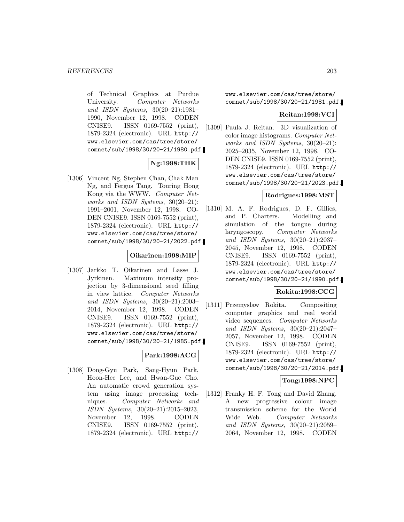of Technical Graphics at Purdue University. Computer Networks and ISDN Systems, 30(20–21):1981– 1990, November 12, 1998. CODEN CNISE9. ISSN 0169-7552 (print), 1879-2324 (electronic). URL http:// www.elsevier.com/cas/tree/store/ comnet/sub/1998/30/20-21/1980.pdf.

## **Ng:1998:THK**

[1306] Vincent Ng, Stephen Chan, Chak Man Ng, and Fergus Tang. Touring Hong Kong via the WWW. Computer Networks and ISDN Systems, 30(20–21): 1991–2001, November 12, 1998. CO-DEN CNISE9. ISSN 0169-7552 (print), 1879-2324 (electronic). URL http:// www.elsevier.com/cas/tree/store/ comnet/sub/1998/30/20-21/2022.pdf.

### **Oikarinen:1998:MIP**

[1307] Jarkko T. Oikarinen and Lasse J. Jyrkinen. Maximum intensity projection by 3-dimensional seed filling in view lattice. Computer Networks and ISDN Systems, 30(20–21):2003– 2014, November 12, 1998. CODEN CNISE9. ISSN 0169-7552 (print), 1879-2324 (electronic). URL http:// www.elsevier.com/cas/tree/store/ comnet/sub/1998/30/20-21/1985.pdf.

## **Park:1998:ACG**

[1308] Dong-Gyu Park, Sang-Hyun Park, Hoon-Hee Lee, and Hwan-Gue Cho. An automatic crowd generation system using image processing techniques. Computer Networks and ISDN Systems, 30(20–21):2015–2023, November 12, 1998. CODEN CNISE9. ISSN 0169-7552 (print), 1879-2324 (electronic). URL http://

www.elsevier.com/cas/tree/store/ comnet/sub/1998/30/20-21/1981.pdf.

### **Reitan:1998:VCI**

[1309] Paula J. Reitan. 3D visualization of color image histograms. Computer Networks and ISDN Systems, 30(20–21): 2025–2035, November 12, 1998. CO-DEN CNISE9. ISSN 0169-7552 (print), 1879-2324 (electronic). URL http:// www.elsevier.com/cas/tree/store/ comnet/sub/1998/30/20-21/2023.pdf.

## **Rodrigues:1998:MST**

[1310] M. A. F. Rodrigues, D. F. Gillies, and P. Charters. Modelling and simulation of the tongue during laryngoscopy. Computer Networks and ISDN Systems, 30(20–21):2037– 2045, November 12, 1998. CODEN CNISE9. ISSN 0169-7552 (print), 1879-2324 (electronic). URL http:// www.elsevier.com/cas/tree/store/ comnet/sub/1998/30/20-21/1990.pdf.

## **Rokita:1998:CCG**

[1311] Przemyslaw Rokita. Compositing computer graphics and real world video sequences. Computer Networks and ISDN Systems, 30(20–21):2047– 2057, November 12, 1998. CODEN CNISE9. ISSN 0169-7552 (print), 1879-2324 (electronic). URL http:// www.elsevier.com/cas/tree/store/ comnet/sub/1998/30/20-21/2014.pdf.

## **Tong:1998:NPC**

[1312] Franky H. F. Tong and David Zhang. A new progressive colour image transmission scheme for the World Wide Web. Computer Networks and ISDN Systems, 30(20–21):2059– 2064, November 12, 1998. CODEN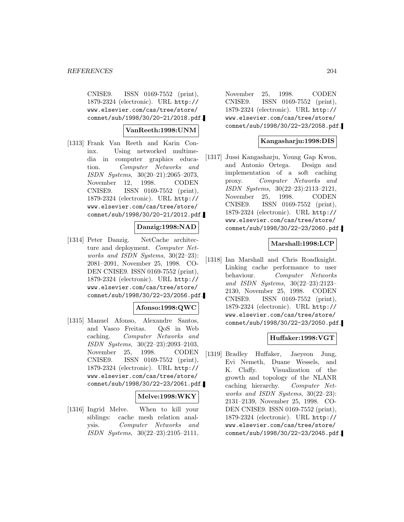CNISE9. ISSN 0169-7552 (print), 1879-2324 (electronic). URL http:// www.elsevier.com/cas/tree/store/ comnet/sub/1998/30/20-21/2018.pdf.

### **VanReeth:1998:UNM**

[1313] Frank Van Reeth and Karin Coninx. Using networked multimedia in computer graphics education. Computer Networks and ISDN Systems, 30(20–21):2065–2073, November 12, 1998. CODEN CNISE9. ISSN 0169-7552 (print), 1879-2324 (electronic). URL http:// www.elsevier.com/cas/tree/store/ comnet/sub/1998/30/20-21/2012.pdf.

#### **Danzig:1998:NAD**

[1314] Peter Danzig. NetCache architecture and deployment. Computer Networks and ISDN Systems, 30(22–23): 2081–2091, November 25, 1998. CO-DEN CNISE9. ISSN 0169-7552 (print), 1879-2324 (electronic). URL http:// www.elsevier.com/cas/tree/store/ comnet/sub/1998/30/22-23/2056.pdf.

#### **Afonso:1998:QWC**

[1315] Manuel Afonso, Alexandre Santos, and Vasco Freitas. QoS in Web caching. Computer Networks and ISDN Systems, 30(22–23):2093–2103, November 25, 1998. CODEN CNISE9. ISSN 0169-7552 (print), 1879-2324 (electronic). URL http:// www.elsevier.com/cas/tree/store/ comnet/sub/1998/30/22-23/2061.pdf.

#### **Melve:1998:WKY**

[1316] Ingrid Melve. When to kill your siblings: cache mesh relation analysis. Computer Networks and ISDN Systems, 30(22–23):2105–2111,

November 25, 1998. CODEN CNISE9. ISSN 0169-7552 (print), 1879-2324 (electronic). URL http:// www.elsevier.com/cas/tree/store/ comnet/sub/1998/30/22-23/2058.pdf.

### **Kangasharju:1998:DIS**

[1317] Jussi Kangasharju, Young Gap Kwon, and Antonio Ortega. Design and implementation of a soft caching proxy. Computer Networks and ISDN Systems, 30(22–23):2113–2121, November 25, 1998. CODEN CNISE9. ISSN 0169-7552 (print), 1879-2324 (electronic). URL http:// www.elsevier.com/cas/tree/store/ comnet/sub/1998/30/22-23/2060.pdf.

#### **Marshall:1998:LCP**

[1318] Ian Marshall and Chris Roadknight. Linking cache performance to user behaviour. Computer Networks and ISDN Systems, 30(22–23):2123– 2130, November 25, 1998. CODEN CNISE9. ISSN 0169-7552 (print), 1879-2324 (electronic). URL http:// www.elsevier.com/cas/tree/store/ comnet/sub/1998/30/22-23/2050.pdf.

## **Huffaker:1998:VGT**

[1319] Bradley Huffaker, Jaeyeon Jung, Evi Nemeth, Duane Wessels, and K. Claffy. Visualization of the growth and topology of the NLANR caching hierarchy. Computer Networks and ISDN Systems, 30(22–23): 2131–2139, November 25, 1998. CO-DEN CNISE9. ISSN 0169-7552 (print), 1879-2324 (electronic). URL http:// www.elsevier.com/cas/tree/store/ comnet/sub/1998/30/22-23/2045.pdf.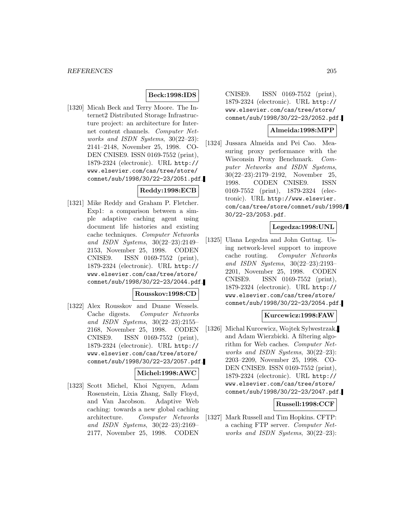### **Beck:1998:IDS**

[1320] Micah Beck and Terry Moore. The Internet2 Distributed Storage Infrastructure project: an architecture for Internet content channels. Computer Networks and ISDN Systems, 30(22–23): 2141–2148, November 25, 1998. CO-DEN CNISE9. ISSN 0169-7552 (print), 1879-2324 (electronic). URL http:// www.elsevier.com/cas/tree/store/ comnet/sub/1998/30/22-23/2051.pdf.

## **Reddy:1998:ECB**

[1321] Mike Reddy and Graham P. Fletcher. Exp1: a comparison between a simple adaptive caching agent using document life histories and existing cache techniques. Computer Networks and ISDN Systems, 30(22–23):2149– 2153, November 25, 1998. CODEN CNISE9. ISSN 0169-7552 (print), 1879-2324 (electronic). URL http:// www.elsevier.com/cas/tree/store/ comnet/sub/1998/30/22-23/2044.pdf.

#### **Rousskov:1998:CD**

[1322] Alex Rousskov and Duane Wessels. Cache digests. Computer Networks and ISDN Systems, 30(22–23):2155– 2168, November 25, 1998. CODEN CNISE9. ISSN 0169-7552 (print), 1879-2324 (electronic). URL http:// www.elsevier.com/cas/tree/store/ comnet/sub/1998/30/22-23/2057.pdf.

#### **Michel:1998:AWC**

[1323] Scott Michel, Khoi Nguyen, Adam Rosenstein, Lixia Zhang, Sally Floyd, and Van Jacobson. Adaptive Web caching: towards a new global caching architecture. Computer Networks and ISDN Systems, 30(22–23):2169– 2177, November 25, 1998. CODEN

CNISE9. ISSN 0169-7552 (print), 1879-2324 (electronic). URL http:// www.elsevier.com/cas/tree/store/ comnet/sub/1998/30/22-23/2052.pdf.

#### **Almeida:1998:MPP**

[1324] Jussara Almeida and Pei Cao. Measuring proxy performance with the Wisconsin Proxy Benchmark. Computer Networks and ISDN Systems, 30(22–23):2179–2192, November 25, 1998. CODEN CNISE9. ISSN 0169-7552 (print), 1879-2324 (electronic). URL http://www.elsevier. com/cas/tree/store/comnet/sub/1998/ 30/22-23/2053.pdf.

### **Legedza:1998:UNL**

[1325] Ulana Legedza and John Guttag. Using network-level support to improve cache routing. Computer Networks and ISDN Systems, 30(22–23):2193– 2201, November 25, 1998. CODEN CNISE9. ISSN 0169-7552 (print), 1879-2324 (electronic). URL http:// www.elsevier.com/cas/tree/store/ comnet/sub/1998/30/22-23/2054.pdf.

### **Kurcewicz:1998:FAW**

[1326] Michal Kurcewicz, Wojtek Sylwestrzak, and Adam Wierzbicki. A filtering algorithm for Web caches. Computer Networks and ISDN Systems, 30(22–23): 2203–2209, November 25, 1998. CO-DEN CNISE9. ISSN 0169-7552 (print), 1879-2324 (electronic). URL http:// www.elsevier.com/cas/tree/store/ comnet/sub/1998/30/22-23/2047.pdf.

### **Russell:1998:CCF**

[1327] Mark Russell and Tim Hopkins. CFTP: a caching FTP server. Computer Networks and ISDN Systems, 30(22–23):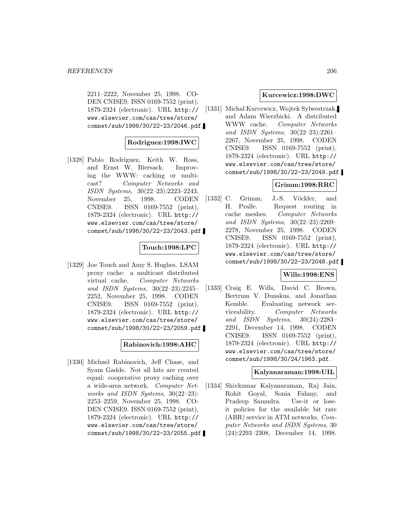2211–2222, November 25, 1998. CO-DEN CNISE9. ISSN 0169-7552 (print), 1879-2324 (electronic). URL http:// www.elsevier.com/cas/tree/store/ comnet/sub/1998/30/22-23/2046.pdf.

### **Rodriguez:1998:IWC**

[1328] Pablo Rodriguez, Keith W. Ross, and Ernst W. Biersack. Improving the WWW: caching or multicast? Computer Networks and ISDN Systems, 30(22–23):2223–2243, November 25, 1998. CODEN CNISE9. ISSN 0169-7552 (print), 1879-2324 (electronic). URL http:// www.elsevier.com/cas/tree/store/ comnet/sub/1998/30/22-23/2043.pdf.

### **Touch:1998:LPC**

[1329] Joe Touch and Amy S. Hughes. LSAM proxy cache: a multicast distributed virtual cache. Computer Networks and ISDN Systems, 30(22–23):2245– 2252, November 25, 1998. CODEN CNISE9. ISSN 0169-7552 (print), 1879-2324 (electronic). URL http:// www.elsevier.com/cas/tree/store/ comnet/sub/1998/30/22-23/2059.pdf.

## **Rabinovich:1998:AHC**

[1330] Michael Rabinovich, Jeff Chase, and Syam Gadde. Not all hits are created equal: cooperative proxy caching over a wide-area network. Computer Networks and ISDN Systems, 30(22–23): 2253–2259, November 25, 1998. CO-DEN CNISE9. ISSN 0169-7552 (print), 1879-2324 (electronic). URL http:// www.elsevier.com/cas/tree/store/ comnet/sub/1998/30/22-23/2055.pdf.

#### **Kurcewicz:1998:DWC**

[1331] Michal Kurcewicz, Wojtek Sylwestrzak, and Adam Wierzbicki. A distributed WWW cache. Computer Networks and ISDN Systems, 30(22–23):2261– 2267, November 25, 1998. CODEN CNISE9. ISSN 0169-7552 (print), 1879-2324 (electronic). URL http:// www.elsevier.com/cas/tree/store/ comnet/sub/1998/30/22-23/2049.pdf.

#### **Grimm:1998:RRC**

[1332] C. Grimm, J.-S. Vöckler, and H. Pralle. Request routing in cache meshes. Computer Networks and ISDN Systems, 30(22–23):2269– 2278, November 25, 1998. CODEN CNISE9. ISSN 0169-7552 (print), 1879-2324 (electronic). URL http:// www.elsevier.com/cas/tree/store/ comnet/sub/1998/30/22-23/2048.pdf.

### **Wills:1998:ENS**

[1333] Craig E. Wills, David C. Brown, Bertrum V. Dunskus, and Jonathan Kemble. Evaluating network serviceability. Computer Networks and ISDN Systems, 30(24):2283– 2291, December 14, 1998. CODEN CNISE9. ISSN 0169-7552 (print), 1879-2324 (electronic). URL http:// www.elsevier.com/cas/tree/store/ comnet/sub/1998/30/24/1963.pdf.

### **Kalyanaraman:1998:UIL**

[1334] Shivkumar Kalyanaraman, Raj Jain, Rohit Goyal, Sonia Fahmy, and Pradeep Samudra. Use-it or loseit policies for the available bit rate (ABR) service in ATM networks. Computer Networks and ISDN Systems, 30 (24):2293–2308, December 14, 1998.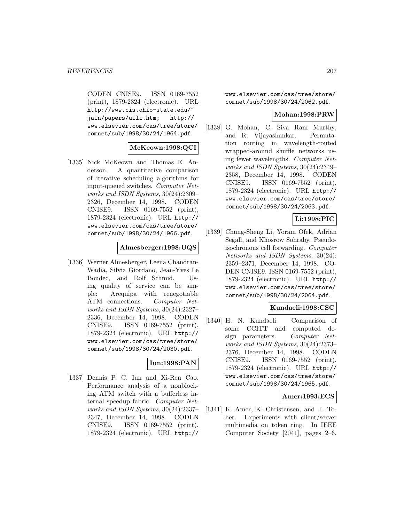CODEN CNISE9. ISSN 0169-7552 (print), 1879-2324 (electronic). URL http://www.cis.ohio-state.edu/~ jain/papers/uili.htm; http:// www.elsevier.com/cas/tree/store/ comnet/sub/1998/30/24/1964.pdf.

### **McKeown:1998:QCI**

[1335] Nick McKeown and Thomas E. Anderson. A quantitative comparison of iterative scheduling algorithms for input-queued switches. Computer Networks and ISDN Systems, 30(24):2309– 2326, December 14, 1998. CODEN CNISE9. ISSN 0169-7552 (print), 1879-2324 (electronic). URL http:// www.elsevier.com/cas/tree/store/ comnet/sub/1998/30/24/1966.pdf.

#### **Almesberger:1998:UQS**

[1336] Werner Almesberger, Leena Chandran-Wadia, Silvia Giordano, Jean-Yves Le Boudec, and Rolf Schmid. Using quality of service can be simple: Arequipa with renegotiable ATM connections. Computer Networks and ISDN Systems, 30(24):2327– 2336, December 14, 1998. CODEN CNISE9. ISSN 0169-7552 (print), 1879-2324 (electronic). URL http:// www.elsevier.com/cas/tree/store/ comnet/sub/1998/30/24/2030.pdf.

## **Iun:1998:PAN**

[1337] Dennis P. C. Iun and Xi-Ren Cao. Performance analysis of a nonblocking ATM switch with a bufferless internal speedup fabric. Computer Networks and ISDN Systems, 30(24):2337– 2347, December 14, 1998. CODEN CNISE9. ISSN 0169-7552 (print), 1879-2324 (electronic). URL http://

www.elsevier.com/cas/tree/store/ comnet/sub/1998/30/24/2062.pdf.

#### **Mohan:1998:PRW**

[1338] G. Mohan, C. Siva Ram Murthy, and R. Vijayashankar. Permutation routing in wavelength-routed wrapped-around shuffle networks using fewer wavelengths. Computer Networks and ISDN Systems, 30(24):2349– 2358, December 14, 1998. CODEN CNISE9. ISSN 0169-7552 (print), 1879-2324 (electronic). URL http:// www.elsevier.com/cas/tree/store/ comnet/sub/1998/30/24/2063.pdf.

### **Li:1998:PIC**

[1339] Chung-Sheng Li, Yoram Ofek, Adrian Segall, and Khosrow Sohraby. Pseudoisochronous cell forwarding. Computer Networks and ISDN Systems, 30(24): 2359–2371, December 14, 1998. CO-DEN CNISE9. ISSN 0169-7552 (print), 1879-2324 (electronic). URL http:// www.elsevier.com/cas/tree/store/ comnet/sub/1998/30/24/2064.pdf.

#### **Kundaeli:1998:CSC**

[1340] H. N. Kundaeli. Comparison of some CCITT and computed design parameters. Computer Networks and ISDN Systems, 30(24):2373– 2376, December 14, 1998. CODEN CNISE9. ISSN 0169-7552 (print), 1879-2324 (electronic). URL http:// www.elsevier.com/cas/tree/store/ comnet/sub/1998/30/24/1965.pdf.

#### **Amer:1993:ECS**

[1341] K. Amer, K. Christensen, and T. Toher. Experiments with client/server multimedia on token ring. In IEEE Computer Society [2041], pages 2–6.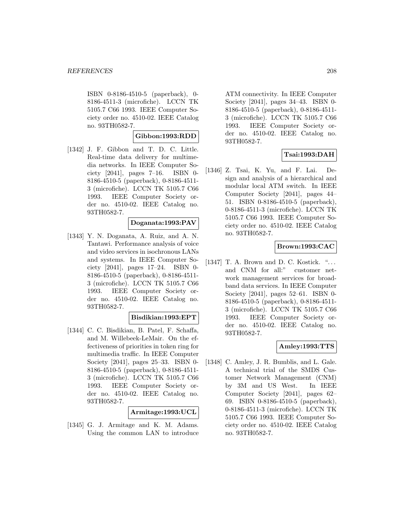ISBN 0-8186-4510-5 (paperback), 0- 8186-4511-3 (microfiche). LCCN TK 5105.7 C66 1993. IEEE Computer Society order no. 4510-02. IEEE Catalog no. 93TH0582-7.

### **Gibbon:1993:RDD**

[1342] J. F. Gibbon and T. D. C. Little. Real-time data delivery for multimedia networks. In IEEE Computer Society [2041], pages 7–16. ISBN 0- 8186-4510-5 (paperback), 0-8186-4511- 3 (microfiche). LCCN TK 5105.7 C66 1993. IEEE Computer Society order no. 4510-02. IEEE Catalog no. 93TH0582-7.

### **Doganata:1993:PAV**

[1343] Y. N. Doganata, A. Ruiz, and A. N. Tantawi. Performance analysis of voice and video services in isochronous LANs and systems. In IEEE Computer Society [2041], pages 17–24. ISBN 0- 8186-4510-5 (paperback), 0-8186-4511- 3 (microfiche). LCCN TK 5105.7 C66 1993. IEEE Computer Society order no. 4510-02. IEEE Catalog no. 93TH0582-7.

### **Bisdikian:1993:EPT**

[1344] C. C. Bisdikian, B. Patel, F. Schaffa, and M. Willebeek-LeMair. On the effectiveness of priorities in token ring for multimedia traffic. In IEEE Computer Society [2041], pages 25–33. ISBN 0- 8186-4510-5 (paperback), 0-8186-4511- 3 (microfiche). LCCN TK 5105.7 C66 1993. IEEE Computer Society order no. 4510-02. IEEE Catalog no. 93TH0582-7.

**Armitage:1993:UCL**

[1345] G. J. Armitage and K. M. Adams. Using the common LAN to introduce

ATM connectivity. In IEEE Computer Society [2041], pages 34–43. ISBN 0- 8186-4510-5 (paperback), 0-8186-4511- 3 (microfiche). LCCN TK 5105.7 C66 1993. IEEE Computer Society order no. 4510-02. IEEE Catalog no. 93TH0582-7.

## **Tsai:1993:DAH**

[1346] Z. Tsai, K. Yu, and F. Lai. Design and analysis of a hierarchical and modular local ATM switch. In IEEE Computer Society [2041], pages 44– 51. ISBN 0-8186-4510-5 (paperback), 0-8186-4511-3 (microfiche). LCCN TK 5105.7 C66 1993. IEEE Computer Society order no. 4510-02. IEEE Catalog no. 93TH0582-7.

## **Brown:1993:CAC**

[1347] T. A. Brown and D. C. Kostick. "... and CNM for all:" customer network management services for broadband data services. In IEEE Computer Society [2041], pages 52–61. ISBN 0- 8186-4510-5 (paperback), 0-8186-4511- 3 (microfiche). LCCN TK 5105.7 C66 1993. IEEE Computer Society order no. 4510-02. IEEE Catalog no. 93TH0582-7.

## **Amley:1993:TTS**

[1348] C. Amley, J. R. Bumblis, and L. Gale. A technical trial of the SMDS Customer Network Management (CNM) by 3M and US West. In IEEE Computer Society [2041], pages 62– 69. ISBN 0-8186-4510-5 (paperback), 0-8186-4511-3 (microfiche). LCCN TK 5105.7 C66 1993. IEEE Computer Society order no. 4510-02. IEEE Catalog no. 93TH0582-7.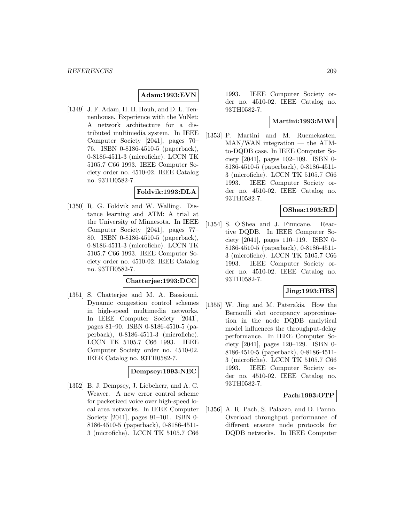### **Adam:1993:EVN**

[1349] J. F. Adam, H. H. Houh, and D. L. Tennenhouse. Experience with the VuNet: A network architecture for a distributed multimedia system. In IEEE Computer Society [2041], pages 70– 76. ISBN 0-8186-4510-5 (paperback), 0-8186-4511-3 (microfiche). LCCN TK 5105.7 C66 1993. IEEE Computer Society order no. 4510-02. IEEE Catalog no. 93TH0582-7.

### **Foldvik:1993:DLA**

[1350] R. G. Foldvik and W. Walling. Distance learning and ATM: A trial at the University of Minnesota. In IEEE Computer Society [2041], pages 77– 80. ISBN 0-8186-4510-5 (paperback), 0-8186-4511-3 (microfiche). LCCN TK 5105.7 C66 1993. IEEE Computer Society order no. 4510-02. IEEE Catalog no. 93TH0582-7.

#### **Chatterjee:1993:DCC**

[1351] S. Chatterjee and M. A. Bassiouni. Dynamic congestion control schemes in high-speed multimedia networks. In IEEE Computer Society [2041], pages 81–90. ISBN 0-8186-4510-5 (paperback), 0-8186-4511-3 (microfiche). LCCN TK 5105.7 C66 1993. IEEE Computer Society order no. 4510-02. IEEE Catalog no. 93TH0582-7.

#### **Dempsey:1993:NEC**

[1352] B. J. Dempsey, J. Liebeherr, and A. C. Weaver. A new error control scheme for packetized voice over high-speed local area networks. In IEEE Computer Society [2041], pages 91–101. ISBN 0- 8186-4510-5 (paperback), 0-8186-4511- 3 (microfiche). LCCN TK 5105.7 C66

1993. IEEE Computer Society order no. 4510-02. IEEE Catalog no. 93TH0582-7.

### **Martini:1993:MWI**

[1353] P. Martini and M. Ruemekasten. MAN/WAN integration — the ATMto-DQDB case. In IEEE Computer Society [2041], pages 102–109. ISBN 0- 8186-4510-5 (paperback), 0-8186-4511- 3 (microfiche). LCCN TK 5105.7 C66 1993. IEEE Computer Society order no. 4510-02. IEEE Catalog no. 93TH0582-7.

### **OShea:1993:RD**

[1354] S. O'Shea and J. Finucane. Reactive DQDB. In IEEE Computer Society [2041], pages 110–119. ISBN 0- 8186-4510-5 (paperback), 0-8186-4511- 3 (microfiche). LCCN TK 5105.7 C66 1993. IEEE Computer Society order no. 4510-02. IEEE Catalog no. 93TH0582-7.

### **Jing:1993:HBS**

[1355] W. Jing and M. Paterakis. How the Bernoulli slot occupancy approximation in the node DQDB analytical model influences the throughput-delay performance. In IEEE Computer Society [2041], pages 120–129. ISBN 0- 8186-4510-5 (paperback), 0-8186-4511- 3 (microfiche). LCCN TK 5105.7 C66 1993. IEEE Computer Society order no. 4510-02. IEEE Catalog no. 93TH0582-7.

### **Pach:1993:OTP**

[1356] A. R. Pach, S. Palazzo, and D. Panno. Overload throughput performance of different erasure node protocols for DQDB networks. In IEEE Computer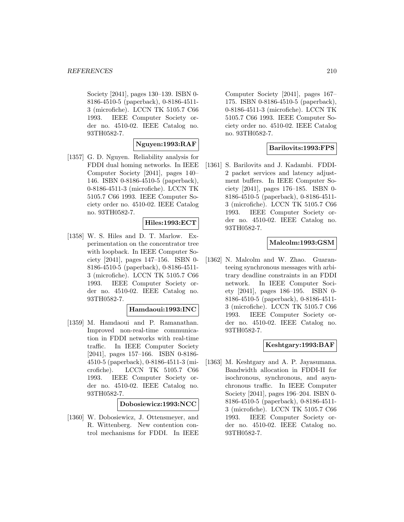Society [2041], pages 130–139. ISBN 0- 8186-4510-5 (paperback), 0-8186-4511- 3 (microfiche). LCCN TK 5105.7 C66 1993. IEEE Computer Society order no. 4510-02. IEEE Catalog no. 93TH0582-7.

### **Nguyen:1993:RAF**

[1357] G. D. Nguyen. Reliability analysis for FDDI dual homing networks. In IEEE Computer Society [2041], pages 140– 146. ISBN 0-8186-4510-5 (paperback), 0-8186-4511-3 (microfiche). LCCN TK 5105.7 C66 1993. IEEE Computer Society order no. 4510-02. IEEE Catalog no. 93TH0582-7.

#### **Hiles:1993:ECT**

[1358] W. S. Hiles and D. T. Marlow. Experimentation on the concentrator tree with loopback. In IEEE Computer Society [2041], pages 147–156. ISBN 0- 8186-4510-5 (paperback), 0-8186-4511- 3 (microfiche). LCCN TK 5105.7 C66 1993. IEEE Computer Society order no. 4510-02. IEEE Catalog no. 93TH0582-7.

#### **Hamdaoui:1993:INC**

[1359] M. Hamdaoui and P. Ramanathan. Improved non-real-time communication in FDDI networks with real-time traffic. In IEEE Computer Society [2041], pages 157–166. ISBN 0-8186- 4510-5 (paperback), 0-8186-4511-3 (microfiche). LCCN TK 5105.7 C66 1993. IEEE Computer Society order no. 4510-02. IEEE Catalog no. 93TH0582-7.

#### **Dobosiewicz:1993:NCC**

[1360] W. Dobosiewicz, J. Ottensmeyer, and R. Wittenberg. New contention control mechanisms for FDDI. In IEEE

Computer Society [2041], pages 167– 175. ISBN 0-8186-4510-5 (paperback), 0-8186-4511-3 (microfiche). LCCN TK 5105.7 C66 1993. IEEE Computer Society order no. 4510-02. IEEE Catalog no. 93TH0582-7.

### **Barilovits:1993:FPS**

[1361] S. Barilovits and J. Kadambi. FDDI-2 packet services and latency adjustment buffers. In IEEE Computer Society [2041], pages 176–185. ISBN 0- 8186-4510-5 (paperback), 0-8186-4511- 3 (microfiche). LCCN TK 5105.7 C66 1993. IEEE Computer Society order no. 4510-02. IEEE Catalog no. 93TH0582-7.

### **Malcolm:1993:GSM**

[1362] N. Malcolm and W. Zhao. Guaranteeing synchronous messages with arbitrary deadline constraints in an FDDI network. In IEEE Computer Society [2041], pages 186–195. ISBN 0- 8186-4510-5 (paperback), 0-8186-4511- 3 (microfiche). LCCN TK 5105.7 C66 1993. IEEE Computer Society order no. 4510-02. IEEE Catalog no. 93TH0582-7.

### **Keshtgary:1993:BAF**

[1363] M. Keshtgary and A. P. Jayasumana. Bandwidth allocation in FDDI-II for isochronous, synchronous, and asynchronous traffic. In IEEE Computer Society [2041], pages 196–204. ISBN 0- 8186-4510-5 (paperback), 0-8186-4511- 3 (microfiche). LCCN TK 5105.7 C66 1993. IEEE Computer Society order no. 4510-02. IEEE Catalog no. 93TH0582-7.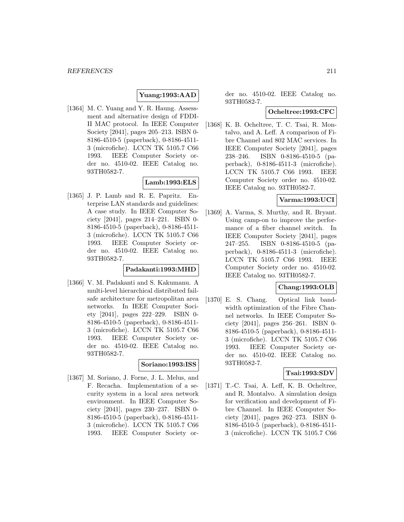## **Yuang:1993:AAD**

[1364] M. C. Yuang and Y. R. Haung. Assessment and alternative design of FDDI-II MAC protocol. In IEEE Computer Society [2041], pages 205–213. ISBN 0- 8186-4510-5 (paperback), 0-8186-4511- 3 (microfiche). LCCN TK 5105.7 C66 1993. IEEE Computer Society order no. 4510-02. IEEE Catalog no. 93TH0582-7.

### **Lamb:1993:ELS**

[1365] J. P. Lamb and R. E. Papritz. Enterprise LAN standards and guidelines: A case study. In IEEE Computer Society [2041], pages 214–221. ISBN 0- 8186-4510-5 (paperback), 0-8186-4511- 3 (microfiche). LCCN TK 5105.7 C66 1993. IEEE Computer Society order no. 4510-02. IEEE Catalog no. 93TH0582-7.

#### **Padakanti:1993:MHD**

[1366] V. M. Padakanti and S. Kakumanu. A multi-level hierarchical distributed failsafe architecture for metropolitan area networks. In IEEE Computer Society [2041], pages 222–229. ISBN 0- 8186-4510-5 (paperback), 0-8186-4511- 3 (microfiche). LCCN TK 5105.7 C66 1993. IEEE Computer Society order no. 4510-02. IEEE Catalog no. 93TH0582-7.

### **Soriano:1993:ISS**

[1367] M. Soriano, J. Forne, J. L. Melus, and F. Recacha. Implementation of a security system in a local area network environment. In IEEE Computer Society [2041], pages 230–237. ISBN 0- 8186-4510-5 (paperback), 0-8186-4511- 3 (microfiche). LCCN TK 5105.7 C66 1993. IEEE Computer Society or-

der no. 4510-02. IEEE Catalog no. 93TH0582-7.

## **Ocheltree:1993:CFC**

[1368] K. B. Ocheltree, T. C. Tsai, R. Montalvo, and A. Leff. A comparison of Fibre Channel and 802 MAC services. In IEEE Computer Society [2041], pages 238–246. ISBN 0-8186-4510-5 (paperback), 0-8186-4511-3 (microfiche). LCCN TK 5105.7 C66 1993. IEEE Computer Society order no. 4510-02. IEEE Catalog no. 93TH0582-7.

### **Varma:1993:UCI**

[1369] A. Varma, S. Murthy, and R. Bryant. Using camp-on to improve the performance of a fiber channel switch. In IEEE Computer Society [2041], pages 247–255. ISBN 0-8186-4510-5 (paperback), 0-8186-4511-3 (microfiche). LCCN TK 5105.7 C66 1993. IEEE Computer Society order no. 4510-02. IEEE Catalog no. 93TH0582-7.

### **Chang:1993:OLB**

[1370] E. S. Chang. Optical link bandwidth optimization of the Fibre Channel networks. In IEEE Computer Society [2041], pages 256–261. ISBN 0- 8186-4510-5 (paperback), 0-8186-4511- 3 (microfiche). LCCN TK 5105.7 C66 1993. IEEE Computer Society order no. 4510-02. IEEE Catalog no. 93TH0582-7.

### **Tsai:1993:SDV**

[1371] T.-C. Tsai, A. Leff, K. B. Ocheltree, and R. Montalvo. A simulation design for verification and development of Fibre Channel. In IEEE Computer Society [2041], pages 262–273. ISBN 0- 8186-4510-5 (paperback), 0-8186-4511- 3 (microfiche). LCCN TK 5105.7 C66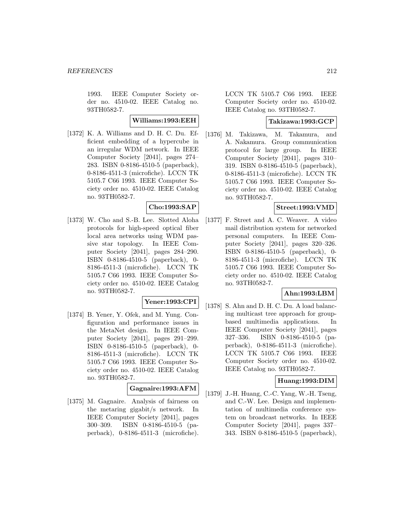1993. IEEE Computer Society order no. 4510-02. IEEE Catalog no. 93TH0582-7.

**Williams:1993:EEH**

[1372] K. A. Williams and D. H. C. Du. Efficient embedding of a hypercube in an irregular WDM network. In IEEE Computer Society [2041], pages 274– 283. ISBN 0-8186-4510-5 (paperback), 0-8186-4511-3 (microfiche). LCCN TK 5105.7 C66 1993. IEEE Computer Society order no. 4510-02. IEEE Catalog no. 93TH0582-7.

## **Cho:1993:SAP**

[1373] W. Cho and S.-B. Lee. Slotted Aloha protocols for high-speed optical fiber local area networks using WDM passive star topology. In IEEE Computer Society [2041], pages 284–290. ISBN 0-8186-4510-5 (paperback), 0- 8186-4511-3 (microfiche). LCCN TK 5105.7 C66 1993. IEEE Computer Society order no. 4510-02. IEEE Catalog no. 93TH0582-7.

### **Yener:1993:CPI**

[1374] B. Yener, Y. Ofek, and M. Yung. Configuration and performance issues in the MetaNet design. In IEEE Computer Society [2041], pages 291–299. ISBN 0-8186-4510-5 (paperback), 0- 8186-4511-3 (microfiche). LCCN TK 5105.7 C66 1993. IEEE Computer Society order no. 4510-02. IEEE Catalog no. 93TH0582-7.

### **Gagnaire:1993:AFM**

[1375] M. Gagnaire. Analysis of fairness on the metaring gigabit/s network. In IEEE Computer Society [2041], pages 300–309. ISBN 0-8186-4510-5 (paperback), 0-8186-4511-3 (microfiche).

LCCN TK 5105.7 C66 1993. IEEE Computer Society order no. 4510-02. IEEE Catalog no. 93TH0582-7.

### **Takizawa:1993:GCP**

[1376] M. Takizawa, M. Takamura, and A. Nakamura. Group communication protocol for large group. In IEEE Computer Society [2041], pages 310– 319. ISBN 0-8186-4510-5 (paperback), 0-8186-4511-3 (microfiche). LCCN TK 5105.7 C66 1993. IEEE Computer Society order no. 4510-02. IEEE Catalog no. 93TH0582-7.

### **Street:1993:VMD**

[1377] F. Street and A. C. Weaver. A video mail distribution system for networked personal computers. In IEEE Computer Society [2041], pages 320–326. ISBN 0-8186-4510-5 (paperback), 0- 8186-4511-3 (microfiche). LCCN TK 5105.7 C66 1993. IEEE Computer Society order no. 4510-02. IEEE Catalog no. 93TH0582-7.

## **Ahn:1993:LBM**

[1378] S. Ahn and D. H. C. Du. A load balancing multicast tree approach for groupbased multimedia applications. In IEEE Computer Society [2041], pages 327–336. ISBN 0-8186-4510-5 (paperback), 0-8186-4511-3 (microfiche). LCCN TK 5105.7 C66 1993. IEEE Computer Society order no. 4510-02. IEEE Catalog no. 93TH0582-7.

### **Huang:1993:DIM**

[1379] J.-H. Huang, C.-C. Yang, W.-H. Tseng, and C.-W. Lee. Design and implementation of multimedia conference system on broadcast networks. In IEEE Computer Society [2041], pages 337– 343. ISBN 0-8186-4510-5 (paperback),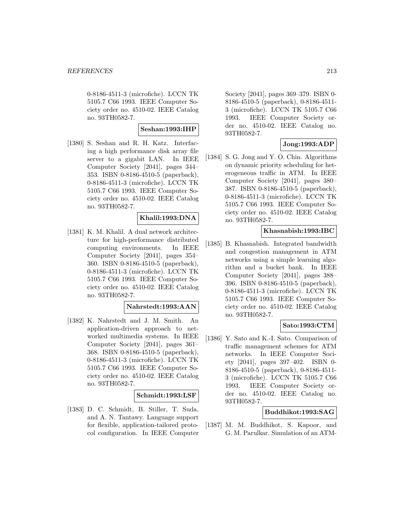0-8186-4511-3 (microfiche). LCCN TK 5105.7 C66 1993. IEEE Computer Society order no. 4510-02. IEEE Catalog no. 93TH0582-7.

### **Seshan:1993:IHP**

[1380] S. Seshan and R. H. Katz. Interfacing a high performance disk array file server to a gigabit LAN. In IEEE Computer Society [2041], pages 344– 353. ISBN 0-8186-4510-5 (paperback), 0-8186-4511-3 (microfiche). LCCN TK 5105.7 C66 1993. IEEE Computer Society order no. 4510-02. IEEE Catalog no. 93TH0582-7.

## **Khalil:1993:DNA**

[1381] K. M. Khalil. A dual network architecture for high-performance distributed computing environments. In IEEE Computer Society [2041], pages 354– 360. ISBN 0-8186-4510-5 (paperback), 0-8186-4511-3 (microfiche). LCCN TK 5105.7 C66 1993. IEEE Computer Society order no. 4510-02. IEEE Catalog no. 93TH0582-7.

## **Nahrstedt:1993:AAN**

[1382] K. Nahrstedt and J. M. Smith. An application-driven approach to networked multimedia systems. In IEEE Computer Society [2041], pages 361– 368. ISBN 0-8186-4510-5 (paperback), 0-8186-4511-3 (microfiche). LCCN TK 5105.7 C66 1993. IEEE Computer Society order no. 4510-02. IEEE Catalog no. 93TH0582-7.

### **Schmidt:1993:LSF**

[1383] D. C. Schmidt, B. Stiller, T. Suda, and A. N. Tantawy. Language support for flexible, application-tailored protocol configuration. In IEEE Computer

Society [2041], pages 369–379. ISBN 0- 8186-4510-5 (paperback), 0-8186-4511- 3 (microfiche). LCCN TK 5105.7 C66 1993. IEEE Computer Society order no. 4510-02. IEEE Catalog no. 93TH0582-7.

## **Jong:1993:ADP**

[1384] S. G. Jong and Y. O. Chin. Algorithms on dynamic priority scheduling for heterogeneous traffic in ATM. In IEEE Computer Society [2041], pages 380– 387. ISBN 0-8186-4510-5 (paperback), 0-8186-4511-3 (microfiche). LCCN TK 5105.7 C66 1993. IEEE Computer Society order no. 4510-02. IEEE Catalog no. 93TH0582-7.

### **Khasnabish:1993:IBC**

[1385] B. Khasnabish. Integrated bandwidth and congestion management in ATM networks using a simple learning algorithm and a bucket bank. In IEEE Computer Society [2041], pages 388– 396. ISBN 0-8186-4510-5 (paperback), 0-8186-4511-3 (microfiche). LCCN TK 5105.7 C66 1993. IEEE Computer Society order no. 4510-02. IEEE Catalog no. 93TH0582-7.

## **Sato:1993:CTM**

[1386] Y. Sato and K.-I. Sato. Comparison of traffic management schemes for ATM networks. In IEEE Computer Society [2041], pages 397–402. ISBN 0- 8186-4510-5 (paperback), 0-8186-4511- 3 (microfiche). LCCN TK 5105.7 C66 1993. IEEE Computer Society order no. 4510-02. IEEE Catalog no. 93TH0582-7.

### **Buddhikot:1993:SAG**

[1387] M. M. Buddhikot, S. Kapoor, and G. M. Parulkar. Simulation of an ATM-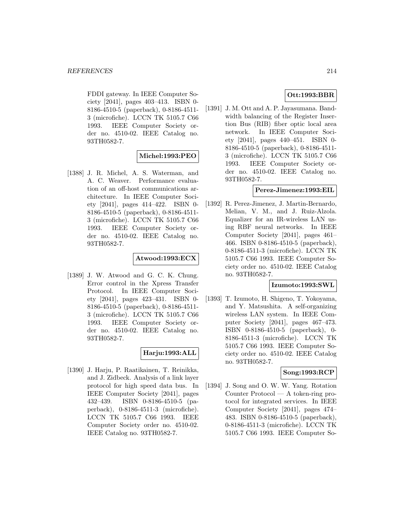FDDI gateway. In IEEE Computer Society [2041], pages 403–413. ISBN 0- 8186-4510-5 (paperback), 0-8186-4511- 3 (microfiche). LCCN TK 5105.7 C66 1993. IEEE Computer Society order no. 4510-02. IEEE Catalog no. 93TH0582-7.

### **Michel:1993:PEO**

[1388] J. R. Michel, A. S. Waterman, and A. C. Weaver. Performance evaluation of an off-host communications architecture. In IEEE Computer Society [2041], pages 414–422. ISBN 0- 8186-4510-5 (paperback), 0-8186-4511- 3 (microfiche). LCCN TK 5105.7 C66 1993. IEEE Computer Society order no. 4510-02. IEEE Catalog no. 93TH0582-7.

### **Atwood:1993:ECX**

[1389] J. W. Atwood and G. C. K. Chung. Error control in the Xpress Transfer Protocol. In IEEE Computer Society [2041], pages 423–431. ISBN 0- 8186-4510-5 (paperback), 0-8186-4511- 3 (microfiche). LCCN TK 5105.7 C66 1993. IEEE Computer Society order no. 4510-02. IEEE Catalog no. 93TH0582-7.

### **Harju:1993:ALL**

[1390] J. Harju, P. Raatikainen, T. Reinikka, and J. Zidbeck. Analysis of a link layer protocol for high speed data bus. In IEEE Computer Society [2041], pages 432–439. ISBN 0-8186-4510-5 (paperback), 0-8186-4511-3 (microfiche). LCCN TK 5105.7 C66 1993. IEEE Computer Society order no. 4510-02. IEEE Catalog no. 93TH0582-7.

### **Ott:1993:BBR**

[1391] J. M. Ott and A. P. Jayasumana. Bandwidth balancing of the Register Insertion Bus (RIB) fiber optic local area network. In IEEE Computer Society [2041], pages 440–451. ISBN 0- 8186-4510-5 (paperback), 0-8186-4511- 3 (microfiche). LCCN TK 5105.7 C66 1993. IEEE Computer Society order no. 4510-02. IEEE Catalog no. 93TH0582-7.

### **Perez-Jimenez:1993:EIL**

[1392] R. Perez-Jimenez, J. Martin-Bernardo, Melian, V. M., and J. Ruiz-Alzola. Equalizer for an IR-wireless LAN using RBF neural networks. In IEEE Computer Society [2041], pages 461– 466. ISBN 0-8186-4510-5 (paperback), 0-8186-4511-3 (microfiche). LCCN TK 5105.7 C66 1993. IEEE Computer Society order no. 4510-02. IEEE Catalog no. 93TH0582-7.

#### **Izumoto:1993:SWL**

[1393] T. Izumoto, H. Shigeno, T. Yokoyama, and Y. Matsushita. A self-organizing wireless LAN system. In IEEE Computer Society [2041], pages 467–473. ISBN 0-8186-4510-5 (paperback), 0- 8186-4511-3 (microfiche). LCCN TK 5105.7 C66 1993. IEEE Computer Society order no. 4510-02. IEEE Catalog no. 93TH0582-7.

### **Song:1993:RCP**

[1394] J. Song and O. W. W. Yang. Rotation Counter Protocol — A token-ring protocol for integrated services. In IEEE Computer Society [2041], pages 474– 483. ISBN 0-8186-4510-5 (paperback), 0-8186-4511-3 (microfiche). LCCN TK 5105.7 C66 1993. IEEE Computer So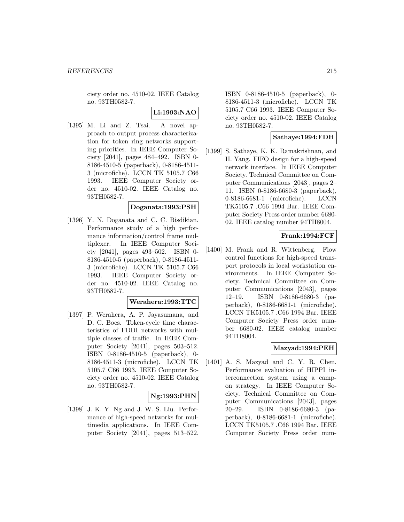ciety order no. 4510-02. IEEE Catalog no. 93TH0582-7.

#### **Li:1993:NAO**

[1395] M. Li and Z. Tsai. A novel approach to output process characterization for token ring networks supporting priorities. In IEEE Computer Society [2041], pages 484–492. ISBN 0- 8186-4510-5 (paperback), 0-8186-4511- 3 (microfiche). LCCN TK 5105.7 C66 1993. IEEE Computer Society order no. 4510-02. IEEE Catalog no. 93TH0582-7.

### **Doganata:1993:PSH**

[1396] Y. N. Doganata and C. C. Bisdikian. Performance study of a high performance information/control frame multiplexer. In IEEE Computer Society [2041], pages 493–502. ISBN 0- 8186-4510-5 (paperback), 0-8186-4511- 3 (microfiche). LCCN TK 5105.7 C66 1993. IEEE Computer Society order no. 4510-02. IEEE Catalog no. 93TH0582-7.

#### **Werahera:1993:TTC**

[1397] P. Werahera, A. P. Jayasumana, and D. C. Boes. Token-cycle time characteristics of FDDI networks with multiple classes of traffic. In IEEE Computer Society [2041], pages 503–512. ISBN 0-8186-4510-5 (paperback), 0- 8186-4511-3 (microfiche). LCCN TK 5105.7 C66 1993. IEEE Computer Society order no. 4510-02. IEEE Catalog no. 93TH0582-7.

### **Ng:1993:PHN**

[1398] J. K. Y. Ng and J. W. S. Liu. Performance of high-speed networks for multimedia applications. In IEEE Computer Society [2041], pages 513–522.

ISBN 0-8186-4510-5 (paperback), 0- 8186-4511-3 (microfiche). LCCN TK 5105.7 C66 1993. IEEE Computer Society order no. 4510-02. IEEE Catalog no. 93TH0582-7.

### **Sathaye:1994:FDH**

[1399] S. Sathaye, K. K. Ramakrishnan, and H. Yang. FIFO design for a high-speed network interface. In IEEE Computer Society. Technical Committee on Computer Communications [2043], pages 2– 11. ISBN 0-8186-6680-3 (paperback), 0-8186-6681-1 (microfiche). LCCN TK5105.7 .C66 1994 Bar. IEEE Computer Society Press order number 6680- 02. IEEE catalog number 94TH8004.

## **Frank:1994:FCF**

[1400] M. Frank and R. Wittenberg. Flow control functions for high-speed transport protocols in local workstation environments. In IEEE Computer Society. Technical Committee on Computer Communications [2043], pages 12–19. ISBN 0-8186-6680-3 (paperback), 0-8186-6681-1 (microfiche). LCCN TK5105.7 .C66 1994 Bar. IEEE Computer Society Press order number 6680-02. IEEE catalog number 94TH8004.

## **Mazyad:1994:PEH**

[1401] A. S. Mazyad and C. Y. R. Chen. Performance evaluation of HIPPI interconnection system using a campon strategy. In IEEE Computer Society. Technical Committee on Computer Communications [2043], pages 20–29. ISBN 0-8186-6680-3 (paperback), 0-8186-6681-1 (microfiche). LCCN TK5105.7 .C66 1994 Bar. IEEE Computer Society Press order num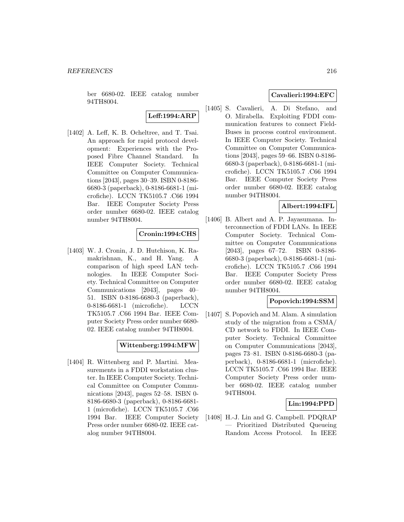ber 6680-02. IEEE catalog number 94TH8004.

# **Leff:1994:ARP**

[1402] A. Leff, K. B. Ocheltree, and T. Tsai. An approach for rapid protocol development: Experiences with the Proposed Fibre Channel Standard. In IEEE Computer Society. Technical Committee on Computer Communications [2043], pages 30–39. ISBN 0-8186- 6680-3 (paperback), 0-8186-6681-1 (microfiche). LCCN TK5105.7 .C66 1994 Bar. IEEE Computer Society Press order number 6680-02. IEEE catalog number 94TH8004.

## **Cronin:1994:CHS**

[1403] W. J. Cronin, J. D. Hutchison, K. Ramakrishnan, K., and H. Yang. A comparison of high speed LAN technologies. In IEEE Computer Society. Technical Committee on Computer Communications [2043], pages 40– 51. ISBN 0-8186-6680-3 (paperback), 0-8186-6681-1 (microfiche). LCCN TK5105.7 .C66 1994 Bar. IEEE Computer Society Press order number 6680- 02. IEEE catalog number 94TH8004.

## **Wittenberg:1994:MFW**

[1404] R. Wittenberg and P. Martini. Measurements in a FDDI workstation cluster. In IEEE Computer Society. Technical Committee on Computer Communications [2043], pages 52–58. ISBN 0- 8186-6680-3 (paperback), 0-8186-6681- 1 (microfiche). LCCN TK5105.7 .C66 1994 Bar. IEEE Computer Society Press order number 6680-02. IEEE catalog number 94TH8004.

### **Cavalieri:1994:EFC**

[1405] S. Cavalieri, A. Di Stefano, and O. Mirabella. Exploiting FDDI communication features to connect Field-Buses in process control environment. In IEEE Computer Society. Technical Committee on Computer Communications [2043], pages 59–66. ISBN 0-8186- 6680-3 (paperback), 0-8186-6681-1 (microfiche). LCCN TK5105.7 .C66 1994 Bar. IEEE Computer Society Press order number 6680-02. IEEE catalog number 94TH8004.

## **Albert:1994:IFL**

[1406] B. Albert and A. P. Jayasumana. Interconnection of FDDI LANs. In IEEE Computer Society. Technical Committee on Computer Communications [2043], pages 67–72. ISBN 0-8186- 6680-3 (paperback), 0-8186-6681-1 (microfiche). LCCN TK5105.7 .C66 1994 Bar. IEEE Computer Society Press order number 6680-02. IEEE catalog number 94TH8004.

## **Popovich:1994:SSM**

[1407] S. Popovich and M. Alam. A simulation study of the migration from a CSMA/ CD network to FDDI. In IEEE Computer Society. Technical Committee on Computer Communications [2043], pages 73–81. ISBN 0-8186-6680-3 (paperback), 0-8186-6681-1 (microfiche). LCCN TK5105.7 .C66 1994 Bar. IEEE Computer Society Press order number 6680-02. IEEE catalog number 94TH8004.

## **Lin:1994:PPD**

[1408] H.-J. Lin and G. Campbell. PDQRAP — Prioritized Distributed Queueing Random Access Protocol. In IEEE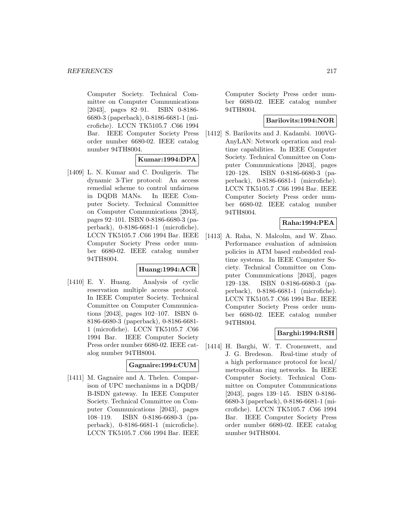Computer Society. Technical Committee on Computer Communications [2043], pages 82–91. ISBN 0-8186- 6680-3 (paperback), 0-8186-6681-1 (microfiche). LCCN TK5105.7 .C66 1994 Bar. IEEE Computer Society Press order number 6680-02. IEEE catalog number 94TH8004.

# **Kumar:1994:DPA**

[1409] L. N. Kumar and C. Douligeris. The dynamic 3-Tier protocol: An access remedial scheme to control unfairness in DQDB MANs. In IEEE Computer Society. Technical Committee on Computer Communications [2043], pages 92–101. ISBN 0-8186-6680-3 (paperback), 0-8186-6681-1 (microfiche). LCCN TK5105.7 .C66 1994 Bar. IEEE Computer Society Press order number 6680-02. IEEE catalog number 94TH8004.

## **Huang:1994:ACR**

[1410] E. Y. Huang. Analysis of cyclic reservation multiple access protocol. In IEEE Computer Society. Technical Committee on Computer Communications [2043], pages 102–107. ISBN 0- 8186-6680-3 (paperback), 0-8186-6681- 1 (microfiche). LCCN TK5105.7 .C66 1994 Bar. IEEE Computer Society Press order number 6680-02. IEEE catalog number 94TH8004.

## **Gagnaire:1994:CUM**

[1411] M. Gagnaire and A. Thelen. Comparison of UPC mechanisms in a DQDB/ B-ISDN gateway. In IEEE Computer Society. Technical Committee on Computer Communications [2043], pages 108–119. ISBN 0-8186-6680-3 (paperback), 0-8186-6681-1 (microfiche). LCCN TK5105.7 .C66 1994 Bar. IEEE

Computer Society Press order number 6680-02. IEEE catalog number 94TH8004.

## **Barilovits:1994:NOR**

[1412] S. Barilovits and J. Kadambi. 100VG-AnyLAN: Network operation and realtime capabilities. In IEEE Computer Society. Technical Committee on Computer Communications [2043], pages 120–128. ISBN 0-8186-6680-3 (paperback), 0-8186-6681-1 (microfiche). LCCN TK5105.7 .C66 1994 Bar. IEEE Computer Society Press order number 6680-02. IEEE catalog number 94TH8004.

## **Raha:1994:PEA**

[1413] A. Raha, N. Malcolm, and W. Zhao. Performance evaluation of admission policies in ATM based embedded realtime systems. In IEEE Computer Society. Technical Committee on Computer Communications [2043], pages 129–138. ISBN 0-8186-6680-3 (paperback), 0-8186-6681-1 (microfiche). LCCN TK5105.7 .C66 1994 Bar. IEEE Computer Society Press order number 6680-02. IEEE catalog number 94TH8004.

## **Barghi:1994:RSH**

[1414] H. Barghi, W. T. Cronenwett, and J. G. Bredeson. Real-time study of a high performance protocol for local/ metropolitan ring networks. In IEEE Computer Society. Technical Committee on Computer Communications [2043], pages 139–145. ISBN 0-8186- 6680-3 (paperback), 0-8186-6681-1 (microfiche). LCCN TK5105.7 .C66 1994 Bar. IEEE Computer Society Press order number 6680-02. IEEE catalog number 94TH8004.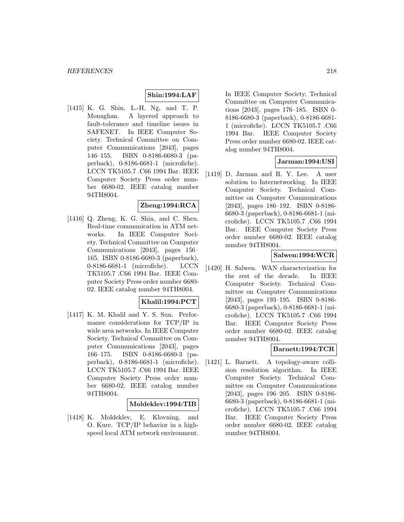# **Shin:1994:LAF**

[1415] K. G. Shin, L.-H. Ng, and T. P. Monaghan. A layered approach to fault-tolerance and timeline issues in SAFENET. In IEEE Computer Society. Technical Committee on Computer Communications [2043], pages 146–155. ISBN 0-8186-6680-3 (paperback), 0-8186-6681-1 (microfiche). LCCN TK5105.7 .C66 1994 Bar. IEEE Computer Society Press order number 6680-02. IEEE catalog number 94TH8004.

## **Zheng:1994:RCA**

[1416] Q. Zheng, K. G. Shin, and C. Shen. Real-time communication in ATM networks. In IEEE Computer Society. Technical Committee on Computer Communications [2043], pages 156– 165. ISBN 0-8186-6680-3 (paperback), 0-8186-6681-1 (microfiche). LCCN TK5105.7 .C66 1994 Bar. IEEE Computer Society Press order number 6680- 02. IEEE catalog number 94TH8004.

## **Khalil:1994:PCT**

[1417] K. M. Khalil and Y. S. Sun. Performance considerations for TCP/IP in wide area networks. In IEEE Computer Society. Technical Committee on Computer Communications [2043], pages 166–175. ISBN 0-8186-6680-3 (paperback), 0-8186-6681-1 (microfiche). LCCN TK5105.7 .C66 1994 Bar. IEEE Computer Society Press order number 6680-02. IEEE catalog number 94TH8004.

## **Moldeklev:1994:TIB**

[1418] K. Moldeklev, E. Klovning, and O. Kure. TCP/IP behavior in a highspeed local ATM network environment.

In IEEE Computer Society. Technical Committee on Computer Communications [2043], pages 176–185. ISBN 0- 8186-6680-3 (paperback), 0-8186-6681- 1 (microfiche). LCCN TK5105.7 .C66 1994 Bar. IEEE Computer Society Press order number 6680-02. IEEE catalog number 94TH8004.

## **Jarman:1994:USI**

[1419] D. Jarman and R. Y. Lee. A user solution to Internetworking. In IEEE Computer Society. Technical Committee on Computer Communications [2043], pages 186–192. ISBN 0-8186- 6680-3 (paperback), 0-8186-6681-1 (microfiche). LCCN TK5105.7 .C66 1994 Bar. IEEE Computer Society Press order number 6680-02. IEEE catalog number 94TH8004.

## **Salwen:1994:WCR**

[1420] H. Salwen. WAN characterization for the rest of the decade. In IEEE Computer Society. Technical Committee on Computer Communications [2043], pages 193–195. ISBN 0-8186- 6680-3 (paperback), 0-8186-6681-1 (microfiche). LCCN TK5105.7 .C66 1994 Bar. IEEE Computer Society Press order number 6680-02. IEEE catalog number 94TH8004.

# **Barnett:1994:TCR**

[1421] L. Barnett. A topology-aware collision resolution algorithm. In IEEE Computer Society. Technical Committee on Computer Communications [2043], pages 196–205. ISBN 0-8186- 6680-3 (paperback), 0-8186-6681-1 (microfiche). LCCN TK5105.7 .C66 1994 Bar. IEEE Computer Society Press order number 6680-02. IEEE catalog number 94TH8004.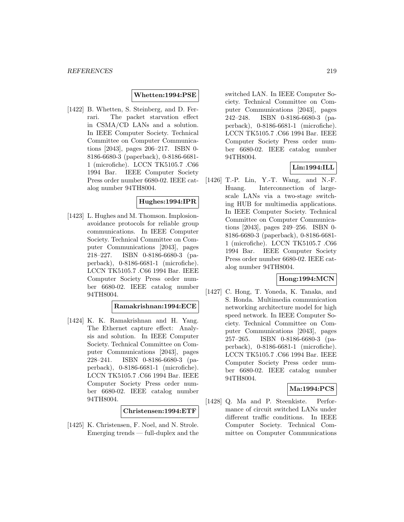## **Whetten:1994:PSE**

[1422] B. Whetten, S. Steinberg, and D. Ferrari. The packet starvation effect in CSMA/CD LANs and a solution. In IEEE Computer Society. Technical Committee on Computer Communications [2043], pages 206–217. ISBN 0- 8186-6680-3 (paperback), 0-8186-6681- 1 (microfiche). LCCN TK5105.7 .C66 1994 Bar. IEEE Computer Society Press order number 6680-02. IEEE catalog number 94TH8004.

## **Hughes:1994:IPR**

[1423] L. Hughes and M. Thomson. Implosionavoidance protocols for reliable group communications. In IEEE Computer Society. Technical Committee on Computer Communications [2043], pages 218–227. ISBN 0-8186-6680-3 (paperback), 0-8186-6681-1 (microfiche). LCCN TK5105.7 .C66 1994 Bar. IEEE Computer Society Press order number 6680-02. IEEE catalog number 94TH8004.

## **Ramakrishnan:1994:ECE**

[1424] K. K. Ramakrishnan and H. Yang. The Ethernet capture effect: Analysis and solution. In IEEE Computer Society. Technical Committee on Computer Communications [2043], pages 228–241. ISBN 0-8186-6680-3 (paperback), 0-8186-6681-1 (microfiche). LCCN TK5105.7 .C66 1994 Bar. IEEE Computer Society Press order number 6680-02. IEEE catalog number 94TH8004.

#### **Christensen:1994:ETF**

[1425] K. Christensen, F. Noel, and N. Strole. Emerging trends — full-duplex and the switched LAN. In IEEE Computer Society. Technical Committee on Computer Communications [2043], pages 242–248. ISBN 0-8186-6680-3 (paperback), 0-8186-6681-1 (microfiche). LCCN TK5105.7 .C66 1994 Bar. IEEE Computer Society Press order number 6680-02. IEEE catalog number 94TH8004.

## **Lin:1994:ILL**

[1426] T.-P. Lin, Y.-T. Wang, and N.-F. Huang. Interconnection of largescale LANs via a two-stage switching HUB for multimedia applications. In IEEE Computer Society. Technical Committee on Computer Communications [2043], pages 249–256. ISBN 0- 8186-6680-3 (paperback), 0-8186-6681- 1 (microfiche). LCCN TK5105.7 .C66 1994 Bar. IEEE Computer Society Press order number 6680-02. IEEE catalog number 94TH8004.

# **Hong:1994:MCN**

[1427] C. Hong, T. Yoneda, K. Tanaka, and S. Honda. Multimedia communication networking architecture model for high speed network. In IEEE Computer Society. Technical Committee on Computer Communications [2043], pages 257–265. ISBN 0-8186-6680-3 (paperback), 0-8186-6681-1 (microfiche). LCCN TK5105.7 .C66 1994 Bar. IEEE Computer Society Press order number 6680-02. IEEE catalog number 94TH8004.

## **Ma:1994:PCS**

[1428] Q. Ma and P. Steenkiste. Performance of circuit switched LANs under different traffic conditions. In IEEE Computer Society. Technical Committee on Computer Communications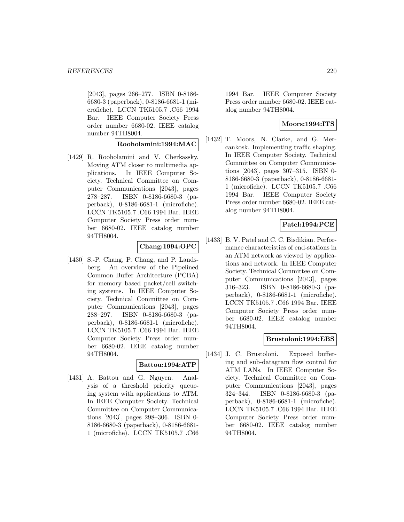[2043], pages 266–277. ISBN 0-8186- 6680-3 (paperback), 0-8186-6681-1 (microfiche). LCCN TK5105.7 .C66 1994 Bar. IEEE Computer Society Press order number 6680-02. IEEE catalog number 94TH8004.

## **Rooholamini:1994:MAC**

[1429] R. Rooholamini and V. Cherkassky. Moving ATM closer to multimedia applications. In IEEE Computer Society. Technical Committee on Computer Communications [2043], pages 278–287. ISBN 0-8186-6680-3 (paperback), 0-8186-6681-1 (microfiche). LCCN TK5105.7 .C66 1994 Bar. IEEE Computer Society Press order number 6680-02. IEEE catalog number 94TH8004.

# **Chang:1994:OPC**

[1430] S.-P. Chang, P. Chang, and P. Landsberg. An overview of the Pipelined Common Buffer Architecture (PCBA) for memory based packet/cell switching systems. In IEEE Computer Society. Technical Committee on Computer Communications [2043], pages 288–297. ISBN 0-8186-6680-3 (paperback), 0-8186-6681-1 (microfiche). LCCN TK5105.7 .C66 1994 Bar. IEEE Computer Society Press order number 6680-02. IEEE catalog number 94TH8004.

## **Battou:1994:ATP**

[1431] A. Battou and G. Nguyen. Analysis of a threshold priority queueing system with applications to ATM. In IEEE Computer Society. Technical Committee on Computer Communications [2043], pages 298–306. ISBN 0- 8186-6680-3 (paperback), 0-8186-6681- 1 (microfiche). LCCN TK5105.7 .C66

1994 Bar. IEEE Computer Society Press order number 6680-02. IEEE catalog number 94TH8004.

## **Moors:1994:ITS**

[1432] T. Moors, N. Clarke, and G. Mercankosk. Implementing traffic shaping. In IEEE Computer Society. Technical Committee on Computer Communications [2043], pages 307–315. ISBN 0- 8186-6680-3 (paperback), 0-8186-6681- 1 (microfiche). LCCN TK5105.7 .C66 1994 Bar. IEEE Computer Society Press order number 6680-02. IEEE catalog number 94TH8004.

# **Patel:1994:PCE**

[1433] B. V. Patel and C. C. Bisdikian. Performance characteristics of end-stations in an ATM network as viewed by applications and network. In IEEE Computer Society. Technical Committee on Computer Communications [2043], pages 316–323. ISBN 0-8186-6680-3 (paperback), 0-8186-6681-1 (microfiche). LCCN TK5105.7 .C66 1994 Bar. IEEE Computer Society Press order number 6680-02. IEEE catalog number 94TH8004.

## **Brustoloni:1994:EBS**

[1434] J. C. Brustoloni. Exposed buffering and sub-datagram flow control for ATM LANs. In IEEE Computer Society. Technical Committee on Computer Communications [2043], pages 324–344. ISBN 0-8186-6680-3 (paperback), 0-8186-6681-1 (microfiche). LCCN TK5105.7 .C66 1994 Bar. IEEE Computer Society Press order number 6680-02. IEEE catalog number 94TH8004.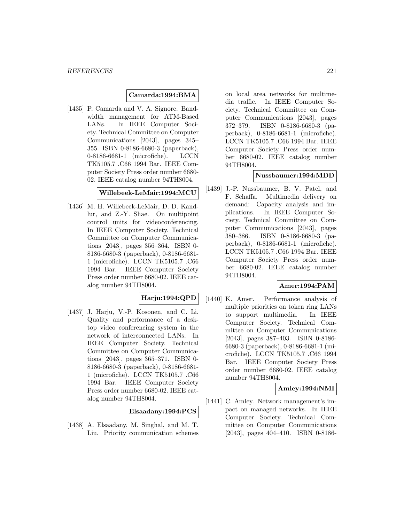## **Camarda:1994:BMA**

[1435] P. Camarda and V. A. Signore. Bandwidth management for ATM-Based LANs. In IEEE Computer Society. Technical Committee on Computer Communications [2043], pages 345– 355. ISBN 0-8186-6680-3 (paperback), 0-8186-6681-1 (microfiche). LCCN TK5105.7 .C66 1994 Bar. IEEE Computer Society Press order number 6680- 02. IEEE catalog number 94TH8004.

## **Willebeek-LeMair:1994:MCU**

[1436] M. H. Willebeek-LeMair, D. D. Kandlur, and Z.-Y. Shae. On multipoint control units for videoconferencing. In IEEE Computer Society. Technical Committee on Computer Communications [2043], pages 356–364. ISBN 0- 8186-6680-3 (paperback), 0-8186-6681- 1 (microfiche). LCCN TK5105.7 .C66 1994 Bar. IEEE Computer Society Press order number 6680-02. IEEE catalog number 94TH8004.

## **Harju:1994:QPD**

[1437] J. Harju, V.-P. Kosonen, and C. Li. Quality and performance of a desktop video conferencing system in the network of interconnected LANs. In IEEE Computer Society. Technical Committee on Computer Communications [2043], pages 365–371. ISBN 0- 8186-6680-3 (paperback), 0-8186-6681- 1 (microfiche). LCCN TK5105.7 .C66 1994 Bar. IEEE Computer Society Press order number 6680-02. IEEE catalog number 94TH8004.

## **Elsaadany:1994:PCS**

[1438] A. Elsaadany, M. Singhal, and M. T. Liu. Priority communication schemes

on local area networks for multimedia traffic. In IEEE Computer Society. Technical Committee on Computer Communications [2043], pages 372–379. ISBN 0-8186-6680-3 (paperback), 0-8186-6681-1 (microfiche). LCCN TK5105.7 .C66 1994 Bar. IEEE Computer Society Press order number 6680-02. IEEE catalog number 94TH8004.

## **Nussbaumer:1994:MDD**

[1439] J.-P. Nussbaumer, B. V. Patel, and F. Schaffa. Multimedia delivery on demand: Capacity analysis and implications. In IEEE Computer Society. Technical Committee on Computer Communications [2043], pages 380–386. ISBN 0-8186-6680-3 (paperback), 0-8186-6681-1 (microfiche). LCCN TK5105.7 .C66 1994 Bar. IEEE Computer Society Press order number 6680-02. IEEE catalog number 94TH8004.

## **Amer:1994:PAM**

[1440] K. Amer. Performance analysis of multiple priorities on token ring LANs to support multimedia. In IEEE Computer Society. Technical Committee on Computer Communications [2043], pages 387–403. ISBN 0-8186- 6680-3 (paperback), 0-8186-6681-1 (microfiche). LCCN TK5105.7 .C66 1994 Bar. IEEE Computer Society Press order number 6680-02. IEEE catalog number 94TH8004.

## **Amley:1994:NMI**

[1441] C. Amley. Network management's impact on managed networks. In IEEE Computer Society. Technical Committee on Computer Communications [2043], pages 404–410. ISBN 0-8186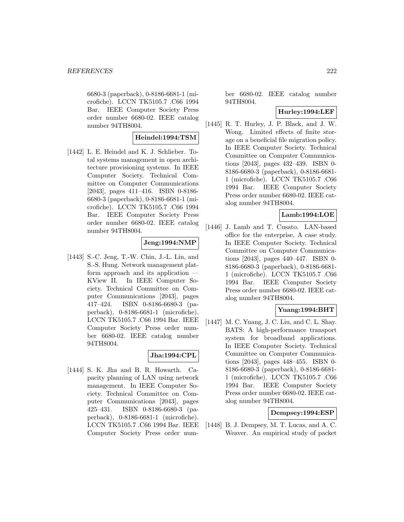6680-3 (paperback), 0-8186-6681-1 (microfiche). LCCN TK5105.7 .C66 1994 Bar. IEEE Computer Society Press order number 6680-02. IEEE catalog number 94TH8004.

## **Heindel:1994:TSM**

[1442] L. E. Heindel and K. J. Schlieber. Total systems management in open architecture provisioning systems. In IEEE Computer Society. Technical Committee on Computer Communications [2043], pages 411–416. ISBN 0-8186- 6680-3 (paperback), 0-8186-6681-1 (microfiche). LCCN TK5105.7 .C66 1994 Bar. IEEE Computer Society Press order number 6680-02. IEEE catalog number 94TH8004.

## **Jeng:1994:NMP**

[1443] S.-C. Jeng, T.-W. Chin, J.-L. Lin, and S.-S. Hung. Network management platform approach and its application — KView II. In IEEE Computer Society. Technical Committee on Computer Communications [2043], pages 417–424. ISBN 0-8186-6680-3 (paperback), 0-8186-6681-1 (microfiche). LCCN TK5105.7 .C66 1994 Bar. IEEE Computer Society Press order number 6680-02. IEEE catalog number 94TH8004.

## **Jha:1994:CPL**

[1444] S. K. Jha and B. R. Howarth. Capacity planning of LAN using network management. In IEEE Computer Society. Technical Committee on Computer Communications [2043], pages 425–431. ISBN 0-8186-6680-3 (paperback), 0-8186-6681-1 (microfiche). LCCN TK5105.7 .C66 1994 Bar. IEEE Computer Society Press order num-

ber 6680-02. IEEE catalog number 94TH8004.

## **Hurley:1994:LEF**

[1445] R. T. Hurley, J. P. Black, and J. W. Wong. Limited effects of finite storage on a beneficial file migration policy. In IEEE Computer Society. Technical Committee on Computer Communications [2043], pages 432–439. ISBN 0- 8186-6680-3 (paperback), 0-8186-6681- 1 (microfiche). LCCN TK5105.7 .C66 1994 Bar. IEEE Computer Society Press order number 6680-02. IEEE catalog number 94TH8004.

## **Lamb:1994:LOE**

[1446] J. Lamb and T. Cusato. LAN-based office for the enterprise, A case study. In IEEE Computer Society. Technical Committee on Computer Communications [2043], pages 440–447. ISBN 0- 8186-6680-3 (paperback), 0-8186-6681- 1 (microfiche). LCCN TK5105.7 .C66 1994 Bar. IEEE Computer Society Press order number 6680-02. IEEE catalog number 94TH8004.

## **Yuang:1994:BHT**

[1447] M. C. Yuang, J. C. Liu, and C. L. Shay. BATS: A high-performance transport system for broadband applications. In IEEE Computer Society. Technical Committee on Computer Communications [2043], pages 448–455. ISBN 0- 8186-6680-3 (paperback), 0-8186-6681- 1 (microfiche). LCCN TK5105.7 .C66 1994 Bar. IEEE Computer Society Press order number 6680-02. IEEE catalog number 94TH8004.

## **Dempsey:1994:ESP**

[1448] B. J. Dempsey, M. T. Lucas, and A. C. Weaver. An empirical study of packet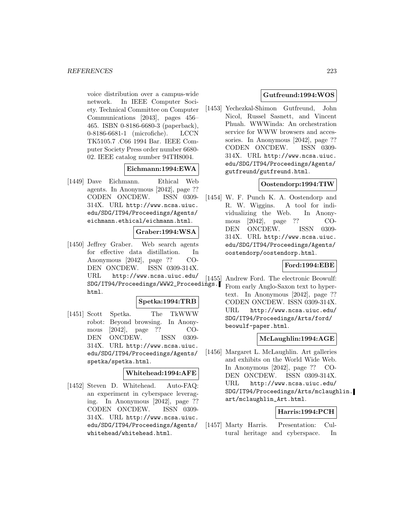voice distribution over a campus-wide network. In IEEE Computer Society. Technical Committee on Computer Communications [2043], pages 456– 465. ISBN 0-8186-6680-3 (paperback), 0-8186-6681-1 (microfiche). LCCN TK5105.7 .C66 1994 Bar. IEEE Computer Society Press order number 6680- 02. IEEE catalog number 94TH8004.

## **Eichmann:1994:EWA**

[1449] Dave Eichmann. Ethical Web agents. In Anonymous [2042], page ?? CODEN ONCDEW. ISSN 0309- 314X. URL http://www.ncsa.uiuc. edu/SDG/IT94/Proceedings/Agents/ eichmann.ethical/eichmann.html.

## **Graber:1994:WSA**

[1450] Jeffrey Graber. Web search agents for effective data distillation. In Anonymous [2042], page ?? CO-DEN ONCDEW. ISSN 0309-314X. URL http://www.ncsa.uiuc.edu/ SDG/IT94/Proceedings/WWW2\_Proceedings. html.

### **Spetka:1994:TRB**

[1451] Scott Spetka. The TkWWW robot: Beyond browsing. In Anonymous [2042], page ?? CO-DEN ONCDEW. ISSN 0309- 314X. URL http://www.ncsa.uiuc. edu/SDG/IT94/Proceedings/Agents/ spetka/spetka.html.

#### **Whitehead:1994:AFE**

[1452] Steven D. Whitehead. Auto-FAQ: an experiment in cyberspace leveraging. In Anonymous [2042], page ?? CODEN ONCDEW. ISSN 0309- 314X. URL http://www.ncsa.uiuc. edu/SDG/IT94/Proceedings/Agents/ whitehead/whitehead.html.

## **Gutfreund:1994:WOS**

[1453] Yechezkal-Shimon Gutfreund, John Nicol, Russel Sasnett, and Vincent Phuah. WWWinda: An orchestration service for WWW browsers and accessories. In Anonymous [2042], page ?? CODEN ONCDEW. ISSN 0309- 314X. URL http://www.ncsa.uiuc. edu/SDG/IT94/Proceedings/Agents/ gutfreund/gutfreund.html.

## **Oostendorp:1994:TIW**

[1454] W. F. Punch K. A. Oostendorp and R. W. Wiggins. A tool for individualizing the Web. In Anonymous [2042], page ?? CO-DEN ONCDEW. ISSN 0309- 314X. URL http://www.ncsa.uiuc. edu/SDG/IT94/Proceedings/Agents/ oostendorp/oostendorp.html.

## **Ford:1994:EBE**

[1455] Andrew Ford. The electronic Beowulf: From early Anglo-Saxon text to hypertext. In Anonymous [2042], page ?? CODEN ONCDEW. ISSN 0309-314X. URL http://www.ncsa.uiuc.edu/ SDG/IT94/Proceedings/Arts/ford/ beowulf-paper.html.

## **McLaughlin:1994:AGE**

[1456] Margaret L. McLaughlin. Art galleries and exhibits on the World Wide Web. In Anonymous [2042], page ?? CO-DEN ONCDEW. ISSN 0309-314X. URL http://www.ncsa.uiuc.edu/ SDG/IT94/Proceedings/Arts/mclaughlin. art/mclaughlin\_Art.html.

## **Harris:1994:PCH**

[1457] Marty Harris. Presentation: Cultural heritage and cyberspace. In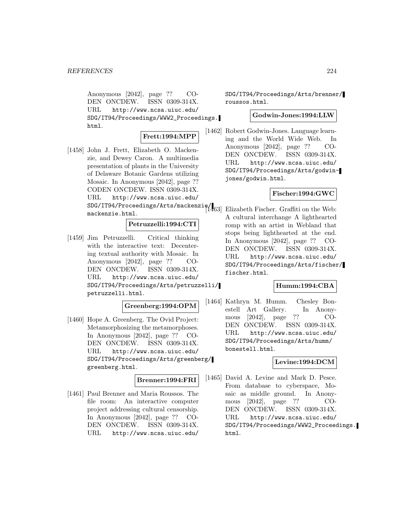Anonymous [2042], page ?? CO-DEN ONCDEW. ISSN 0309-314X. URL http://www.ncsa.uiuc.edu/ SDG/IT94/Proceedings/WWW2\_Proceedings. html.

## **Frett:1994:MPP**

[1458] John J. Frett, Elizabeth O. Mackenzie, and Dewey Caron. A multimedia presentation of plants in the University of Delaware Botanic Gardens utilizing Mosaic. In Anonymous [2042], page ?? CODEN ONCDEW. ISSN 0309-314X. URL http://www.ncsa.uiuc.edu/ SDG/IT94/Proceedings/Arts/mackenzie/<br>SDG/IT94/Proceedings/Arts/mackenzie/ mackenzie.html.

## **Petruzzelli:1994:CTI**

[1459] Jim Petruzzelli. Critical thinking with the interactive text: Decentering textual authority with Mosaic. In Anonymous [2042], page ?? CO-DEN ONCDEW. ISSN 0309-314X. URL http://www.ncsa.uiuc.edu/ SDG/IT94/Proceedings/Arts/petruzzelli/ petruzzelli.html.

## **Greenberg:1994:OPM**

[1460] Hope A. Greenberg. The Ovid Project: Metamorphosizing the metamorphoses. In Anonymous [2042], page ?? CO-DEN ONCDEW. ISSN 0309-314X. URL http://www.ncsa.uiuc.edu/ SDG/IT94/Proceedings/Arts/greenberg/ greenberg.html.

# **Brenner:1994:FRI**

[1461] Paul Brenner and Maria Roussos. The file room: An interactive computer project addressing cultural censorship. In Anonymous [2042], page ?? CO-DEN ONCDEW. ISSN 0309-314X. URL http://www.ncsa.uiuc.edu/

SDG/IT94/Proceedings/Arts/brenner/ roussos.html.

#### **Godwin-Jones:1994:LLW**

[1462] Robert Godwin-Jones. Language learning and the World Wide Web. In Anonymous [2042], page ?? CO-DEN ONCDEW. ISSN 0309-314X. URL http://www.ncsa.uiuc.edu/ SDG/IT94/Proceedings/Arts/godwinjones/godwin.html.

## **Fischer:1994:GWC**

Elizabeth Fischer. Graffiti on the Web: A cultural interchange A lighthearted romp with an artist in Webland that stops being lighthearted at the end. In Anonymous [2042], page ?? CO-DEN ONCDEW. ISSN 0309-314X. URL http://www.ncsa.uiuc.edu/ SDG/IT94/Proceedings/Arts/fischer/ fischer.html.

### **Humm:1994:CBA**

[1464] Kathryn M. Humm. Chesley Bonestell Art Gallery. In Anonymous [2042], page ?? CO-DEN ONCDEW. ISSN 0309-314X. URL http://www.ncsa.uiuc.edu/ SDG/IT94/Proceedings/Arts/humm/ bonestell.html.

## **Levine:1994:DCM**

[1465] David A. Levine and Mark D. Pesce. From database to cyberspace, Mosaic as middle ground. In Anonymous [2042], page ?? CO-DEN ONCDEW. ISSN 0309-314X. URL http://www.ncsa.uiuc.edu/ SDG/IT94/Proceedings/WWW2\_Proceedings. html.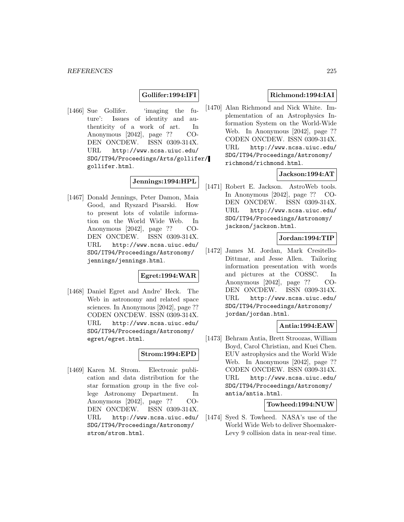## **Gollifer:1994:IFI**

[1466] Sue Gollifer. 'imaging the future': Issues of identity and authenticity of a work of art. In Anonymous [2042], page ?? CO-DEN ONCDEW. ISSN 0309-314X. URL http://www.ncsa.uiuc.edu/ SDG/IT94/Proceedings/Arts/gollifer/ gollifer.html.

## **Jennings:1994:HPL**

[1467] Donald Jennings, Peter Damon, Maia Good, and Ryszard Pisarski. How to present lots of volatile information on the World Wide Web. In Anonymous [2042], page ?? CO-DEN ONCDEW. ISSN 0309-314X. URL http://www.ncsa.uiuc.edu/ SDG/IT94/Proceedings/Astronomy/ jennings/jennings.html.

## **Egret:1994:WAR**

[1468] Daniel Egret and Andre' Heck. The Web in astronomy and related space sciences. In Anonymous [2042], page ?? CODEN ONCDEW. ISSN 0309-314X. URL http://www.ncsa.uiuc.edu/ SDG/IT94/Proceedings/Astronomy/ egret/egret.html.

## **Strom:1994:EPD**

[1469] Karen M. Strom. Electronic publication and data distribution for the star formation group in the five college Astronomy Department. In Anonymous [2042], page ?? CO-DEN ONCDEW. ISSN 0309-314X. URL http://www.ncsa.uiuc.edu/ SDG/IT94/Proceedings/Astronomy/ strom/strom.html.

## **Richmond:1994:IAI**

[1470] Alan Richmond and Nick White. Implementation of an Astrophysics Information System on the World-Wide Web. In Anonymous [2042], page ?? CODEN ONCDEW. ISSN 0309-314X. URL http://www.ncsa.uiuc.edu/ SDG/IT94/Proceedings/Astronomy/ richmond/richmond.html.

## **Jackson:1994:AT**

[1471] Robert E. Jackson. AstroWeb tools. In Anonymous [2042], page ?? CO-DEN ONCDEW. ISSN 0309-314X. URL http://www.ncsa.uiuc.edu/ SDG/IT94/Proceedings/Astronomy/ jackson/jackson.html.

## **Jordan:1994:TIP**

[1472] James M. Jordan, Mark Cresitello-Dittmar, and Jesse Allen. Tailoring information presentation with words and pictures at the COSSC. In Anonymous [2042], page ?? CO-DEN ONCDEW. ISSN 0309-314X. URL http://www.ncsa.uiuc.edu/ SDG/IT94/Proceedings/Astronomy/ jordan/jordan.html.

#### **Antia:1994:EAW**

[1473] Behram Antia, Brett Stroozas, William Boyd, Carol Christian, and Kuei Chen. EUV astrophysics and the World Wide Web. In Anonymous [2042], page ?? CODEN ONCDEW. ISSN 0309-314X. URL http://www.ncsa.uiuc.edu/ SDG/IT94/Proceedings/Astronomy/ antia/antia.html.

#### **Towheed:1994:NUW**

[1474] Syed S. Towheed. NASA's use of the World Wide Web to deliver Shoemaker-Levy 9 collision data in near-real time.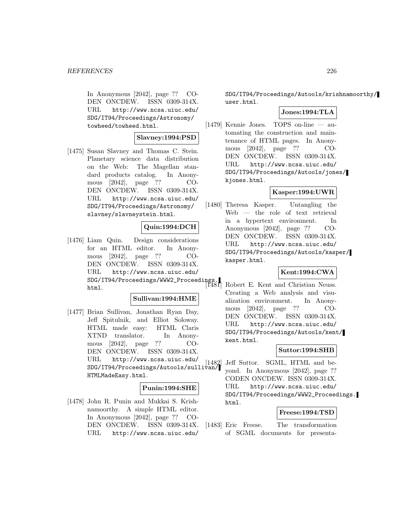In Anonymous [2042], page ?? CO-DEN ONCDEW. ISSN 0309-314X. URL http://www.ncsa.uiuc.edu/ SDG/IT94/Proceedings/Astronomy/ towheed/towheed.html.

## **Slavney:1994:PSD**

[1475] Susan Slavney and Thomas C. Stein. Planetary science data distribution on the Web: The Magellan standard products catalog. In Anonymous [2042], page ?? CO-DEN ONCDEW. ISSN 0309-314X. URL http://www.ncsa.uiuc.edu/ SDG/IT94/Proceedings/Astronomy/ slavney/slavneystein.html.

## **Quin:1994:DCH**

[1476] Liam Quin. Design considerations for an HTML editor. In Anonymous [2042], page ?? CO-DEN ONCDEW. ISSN 0309-314X. URL http://www.ncsa.uiuc.edu/ SDG/IT94/Proceedings/WWW2\_Proceedings. html.

### **Sullivan:1994:HME**

[1477] Brian Sullivan, Jonathan Ryan Day, Jeff Spitulnik, and Elliot Soloway. HTML made easy: HTML Claris XTND translator. In Anonymous [2042], page ?? CO-DEN ONCDEW. ISSN 0309-314X. URL http://www.ncsa.uiuc.edu/ SDG/IT94/Proceedings/Autools/sullivan/ HTMLMadeEasy.html.

### **Punin:1994:SHE**

[1478] John R. Punin and Mukkai S. Krishnamoorthy. A simple HTML editor. In Anonymous [2042], page ?? CO-DEN ONCDEW. ISSN 0309-314X. URL http://www.ncsa.uiuc.edu/

SDG/IT94/Proceedings/Autools/krishnamoorthy/ user.html.

# **Jones:1994:TLA**

[1479] Kennie Jones. TOPS on-line — automating the construction and maintenance of HTML pages. In Anonymous [2042], page ?? CO-DEN ONCDEW. ISSN 0309-314X. URL http://www.ncsa.uiuc.edu/ SDG/IT94/Proceedings/Autools/jones/ kjones.html.

## **Kasper:1994:UWR**

[1480] Theresa Kasper. Untangling the Web — the role of text retrieval in a hypertext environment. In Anonymous [2042], page ?? CO-DEN ONCDEW. ISSN 0309-314X. URL http://www.ncsa.uiuc.edu/ SDG/IT94/Proceedings/Autools/kasper/ kasper.html.

# **Kent:1994:CWA**

Robert E. Kent and Christian Neuss. Creating a Web analysis and visualization environment. In Anonymous [2042], page ?? CO-DEN ONCDEW. ISSN 0309-314X. URL http://www.ncsa.uiuc.edu/ SDG/IT94/Proceedings/Autools/kent/ kent.html.

## **Suttor:1994:SHB**

[1482] Jeff Suttor. SGML, HTML and beyond. In Anonymous [2042], page ?? CODEN ONCDEW. ISSN 0309-314X. URL http://www.ncsa.uiuc.edu/ SDG/IT94/Proceedings/WWW2\_Proceedings. html.

## **Freese:1994:TSD**

[1483] Eric Freese. The transformation of SGML documents for presenta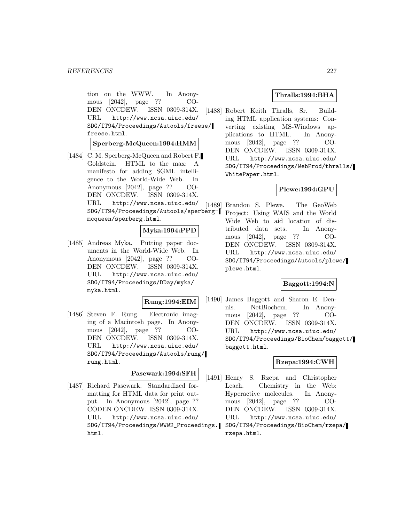tion on the WWW. In Anonymous [2042], page ?? CO-DEN ONCDEW. ISSN 0309-314X. URL http://www.ncsa.uiuc.edu/ SDG/IT94/Proceedings/Autools/freese/ freese.html.

## **Sperberg-McQueen:1994:HMM**

[1484] C. M. Sperberg-McQueen and Robert F. Goldstein. HTML to the max: A manifesto for adding SGML intelligence to the World-Wide Web. In Anonymous [2042], page ?? CO-DEN ONCDEW. ISSN 0309-314X. URL http://www.ncsa.uiuc.edu/ SDG/IT94/Proceedings/Autools/sperbergmcqueen/sperberg.html.

# **Myka:1994:PPD**

[1485] Andreas Myka. Putting paper documents in the World-Wide Web. In Anonymous [2042], page ?? CO-DEN ONCDEW. ISSN 0309-314X. URL http://www.ncsa.uiuc.edu/ SDG/IT94/Proceedings/DDay/myka/ myka.html.

#### **Rung:1994:EIM**

[1486] Steven F. Rung. Electronic imaging of a Macintosh page. In Anonymous [2042], page ?? CO-DEN ONCDEW. ISSN 0309-314X. URL http://www.ncsa.uiuc.edu/ SDG/IT94/Proceedings/Autools/rung/ rung.html.

### **Pasewark:1994:SFH**

[1487] Richard Pasewark. Standardized formatting for HTML data for print output. In Anonymous [2042], page ?? CODEN ONCDEW. ISSN 0309-314X. URL http://www.ncsa.uiuc.edu/ SDG/IT94/Proceedings/WWW2\_Proceedings. html.

### **Thralls:1994:BHA**

[1488] Robert Keith Thralls, Sr. Building HTML application systems: Converting existing MS-Windows applications to HTML. In Anonymous [2042], page ?? CO-DEN ONCDEW. ISSN 0309-314X. URL http://www.ncsa.uiuc.edu/ SDG/IT94/Proceedings/WebProd/thralls/ WhitePaper.html.

#### **Plewe:1994:GPU**

[1489] Brandon S. Plewe. The GeoWeb Project: Using WAIS and the World Wide Web to aid location of distributed data sets. In Anonymous [2042], page ?? CO-DEN ONCDEW. ISSN 0309-314X. URL http://www.ncsa.uiuc.edu/ SDG/IT94/Proceedings/Autools/plewe/ plewe.html.

### **Baggott:1994:N**

[1490] James Baggott and Sharon E. Dennis. NetBiochem. In Anonymous [2042], page ?? CO-DEN ONCDEW. ISSN 0309-314X. URL http://www.ncsa.uiuc.edu/ SDG/IT94/Proceedings/BioChem/baggott/ baggott.html.

# **Rzepa:1994:CWH**

[1491] Henry S. Rzepa and Christopher Leach. Chemistry in the Web: Hyperactive molecules. In Anonymous [2042], page ?? CO-DEN ONCDEW. ISSN 0309-314X. URL http://www.ncsa.uiuc.edu/ SDG/IT94/Proceedings/BioChem/rzepa/ rzepa.html.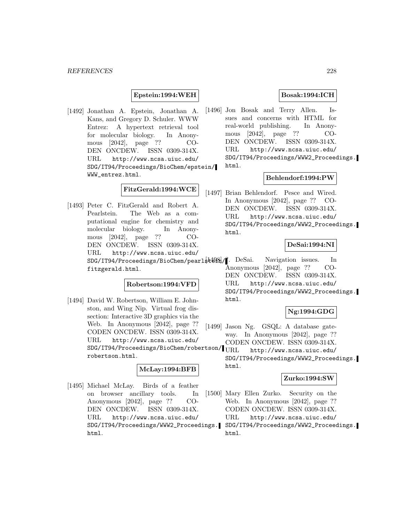## **Epstein:1994:WEH**

[1492] Jonathan A. Epstein, Jonathan A. Kans, and Gregory D. Schuler. WWW Entrez: A hypertext retrieval tool for molecular biology. In Anonymous [2042], page ?? CO-DEN ONCDEW. ISSN 0309-314X. URL http://www.ncsa.uiuc.edu/ SDG/IT94/Proceedings/BioChem/epstein/ WWW\_entrez.html.

# **FitzGerald:1994:WCE**

[1493] Peter C. FitzGerald and Robert A. Pearlstein. The Web as a computational engine for chemistry and molecular biology. In Anonymous [2042], page ?? CO-DEN ONCDEW. ISSN 0309-314X. URL http://www.ncsa.uiuc.edu/ SDG/IT94/Proceedings/BioChem/pearl\$t4981/1. DeSai. fitzgerald.html.

## **Robertson:1994:VFD**

[1494] David W. Robertson, William E. Johnston, and Wing Nip. Virtual frog dissection: Interactive 3D graphics via the Web. In Anonymous [2042], page ?? CODEN ONCDEW. ISSN 0309-314X. URL http://www.ncsa.uiuc.edu/ SDG/IT94/Proceedings/BioChem/robertson/ robertson.html.

#### **McLay:1994:BFB**

[1495] Michael McLay. Birds of a feather on browser ancillary tools. In Anonymous [2042], page ?? CO-DEN ONCDEW. ISSN 0309-314X. URL http://www.ncsa.uiuc.edu/ SDG/IT94/Proceedings/WWW2\_Proceedings. html.

## **Bosak:1994:ICH**

[1496] Jon Bosak and Terry Allen. Issues and concerns with HTML for real-world publishing. In Anonymous [2042], page ?? CO-DEN ONCDEW. ISSN 0309-314X. URL http://www.ncsa.uiuc.edu/ SDG/IT94/Proceedings/WWW2\_Proceedings. html.

#### **Behlendorf:1994:PW**

[1497] Brian Behlendorf. Pesce and Wired. In Anonymous [2042], page ?? CO-DEN ONCDEW. ISSN 0309-314X. URL http://www.ncsa.uiuc.edu/ SDG/IT94/Proceedings/WWW2\_Proceedings. html.

#### **DeSai:1994:NI**

Navigation issues. In Anonymous [2042], page ?? CO-DEN ONCDEW. ISSN 0309-314X. URL http://www.ncsa.uiuc.edu/ SDG/IT94/Proceedings/WWW2\_Proceedings. html.

# **Ng:1994:GDG**

- [1499] Jason Ng. GSQL: A database gateway. In Anonymous [2042], page ?? CODEN ONCDEW. ISSN 0309-314X.
	- http://www.ncsa.uiuc.edu/ SDG/IT94/Proceedings/WWW2\_Proceedings. html.

#### **Zurko:1994:SW**

- [1500] Mary Ellen Zurko. Security on the Web. In Anonymous [2042], page ?? CODEN ONCDEW. ISSN 0309-314X. URL http://www.ncsa.uiuc.edu/ SDG/IT94/Proceedings/WWW2\_Proceedings.
	- html.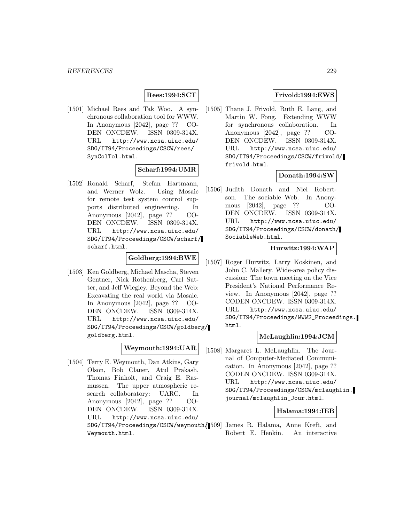## **Rees:1994:SCT**

[1501] Michael Rees and Tak Woo. A synchronous collaboration tool for WWW. In Anonymous [2042], page ?? CO-DEN ONCDEW. ISSN 0309-314X. URL http://www.ncsa.uiuc.edu/ SDG/IT94/Proceedings/CSCW/rees/ SynColTol.html.

#### **Scharf:1994:UMR**

[1502] Ronald Scharf, Stefan Hartmann, and Werner Wolz. Using Mosaic for remote test system control supports distributed engineering. In Anonymous [2042], page ?? CO-DEN ONCDEW. ISSN 0309-314X. URL http://www.ncsa.uiuc.edu/ SDG/IT94/Proceedings/CSCW/scharf/ scharf.html.

## **Goldberg:1994:BWE**

[1503] Ken Goldberg, Michael Mascha, Steven Gentner, Nick Rothenberg, Carl Sutter, and Jeff Wiegley. Beyond the Web: Excavating the real world via Mosaic. In Anonymous [2042], page ?? CO-DEN ONCDEW. ISSN 0309-314X. URL http://www.ncsa.uiuc.edu/ SDG/IT94/Proceedings/CSCW/goldberg/ goldberg.html.

## **Weymouth:1994:UAR**

[1504] Terry E. Weymouth, Dan Atkins, Gary Olson, Bob Clauer, Atul Prakash, Thomas Finholt, and Craig E. Rasmussen. The upper atmospheric research collaboratory: UARC. In Anonymous [2042], page ?? CO-DEN ONCDEW. ISSN 0309-314X. URL http://www.ncsa.uiuc.edu/ SDG/IT94/Proceedings/CSCW/weymouth/ [1509] James R. Halama, Anne Kreft, and Weymouth.html.

## **Frivold:1994:EWS**

[1505] Thane J. Frivold, Ruth E. Lang, and Martin W. Fong. Extending WWW for synchronous collaboration. In Anonymous [2042], page ?? CO-DEN ONCDEW. ISSN 0309-314X. URL http://www.ncsa.uiuc.edu/ SDG/IT94/Proceedings/CSCW/frivold/ frivold.html.

## **Donath:1994:SW**

[1506] Judith Donath and Niel Robertson. The sociable Web. In Anonymous [2042], page ?? CO-DEN ONCDEW. ISSN 0309-314X. URL http://www.ncsa.uiuc.edu/ SDG/IT94/Proceedings/CSCW/donath/ SociableWeb.html.

#### **Hurwitz:1994:WAP**

[1507] Roger Hurwitz, Larry Koskinen, and John C. Mallery. Wide-area policy discussion: The town meeting on the Vice President's National Performance Review. In Anonymous [2042], page ?? CODEN ONCDEW. ISSN 0309-314X. URL http://www.ncsa.uiuc.edu/ SDG/IT94/Proceedings/WWW2\_Proceedings. html.

# **McLaughlin:1994:JCM**

[1508] Margaret L. McLaughlin. The Journal of Computer-Mediated Communication. In Anonymous [2042], page ?? CODEN ONCDEW. ISSN 0309-314X. URL http://www.ncsa.uiuc.edu/ SDG/IT94/Proceedings/CSCW/mclaughlin. journal/mclaughlin\_Jour.html.

## **Halama:1994:IEB**

Robert E. Henkin. An interactive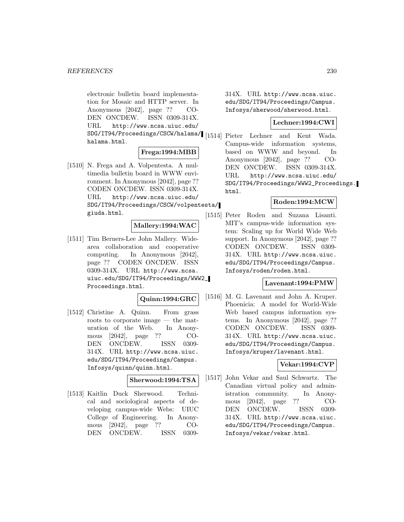electronic bulletin board implementation for Mosaic and HTTP server. In Anonymous [2042], page ?? CO-DEN ONCDEW. ISSN 0309-314X. URL http://www.ncsa.uiuc.edu/ SDG/IT94/Proceedings/CSCW/halama/ [1514] Pieter Lechner and Kent Wada. halama.html.

## **Frega:1994:MBB**

[1510] N. Frega and A. Volpentesta. A multimedia bulletin board in WWW environment. In Anonymous [2042], page ?? CODEN ONCDEW. ISSN 0309-314X. URL http://www.ncsa.uiuc.edu/ SDG/IT94/Proceedings/CSCW/volpentesta/ giuda.html.

## **Mallery:1994:WAC**

[1511] Tim Berners-Lee John Mallery. Widearea collaboration and cooperative computing. In Anonymous [2042], page ?? CODEN ONCDEW. ISSN 0309-314X. URL http://www.ncsa. uiuc.edu/SDG/IT94/Proceedings/WWW2\_ Proceedings.html.

## **Quinn:1994:GRC**

[1512] Christine A. Quinn. From grass roots to corporate image — the maturation of the Web. In Anonymous [2042], page ?? CO-DEN ONCDEW. ISSN 0309- 314X. URL http://www.ncsa.uiuc. edu/SDG/IT94/Proceedings/Campus. Infosys/quinn/quinn.html.

## **Sherwood:1994:TSA**

[1513] Kaitlin Duck Sherwood. Technical and sociological aspects of developing campus-wide Webs: UIUC College of Engineering. In Anonymous [2042], page ?? CO-DEN ONCDEW. ISSN 0309314X. URL http://www.ncsa.uiuc. edu/SDG/IT94/Proceedings/Campus. Infosys/sherwood/sherwood.html.

# **Lechner:1994:CWI**

Campus-wide information systems, based on WWW and beyond. In Anonymous [2042], page ?? CO-DEN ONCDEW. ISSN 0309-314X. URL http://www.ncsa.uiuc.edu/ SDG/IT94/Proceedings/WWW2\_Proceedings. html.

## **Roden:1994:MCW**

[1515] Peter Roden and Suzana Lisanti. MIT's campus-wide information system: Scaling up for World Wide Web support. In Anonymous [2042], page ?? CODEN ONCDEW. ISSN 0309- 314X. URL http://www.ncsa.uiuc. edu/SDG/IT94/Proceedings/Campus. Infosys/roden/roden.html.

## **Lavenant:1994:PMW**

[1516] M. G. Lavenant and John A. Kruper. Phoenicia: A model for World-Wide Web based campus information systems. In Anonymous [2042], page ?? CODEN ONCDEW. ISSN 0309- 314X. URL http://www.ncsa.uiuc. edu/SDG/IT94/Proceedings/Campus. Infosys/kruper/lavenant.html.

## **Vekar:1994:CVP**

[1517] John Vekar and Saul Schwartz. The Canadian virtual policy and administration community. In Anonymous [2042], page ?? CO-DEN ONCDEW. ISSN 0309- 314X. URL http://www.ncsa.uiuc. edu/SDG/IT94/Proceedings/Campus. Infosys/vekar/vekar.html.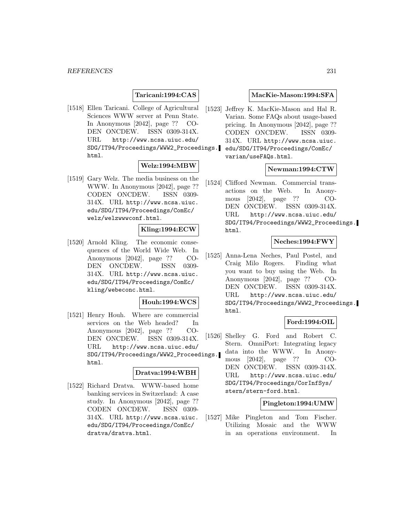## **Taricani:1994:CAS**

[1518] Ellen Taricani. College of Agricultural Sciences WWW server at Penn State. In Anonymous [2042], page ?? CO-DEN ONCDEW. ISSN 0309-314X. URL http://www.ncsa.uiuc.edu/ SDG/IT94/Proceedings/WWW2\_Proceedings. html.

## **Welz:1994:MBW**

[1519] Gary Welz. The media business on the WWW. In Anonymous [2042], page ?? CODEN ONCDEW. ISSN 0309- 314X. URL http://www.ncsa.uiuc. edu/SDG/IT94/Proceedings/ComEc/ welz/welzwwwconf.html.

#### **Kling:1994:ECW**

[1520] Arnold Kling. The economic consequences of the World Wide Web. In Anonymous [2042], page ?? CO-DEN ONCDEW. ISSN 0309- 314X. URL http://www.ncsa.uiuc. edu/SDG/IT94/Proceedings/ComEc/ kling/webeconc.html.

#### **Houh:1994:WCS**

[1521] Henry Houh. Where are commercial services on the Web headed? In Anonymous [2042], page ?? CO-DEN ONCDEW. ISSN 0309-314X. URL http://www.ncsa.uiuc.edu/ SDG/IT94/Proceedings/WWW2\_Proceedings. html.

#### **Dratva:1994:WBH**

[1522] Richard Dratva. WWW-based home banking services in Switzerland: A case study. In Anonymous [2042], page ?? CODEN ONCDEW. ISSN 0309- 314X. URL http://www.ncsa.uiuc. edu/SDG/IT94/Proceedings/ComEc/ dratva/dratva.html.

#### **MacKie-Mason:1994:SFA**

[1523] Jeffrey K. MacKie-Mason and Hal R. Varian. Some FAQs about usage-based pricing. In Anonymous [2042], page ?? CODEN ONCDEW. ISSN 0309- 314X. URL http://www.ncsa.uiuc. edu/SDG/IT94/Proceedings/ComEc/ varian/useFAQs.html.

#### **Newman:1994:CTW**

[1524] Clifford Newman. Commercial transactions on the Web. In Anonymous [2042], page ?? CO-DEN ONCDEW. ISSN 0309-314X. URL http://www.ncsa.uiuc.edu/ SDG/IT94/Proceedings/WWW2\_Proceedings. html.

## **Neches:1994:FWY**

[1525] Anna-Lena Neches, Paul Postel, and Craig Milo Rogers. Finding what you want to buy using the Web. In Anonymous [2042], page ?? CO-DEN ONCDEW. ISSN 0309-314X. URL http://www.ncsa.uiuc.edu/ SDG/IT94/Proceedings/WWW2\_Proceedings. html.

## **Ford:1994:OIL**

[1526] Shelley G. Ford and Robert C. Stern. OmniPort: Integrating legacy data into the WWW. In Anonymous [2042], page ?? CO-DEN ONCDEW. ISSN 0309-314X. URL http://www.ncsa.uiuc.edu/ SDG/IT94/Proceedings/CorInfSys/

#### **Pingleton:1994:UMW**

[1527] Mike Pingleton and Tom Fischer. Utilizing Mosaic and the WWW in an operations environment. In

stern/stern-ford.html.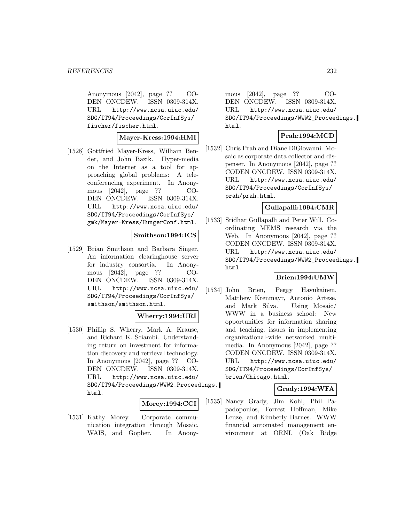Anonymous [2042], page ?? CO-DEN ONCDEW. ISSN 0309-314X. URL http://www.ncsa.uiuc.edu/ SDG/IT94/Proceedings/CorInfSys/ fischer/fischer.html.

#### **Mayer-Kress:1994:HMI**

[1528] Gottfried Mayer-Kress, William Bender, and John Bazik. Hyper-media on the Internet as a tool for approaching global problems: A teleconferencing experiment. In Anonymous [2042], page ?? CO-DEN ONCDEW. ISSN 0309-314X. URL http://www.ncsa.uiuc.edu/ SDG/IT94/Proceedings/CorInfSys/ gmk/Mayer-Kress/HungerConf.html.

# **Smithson:1994:ICS**

[1529] Brian Smithson and Barbara Singer. An information clearinghouse server for industry consortia. In Anonymous [2042], page ?? CO-DEN ONCDEW. ISSN 0309-314X. URL http://www.ncsa.uiuc.edu/ SDG/IT94/Proceedings/CorInfSys/ smithson/smithson.html.

## **Wherry:1994:URI**

[1530] Phillip S. Wherry, Mark A. Krause, and Richard K. Sciambi. Understanding return on investment for information discovery and retrieval technology. In Anonymous [2042], page ?? CO-DEN ONCDEW. ISSN 0309-314X. URL http://www.ncsa.uiuc.edu/ SDG/IT94/Proceedings/WWW2\_Proceedings. html.

## **Morey:1994:CCI**

[1531] Kathy Morey. Corporate communication integration through Mosaic, WAIS, and Gopher. In Anony-

mous [2042], page ?? CO-DEN ONCDEW. ISSN 0309-314X. URL http://www.ncsa.uiuc.edu/ SDG/IT94/Proceedings/WWW2\_Proceedings. html.

## **Prah:1994:MCD**

[1532] Chris Prah and Diane DiGiovanni. Mosaic as corporate data collector and dispenser. In Anonymous [2042], page ?? CODEN ONCDEW. ISSN 0309-314X. URL http://www.ncsa.uiuc.edu/ SDG/IT94/Proceedings/CorInfSys/ prah/prah.html.

## **Gullapalli:1994:CMR**

[1533] Sridhar Gullapalli and Peter Will. Coordinating MEMS research via the Web. In Anonymous [2042], page ?? CODEN ONCDEW. ISSN 0309-314X. URL http://www.ncsa.uiuc.edu/ SDG/IT94/Proceedings/WWW2\_Proceedings. html.

## **Brien:1994:UMW**

[1534] John Brien, Peggy Havukainen, Matthew Krenmayr, Antonio Artese, and Mark Silva. Using Mosaic/ WWW in a business school: New opportunities for information sharing and teaching. issues in implementing organizational-wide networked multimedia. In Anonymous [2042], page ?? CODEN ONCDEW. ISSN 0309-314X. URL http://www.ncsa.uiuc.edu/ SDG/IT94/Proceedings/CorInfSys/ brien/Chicago.html.

## **Grady:1994:WFA**

[1535] Nancy Grady, Jim Kohl, Phil Papadopoulos, Forrest Hoffman, Mike Leuze, and Kimberly Barnes. WWW financial automated management environment at ORNL (Oak Ridge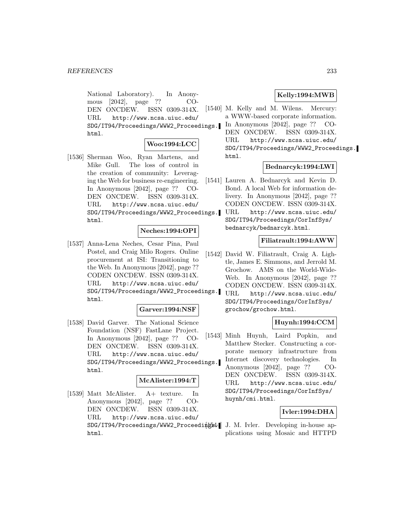National Laboratory). In Anonymous [2042], page ?? CO-DEN ONCDEW. ISSN 0309-314X. URL http://www.ncsa.uiuc.edu/ SDG/IT94/Proceedings/WWW2\_Proceedings. html.

## **Woo:1994:LCC**

[1536] Sherman Woo, Ryan Martens, and Mike Gull. The loss of control in the creation of community: Leveraging the Web for business re-engineering. In Anonymous [2042], page ?? CO-DEN ONCDEW. ISSN 0309-314X. URL http://www.ncsa.uiuc.edu/ SDG/IT94/Proceedings/WWW2\_Proceedings. html.

#### **Neches:1994:OPI**

[1537] Anna-Lena Neches, Cesar Pina, Paul Postel, and Craig Milo Rogers. Online procurement at ISI: Transitioning to the Web. In Anonymous [2042], page ?? CODEN ONCDEW. ISSN 0309-314X. URL http://www.ncsa.uiuc.edu/ SDG/IT94/Proceedings/WWW2\_Proceedings. html.

#### **Garver:1994:NSF**

[1538] David Garver. The National Science Foundation (NSF) FastLane Project. In Anonymous [2042], page ?? CO-DEN ONCDEW. ISSN 0309-314X. URL http://www.ncsa.uiuc.edu/ SDG/IT94/Proceedings/WWW2\_Proceedings. html.

## **McAlister:1994:T**

[1539] Matt McAlister. A+ texture. In Anonymous [2042], page ?? CO-DEN ONCDEW. ISSN 0309-314X. URL http://www.ncsa.uiuc.edu/ SDG/IT94/Proceedings/WWW2\_Proceedings44 J. M. Ivler. Developing in-house aphtml.

## **Kelly:1994:MWB**

[1540] M. Kelly and M. Wilens. Mercury: a WWW-based corporate information. In Anonymous [2042], page ?? CO-DEN ONCDEW. ISSN 0309-314X. URL http://www.ncsa.uiuc.edu/ SDG/IT94/Proceedings/WWW2\_Proceedings. html.

## **Bednarcyk:1994:LWI**

- [1541] Lauren A. Bednarcyk and Kevin D. Bond. A local Web for information delivery. In Anonymous [2042], page ?? CODEN ONCDEW. ISSN 0309-314X.
	- URL http://www.ncsa.uiuc.edu/ SDG/IT94/Proceedings/CorInfSys/ bednarcyk/bednarcyk.html.

## **Filiatrault:1994:AWW**

- [1542] David W. Filiatrault, Craig A. Lightle, James E. Simmons, and Jerrold M. Grochow. AMS on the World-Wide-Web. In Anonymous [2042], page ?? CODEN ONCDEW. ISSN 0309-314X.
	- URL http://www.ncsa.uiuc.edu/ SDG/IT94/Proceedings/CorInfSys/ grochow/grochow.html.

## **Huynh:1994:CCM**

[1543] Minh Huynh, Laird Popkin, and Matthew Stecker. Constructing a corporate memory infrastructure from Internet discovery technologies. In Anonymous [2042], page ?? CO-DEN ONCDEW. ISSN 0309-314X. URL http://www.ncsa.uiuc.edu/ SDG/IT94/Proceedings/CorInfSys/ huynh/cmi.html.

## **Ivler:1994:DHA**

plications using Mosaic and HTTPD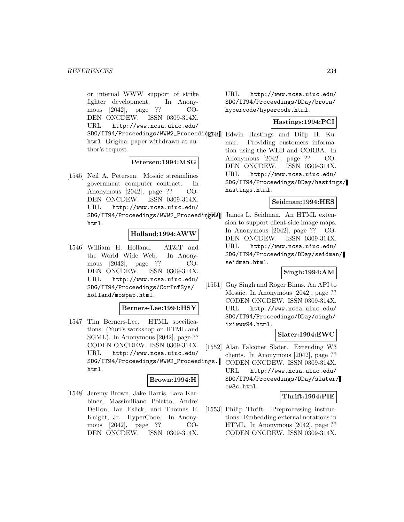or internal WWW support of strike fighter development. In Anonymous [2042], page ?? CO-DEN ONCDEW. ISSN 0309-314X. URL http://www.ncsa.uiuc.edu/ SDG/IT94/Proceedings/WWW2\_Proceedings44 Edwin Hastings and Dilip H. Kuhtml. Original paper withdrawn at author's request.

#### **Petersen:1994:MSG**

[1545] Neil A. Petersen. Mosaic streamlines government computer contract. In Anonymous [2042], page ?? CO-DEN ONCDEW. ISSN 0309-314X. URL http://www.ncsa.uiuc.edu/ SDG/IT94/Proceedings/WWW2\_Proceedipgs00 James L. Seidman. An HTML extenhtml.

# **Holland:1994:AWW**

[1546] William H. Holland. AT&T and the World Wide Web. In Anonymous [2042], page ?? CO-DEN ONCDEW. ISSN 0309-314X. URL http://www.ncsa.uiuc.edu/ SDG/IT94/Proceedings/CorInfSys/ holland/mospap.html.

## **Berners-Lee:1994:HSY**

[1547] Tim Berners-Lee. HTML specifications: (Yuri's workshop on HTML and SGML). In Anonymous [2042], page ?? CODEN ONCDEW. ISSN 0309-314X. URL http://www.ncsa.uiuc.edu/ SDG/IT94/Proceedings/WWW2\_Proceedings. html.

# **Brown:1994:H**

[1548] Jeremy Brown, Jake Harris, Lara Karbiner, Massimiliano Poletto, Andre' DeHon, Ian Eslick, and Thomas F. Knight, Jr. HyperCode. In Anonymous [2042], page ?? CO-DEN ONCDEW. ISSN 0309-314X.

URL http://www.ncsa.uiuc.edu/ SDG/IT94/Proceedings/DDay/brown/ hypercode/hypercode.html.

## **Hastings:1994:PCI**

mar. Providing customers information using the WEB and CORBA. In Anonymous [2042], page ?? CO-DEN ONCDEW. ISSN 0309-314X. URL http://www.ncsa.uiuc.edu/ SDG/IT94/Proceedings/DDay/hastings/ hastings.html.

## **Seidman:1994:HES**

sion to support client-side image maps. In Anonymous [2042], page ?? CO-DEN ONCDEW. ISSN 0309-314X. URL http://www.ncsa.uiuc.edu/ SDG/IT94/Proceedings/DDay/seidman/ seidman.html.

## **Singh:1994:AM**

[1551] Guy Singh and Roger Binns. An API to Mosaic. In Anonymous [2042], page ?? CODEN ONCDEW. ISSN 0309-314X. URL http://www.ncsa.uiuc.edu/ SDG/IT94/Proceedings/DDay/singh/ ixiwww94.html.

#### **Slater:1994:EWC**

[1552] Alan Falconer Slater. Extending W3 clients. In Anonymous [2042], page ?? CODEN ONCDEW. ISSN 0309-314X. URL http://www.ncsa.uiuc.edu/ SDG/IT94/Proceedings/DDay/slater/ ew3c.html.

## **Thrift:1994:PIE**

[1553] Philip Thrift. Preprocessing instructions: Embedding external notations in HTML. In Anonymous [2042], page ?? CODEN ONCDEW. ISSN 0309-314X.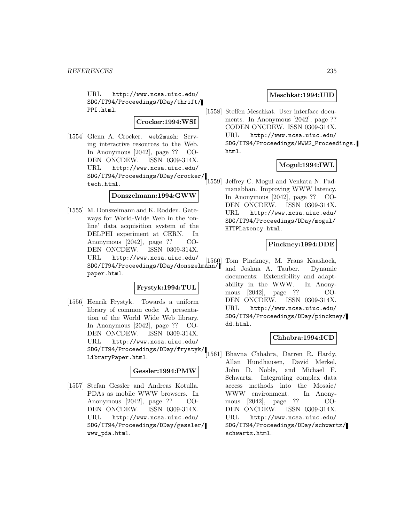URL http://www.ncsa.uiuc.edu/ SDG/IT94/Proceedings/DDay/thrift/ PPI.html.

## **Crocker:1994:WSI**

[1554] Glenn A. Crocker. web2mush: Serving interactive resources to the Web. In Anonymous [2042], page ?? CO-DEN ONCDEW. ISSN 0309-314X. URL http://www.ncsa.uiuc.edu/ SDG/IT94/Proceedings/DDay/crocker/ tech.html.

### **Donszelmann:1994:GWW**

[1555] M. Donszelmann and K. Rodden. Gateways for World-Wide Web in the 'online' data acquisition system of the DELPHI experiment at CERN. In Anonymous [2042], page ?? CO-DEN ONCDEW. ISSN 0309-314X. URL http://www.ncsa.uiuc.edu/ SDG/IT94/Proceedings/DDay/donszelmann/ paper.html.

#### **Frystyk:1994:TUL**

[1556] Henrik Frystyk. Towards a uniform library of common code: A presentation of the World Wide Web library. In Anonymous [2042], page ?? CO-DEN ONCDEW. ISSN 0309-314X. URL http://www.ncsa.uiuc.edu/ SDG/IT94/Proceedings/DDay/frystyk/ LibraryPaper.html.

#### **Gessler:1994:PMW**

[1557] Stefan Gessler and Andreas Kotulla. PDAs as mobile WWW browsers. In Anonymous [2042], page ?? CO-DEN ONCDEW. ISSN 0309-314X. URL http://www.ncsa.uiuc.edu/ SDG/IT94/Proceedings/DDay/gessler/ www\_pda.html.

## **Meschkat:1994:UID**

[1558] Steffen Meschkat. User interface documents. In Anonymous [2042], page ?? CODEN ONCDEW. ISSN 0309-314X. URL http://www.ncsa.uiuc.edu/ SDG/IT94/Proceedings/WWW2\_Proceedings. html.

## **Mogul:1994:IWL**

[1559] Jeffrey C. Mogul and Venkata N. Padmanabhan. Improving WWW latency. In Anonymous [2042], page ?? CO-DEN ONCDEW. ISSN 0309-314X. URL http://www.ncsa.uiuc.edu/ SDG/IT94/Proceedings/DDay/mogul/ HTTPLatency.html.

#### **Pinckney:1994:DDE**

Tom Pinckney, M. Frans Kaashoek, and Joshua A. Tauber. Dynamic documents: Extensibility and adaptability in the WWW. In Anonymous [2042], page ?? CO-DEN ONCDEW. ISSN 0309-314X. URL http://www.ncsa.uiuc.edu/ SDG/IT94/Proceedings/DDay/pinckney/ dd.html.

## **Chhabra:1994:ICD**

[1561] Bhavna Chhabra, Darren R. Hardy, Allan Hundhausen, David Merkel, John D. Noble, and Michael F. Schwartz. Integrating complex data access methods into the Mosaic/ WWW environment. In Anonymous [2042], page ?? CO-DEN ONCDEW. ISSN 0309-314X. URL http://www.ncsa.uiuc.edu/ SDG/IT94/Proceedings/DDay/schwartz/ schwartz.html.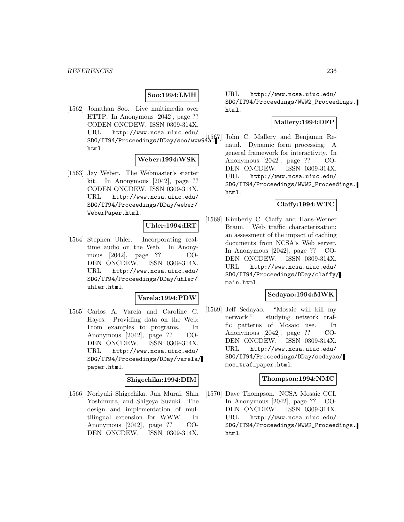## **Soo:1994:LMH**

[1562] Jonathan Soo. Live multimedia over HTTP. In Anonymous [2042], page ?? CODEN ONCDEW. ISSN 0309-314X. URL http://www.ncsa.uiuc.edu/ SDG/IT94/Proceedings/DDay/soo/www94a. html.

### **Weber:1994:WSK**

[1563] Jay Weber. The Webmaster's starter kit. In Anonymous [2042], page ?? CODEN ONCDEW. ISSN 0309-314X. URL http://www.ncsa.uiuc.edu/ SDG/IT94/Proceedings/DDay/weber/ WeberPaper.html.

## **Uhler:1994:IRT**

[1564] Stephen Uhler. Incorporating realtime audio on the Web. In Anonymous [2042], page ?? CO-DEN ONCDEW. ISSN 0309-314X. URL http://www.ncsa.uiuc.edu/ SDG/IT94/Proceedings/DDay/uhler/ uhler.html.

## **Varela:1994:PDW**

[1565] Carlos A. Varela and Caroline C. Hayes. Providing data on the Web: From examples to programs. In Anonymous [2042], page ?? CO-DEN ONCDEW. ISSN 0309-314X. URL http://www.ncsa.uiuc.edu/ SDG/IT94/Proceedings/DDay/varela/ paper.html.

## **Shigechika:1994:DIM**

[1566] Noriyuki Shigechika, Jun Murai, Shin Yoshimura, and Shigeya Suzuki. The design and implementation of multilingual extension for WWW. In Anonymous [2042], page ?? CO-DEN ONCDEW. ISSN 0309-314X.

URL http://www.ncsa.uiuc.edu/ SDG/IT94/Proceedings/WWW2\_Proceedings. html.

## **Mallery:1994:DFP**

John C. Mallery and Benjamin Renaud. Dynamic form processing: A general framework for interactivity. In Anonymous [2042], page ?? CO-DEN ONCDEW. ISSN 0309-314X. URL http://www.ncsa.uiuc.edu/ SDG/IT94/Proceedings/WWW2\_Proceedings. html.

### **Claffy:1994:WTC**

[1568] Kimberly C. Claffy and Hans-Werner Braun. Web traffic characterization: an assessment of the impact of caching documents from NCSA's Web server. In Anonymous [2042], page ?? CO-DEN ONCDEW. ISSN 0309-314X. URL http://www.ncsa.uiuc.edu/ SDG/IT94/Proceedings/DDay/claffy/ main.html.

## **Sedayao:1994:MWK**

[1569] Jeff Sedayao. "Mosaic will kill my network!" studying network traffic patterns of Mosaic use. In Anonymous [2042], page ?? CO-DEN ONCDEW. ISSN 0309-314X. URL http://www.ncsa.uiuc.edu/ SDG/IT94/Proceedings/DDay/sedayao/ mos\_traf\_paper.html.

#### **Thompson:1994:NMC**

[1570] Dave Thompson. NCSA Mosaic CCI. In Anonymous [2042], page ?? CO-DEN ONCDEW. ISSN 0309-314X. URL http://www.ncsa.uiuc.edu/ SDG/IT94/Proceedings/WWW2\_Proceedings. html.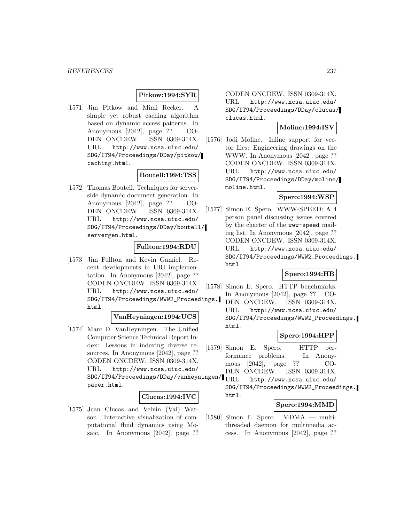## **Pitkow:1994:SYR**

[1571] Jim Pitkow and Mimi Recker. A simple yet robust caching algorithm based on dynamic access patterns. In Anonymous [2042], page ?? CO-DEN ONCDEW. ISSN 0309-314X. URL http://www.ncsa.uiuc.edu/ SDG/IT94/Proceedings/DDay/pitkow/ caching.html.

#### **Boutell:1994:TSS**

[1572] Thomas Boutell. Techniques for serverside dynamic document generation. In Anonymous [2042], page ?? CO-DEN ONCDEW. ISSN 0309-314X. URL http://www.ncsa.uiuc.edu/ SDG/IT94/Proceedings/DDay/boutell/ servergen.html.

#### **Fullton:1994:RDU**

[1573] Jim Fullton and Kevin Gamiel. Recent developments in URI implementation. In Anonymous [2042], page ?? CODEN ONCDEW. ISSN 0309-314X. URL http://www.ncsa.uiuc.edu/ SDG/IT94/Proceedings/WWW2\_Proceedings. html.

### **VanHeyningen:1994:UCS**

[1574] Marc D. VanHeyningen. The Unified Computer Science Technical Report Index: Lessons in indexing diverse resources. In Anonymous [2042], page ?? CODEN ONCDEW. ISSN 0309-314X. URL http://www.ncsa.uiuc.edu/  $\verb|SDG/IT94/Proceedings/DDay/vanheyningen/| \textbf{URL} |$ paper.html.

#### **Clucas:1994:IVC**

[1575] Jean Clucas and Velvin (Val) Watson. Interactive visualization of computational fluid dynamics using Mosaic. In Anonymous [2042], page ??

CODEN ONCDEW. ISSN 0309-314X. URL http://www.ncsa.uiuc.edu/ SDG/IT94/Proceedings/DDay/clucas/ clucas.html.

## **Moline:1994:ISV**

[1576] Jodi Moline. Inline support for vector files: Engineering drawings on the WWW. In Anonymous [2042], page ?? CODEN ONCDEW. ISSN 0309-314X. URL http://www.ncsa.uiuc.edu/ SDG/IT94/Proceedings/DDay/moline/ moline.html.

## **Spero:1994:WSP**

[1577] Simon E. Spero. WWW-SPEED: A 4 person panel discussing issues covered by the charter of the www-speed mailing list. In Anonymous [2042], page ?? CODEN ONCDEW. ISSN 0309-314X. URL http://www.ncsa.uiuc.edu/ SDG/IT94/Proceedings/WWW2\_Proceedings. html.

## **Spero:1994:HB**

[1578] Simon E. Spero. HTTP benchmarks. In Anonymous [2042], page ?? CO-DEN ONCDEW. ISSN 0309-314X. URL http://www.ncsa.uiuc.edu/ SDG/IT94/Proceedings/WWW2\_Proceedings. html.

## **Spero:1994:HPP**

[1579] Simon E. Spero. HTTP performance problems. In Anonymous [2042], page ?? CO-DEN ONCDEW. ISSN 0309-314X. http://www.ncsa.uiuc.edu/

SDG/IT94/Proceedings/WWW2\_Proceedings. html.

## **Spero:1994:MMD**

[1580] Simon E. Spero. MDMA — multithreaded daemon for multimedia access. In Anonymous [2042], page ??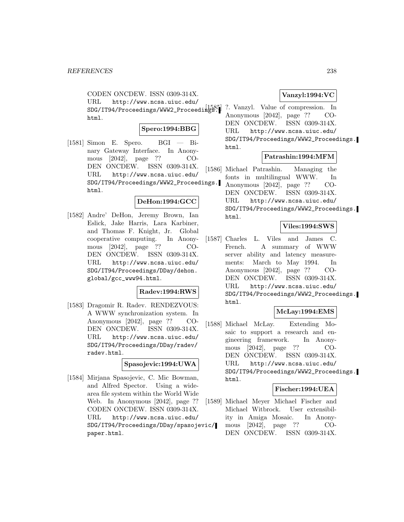CODEN ONCDEW. ISSN 0309-314X. URL http://www.ncsa.uiuc.edu/ SDG/IT94/Proceedings/WWW2\_Proceedings. html.

## **Spero:1994:BBG**

 $[1581]$  Simon E. Spero. BGI — Binary Gateway Interface. In Anonymous [2042], page ?? CO-DEN ONCDEW. ISSN 0309-314X. URL http://www.ncsa.uiuc.edu/ SDG/IT94/Proceedings/WWW2\_Proceedings. html.

## **DeHon:1994:GCC**

[1582] Andre' DeHon, Jeremy Brown, Ian Eslick, Jake Harris, Lara Karbiner, and Thomas F. Knight, Jr. Global cooperative computing. In Anonymous [2042], page ?? CO-DEN ONCDEW. ISSN 0309-314X. URL http://www.ncsa.uiuc.edu/ SDG/IT94/Proceedings/DDay/dehon. global/gcc\_www94.html.

#### **Radev:1994:RWS**

[1583] Dragomir R. Radev. RENDEZVOUS: A WWW synchronization system. In Anonymous [2042], page ?? CO-DEN ONCDEW. ISSN 0309-314X. URL http://www.ncsa.uiuc.edu/ SDG/IT94/Proceedings/DDay/radev/ radev.html.

#### **Spasojevic:1994:UWA**

[1584] Mirjana Spasojevic, C. Mic Bowman, and Alfred Spector. Using a widearea file system within the World Wide Web. In Anonymous [2042], page ?? CODEN ONCDEW. ISSN 0309-314X. URL http://www.ncsa.uiuc.edu/ SDG/IT94/Proceedings/DDay/spasojevic/ paper.html.

## **Vanzyl:1994:VC**

?. Vanzyl. Value of compression. In Anonymous [2042], page ?? CO-DEN ONCDEW. ISSN 0309-314X. URL http://www.ncsa.uiuc.edu/ SDG/IT94/Proceedings/WWW2\_Proceedings. html.

#### **Patrashin:1994:MFM**

[1586] Michael Patrashin. Managing the fonts in multilingual WWW. In Anonymous [2042], page ?? CO-DEN ONCDEW. ISSN 0309-314X. URL http://www.ncsa.uiuc.edu/ SDG/IT94/Proceedings/WWW2\_Proceedings. html.

#### **Viles:1994:SWS**

[1587] Charles L. Viles and James C. French. A summary of WWW server ability and latency measurements: March to May 1994. In Anonymous [2042], page ?? CO-DEN ONCDEW. ISSN 0309-314X. URL http://www.ncsa.uiuc.edu/ SDG/IT94/Proceedings/WWW2\_Proceedings. html.

## **McLay:1994:EMS**

[1588] Michael McLay. Extending Mosaic to support a research and engineering framework. In Anonymous [2042], page ?? CO-DEN ONCDEW. ISSN 0309-314X. URL http://www.ncsa.uiuc.edu/ SDG/IT94/Proceedings/WWW2\_Proceedings. html.

#### **Fischer:1994:UEA**

[1589] Michael Meyer Michael Fischer and Michael Witbrock. User extensibility in Amiga Mosaic. In Anonymous [2042], page ?? CO-DEN ONCDEW. ISSN 0309-314X.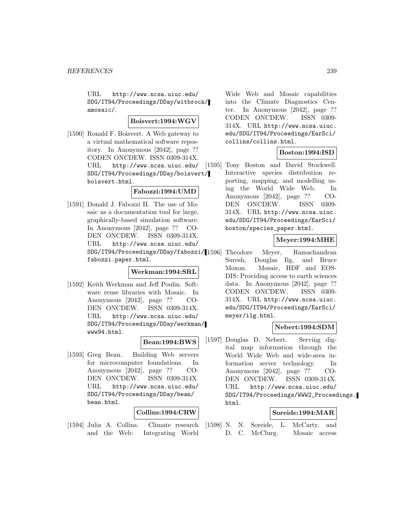URL http://www.ncsa.uiuc.edu/ SDG/IT94/Proceedings/DDay/witbrock/ amosaic/.

#### **Boisvert:1994:WGV**

[1590] Ronald F. Boisvert. A Web gateway to a virtual mathematical software repository. In Anonymous [2042], page ?? CODEN ONCDEW. ISSN 0309-314X. URL http://www.ncsa.uiuc.edu/ SDG/IT94/Proceedings/DDay/boisvert/ boisvert.html.

## **Fabozzi:1994:UMD**

[1591] Donald J. Fabozzi II. The use of Mosaic as a documentation tool for large, graphically-based simulation software. In Anonymous [2042], page ?? CO-DEN ONCDEW. ISSN 0309-314X. URL http://www.ncsa.uiuc.edu/ SDG/IT94/Proceedings/DDay/fabozzi/ fabozzi.paper.html.

## **Werkman:1994:SRL**

[1592] Keith Werkman and Jeff Poulin. Software reuse libraries with Mosaic. In Anonymous [2042], page ?? CO-DEN ONCDEW. ISSN 0309-314X. URL http://www.ncsa.uiuc.edu/ SDG/IT94/Proceedings/DDay/werkman/ www94.html.

## **Bean:1994:BWS**

[1593] Greg Bean. Building Web servers for microcomputer foundations. In Anonymous [2042], page ?? CO-DEN ONCDEW. ISSN 0309-314X. URL http://www.ncsa.uiuc.edu/ SDG/IT94/Proceedings/DDay/bean/ bean.html.

## **Collins:1994:CRW**

[1594] Julia A. Collins. Climate research and the Web: Integrating World

Wide Web and Mosaic capabilities into the Climate Diagnostics Center. In Anonymous [2042], page ?? CODEN ONCDEW. ISSN 0309- 314X. URL http://www.ncsa.uiuc. edu/SDG/IT94/Proceedings/EarSci/ collins/collins.html.

#### **Boston:1994:ISD**

[1595] Tony Boston and David Stockwell. Interactive species distribution reporting, mapping, and modelling using the World Wide Web. In Anonymous [2042], page ?? CO-DEN ONCDEW. ISSN 0309- 314X. URL http://www.ncsa.uiuc. edu/SDG/IT94/Proceedings/EarSci/ boston/species\_paper.html.

## **Meyer:1994:MHE**

Theodore Meyer, Ramachandran Suresh, Douglas Ilg, and Bruce Moxon. Mosaic, HDF and EOS-DIS: Providing access to earth sciences data. In Anonymous [2042], page ?? CODEN ONCDEW. ISSN 0309- 314X. URL http://www.ncsa.uiuc. edu/SDG/IT94/Proceedings/EarSci/ meyer/ilg.html.

## **Nebert:1994:SDM**

[1597] Douglas D. Nebert. Serving digital map information through the World Wide Web and wide-area information server technology. In Anonymous [2042], page ?? CO-DEN ONCDEW. ISSN 0309-314X. URL http://www.ncsa.uiuc.edu/ SDG/IT94/Proceedings/WWW2\_Proceedings. html.

# **Soreide:1994:MAR**

[1598] N. N. Soreide, L. McCarty, and D. C. McClurg. Mosaic access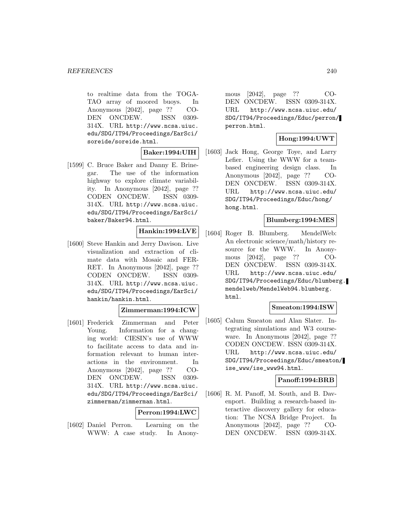to realtime data from the TOGA-TAO array of moored buoys. In Anonymous [2042], page ?? CO-DEN ONCDEW. ISSN 0309- 314X. URL http://www.ncsa.uiuc. edu/SDG/IT94/Proceedings/EarSci/ soreide/soreide.html.

**Baker:1994:UIH**

[1599] C. Bruce Baker and Danny E. Brinegar. The use of the information highway to explore climate variability. In Anonymous [2042], page ?? CODEN ONCDEW. ISSN 0309- 314X. URL http://www.ncsa.uiuc. edu/SDG/IT94/Proceedings/EarSci/ baker/Baker94.html.

## **Hankin:1994:LVE**

[1600] Steve Hankin and Jerry Davison. Live visualization and extraction of climate data with Mosaic and FER-RET. In Anonymous [2042], page ?? CODEN ONCDEW. ISSN 0309- 314X. URL http://www.ncsa.uiuc. edu/SDG/IT94/Proceedings/EarSci/ hankin/hankin.html.

## **Zimmerman:1994:ICW**

[1601] Frederick Zimmerman and Peter Young. Information for a changing world: CIESIN's use of WWW to facilitate access to data and information relevant to human interactions in the environment. In Anonymous [2042], page ?? CO-DEN ONCDEW. ISSN 0309- 314X. URL http://www.ncsa.uiuc. edu/SDG/IT94/Proceedings/EarSci/ zimmerman/zimmerman.html.

## **Perron:1994:LWC**

[1602] Daniel Perron. Learning on the WWW: A case study. In Anony-

mous [2042], page ?? CO-DEN ONCDEW. ISSN 0309-314X. URL http://www.ncsa.uiuc.edu/ SDG/IT94/Proceedings/Educ/perron/ perron.html.

## **Hong:1994:UWT**

[1603] Jack Hong, George Toye, and Larry Lefier. Using the WWW for a teambased engineering design class. In Anonymous [2042], page ?? CO-DEN ONCDEW. ISSN 0309-314X. URL http://www.ncsa.uiuc.edu/ SDG/IT94/Proceedings/Educ/hong/ hong.html.

## **Blumberg:1994:MES**

[1604] Roger B. Blumberg. MendelWeb: An electronic science/math/history resource for the WWW. In Anonymous [2042], page ?? CO-DEN ONCDEW. ISSN 0309-314X. URL http://www.ncsa.uiuc.edu/ SDG/IT94/Proceedings/Educ/blumberg. mendelweb/MendelWeb94.blumberg. html.

# **Smeaton:1994:ISW**

[1605] Calum Smeaton and Alan Slater. Integrating simulations and W3 courseware. In Anonymous [2042], page ?? CODEN ONCDEW. ISSN 0309-314X. URL http://www.ncsa.uiuc.edu/ SDG/IT94/Proceedings/Educ/smeaton/ ise\_www/ise\_www94.html.

## **Panoff:1994:BRB**

[1606] R. M. Panoff, M. South, and B. Davenport. Building a research-based interactive discovery gallery for education: The NCSA Bridge Project. In Anonymous [2042], page ?? CO-DEN ONCDEW. ISSN 0309-314X.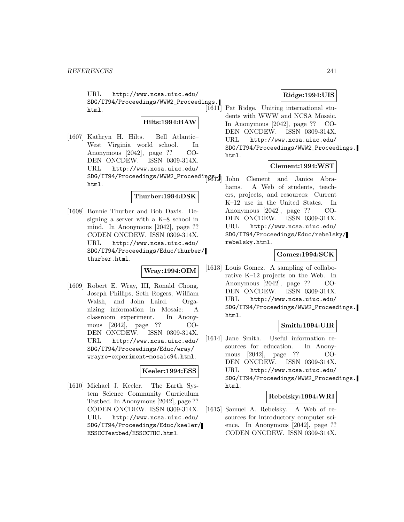URL http://www.ncsa.uiuc.edu/ SDG/IT94/Proceedings/WWW2\_Proceedings. html.

### **Hilts:1994:BAW**

[1607] Kathryn H. Hilts. Bell Atlantic– West Virginia world school. In Anonymous [2042], page ?? CO-DEN ONCDEW. ISSN 0309-314X. URL http://www.ncsa.uiuc.edu/ SDG/IT94/Proceedings/WWW2\_Proceedings. html.

#### **Thurber:1994:DSK**

[1608] Bonnie Thurber and Bob Davis. Designing a server with a K–8 school in mind. In Anonymous [2042], page ?? CODEN ONCDEW. ISSN 0309-314X. URL http://www.ncsa.uiuc.edu/ SDG/IT94/Proceedings/Educ/thurber/ thurber.html.

## **Wray:1994:OIM**

[1609] Robert E. Wray, III, Ronald Chong, Joseph Phillips, Seth Rogers, William Walsh, and John Laird. Organizing information in Mosaic: A classroom experiment. In Anonymous [2042], page ?? CO-DEN ONCDEW. ISSN 0309-314X. URL http://www.ncsa.uiuc.edu/ SDG/IT94/Proceedings/Educ/wray/ wrayre-experiment-mosaic94.html.

## **Keeler:1994:ESS**

[1610] Michael J. Keeler. The Earth System Science Community Curriculum Testbed. In Anonymous [2042], page ?? CODEN ONCDEW. ISSN 0309-314X. URL http://www.ncsa.uiuc.edu/ SDG/IT94/Proceedings/Educ/keeler/ ESSCCTestbed/ESSCCTOC.html.

## **Ridge:1994:UIS**

Pat Ridge. Uniting international students with WWW and NCSA Mosaic. In Anonymous [2042], page ?? CO-DEN ONCDEW. ISSN 0309-314X. URL http://www.ncsa.uiuc.edu/ SDG/IT94/Proceedings/WWW2\_Proceedings. html.

## **Clement:1994:WST**

John Clement and Janice Abrahams. A Web of students, teachers, projects, and resources: Current K–12 use in the United States. In Anonymous [2042], page ?? CO-DEN ONCDEW. ISSN 0309-314X. URL http://www.ncsa.uiuc.edu/ SDG/IT94/Proceedings/Educ/rebelsky/ rebelsky.html.

## **Gomez:1994:SCK**

[1613] Louis Gomez. A sampling of collaborative K–12 projects on the Web. In Anonymous [2042], page ?? CO-DEN ONCDEW. ISSN 0309-314X. URL http://www.ncsa.uiuc.edu/ SDG/IT94/Proceedings/WWW2\_Proceedings. html.

## **Smith:1994:UIR**

[1614] Jane Smith. Useful information resources for education. In Anonymous [2042], page ?? CO-DEN ONCDEW. ISSN 0309-314X. URL http://www.ncsa.uiuc.edu/ SDG/IT94/Proceedings/WWW2\_Proceedings. html.

#### **Rebelsky:1994:WRI**

[1615] Samuel A. Rebelsky. A Web of resources for introductory computer science. In Anonymous [2042], page ?? CODEN ONCDEW. ISSN 0309-314X.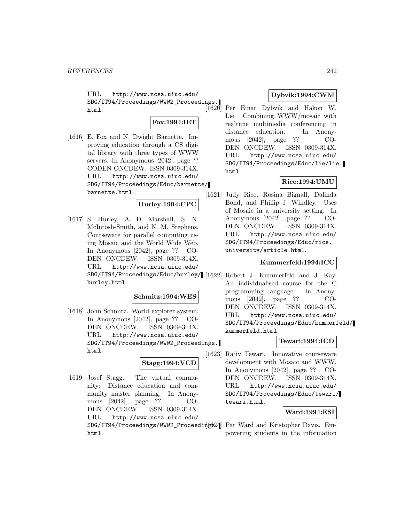URL http://www.ncsa.uiuc.edu/ SDG/IT94/Proceedings/WWW2\_Proceedings. html.

## **Fox:1994:IET**

[1616] E. Fox and N. Dwight Barnette. Improving education through a CS digital library with three types of WWW servers. In Anonymous [2042], page ?? CODEN ONCDEW. ISSN 0309-314X. URL http://www.ncsa.uiuc.edu/ SDG/IT94/Proceedings/Educ/barnette/ barnette.html.

**Hurley:1994:CPC**

[1617] S. Hurley, A. D. Marshall, S. N. McIntosh-Smith, and N. M. Stephens. Courseware for parallel computing using Mosaic and the World Wide Web. In Anonymous [2042], page ?? CO-DEN ONCDEW. ISSN 0309-314X. URL http://www.ncsa.uiuc.edu/ SDG/IT94/Proceedings/Educ/hurley/ [1622] Robert J. Kummerfeld and J. Kay. hurley.html.

#### **Schmitz:1994:WES**

[1618] John Schmitz. World explorer system. In Anonymous [2042], page ?? CO-DEN ONCDEW. ISSN 0309-314X. URL http://www.ncsa.uiuc.edu/ SDG/IT94/Proceedings/WWW2\_Proceedings. html.

#### **Stagg:1994:VCD**

[1619] Josef Stagg. The virtual community: Distance education and community master planning. In Anonymous [2042], page ?? CO-DEN ONCDEW. ISSN 0309-314X. URL http://www.ncsa.uiuc.edu/ SDG/IT94/Proceedings/WWW2\_Proceedint Same Pat Ward and Kristopher Davis. Emhtml.

## **Dybvik:1994:CWM**

Per Einar Dybvik and Hakon W. Lie. Combining WWW/mosaic with realtime multimedia conferencing in distance education. In Anonymous [2042], page ?? CO-DEN ONCDEW. ISSN 0309-314X. URL http://www.ncsa.uiuc.edu/ SDG/IT94/Proceedings/Educ/lie/lie. html.

## **Rice:1994:UMU**

[1621] Judy Rice, Rosina Bignall, Dalinda Bond, and Phillip J. Windley. Uses of Mosaic in a university setting. In Anonymous [2042], page ?? CO-DEN ONCDEW. ISSN 0309-314X. URL http://www.ncsa.uiuc.edu/ SDG/IT94/Proceedings/Educ/rice. university/article.html.

### **Kummerfeld:1994:ICC**

An individualised course for the C programming language. In Anonymous [2042], page ?? CO-DEN ONCDEW. ISSN 0309-314X. URL http://www.ncsa.uiuc.edu/ SDG/IT94/Proceedings/Educ/kummerfeld/ kummerfeld.html.

#### **Tewari:1994:ICD**

[1623] Rajiv Tewari. Innovative courseware development with Mosaic and WWW. In Anonymous [2042], page ?? CO-DEN ONCDEW. ISSN 0309-314X. URL http://www.ncsa.uiuc.edu/ SDG/IT94/Proceedings/Educ/tewari/ tewari.html.

## **Ward:1994:ESI**

powering students in the information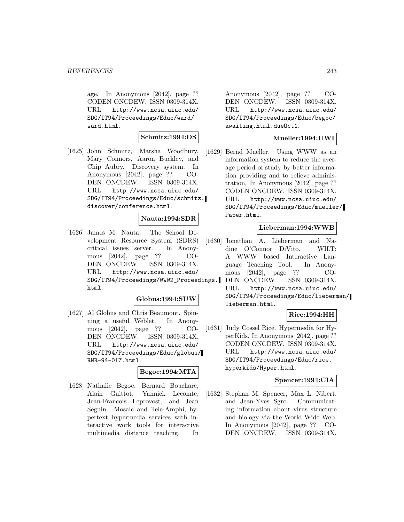age. In Anonymous [2042], page ?? CODEN ONCDEW. ISSN 0309-314X. URL http://www.ncsa.uiuc.edu/ SDG/IT94/Proceedings/Educ/ward/ ward.html.

## **Schmitz:1994:DS**

[1625] John Schmitz, Marsha Woodbury, Mary Connors, Aaron Buckley, and Chip Aubry. Discovery system. In Anonymous [2042], page ?? CO-DEN ONCDEW. ISSN 0309-314X. URL http://www.ncsa.uiuc.edu/ SDG/IT94/Proceedings/Educ/schmitz. discover/conference.html.

## **Nauta:1994:SDR**

[1626] James M. Nauta. The School Development Resource System (SDRS) critical issues server. In Anonymous [2042], page ?? CO-DEN ONCDEW. ISSN 0309-314X. URL http://www.ncsa.uiuc.edu/ SDG/IT94/Proceedings/WWW2\_Proceedings. html.

#### **Globus:1994:SUW**

[1627] Al Globus and Chris Beaumont. Spinning a useful Weblet. In Anonymous [2042], page ?? CO-DEN ONCDEW. ISSN 0309-314X. URL http://www.ncsa.uiuc.edu/ SDG/IT94/Proceedings/Educ/globus/ RNR-94-017.html.

#### **Begoc:1994:MTA**

[1628] Nathalie Begoc, Bernard Bouchare, Alain Guittot, Yannick Lecomte, Jean-Francois Leprovost, and Jean Seguin. Mosaic and Tele-Amphi, hypertext hypermedia services with interactive work tools for interactive multimedia distance teaching. In

Anonymous [2042], page ?? CO-DEN ONCDEW. ISSN 0309-314X. URL http://www.ncsa.uiuc.edu/ SDG/IT94/Proceedings/Educ/begoc/ awaiting.html.dueOct1.

## **Mueller:1994:UWI**

[1629] Bernd Mueller. Using WWW as an information system to reduce the average period of study by better information providing and to relieve administration. In Anonymous [2042], page ?? CODEN ONCDEW. ISSN 0309-314X. URL http://www.ncsa.uiuc.edu/ SDG/IT94/Proceedings/Educ/mueller/ Paper.html.

### **Lieberman:1994:WWB**

[1630] Jonathan A. Lieberman and Nadine O'Connor DiVito. WILT: A WWW based Interactive Language Teaching Tool. In Anonymous [2042], page ?? CO-DEN ONCDEW. ISSN 0309-314X. URL http://www.ncsa.uiuc.edu/ SDG/IT94/Proceedings/Educ/lieberman/ lieberman.html.

# **Rice:1994:HH**

[1631] Judy Cossel Rice. Hypermedia for HyperKids. In Anonymous [2042], page ?? CODEN ONCDEW. ISSN 0309-314X. URL http://www.ncsa.uiuc.edu/ SDG/IT94/Proceedings/Educ/rice. hyperkids/Hyper.html.

#### **Spencer:1994:CIA**

[1632] Stephan M. Spencer, Max L. Nibert, and Jean-Yves Sgro. Communicating information about virus structure and biology via the World Wide Web. In Anonymous [2042], page ?? CO-DEN ONCDEW. ISSN 0309-314X.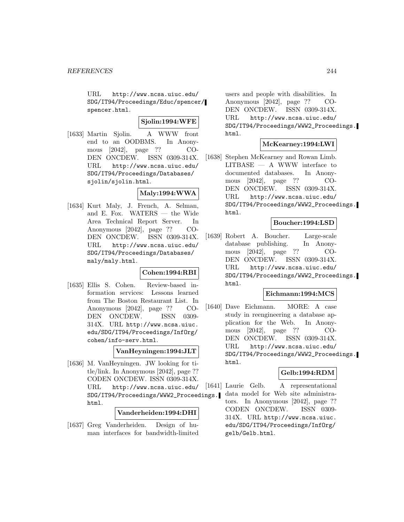URL http://www.ncsa.uiuc.edu/ SDG/IT94/Proceedings/Educ/spencer/ spencer.html.

## **Sjolin:1994:WFE**

[1633] Martin Sjolin. A WWW front end to an OODBMS. In Anonymous [2042], page ?? CO-DEN ONCDEW. ISSN 0309-314X. URL http://www.ncsa.uiuc.edu/ SDG/IT94/Proceedings/Databases/ sjolin/sjolin.html.

## **Maly:1994:WWA**

[1634] Kurt Maly, J. French, A. Selman, and E. Fox. WATERS — the Wide Area Technical Report Server. In Anonymous [2042], page ?? CO-DEN ONCDEW. ISSN 0309-314X. URL http://www.ncsa.uiuc.edu/ SDG/IT94/Proceedings/Databases/ maly/maly.html.

## **Cohen:1994:RBI**

[1635] Ellis S. Cohen. Review-based information services: Lessons learned from The Boston Restaurant List. In Anonymous [2042], page ?? CO-DEN ONCDEW. ISSN 0309- 314X. URL http://www.ncsa.uiuc. edu/SDG/IT94/Proceedings/InfOrg/ cohen/info-serv.html.

### **VanHeyningen:1994:JLT**

[1636] M. VanHeyningen. JW looking for title/link. In Anonymous [2042], page ?? CODEN ONCDEW. ISSN 0309-314X. URL http://www.ncsa.uiuc.edu/ SDG/IT94/Proceedings/WWW2\_Proceedings. html.

### **Vanderheiden:1994:DHI**

[1637] Greg Vanderheiden. Design of human interfaces for bandwidth-limited

users and people with disabilities. In Anonymous [2042], page ?? CO-DEN ONCDEW. ISSN 0309-314X. URL http://www.ncsa.uiuc.edu/ SDG/IT94/Proceedings/WWW2\_Proceedings. html.

## **McKearney:1994:LWI**

[1638] Stephen McKearney and Rowan Limb.  $LITBASE - A$  WWW interface to documented databases. In Anonymous [2042], page ?? CO-DEN ONCDEW. ISSN 0309-314X. URL http://www.ncsa.uiuc.edu/ SDG/IT94/Proceedings/WWW2\_Proceedings. html.

## **Boucher:1994:LSD**

[1639] Robert A. Boucher. Large-scale database publishing. In Anonymous [2042], page ?? CO-DEN ONCDEW. ISSN 0309-314X. URL http://www.ncsa.uiuc.edu/ SDG/IT94/Proceedings/WWW2\_Proceedings. html.

## **Eichmann:1994:MCS**

[1640] Dave Eichmann. MORE: A case study in reengineering a database application for the Web. In Anonymous [2042], page ?? CO-DEN ONCDEW. ISSN 0309-314X. URL http://www.ncsa.uiuc.edu/ SDG/IT94/Proceedings/WWW2\_Proceedings. html.

## **Gelb:1994:RDM**

[1641] Laurie Gelb. A representational data model for Web site administrators. In Anonymous [2042], page ?? CODEN ONCDEW. ISSN 0309- 314X. URL http://www.ncsa.uiuc. edu/SDG/IT94/Proceedings/InfOrg/ gelb/Gelb.html.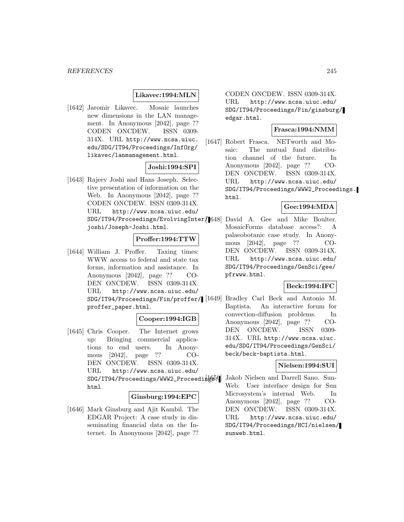## **Likavec:1994:MLN**

[1642] Jaromir Likavec. Mosaic launches new dimensions in the LAN management. In Anonymous [2042], page ?? CODEN ONCDEW. ISSN 0309- 314X. URL http://www.ncsa.uiuc. edu/SDG/IT94/Proceedings/InfOrg/ likavec/lanmanagement.html.

## **Joshi:1994:SPI**

[1643] Rajeev Joshi and Hans Joseph. Selective presentation of information on the Web. In Anonymous [2042], page ?? CODEN ONCDEW. ISSN 0309-314X. URL http://www.ncsa.uiuc.edu/ joshi/Joseph-Joshi.html.

# **Proffer:1994:TTW**

[1644] William J. Proffer. Taxing times: WWW access to federal and state tax forms, information and assistance. In Anonymous [2042], page ?? CO-DEN ONCDEW. ISSN 0309-314X. URL http://www.ncsa.uiuc.edu/ SDG/IT94/Proceedings/Fin/proffer/ proffer\_paper.html.

## **Cooper:1994:IGB**

[1645] Chris Cooper. The Internet grows up: Bringing commercial applications to end users. In Anonymous [2042], page ?? CO-DEN ONCDEW. ISSN 0309-314X. URL http://www.ncsa.uiuc.edu/ SDG/IT94/Proceedings/WWW2\_Proceedings. html.

#### **Ginsburg:1994:EPC**

[1646] Mark Ginsburg and Ajit Kambil. The EDGAR Project: A case study in disseminating financial data on the Internet. In Anonymous [2042], page ??

CODEN ONCDEW. ISSN 0309-314X. URL http://www.ncsa.uiuc.edu/ SDG/IT94/Proceedings/Fin/ginsburg/ edgar.html.

# **Frasca:1994:NMM**

[1647] Robert Frasca. NETworth and Mosaic: The mutual fund distribution channel of the future. In Anonymous [2042], page ?? CO-DEN ONCDEW. ISSN 0309-314X. URL http://www.ncsa.uiuc.edu/ SDG/IT94/Proceedings/WWW2\_Proceedings. html.

# **Gee:1994:MDA**

SDG/IT94/Proceedings/EvolvingInter/ [1648] David A. Gee and Mike Boulter. MosaicForms database access?: A palaeobotanic case study. In Anonymous [2042], page ?? CO-DEN ONCDEW. ISSN 0309-314X. URL http://www.ncsa.uiuc.edu/ SDG/IT94/Proceedings/GenSci/gee/ pfrwww.html.

#### **Beck:1994:IFC**

Bradley Carl Beck and Antonio M. Baptista. An interactive forum for convection-diffusion problems. In Anonymous [2042], page ?? CO-DEN ONCDEW. ISSN 0309- 314X. URL http://www.ncsa.uiuc. edu/SDG/IT94/Proceedings/GenSci/ beck/beck-baptista.html.

### **Nielsen:1994:SUI**

Jakob Nielsen and Darrell Sano. Sun-Web: User interface design for Sun Microsystem's internal Web. In Anonymous [2042], page ?? CO-DEN ONCDEW. ISSN 0309-314X. URL http://www.ncsa.uiuc.edu/ SDG/IT94/Proceedings/HCI/nielsen/ sunweb.html.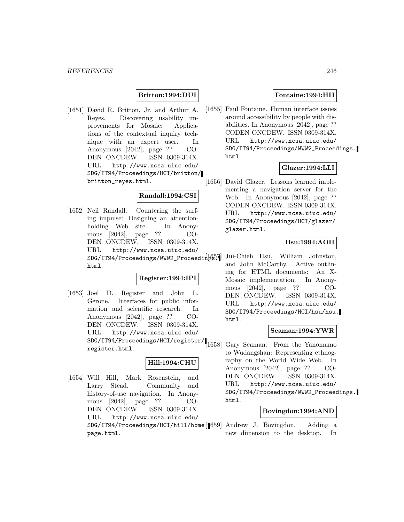## **Britton:1994:DUI**

[1651] David R. Britton, Jr. and Arthur A. Reyes. Discovering usability improvements for Mosaic: Applications of the contextual inquiry technique with an expert user. In Anonymous [2042], page ?? CO-DEN ONCDEW. ISSN 0309-314X. URL http://www.ncsa.uiuc.edu/ SDG/IT94/Proceedings/HCI/britton/ britton\_reyes.html.

### **Randall:1994:CSI**

[1652] Neil Randall. Countering the surfing impulse: Designing an attentionholding Web site. In Anonymous [2042], page ?? CO-DEN ONCDEW. ISSN 0309-314X. URL http://www.ncsa.uiuc.edu/ SDG/IT94/Proceedings/WWW2\_Proceedings. html.

## **Register:1994:IPI**

[1653] Joel D. Register and John L. Gerone. Interfaces for public information and scientific research. In Anonymous [2042], page ?? CO-DEN ONCDEW. ISSN 0309-314X. URL http://www.ncsa.uiuc.edu/ SDG/IT94/Proceedings/HCI/register/ register.html.

## **Hill:1994:CHU**

[1654] Will Hill, Mark Rosenstein, and Larry Stead. Community and history-of-use navigation. In Anonymous [2042], page ?? CO-DEN ONCDEW. ISSN 0309-314X. URL http://www.ncsa.uiuc.edu/ SDG/IT94/Proceedings/HCI/hill/home{[659] Andrew J. Bovingdon. Adding a page.html.

### **Fontaine:1994:HII**

[1655] Paul Fontaine. Human interface issues around accessibility by people with disabilities. In Anonymous [2042], page ?? CODEN ONCDEW. ISSN 0309-314X. URL http://www.ncsa.uiuc.edu/ SDG/IT94/Proceedings/WWW2\_Proceedings. html.

## **Glazer:1994:LLI**

[1656] David Glazer. Lessons learned implementing a navigation server for the Web. In Anonymous [2042], page ?? CODEN ONCDEW. ISSN 0309-314X. URL http://www.ncsa.uiuc.edu/ SDG/IT94/Proceedings/HCI/glazer/ glazer.html.

## **Hsu:1994:AOH**

[1657] Jui-Chieh Hsu, William Johnston, and John McCarthy. Active outlining for HTML documents: An X-Mosaic implementation. In Anonymous [2042], page ?? CO-DEN ONCDEW. ISSN 0309-314X. URL http://www.ncsa.uiuc.edu/ SDG/IT94/Proceedings/HCI/hsu/hsu. html.

#### **Seaman:1994:YWR**

[1658] Gary Seaman. From the Yanomamo to Wudangshan: Representing ethnography on the World Wide Web. In Anonymous [2042], page ?? CO-DEN ONCDEW. ISSN 0309-314X. URL http://www.ncsa.uiuc.edu/ SDG/IT94/Proceedings/WWW2\_Proceedings. html.

#### **Bovingdon:1994:AND**

new dimension to the desktop. In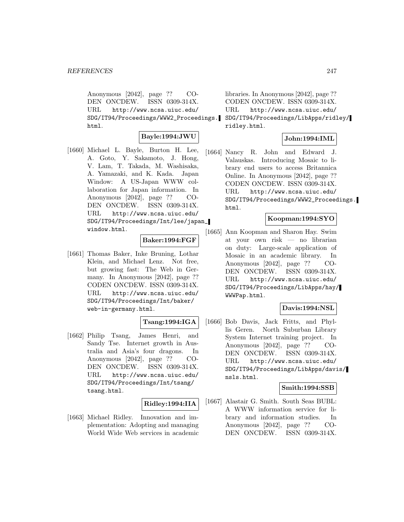Anonymous [2042], page ?? CO-DEN ONCDEW. ISSN 0309-314X. URL http://www.ncsa.uiuc.edu/ SDG/IT94/Proceedings/WWW2\_Proceedings. html.

## **Bayle:1994:JWU**

[1660] Michael L. Bayle, Burton H. Lee, A. Goto, Y. Sakamoto, J. Hong, V. Lam, T. Takada, M. Washisaka, A. Yamazaki, and K. Kada. Japan Window: A US-Japan WWW collaboration for Japan information. In Anonymous [2042], page ?? CO-DEN ONCDEW. ISSN 0309-314X. URL http://www.ncsa.uiuc.edu/ SDG/IT94/Proceedings/Int/lee/japan\_ window.html.

## **Baker:1994:FGF**

[1661] Thomas Baker, Inke Bruning, Lothar Klein, and Michael Lenz. Not free, but growing fast: The Web in Germany. In Anonymous [2042], page ?? CODEN ONCDEW. ISSN 0309-314X. URL http://www.ncsa.uiuc.edu/ SDG/IT94/Proceedings/Int/baker/ web-in-germany.html.

## **Tsang:1994:IGA**

[1662] Philip Tsang, James Henri, and Sandy Tse. Internet growth in Australia and Asia's four dragons. In Anonymous [2042], page ?? CO-DEN ONCDEW. ISSN 0309-314X. URL http://www.ncsa.uiuc.edu/ SDG/IT94/Proceedings/Int/tsang/ tsang.html.

## **Ridley:1994:IIA**

[1663] Michael Ridley. Innovation and implementation: Adopting and managing World Wide Web services in academic

libraries. In Anonymous [2042], page ?? CODEN ONCDEW. ISSN 0309-314X. URL http://www.ncsa.uiuc.edu/ SDG/IT94/Proceedings/LibApps/ridley/ ridley.html.

## **John:1994:IML**

[1664] Nancy R. John and Edward J. Valauskas. Introducing Mosaic to library end users to access Britannica Online. In Anonymous [2042], page ?? CODEN ONCDEW. ISSN 0309-314X. URL http://www.ncsa.uiuc.edu/ SDG/IT94/Proceedings/WWW2\_Proceedings. html.

## **Koopman:1994:SYO**

[1665] Ann Koopman and Sharon Hay. Swim at your own risk — no librarian on duty: Large-scale application of Mosaic in an academic library. In Anonymous [2042], page ?? CO-DEN ONCDEW. ISSN 0309-314X. URL http://www.ncsa.uiuc.edu/ SDG/IT94/Proceedings/LibApps/hay/ WWWPap.html.

## **Davis:1994:NSL**

[1666] Bob Davis, Jack Fritts, and Phyllis Geren. North Suburban Library System Internet training project. In Anonymous [2042], page ?? CO-DEN ONCDEW. ISSN 0309-314X. URL http://www.ncsa.uiuc.edu/ SDG/IT94/Proceedings/LibApps/davis/ nsls.html.

## **Smith:1994:SSB**

[1667] Alastair G. Smith. South Seas BUBL: A WWW information service for library and information studies. In Anonymous [2042], page ?? CO-DEN ONCDEW. ISSN 0309-314X.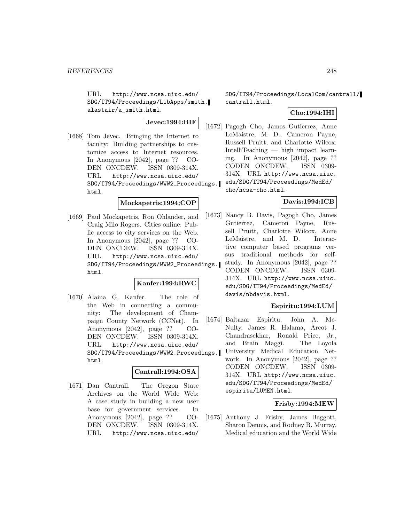URL http://www.ncsa.uiuc.edu/ SDG/IT94/Proceedings/LibApps/smith. alastair/a\_smith.html.

**Jevec:1994:BIF**

[1668] Tom Jevec. Bringing the Internet to faculty: Building partnerships to customize access to Internet resources. In Anonymous [2042], page ?? CO-DEN ONCDEW. ISSN 0309-314X. URL http://www.ncsa.uiuc.edu/ SDG/IT94/Proceedings/WWW2\_Proceedings. html.

## **Mockapetris:1994:COP**

[1669] Paul Mockapetris, Ron Ohlander, and Craig Milo Rogers. Cities online: Public access to city services on the Web. In Anonymous [2042], page ?? CO-DEN ONCDEW. ISSN 0309-314X. URL http://www.ncsa.uiuc.edu/ SDG/IT94/Proceedings/WWW2\_Proceedings. html.

### **Kanfer:1994:RWC**

[1670] Alaina G. Kanfer. The role of the Web in connecting a community: The development of Champaign County Network (CCNet). In Anonymous [2042], page ?? CO-DEN ONCDEW. ISSN 0309-314X. URL http://www.ncsa.uiuc.edu/ SDG/IT94/Proceedings/WWW2\_Proceedings. html.

### **Cantrall:1994:OSA**

[1671] Dan Cantrall. The Oregon State Archives on the World Wide Web: A case study in building a new user base for government services. In Anonymous [2042], page ?? CO-DEN ONCDEW. ISSN 0309-314X. URL http://www.ncsa.uiuc.edu/

SDG/IT94/Proceedings/LocalCom/cantrall/ cantrall.html.

## **Cho:1994:IHI**

[1672] Pagogh Cho, James Gutierrez, Anne LeMaistre, M. D., Cameron Payne, Russell Pruitt, and Charlotte Wilcox. IntelliTeaching — high impact learning. In Anonymous [2042], page ?? CODEN ONCDEW. ISSN 0309- 314X. URL http://www.ncsa.uiuc. edu/SDG/IT94/Proceedings/MedEd/ cho/ncsa-cho.html.

## **Davis:1994:ICB**

[1673] Nancy B. Davis, Pagogh Cho, James Gutierrez, Cameron Payne, Russell Pruitt, Charlotte Wilcox, Anne LeMaistre, and M. D. Interactive computer based programs versus traditional methods for selfstudy. In Anonymous [2042], page ?? CODEN ONCDEW. ISSN 0309- 314X. URL http://www.ncsa.uiuc. edu/SDG/IT94/Proceedings/MedEd/ davis/nbdavis.html.

# **Espiritu:1994:LUM**

[1674] Baltazar Espiritu, John A. Mc-Nulty, James R. Halama, Arcot J. Chandrasekhar, Ronald Price, Jr., and Brain Maggi. The Loyola University Medical Education Network. In Anonymous [2042], page ?? CODEN ONCDEW. ISSN 0309- 314X. URL http://www.ncsa.uiuc. edu/SDG/IT94/Proceedings/MedEd/ espiritu/LUMEN.html.

## **Frisby:1994:MEW**

[1675] Anthony J. Frisby, James Baggott, Sharon Dennis, and Rodney B. Murray. Medical education and the World Wide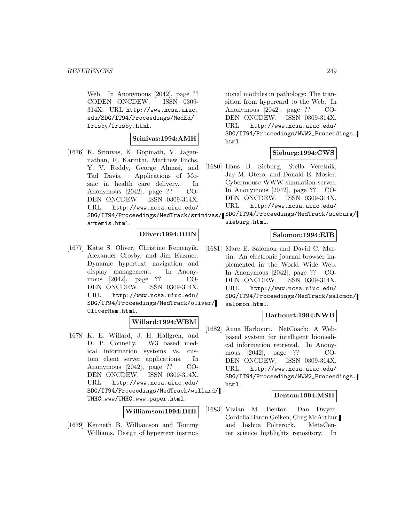Web. In Anonymous [2042], page ?? CODEN ONCDEW. ISSN 0309- 314X. URL http://www.ncsa.uiuc. edu/SDG/IT94/Proceedings/MedEd/ frisby/frisby.html.

#### **Srinivas:1994:AMH**

[1676] K. Srinivas, K. Gopinath, V. Jagannathan, R. Karinthi, Matthew Fuchs, Y. V. Reddy, George Almasi, and Tad Davis. Applications of Mosaic in health care delivery. In Anonymous [2042], page ?? CO-DEN ONCDEW. ISSN 0309-314X. URL http://www.ncsa.uiuc.edu/ artemis.html.

## **Oliver:1994:DHN**

[1677] Katie S. Oliver, Christine Remenyik, Alexander Crosby, and Jim Kazmer. Dynamic hypertext navigation and display management. In Anonymous [2042], page ?? CO-DEN ONCDEW. ISSN 0309-314X. URL http://www.ncsa.uiuc.edu/ SDG/IT94/Proceedings/MedTrack/oliver/ OliverRem.html.

# **Willard:1994:WBM**

[1678] K. E. Willard, J. H. Hallgren, and D. P. Connelly. W3 based medical information systems vs. custom client server applications. In Anonymous [2042], page ?? CO-DEN ONCDEW. ISSN 0309-314X. URL http://www.ncsa.uiuc.edu/ SDG/IT94/Proceedings/MedTrack/willard/ UMHC\_www/UMHC\_www\_paper.html.

## **Williamson:1994:DHI**

[1679] Kenneth B. Williamson and Tommy Williams. Design of hypertext instruc-

tional modules in pathology: The transition from hypercard to the Web. In Anonymous [2042], page ?? CO-DEN ONCDEW. ISSN 0309-314X. URL http://www.ncsa.uiuc.edu/ SDG/IT94/Proceedings/WWW2\_Proceedings. html.

## **Sieburg:1994:CWS**

[1680] Hans B. Sieburg, Stella Veretnik, Jay M. Otero, and Donald E. Mosier. Cybermouse WWW simulation server. In Anonymous [2042], page ?? CO-DEN ONCDEW. ISSN 0309-314X. URL http://www.ncsa.uiuc.edu/

SDG/IT94/Proceedings/MedTrack/srinivas/ SDG/IT94/Proceedings/MedTrack/sieburg/ sieburg.html.

## **Salomon:1994:EJB**

[1681] Marc E. Salomon and David C. Martin. An electronic journal browser implemented in the World Wide Web. In Anonymous [2042], page ?? CO-DEN ONCDEW. ISSN 0309-314X. URL http://www.ncsa.uiuc.edu/ SDG/IT94/Proceedings/MedTrack/salomon/ salomon.html.

## **Harbourt:1994:NWB**

[1682] Anna Harbourt. NetCoach: A Webbased system for intelligent biomedical information retrieval. In Anonymous [2042], page ?? CO-DEN ONCDEW. ISSN 0309-314X. URL http://www.ncsa.uiuc.edu/ SDG/IT94/Proceedings/WWW2\_Proceedings. html.

#### **Benton:1994:MSH**

[1683] Vivian M. Benton, Dan Dwyer, Cordelia Baron Geiken, Greg McArthur, and Joshua Polterock. MetaCenter science highlights repository. In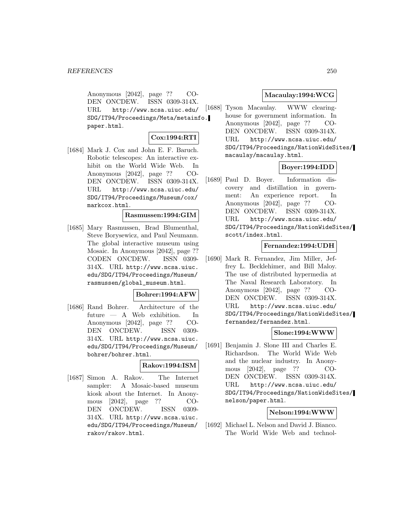Anonymous [2042], page ?? CO-DEN ONCDEW. ISSN 0309-314X. URL http://www.ncsa.uiuc.edu/ SDG/IT94/Proceedings/Meta/metainfo. paper.html.

## **Cox:1994:RTI**

[1684] Mark J. Cox and John E. F. Baruch. Robotic telescopes: An interactive exhibit on the World Wide Web. In Anonymous [2042], page ?? CO-DEN ONCDEW. ISSN 0309-314X. URL http://www.ncsa.uiuc.edu/ SDG/IT94/Proceedings/Museum/cox/ markcox.html.

### **Rasmussen:1994:GIM**

[1685] Mary Rasmussen, Brad Blumenthal, Steve Borysewicz, and Paul Neumann. The global interactive museum using Mosaic. In Anonymous [2042], page ?? CODEN ONCDEW. ISSN 0309- 314X. URL http://www.ncsa.uiuc. edu/SDG/IT94/Proceedings/Museum/ rasmussen/global\_museum.html.

### **Bohrer:1994:AFW**

[1686] Rand Bohrer. Architecture of the future — A Web exhibition. In Anonymous [2042], page ?? CO-DEN ONCDEW. ISSN 0309- 314X. URL http://www.ncsa.uiuc. edu/SDG/IT94/Proceedings/Museum/ bohrer/bohrer.html.

## **Rakov:1994:ISM**

[1687] Simon A. Rakov. The Internet sampler: A Mosaic-based museum kiosk about the Internet. In Anonymous [2042], page ?? CO-DEN ONCDEW. ISSN 0309- 314X. URL http://www.ncsa.uiuc. edu/SDG/IT94/Proceedings/Museum/ rakov/rakov.html.

## **Macaulay:1994:WCG**

[1688] Tyson Macaulay. WWW clearinghouse for government information. In Anonymous [2042], page ?? CO-DEN ONCDEW. ISSN 0309-314X. URL http://www.ncsa.uiuc.edu/ SDG/IT94/Proceedings/NationWideSites/ macaulay/macaulay.html.

## **Boyer:1994:IDD**

[1689] Paul D. Boyer. Information discovery and distillation in government: An experience report. In Anonymous [2042], page ?? CO-DEN ONCDEW. ISSN 0309-314X. URL http://www.ncsa.uiuc.edu/ SDG/IT94/Proceedings/NationWideSites/ scott/index.html.

## **Fernandez:1994:UDH**

[1690] Mark R. Fernandez, Jim Miller, Jeffrey L. Becklehimer, and Bill Maloy. The use of distributed hypermedia at The Naval Research Laboratory. In Anonymous [2042], page ?? CO-DEN ONCDEW. ISSN 0309-314X. URL http://www.ncsa.uiuc.edu/ SDG/IT94/Proceedings/NationWideSites/ fernandez/fernandez.html.

## **Slone:1994:WWW**

[1691] Benjamin J. Slone III and Charles E. Richardson. The World Wide Web and the nuclear industry. In Anonymous [2042], page ?? CO-DEN ONCDEW. ISSN 0309-314X. URL http://www.ncsa.uiuc.edu/ SDG/IT94/Proceedings/NationWideSites/ nelson/paper.html.

## **Nelson:1994:WWW**

[1692] Michael L. Nelson and David J. Bianco. The World Wide Web and technol-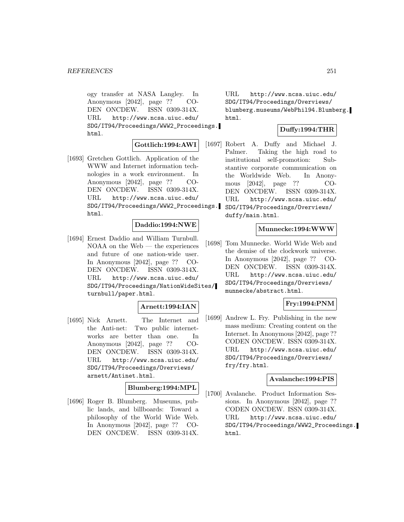ogy transfer at NASA Langley. In Anonymous [2042], page ?? CO-DEN ONCDEW. ISSN 0309-314X. URL http://www.ncsa.uiuc.edu/ SDG/IT94/Proceedings/WWW2\_Proceedings. html.

## **Gottlich:1994:AWI**

[1693] Gretchen Gottlich. Application of the WWW and Internet information technologies in a work environment. In Anonymous [2042], page ?? CO-DEN ONCDEW. ISSN 0309-314X. URL http://www.ncsa.uiuc.edu/ SDG/IT94/Proceedings/WWW2\_Proceedings. html.

## **Daddio:1994:NWE**

[1694] Ernest Daddio and William Turnbull. NOAA on the Web — the experiences and future of one nation-wide user. In Anonymous [2042], page ?? CO-DEN ONCDEW. ISSN 0309-314X. URL http://www.ncsa.uiuc.edu/ SDG/IT94/Proceedings/NationWideSites/ turnbull/paper.html.

## **Arnett:1994:IAN**

[1695] Nick Arnett. The Internet and the Anti-net: Two public internetworks are better than one. In Anonymous [2042], page ?? CO-DEN ONCDEW. ISSN 0309-314X. URL http://www.ncsa.uiuc.edu/ SDG/IT94/Proceedings/Overviews/ arnett/Antinet.html.

## **Blumberg:1994:MPL**

[1696] Roger B. Blumberg. Museums, public lands, and billboards: Toward a philosophy of the World Wide Web. In Anonymous [2042], page ?? CO-DEN ONCDEW. ISSN 0309-314X.

URL http://www.ncsa.uiuc.edu/ SDG/IT94/Proceedings/Overviews/ blumberg.museums/WebPhil94.Blumberg. html.

## **Duffy:1994:THR**

[1697] Robert A. Duffy and Michael J. Palmer. Taking the high road to institutional self-promotion: Substantive corporate communication on the Worldwide Web. In Anonymous [2042], page ?? CO-DEN ONCDEW. ISSN 0309-314X. URL http://www.ncsa.uiuc.edu/ SDG/IT94/Proceedings/Overviews/ duffy/main.html.

#### **Munnecke:1994:WWW**

[1698] Tom Munnecke. World Wide Web and the demise of the clockwork universe. In Anonymous [2042], page ?? CO-DEN ONCDEW. ISSN 0309-314X. URL http://www.ncsa.uiuc.edu/ SDG/IT94/Proceedings/Overviews/ munnecke/abstract.html.

## **Fry:1994:PNM**

[1699] Andrew L. Fry. Publishing in the new mass medium: Creating content on the Internet. In Anonymous [2042], page ?? CODEN ONCDEW. ISSN 0309-314X. URL http://www.ncsa.uiuc.edu/ SDG/IT94/Proceedings/Overviews/ fry/fry.html.

#### **Avalanche:1994:PIS**

[1700] Avalanche. Product Information Sessions. In Anonymous [2042], page ?? CODEN ONCDEW. ISSN 0309-314X. URL http://www.ncsa.uiuc.edu/ SDG/IT94/Proceedings/WWW2\_Proceedings. html.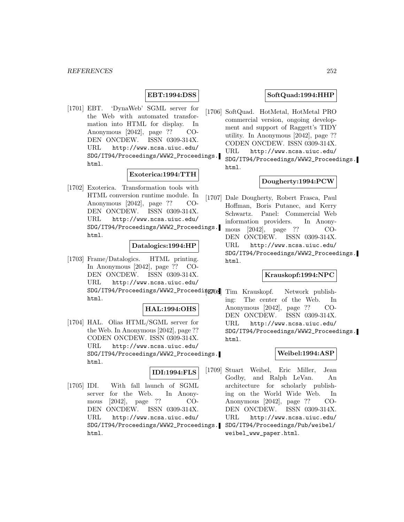## **EBT:1994:DSS**

[1701] EBT. 'DynaWeb' SGML server for the Web with automated transformation into HTML for display. In Anonymous [2042], page ?? CO-DEN ONCDEW. ISSN 0309-314X. URL http://www.ncsa.uiuc.edu/ SDG/IT94/Proceedings/WWW2\_Proceedings. html.

## **Exoterica:1994:TTH**

[1702] Exoterica. Transformation tools with HTML conversion runtime module. In Anonymous [2042], page ?? CO-DEN ONCDEW. ISSN 0309-314X. URL http://www.ncsa.uiuc.edu/ SDG/IT94/Proceedings/WWW2\_Proceedings. html.

### **Datalogics:1994:HP**

[1703] Frame/Datalogics. HTML printing. In Anonymous [2042], page ?? CO-DEN ONCDEW. ISSN 0309-314X. URL http://www.ncsa.uiuc.edu/ SDG/IT94/Proceedings/WWW2\_Proceedings0. html.

#### **HAL:1994:OHS**

[1704] HAL. Olias HTML/SGML server for the Web. In Anonymous [2042], page ?? CODEN ONCDEW. ISSN 0309-314X. URL http://www.ncsa.uiuc.edu/ SDG/IT94/Proceedings/WWW2\_Proceedings. html.

#### **IDI:1994:FLS**

[1705] IDI. With fall launch of SGML server for the Web. In Anonymous [2042], page ?? CO-DEN ONCDEW. ISSN 0309-314X. URL http://www.ncsa.uiuc.edu/ SDG/IT94/Proceedings/WWW2\_Proceedings. html.

### **SoftQuad:1994:HHP**

[1706] SoftQuad. HotMetal, HotMetal PRO commercial version, ongoing development and support of Raggett's TIDY utility. In Anonymous [2042], page ?? CODEN ONCDEW. ISSN 0309-314X. URL http://www.ncsa.uiuc.edu/ SDG/IT94/Proceedings/WWW2\_Proceedings. html.

## **Dougherty:1994:PCW**

[1707] Dale Dougherty, Robert Frasca, Paul Hoffman, Boris Putanec, and Kerry Schwartz. Panel: Commercial Web information providers. In Anonymous [2042], page ?? CO-DEN ONCDEW. ISSN 0309-314X. URL http://www.ncsa.uiuc.edu/ SDG/IT94/Proceedings/WWW2\_Proceedings. html.

### **Krauskopf:1994:NPC**

Tim Krauskopf. Network publishing: The center of the Web. In Anonymous [2042], page ?? CO-DEN ONCDEW. ISSN 0309-314X. URL http://www.ncsa.uiuc.edu/ SDG/IT94/Proceedings/WWW2\_Proceedings. html.

#### **Weibel:1994:ASP**

[1709] Stuart Weibel, Eric Miller, Jean Godby, and Ralph LeVan. An architecture for scholarly publishing on the World Wide Web. In Anonymous [2042], page ?? CO-DEN ONCDEW. ISSN 0309-314X. URL http://www.ncsa.uiuc.edu/ SDG/IT94/Proceedings/Pub/weibel/ weibel\_www\_paper.html.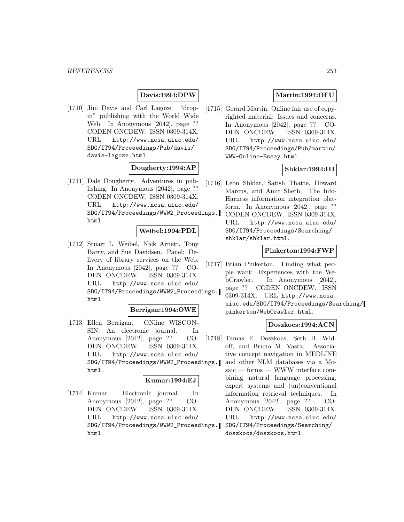## **Davis:1994:DPW**

[1710] Jim Davis and Carl Lagoze. "dropin" publishing with the World Wide Web. In Anonymous [2042], page ?? CODEN ONCDEW. ISSN 0309-314X. URL http://www.ncsa.uiuc.edu/ SDG/IT94/Proceedings/Pub/davis/ davis-lagoze.html.

#### **Dougherty:1994:AP**

[1711] Dale Dougherty. Adventures in publishing. In Anonymous [2042], page ?? CODEN ONCDEW. ISSN 0309-314X. URL http://www.ncsa.uiuc.edu/ SDG/IT94/Proceedings/WWW2\_Proceedings. html.

#### **Weibel:1994:PDL**

[1712] Stuart L. Weibel, Nick Arnett, Tony Barry, and Sue Davidsen. Panel: Delivery of library services on the Web. In Anonymous [2042], page ?? CO-DEN ONCDEW. ISSN 0309-314X. URL http://www.ncsa.uiuc.edu/ SDG/IT94/Proceedings/WWW2\_Proceedings. html.

#### **Berrigan:1994:OWE**

[1713] Ellen Berrigan. ONline WISCON-SIN: An electronic journal. In Anonymous [2042], page ?? CO-DEN ONCDEW. ISSN 0309-314X. URL http://www.ncsa.uiuc.edu/ SDG/IT94/Proceedings/WWW2\_Proceedings. html.

#### **Kumar:1994:EJ**

[1714] Kumar. Electronic journal. In Anonymous [2042], page ?? CO-DEN ONCDEW. ISSN 0309-314X. URL http://www.ncsa.uiuc.edu/ SDG/IT94/Proceedings/WWW2\_Proceedings. html.

## **Martin:1994:OFU**

[1715] Gerard Martin. Online fair use of copyrighted material: Issues and concerns. In Anonymous [2042], page ?? CO-DEN ONCDEW. ISSN 0309-314X. URL http://www.ncsa.uiuc.edu/ SDG/IT94/Proceedings/Pub/martin/ WWW-Online-Essay.html.

### **Shklar:1994:III**

- [1716] Leon Shklar, Satish Thatte, Howard Marcus, and Amit Sheth. The Info-Harness information integration platform. In Anonymous [2042], page ?? CODEN ONCDEW. ISSN 0309-314X.
	- URL http://www.ncsa.uiuc.edu/ SDG/IT94/Proceedings/Searching/ shklar/shklar.html.

## **Pinkerton:1994:FWP**

[1717] Brian Pinkerton. Finding what people want: Experiences with the WebCrawler. In Anonymous [2042], page ?? CODEN ONCDEW. ISSN 0309-314X. URL http://www.ncsa. uiuc.edu/SDG/IT94/Proceedings/Searching/

pinkerton/WebCrawler.html.

## **Doszkocs:1994:ACN**

[1718] Tamas E. Doszkocs, Seth B. Widoff, and Bruno M. Vasta. Associative concept navigation in MEDLINE and other NLM databases via a Mosaic — forms — WWW interface combining natural language processing, expert systems and (un)conventional information retrieval techniques. In Anonymous [2042], page ?? CO-DEN ONCDEW. ISSN 0309-314X. URL http://www.ncsa.uiuc.edu/ SDG/IT94/Proceedings/Searching/ doszkocs/doszkocs.html.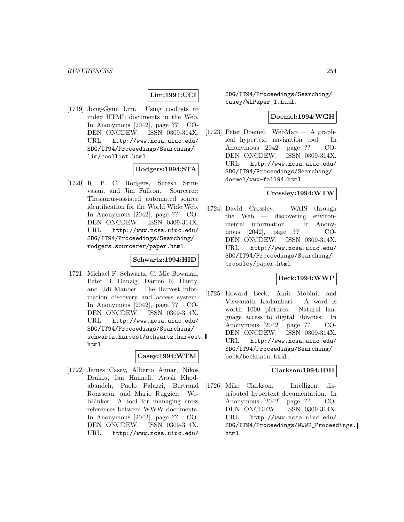## **Lim:1994:UCI**

[1719] Jong-Gyun Lim. Using coollists to index HTML documents in the Web. In Anonymous [2042], page ?? CO-DEN ONCDEW. ISSN 0309-314X. URL http://www.ncsa.uiuc.edu/ SDG/IT94/Proceedings/Searching/ lim/coollist.html.

#### **Rodgers:1994:STA**

[1720] R. P. C. Rodgers, Suresh Srinivasan, and Jim Fullton. Sourcerer: Thesaurus-assisted automated source identification for the World Wide Web. In Anonymous [2042], page ?? CO-DEN ONCDEW. ISSN 0309-314X. URL http://www.ncsa.uiuc.edu/ SDG/IT94/Proceedings/Searching/ rodgers.sourcerer/paper.html.

### **Schwartz:1994:HID**

[1721] Michael F. Schwartz, C. Mic Bowman, Peter B. Danzig, Darren R. Hardy, and Udi Manber. The Harvest information discovery and access system. In Anonymous [2042], page ?? CO-DEN ONCDEW. ISSN 0309-314X. URL http://www.ncsa.uiuc.edu/ SDG/IT94/Proceedings/Searching/ schwartz.harvest/schwartz.harvest. html.

## **Casey:1994:WTM**

[1722] James Casey, Alberto Aimar, Nikos Drakos, Ian Hannell, Arash Khodabandeh, Paolo Palazzi, Bertrand Rousseau, and Mario Ruggier. WebLinker: A tool for managing cross references between WWW documents. In Anonymous [2042], page ?? CO-DEN ONCDEW. ISSN 0309-314X. URL http://www.ncsa.uiuc.edu/

SDG/IT94/Proceedings/Searching/ casey/WLPaper\_1.html.

#### **Doemel:1994:WGH**

[1723] Peter Doemel. WebMap — A graphical hypertext navigation tool. In Anonymous [2042], page ?? CO-DEN ONCDEW. ISSN 0309-314X. URL http://www.ncsa.uiuc.edu/ SDG/IT94/Proceedings/Searching/ doemel/www-fall94.html.

#### **Crossley:1994:WTW**

[1724] David Crossley. WAIS through the Web — discovering environmental information. In Anonymous [2042], page ?? CO-DEN ONCDEW. ISSN 0309-314X. URL http://www.ncsa.uiuc.edu/ SDG/IT94/Proceedings/Searching/ crossley/paper.html.

#### **Beck:1994:WWP**

[1725] Howard Beck, Amir Mobini, and Viswanath Kadambari. A word is worth 1000 pictures: Natural language access to digital libraries. In Anonymous [2042], page ?? CO-DEN ONCDEW. ISSN 0309-314X. URL http://www.ncsa.uiuc.edu/ SDG/IT94/Proceedings/Searching/ beck/beckmain.html.

### **Clarkson:1994:IDH**

[1726] Mike Clarkson. Intelligent distributed hypertext documentation. In Anonymous [2042], page ?? CO-DEN ONCDEW. ISSN 0309-314X. URL http://www.ncsa.uiuc.edu/ SDG/IT94/Proceedings/WWW2\_Proceedings. html.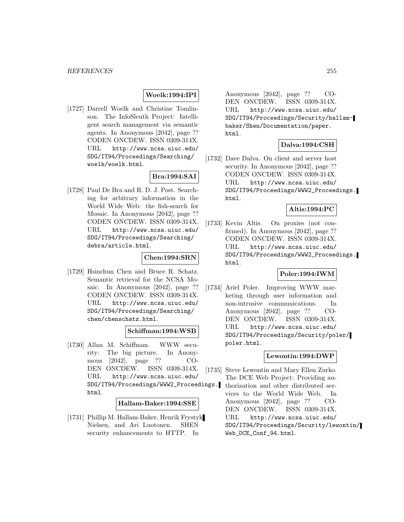### **Woelk:1994:IPI**

[1727] Darrell Woelk and Christine Tomlinson. The InfoSleuth Project: Intelligent search management via semantic agents. In Anonymous [2042], page ?? CODEN ONCDEW. ISSN 0309-314X. URL http://www.ncsa.uiuc.edu/ SDG/IT94/Proceedings/Searching/ woelk/woelk.html.

## **Bra:1994:SAI**

[1728] Paul De Bra and R. D. J. Post. Searching for arbitrary information in the World Wide Web: the fish-search for Mosaic. In Anonymous [2042], page ?? CODEN ONCDEW. ISSN 0309-314X. URL http://www.ncsa.uiuc.edu/ SDG/IT94/Proceedings/Searching/ debra/article.html.

### **Chen:1994:SRN**

[1729] Hsinchun Chen and Bruce R. Schatz. Semantic retrieval for the NCSA Mosaic. In Anonymous [2042], page ?? CODEN ONCDEW. ISSN 0309-314X. URL http://www.ncsa.uiuc.edu/ SDG/IT94/Proceedings/Searching/ chen/chenschatz.html.

## **Schiffman:1994:WSB**

[1730] Allan M. Schiffman. WWW security: The big picture. In Anonymous [2042], page ?? CO-DEN ONCDEW. ISSN 0309-314X. URL http://www.ncsa.uiuc.edu/ SDG/IT94/Proceedings/WWW2\_Proceedings. html.

#### **Hallam-Baker:1994:SSE**

[1731] Phillip M. Hallam-Baker, Henrik Frystyk Nielsen, and Ari Luotonen. SHEN security enhancements to HTTP. In

Anonymous [2042], page ?? CO-DEN ONCDEW. ISSN 0309-314X. URL http://www.ncsa.uiuc.edu/ SDG/IT94/Proceedings/Security/hallambaker/Shen/Documentation/paper. html.

### **Dalva:1994:CSH**

[1732] Dave Dalva. On client and server host security. In Anonymous [2042], page ?? CODEN ONCDEW. ISSN 0309-314X. URL http://www.ncsa.uiuc.edu/ SDG/IT94/Proceedings/WWW2\_Proceedings. html.

### **Altis:1994:PC**

[1733] Kevin Altis. On proxies (not confirmed). In Anonymous [2042], page ?? CODEN ONCDEW. ISSN 0309-314X. URL http://www.ncsa.uiuc.edu/ SDG/IT94/Proceedings/WWW2\_Proceedings. html.

## **Poler:1994:IWM**

[1734] Ariel Poler. Improving WWW marketing through user information and non-intrusive communications. In Anonymous [2042], page ?? CO-DEN ONCDEW. ISSN 0309-314X. URL http://www.ncsa.uiuc.edu/ SDG/IT94/Proceedings/Security/poler/ poler.html.

### **Lewontin:1994:DWP**

[1735] Steve Lewontin and Mary Ellen Zurko. The DCE Web Project: Providing authorization and other distributed services to the World Wide Web. In Anonymous [2042], page ?? CO-DEN ONCDEW. ISSN 0309-314X. URL http://www.ncsa.uiuc.edu/ SDG/IT94/Proceedings/Security/lewontin/ Web\_DCE\_Conf\_94.html.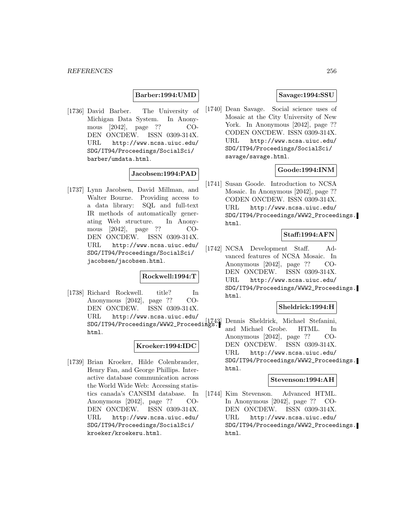#### **Barber:1994:UMD**

[1736] David Barber. The University of Michigan Data System. In Anonymous [2042], page ?? CO-DEN ONCDEW. ISSN 0309-314X. URL http://www.ncsa.uiuc.edu/ SDG/IT94/Proceedings/SocialSci/ barber/umdata.html.

## **Jacobsen:1994:PAD**

[1737] Lynn Jacobsen, David Millman, and Walter Bourne. Providing access to a data library: SQL and full-text IR methods of automatically generating Web structure. In Anonymous [2042], page ?? CO-DEN ONCDEW. ISSN 0309-314X. URL http://www.ncsa.uiuc.edu/ SDG/IT94/Proceedings/SocialSci/ jacobsen/jacobsen.html.

#### **Rockwell:1994:T**

[1738] Richard Rockwell. title? In Anonymous [2042], page ?? CO-DEN ONCDEW. ISSN 0309-314X. URL http://www.ncsa.uiuc.edu/ SDG/IT94/Proceedings/WWW2\_Proceedings. html.

#### **Kroeker:1994:IDC**

[1739] Brian Kroeker, Hilde Colenbrander, Henry Fan, and George Phillips. Interactive database communication across the World Wide Web: Accessing statistics canada's CANSIM database. In Anonymous [2042], page ?? CO-DEN ONCDEW. ISSN 0309-314X. URL http://www.ncsa.uiuc.edu/ SDG/IT94/Proceedings/SocialSci/ kroeker/kroekeru.html.

#### **Savage:1994:SSU**

[1740] Dean Savage. Social science uses of Mosaic at the City University of New York. In Anonymous [2042], page ?? CODEN ONCDEW. ISSN 0309-314X. URL http://www.ncsa.uiuc.edu/ SDG/IT94/Proceedings/SocialSci/ savage/savage.html.

### **Goode:1994:INM**

[1741] Susan Goode. Introduction to NCSA Mosaic. In Anonymous [2042], page ?? CODEN ONCDEW. ISSN 0309-314X. URL http://www.ncsa.uiuc.edu/ SDG/IT94/Proceedings/WWW2\_Proceedings. html.

### **Staff:1994:AFN**

[1742] NCSA Development Staff. Advanced features of NCSA Mosaic. In Anonymous [2042], page ?? CO-DEN ONCDEW. ISSN 0309-314X. URL http://www.ncsa.uiuc.edu/ SDG/IT94/Proceedings/WWW2\_Proceedings. html.

### **Sheldrick:1994:H**

Dennis Sheldrick, Michael Stefanini, and Michael Grobe. HTML. In Anonymous [2042], page ?? CO-DEN ONCDEW. ISSN 0309-314X. URL http://www.ncsa.uiuc.edu/ SDG/IT94/Proceedings/WWW2\_Proceedings. html.

## **Stevenson:1994:AH**

[1744] Kim Stevenson. Advanced HTML. In Anonymous [2042], page ?? CO-DEN ONCDEW. ISSN 0309-314X. URL http://www.ncsa.uiuc.edu/ SDG/IT94/Proceedings/WWW2\_Proceedings. html.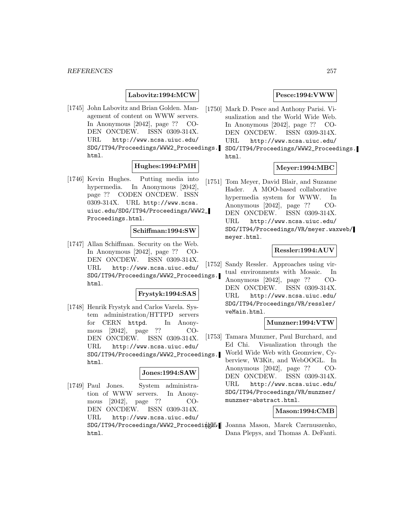### **Labovitz:1994:MCW**

[1745] John Labovitz and Brian Golden. Management of content on WWW servers. In Anonymous [2042], page ?? CO-DEN ONCDEW. ISSN 0309-314X. URL http://www.ncsa.uiuc.edu/ SDG/IT94/Proceedings/WWW2\_Proceedings. html.

### **Hughes:1994:PMH**

[1746] Kevin Hughes. Putting media into hypermedia. In Anonymous [2042], page ?? CODEN ONCDEW. ISSN 0309-314X. URL http://www.ncsa. uiuc.edu/SDG/IT94/Proceedings/WWW2\_ Proceedings.html.

#### **Schiffman:1994:SW**

[1747] Allan Schiffman. Security on the Web. In Anonymous [2042], page ?? CO-DEN ONCDEW. ISSN 0309-314X. URL http://www.ncsa.uiuc.edu/ SDG/IT94/Proceedings/WWW2\_Proceedings. html.

#### **Frystyk:1994:SAS**

[1748] Henrik Frystyk and Carlos Varela. System administration/HTTPD servers for CERN httpd. In Anonymous [2042], page ?? CO-DEN ONCDEW. ISSN 0309-314X. URL http://www.ncsa.uiuc.edu/ SDG/IT94/Proceedings/WWW2\_Proceedings. html.

#### **Jones:1994:SAW**

[1749] Paul Jones. System administration of WWW servers. In Anonymous [2042], page ?? CO-DEN ONCDEW. ISSN 0309-314X. URL http://www.ncsa.uiuc.edu/ SDG/IT94/Proceedings/WWW2\_Proceedings. [1754] Joanna Mason, Marek Czernuszenko, html.

## **Pesce:1994:VWW**

- [1750] Mark D. Pesce and Anthony Parisi. Visualization and the World Wide Web. In Anonymous [2042], page ?? CO-DEN ONCDEW. ISSN 0309-314X. URL http://www.ncsa.uiuc.edu/
	- SDG/IT94/Proceedings/WWW2\_Proceedings. html.

### **Meyer:1994:MBC**

[1751] Tom Meyer, David Blair, and Suzanne Hader. A MOO-based collaborative hypermedia system for WWW. In Anonymous [2042], page ?? CO-DEN ONCDEW. ISSN 0309-314X. URL http://www.ncsa.uiuc.edu/ SDG/IT94/Proceedings/VR/meyer.waxweb/ meyer.html.

## **Ressler:1994:AUV**

[1752] Sandy Ressler. Approaches using virtual environments with Mosaic. In

Anonymous [2042], page ?? CO-DEN ONCDEW. ISSN 0309-314X. URL http://www.ncsa.uiuc.edu/ SDG/IT94/Proceedings/VR/ressler/ veMain.html.

#### **Munzner:1994:VTW**

[1753] Tamara Munzner, Paul Burchard, and Ed Chi. Visualization through the World Wide Web with Geomview, Cyberview, W3Kit, and WebOOGL. In Anonymous [2042], page ?? CO-DEN ONCDEW. ISSN 0309-314X. URL http://www.ncsa.uiuc.edu/ SDG/IT94/Proceedings/VR/munzner/ munzner-abstract.html.

#### **Mason:1994:CMB**

Dana Plepys, and Thomas A. DeFanti.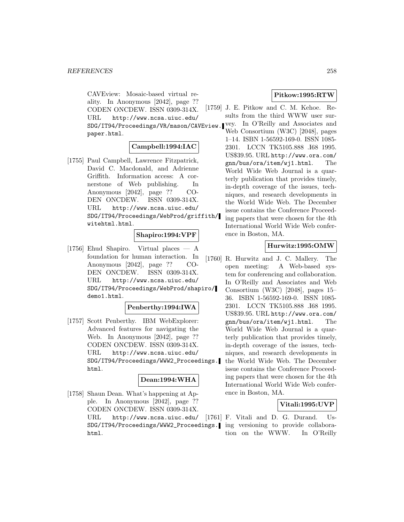CAVEview: Mosaic-based virtual reality. In Anonymous [2042], page ?? CODEN ONCDEW. ISSN 0309-314X. URL http://www.ncsa.uiuc.edu/ SDG/IT94/Proceedings/VR/mason/CAVEview. vey. In O'Reilly and Associates and paper.html.

### **Campbell:1994:IAC**

[1755] Paul Campbell, Lawrence Fitzpatrick, David C. Macdonald, and Adrienne Griffith. Information access: A cornerstone of Web publishing. In Anonymous [2042], page ?? CO-DEN ONCDEW. ISSN 0309-314X. URL http://www.ncsa.uiuc.edu/ SDG/IT94/Proceedings/WebProd/griffith/ witehtml.html.

#### **Shapiro:1994:VPF**

[1756] Ehud Shapiro. Virtual places — A foundation for human interaction. In Anonymous [2042], page ?? CO-DEN ONCDEW. ISSN 0309-314X. URL http://www.ncsa.uiuc.edu/ SDG/IT94/Proceedings/WebProd/shapiro/ demo1.html.

### **Penberthy:1994:IWA**

[1757] Scott Penberthy. IBM WebExplorer: Advanced features for navigating the Web. In Anonymous [2042], page ?? CODEN ONCDEW. ISSN 0309-314X. URL http://www.ncsa.uiuc.edu/ SDG/IT94/Proceedings/WWW2\_Proceedings. html.

## **Dean:1994:WHA**

[1758] Shaun Dean. What's happening at Apple. In Anonymous [2042], page ?? CODEN ONCDEW. ISSN 0309-314X. URL http://www.ncsa.uiuc.edu/ html.

## **Pitkow:1995:RTW**

- [1759] J. E. Pitkow and C. M. Kehoe. Results from the third WWW user sur-
	- Web Consortium (W3C) [2048], pages 1–14. ISBN 1-56592-169-0. ISSN 1085- 2301. LCCN TK5105.888 .I68 1995. US\$39.95. URL http://www.ora.com/ gnn/bus/ora/item/wj1.html. The World Wide Web Journal is a quarterly publication that provides timely, in-depth coverage of the issues, techniques, and research developments in the World Wide Web. The December issue contains the Conference Proceeding papers that were chosen for the 4th International World Wide Web conference in Boston, MA.

### **Hurwitz:1995:OMW**

[1760] R. Hurwitz and J. C. Mallery. The open meeting: A Web-based system for conferencing and collaboration. In O'Reilly and Associates and Web Consortium (W3C) [2048], pages 15– 36. ISBN 1-56592-169-0. ISSN 1085- 2301. LCCN TK5105.888 .I68 1995. US\$39.95. URL http://www.ora.com/ gnn/bus/ora/item/wj1.html. The World Wide Web Journal is a quarterly publication that provides timely, in-depth coverage of the issues, techniques, and research developments in the World Wide Web. The December issue contains the Conference Proceeding papers that were chosen for the 4th International World Wide Web conference in Boston, MA.

## **Vitali:1995:UVP**

SDG/IT94/Proceedings/WWW2\_Proceedings. ing versioning to provide collabora-[1761] F. Vitali and D. G. Durand. Ustion on the WWW. In O'Reilly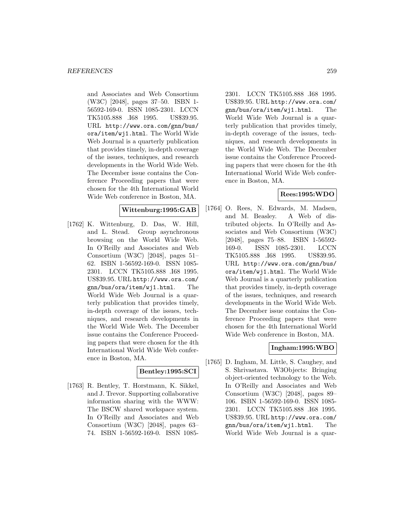and Associates and Web Consortium (W3C) [2048], pages 37–50. ISBN 1- 56592-169-0. ISSN 1085-2301. LCCN TK5105.888 .I68 1995. US\$39.95. URL http://www.ora.com/gnn/bus/ ora/item/wj1.html. The World Wide Web Journal is a quarterly publication that provides timely, in-depth coverage of the issues, techniques, and research developments in the World Wide Web. The December issue contains the Conference Proceeding papers that were chosen for the 4th International World Wide Web conference in Boston, MA.

### **Wittenburg:1995:GAB**

[1762] K. Wittenburg, D. Das, W. Hill, and L. Stead. Group asynchronous browsing on the World Wide Web. In O'Reilly and Associates and Web Consortium (W3C) [2048], pages 51– 62. ISBN 1-56592-169-0. ISSN 1085- 2301. LCCN TK5105.888 .I68 1995. US\$39.95. URL http://www.ora.com/ gnn/bus/ora/item/wj1.html. The World Wide Web Journal is a quarterly publication that provides timely, in-depth coverage of the issues, techniques, and research developments in the World Wide Web. The December issue contains the Conference Proceeding papers that were chosen for the 4th International World Wide Web conference in Boston, MA.

### **Bentley:1995:SCI**

[1763] R. Bentley, T. Horstmann, K. Sikkel, and J. Trevor. Supporting collaborative information sharing with the WWW: The BSCW shared workspace system. In O'Reilly and Associates and Web Consortium (W3C) [2048], pages 63– 74. ISBN 1-56592-169-0. ISSN 1085-

2301. LCCN TK5105.888 .I68 1995. US\$39.95. URL http://www.ora.com/ gnn/bus/ora/item/wj1.html. The World Wide Web Journal is a quarterly publication that provides timely, in-depth coverage of the issues, techniques, and research developments in the World Wide Web. The December issue contains the Conference Proceeding papers that were chosen for the 4th International World Wide Web conference in Boston, MA.

## **Rees:1995:WDO**

[1764] O. Rees, N. Edwards, M. Madsen, and M. Beasley. A Web of distributed objects. In O'Reilly and Associates and Web Consortium (W3C) [2048], pages 75–88. ISBN 1-56592- 169-0. ISSN 1085-2301. LCCN TK5105.888 .I68 1995. US\$39.95. URL http://www.ora.com/gnn/bus/ ora/item/wj1.html. The World Wide Web Journal is a quarterly publication that provides timely, in-depth coverage of the issues, techniques, and research developments in the World Wide Web. The December issue contains the Conference Proceeding papers that were chosen for the 4th International World Wide Web conference in Boston, MA.

# **Ingham:1995:WBO**

[1765] D. Ingham, M. Little, S. Caughey, and S. Shrivastava. W3Objects: Bringing object-oriented technology to the Web. In O'Reilly and Associates and Web Consortium (W3C) [2048], pages 89– 106. ISBN 1-56592-169-0. ISSN 1085- 2301. LCCN TK5105.888 .I68 1995. US\$39.95. URL http://www.ora.com/ gnn/bus/ora/item/wj1.html. The World Wide Web Journal is a quar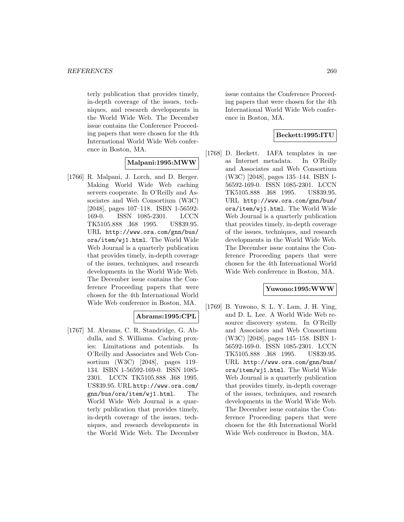terly publication that provides timely, in-depth coverage of the issues, techniques, and research developments in the World Wide Web. The December issue contains the Conference Proceeding papers that were chosen for the 4th International World Wide Web conference in Boston, MA.

## **Malpani:1995:MWW**

[1766] R. Malpani, J. Lorch, and D. Berger. Making World Wide Web caching servers cooperate. In O'Reilly and Associates and Web Consortium (W3C) [2048], pages 107–118. ISBN 1-56592- 169-0. ISSN 1085-2301. LCCN TK5105.888 .I68 1995. US\$39.95. URL http://www.ora.com/gnn/bus/ ora/item/wj1.html. The World Wide Web Journal is a quarterly publication that provides timely, in-depth coverage of the issues, techniques, and research developments in the World Wide Web. The December issue contains the Conference Proceeding papers that were chosen for the 4th International World Wide Web conference in Boston, MA.

## **Abrams:1995:CPL**

[1767] M. Abrams, C. R. Standridge, G. Abdulla, and S. Williams. Caching proxies: Limitations and potentials. In O'Reilly and Associates and Web Consortium (W3C) [2048], pages 119– 134. ISBN 1-56592-169-0. ISSN 1085- 2301. LCCN TK5105.888 .I68 1995. US\$39.95. URL http://www.ora.com/ gnn/bus/ora/item/wj1.html. The World Wide Web Journal is a quarterly publication that provides timely, in-depth coverage of the issues, techniques, and research developments in the World Wide Web. The December

issue contains the Conference Proceeding papers that were chosen for the 4th International World Wide Web conference in Boston, MA.

## **Beckett:1995:ITU**

[1768] D. Beckett. IAFA templates in use as Internet metadata. In O'Reilly and Associates and Web Consortium (W3C) [2048], pages 135–144. ISBN 1- 56592-169-0. ISSN 1085-2301. LCCN TK5105.888 .I68 1995. US\$39.95. URL http://www.ora.com/gnn/bus/ ora/item/wj1.html. The World Wide Web Journal is a quarterly publication that provides timely, in-depth coverage of the issues, techniques, and research developments in the World Wide Web. The December issue contains the Conference Proceeding papers that were chosen for the 4th International World Wide Web conference in Boston, MA.

### **Yuwono:1995:WWW**

[1769] B. Yuwono, S. L. Y. Lam, J. H. Ying, and D. L. Lee. A World Wide Web resource discovery system. In O'Reilly and Associates and Web Consortium (W3C) [2048], pages 145–158. ISBN 1- 56592-169-0. ISSN 1085-2301. LCCN TK5105.888 .I68 1995. US\$39.95. URL http://www.ora.com/gnn/bus/ ora/item/wj1.html. The World Wide Web Journal is a quarterly publication that provides timely, in-depth coverage of the issues, techniques, and research developments in the World Wide Web. The December issue contains the Conference Proceeding papers that were chosen for the 4th International World Wide Web conference in Boston, MA.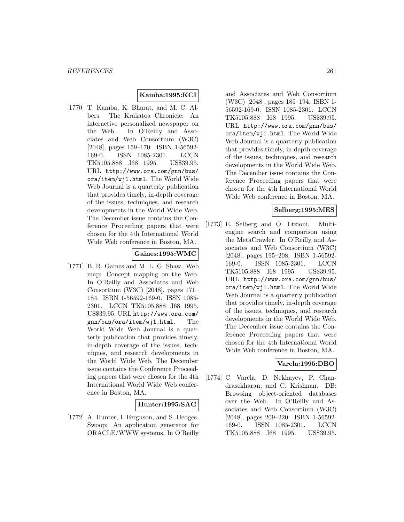# **Kamba:1995:KCI**

[1770] T. Kamba, K. Bharat, and M. C. Albers. The Krakatoa Chronicle: An interactive personalized newspaper on the Web. In O'Reilly and Associates and Web Consortium (W3C) [2048], pages 159–170. ISBN 1-56592- 169-0. ISSN 1085-2301. LCCN TK5105.888 .I68 1995. US\$39.95. URL http://www.ora.com/gnn/bus/ ora/item/wj1.html. The World Wide Web Journal is a quarterly publication that provides timely, in-depth coverage of the issues, techniques, and research developments in the World Wide Web. The December issue contains the Conference Proceeding papers that were chosen for the 4th International World Wide Web conference in Boston, MA.

## **Gaines:1995:WMC**

[1771] B. R. Gaines and M. L. G. Shaw. Web map: Concept mapping on the Web. In O'Reilly and Associates and Web Consortium (W3C) [2048], pages 171– 184. ISBN 1-56592-169-0. ISSN 1085- 2301. LCCN TK5105.888 .I68 1995. US\$39.95. URL http://www.ora.com/ gnn/bus/ora/item/wj1.html. The World Wide Web Journal is a quarterly publication that provides timely, in-depth coverage of the issues, techniques, and research developments in the World Wide Web. The December issue contains the Conference Proceeding papers that were chosen for the 4th International World Wide Web conference in Boston, MA.

### **Hunter:1995:SAG**

[1772] A. Hunter, I. Ferguson, and S. Hedges. Swoop: An application generator for ORACLE/WWW systems. In O'Reilly

and Associates and Web Consortium (W3C) [2048], pages 185–194. ISBN 1- 56592-169-0. ISSN 1085-2301. LCCN TK5105.888 .I68 1995. US\$39.95. URL http://www.ora.com/gnn/bus/ ora/item/wj1.html. The World Wide Web Journal is a quarterly publication that provides timely, in-depth coverage of the issues, techniques, and research developments in the World Wide Web. The December issue contains the Conference Proceeding papers that were chosen for the 4th International World Wide Web conference in Boston, MA.

### **Selberg:1995:MES**

[1773] E. Selberg and O. Etzioni. Multiengine search and comparison using the MetaCrawler. In O'Reilly and Associates and Web Consortium (W3C) [2048], pages 195–208. ISBN 1-56592- 169-0. ISSN 1085-2301. LCCN TK5105.888 .I68 1995. US\$39.95. URL http://www.ora.com/gnn/bus/ ora/item/wj1.html. The World Wide Web Journal is a quarterly publication that provides timely, in-depth coverage of the issues, techniques, and research developments in the World Wide Web. The December issue contains the Conference Proceeding papers that were chosen for the 4th International World Wide Web conference in Boston, MA.

### **Varela:1995:DBO**

[1774] C. Varela, D. Nekhayev, P. Chandrasekharan, and C. Krishnan. DB: Browsing object-oriented databases over the Web. In O'Reilly and Associates and Web Consortium (W3C) [2048], pages 209–220. ISBN 1-56592- 169-0. ISSN 1085-2301. LCCN TK5105.888 .I68 1995. US\$39.95.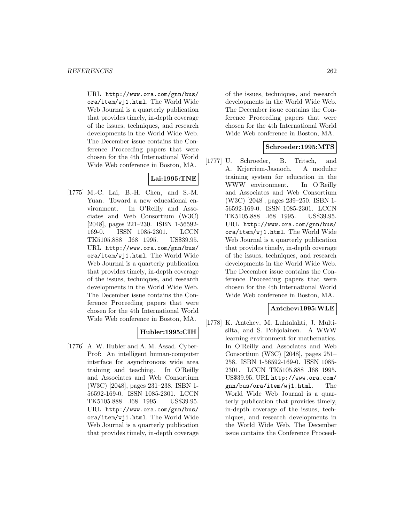URL http://www.ora.com/gnn/bus/ ora/item/wj1.html. The World Wide Web Journal is a quarterly publication that provides timely, in-depth coverage of the issues, techniques, and research developments in the World Wide Web. The December issue contains the Conference Proceeding papers that were chosen for the 4th International World Wide Web conference in Boston, MA.

# **Lai:1995:TNE**

[1775] M.-C. Lai, B.-H. Chen, and S.-M. Yuan. Toward a new educational environment. In O'Reilly and Associates and Web Consortium (W3C) [2048], pages 221–230. ISBN 1-56592- 169-0. ISSN 1085-2301. LCCN TK5105.888 .I68 1995. US\$39.95. URL http://www.ora.com/gnn/bus/ ora/item/wj1.html. The World Wide Web Journal is a quarterly publication that provides timely, in-depth coverage of the issues, techniques, and research developments in the World Wide Web. The December issue contains the Conference Proceeding papers that were chosen for the 4th International World Wide Web conference in Boston, MA.

## **Hubler:1995:CIH**

[1776] A. W. Hubler and A. M. Assad. Cyber-Prof: An intelligent human-computer interface for asynchronous wide area training and teaching. In O'Reilly and Associates and Web Consortium (W3C) [2048], pages 231–238. ISBN 1- 56592-169-0. ISSN 1085-2301. LCCN TK5105.888 .I68 1995. US\$39.95. URL http://www.ora.com/gnn/bus/ ora/item/wj1.html. The World Wide Web Journal is a quarterly publication that provides timely, in-depth coverage

of the issues, techniques, and research developments in the World Wide Web. The December issue contains the Conference Proceeding papers that were chosen for the 4th International World Wide Web conference in Boston, MA.

## **Schroeder:1995:MTS**

[1777] U. Schroeder, B. Tritsch, and A. Krjerriem-Jasnoch. A modular training system for education in the WWW environment. In O'Reilly and Associates and Web Consortium (W3C) [2048], pages 239–250. ISBN 1- 56592-169-0. ISSN 1085-2301. LCCN TK5105.888 .I68 1995. US\$39.95. URL http://www.ora.com/gnn/bus/ ora/item/wj1.html. The World Wide Web Journal is a quarterly publication that provides timely, in-depth coverage of the issues, techniques, and research developments in the World Wide Web. The December issue contains the Conference Proceeding papers that were chosen for the 4th International World Wide Web conference in Boston, MA.

## **Antchev:1995:WLE**

[1778] K. Antchev, M. Luhtalahti, J. Multisilta, and S. Pohjolainen. A WWW learning environment for mathematics. In O'Reilly and Associates and Web Consortium (W3C) [2048], pages 251– 258. ISBN 1-56592-169-0. ISSN 1085- 2301. LCCN TK5105.888 .I68 1995. US\$39.95. URL http://www.ora.com/ gnn/bus/ora/item/wj1.html. The World Wide Web Journal is a quarterly publication that provides timely, in-depth coverage of the issues, techniques, and research developments in the World Wide Web. The December issue contains the Conference Proceed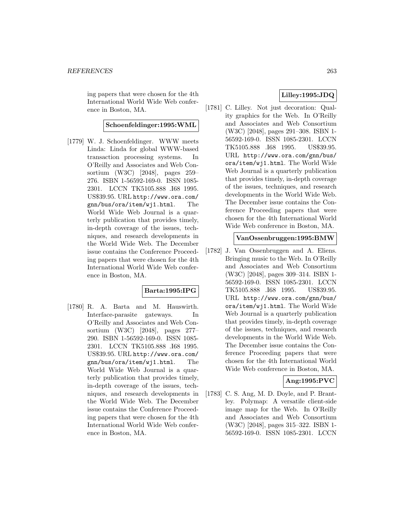ing papers that were chosen for the 4th International World Wide Web conference in Boston, MA.

#### **Schoenfeldinger:1995:WML**

[1779] W. J. Schoenfeldinger. WWW meets Linda: Linda for global WWW-based transaction processing systems. In O'Reilly and Associates and Web Consortium (W3C) [2048], pages 259– 276. ISBN 1-56592-169-0. ISSN 1085- 2301. LCCN TK5105.888 .I68 1995. US\$39.95. URL http://www.ora.com/ gnn/bus/ora/item/wj1.html. The World Wide Web Journal is a quarterly publication that provides timely, in-depth coverage of the issues, techniques, and research developments in the World Wide Web. The December issue contains the Conference Proceeding papers that were chosen for the 4th International World Wide Web conference in Boston, MA.

### **Barta:1995:IPG**

[1780] R. A. Barta and M. Hauswirth. Interface-parasite gateways. In O'Reilly and Associates and Web Consortium (W3C) [2048], pages 277– 290. ISBN 1-56592-169-0. ISSN 1085- 2301. LCCN TK5105.888 .I68 1995. US\$39.95. URL http://www.ora.com/ gnn/bus/ora/item/wj1.html. The World Wide Web Journal is a quarterly publication that provides timely, in-depth coverage of the issues, techniques, and research developments in the World Wide Web. The December issue contains the Conference Proceeding papers that were chosen for the 4th International World Wide Web conference in Boston, MA.

## **Lilley:1995:JDQ**

[1781] C. Lilley. Not just decoration: Quality graphics for the Web. In O'Reilly and Associates and Web Consortium (W3C) [2048], pages 291–308. ISBN 1- 56592-169-0. ISSN 1085-2301. LCCN TK5105.888 .I68 1995. US\$39.95. URL http://www.ora.com/gnn/bus/ ora/item/wj1.html. The World Wide Web Journal is a quarterly publication that provides timely, in-depth coverage of the issues, techniques, and research developments in the World Wide Web. The December issue contains the Conference Proceeding papers that were chosen for the 4th International World Wide Web conference in Boston, MA.

### **VanOssenbruggen:1995:BMW**

[1782] J. Van Ossenbruggen and A. Eliens. Bringing music to the Web. In O'Reilly and Associates and Web Consortium (W3C) [2048], pages 309–314. ISBN 1- 56592-169-0. ISSN 1085-2301. LCCN TK5105.888 .I68 1995. US\$39.95. URL http://www.ora.com/gnn/bus/ ora/item/wj1.html. The World Wide Web Journal is a quarterly publication that provides timely, in-depth coverage of the issues, techniques, and research developments in the World Wide Web. The December issue contains the Conference Proceeding papers that were chosen for the 4th International World Wide Web conference in Boston, MA.

## **Ang:1995:PVC**

[1783] C. S. Ang, M. D. Doyle, and P. Brantley. Polymap: A versatile client-side image map for the Web. In O'Reilly and Associates and Web Consortium (W3C) [2048], pages 315–322. ISBN 1- 56592-169-0. ISSN 1085-2301. LCCN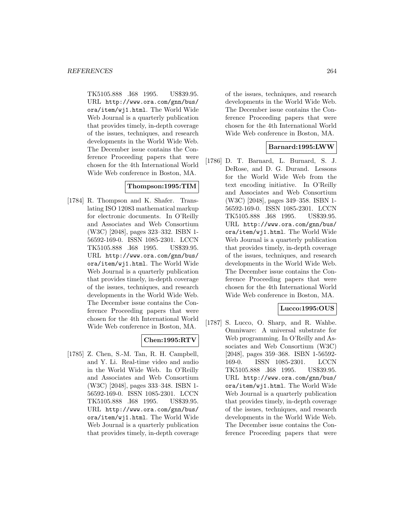TK5105.888 .I68 1995. US\$39.95. URL http://www.ora.com/gnn/bus/ ora/item/wj1.html. The World Wide Web Journal is a quarterly publication that provides timely, in-depth coverage of the issues, techniques, and research developments in the World Wide Web. The December issue contains the Conference Proceeding papers that were chosen for the 4th International World Wide Web conference in Boston, MA.

### **Thompson:1995:TIM**

[1784] R. Thompson and K. Shafer. Translating ISO 12083 mathematical markup for electronic documents. In O'Reilly and Associates and Web Consortium (W3C) [2048], pages 323–332. ISBN 1- 56592-169-0. ISSN 1085-2301. LCCN TK5105.888 .I68 1995. US\$39.95. URL http://www.ora.com/gnn/bus/ ora/item/wj1.html. The World Wide Web Journal is a quarterly publication that provides timely, in-depth coverage of the issues, techniques, and research developments in the World Wide Web. The December issue contains the Conference Proceeding papers that were chosen for the 4th International World Wide Web conference in Boston, MA.

### **Chen:1995:RTV**

[1785] Z. Chen, S.-M. Tan, R. H. Campbell, and Y. Li. Real-time video and audio in the World Wide Web. In O'Reilly and Associates and Web Consortium (W3C) [2048], pages 333–348. ISBN 1- 56592-169-0. ISSN 1085-2301. LCCN TK5105.888 .I68 1995. US\$39.95. URL http://www.ora.com/gnn/bus/ ora/item/wj1.html. The World Wide Web Journal is a quarterly publication that provides timely, in-depth coverage

of the issues, techniques, and research developments in the World Wide Web. The December issue contains the Conference Proceeding papers that were chosen for the 4th International World Wide Web conference in Boston, MA.

#### **Barnard:1995:LWW**

[1786] D. T. Barnard, L. Burnard, S. J. DeRose, and D. G. Durand. Lessons for the World Wide Web from the text encoding initiative. In O'Reilly and Associates and Web Consortium (W3C) [2048], pages 349–358. ISBN 1- 56592-169-0. ISSN 1085-2301. LCCN TK5105.888 .I68 1995. US\$39.95. URL http://www.ora.com/gnn/bus/ ora/item/wj1.html. The World Wide Web Journal is a quarterly publication that provides timely, in-depth coverage of the issues, techniques, and research developments in the World Wide Web. The December issue contains the Conference Proceeding papers that were chosen for the 4th International World Wide Web conference in Boston, MA.

## **Lucco:1995:OUS**

[1787] S. Lucco, O. Sharp, and R. Wahbe. Omniware: A universal substrate for Web programming. In O'Reilly and Associates and Web Consortium (W3C) [2048], pages 359–368. ISBN 1-56592- 169-0. ISSN 1085-2301. LCCN TK5105.888 .I68 1995. US\$39.95. URL http://www.ora.com/gnn/bus/ ora/item/wj1.html. The World Wide Web Journal is a quarterly publication that provides timely, in-depth coverage of the issues, techniques, and research developments in the World Wide Web. The December issue contains the Conference Proceeding papers that were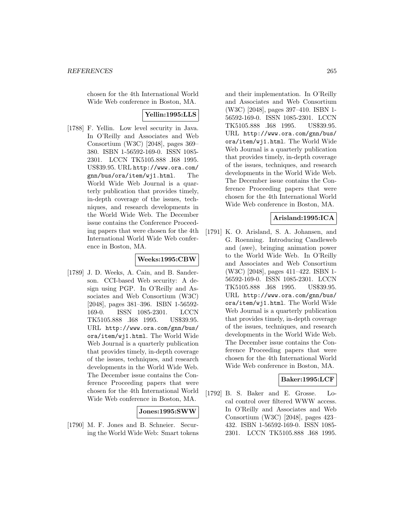chosen for the 4th International World Wide Web conference in Boston, MA.

### **Yellin:1995:LLS**

[1788] F. Yellin. Low level security in Java. In O'Reilly and Associates and Web Consortium (W3C) [2048], pages 369– 380. ISBN 1-56592-169-0. ISSN 1085- 2301. LCCN TK5105.888 .I68 1995. US\$39.95. URL http://www.ora.com/ gnn/bus/ora/item/wj1.html. The World Wide Web Journal is a quarterly publication that provides timely, in-depth coverage of the issues, techniques, and research developments in the World Wide Web. The December issue contains the Conference Proceeding papers that were chosen for the 4th International World Wide Web conference in Boston, MA.

# **Weeks:1995:CBW**

[1789] J. D. Weeks, A. Cain, and B. Sanderson. CCI-based Web security: A design using PGP. In O'Reilly and Associates and Web Consortium (W3C) [2048], pages 381–396. ISBN 1-56592- 169-0. ISSN 1085-2301. LCCN TK5105.888 .I68 1995. US\$39.95. URL http://www.ora.com/gnn/bus/ ora/item/wj1.html. The World Wide Web Journal is a quarterly publication that provides timely, in-depth coverage of the issues, techniques, and research developments in the World Wide Web. The December issue contains the Conference Proceeding papers that were chosen for the 4th International World Wide Web conference in Boston, MA.

### **Jones:1995:SWW**

[1790] M. F. Jones and B. Schneier. Securing the World Wide Web: Smart tokens

and their implementation. In O'Reilly and Associates and Web Consortium (W3C) [2048], pages 397–410. ISBN 1- 56592-169-0. ISSN 1085-2301. LCCN TK5105.888 .I68 1995. US\$39.95. URL http://www.ora.com/gnn/bus/ ora/item/wj1.html. The World Wide Web Journal is a quarterly publication that provides timely, in-depth coverage of the issues, techniques, and research developments in the World Wide Web. The December issue contains the Conference Proceeding papers that were chosen for the 4th International World Wide Web conference in Boston, MA.

## **Arisland:1995:ICA**

[1791] K. O. Arisland, S. A. Johansen, and G. Roenning. Introducing Candleweb and (awe), bringing animation power to the World Wide Web. In O'Reilly and Associates and Web Consortium (W3C) [2048], pages 411–422. ISBN 1- 56592-169-0. ISSN 1085-2301. LCCN TK5105.888 .I68 1995. US\$39.95. URL http://www.ora.com/gnn/bus/ ora/item/wj1.html. The World Wide Web Journal is a quarterly publication that provides timely, in-depth coverage of the issues, techniques, and research developments in the World Wide Web. The December issue contains the Conference Proceeding papers that were chosen for the 4th International World Wide Web conference in Boston, MA.

### **Baker:1995:LCF**

[1792] B. S. Baker and E. Grosse. Local control over filtered WWW access. In O'Reilly and Associates and Web Consortium (W3C) [2048], pages 423– 432. ISBN 1-56592-169-0. ISSN 1085- 2301. LCCN TK5105.888 .I68 1995.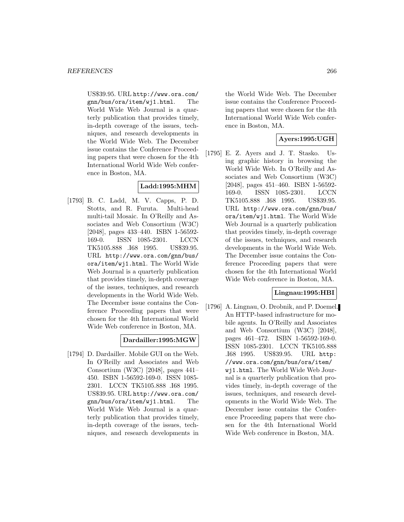US\$39.95. URL http://www.ora.com/ gnn/bus/ora/item/wj1.html. The World Wide Web Journal is a quarterly publication that provides timely, in-depth coverage of the issues, techniques, and research developments in the World Wide Web. The December issue contains the Conference Proceeding papers that were chosen for the 4th International World Wide Web conference in Boston, MA.

## **Ladd:1995:MHM**

[1793] B. C. Ladd, M. V. Capps, P. D. Stotts, and R. Furuta. Multi-head multi-tail Mosaic. In O'Reilly and Associates and Web Consortium (W3C) [2048], pages 433–440. ISBN 1-56592- 169-0. ISSN 1085-2301. LCCN TK5105.888 .I68 1995. US\$39.95. URL http://www.ora.com/gnn/bus/ ora/item/wj1.html. The World Wide Web Journal is a quarterly publication that provides timely, in-depth coverage of the issues, techniques, and research developments in the World Wide Web. The December issue contains the Conference Proceeding papers that were chosen for the 4th International World Wide Web conference in Boston, MA.

### **Dardailler:1995:MGW**

[1794] D. Dardailler. Mobile GUI on the Web. In O'Reilly and Associates and Web Consortium (W3C) [2048], pages 441– 450. ISBN 1-56592-169-0. ISSN 1085- 2301. LCCN TK5105.888 .I68 1995. US\$39.95. URL http://www.ora.com/ gnn/bus/ora/item/wj1.html. The World Wide Web Journal is a quarterly publication that provides timely, in-depth coverage of the issues, techniques, and research developments in

the World Wide Web. The December issue contains the Conference Proceeding papers that were chosen for the 4th International World Wide Web conference in Boston, MA.

## **Ayers:1995:UGH**

[1795] E. Z. Ayers and J. T. Stasko. Using graphic history in browsing the World Wide Web. In O'Reilly and Associates and Web Consortium (W3C) [2048], pages 451–460. ISBN 1-56592- 169-0. ISSN 1085-2301. LCCN TK5105.888 .I68 1995. US\$39.95. URL http://www.ora.com/gnn/bus/ ora/item/wj1.html. The World Wide Web Journal is a quarterly publication that provides timely, in-depth coverage of the issues, techniques, and research developments in the World Wide Web. The December issue contains the Conference Proceeding papers that were chosen for the 4th International World Wide Web conference in Boston, MA.

## **Lingnau:1995:HBI**

[1796] A. Lingnau, O. Drobnik, and P. Doemel. An HTTP-based infrastructure for mobile agents. In O'Reilly and Associates and Web Consortium (W3C) [2048], pages 461–472. ISBN 1-56592-169-0. ISSN 1085-2301. LCCN TK5105.888 .I68 1995. US\$39.95. URL http: //www.ora.com/gnn/bus/ora/item/ wj1.html. The World Wide Web Journal is a quarterly publication that provides timely, in-depth coverage of the issues, techniques, and research developments in the World Wide Web. The December issue contains the Conference Proceeding papers that were chosen for the 4th International World Wide Web conference in Boston, MA.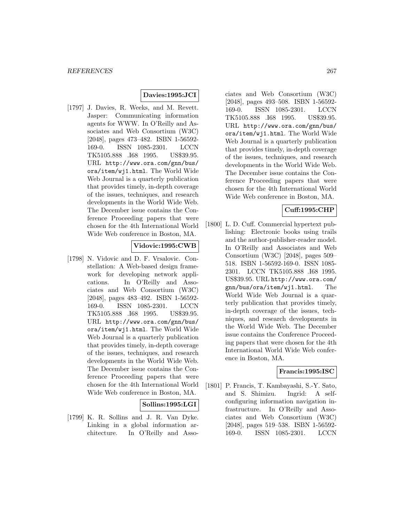## **Davies:1995:JCI**

[1797] J. Davies, R. Weeks, and M. Revett. Jasper: Communicating information agents for WWW. In O'Reilly and Associates and Web Consortium (W3C) [2048], pages 473–482. ISBN 1-56592- 169-0. ISSN 1085-2301. LCCN TK5105.888 .I68 1995. US\$39.95. URL http://www.ora.com/gnn/bus/ ora/item/wj1.html. The World Wide Web Journal is a quarterly publication that provides timely, in-depth coverage of the issues, techniques, and research developments in the World Wide Web. The December issue contains the Conference Proceeding papers that were chosen for the 4th International World Wide Web conference in Boston, MA.

## **Vidovic:1995:CWB**

[1798] N. Vidovic and D. F. Vrsalovic. Constellation: A Web-based design framework for developing network applications. In O'Reilly and Associates and Web Consortium (W3C) [2048], pages 483–492. ISBN 1-56592- 169-0. ISSN 1085-2301. LCCN TK5105.888 .I68 1995. US\$39.95. URL http://www.ora.com/gnn/bus/ ora/item/wj1.html. The World Wide Web Journal is a quarterly publication that provides timely, in-depth coverage of the issues, techniques, and research developments in the World Wide Web. The December issue contains the Conference Proceeding papers that were chosen for the 4th International World Wide Web conference in Boston, MA.

### **Sollins:1995:LGI**

[1799] K. R. Sollins and J. R. Van Dyke. Linking in a global information architecture. In O'Reilly and Asso-

ciates and Web Consortium (W3C) [2048], pages 493–508. ISBN 1-56592- 169-0. ISSN 1085-2301. LCCN TK5105.888 .I68 1995. US\$39.95. URL http://www.ora.com/gnn/bus/ ora/item/wj1.html. The World Wide Web Journal is a quarterly publication that provides timely, in-depth coverage of the issues, techniques, and research developments in the World Wide Web. The December issue contains the Conference Proceeding papers that were chosen for the 4th International World Wide Web conference in Boston, MA.

## **Cuff:1995:CHP**

[1800] L. D. Cuff. Commercial hypertext publishing: Electronic books using trails and the author-publisher-reader model. In O'Reilly and Associates and Web Consortium (W3C) [2048], pages 509– 518. ISBN 1-56592-169-0. ISSN 1085- 2301. LCCN TK5105.888 .I68 1995. US\$39.95. URL http://www.ora.com/ gnn/bus/ora/item/wj1.html. The World Wide Web Journal is a quarterly publication that provides timely, in-depth coverage of the issues, techniques, and research developments in the World Wide Web. The December issue contains the Conference Proceeding papers that were chosen for the 4th International World Wide Web conference in Boston, MA.

### **Francis:1995:ISC**

[1801] P. Francis, T. Kambayashi, S.-Y. Sato, and S. Shimizu. Ingrid: A selfconfiguring information navigation infrastructure. In O'Reilly and Associates and Web Consortium (W3C) [2048], pages 519–538. ISBN 1-56592- 169-0. ISSN 1085-2301. LCCN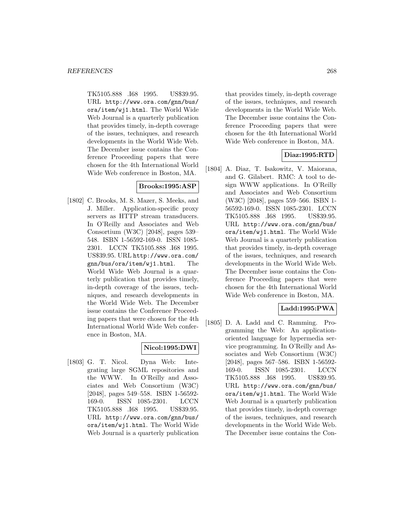TK5105.888 .I68 1995. US\$39.95. URL http://www.ora.com/gnn/bus/ ora/item/wj1.html. The World Wide Web Journal is a quarterly publication that provides timely, in-depth coverage of the issues, techniques, and research developments in the World Wide Web. The December issue contains the Conference Proceeding papers that were chosen for the 4th International World Wide Web conference in Boston, MA.

## **Brooks:1995:ASP**

[1802] C. Brooks, M. S. Mazer, S. Meeks, and J. Miller. Application-specific proxy servers as HTTP stream transducers. In O'Reilly and Associates and Web Consortium (W3C) [2048], pages 539– 548. ISBN 1-56592-169-0. ISSN 1085- 2301. LCCN TK5105.888 .I68 1995. US\$39.95. URL http://www.ora.com/ gnn/bus/ora/item/wj1.html. The World Wide Web Journal is a quarterly publication that provides timely, in-depth coverage of the issues, techniques, and research developments in the World Wide Web. The December issue contains the Conference Proceeding papers that were chosen for the 4th International World Wide Web conference in Boston, MA.

# **Nicol:1995:DWI**

[1803] G. T. Nicol. Dyna Web: Integrating large SGML repositories and the WWW. In O'Reilly and Associates and Web Consortium (W3C) [2048], pages 549–558. ISBN 1-56592- 169-0. ISSN 1085-2301. LCCN TK5105.888 .I68 1995. US\$39.95. URL http://www.ora.com/gnn/bus/ ora/item/wj1.html. The World Wide Web Journal is a quarterly publication

that provides timely, in-depth coverage of the issues, techniques, and research developments in the World Wide Web. The December issue contains the Conference Proceeding papers that were chosen for the 4th International World Wide Web conference in Boston, MA.

## **Diaz:1995:RTD**

[1804] A. Diaz, T. Isakowitz, V. Maiorana, and G. Gilabert. RMC: A tool to design WWW applications. In O'Reilly and Associates and Web Consortium (W3C) [2048], pages 559–566. ISBN 1- 56592-169-0. ISSN 1085-2301. LCCN TK5105.888 .I68 1995. US\$39.95. URL http://www.ora.com/gnn/bus/ ora/item/wj1.html. The World Wide Web Journal is a quarterly publication that provides timely, in-depth coverage of the issues, techniques, and research developments in the World Wide Web. The December issue contains the Conference Proceeding papers that were chosen for the 4th International World Wide Web conference in Boston, MA.

## **Ladd:1995:PWA**

[1805] D. A. Ladd and C. Ramming. Programming the Web: An applicationoriented language for hypermedia service programming. In O'Reilly and Associates and Web Consortium (W3C) [2048], pages 567–586. ISBN 1-56592- 169-0. ISSN 1085-2301. LCCN TK5105.888 .I68 1995. US\$39.95. URL http://www.ora.com/gnn/bus/ ora/item/wj1.html. The World Wide Web Journal is a quarterly publication that provides timely, in-depth coverage of the issues, techniques, and research developments in the World Wide Web. The December issue contains the Con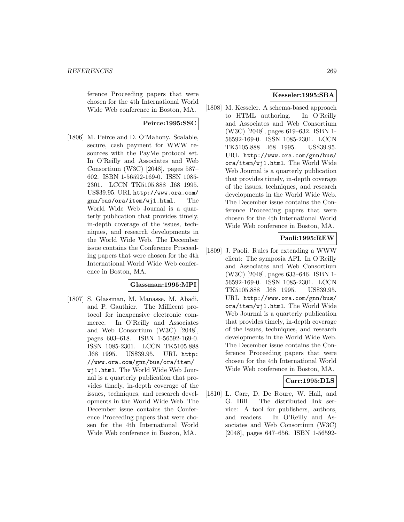ference Proceeding papers that were chosen for the 4th International World Wide Web conference in Boston, MA.

## **Peirce:1995:SSC**

[1806] M. Peirce and D. O'Mahony. Scalable, secure, cash payment for WWW resources with the PayMe protocol set. In O'Reilly and Associates and Web Consortium (W3C) [2048], pages 587– 602. ISBN 1-56592-169-0. ISSN 1085- 2301. LCCN TK5105.888 .I68 1995. US\$39.95. URL http://www.ora.com/ gnn/bus/ora/item/wj1.html. The World Wide Web Journal is a quarterly publication that provides timely, in-depth coverage of the issues, techniques, and research developments in the World Wide Web. The December issue contains the Conference Proceeding papers that were chosen for the 4th International World Wide Web conference in Boston, MA.

### **Glassman:1995:MPI**

[1807] S. Glassman, M. Manasse, M. Abadi, and P. Gauthier. The Millicent protocol for inexpensive electronic commerce. In O'Reilly and Associates and Web Consortium (W3C) [2048], pages 603–618. ISBN 1-56592-169-0. ISSN 1085-2301. LCCN TK5105.888 .I68 1995. US\$39.95. URL http: //www.ora.com/gnn/bus/ora/item/ wj1.html. The World Wide Web Journal is a quarterly publication that provides timely, in-depth coverage of the issues, techniques, and research developments in the World Wide Web. The December issue contains the Conference Proceeding papers that were chosen for the 4th International World Wide Web conference in Boston, MA.

## **Kesseler:1995:SBA**

[1808] M. Kesseler. A schema-based approach to HTML authoring. In O'Reilly and Associates and Web Consortium (W3C) [2048], pages 619–632. ISBN 1- 56592-169-0. ISSN 1085-2301. LCCN TK5105.888 .I68 1995. US\$39.95. URL http://www.ora.com/gnn/bus/ ora/item/wj1.html. The World Wide Web Journal is a quarterly publication that provides timely, in-depth coverage of the issues, techniques, and research developments in the World Wide Web. The December issue contains the Conference Proceeding papers that were chosen for the 4th International World Wide Web conference in Boston, MA.

## **Paoli:1995:REW**

[1809] J. Paoli. Rules for extending a WWW client: The symposia API. In O'Reilly and Associates and Web Consortium (W3C) [2048], pages 633–646. ISBN 1- 56592-169-0. ISSN 1085-2301. LCCN TK5105.888 .I68 1995. US\$39.95. URL http://www.ora.com/gnn/bus/ ora/item/wj1.html. The World Wide Web Journal is a quarterly publication that provides timely, in-depth coverage of the issues, techniques, and research developments in the World Wide Web. The December issue contains the Conference Proceeding papers that were chosen for the 4th International World Wide Web conference in Boston, MA.

## **Carr:1995:DLS**

[1810] L. Carr, D. De Roure, W. Hall, and G. Hill. The distributed link service: A tool for publishers, authors, and readers. In O'Reilly and Associates and Web Consortium (W3C) [2048], pages 647–656. ISBN 1-56592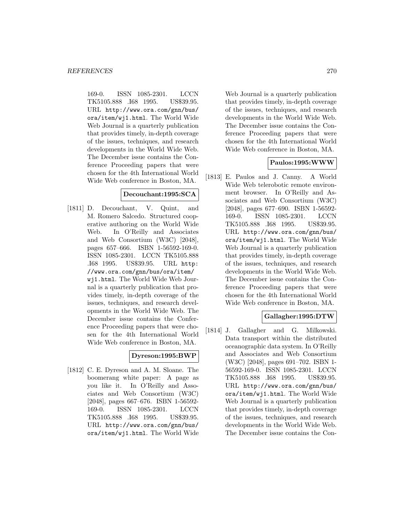169-0. ISSN 1085-2301. LCCN TK5105.888 .I68 1995. US\$39.95. URL http://www.ora.com/gnn/bus/ ora/item/wj1.html. The World Wide Web Journal is a quarterly publication that provides timely, in-depth coverage of the issues, techniques, and research developments in the World Wide Web. The December issue contains the Conference Proceeding papers that were chosen for the 4th International World Wide Web conference in Boston, MA.

### **Decouchant:1995:SCA**

[1811] D. Decouchant, V. Quint, and M. Romero Salcedo. Structured cooperative authoring on the World Wide Web. In O'Reilly and Associates and Web Consortium (W3C) [2048], pages 657–666. ISBN 1-56592-169-0. ISSN 1085-2301. LCCN TK5105.888 .I68 1995. US\$39.95. URL http: //www.ora.com/gnn/bus/ora/item/ wj1.html. The World Wide Web Journal is a quarterly publication that provides timely, in-depth coverage of the issues, techniques, and research developments in the World Wide Web. The December issue contains the Conference Proceeding papers that were chosen for the 4th International World Wide Web conference in Boston, MA.

## **Dyreson:1995:BWP**

[1812] C. E. Dyreson and A. M. Sloane. The boomerang white paper: A page as you like it. In O'Reilly and Associates and Web Consortium (W3C) [2048], pages 667–676. ISBN 1-56592- 169-0. ISSN 1085-2301. LCCN TK5105.888 .I68 1995. US\$39.95. URL http://www.ora.com/gnn/bus/ ora/item/wj1.html. The World Wide

Web Journal is a quarterly publication that provides timely, in-depth coverage of the issues, techniques, and research developments in the World Wide Web. The December issue contains the Conference Proceeding papers that were chosen for the 4th International World Wide Web conference in Boston, MA.

### **Paulos:1995:WWW**

[1813] E. Paulos and J. Canny. A World Wide Web telerobotic remote environment browser. In O'Reilly and Associates and Web Consortium (W3C) [2048], pages 677–690. ISBN 1-56592- 169-0. ISSN 1085-2301. LCCN TK5105.888 .I68 1995. US\$39.95. URL http://www.ora.com/gnn/bus/ ora/item/wj1.html. The World Wide Web Journal is a quarterly publication that provides timely, in-depth coverage of the issues, techniques, and research developments in the World Wide Web. The December issue contains the Conference Proceeding papers that were chosen for the 4th International World Wide Web conference in Boston, MA.

## **Gallagher:1995:DTW**

[1814] J. Gallagher and G. Milkowski. Data transport within the distributed oceanographic data system. In O'Reilly and Associates and Web Consortium (W3C) [2048], pages 691–702. ISBN 1- 56592-169-0. ISSN 1085-2301. LCCN TK5105.888 .I68 1995. US\$39.95. URL http://www.ora.com/gnn/bus/ ora/item/wj1.html. The World Wide Web Journal is a quarterly publication that provides timely, in-depth coverage of the issues, techniques, and research developments in the World Wide Web. The December issue contains the Con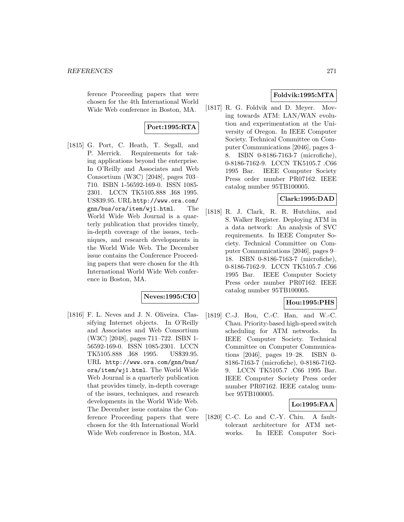ference Proceeding papers that were chosen for the 4th International World Wide Web conference in Boston, MA.

# **Port:1995:RTA**

[1815] G. Port, C. Heath, T. Segall, and P. Merrick. Requirements for taking applications beyond the enterprise. In O'Reilly and Associates and Web Consortium (W3C) [2048], pages 703– 710. ISBN 1-56592-169-0. ISSN 1085- 2301. LCCN TK5105.888 .I68 1995. US\$39.95. URL http://www.ora.com/ gnn/bus/ora/item/wj1.html. The World Wide Web Journal is a quarterly publication that provides timely, in-depth coverage of the issues, techniques, and research developments in the World Wide Web. The December issue contains the Conference Proceeding papers that were chosen for the 4th International World Wide Web conference in Boston, MA.

## **Neves:1995:CIO**

[1816] F. L. Neves and J. N. Oliveira. Classifying Internet objects. In O'Reilly and Associates and Web Consortium (W3C) [2048], pages 711–722. ISBN 1- 56592-169-0. ISSN 1085-2301. LCCN TK5105.888 .I68 1995. US\$39.95. URL http://www.ora.com/gnn/bus/ ora/item/wj1.html. The World Wide Web Journal is a quarterly publication that provides timely, in-depth coverage of the issues, techniques, and research developments in the World Wide Web. The December issue contains the Conference Proceeding papers that were chosen for the 4th International World Wide Web conference in Boston, MA.

## **Foldvik:1995:MTA**

[1817] R. G. Foldvik and D. Meyer. Moving towards ATM: LAN/WAN evolution and experimentation at the University of Oregon. In IEEE Computer Society. Technical Committee on Computer Communications [2046], pages 3– 8. ISBN 0-8186-7163-7 (microfiche), 0-8186-7162-9. LCCN TK5105.7 .C66 1995 Bar. IEEE Computer Society Press order number PR07162. IEEE catalog number 95TB100005.

## **Clark:1995:DAD**

[1818] R. J. Clark, R. R. Hutchins, and S. Walker Register. Deploying ATM in a data network: An analysis of SVC requirements. In IEEE Computer Society. Technical Committee on Computer Communications [2046], pages 9– 18. ISBN 0-8186-7163-7 (microfiche), 0-8186-7162-9. LCCN TK5105.7 .C66 1995 Bar. IEEE Computer Society Press order number PR07162. IEEE catalog number 95TB100005.

## **Hou:1995:PHS**

[1819] C.-J. Hou, C.-C. Han, and W.-C. Chau. Priority-based high-speed switch scheduling for ATM networks. In IEEE Computer Society. Technical Committee on Computer Communications [2046], pages 19–28. ISBN 0- 8186-7163-7 (microfiche), 0-8186-7162- 9. LCCN TK5105.7 .C66 1995 Bar. IEEE Computer Society Press order number PR07162. IEEE catalog number 95TB100005.

## **Lo:1995:FAA**

[1820] C.-C. Lo and C.-Y. Chiu. A faulttolerant architecture for ATM networks. In IEEE Computer Soci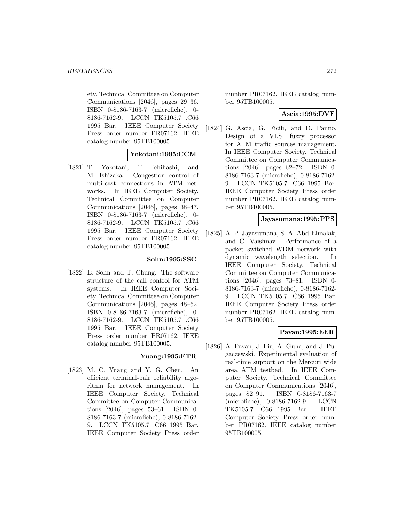ety. Technical Committee on Computer Communications [2046], pages 29–36. ISBN 0-8186-7163-7 (microfiche), 0- 8186-7162-9. LCCN TK5105.7 .C66 1995 Bar. IEEE Computer Society Press order number PR07162. IEEE catalog number 95TB100005.

### **Yokotani:1995:CCM**

[1821] T. Yokotani, T. Ichihashi, and M. Ishizaka. Congestion control of multi-cast connections in ATM networks. In IEEE Computer Society. Technical Committee on Computer Communications [2046], pages 38–47. ISBN 0-8186-7163-7 (microfiche), 0- 8186-7162-9. LCCN TK5105.7 .C66 1995 Bar. IEEE Computer Society Press order number PR07162. IEEE catalog number 95TB100005.

### **Sohn:1995:SSC**

[1822] E. Sohn and T. Chung. The software structure of the call control for ATM systems. In IEEE Computer Society. Technical Committee on Computer Communications [2046], pages 48–52. ISBN 0-8186-7163-7 (microfiche), 0- 8186-7162-9. LCCN TK5105.7 .C66 1995 Bar. IEEE Computer Society Press order number PR07162. IEEE catalog number 95TB100005.

### **Yuang:1995:ETR**

[1823] M. C. Yuang and Y. G. Chen. An efficient terminal-pair reliability algorithm for network management. In IEEE Computer Society. Technical Committee on Computer Communications [2046], pages 53–61. ISBN 0- 8186-7163-7 (microfiche), 0-8186-7162- 9. LCCN TK5105.7 .C66 1995 Bar. IEEE Computer Society Press order

number PR07162. IEEE catalog number 95TB100005.

## **Ascia:1995:DVF**

[1824] G. Ascia, G. Ficili, and D. Panno. Design of a VLSI fuzzy processor for ATM traffic sources management. In IEEE Computer Society. Technical Committee on Computer Communications [2046], pages 62–72. ISBN 0- 8186-7163-7 (microfiche), 0-8186-7162- 9. LCCN TK5105.7 .C66 1995 Bar. IEEE Computer Society Press order number PR07162. IEEE catalog number 95TB100005.

### **Jayasumana:1995:PPS**

[1825] A. P. Jayasumana, S. A. Abd-Elmalak, and C. Vaishnav. Performance of a packet switched WDM network with dynamic wavelength selection. In IEEE Computer Society. Technical Committee on Computer Communications [2046], pages 73–81. ISBN 0- 8186-7163-7 (microfiche), 0-8186-7162- 9. LCCN TK5105.7 .C66 1995 Bar. IEEE Computer Society Press order number PR07162. IEEE catalog number 95TB100005.

### **Pavan:1995:EER**

[1826] A. Pavan, J. Liu, A. Guha, and J. Pugaczewski. Experimental evaluation of real-time support on the Mercuri wide area ATM testbed. In IEEE Computer Society. Technical Committee on Computer Communications [2046], pages 82–91. ISBN 0-8186-7163-7 (microfiche), 0-8186-7162-9. LCCN TK5105.7 .C66 1995 Bar. IEEE Computer Society Press order number PR07162. IEEE catalog number 95TB100005.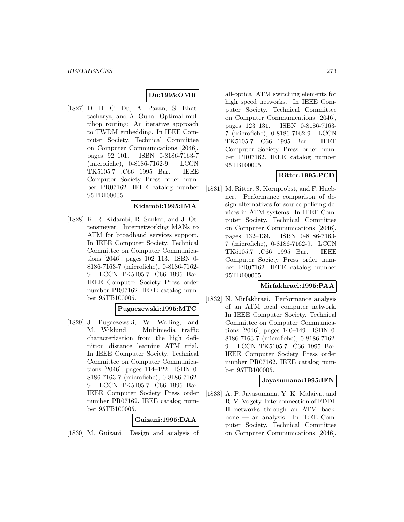## **Du:1995:OMR**

[1827] D. H. C. Du, A. Pavan, S. Bhattacharya, and A. Guha. Optimal multihop routing: An iterative approach to TWDM embedding. In IEEE Computer Society. Technical Committee on Computer Communications [2046], pages 92–101. ISBN 0-8186-7163-7 (microfiche), 0-8186-7162-9. LCCN TK5105.7 .C66 1995 Bar. IEEE Computer Society Press order number PR07162. IEEE catalog number 95TB100005.

### **Kidambi:1995:IMA**

[1828] K. R. Kidambi, R. Sankar, and J. Ottensmeyer. Internetworking MANs to ATM for broadband services support. In IEEE Computer Society. Technical Committee on Computer Communications [2046], pages 102–113. ISBN 0- 8186-7163-7 (microfiche), 0-8186-7162- 9. LCCN TK5105.7 .C66 1995 Bar. IEEE Computer Society Press order number PR07162. IEEE catalog number 95TB100005.

#### **Pugaczewski:1995:MTC**

[1829] J. Pugaczewski, W. Walling, and M. Wiklund. Multimedia traffic characterization from the high definition distance learning ATM trial. In IEEE Computer Society. Technical Committee on Computer Communications [2046], pages 114–122. ISBN 0- 8186-7163-7 (microfiche), 0-8186-7162- 9. LCCN TK5105.7 .C66 1995 Bar. IEEE Computer Society Press order number PR07162. IEEE catalog number 95TB100005.

### **Guizani:1995:DAA**

[1830] M. Guizani. Design and analysis of

all-optical ATM switching elements for high speed networks. In IEEE Computer Society. Technical Committee on Computer Communications [2046], pages 123–131. ISBN 0-8186-7163- 7 (microfiche), 0-8186-7162-9. LCCN TK5105.7 .C66 1995 Bar. IEEE Computer Society Press order number PR07162. IEEE catalog number 95TB100005.

## **Ritter:1995:PCD**

[1831] M. Ritter, S. Kornprobst, and F. Huebner. Performance comparison of design alternatives for source policing devices in ATM systems. In IEEE Computer Society. Technical Committee on Computer Communications [2046], pages 132–139. ISBN 0-8186-7163- 7 (microfiche), 0-8186-7162-9. LCCN TK5105.7 .C66 1995 Bar. IEEE Computer Society Press order number PR07162. IEEE catalog number 95TB100005.

#### **Mirfakhraei:1995:PAA**

[1832] N. Mirfakhraei. Performance analysis of an ATM local computer network. In IEEE Computer Society. Technical Committee on Computer Communications [2046], pages 140–149. ISBN 0- 8186-7163-7 (microfiche), 0-8186-7162- 9. LCCN TK5105.7 .C66 1995 Bar. IEEE Computer Society Press order number PR07162. IEEE catalog number 95TB100005.

#### **Jayasumana:1995:IFN**

[1833] A. P. Jayasumana, Y. K. Malaiya, and R. V. Vogety. Interconnection of FDDI-II networks through an ATM backbone — an analysis. In IEEE Computer Society. Technical Committee on Computer Communications [2046],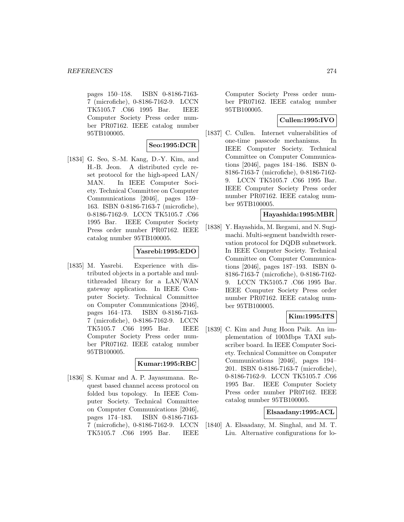pages 150–158. ISBN 0-8186-7163- 7 (microfiche), 0-8186-7162-9. LCCN TK5105.7 .C66 1995 Bar. IEEE Computer Society Press order number PR07162. IEEE catalog number 95TB100005.

## **Seo:1995:DCR**

[1834] G. Seo, S.-M. Kang, D.-Y. Kim, and H.-B. Jeon. A distributed cycle reset protocol for the high-speed LAN/ MAN. In IEEE Computer Society. Technical Committee on Computer Communications [2046], pages 159– 163. ISBN 0-8186-7163-7 (microfiche), 0-8186-7162-9. LCCN TK5105.7 .C66 1995 Bar. IEEE Computer Society Press order number PR07162. IEEE catalog number 95TB100005.

#### **Yasrebi:1995:EDO**

[1835] M. Yasrebi. Experience with distributed objects in a portable and multithreaded library for a LAN/WAN gateway application. In IEEE Computer Society. Technical Committee on Computer Communications [2046], pages 164–173. ISBN 0-8186-7163- 7 (microfiche), 0-8186-7162-9. LCCN TK5105.7 .C66 1995 Bar. IEEE Computer Society Press order number PR07162. IEEE catalog number 95TB100005.

### **Kumar:1995:RBC**

[1836] S. Kumar and A. P. Jayasumana. Request based channel access protocol on folded bus topology. In IEEE Computer Society. Technical Committee on Computer Communications [2046], pages 174–183. ISBN 0-8186-7163- 7 (microfiche), 0-8186-7162-9. LCCN TK5105.7 .C66 1995 Bar. IEEE

Computer Society Press order number PR07162. IEEE catalog number 95TB100005.

## **Cullen:1995:IVO**

[1837] C. Cullen. Internet vulnerabilities of one-time passcode mechanisms. In IEEE Computer Society. Technical Committee on Computer Communications [2046], pages 184–186. ISBN 0- 8186-7163-7 (microfiche), 0-8186-7162- 9. LCCN TK5105.7 .C66 1995 Bar. IEEE Computer Society Press order number PR07162. IEEE catalog number 95TB100005.

#### **Hayashida:1995:MBR**

[1838] Y. Hayashida, M. Ikegami, and N. Sugimachi. Multi-segment bandwidth reservation protocol for DQDB subnetwork. In IEEE Computer Society. Technical Committee on Computer Communications [2046], pages 187–193. ISBN 0- 8186-7163-7 (microfiche), 0-8186-7162- 9. LCCN TK5105.7 .C66 1995 Bar. IEEE Computer Society Press order number PR07162. IEEE catalog number 95TB100005.

## **Kim:1995:ITS**

[1839] C. Kim and Jung Hoon Paik. An implementation of 100Mbps TAXI subscriber board. In IEEE Computer Society. Technical Committee on Computer Communications [2046], pages 194– 201. ISBN 0-8186-7163-7 (microfiche), 0-8186-7162-9. LCCN TK5105.7 .C66 1995 Bar. IEEE Computer Society Press order number PR07162. IEEE catalog number 95TB100005.

### **Elsaadany:1995:ACL**

[1840] A. Elsaadany, M. Singhal, and M. T. Liu. Alternative configurations for lo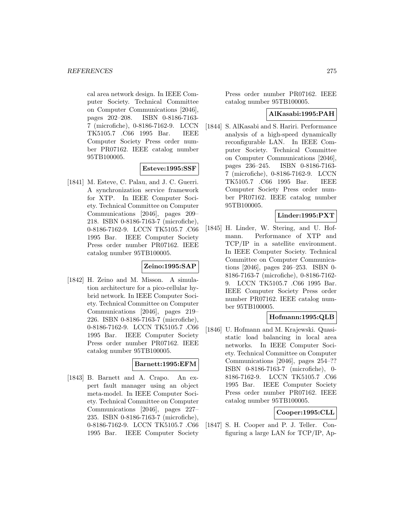cal area network design. In IEEE Computer Society. Technical Committee on Computer Communications [2046], pages 202–208. ISBN 0-8186-7163- 7 (microfiche), 0-8186-7162-9. LCCN TK5105.7 .C66 1995 Bar. IEEE Computer Society Press order number PR07162. IEEE catalog number 95TB100005.

### **Esteve:1995:SSF**

[1841] M. Esteve, C. Palau, and J. C. Guerri. A synchronization service framework for XTP. In IEEE Computer Society. Technical Committee on Computer Communications [2046], pages 209– 218. ISBN 0-8186-7163-7 (microfiche), 0-8186-7162-9. LCCN TK5105.7 .C66 1995 Bar. IEEE Computer Society Press order number PR07162. IEEE catalog number 95TB100005.

### **Zeino:1995:SAP**

[1842] H. Zeino and M. Misson. A simulation architecture for a pico-cellular hybrid network. In IEEE Computer Society. Technical Committee on Computer Communications [2046], pages 219– 226. ISBN 0-8186-7163-7 (microfiche), 0-8186-7162-9. LCCN TK5105.7 .C66 1995 Bar. IEEE Computer Society Press order number PR07162. IEEE catalog number 95TB100005.

### **Barnett:1995:EFM**

[1843] B. Barnett and A. Crapo. An expert fault manager using an object meta-model. In IEEE Computer Society. Technical Committee on Computer Communications [2046], pages 227– 235. ISBN 0-8186-7163-7 (microfiche), 0-8186-7162-9. LCCN TK5105.7 .C66 1995 Bar. IEEE Computer Society

Press order number PR07162. IEEE catalog number 95TB100005.

#### **AlKasabi:1995:PAH**

[1844] S. AlKasabi and S. Hariri. Performance analysis of a high-speed dynamically reconfigurable LAN. In IEEE Computer Society. Technical Committee on Computer Communications [2046], pages 236–245. ISBN 0-8186-7163- 7 (microfiche), 0-8186-7162-9. LCCN TK5105.7 .C66 1995 Bar. IEEE Computer Society Press order number PR07162. IEEE catalog number 95TB100005.

### **Linder:1995:PXT**

[1845] H. Linder, W. Stering, and U. Hofmann. Performance of XTP and TCP/IP in a satellite environment. In IEEE Computer Society. Technical Committee on Computer Communications [2046], pages 246–253. ISBN 0- 8186-7163-7 (microfiche), 0-8186-7162- 9. LCCN TK5105.7 .C66 1995 Bar. IEEE Computer Society Press order number PR07162. IEEE catalog number 95TB100005.

### **Hofmann:1995:QLB**

[1846] U. Hofmann and M. Krajewski. Quasistatic load balancing in local area networks. In IEEE Computer Society. Technical Committee on Computer Communications [2046], pages 254–?? ISBN 0-8186-7163-7 (microfiche), 0- 8186-7162-9. LCCN TK5105.7 .C66 1995 Bar. IEEE Computer Society Press order number PR07162. IEEE catalog number 95TB100005.

## **Cooper:1995:CLL**

[1847] S. H. Cooper and P. J. Teller. Configuring a large LAN for TCP/IP, Ap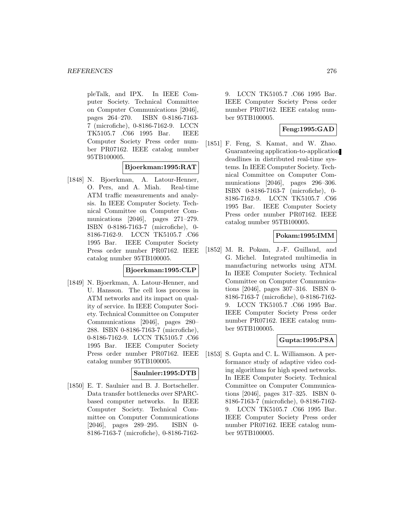pleTalk, and IPX. In IEEE Computer Society. Technical Committee on Computer Communications [2046], pages 264–270. ISBN 0-8186-7163- 7 (microfiche), 0-8186-7162-9. LCCN TK5105.7 .C66 1995 Bar. IEEE Computer Society Press order number PR07162. IEEE catalog number 95TB100005.

### **Bjoerkman:1995:RAT**

[1848] N. Bjoerkman, A. Latour-Henner, O. Pers, and A. Miah. Real-time ATM traffic measurements and analysis. In IEEE Computer Society. Technical Committee on Computer Communications [2046], pages 271–279. ISBN 0-8186-7163-7 (microfiche), 0- 8186-7162-9. LCCN TK5105.7 .C66 1995 Bar. IEEE Computer Society Press order number PR07162. IEEE catalog number 95TB100005.

### **Bjoerkman:1995:CLP**

[1849] N. Bjoerkman, A. Latour-Henner, and U. Hansson. The cell loss process in ATM networks and its impact on quality of service. In IEEE Computer Society. Technical Committee on Computer Communications [2046], pages 280– 288. ISBN 0-8186-7163-7 (microfiche), 0-8186-7162-9. LCCN TK5105.7 .C66 1995 Bar. IEEE Computer Society Press order number PR07162. IEEE catalog number 95TB100005.

#### **Saulnier:1995:DTB**

[1850] E. T. Saulnier and B. J. Bortscheller. Data transfer bottlenecks over SPARCbased computer networks. In IEEE Computer Society. Technical Committee on Computer Communications [2046], pages 289–295. ISBN 0- 8186-7163-7 (microfiche), 0-8186-71629. LCCN TK5105.7 .C66 1995 Bar. IEEE Computer Society Press order number PR07162. IEEE catalog number 95TB100005.

#### **Feng:1995:GAD**

[1851] F. Feng, S. Kamat, and W. Zhao. Guaranteeing application-to-application deadlines in distributed real-time systems. In IEEE Computer Society. Technical Committee on Computer Communications [2046], pages 296–306. ISBN 0-8186-7163-7 (microfiche), 0- 8186-7162-9. LCCN TK5105.7 .C66 1995 Bar. IEEE Computer Society Press order number PR07162. IEEE catalog number 95TB100005.

## **Pokam:1995:IMM**

[1852] M. R. Pokam, J.-F. Guillaud, and G. Michel. Integrated multimedia in manufacturing networks using ATM. In IEEE Computer Society. Technical Committee on Computer Communications [2046], pages 307–316. ISBN 0- 8186-7163-7 (microfiche), 0-8186-7162- 9. LCCN TK5105.7 .C66 1995 Bar. IEEE Computer Society Press order number PR07162. IEEE catalog number 95TB100005.

### **Gupta:1995:PSA**

[1853] S. Gupta and C. L. Williamson. A performance study of adaptive video coding algorithms for high speed networks. In IEEE Computer Society. Technical Committee on Computer Communications [2046], pages 317–325. ISBN 0- 8186-7163-7 (microfiche), 0-8186-7162- 9. LCCN TK5105.7 .C66 1995 Bar. IEEE Computer Society Press order number PR07162. IEEE catalog number 95TB100005.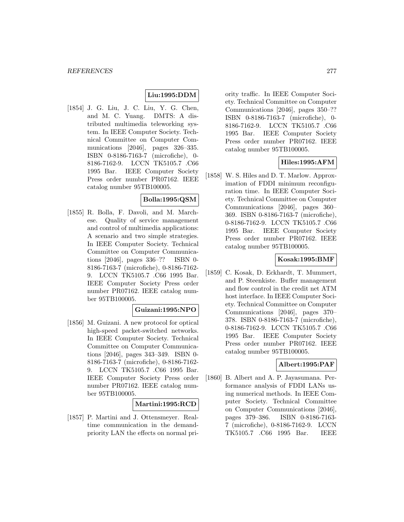## **Liu:1995:DDM**

[1854] J. G. Liu, J. C. Liu, Y. G. Chen, and M. C. Yuang. DMTS: A distributed multimedia teleworking system. In IEEE Computer Society. Technical Committee on Computer Communications [2046], pages 326–335. ISBN 0-8186-7163-7 (microfiche), 0- 8186-7162-9. LCCN TK5105.7 .C66 1995 Bar. IEEE Computer Society Press order number PR07162. IEEE catalog number 95TB100005.

## **Bolla:1995:QSM**

[1855] R. Bolla, F. Davoli, and M. Marchese. Quality of service management and control of multimedia applications: A scenario and two simple strategies. In IEEE Computer Society. Technical Committee on Computer Communications [2046], pages 336–?? ISBN 0- 8186-7163-7 (microfiche), 0-8186-7162- 9. LCCN TK5105.7 .C66 1995 Bar. IEEE Computer Society Press order number PR07162. IEEE catalog number 95TB100005.

#### **Guizani:1995:NPO**

[1856] M. Guizani. A new protocol for optical high-speed packet-switched networks. In IEEE Computer Society. Technical Committee on Computer Communications [2046], pages 343–349. ISBN 0- 8186-7163-7 (microfiche), 0-8186-7162- 9. LCCN TK5105.7 .C66 1995 Bar. IEEE Computer Society Press order number PR07162. IEEE catalog number 95TB100005.

### **Martini:1995:RCD**

[1857] P. Martini and J. Ottensmeyer. Realtime communication in the demandpriority LAN the effects on normal priority traffic. In IEEE Computer Society. Technical Committee on Computer Communications [2046], pages 350–?? ISBN 0-8186-7163-7 (microfiche), 0- 8186-7162-9. LCCN TK5105.7 .C66 1995 Bar. IEEE Computer Society Press order number PR07162. IEEE catalog number 95TB100005.

## **Hiles:1995:AFM**

[1858] W. S. Hiles and D. T. Marlow. Approximation of FDDI minimum reconfiguration time. In IEEE Computer Society. Technical Committee on Computer Communications [2046], pages 360– 369. ISBN 0-8186-7163-7 (microfiche), 0-8186-7162-9. LCCN TK5105.7 .C66 1995 Bar. IEEE Computer Society Press order number PR07162. IEEE catalog number 95TB100005.

### **Kosak:1995:BMF**

[1859] C. Kosak, D. Eckhardt, T. Mummert, and P. Steenkiste. Buffer management and flow control in the credit net ATM host interface. In IEEE Computer Society. Technical Committee on Computer Communications [2046], pages 370– 378. ISBN 0-8186-7163-7 (microfiche), 0-8186-7162-9. LCCN TK5105.7 .C66 1995 Bar. IEEE Computer Society Press order number PR07162. IEEE catalog number 95TB100005.

### **Albert:1995:PAF**

[1860] B. Albert and A. P. Jayasumana. Performance analysis of FDDI LANs using numerical methods. In IEEE Computer Society. Technical Committee on Computer Communications [2046], pages 379–386. ISBN 0-8186-7163- 7 (microfiche), 0-8186-7162-9. LCCN TK5105.7 .C66 1995 Bar. IEEE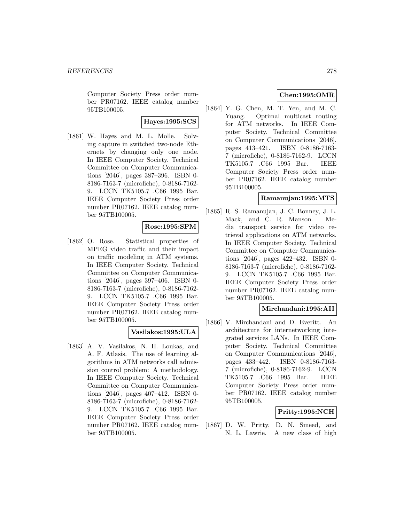Computer Society Press order number PR07162. IEEE catalog number 95TB100005.

## **Hayes:1995:SCS**

[1861] W. Hayes and M. L. Molle. Solving capture in switched two-node Ethernets by changing only one node. In IEEE Computer Society. Technical Committee on Computer Communications [2046], pages 387–396. ISBN 0- 8186-7163-7 (microfiche), 0-8186-7162- 9. LCCN TK5105.7 .C66 1995 Bar. IEEE Computer Society Press order number PR07162. IEEE catalog number 95TB100005.

## **Rose:1995:SPM**

[1862] O. Rose. Statistical properties of MPEG video traffic and their impact on traffic modeling in ATM systems. In IEEE Computer Society. Technical Committee on Computer Communications [2046], pages 397–406. ISBN 0- 8186-7163-7 (microfiche), 0-8186-7162- 9. LCCN TK5105.7 .C66 1995 Bar. IEEE Computer Society Press order number PR07162. IEEE catalog number 95TB100005.

## **Vasilakos:1995:ULA**

[1863] A. V. Vasilakos, N. H. Loukas, and A. F. Atlasis. The use of learning algorithms in ATM networks call admission control problem: A methodology. In IEEE Computer Society. Technical Committee on Computer Communications [2046], pages 407–412. ISBN 0- 8186-7163-7 (microfiche), 0-8186-7162- 9. LCCN TK5105.7 .C66 1995 Bar. IEEE Computer Society Press order number PR07162. IEEE catalog number 95TB100005.

## **Chen:1995:OMR**

[1864] Y. G. Chen, M. T. Yen, and M. C. Yuang. Optimal multicast routing for ATM networks. In IEEE Computer Society. Technical Committee on Computer Communications [2046], pages 413–421. ISBN 0-8186-7163- 7 (microfiche), 0-8186-7162-9. LCCN TK5105.7 .C66 1995 Bar. IEEE Computer Society Press order number PR07162. IEEE catalog number 95TB100005.

## **Ramanujan:1995:MTS**

[1865] R. S. Ramanujan, J. C. Bonney, J. L. Mack, and C. R. Manson. Media transport service for video retrieval applications on ATM networks. In IEEE Computer Society. Technical Committee on Computer Communications [2046], pages 422–432. ISBN 0- 8186-7163-7 (microfiche), 0-8186-7162- 9. LCCN TK5105.7 .C66 1995 Bar. IEEE Computer Society Press order number PR07162. IEEE catalog number 95TB100005.

### **Mirchandani:1995:AII**

[1866] V. Mirchandani and D. Everitt. An architecture for internetworking integrated services LANs. In IEEE Computer Society. Technical Committee on Computer Communications [2046], pages 433–442. ISBN 0-8186-7163- 7 (microfiche), 0-8186-7162-9. LCCN TK5105.7 .C66 1995 Bar. IEEE Computer Society Press order number PR07162. IEEE catalog number 95TB100005.

## **Pritty:1995:NCH**

[1867] D. W. Pritty, D. N. Smeed, and N. L. Lawrie. A new class of high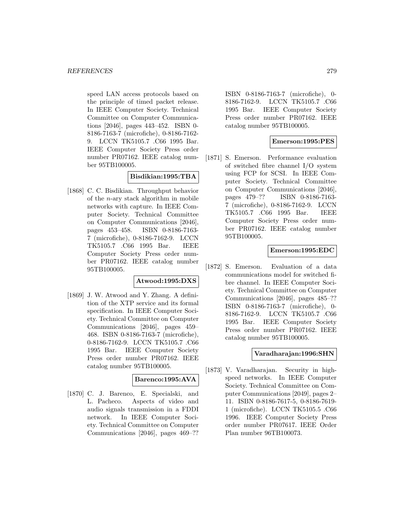speed LAN access protocols based on the principle of timed packet release. In IEEE Computer Society. Technical Committee on Computer Communications [2046], pages 443–452. ISBN 0- 8186-7163-7 (microfiche), 0-8186-7162- 9. LCCN TK5105.7 .C66 1995 Bar. IEEE Computer Society Press order number PR07162. IEEE catalog number 95TB100005.

## **Bisdikian:1995:TBA**

[1868] C. C. Bisdikian. Throughput behavior of the n-ary stack algorithm in mobile networks with capture. In IEEE Computer Society. Technical Committee on Computer Communications [2046], pages 453–458. ISBN 0-8186-7163- 7 (microfiche), 0-8186-7162-9. LCCN TK5105.7 .C66 1995 Bar. IEEE Computer Society Press order number PR07162. IEEE catalog number 95TB100005.

#### **Atwood:1995:DXS**

[1869] J. W. Atwood and Y. Zhang. A definition of the XTP service and its formal specification. In IEEE Computer Society. Technical Committee on Computer Communications [2046], pages 459– 468. ISBN 0-8186-7163-7 (microfiche), 0-8186-7162-9. LCCN TK5105.7 .C66 1995 Bar. IEEE Computer Society Press order number PR07162. IEEE catalog number 95TB100005.

### **Barenco:1995:AVA**

[1870] C. J. Barenco, E. Specialski, and L. Pacheco. Aspects of video and audio signals transmission in a FDDI network. In IEEE Computer Society. Technical Committee on Computer Communications [2046], pages 469–??

ISBN 0-8186-7163-7 (microfiche), 0- 8186-7162-9. LCCN TK5105.7 .C66 1995 Bar. IEEE Computer Society Press order number PR07162. IEEE catalog number 95TB100005.

## **Emerson:1995:PES**

[1871] S. Emerson. Performance evaluation of switched fibre channel I/O system using FCP for SCSI. In IEEE Computer Society. Technical Committee on Computer Communications [2046], pages 479–?? ISBN 0-8186-7163- 7 (microfiche), 0-8186-7162-9. LCCN TK5105.7 .C66 1995 Bar. IEEE Computer Society Press order number PR07162. IEEE catalog number 95TB100005.

## **Emerson:1995:EDC**

[1872] S. Emerson. Evaluation of a data communications model for switched fibre channel. In IEEE Computer Society. Technical Committee on Computer Communications [2046], pages 485–?? ISBN 0-8186-7163-7 (microfiche), 0- 8186-7162-9. LCCN TK5105.7 .C66 1995 Bar. IEEE Computer Society Press order number PR07162. IEEE catalog number 95TB100005.

### **Varadharajan:1996:SHN**

[1873] V. Varadharajan. Security in highspeed networks. In IEEE Computer Society. Technical Committee on Computer Communications [2049], pages 2– 11. ISBN 0-8186-7617-5, 0-8186-7619- 1 (microfiche). LCCN TK5105.5 .C66 1996. IEEE Computer Society Press order number PR07617. IEEE Order Plan number 96TB100073.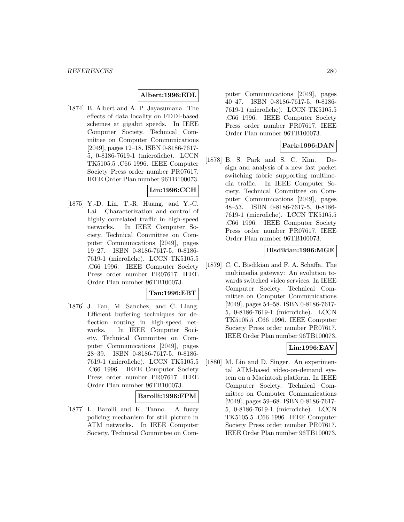## **Albert:1996:EDL**

[1874] B. Albert and A. P. Jayasumana. The effects of data locality on FDDI-based schemes at gigabit speeds. In IEEE Computer Society. Technical Committee on Computer Communications [2049], pages 12–18. ISBN 0-8186-7617- 5, 0-8186-7619-1 (microfiche). LCCN TK5105.5 .C66 1996. IEEE Computer Society Press order number PR07617. IEEE Order Plan number 96TB100073.

# **Lin:1996:CCH**

[1875] Y.-D. Lin, T.-R. Huang, and Y.-C. Lai. Characterization and control of highly correlated traffic in high-speed networks. In IEEE Computer Society. Technical Committee on Computer Communications [2049], pages 19–27. ISBN 0-8186-7617-5, 0-8186- 7619-1 (microfiche). LCCN TK5105.5 .C66 1996. IEEE Computer Society Press order number PR07617. IEEE Order Plan number 96TB100073.

## **Tan:1996:EBT**

[1876] J. Tan, M. Sanchez, and C. Liang. Efficient buffering techniques for deflection routing in high-speed networks. In IEEE Computer Society. Technical Committee on Computer Communications [2049], pages 28–39. ISBN 0-8186-7617-5, 0-8186- 7619-1 (microfiche). LCCN TK5105.5 .C66 1996. IEEE Computer Society Press order number PR07617. IEEE Order Plan number 96TB100073.

### **Barolli:1996:FPM**

[1877] L. Barolli and K. Tanno. A fuzzy policing mechanism for still picture in ATM networks. In IEEE Computer Society. Technical Committee on Computer Communications [2049], pages 40–47. ISBN 0-8186-7617-5, 0-8186- 7619-1 (microfiche). LCCN TK5105.5 .C66 1996. IEEE Computer Society Press order number PR07617. IEEE Order Plan number 96TB100073.

### **Park:1996:DAN**

[1878] B. S. Park and S. C. Kim. Design and analysis of a new fast packet switching fabric supporting multimedia traffic. In IEEE Computer Society. Technical Committee on Computer Communications [2049], pages 48–53. ISBN 0-8186-7617-5, 0-8186- 7619-1 (microfiche). LCCN TK5105.5 .C66 1996. IEEE Computer Society Press order number PR07617. IEEE Order Plan number 96TB100073.

### **Bisdikian:1996:MGE**

[1879] C. C. Bisdikian and F. A. Schaffa. The multimedia gateway: An evolution towards switched video services. In IEEE Computer Society. Technical Committee on Computer Communications [2049], pages 54–58. ISBN 0-8186-7617- 5, 0-8186-7619-1 (microfiche). LCCN TK5105.5 .C66 1996. IEEE Computer Society Press order number PR07617. IEEE Order Plan number 96TB100073.

## **Lin:1996:EAV**

[1880] M. Lin and D. Singer. An experimental ATM-based video-on-demand system on a Macintosh platform. In IEEE Computer Society. Technical Committee on Computer Communications [2049], pages 59–68. ISBN 0-8186-7617- 5, 0-8186-7619-1 (microfiche). LCCN TK5105.5 .C66 1996. IEEE Computer Society Press order number PR07617. IEEE Order Plan number 96TB100073.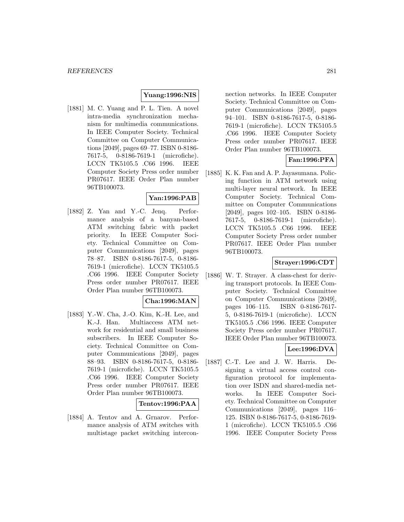### **Yuang:1996:NIS**

[1881] M. C. Yuang and P. L. Tien. A novel intra-media synchronization mechanism for multimedia communications. In IEEE Computer Society. Technical Committee on Computer Communications [2049], pages 69–77. ISBN 0-8186- 7617-5, 0-8186-7619-1 (microfiche). LCCN TK5105.5 .C66 1996. IEEE Computer Society Press order number PR07617. IEEE Order Plan number 96TB100073.

## **Yan:1996:PAB**

[1882] Z. Yan and Y.-C. Jenq. Performance analysis of a banyan-based ATM switching fabric with packet priority. In IEEE Computer Society. Technical Committee on Computer Communications [2049], pages 78–87. ISBN 0-8186-7617-5, 0-8186- 7619-1 (microfiche). LCCN TK5105.5 .C66 1996. IEEE Computer Society Press order number PR07617. IEEE Order Plan number 96TB100073.

#### **Cha:1996:MAN**

[1883] Y.-W. Cha, J.-O. Kim, K.-H. Lee, and K.-J. Han. Multiaccess ATM network for residential and small business subscribers. In IEEE Computer Society. Technical Committee on Computer Communications [2049], pages 88–93. ISBN 0-8186-7617-5, 0-8186- 7619-1 (microfiche). LCCN TK5105.5 .C66 1996. IEEE Computer Society Press order number PR07617. IEEE Order Plan number 96TB100073.

#### **Tentov:1996:PAA**

[1884] A. Tentov and A. Grnarov. Performance analysis of ATM switches with multistage packet switching intercon-

nection networks. In IEEE Computer Society. Technical Committee on Computer Communications [2049], pages 94–101. ISBN 0-8186-7617-5, 0-8186- 7619-1 (microfiche). LCCN TK5105.5 .C66 1996. IEEE Computer Society Press order number PR07617. IEEE Order Plan number 96TB100073.

## **Fan:1996:PFA**

[1885] K. K. Fan and A. P. Jayasumana. Policing function in ATM network using multi-layer neural network. In IEEE Computer Society. Technical Committee on Computer Communications [2049], pages 102–105. ISBN 0-8186- 7617-5, 0-8186-7619-1 (microfiche). LCCN TK5105.5 .C66 1996. IEEE Computer Society Press order number PR07617. IEEE Order Plan number 96TB100073.

### **Strayer:1996:CDT**

[1886] W. T. Strayer. A class-chest for deriving transport protocols. In IEEE Computer Society. Technical Committee on Computer Communications [2049], pages 106–115. ISBN 0-8186-7617- 5, 0-8186-7619-1 (microfiche). LCCN TK5105.5 .C66 1996. IEEE Computer Society Press order number PR07617. IEEE Order Plan number 96TB100073.

# **Lee:1996:DVA**

[1887] C.-T. Lee and J. W. Harris. Designing a virtual access control configuration protocol for implementation over ISDN and shared-media networks. In IEEE Computer Society. Technical Committee on Computer Communications [2049], pages 116– 125. ISBN 0-8186-7617-5, 0-8186-7619- 1 (microfiche). LCCN TK5105.5 .C66 1996. IEEE Computer Society Press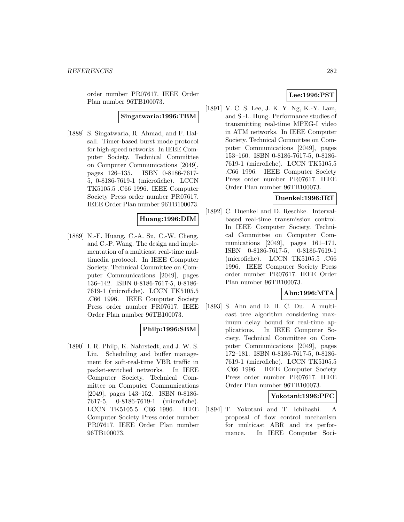order number PR07617. IEEE Order Plan number 96TB100073.

## **Singatwaria:1996:TBM**

[1888] S. Singatwaria, R. Ahmad, and F. Halsall. Timer-based burst mode protocol for high-speed networks. In IEEE Computer Society. Technical Committee on Computer Communications [2049], pages 126–135. ISBN 0-8186-7617- 5, 0-8186-7619-1 (microfiche). LCCN TK5105.5 .C66 1996. IEEE Computer Society Press order number PR07617. IEEE Order Plan number 96TB100073.

## **Huang:1996:DIM**

[1889] N.-F. Huang, C.-A. Su, C.-W. Cheng, and C.-P. Wang. The design and implementation of a multicast real-time multimedia protocol. In IEEE Computer Society. Technical Committee on Computer Communications [2049], pages 136–142. ISBN 0-8186-7617-5, 0-8186- 7619-1 (microfiche). LCCN TK5105.5 .C66 1996. IEEE Computer Society Press order number PR07617. IEEE Order Plan number 96TB100073.

### **Philp:1996:SBM**

[1890] I. R. Philp, K. Nahrstedt, and J. W. S. Liu. Scheduling and buffer management for soft-real-time VBR traffic in packet-switched networks. In IEEE Computer Society. Technical Committee on Computer Communications [2049], pages 143–152. ISBN 0-8186- 7617-5, 0-8186-7619-1 (microfiche). LCCN TK5105.5 .C66 1996. IEEE Computer Society Press order number PR07617. IEEE Order Plan number 96TB100073.

## **Lee:1996:PST**

[1891] V. C. S. Lee, J. K. Y. Ng, K.-Y. Lam, and S.-L. Hung. Performance studies of transmitting real-time MPEG-I video in ATM networks. In IEEE Computer Society. Technical Committee on Computer Communications [2049], pages 153–160. ISBN 0-8186-7617-5, 0-8186- 7619-1 (microfiche). LCCN TK5105.5 .C66 1996. IEEE Computer Society Press order number PR07617. IEEE Order Plan number 96TB100073.

### **Duenkel:1996:IRT**

[1892] C. Duenkel and D. Reschke. Intervalbased real-time transmission control. In IEEE Computer Society. Technical Committee on Computer Communications [2049], pages 161–171. ISBN 0-8186-7617-5, 0-8186-7619-1 (microfiche). LCCN TK5105.5 .C66 1996. IEEE Computer Society Press order number PR07617. IEEE Order Plan number 96TB100073.

# **Ahn:1996:MTA**

[1893] S. Ahn and D. H. C. Du. A multicast tree algorithm considering maximum delay bound for real-time applications. In IEEE Computer Society. Technical Committee on Computer Communications [2049], pages 172–181. ISBN 0-8186-7617-5, 0-8186- 7619-1 (microfiche). LCCN TK5105.5 .C66 1996. IEEE Computer Society Press order number PR07617. IEEE Order Plan number 96TB100073.

#### **Yokotani:1996:PFC**

[1894] T. Yokotani and T. Ichihashi. A proposal of flow control mechanism for multicast ABR and its performance. In IEEE Computer Soci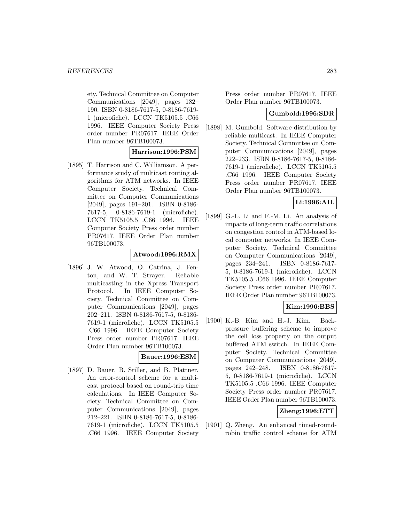ety. Technical Committee on Computer Communications [2049], pages 182– 190. ISBN 0-8186-7617-5, 0-8186-7619- 1 (microfiche). LCCN TK5105.5 .C66 1996. IEEE Computer Society Press order number PR07617. IEEE Order Plan number 96TB100073.

## **Harrison:1996:PSM**

[1895] T. Harrison and C. Williamson. A performance study of multicast routing algorithms for ATM networks. In IEEE Computer Society. Technical Committee on Computer Communications [2049], pages 191–201. ISBN 0-8186- 7617-5, 0-8186-7619-1 (microfiche). LCCN TK5105.5 .C66 1996. IEEE Computer Society Press order number PR07617. IEEE Order Plan number 96TB100073.

#### **Atwood:1996:RMX**

[1896] J. W. Atwood, O. Catrina, J. Fenton, and W. T. Strayer. Reliable multicasting in the Xpress Transport Protocol. In IEEE Computer Society. Technical Committee on Computer Communications [2049], pages 202–211. ISBN 0-8186-7617-5, 0-8186- 7619-1 (microfiche). LCCN TK5105.5 .C66 1996. IEEE Computer Society Press order number PR07617. IEEE Order Plan number 96TB100073.

## **Bauer:1996:ESM**

[1897] D. Bauer, B. Stiller, and B. Plattner. An error-control scheme for a multicast protocol based on round-trip time calculations. In IEEE Computer Society. Technical Committee on Computer Communications [2049], pages 212–221. ISBN 0-8186-7617-5, 0-8186- 7619-1 (microfiche). LCCN TK5105.5 .C66 1996. IEEE Computer Society Press order number PR07617. IEEE Order Plan number 96TB100073.

#### **Gumbold:1996:SDR**

[1898] M. Gumbold. Software distribution by reliable multicast. In IEEE Computer Society. Technical Committee on Computer Communications [2049], pages 222–233. ISBN 0-8186-7617-5, 0-8186- 7619-1 (microfiche). LCCN TK5105.5 .C66 1996. IEEE Computer Society Press order number PR07617. IEEE Order Plan number 96TB100073.

## **Li:1996:AIL**

[1899] G.-L. Li and F.-M. Li. An analysis of impacts of long-term traffic correlations on congestion control in ATM-based local computer networks. In IEEE Computer Society. Technical Committee on Computer Communications [2049], pages 234–241. ISBN 0-8186-7617- 5, 0-8186-7619-1 (microfiche). LCCN TK5105.5 .C66 1996. IEEE Computer Society Press order number PR07617. IEEE Order Plan number 96TB100073.

## **Kim:1996:BBS**

[1900] K.-B. Kim and H.-J. Kim. Backpressure buffering scheme to improve the cell loss property on the output buffered ATM switch. In IEEE Computer Society. Technical Committee on Computer Communications [2049], pages 242–248. ISBN 0-8186-7617- 5, 0-8186-7619-1 (microfiche). LCCN TK5105.5 .C66 1996. IEEE Computer Society Press order number PR07617. IEEE Order Plan number 96TB100073.

#### **Zheng:1996:ETT**

[1901] Q. Zheng. An enhanced timed-roundrobin traffic control scheme for ATM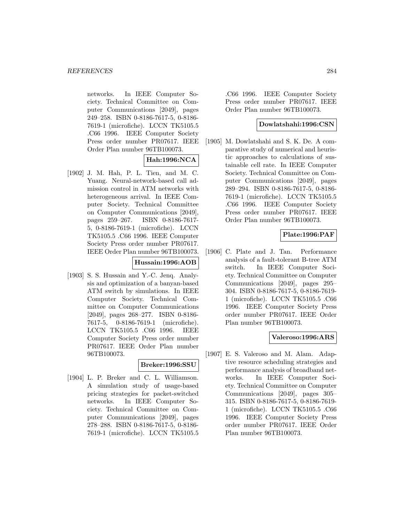networks. In IEEE Computer Society. Technical Committee on Computer Communications [2049], pages 249–258. ISBN 0-8186-7617-5, 0-8186- 7619-1 (microfiche). LCCN TK5105.5 .C66 1996. IEEE Computer Society Press order number PR07617. IEEE Order Plan number 96TB100073.

# **Hah:1996:NCA**

[1902] J. M. Hah, P. L. Tien, and M. C. Yuang. Neural-network-based call admission control in ATM networks with heterogeneous arrival. In IEEE Computer Society. Technical Committee on Computer Communications [2049], pages 259–267. ISBN 0-8186-7617- 5, 0-8186-7619-1 (microfiche). LCCN TK5105.5 .C66 1996. IEEE Computer Society Press order number PR07617. IEEE Order Plan number 96TB100073.

## **Hussain:1996:AOB**

[1903] S. S. Hussain and Y.-C. Jenq. Analysis and optimization of a banyan-based ATM switch by simulations. In IEEE Computer Society. Technical Committee on Computer Communications [2049], pages 268–277. ISBN 0-8186- 7617-5, 0-8186-7619-1 (microfiche). LCCN TK5105.5 .C66 1996. IEEE Computer Society Press order number PR07617. IEEE Order Plan number 96TB100073.

### **Breker:1996:SSU**

[1904] L. P. Breker and C. L. Williamson. A simulation study of usage-based pricing strategies for packet-switched networks. In IEEE Computer Society. Technical Committee on Computer Communications [2049], pages 278–288. ISBN 0-8186-7617-5, 0-8186- 7619-1 (microfiche). LCCN TK5105.5

.C66 1996. IEEE Computer Society Press order number PR07617. IEEE Order Plan number 96TB100073.

### **Dowlatshahi:1996:CSN**

[1905] M. Dowlatshahi and S. K. De. A comparative study of numerical and heuristic approaches to calculations of sustainable cell rate. In IEEE Computer Society. Technical Committee on Computer Communications [2049], pages 289–294. ISBN 0-8186-7617-5, 0-8186- 7619-1 (microfiche). LCCN TK5105.5 .C66 1996. IEEE Computer Society Press order number PR07617. IEEE Order Plan number 96TB100073.

## **Plate:1996:PAF**

[1906] C. Plate and J. Tan. Performance analysis of a fault-tolerant B-tree ATM switch. In IEEE Computer Society. Technical Committee on Computer Communications [2049], pages 295– 304. ISBN 0-8186-7617-5, 0-8186-7619- 1 (microfiche). LCCN TK5105.5 .C66 1996. IEEE Computer Society Press order number PR07617. IEEE Order Plan number 96TB100073.

## **Valeroso:1996:ARS**

[1907] E. S. Valeroso and M. Alam. Adaptive resource scheduling strategies and performance analysis of broadband networks. In IEEE Computer Society. Technical Committee on Computer Communications [2049], pages 305– 315. ISBN 0-8186-7617-5, 0-8186-7619- 1 (microfiche). LCCN TK5105.5 .C66 1996. IEEE Computer Society Press order number PR07617. IEEE Order Plan number 96TB100073.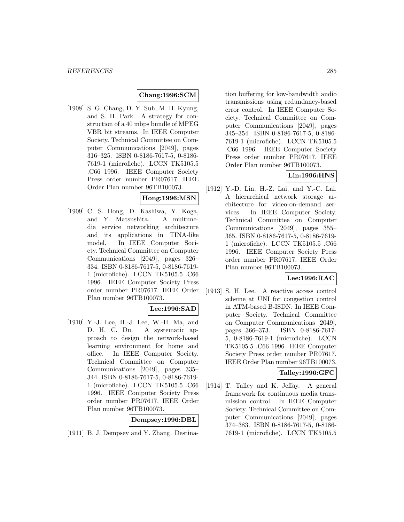## **Chang:1996:SCM**

[1908] S. G. Chang, D. Y. Suh, M. H. Kyung, and S. H. Park. A strategy for construction of a 40 mbps bundle of MPEG VBR bit streams. In IEEE Computer Society. Technical Committee on Computer Communications [2049], pages 316–325. ISBN 0-8186-7617-5, 0-8186- 7619-1 (microfiche). LCCN TK5105.5 .C66 1996. IEEE Computer Society Press order number PR07617. IEEE Order Plan number 96TB100073.

## **Hong:1996:MSN**

[1909] C. S. Hong, D. Kashiwa, Y. Koga, and Y. Matsushita. A multimedia service networking architecture and its applications in TINA-like model. In IEEE Computer Society. Technical Committee on Computer Communications [2049], pages 326– 334. ISBN 0-8186-7617-5, 0-8186-7619- 1 (microfiche). LCCN TK5105.5 .C66 1996. IEEE Computer Society Press order number PR07617. IEEE Order Plan number 96TB100073.

### **Lee:1996:SAD**

[1910] Y.-J. Lee, H.-J. Lee, W.-H. Ma, and D. H. C. Du. A systematic approach to design the network-based learning environment for home and office. In IEEE Computer Society. Technical Committee on Computer Communications [2049], pages 335– 344. ISBN 0-8186-7617-5, 0-8186-7619- 1 (microfiche). LCCN TK5105.5 .C66 1996. IEEE Computer Society Press order number PR07617. IEEE Order Plan number 96TB100073.

## **Dempsey:1996:DBL**

[1911] B. J. Dempsey and Y. Zhang. Destina-

tion buffering for low-bandwidth audio transmissions using redundancy-based error control. In IEEE Computer Society. Technical Committee on Computer Communications [2049], pages 345–354. ISBN 0-8186-7617-5, 0-8186- 7619-1 (microfiche). LCCN TK5105.5 .C66 1996. IEEE Computer Society Press order number PR07617. IEEE Order Plan number 96TB100073.

## **Lin:1996:HNS**

[1912] Y.-D. Lin, H.-Z. Lai, and Y.-C. Lai. A hierarchical network storage architecture for video-on-demand services. In IEEE Computer Society. Technical Committee on Computer Communications [2049], pages 355– 365. ISBN 0-8186-7617-5, 0-8186-7619- 1 (microfiche). LCCN TK5105.5 .C66 1996. IEEE Computer Society Press order number PR07617. IEEE Order Plan number 96TB100073.

### **Lee:1996:RAC**

[1913] S. H. Lee. A reactive access control scheme at UNI for congestion control in ATM-based B-ISDN. In IEEE Computer Society. Technical Committee on Computer Communications [2049], pages 366–373. ISBN 0-8186-7617- 5, 0-8186-7619-1 (microfiche). LCCN TK5105.5 .C66 1996. IEEE Computer Society Press order number PR07617. IEEE Order Plan number 96TB100073.

### **Talley:1996:GFC**

[1914] T. Talley and K. Jeffay. A general framework for continuous media transmission control. In IEEE Computer Society. Technical Committee on Computer Communications [2049], pages 374–383. ISBN 0-8186-7617-5, 0-8186- 7619-1 (microfiche). LCCN TK5105.5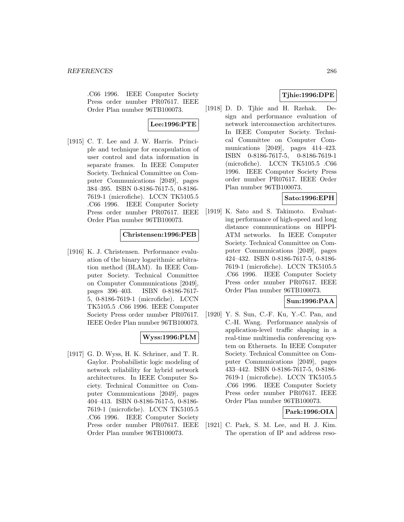.C66 1996. IEEE Computer Society Press order number PR07617. IEEE Order Plan number 96TB100073.

**Lee:1996:PTE**

[1915] C. T. Lee and J. W. Harris. Principle and technique for encapsulation of user control and data information in separate frames. In IEEE Computer Society. Technical Committee on Computer Communications [2049], pages 384–395. ISBN 0-8186-7617-5, 0-8186- 7619-1 (microfiche). LCCN TK5105.5 .C66 1996. IEEE Computer Society Press order number PR07617. IEEE Order Plan number 96TB100073.

### **Christensen:1996:PEB**

[1916] K. J. Christensen. Performance evaluation of the binary logarithmic arbitration method (BLAM). In IEEE Computer Society. Technical Committee on Computer Communications [2049], pages 396–403. ISBN 0-8186-7617- 5, 0-8186-7619-1 (microfiche). LCCN TK5105.5 .C66 1996. IEEE Computer Society Press order number PR07617. IEEE Order Plan number 96TB100073.

### **Wyss:1996:PLM**

[1917] G. D. Wyss, H. K. Schriner, and T. R. Gaylor. Probabilistic logic modeling of network reliability for hybrid network architectures. In IEEE Computer Society. Technical Committee on Computer Communications [2049], pages 404–413. ISBN 0-8186-7617-5, 0-8186- 7619-1 (microfiche). LCCN TK5105.5 .C66 1996. IEEE Computer Society Press order number PR07617. IEEE Order Plan number 96TB100073.

## **Tjhie:1996:DPE**

[1918] D. D. Tjhie and H. Rzehak. Design and performance evaluation of network interconnection architectures. In IEEE Computer Society. Technical Committee on Computer Communications [2049], pages 414–423. ISBN 0-8186-7617-5, 0-8186-7619-1 (microfiche). LCCN TK5105.5 .C66 1996. IEEE Computer Society Press order number PR07617. IEEE Order Plan number 96TB100073.

## **Sato:1996:EPH**

[1919] K. Sato and S. Takimoto. Evaluating performance of high-speed and long distance communications on HIPPI-ATM networks. In IEEE Computer Society. Technical Committee on Computer Communications [2049], pages 424–432. ISBN 0-8186-7617-5, 0-8186- 7619-1 (microfiche). LCCN TK5105.5 .C66 1996. IEEE Computer Society Press order number PR07617. IEEE Order Plan number 96TB100073.

**Sun:1996:PAA**

[1920] Y. S. Sun, C.-F. Ku, Y.-C. Pan, and C.-H. Wang. Performance analysis of application-level traffic shaping in a real-time multimedia conferencing system on Ethernets. In IEEE Computer Society. Technical Committee on Computer Communications [2049], pages 433–442. ISBN 0-8186-7617-5, 0-8186- 7619-1 (microfiche). LCCN TK5105.5 .C66 1996. IEEE Computer Society Press order number PR07617. IEEE Order Plan number 96TB100073.

**Park:1996:OIA**

[1921] C. Park, S. M. Lee, and H. J. Kim. The operation of IP and address reso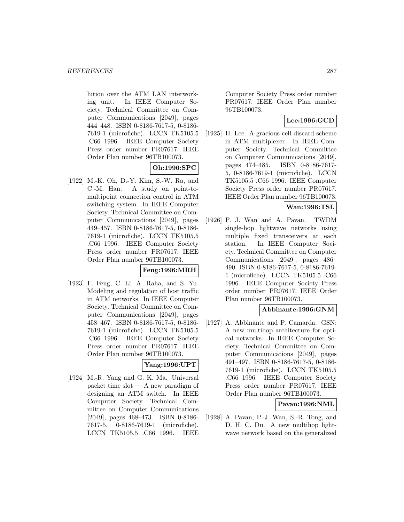lution over the ATM LAN interworking unit. In IEEE Computer Society. Technical Committee on Computer Communications [2049], pages 444–448. ISBN 0-8186-7617-5, 0-8186- 7619-1 (microfiche). LCCN TK5105.5 .C66 1996. IEEE Computer Society Press order number PR07617. IEEE Order Plan number 96TB100073.

## **Oh:1996:SPC**

[1922] M.-K. Oh, D.-Y. Kim, S.-W. Ra, and C.-M. Han. A study on point-tomultipoint connection control in ATM switching system. In IEEE Computer Society. Technical Committee on Computer Communications [2049], pages 449–457. ISBN 0-8186-7617-5, 0-8186- 7619-1 (microfiche). LCCN TK5105.5 .C66 1996. IEEE Computer Society Press order number PR07617. IEEE Order Plan number 96TB100073.

## **Feng:1996:MRH**

[1923] F. Feng, C. Li, A. Raha, and S. Yu. Modeling and regulation of host traffic in ATM networks. In IEEE Computer Society. Technical Committee on Computer Communications [2049], pages 458–467. ISBN 0-8186-7617-5, 0-8186- 7619-1 (microfiche). LCCN TK5105.5 .C66 1996. IEEE Computer Society Press order number PR07617. IEEE Order Plan number 96TB100073.

### **Yang:1996:UPT**

[1924] M.-R. Yang and G. K. Ma. Universal packet time slot — A new paradigm of designing an ATM switch. In IEEE Computer Society. Technical Committee on Computer Communications [2049], pages 468–473. ISBN 0-8186- 7617-5, 0-8186-7619-1 (microfiche). LCCN TK5105.5 .C66 1996. IEEE

Computer Society Press order number PR07617. IEEE Order Plan number 96TB100073.

## **Lee:1996:GCD**

[1925] H. Lee. A gracious cell discard scheme in ATM multiplexer. In IEEE Computer Society. Technical Committee on Computer Communications [2049], pages 474–485. ISBN 0-8186-7617- 5, 0-8186-7619-1 (microfiche). LCCN TK5105.5 .C66 1996. IEEE Computer Society Press order number PR07617. IEEE Order Plan number 96TB100073.

## **Wan:1996:TSL**

[1926] P. J. Wan and A. Pavan. TWDM single-hop lightwave networks using multiple fixed transceivers at each station. In IEEE Computer Society. Technical Committee on Computer Communications [2049], pages 486– 490. ISBN 0-8186-7617-5, 0-8186-7619- 1 (microfiche). LCCN TK5105.5 .C66 1996. IEEE Computer Society Press order number PR07617. IEEE Order Plan number 96TB100073.

### **Abbinante:1996:GNM**

[1927] A. Abbinante and P. Camarda. GSN: A new multihop architecture for optical networks. In IEEE Computer Society. Technical Committee on Computer Communications [2049], pages 491–497. ISBN 0-8186-7617-5, 0-8186- 7619-1 (microfiche). LCCN TK5105.5 .C66 1996. IEEE Computer Society Press order number PR07617. IEEE Order Plan number 96TB100073.

### **Pavan:1996:NML**

[1928] A. Pavan, P.-J. Wan, S.-R. Tong, and D. H. C. Du. A new multihop lightwave network based on the generalized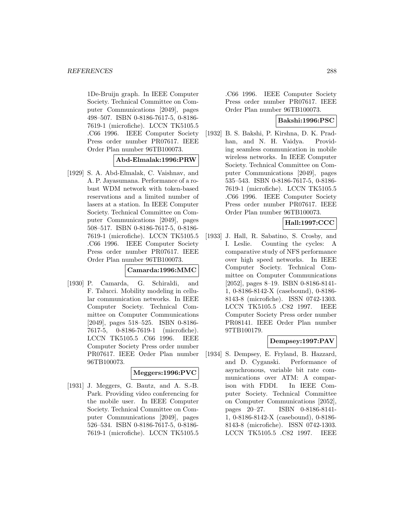1De-Bruijn graph. In IEEE Computer Society. Technical Committee on Computer Communications [2049], pages 498–507. ISBN 0-8186-7617-5, 0-8186- 7619-1 (microfiche). LCCN TK5105.5 .C66 1996. IEEE Computer Society Press order number PR07617. IEEE Order Plan number 96TB100073.

## **Abd-Elmalak:1996:PRW**

[1929] S. A. Abd-Elmalak, C. Vaishnav, and A. P. Jayasumana. Performance of a robust WDM network with token-based reservations and a limited number of lasers at a station. In IEEE Computer Society. Technical Committee on Computer Communications [2049], pages 508–517. ISBN 0-8186-7617-5, 0-8186- 7619-1 (microfiche). LCCN TK5105.5 .C66 1996. IEEE Computer Society Press order number PR07617. IEEE Order Plan number 96TB100073.

## **Camarda:1996:MMC**

[1930] P. Camarda, G. Schiraldi, and F. Talucci. Mobility modeling in cellular communication networks. In IEEE Computer Society. Technical Committee on Computer Communications [2049], pages 518–525. ISBN 0-8186- 7617-5, 0-8186-7619-1 (microfiche). LCCN TK5105.5 .C66 1996. IEEE Computer Society Press order number PR07617. IEEE Order Plan number 96TB100073.

### **Meggers:1996:PVC**

[1931] J. Meggers, G. Bautz, and A. S.-B. Park. Providing video conferencing for the mobile user. In IEEE Computer Society. Technical Committee on Computer Communications [2049], pages 526–534. ISBN 0-8186-7617-5, 0-8186- 7619-1 (microfiche). LCCN TK5105.5

.C66 1996. IEEE Computer Society Press order number PR07617. IEEE Order Plan number 96TB100073.

## **Bakshi:1996:PSC**

[1932] B. S. Bakshi, P. Kirshna, D. K. Pradhan, and N. H. Vaidya. Providing seamless communication in mobile wireless networks. In IEEE Computer Society. Technical Committee on Computer Communications [2049], pages 535–543. ISBN 0-8186-7617-5, 0-8186- 7619-1 (microfiche). LCCN TK5105.5 .C66 1996. IEEE Computer Society Press order number PR07617. IEEE Order Plan number 96TB100073.

## **Hall:1997:CCC**

[1933] J. Hall, R. Sabatino, S. Crosby, and I. Leslie. Counting the cycles: A comparative study of NFS performance over high speed networks. In IEEE Computer Society. Technical Committee on Computer Communications [2052], pages 8–19. ISBN 0-8186-8141- 1, 0-8186-8142-X (casebound), 0-8186- 8143-8 (microfiche). ISSN 0742-1303. LCCN TK5105.5 .C82 1997. IEEE Computer Society Press order number PR08141. IEEE Order Plan number 97TB100179.

### **Dempsey:1997:PAV**

[1934] S. Dempsey, E. Fryland, B. Hazzard, and D. Cyganski. Performance of asynchronous, variable bit rate communications over ATM: A comparison with FDDI. In IEEE Computer Society. Technical Committee on Computer Communications [2052], pages 20–27. ISBN 0-8186-8141- 1, 0-8186-8142-X (casebound), 0-8186- 8143-8 (microfiche). ISSN 0742-1303. LCCN TK5105.5 .C82 1997. IEEE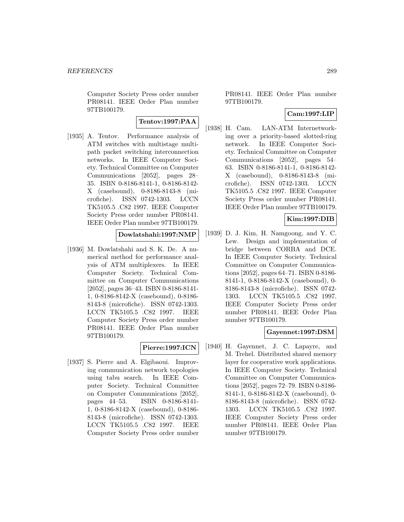Computer Society Press order number PR08141. IEEE Order Plan number 97TB100179.

# **Tentov:1997:PAA**

[1935] A. Tentov. Performance analysis of ATM switches with multistage multipath packet switching interconnection networks. In IEEE Computer Society. Technical Committee on Computer Communications [2052], pages 28– 35. ISBN 0-8186-8141-1, 0-8186-8142- X (casebound), 0-8186-8143-8 (microfiche). ISSN 0742-1303. LCCN TK5105.5 .C82 1997. IEEE Computer Society Press order number PR08141. IEEE Order Plan number 97TB100179.

#### **Dowlatshahi:1997:NMP**

[1936] M. Dowlatshahi and S. K. De. A numerical method for performance analysis of ATM multiplexers. In IEEE Computer Society. Technical Committee on Computer Communications [2052], pages 36–43. ISBN 0-8186-8141- 1, 0-8186-8142-X (casebound), 0-8186- 8143-8 (microfiche). ISSN 0742-1303. LCCN TK5105.5 .C82 1997. IEEE Computer Society Press order number PR08141. IEEE Order Plan number 97TB100179.

# **Pierre:1997:ICN**

[1937] S. Pierre and A. Elgibaoui. Improving communication network topologies using tabu search. In IEEE Computer Society. Technical Committee on Computer Communications [2052], pages 44–53. ISBN 0-8186-8141- 1, 0-8186-8142-X (casebound), 0-8186- 8143-8 (microfiche). ISSN 0742-1303. LCCN TK5105.5 .C82 1997. IEEE Computer Society Press order number

PR08141. IEEE Order Plan number 97TB100179.

### **Cam:1997:LIP**

[1938] H. Cam. LAN-ATM Internetworking over a priority-based slotted-ring network. In IEEE Computer Society. Technical Committee on Computer Communications [2052], pages 54– 63. ISBN 0-8186-8141-1, 0-8186-8142- X (casebound), 0-8186-8143-8 (microfiche). ISSN 0742-1303. LCCN TK5105.5 .C82 1997. IEEE Computer Society Press order number PR08141. IEEE Order Plan number 97TB100179.

# **Kim:1997:DIB**

[1939] D. J. Kim, H. Namgoong, and Y. C. Lew. Design and implementation of bridge between CORBA and DCE. In IEEE Computer Society. Technical Committee on Computer Communications [2052], pages 64–71. ISBN 0-8186- 8141-1, 0-8186-8142-X (casebound), 0- 8186-8143-8 (microfiche). ISSN 0742- 1303. LCCN TK5105.5 .C82 1997. IEEE Computer Society Press order number PR08141. IEEE Order Plan number 97TB100179.

#### **Gayennet:1997:DSM**

[1940] H. Gayennet, J. C. Lapayre, and M. Trehel. Distributed shared memory layer for cooperative work applications. In IEEE Computer Society. Technical Committee on Computer Communications [2052], pages 72–79. ISBN 0-8186- 8141-1, 0-8186-8142-X (casebound), 0- 8186-8143-8 (microfiche). ISSN 0742- 1303. LCCN TK5105.5 .C82 1997. IEEE Computer Society Press order number PR08141. IEEE Order Plan number 97TB100179.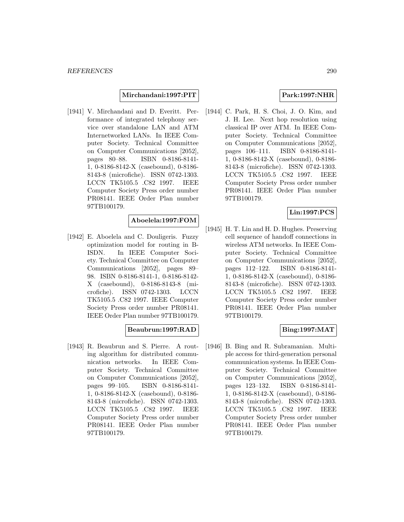**Mirchandani:1997:PIT**

[1941] V. Mirchandani and D. Everitt. Performance of integrated telephony service over standalone LAN and ATM Internetworked LANs. In IEEE Computer Society. Technical Committee on Computer Communications [2052], pages 80–88. ISBN 0-8186-8141- 1, 0-8186-8142-X (casebound), 0-8186- 8143-8 (microfiche). ISSN 0742-1303. LCCN TK5105.5 .C82 1997. IEEE Computer Society Press order number PR08141. IEEE Order Plan number 97TB100179.

## **Aboelela:1997:FOM**

[1942] E. Aboelela and C. Douligeris. Fuzzy optimization model for routing in B-ISDN. In IEEE Computer Society. Technical Committee on Computer Communications [2052], pages 89– 98. ISBN 0-8186-8141-1, 0-8186-8142- X (casebound), 0-8186-8143-8 (microfiche). ISSN 0742-1303. LCCN TK5105.5 .C82 1997. IEEE Computer Society Press order number PR08141. IEEE Order Plan number 97TB100179.

### **Beaubrun:1997:RAD**

[1943] R. Beaubrun and S. Pierre. A routing algorithm for distributed communication networks. In IEEE Computer Society. Technical Committee on Computer Communications [2052], pages 99–105. ISBN 0-8186-8141- 1, 0-8186-8142-X (casebound), 0-8186- 8143-8 (microfiche). ISSN 0742-1303. LCCN TK5105.5 .C82 1997. IEEE Computer Society Press order number PR08141. IEEE Order Plan number 97TB100179.

### **Park:1997:NHR**

[1944] C. Park, H. S. Choi, J. O. Kim, and J. H. Lee. Next hop resolution using classical IP over ATM. In IEEE Computer Society. Technical Committee on Computer Communications [2052], pages 106–111. ISBN 0-8186-8141- 1, 0-8186-8142-X (casebound), 0-8186- 8143-8 (microfiche). ISSN 0742-1303. LCCN TK5105.5 .C82 1997. IEEE Computer Society Press order number PR08141. IEEE Order Plan number 97TB100179.

## **Lin:1997:PCS**

[1945] H. T. Lin and H. D. Hughes. Preserving cell sequence of handoff connections in wireless ATM networks. In IEEE Computer Society. Technical Committee on Computer Communications [2052], pages 112–122. ISBN 0-8186-8141- 1, 0-8186-8142-X (casebound), 0-8186- 8143-8 (microfiche). ISSN 0742-1303. LCCN TK5105.5 .C82 1997. IEEE Computer Society Press order number PR08141. IEEE Order Plan number 97TB100179.

### **Bing:1997:MAT**

[1946] B. Bing and R. Subramanian. Multiple access for third-generation personal communication systems. In IEEE Computer Society. Technical Committee on Computer Communications [2052], pages 123–132. ISBN 0-8186-8141- 1, 0-8186-8142-X (casebound), 0-8186- 8143-8 (microfiche). ISSN 0742-1303. LCCN TK5105.5 .C82 1997. IEEE Computer Society Press order number PR08141. IEEE Order Plan number 97TB100179.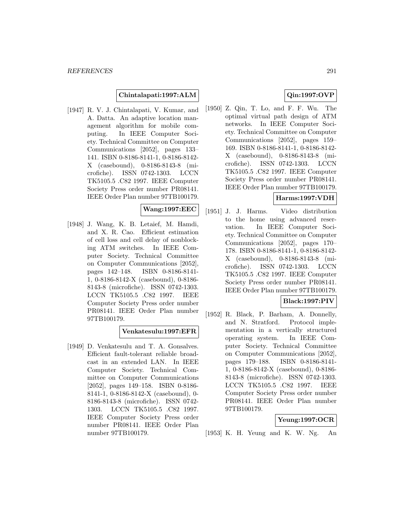#### **Chintalapati:1997:ALM**

[1947] R. V. J. Chintalapati, V. Kumar, and A. Datta. An adaptive location management algorithm for mobile computing. In IEEE Computer Society. Technical Committee on Computer Communications [2052], pages 133– 141. ISBN 0-8186-8141-1, 0-8186-8142- X (casebound), 0-8186-8143-8 (microfiche). ISSN 0742-1303. LCCN TK5105.5 .C82 1997. IEEE Computer Society Press order number PR08141. IEEE Order Plan number 97TB100179.

#### **Wang:1997:EEC**

[1948] J. Wang, K. B. Letaief, M. Hamdi, and X. R. Cao. Efficient estimation of cell loss and cell delay of nonblocking ATM switches. In IEEE Computer Society. Technical Committee on Computer Communications [2052], pages 142–148. ISBN 0-8186-8141- 1, 0-8186-8142-X (casebound), 0-8186- 8143-8 (microfiche). ISSN 0742-1303. LCCN TK5105.5 .C82 1997. IEEE Computer Society Press order number PR08141. IEEE Order Plan number 97TB100179.

#### **Venkatesulu:1997:EFR**

[1949] D. Venkatesulu and T. A. Gonsalves. Efficient fault-tolerant reliable broadcast in an extended LAN. In IEEE Computer Society. Technical Committee on Computer Communications [2052], pages 149–158. ISBN 0-8186- 8141-1, 0-8186-8142-X (casebound), 0- 8186-8143-8 (microfiche). ISSN 0742- 1303. LCCN TK5105.5 .C82 1997. IEEE Computer Society Press order number PR08141. IEEE Order Plan number 97TB100179.

# **Qin:1997:OVP**

[1950] Z. Qin, T. Lo, and F. F. Wu. The optimal virtual path design of ATM networks. In IEEE Computer Society. Technical Committee on Computer Communications [2052], pages 159– 169. ISBN 0-8186-8141-1, 0-8186-8142- X (casebound), 0-8186-8143-8 (microfiche). ISSN 0742-1303. LCCN TK5105.5 .C82 1997. IEEE Computer Society Press order number PR08141. IEEE Order Plan number 97TB100179.

## **Harms:1997:VDH**

[1951] J. J. Harms. Video distribution to the home using advanced reservation. In IEEE Computer Society. Technical Committee on Computer Communications [2052], pages 170– 178. ISBN 0-8186-8141-1, 0-8186-8142- X (casebound), 0-8186-8143-8 (microfiche). ISSN 0742-1303. LCCN TK5105.5 .C82 1997. IEEE Computer Society Press order number PR08141. IEEE Order Plan number 97TB100179.

# **Black:1997:PIV**

[1952] R. Black, P. Barham, A. Donnelly, and N. Stratford. Protocol implementation in a vertically structured operating system. In IEEE Computer Society. Technical Committee on Computer Communications [2052], pages 179–188. ISBN 0-8186-8141- 1, 0-8186-8142-X (casebound), 0-8186- 8143-8 (microfiche). ISSN 0742-1303. LCCN TK5105.5 .C82 1997. IEEE Computer Society Press order number PR08141. IEEE Order Plan number 97TB100179.

#### **Yeung:1997:OCR**

[1953] K. H. Yeung and K. W. Ng. An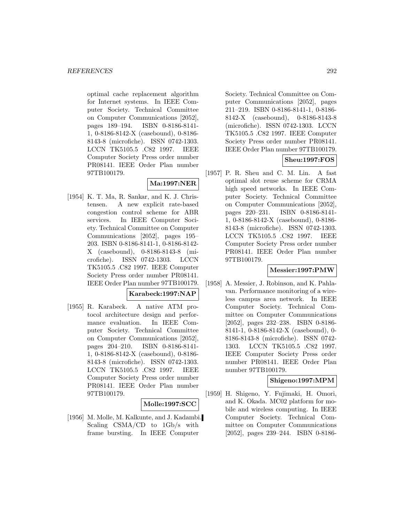optimal cache replacement algorithm for Internet systems. In IEEE Computer Society. Technical Committee on Computer Communications [2052], pages 189–194. ISBN 0-8186-8141- 1, 0-8186-8142-X (casebound), 0-8186- 8143-8 (microfiche). ISSN 0742-1303. LCCN TK5105.5 .C82 1997. IEEE Computer Society Press order number PR08141. IEEE Order Plan number 97TB100179.

# **Ma:1997:NER**

[1954] K. T. Ma, R. Sankar, and K. J. Christensen. A new explicit rate-based congestion control scheme for ABR services. In IEEE Computer Society. Technical Committee on Computer Communications [2052], pages 195– 203. ISBN 0-8186-8141-1, 0-8186-8142- X (casebound), 0-8186-8143-8 (microfiche). ISSN 0742-1303. LCCN TK5105.5 .C82 1997. IEEE Computer Society Press order number PR08141. IEEE Order Plan number 97TB100179.

# **Karabeck:1997:NAP**

[1955] R. Karabeck. A native ATM protocol architecture design and performance evaluation. In IEEE Computer Society. Technical Committee on Computer Communications [2052], pages 204–210. ISBN 0-8186-8141- 1, 0-8186-8142-X (casebound), 0-8186- 8143-8 (microfiche). ISSN 0742-1303. LCCN TK5105.5 .C82 1997. IEEE Computer Society Press order number PR08141. IEEE Order Plan number 97TB100179.

#### **Molle:1997:SCC**

[1956] M. Molle, M. Kalkunte, and J. Kadambi. Scaling CSMA/CD to 1Gb/s with frame bursting. In IEEE Computer

Society. Technical Committee on Computer Communications [2052], pages 211–219. ISBN 0-8186-8141-1, 0-8186- 8142-X (casebound), 0-8186-8143-8 (microfiche). ISSN 0742-1303. LCCN TK5105.5 .C82 1997. IEEE Computer Society Press order number PR08141. IEEE Order Plan number 97TB100179.

# **Sheu:1997:FOS**

[1957] P. R. Sheu and C. M. Lin. A fast optimal slot reuse scheme for CRMA high speed networks. In IEEE Computer Society. Technical Committee on Computer Communications [2052], pages 220–231. ISBN 0-8186-8141- 1, 0-8186-8142-X (casebound), 0-8186- 8143-8 (microfiche). ISSN 0742-1303. LCCN TK5105.5 .C82 1997. IEEE Computer Society Press order number PR08141. IEEE Order Plan number 97TB100179.

#### **Messier:1997:PMW**

[1958] A. Messier, J. Robinson, and K. Pahlavan. Performance monitoring of a wireless campus area network. In IEEE Computer Society. Technical Committee on Computer Communications [2052], pages 232–238. ISBN 0-8186- 8141-1, 0-8186-8142-X (casebound), 0- 8186-8143-8 (microfiche). ISSN 0742- 1303. LCCN TK5105.5 .C82 1997. IEEE Computer Society Press order number PR08141. IEEE Order Plan number 97TB100179.

## **Shigeno:1997:MPM**

[1959] H. Shigeno, Y. Fujimaki, H. Omori, and K. Okada. MC02 platform for mobile and wireless computing. In IEEE Computer Society. Technical Committee on Computer Communications [2052], pages 239–244. ISBN 0-8186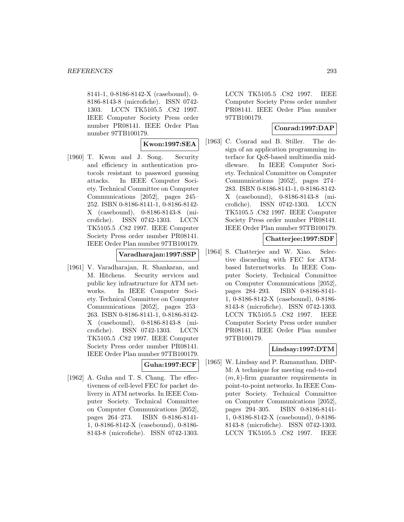8141-1, 0-8186-8142-X (casebound), 0- 8186-8143-8 (microfiche). ISSN 0742- 1303. LCCN TK5105.5 .C82 1997. IEEE Computer Society Press order number PR08141. IEEE Order Plan number 97TB100179.

#### **Kwon:1997:SEA**

[1960] T. Kwon and J. Song. Security and efficiency in authentication protocols resistant to password guessing attacks. In IEEE Computer Society. Technical Committee on Computer Communications [2052], pages 245– 252. ISBN 0-8186-8141-1, 0-8186-8142- X (casebound), 0-8186-8143-8 (microfiche). ISSN 0742-1303. LCCN TK5105.5 .C82 1997. IEEE Computer Society Press order number PR08141. IEEE Order Plan number 97TB100179.

### **Varadharajan:1997:SSP**

[1961] V. Varadharajan, R. Shankaran, and M. Hitchens. Security services and public key infrastructure for ATM networks. In IEEE Computer Society. Technical Committee on Computer Communications [2052], pages 253– 263. ISBN 0-8186-8141-1, 0-8186-8142- X (casebound), 0-8186-8143-8 (microfiche). ISSN 0742-1303. LCCN TK5105.5 .C82 1997. IEEE Computer Society Press order number PR08141. IEEE Order Plan number 97TB100179.

#### **Guha:1997:ECF**

[1962] A. Guha and T. S. Chang. The effectiveness of cell-level FEC for packet delivery in ATM networks. In IEEE Computer Society. Technical Committee on Computer Communications [2052], pages 264–273. ISBN 0-8186-8141- 1, 0-8186-8142-X (casebound), 0-8186- 8143-8 (microfiche). ISSN 0742-1303.

LCCN TK5105.5 .C82 1997. IEEE Computer Society Press order number PR08141. IEEE Order Plan number 97TB100179.

### **Conrad:1997:DAP**

[1963] C. Conrad and B. Stiller. The design of an application programming interface for QoS-based multimedia middleware. In IEEE Computer Society. Technical Committee on Computer Communications [2052], pages 274– 283. ISBN 0-8186-8141-1, 0-8186-8142- X (casebound), 0-8186-8143-8 (microfiche). ISSN 0742-1303. LCCN TK5105.5 .C82 1997. IEEE Computer Society Press order number PR08141. IEEE Order Plan number 97TB100179.

# **Chatterjee:1997:SDF**

[1964] S. Chatterjee and W. Xiao. Selective discarding with FEC for ATMbased Internetworks. In IEEE Computer Society. Technical Committee on Computer Communications [2052], pages 284–293. ISBN 0-8186-8141- 1, 0-8186-8142-X (casebound), 0-8186- 8143-8 (microfiche). ISSN 0742-1303. LCCN TK5105.5 .C82 1997. IEEE Computer Society Press order number PR08141. IEEE Order Plan number 97TB100179.

# **Lindsay:1997:DTM**

[1965] W. Lindsay and P. Ramanathan. DBP-M: A technique for meeting end-to-end  $(m, k)$ -firm guarantee requirements in point-to-point networks. In IEEE Computer Society. Technical Committee on Computer Communications [2052], pages 294–305. ISBN 0-8186-8141- 1, 0-8186-8142-X (casebound), 0-8186- 8143-8 (microfiche). ISSN 0742-1303. LCCN TK5105.5 .C82 1997. IEEE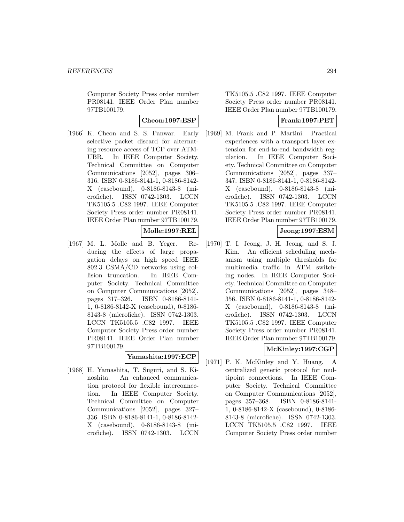Computer Society Press order number PR08141. IEEE Order Plan number 97TB100179.

**Cheon:1997:ESP**

[1966] K. Cheon and S. S. Panwar. Early selective packet discard for alternating resource access of TCP over ATM-UBR. In IEEE Computer Society. Technical Committee on Computer Communications [2052], pages 306– 316. ISBN 0-8186-8141-1, 0-8186-8142- X (casebound), 0-8186-8143-8 (microfiche). ISSN 0742-1303. LCCN TK5105.5 .C82 1997. IEEE Computer Society Press order number PR08141. IEEE Order Plan number 97TB100179.

**Molle:1997:REL**

[1967] M. L. Molle and B. Yeger. Reducing the effects of large propagation delays on high speed IEEE 802.3 CSMA/CD networks using collision truncation. In IEEE Computer Society. Technical Committee on Computer Communications [2052], pages 317–326. ISBN 0-8186-8141- 1, 0-8186-8142-X (casebound), 0-8186- 8143-8 (microfiche). ISSN 0742-1303. LCCN TK5105.5 .C82 1997. IEEE Computer Society Press order number PR08141. IEEE Order Plan number 97TB100179.

#### **Yamashita:1997:ECP**

[1968] H. Yamashita, T. Suguri, and S. Kinoshita. An enhanced communication protocol for flexible interconnection. In IEEE Computer Society. Technical Committee on Computer Communications [2052], pages 327– 336. ISBN 0-8186-8141-1, 0-8186-8142- X (casebound), 0-8186-8143-8 (microfiche). ISSN 0742-1303. LCCN

TK5105.5 .C82 1997. IEEE Computer Society Press order number PR08141. IEEE Order Plan number 97TB100179.

# **Frank:1997:PET**

[1969] M. Frank and P. Martini. Practical experiences with a transport layer extension for end-to-end bandwidth regulation. In IEEE Computer Society. Technical Committee on Computer Communications [2052], pages 337– 347. ISBN 0-8186-8141-1, 0-8186-8142- X (casebound), 0-8186-8143-8 (microfiche). ISSN 0742-1303. LCCN TK5105.5 .C82 1997. IEEE Computer Society Press order number PR08141. IEEE Order Plan number 97TB100179.

## **Jeong:1997:ESM**

[1970] T. I. Jeong, J. H. Jeong, and S. J. Kim. An efficient scheduling mechanism using multiple thresholds for multimedia traffic in ATM switching nodes. In IEEE Computer Society. Technical Committee on Computer Communications [2052], pages 348– 356. ISBN 0-8186-8141-1, 0-8186-8142- X (casebound), 0-8186-8143-8 (microfiche). ISSN 0742-1303. LCCN TK5105.5 .C82 1997. IEEE Computer Society Press order number PR08141. IEEE Order Plan number 97TB100179.

# **McKinley:1997:CGP**

[1971] P. K. McKinley and Y. Huang. A centralized generic protocol for multipoint connections. In IEEE Computer Society. Technical Committee on Computer Communications [2052], pages 357–368. ISBN 0-8186-8141- 1, 0-8186-8142-X (casebound), 0-8186- 8143-8 (microfiche). ISSN 0742-1303. LCCN TK5105.5 .C82 1997. IEEE Computer Society Press order number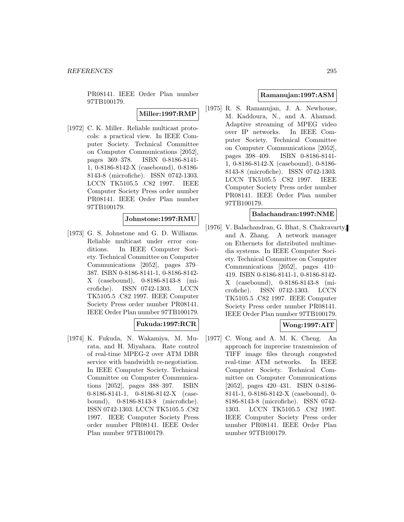PR08141. IEEE Order Plan number 97TB100179.

**Miller:1997:RMP**

[1972] C. K. Miller. Reliable multicast protocols: a practical view. In IEEE Computer Society. Technical Committee on Computer Communications [2052], pages 369–378. ISBN 0-8186-8141- 1, 0-8186-8142-X (casebound), 0-8186- 8143-8 (microfiche). ISSN 0742-1303. LCCN TK5105.5 .C82 1997. IEEE Computer Society Press order number PR08141. IEEE Order Plan number 97TB100179.

#### **Johnstone:1997:RMU**

[1973] G. S. Johnstone and G. D. Williams. Reliable multicast under error conditions. In IEEE Computer Society. Technical Committee on Computer Communications [2052], pages 379– 387. ISBN 0-8186-8141-1, 0-8186-8142- X (casebound), 0-8186-8143-8 (microfiche). ISSN 0742-1303. LCCN TK5105.5 .C82 1997. IEEE Computer Society Press order number PR08141. IEEE Order Plan number 97TB100179.

#### **Fukuda:1997:RCR**

[1974] K. Fukuda, N. Wakamiya, M. Murata, and H. Miyahara. Rate control of real-time MPEG-2 over ATM DBR service with bandwidth re-negotiation. In IEEE Computer Society. Technical Committee on Computer Communications [2052], pages 388–397. ISBN 0-8186-8141-1, 0-8186-8142-X (casebound), 0-8186-8143-8 (microfiche). ISSN 0742-1303. LCCN TK5105.5 .C82 1997. IEEE Computer Society Press order number PR08141. IEEE Order Plan number 97TB100179.

#### **Ramanujan:1997:ASM**

[1975] R. S. Ramanujan, J. A. Newhouse, M. Kaddoura, N., and A. Ahamad. Adaptive streaming of MPEG video over IP networks. In IEEE Computer Society. Technical Committee on Computer Communications [2052], pages 398–409. ISBN 0-8186-8141- 1, 0-8186-8142-X (casebound), 0-8186- 8143-8 (microfiche). ISSN 0742-1303. LCCN TK5105.5 .C82 1997. IEEE Computer Society Press order number PR08141. IEEE Order Plan number 97TB100179.

#### **Balachandran:1997:NME**

[1976] V. Balachandran, G. Bhat, S. Chakravarty, and A. Zhang. A network manager on Ethernets for distributed multimedia systems. In IEEE Computer Society. Technical Committee on Computer Communications [2052], pages 410– 419. ISBN 0-8186-8141-1, 0-8186-8142- X (casebound), 0-8186-8143-8 (microfiche). ISSN 0742-1303. LCCN TK5105.5 .C82 1997. IEEE Computer Society Press order number PR08141. IEEE Order Plan number 97TB100179.

### **Wong:1997:AIT**

[1977] C. Wong and A. M. K. Cheng. An approach for imprecise transmission of TIFF image files through congested real-time ATM networks. In IEEE Computer Society. Technical Committee on Computer Communications [2052], pages 420–431. ISBN 0-8186- 8141-1, 0-8186-8142-X (casebound), 0- 8186-8143-8 (microfiche). ISSN 0742- 1303. LCCN TK5105.5 .C82 1997. IEEE Computer Society Press order number PR08141. IEEE Order Plan number 97TB100179.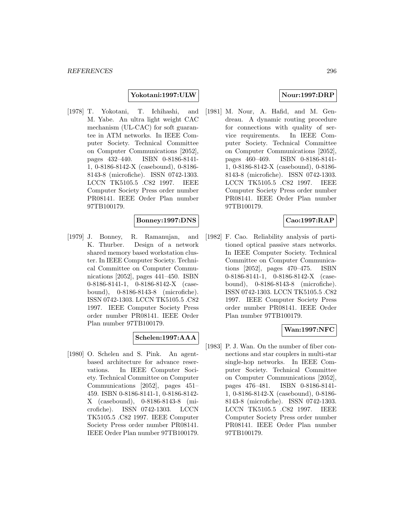## **Yokotani:1997:ULW**

[1978] T. Yokotani, T. Ichihashi, and M. Yabe. An ultra light weight CAC mechanism (UL-CAC) for soft guarantee in ATM networks. In IEEE Computer Society. Technical Committee on Computer Communications [2052], pages 432–440. ISBN 0-8186-8141- 1, 0-8186-8142-X (casebound), 0-8186- 8143-8 (microfiche). ISSN 0742-1303. LCCN TK5105.5 .C82 1997. IEEE Computer Society Press order number PR08141. IEEE Order Plan number 97TB100179.

#### **Bonney:1997:DNS**

[1979] J. Bonney, R. Ramanujan, and K. Thurber. Design of a network shared memory based workstation cluster. In IEEE Computer Society. Technical Committee on Computer Communications [2052], pages 441–450. ISBN 0-8186-8141-1, 0-8186-8142-X (casebound), 0-8186-8143-8 (microfiche). ISSN 0742-1303. LCCN TK5105.5 .C82 1997. IEEE Computer Society Press order number PR08141. IEEE Order Plan number 97TB100179.

# **Schelen:1997:AAA**

[1980] O. Schelen and S. Pink. An agentbased architecture for advance reservations. In IEEE Computer Society. Technical Committee on Computer Communications [2052], pages 451– 459. ISBN 0-8186-8141-1, 0-8186-8142- X (casebound), 0-8186-8143-8 (microfiche). ISSN 0742-1303. LCCN TK5105.5 .C82 1997. IEEE Computer Society Press order number PR08141. IEEE Order Plan number 97TB100179.

#### **Nour:1997:DRP**

[1981] M. Nour, A. Hafid, and M. Gendreau. A dynamic routing procedure for connections with quality of service requirements. In IEEE Computer Society. Technical Committee on Computer Communications [2052], pages 460–469. ISBN 0-8186-8141- 1, 0-8186-8142-X (casebound), 0-8186- 8143-8 (microfiche). ISSN 0742-1303. LCCN TK5105.5 .C82 1997. IEEE Computer Society Press order number PR08141. IEEE Order Plan number 97TB100179.

## **Cao:1997:RAP**

[1982] F. Cao. Reliability analysis of partitioned optical passive stars networks. In IEEE Computer Society. Technical Committee on Computer Communications [2052], pages 470–475. ISBN 0-8186-8141-1, 0-8186-8142-X (casebound), 0-8186-8143-8 (microfiche). ISSN 0742-1303. LCCN TK5105.5 .C82 1997. IEEE Computer Society Press order number PR08141. IEEE Order Plan number 97TB100179.

### **Wan:1997:NFC**

[1983] P. J. Wan. On the number of fiber connections and star couplers in multi-star single-hop networks. In IEEE Computer Society. Technical Committee on Computer Communications [2052], pages 476–481. ISBN 0-8186-8141- 1, 0-8186-8142-X (casebound), 0-8186- 8143-8 (microfiche). ISSN 0742-1303. LCCN TK5105.5 .C82 1997. IEEE Computer Society Press order number PR08141. IEEE Order Plan number 97TB100179.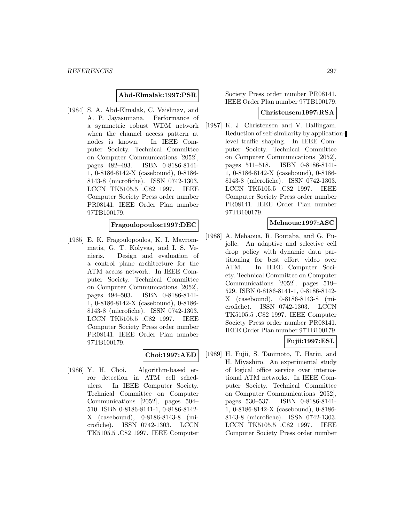#### **Abd-Elmalak:1997:PSR**

[1984] S. A. Abd-Elmalak, C. Vaishnav, and A. P. Jayasumana. Performance of a symmetric robust WDM network when the channel access pattern at nodes is known. In IEEE Computer Society. Technical Committee on Computer Communications [2052], pages 482–493. ISBN 0-8186-8141- 1, 0-8186-8142-X (casebound), 0-8186- 8143-8 (microfiche). ISSN 0742-1303. LCCN TK5105.5 .C82 1997. IEEE Computer Society Press order number PR08141. IEEE Order Plan number 97TB100179.

## **Fragoulopoulos:1997:DEC**

[1985] E. K. Fragoulopoulos, K. I. Mavrommatis, G. T. Kolyvas, and I. S. Venieris. Design and evaluation of a control plane architecture for the ATM access network. In IEEE Computer Society. Technical Committee on Computer Communications [2052], pages 494–503. ISBN 0-8186-8141- 1, 0-8186-8142-X (casebound), 0-8186- 8143-8 (microfiche). ISSN 0742-1303. LCCN TK5105.5 .C82 1997. IEEE Computer Society Press order number PR08141. IEEE Order Plan number 97TB100179.

#### **Choi:1997:AED**

[1986] Y. H. Choi. Algorithm-based error detection in ATM cell schedulers. In IEEE Computer Society. Technical Committee on Computer Communications [2052], pages 504– 510. ISBN 0-8186-8141-1, 0-8186-8142- X (casebound), 0-8186-8143-8 (microfiche). ISSN 0742-1303. LCCN TK5105.5 .C82 1997. IEEE Computer Society Press order number PR08141. IEEE Order Plan number 97TB100179.

#### **Christensen:1997:RSA**

[1987] K. J. Christensen and V. Ballingam. Reduction of self-similarity by applicationlevel traffic shaping. In IEEE Computer Society. Technical Committee on Computer Communications [2052], pages 511–518. ISBN 0-8186-8141- 1, 0-8186-8142-X (casebound), 0-8186- 8143-8 (microfiche). ISSN 0742-1303. LCCN TK5105.5 .C82 1997. IEEE Computer Society Press order number PR08141. IEEE Order Plan number 97TB100179.

#### **Mehaoua:1997:ASC**

[1988] A. Mehaoua, R. Boutaba, and G. Pujolle. An adaptive and selective cell drop policy with dynamic data partitioning for best effort video over ATM. In IEEE Computer Society. Technical Committee on Computer Communications [2052], pages 519– 529. ISBN 0-8186-8141-1, 0-8186-8142- X (casebound), 0-8186-8143-8 (microfiche). ISSN 0742-1303. LCCN TK5105.5 .C82 1997. IEEE Computer Society Press order number PR08141. IEEE Order Plan number 97TB100179.

### **Fujii:1997:ESL**

[1989] H. Fujii, S. Tanimoto, T. Hariu, and H. Miyashiro. An experimental study of logical office service over international ATM networks. In IEEE Computer Society. Technical Committee on Computer Communications [2052], pages 530–537. ISBN 0-8186-8141- 1, 0-8186-8142-X (casebound), 0-8186- 8143-8 (microfiche). ISSN 0742-1303. LCCN TK5105.5 .C82 1997. IEEE Computer Society Press order number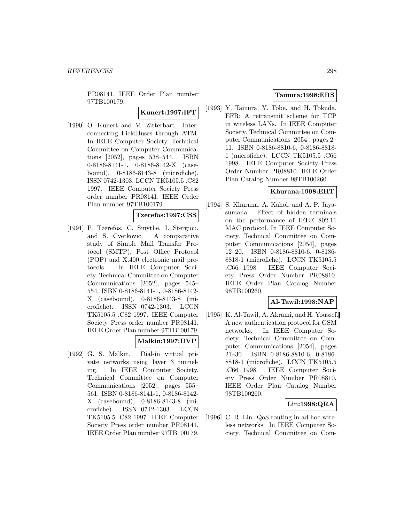PR08141. IEEE Order Plan number 97TB100179.

**Kunert:1997:IFT**

[1990] O. Kunert and M. Zitterbart. Interconnecting FieldBuses through ATM. In IEEE Computer Society. Technical Committee on Computer Communications [2052], pages 538–544. ISBN 0-8186-8141-1, 0-8186-8142-X (casebound), 0-8186-8143-8 (microfiche). ISSN 0742-1303. LCCN TK5105.5 .C82 1997. IEEE Computer Society Press order number PR08141. IEEE Order Plan number 97TB100179.

## **Tzerefos:1997:CSS**

[1991] P. Tzerefos, C. Smythe, I. Stergiou, and S. Cvetkovic. A comparative study of Simple Mail Transfer Protocol (SMTP), Post Office Protocol (POP) and X.400 electronic mail protocols. In IEEE Computer Society. Technical Committee on Computer Communications [2052], pages 545– 554. ISBN 0-8186-8141-1, 0-8186-8142- X (casebound), 0-8186-8143-8 (microfiche). ISSN 0742-1303. LCCN TK5105.5 .C82 1997. IEEE Computer Society Press order number PR08141. IEEE Order Plan number 97TB100179.

## **Malkin:1997:DVP**

[1992] G. S. Malkin. Dial-in virtual private networks using layer 3 tunneling. In IEEE Computer Society. Technical Committee on Computer Communications [2052], pages 555– 561. ISBN 0-8186-8141-1, 0-8186-8142- X (casebound), 0-8186-8143-8 (microfiche). ISSN 0742-1303. LCCN TK5105.5 .C82 1997. IEEE Computer Society Press order number PR08141. IEEE Order Plan number 97TB100179.

## **Tamura:1998:ERS**

[1993] Y. Tamura, Y. Tobe, and H. Tokuda. EFR: A retransmit scheme for TCP in wireless LANs. In IEEE Computer Society. Technical Committee on Computer Communications [2054], pages 2– 11. ISBN 0-8186-8810-6, 0-8186-8818- 1 (microfiche). LCCN TK5105.5 .C66 1998. IEEE Computer Society Press Order Number PR08810. IEEE Order Plan Catalog Number 98TB100260.

#### **Khurana:1998:EHT**

[1994] S. Khurana, A. Kahol, and A. P. Jayasumana. Effect of hidden terminals on the performance of IEEE 802.11 MAC protocol. In IEEE Computer Society. Technical Committee on Computer Communications [2054], pages 12–20. ISBN 0-8186-8810-6, 0-8186- 8818-1 (microfiche). LCCN TK5105.5 .C66 1998. IEEE Computer Society Press Order Number PR08810. IEEE Order Plan Catalog Number 98TB100260.

#### **Al-Tawil:1998:NAP**

[1995] K. Al-Tawil, A. Akrami, and H. Youssef. A new authentication protocol for GSM networks. In IEEE Computer Society. Technical Committee on Computer Communications [2054], pages 21–30. ISBN 0-8186-8810-6, 0-8186- 8818-1 (microfiche). LCCN TK5105.5 .C66 1998. IEEE Computer Society Press Order Number PR08810. IEEE Order Plan Catalog Number 98TB100260.

# **Lin:1998:QRA**

[1996] C. R. Lin. QoS routing in ad hoc wireless networks. In IEEE Computer Society. Technical Committee on Com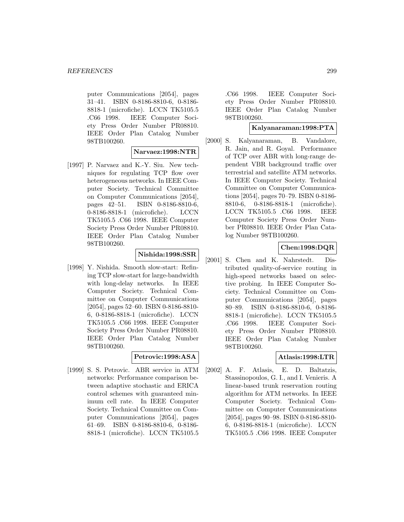puter Communications [2054], pages 31–41. ISBN 0-8186-8810-6, 0-8186- 8818-1 (microfiche). LCCN TK5105.5 .C66 1998. IEEE Computer Society Press Order Number PR08810. IEEE Order Plan Catalog Number 98TB100260.

**Narvaez:1998:NTR**

[1997] P. Narvaez and K.-Y. Siu. New techniques for regulating TCP flow over heterogeneous networks. In IEEE Computer Society. Technical Committee on Computer Communications [2054], pages 42–51. ISBN 0-8186-8810-6, 0-8186-8818-1 (microfiche). LCCN TK5105.5 .C66 1998. IEEE Computer Society Press Order Number PR08810. IEEE Order Plan Catalog Number 98TB100260.

#### **Nishida:1998:SSR**

[1998] Y. Nishida. Smooth slow-start: Refining TCP slow-start for large-bandwidth with long-delay networks. In IEEE Computer Society. Technical Committee on Computer Communications [2054], pages 52–60. ISBN 0-8186-8810- 6, 0-8186-8818-1 (microfiche). LCCN TK5105.5 .C66 1998. IEEE Computer Society Press Order Number PR08810. IEEE Order Plan Catalog Number 98TB100260.

### **Petrovic:1998:ASA**

[1999] S. S. Petrovic. ABR service in ATM networks: Performance comparison between adaptive stochastic and ERICA control schemes with guaranteed minimum cell rate. In IEEE Computer Society. Technical Committee on Computer Communications [2054], pages 61–69. ISBN 0-8186-8810-6, 0-8186- 8818-1 (microfiche). LCCN TK5105.5

.C66 1998. IEEE Computer Society Press Order Number PR08810. IEEE Order Plan Catalog Number 98TB100260.

#### **Kalyanaraman:1998:PTA**

[2000] S. Kalyanaraman, B. Vandalore, R. Jain, and R. Goyal. Performance of TCP over ABR with long-range dependent VBR background traffic over terrestrial and satellite ATM networks. In IEEE Computer Society. Technical Committee on Computer Communications [2054], pages 70–79. ISBN 0-8186- 8810-6, 0-8186-8818-1 (microfiche). LCCN TK5105.5 .C66 1998. IEEE Computer Society Press Order Number PR08810. IEEE Order Plan Catalog Number 98TB100260.

## **Chen:1998:DQR**

[2001] S. Chen and K. Nahrstedt. Distributed quality-of-service routing in high-speed networks based on selective probing. In IEEE Computer Society. Technical Committee on Computer Communications [2054], pages 80–89. ISBN 0-8186-8810-6, 0-8186- 8818-1 (microfiche). LCCN TK5105.5 .C66 1998. IEEE Computer Society Press Order Number PR08810. IEEE Order Plan Catalog Number 98TB100260.

# **Atlasis:1998:LTR**

[2002] A. F. Atlasis, E. D. Baltatzis, Stassinopoulos, G. I., and I. Venieris. A linear-based trunk reservation routing algorithm for ATM networks. In IEEE Computer Society. Technical Committee on Computer Communications [2054], pages 90–98. ISBN 0-8186-8810- 6, 0-8186-8818-1 (microfiche). LCCN TK5105.5 .C66 1998. IEEE Computer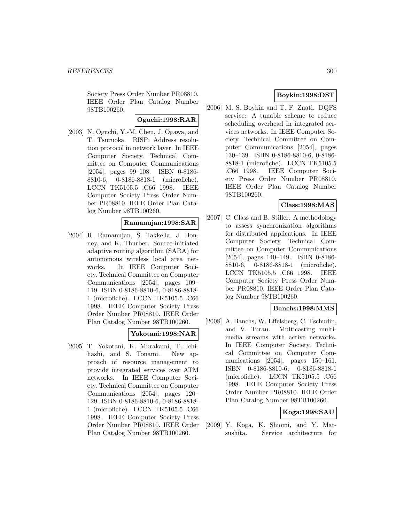Society Press Order Number PR08810. IEEE Order Plan Catalog Number 98TB100260.

#### **Oguchi:1998:RAR**

[2003] N. Oguchi, Y.-M. Chen, J. Ogawa, and T. Tsuruoka. RISP: Address resolution protocol in network layer. In IEEE Computer Society. Technical Committee on Computer Communications [2054], pages 99–108. ISBN 0-8186- 8810-6, 0-8186-8818-1 (microfiche). LCCN TK5105.5 .C66 1998. IEEE Computer Society Press Order Number PR08810. IEEE Order Plan Catalog Number 98TB100260.

## **Ramanujan:1998:SAR**

[2004] R. Ramanujan, S. Takkella, J. Bonney, and K. Thurber. Source-initiated adaptive routing algorithm (SARA) for autonomous wireless local area networks. In IEEE Computer Society. Technical Committee on Computer Communications [2054], pages 109– 119. ISBN 0-8186-8810-6, 0-8186-8818- 1 (microfiche). LCCN TK5105.5 .C66 1998. IEEE Computer Society Press Order Number PR08810. IEEE Order Plan Catalog Number 98TB100260.

# **Yokotani:1998:NAR**

[2005] T. Yokotani, K. Murakami, T. Ichihashi, and S. Tonami. New approach of resource management to provide integrated services over ATM networks. In IEEE Computer Society. Technical Committee on Computer Communications [2054], pages 120– 129. ISBN 0-8186-8810-6, 0-8186-8818- 1 (microfiche). LCCN TK5105.5 .C66 1998. IEEE Computer Society Press Order Number PR08810. IEEE Order Plan Catalog Number 98TB100260.

# **Boykin:1998:DST**

[2006] M. S. Boykin and T. F. Znati. DQFS service: A tunable scheme to reduce scheduling overhead in integrated services networks. In IEEE Computer Society. Technical Committee on Computer Communications [2054], pages 130–139. ISBN 0-8186-8810-6, 0-8186- 8818-1 (microfiche). LCCN TK5105.5 .C66 1998. IEEE Computer Society Press Order Number PR08810. IEEE Order Plan Catalog Number 98TB100260.

#### **Class:1998:MAS**

[2007] C. Class and B. Stiller. A methodology to assess synchronization algorithms for distributed applications. In IEEE Computer Society. Technical Committee on Computer Communications [2054], pages 140–149. ISBN 0-8186- 8810-6, 0-8186-8818-1 (microfiche). LCCN TK5105.5 .C66 1998. IEEE Computer Society Press Order Number PR08810. IEEE Order Plan Catalog Number 98TB100260.

## **Banchs:1998:MMS**

[2008] A. Banchs, W. Effelsberg, C. Tschudin, and V. Turau. Multicasting multimedia streams with active networks. In IEEE Computer Society. Technical Committee on Computer Communications [2054], pages 150–161. ISBN 0-8186-8810-6, 0-8186-8818-1 (microfiche). LCCN TK5105.5 .C66 1998. IEEE Computer Society Press Order Number PR08810. IEEE Order Plan Catalog Number 98TB100260.

# **Koga:1998:SAU**

[2009] Y. Koga, K. Shiomi, and Y. Matsushita. Service architecture for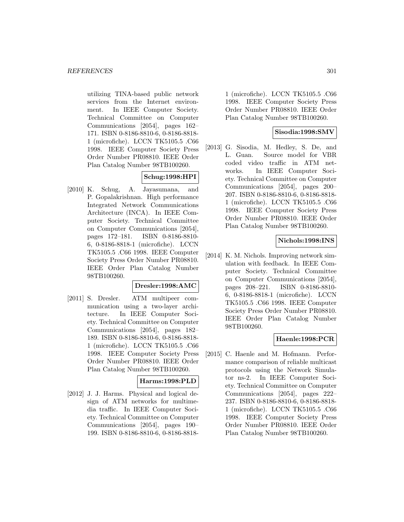utilizing TINA-based public network services from the Internet environment. In IEEE Computer Society. Technical Committee on Computer Communications [2054], pages 162– 171. ISBN 0-8186-8810-6, 0-8186-8818- 1 (microfiche). LCCN TK5105.5 .C66 1998. IEEE Computer Society Press Order Number PR08810. IEEE Order Plan Catalog Number 98TB100260.

# **Schug:1998:HPI**

[2010] K. Schug, A. Jayasumana, and P. Gopalakrishnan. High performance Integrated Network Communications Architecture (INCA). In IEEE Computer Society. Technical Committee on Computer Communications [2054], pages 172–181. ISBN 0-8186-8810- 6, 0-8186-8818-1 (microfiche). LCCN TK5105.5 .C66 1998. IEEE Computer Society Press Order Number PR08810. IEEE Order Plan Catalog Number 98TB100260.

#### **Dresler:1998:AMC**

[2011] S. Dresler. ATM multipeer communication using a two-layer architecture. In IEEE Computer Society. Technical Committee on Computer Communications [2054], pages 182– 189. ISBN 0-8186-8810-6, 0-8186-8818- 1 (microfiche). LCCN TK5105.5 .C66 1998. IEEE Computer Society Press Order Number PR08810. IEEE Order Plan Catalog Number 98TB100260.

#### **Harms:1998:PLD**

[2012] J. J. Harms. Physical and logical design of ATM networks for multimedia traffic. In IEEE Computer Society. Technical Committee on Computer Communications [2054], pages 190– 199. ISBN 0-8186-8810-6, 0-8186-8818-

1 (microfiche). LCCN TK5105.5 .C66 1998. IEEE Computer Society Press Order Number PR08810. IEEE Order Plan Catalog Number 98TB100260.

## **Sisodia:1998:SMV**

[2013] G. Sisodia, M. Hedley, S. De, and L. Guan. Source model for VBR coded video traffic in ATM networks. In IEEE Computer Society. Technical Committee on Computer Communications [2054], pages 200– 207. ISBN 0-8186-8810-6, 0-8186-8818- 1 (microfiche). LCCN TK5105.5 .C66 1998. IEEE Computer Society Press Order Number PR08810. IEEE Order Plan Catalog Number 98TB100260.

## **Nichols:1998:INS**

[2014] K. M. Nichols. Improving network simulation with feedback. In IEEE Computer Society. Technical Committee on Computer Communications [2054], pages 208–221. ISBN 0-8186-8810- 6, 0-8186-8818-1 (microfiche). LCCN TK5105.5 .C66 1998. IEEE Computer Society Press Order Number PR08810. IEEE Order Plan Catalog Number 98TB100260.

# **Haenle:1998:PCR**

[2015] C. Haenle and M. Hofmann. Performance comparison of reliable multicast protocols using the Network Simulator ns-2. In IEEE Computer Society. Technical Committee on Computer Communications [2054], pages 222– 237. ISBN 0-8186-8810-6, 0-8186-8818- 1 (microfiche). LCCN TK5105.5 .C66 1998. IEEE Computer Society Press Order Number PR08810. IEEE Order Plan Catalog Number 98TB100260.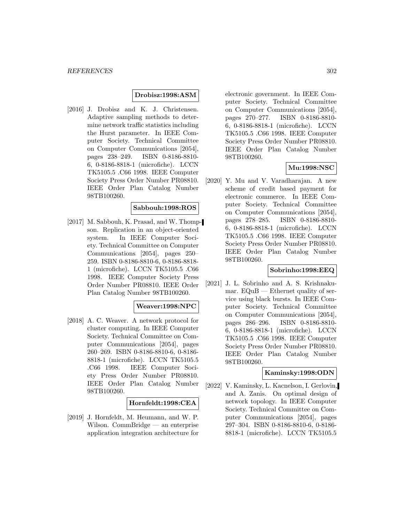### **Drobisz:1998:ASM**

[2016] J. Drobisz and K. J. Christensen. Adaptive sampling methods to determine network traffic statistics including the Hurst parameter. In IEEE Computer Society. Technical Committee on Computer Communications [2054], pages 238–249. ISBN 0-8186-8810- 6, 0-8186-8818-1 (microfiche). LCCN TK5105.5 .C66 1998. IEEE Computer Society Press Order Number PR08810. IEEE Order Plan Catalog Number 98TB100260.

#### **Sabbouh:1998:ROS**

[2017] M. Sabbouh, K. Prasad, and W. Thompson. Replication in an object-oriented system. In IEEE Computer Society. Technical Committee on Computer Communications [2054], pages 250– 259. ISBN 0-8186-8810-6, 0-8186-8818- 1 (microfiche). LCCN TK5105.5 .C66 1998. IEEE Computer Society Press Order Number PR08810. IEEE Order Plan Catalog Number 98TB100260.

#### **Weaver:1998:NPC**

[2018] A. C. Weaver. A network protocol for cluster computing. In IEEE Computer Society. Technical Committee on Computer Communications [2054], pages 260–269. ISBN 0-8186-8810-6, 0-8186- 8818-1 (microfiche). LCCN TK5105.5 .C66 1998. IEEE Computer Society Press Order Number PR08810. IEEE Order Plan Catalog Number 98TB100260.

#### **Hornfeldt:1998:CEA**

[2019] J. Hornfeldt, M. Heumann, and W. P. Wilson. CommBridge — an enterprise application integration architecture for

electronic government. In IEEE Computer Society. Technical Committee on Computer Communications [2054], pages 270–277. ISBN 0-8186-8810- 6, 0-8186-8818-1 (microfiche). LCCN TK5105.5 .C66 1998. IEEE Computer Society Press Order Number PR08810. IEEE Order Plan Catalog Number 98TB100260.

#### **Mu:1998:NSC**

[2020] Y. Mu and V. Varadharajan. A new scheme of credit based payment for electronic commerce. In IEEE Computer Society. Technical Committee on Computer Communications [2054], pages 278–285. ISBN 0-8186-8810- 6, 0-8186-8818-1 (microfiche). LCCN TK5105.5 .C66 1998. IEEE Computer Society Press Order Number PR08810. IEEE Order Plan Catalog Number 98TB100260.

#### **Sobrinho:1998:EEQ**

[2021] J. L. Sobrinho and A. S. Krishnakumar.  $EQuB - E$ thernet quality of service using black bursts. In IEEE Computer Society. Technical Committee on Computer Communications [2054], pages 286–296. ISBN 0-8186-8810- 6, 0-8186-8818-1 (microfiche). LCCN TK5105.5 .C66 1998. IEEE Computer Society Press Order Number PR08810. IEEE Order Plan Catalog Number 98TB100260.

#### **Kaminsky:1998:ODN**

[2022] V. Kaminsky, L. Kacnelson, I. Gerlovin, and A. Zanis. On optimal design of network topology. In IEEE Computer Society. Technical Committee on Computer Communications [2054], pages 297–304. ISBN 0-8186-8810-6, 0-8186- 8818-1 (microfiche). LCCN TK5105.5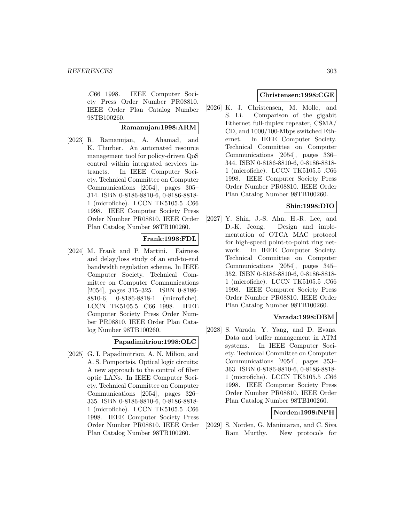.C66 1998. IEEE Computer Society Press Order Number PR08810. IEEE Order Plan Catalog Number 98TB100260.

## **Ramanujan:1998:ARM**

[2023] R. Ramanujan, A. Ahamad, and K. Thurber. An automated resource management tool for policy-driven QoS control within integrated services intranets. In IEEE Computer Society. Technical Committee on Computer Communications [2054], pages 305– 314. ISBN 0-8186-8810-6, 0-8186-8818- 1 (microfiche). LCCN TK5105.5 .C66 1998. IEEE Computer Society Press Order Number PR08810. IEEE Order Plan Catalog Number 98TB100260.

# **Frank:1998:FDL**

[2024] M. Frank and P. Martini. Fairness and delay/loss study of an end-to-end bandwidth regulation scheme. In IEEE Computer Society. Technical Committee on Computer Communications [2054], pages 315–325. ISBN 0-8186- 8810-6, 0-8186-8818-1 (microfiche). LCCN TK5105.5 .C66 1998. IEEE Computer Society Press Order Number PR08810. IEEE Order Plan Catalog Number 98TB100260.

#### **Papadimitriou:1998:OLC**

[2025] G. I. Papadimitriou, A. N. Miliou, and A. S. Pomportsis. Optical logic circuits: A new approach to the control of fiber optic LANs. In IEEE Computer Society. Technical Committee on Computer Communications [2054], pages 326– 335. ISBN 0-8186-8810-6, 0-8186-8818- 1 (microfiche). LCCN TK5105.5 .C66 1998. IEEE Computer Society Press Order Number PR08810. IEEE Order Plan Catalog Number 98TB100260.

## **Christensen:1998:CGE**

[2026] K. J. Christensen, M. Molle, and S. Li. Comparison of the gigabit Ethernet full-duplex repeater, CSMA/ CD, and 1000/100-Mbps switched Ethernet. In IEEE Computer Society. Technical Committee on Computer Communications [2054], pages 336– 344. ISBN 0-8186-8810-6, 0-8186-8818- 1 (microfiche). LCCN TK5105.5 .C66 1998. IEEE Computer Society Press Order Number PR08810. IEEE Order Plan Catalog Number 98TB100260.

# **Shin:1998:DIO**

[2027] Y. Shin, J.-S. Ahn, H.-R. Lee, and D.-K. Jeong. Design and implementation of OTCA MAC protocol for high-speed point-to-point ring network. In IEEE Computer Society. Technical Committee on Computer Communications [2054], pages 345– 352. ISBN 0-8186-8810-6, 0-8186-8818- 1 (microfiche). LCCN TK5105.5 .C66 1998. IEEE Computer Society Press Order Number PR08810. IEEE Order Plan Catalog Number 98TB100260.

# **Varada:1998:DBM**

[2028] S. Varada, Y. Yang, and D. Evans. Data and buffer management in ATM systems. In IEEE Computer Society. Technical Committee on Computer Communications [2054], pages 353– 363. ISBN 0-8186-8810-6, 0-8186-8818- 1 (microfiche). LCCN TK5105.5 .C66 1998. IEEE Computer Society Press Order Number PR08810. IEEE Order Plan Catalog Number 98TB100260.

### **Norden:1998:NPH**

[2029] S. Norden, G. Manimaran, and C. Siva Ram Murthy. New protocols for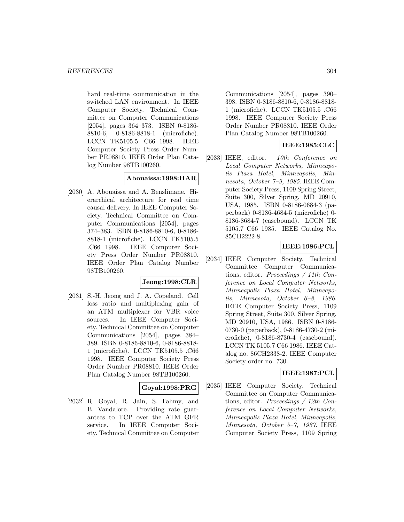hard real-time communication in the switched LAN environment. In IEEE Computer Society. Technical Committee on Computer Communications [2054], pages 364–373. ISBN 0-8186- 8810-6, 0-8186-8818-1 (microfiche). LCCN TK5105.5 .C66 1998. IEEE Computer Society Press Order Number PR08810. IEEE Order Plan Catalog Number 98TB100260.

#### **Abouaissa:1998:HAR**

[2030] A. Abouaissa and A. Benslimane. Hierarchical architecture for real time causal delivery. In IEEE Computer Society. Technical Committee on Computer Communications [2054], pages 374–383. ISBN 0-8186-8810-6, 0-8186- 8818-1 (microfiche). LCCN TK5105.5 .C66 1998. IEEE Computer Society Press Order Number PR08810. IEEE Order Plan Catalog Number 98TB100260.

# **Jeong:1998:CLR**

[2031] S.-H. Jeong and J. A. Copeland. Cell loss ratio and multiplexing gain of an ATM multiplexer for VBR voice sources. In IEEE Computer Society. Technical Committee on Computer Communications [2054], pages 384– 389. ISBN 0-8186-8810-6, 0-8186-8818- 1 (microfiche). LCCN TK5105.5 .C66 1998. IEEE Computer Society Press Order Number PR08810. IEEE Order Plan Catalog Number 98TB100260.

#### **Goyal:1998:PRG**

[2032] R. Goyal, R. Jain, S. Fahmy, and B. Vandalore. Providing rate guarantees to TCP over the ATM GFR service. In IEEE Computer Society. Technical Committee on Computer

Communications [2054], pages 390– 398. ISBN 0-8186-8810-6, 0-8186-8818- 1 (microfiche). LCCN TK5105.5 .C66 1998. IEEE Computer Society Press Order Number PR08810. IEEE Order Plan Catalog Number 98TB100260.

# **IEEE:1985:CLC**

[2033] IEEE, editor. 10th Conference on Local Computer Networks, Minneapolis Plaza Hotel, Minneapolis, Minnesota, October 7–9, 1985. IEEE Computer Society Press, 1109 Spring Street, Suite 300, Silver Spring, MD 20910, USA, 1985. ISBN 0-8186-0684-3 (paperback) 0-8186-4684-5 (microfiche) 0- 8186-8684-7 (casebound). LCCN TK 5105.7 C66 1985. IEEE Catalog No. 85CH2222-8.

## **IEEE:1986:PCL**

[2034] IEEE Computer Society. Technical Committee Computer Communications, editor. Proceedings / 11th Conference on Local Computer Networks, Minneapolis Plaza Hotel, Minneapolis, Minnesota, October 6–8, 1986. IEEE Computer Society Press, 1109 Spring Street, Suite 300, Silver Spring, MD 20910, USA, 1986. ISBN 0-8186- 0730-0 (paperback), 0-8186-4730-2 (microfiche), 0-8186-8730-4 (casebound). LCCN TK 5105.7 C66 1986. IEEE Catalog no. 86CH2338-2. IEEE Computer Society order no. 730.

# **IEEE:1987:PCL**

[2035] IEEE Computer Society. Technical Committee on Computer Communications, editor. Proceedings / 12th Conference on Local Computer Networks, Minneapolis Plaza Hotel, Minneapolis, Minnesota, October 5–7, 1987. IEEE Computer Society Press, 1109 Spring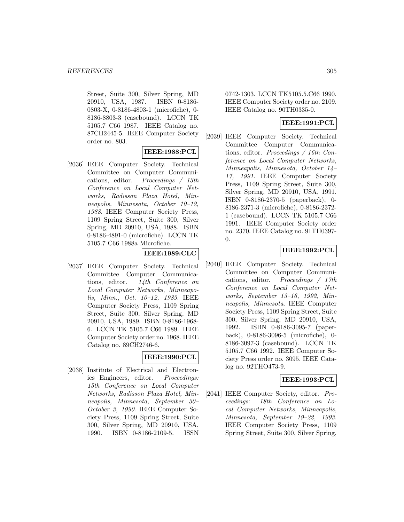Street, Suite 300, Silver Spring, MD 20910, USA, 1987. ISBN 0-8186- 0803-X, 0-8186-4803-1 (microfiche), 0- 8186-8803-3 (casebound). LCCN TK 5105.7 C66 1987. IEEE Catalog no. 87CH2445-5. IEEE Computer Society order no. 803.

## **IEEE:1988:PCL**

[2036] IEEE Computer Society. Technical Committee on Computer Communications, editor. Proceedings / 13th Conference on Local Computer Networks, Radisson Plaza Hotel, Minneapolis, Minnesota, October 10–12, 1988. IEEE Computer Society Press, 1109 Spring Street, Suite 300, Silver Spring, MD 20910, USA, 1988. ISBN 0-8186-4891-0 (microfiche). LCCN TK 5105.7 C66 1988a Microfiche.

# **IEEE:1989:CLC**

[2037] IEEE Computer Society. Technical Committee Computer Communications, editor. 14th Conference on Local Computer Networks, Minneapolis, Minn., Oct. 10–12, 1989. IEEE Computer Society Press, 1109 Spring Street, Suite 300, Silver Spring, MD 20910, USA, 1989. ISBN 0-8186-1968- 6. LCCN TK 5105.7 C66 1989. IEEE Computer Society order no. 1968. IEEE Catalog no. 89CH2746-6.

#### **IEEE:1990:PCL**

[2038] Institute of Electrical and Electronics Engineers, editor. Proceedings: 15th Conference on Local Computer Networks, Radisson Plaza Hotel, Minneapolis, Minnesota, September 30– October 3, 1990. IEEE Computer Society Press, 1109 Spring Street, Suite 300, Silver Spring, MD 20910, USA, 1990. ISBN 0-8186-2109-5. ISSN

0742-1303. LCCN TK5105.5.C66 1990. IEEE Computer Society order no. 2109. IEEE Catalog no. 90TH0335-0.

# **IEEE:1991:PCL**

[2039] IEEE Computer Society. Technical Committee Computer Communications, editor. Proceedings / 16th Conference on Local Computer Networks, Minneapolis, Minnesota, October 14– 17, 1991. IEEE Computer Society Press, 1109 Spring Street, Suite 300, Silver Spring, MD 20910, USA, 1991. ISBN 0-8186-2370-5 (paperback), 0- 8186-2371-3 (microfiche), 0-8186-2372- 1 (casebound). LCCN TK 5105.7 C66 1991. IEEE Computer Society order no. 2370. IEEE Catalog no. 91TH0397- 0.

# **IEEE:1992:PCL**

[2040] IEEE Computer Society. Technical Committee on Computer Communications, editor. Proceedings / 17th Conference on Local Computer Networks, September 13–16, 1992, Minneapolis, Minnesota. IEEE Computer Society Press, 1109 Spring Street, Suite 300, Silver Spring, MD 20910, USA, 1992. ISBN 0-8186-3095-7 (paperback), 0-8186-3096-5 (microfiche), 0- 8186-3097-3 (casebound). LCCN TK 5105.7 C66 1992. IEEE Computer Society Press order no. 3095. IEEE Catalog no. 92THO473-9.

# **IEEE:1993:PCL**

[2041] IEEE Computer Society, editor. Proceedings: 18th Conference on Local Computer Networks, Minneapolis, Minnesota, September 19–22, 1993. IEEE Computer Society Press, 1109 Spring Street, Suite 300, Silver Spring,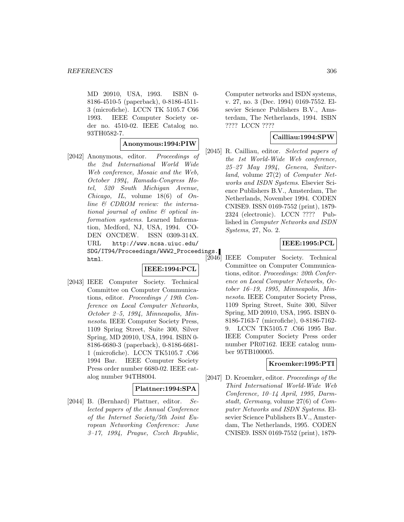MD 20910, USA, 1993. ISBN 0- 8186-4510-5 (paperback), 0-8186-4511- 3 (microfiche). LCCN TK 5105.7 C66 1993. IEEE Computer Society order no. 4510-02. IEEE Catalog no. 93TH0582-7.

#### **Anonymous:1994:PIW**

[2042] Anonymous, editor. Proceedings of the 2nd International World Wide Web conference, Mosaic and the Web, October 1994, Ramada-Congress Hotel, 520 South Michigan Avenue, Chicago, IL, volume  $18(6)$  of  $On$ line & CDROM review: the international journal of online & optical information systems. Learned Information, Medford, NJ, USA, 1994. CO-DEN ONCDEW. ISSN 0309-314X. URL http://www.ncsa.uiuc.edu/ SDG/IT94/Proceedings/WWW2\_Proceedings. html.

#### **IEEE:1994:PCL**

[2043] IEEE Computer Society. Technical Committee on Computer Communications, editor. Proceedings / 19th Conference on Local Computer Networks, October 2–5, 1994, Minneapolis, Minnesota. IEEE Computer Society Press, 1109 Spring Street, Suite 300, Silver Spring, MD 20910, USA, 1994. ISBN 0- 8186-6680-3 (paperback), 0-8186-6681- 1 (microfiche). LCCN TK5105.7 .C66 1994 Bar. IEEE Computer Society Press order number 6680-02. IEEE catalog number 94TH8004.

#### **Plattner:1994:SPA**

[2044] B. (Bernhard) Plattner, editor. Selected papers of the Annual Conference of the Internet Society/5th Joint European Networking Conference: June 3–17, 1994, Prague, Czech Republic,

Computer networks and ISDN systems, v. 27, no. 3 (Dec. 1994) 0169-7552. Elsevier Science Publishers B.V., Amsterdam, The Netherlands, 1994. ISBN ???? LCCN ????

#### **Cailliau:1994:SPW**

[2045] R. Cailliau, editor. Selected papers of the 1st World-Wide Web conference, 25–27 May 1994, Geneva, Switzerland, volume 27(2) of Computer Networks and ISDN Systems. Elsevier Science Publishers B.V., Amsterdam, The Netherlands, November 1994. CODEN CNISE9. ISSN 0169-7552 (print), 1879- 2324 (electronic). LCCN ???? Published in Computer Networks and ISDN Systems, 27, No. 2.

#### **IEEE:1995:PCL**

IEEE Computer Society. Technical Committee on Computer Communications, editor. Proceedings: 20th Conference on Local Computer Networks, October 16–19, 1995, Minneapolis, Minnesota. IEEE Computer Society Press, 1109 Spring Street, Suite 300, Silver Spring, MD 20910, USA, 1995. ISBN 0- 8186-7163-7 (microfiche), 0-8186-7162- 9. LCCN TK5105.7 .C66 1995 Bar. IEEE Computer Society Press order number PR07162. IEEE catalog number 95TB100005.

#### **Kroemker:1995:PTI**

[2047] D. Kroemker, editor. Proceedings of the Third International World-Wide Web Conference, 10–14 April, 1995, Darmstadt, Germany, volume 27(6) of Computer Networks and ISDN Systems. Elsevier Science Publishers B.V., Amsterdam, The Netherlands, 1995. CODEN CNISE9. ISSN 0169-7552 (print), 1879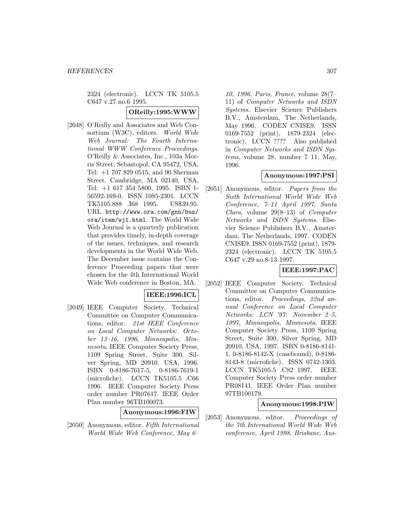2324 (electronic). LCCN TK 5105.5 C647 v.27 no.6 1995.

### **OReilly:1995:WWW**

[2048] O'Reilly and Associates and Web Consortium (W3C), editors. World Wide Web Journal: The Fourth International WWW Conference Proceedings. O'Reilly & Associates, Inc., 103a Morris Street, Sebastopol, CA 95472, USA, Tel: +1 707 829 0515, and 90 Sherman Street, Cambridge, MA 02140, USA, Tel: +1 617 354 5800, 1995. ISBN 1- 56592-169-0. ISSN 1085-2301. LCCN TK5105.888 .I68 1995. US\$39.95. URL http://www.ora.com/gnn/bus/ ora/item/wj1.html. The World Wide Web Journal is a quarterly publication that provides timely, in-depth coverage of the issues, techniques, and research developments in the World Wide Web. The December issue contains the Conference Proceeding papers that were chosen for the 4th International World Wide Web conference in Boston, MA.

## **IEEE:1996:ICL**

[2049] IEEE Computer Society. Technical Committee on Computer Communications, editor. 21st IEEE Conference on Local Computer Networks: October 13–16, 1996, Minneapolis, Minnesota. IEEE Computer Society Press, 1109 Spring Street, Suite 300, Silver Spring, MD 20910, USA, 1996. ISBN 0-8186-7617-5, 0-8186-7619-1 (microfiche). LCCN TK5105.5 .C66 1996. IEEE Computer Society Press order number PR07617. IEEE Order Plan number 96TB100073.

**Anonymous:1996:FIW**

[2050] Anonymous, editor. Fifth International World Wide Web Conference, May 6–

10, 1996, Paris, France, volume 28(7– 11) of Computer Networks and ISDN Systems. Elsevier Science Publishers B.V., Amsterdam, The Netherlands, May 1996. CODEN CNISE9. ISSN 0169-7552 (print), 1879-2324 (electronic). LCCN ???? Also published in Computer Networks and ISDN Systems, volume 28, number 7–11, May, 1996.

## **Anonymous:1997:PSI**

[2051] Anonymous, editor. Papers from the Sixth International World Wide Web Conference, 7–11 April 1997, Santa Clara, volume  $29(8-13)$  of Computer Networks and ISDN Systems. Elsevier Science Publishers B.V., Amsterdam, The Netherlands, 1997. CODEN CNISE9. ISSN 0169-7552 (print), 1879- 2324 (electronic). LCCN TK 5105.5 C647 v.29 no.8-13 1997.

# **IEEE:1997:PAC**

[2052] IEEE Computer Society. Technical Committee on Computer Communications, editor. Proceedings, 22nd annual Conference on Local Computer Networks: LCN '97: November 2–5, 1997, Minneapolis, Minnesota. IEEE Computer Society Press, 1109 Spring Street, Suite 300, Silver Spring, MD 20910, USA, 1997. ISBN 0-8186-8141- 1, 0-8186-8142-X (casebound), 0-8186- 8143-8 (microfiche). ISSN 0742-1303. LCCN TK5105.5 .C82 1997. IEEE Computer Society Press order number PR08141. IEEE Order Plan number 97TB100179.

#### **Anonymous:1998:PIW**

[2053] Anonymous, editor. Proceedings of the 7th International World Wide Web conference, April 1998, Brisbane, Aus